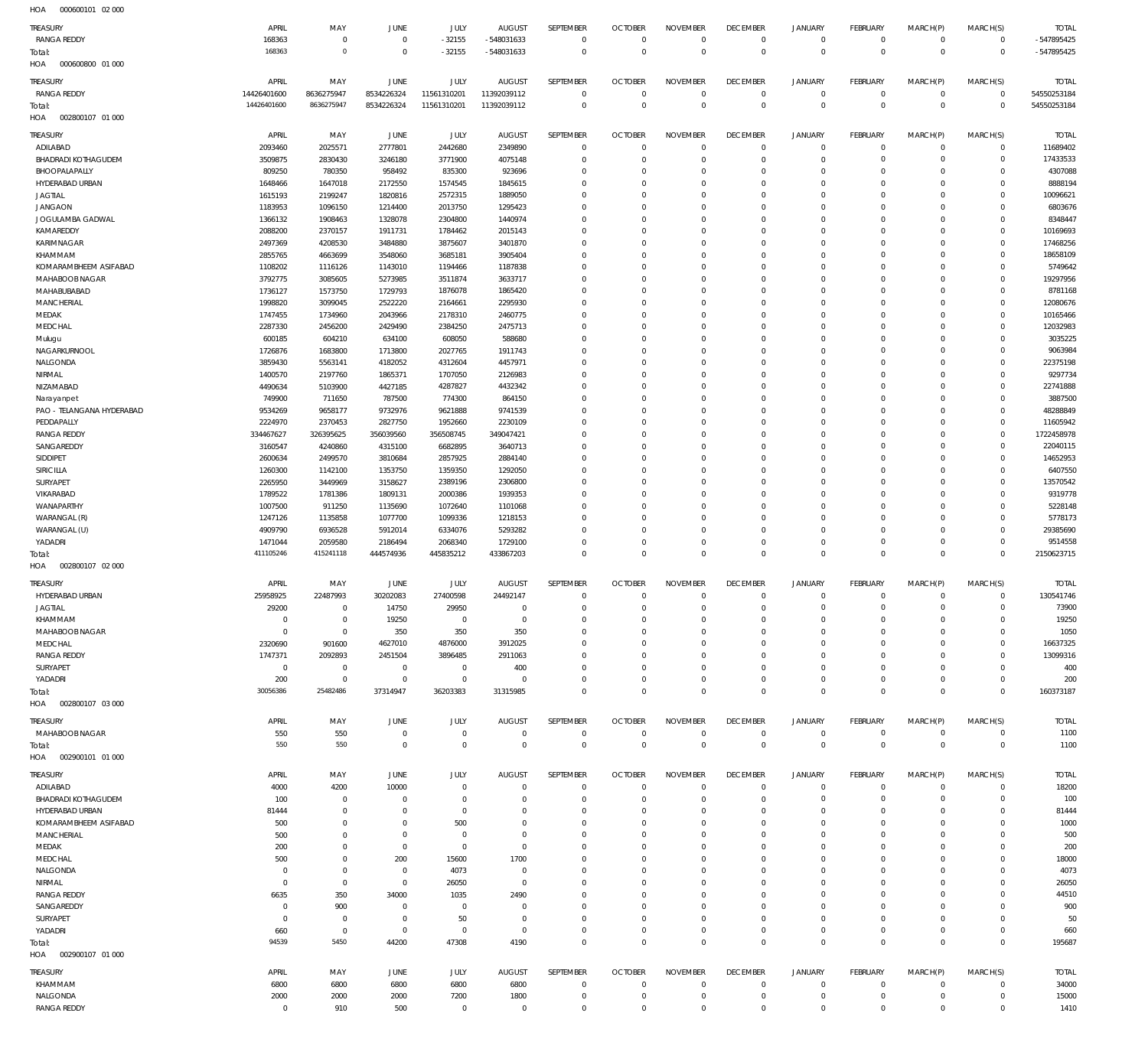000600101 02 000 HOA

| <b>TREASURY</b>                  | APRIL                  | MAY                        | <b>JUNE</b>                | JULY                   | <b>AUGUST</b>        | SEPTEMBER                  | <b>OCTOBER</b>           | <b>NOVEMBER</b>            | <b>DECEMBER</b>            | <b>JANUARY</b>              | FEBRUARY               | MARCH(P)                   | MARCH(S)                   | <b>TOTAL</b>           |
|----------------------------------|------------------------|----------------------------|----------------------------|------------------------|----------------------|----------------------------|--------------------------|----------------------------|----------------------------|-----------------------------|------------------------|----------------------------|----------------------------|------------------------|
| <b>RANGA REDDY</b>               | 168363                 | $\mathbb O$                | $\mathbb O$                | $-32155$               | -548031633           | $\mathbf 0$                | $\mathbf 0$              | $\mathbf 0$                | $\mathbb O$                | $\mathsf{O}$                | $\circ$                | $\mathbf 0$                | $\mathbf 0$                | -547895425             |
| Total:                           | 168363                 | $\mathbf 0$                | $\mathbf 0$                | $-32155$               | -548031633           | $\mathbf 0$                | $\mathbf 0$              | $\mathbf 0$                | $\mathbf 0$                | $\mathbf 0$                 | $\mathbf 0$            | $\mathbf 0$                | $\mathbf 0$                | -547895425             |
| 000600800 01 000<br>HOA          |                        |                            |                            |                        |                      |                            |                          |                            |                            |                             |                        |                            |                            |                        |
| TREASURY                         | APRIL                  | MAY                        | <b>JUNE</b>                | <b>JULY</b>            | <b>AUGUST</b>        | SEPTEMBER                  | <b>OCTOBER</b>           | <b>NOVEMBER</b>            | <b>DECEMBER</b>            | <b>JANUARY</b>              | FEBRUARY               | MARCH(P)                   | MARCH(S)                   | <b>TOTAL</b>           |
| <b>RANGA REDDY</b>               | 14426401600            | 8636275947                 | 8534226324                 | 11561310201            | 11392039112          | $\mathbb O$                | $\circ$                  | $\mathbf 0$                | $\mathbf 0$                | $\mathsf{O}$                | $^{\circ}$             | $^{\circ}$                 | $\mathsf{O}$               | 54550253184            |
| Total:                           | 14426401600            | 8636275947                 | 8534226324                 | 11561310201            | 11392039112          | $\mathsf 0$                | $\mathbf 0$              | $\mathbb O$                | $\mathbf 0$                | $\mathsf 0$                 | $\mathbf 0$            | $\mathbf 0$                | $\mathbf 0$                | 54550253184            |
| HOA<br>002800107 01 000          |                        |                            |                            |                        |                      |                            |                          |                            |                            |                             |                        |                            |                            |                        |
| TREASURY                         | APRIL                  | MAY                        | JUNE                       | JULY                   | <b>AUGUST</b>        | SEPTEMBER                  | <b>OCTOBER</b>           | <b>NOVEMBER</b>            | <b>DECEMBER</b>            | <b>JANUARY</b>              | FEBRUARY               | MARCH(P)                   | MARCH(S)                   | <b>TOTAL</b>           |
| ADILABAD                         | 2093460                | 2025571                    | 2777801                    | 2442680                | 2349890              | $\mathbf 0$                | $\circ$                  | $\mathbf 0$                | $\mathbf 0$                | $\mathbf 0$                 | $\mathbf 0$            | $\mathbf 0$                | $\mathbf 0$                | 11689402               |
| <b>BHADRADI KOTHAGUDEM</b>       | 3509875                | 2830430                    | 3246180                    | 3771900                | 4075148              | $\mathbf 0$                | $^{\circ}$               | $\mathbf 0$                | $\mathbf 0$                | $\mathbf 0$                 | $^{\circ}$             | $\mathbf 0$                | 0                          | 17433533               |
| BHOOPALAPALLY<br>HYDERABAD URBAN | 809250<br>1648466      | 780350<br>1647018          | 958492<br>2172550          | 835300<br>1574545      | 923696<br>1845615    | $\mathbf 0$<br>$\mathbf 0$ | $\Omega$<br>$\Omega$     | $\Omega$<br>$\mathbf 0$    | 0<br>$^{\circ}$            | $\mathbf 0$<br>$\mathbf 0$  | $^{\circ}$<br>$\Omega$ | $\Omega$<br>$\Omega$       | $^{\circ}$<br>$\mathbf 0$  | 4307088<br>8888194     |
| <b>JAGTIAL</b>                   | 1615193                | 2199247                    | 1820816                    | 2572315                | 1889050              | $^{\circ}$                 | $\Omega$                 | $\Omega$                   | 0                          | $\mathbf 0$                 | $^{\circ}$             | $\Omega$                   | $\mathbf 0$                | 10096621               |
| <b>JANGAON</b>                   | 1183953                | 1096150                    | 1214400                    | 2013750                | 1295423              | $\mathbf 0$                | $\Omega$                 | $^{\circ}$                 | $\Omega$                   | $\mathbf 0$                 | $\Omega$               | $\Omega$                   | $\mathbf 0$                | 6803676                |
| JOGULAMBA GADWAL                 | 1366132                | 1908463                    | 1328078                    | 2304800                | 1440974              | $\mathbf 0$                | $\Omega$                 | $\Omega$                   | 0                          | $\mathbf 0$                 | $^{\circ}$             | $\Omega$                   | $\mathbf 0$                | 8348447                |
| KAMAREDDY                        | 2088200                | 2370157                    | 1911731                    | 1784462                | 2015143              | $\mathbf 0$                | $\Omega$                 | $^{\circ}$                 | $\Omega$                   | $\mathbf 0$                 | $\Omega$               | $\Omega$                   | $\mathbf 0$                | 10169693               |
| KARIMNAGAR<br>KHAMMAM            | 2497369<br>2855765     | 4208530<br>4663699         | 3484880<br>3548060         | 3875607<br>3685181     | 3401870<br>3905404   | $\mathbf 0$<br>$\mathbf 0$ | $\Omega$<br>0            | $\Omega$<br>$\mathbf 0$    | $\Omega$<br>$\mathbf 0$    | $\mathbf 0$<br>$\mathbf 0$  | $^{\circ}$<br>$\Omega$ | $\Omega$<br>$\Omega$       | $\mathbf 0$<br>$\mathbf 0$ | 17468256<br>18658109   |
| KOMARAMBHEEM ASIFABAD            | 1108202                | 1116126                    | 1143010                    | 1194466                | 1187838              | $\mathbf 0$                | $\Omega$                 | $\Omega$                   | $\Omega$                   | $\mathbf 0$                 | $\Omega$               | $\Omega$                   | $\mathbf 0$                | 5749642                |
| MAHABOOB NAGAR                   | 3792775                | 3085605                    | 5273985                    | 3511874                | 3633717              | $\mathbf 0$                | $^{\circ}$               | $\mathbf 0$                | $\mathbf 0$                | $\mathbf 0$                 | $\Omega$               | $\Omega$                   | $\mathbf 0$                | 19297956               |
| MAHABUBABAD                      | 1736127                | 1573750                    | 1729793                    | 1876078                | 1865420              | $\mathbf 0$                | $\Omega$                 | $\Omega$                   | $\Omega$                   | $\mathbf 0$                 | $\Omega$               | $\Omega$                   | $\mathbf 0$                | 8781168                |
| MANCHERIAL                       | 1998820                | 3099045                    | 2522220                    | 2164661                | 2295930              | $\mathbf 0$                | $^{\circ}$               | $\mathbf 0$                | $\Omega$                   | $\mathbf 0$                 | $\Omega$               | $\Omega$                   | $\mathbf 0$                | 12080676               |
| MEDAK                            | 1747455                | 1734960                    | 2043966                    | 2178310                | 2460775              | $\mathbf 0$                | $\Omega$                 | $\Omega$                   | 0                          | $\mathbf 0$                 | $^{\circ}$             | $\Omega$                   | $\mathbf 0$                | 10165466               |
| MEDCHAL                          | 2287330                | 2456200                    | 2429490                    | 2384250<br>608050      | 2475713              | $\mathbf 0$<br>$\mathbf 0$ | $\Omega$<br>$^{\circ}$   | $\mathbf 0$<br>$\mathbf 0$ | $\Omega$                   | $\mathbf 0$<br>$\mathbf 0$  | $\Omega$<br>$^{\circ}$ | $\Omega$<br>$\Omega$       | $\Omega$<br>$\mathbf 0$    | 12032983<br>3035225    |
| Mulugu<br>NAGARKURNOOL           | 600185<br>1726876      | 604210<br>1683800          | 634100<br>1713800          | 2027765                | 588680<br>1911743    | $\mathbf 0$                | $\Omega$                 | $\mathbf 0$                | 0<br>$\Omega$              | $\mathbf 0$                 | $\Omega$               | $\Omega$                   | $\Omega$                   | 9063984                |
| NALGONDA                         | 3859430                | 5563141                    | 4182052                    | 4312604                | 4457971              | $\mathbf 0$                | $\Omega$                 | $\Omega$                   | $\Omega$                   | $\mathbf 0$                 | $\Omega$               | $\Omega$                   | $\mathbf 0$                | 22375198               |
| NIRMAL                           | 1400570                | 2197760                    | 1865371                    | 1707050                | 2126983              | $\mathbf 0$                | $\Omega$                 | $\mathbf 0$                | $\Omega$                   | $\mathbf 0$                 | $\Omega$               | $\Omega$                   | $\mathbf 0$                | 9297734                |
| NIZAMABAD                        | 4490634                | 5103900                    | 4427185                    | 4287827                | 4432342              | $\mathbf 0$                | $\Omega$                 | $\Omega$                   | $\Omega$                   | $\mathbf 0$                 | $\Omega$               | $\Omega$                   | $\mathbf 0$                | 22741888               |
| Narayanpet                       | 749900                 | 711650                     | 787500                     | 774300                 | 864150               | $\mathbf 0$                | $^{\circ}$               | $\mathbf 0$                | $\mathbf 0$                | $\mathbf 0$                 | $\Omega$               | $\Omega$                   | $\mathbf 0$                | 3887500                |
| PAO - TELANGANA HYDERABAD        | 9534269                | 9658177                    | 9732976                    | 9621888                | 9741539              | $\mathbf 0$                | $\Omega$                 | $\Omega$                   | $\Omega$                   | $\mathbf 0$                 | $\Omega$               | $\Omega$                   | $\mathbf 0$                | 48288849               |
| PEDDAPALLY<br><b>RANGA REDDY</b> | 2224970<br>334467627   | 2370453<br>326395625       | 2827750<br>356039560       | 1952660<br>356508745   | 2230109<br>349047421 | $\mathbf 0$<br>$\mathbf 0$ | $\Omega$<br>$\Omega$     | $\mathbf 0$<br>$\Omega$    | $\Omega$<br>0              | $\mathbf 0$<br>$^{\circ}$   | $\Omega$<br>$\Omega$   | $\Omega$<br>$\Omega$       | $\mathbf 0$<br>$^{\circ}$  | 11605942<br>1722458978 |
| SANGAREDDY                       | 3160547                | 4240860                    | 4315100                    | 6682895                | 3640713              | $\mathbf 0$                | $\Omega$                 | $\mathbf 0$                | $\Omega$                   | $\mathbf 0$                 | $\Omega$               | $\Omega$                   | $\mathbf 0$                | 22040115               |
| SIDDIPET                         | 2600634                | 2499570                    | 3810684                    | 2857925                | 2884140              | $\mathbf 0$                | $\Omega$                 | $\Omega$                   | 0                          | $\mathbf 0$                 | $^{\circ}$             | $\Omega$                   | $^{\circ}$                 | 14652953               |
| SIRICILLA                        | 1260300                | 1142100                    | 1353750                    | 1359350                | 1292050              | $\mathbf 0$                | $\Omega$                 | $\mathbf 0$                | $\Omega$                   | $\mathbf 0$                 | $\Omega$               | $\Omega$                   | $\Omega$                   | 6407550                |
| SURYAPET                         | 2265950                | 3449969                    | 3158627                    | 2389196                | 2306800              | $\mathbf 0$                | $\Omega$                 | $\Omega$                   | $\Omega$                   | $^{\circ}$                  | $^{\circ}$             | $\Omega$                   | $^{\circ}$                 | 13570542               |
| VIKARABAD                        | 1789522                | 1781386                    | 1809131                    | 2000386                | 1939353              | $\mathbf 0$                | $\Omega$                 | $\mathbf 0$                | $\mathbf 0$                | $\mathbf 0$                 | $\Omega$               | $\Omega$                   | $^{\circ}$                 | 9319778                |
| WANAPARTHY<br>WARANGAL (R)       | 1007500<br>1247126     | 911250<br>1135858          | 1135690<br>1077700         | 1072640<br>1099336     | 1101068<br>1218153   | $\mathbf 0$<br>$\mathbf 0$ | $\Omega$<br>$^{\circ}$   | $\Omega$<br>$\mathbf 0$    | $\Omega$<br>$\mathbf 0$    | $\mathbf 0$<br>$\mathbf 0$  | $\Omega$<br>$\Omega$   | $\Omega$<br>$\Omega$       | $^{\circ}$<br>$\mathbf 0$  | 5228148<br>5778173     |
| WARANGAL (U)                     | 4909790                | 6936528                    | 5912014                    | 6334076                | 5293282              | $\mathbf 0$                | $\Omega$                 | $\mathbf 0$                | 0                          | $^{\circ}$                  | $^{\circ}$             | $\Omega$                   | $^{\circ}$                 | 29385690               |
| YADADRI                          | 1471044                | 2059580                    | 2186494                    | 2068340                | 1729100              | $\mathbf 0$                | $^{\circ}$               | $\mathbf 0$                | $\mathbf 0$                | $\mathbf 0$                 | $^{\circ}$             | $\mathbf 0$                | $\mathbf 0$                | 9514558                |
| Total:                           |                        |                            |                            |                        |                      |                            |                          |                            |                            |                             |                        |                            |                            |                        |
|                                  | 411105246              | 415241118                  | 444574936                  | 445835212              | 433867203            | $\mathbf 0$                | $\mathbf 0$              | $\mathbf 0$                | $\mathbf 0$                | $\mathbf 0$                 | $\mathbf 0$            | $\mathbf 0$                | $\mathbf 0$                | 2150623715             |
| HOA<br>002800107 02 000          |                        |                            |                            |                        |                      |                            |                          |                            |                            |                             |                        |                            |                            |                        |
| <b>TREASURY</b>                  | APRIL                  | MAY                        | <b>JUNE</b>                | JULY                   | <b>AUGUST</b>        | SEPTEMBER                  | <b>OCTOBER</b>           | <b>NOVEMBER</b>            | <b>DECEMBER</b>            | <b>JANUARY</b>              | FEBRUARY               | MARCH(P)                   | MARCH(S)                   | <b>TOTAL</b>           |
| HYDERABAD URBAN                  | 25958925               | 22487993                   | 30202083                   | 27400598               | 24492147             | $\mathbf 0$                | $\mathbf 0$              | $\mathbb O$                | $\mathbf 0$                | $\mathbf 0$                 | $\mathbf 0$            | $\mathbf 0$                | $\mathbf 0$                | 130541746              |
| <b>JAGTIAL</b>                   | 29200                  | $\cap$                     | 14750                      | 29950                  | $\Omega$             | $\Omega$                   | $\cap$                   | $\cap$                     | $\Omega$                   | $\cap$                      | $\cap$                 | $\cap$                     | $\cap$                     | 73900                  |
| KHAMMAM                          | 0                      | $\mathbb O$                | 19250                      | $\mathbf 0$            | $\mathbf 0$          | $\mathbf 0$                | $^{\circ}$               | $^{\circ}$                 | 0                          | 0                           | $^{\circ}$             | $^{\circ}$                 | $^{\circ}$                 | 19250                  |
| MAHABOOB NAGAR                   | $\overline{0}$         | $\mathbf 0$                | 350                        | 350                    | 350                  | $\mathbf 0$                | $^{\circ}$               | $\mathbf 0$                | 0                          | $\mathbf 0$                 | $^{\circ}$             | $^{\circ}$                 | $^{\circ}$                 | 1050                   |
| MEDCHAL                          | 2320690                | 901600                     | 4627010                    | 4876000                | 3912025              | $\mathbf 0$                | 0                        | $\mathbf 0$                | 0                          | 0                           | 0                      | 0                          | $^{\circ}$                 | 16637325               |
| <b>RANGA REDDY</b><br>SURYAPET   | 1747371<br>$\mathbf 0$ | 2092893<br>$\overline{0}$  | 2451504<br>$\overline{0}$  | 3896485<br>$\mathbf 0$ | 2911063<br>400       | $\mathbf 0$<br>$\mathbf 0$ | $^{\circ}$<br>0          | $\mathbf 0$<br>$\mathbf 0$ | $\mathbf 0$<br>$\mathbf 0$ | $\mathbf 0$<br>0            | 0<br>0                 | $\mathbf 0$<br>0           | $\mathbf 0$<br>$\mathbf 0$ | 13099316<br>400        |
| YADADRI                          | 200                    | $\mathbb O$                | $\circ$                    | $\mathbb O$            | $^{\circ}$           | $\mathbf 0$                | $^{\circ}$               | $\mathbf 0$                | $\mathbf 0$                | $\mathsf{O}$                | $^{\circ}$             | $\mathbf 0$                | $\mathbf 0$                | 200                    |
| Total:                           | 30056386               | 25482486                   | 37314947                   | 36203383               | 31315985             | $\mathbf 0$                | $\mathbf 0$              | $\mathbf 0$                | $\mathbf 0$                | $\mathbf 0$                 | $\mathbf 0$            | $\mathbf 0$                | $\Omega$                   | 160373187              |
| 002800107 03 000<br>HOA          |                        |                            |                            |                        |                      |                            |                          |                            |                            |                             |                        |                            |                            |                        |
| TREASURY                         | APRIL                  | MAY                        | <b>JUNE</b>                | <b>JULY</b>            | <b>AUGUST</b>        | SEPTEMBER                  | <b>OCTOBER</b>           | <b>NOVEMBER</b>            | <b>DECEMBER</b>            | <b>JANUARY</b>              | FEBRUARY               | MARCH(P)                   | MARCH(S)                   | <b>TOTAL</b>           |
| MAHABOOB NAGAR                   | 550                    | 550                        | $\mathbf 0$                | $\mathbf 0$            | $\mathbf 0$          | $\mathbf 0$                | $\mathbf 0$              | $\mathbf 0$                | $\mathbf 0$                | 0                           | $\mathbf 0$            | $\mathbf 0$                | $\mathbf 0$                | 1100                   |
| Total:                           | 550                    | 550                        | $\mathbf 0$                | $\mathbf 0$            | $\mathbf 0$          | $\mathbf 0$                | $\mathbf 0$              | $\mathbf 0$                | $\mathbf 0$                | $\mathbf 0$                 | $\mathbf 0$            | $\mathbf 0$                | $\mathbb O$                | 1100                   |
| 002900101 01 000<br>HOA          |                        |                            |                            |                        |                      |                            |                          |                            |                            |                             |                        |                            |                            |                        |
| TREASURY                         | APRIL                  | MAY                        | <b>JUNE</b>                | JULY                   | <b>AUGUST</b>        | SEPTEMBER                  | <b>OCTOBER</b>           | <b>NOVEMBER</b>            | <b>DECEMBER</b>            | <b>JANUARY</b>              | FEBRUARY               | MARCH(P)                   | MARCH(S)                   | <b>TOTAL</b>           |
| ADILABAD                         | 4000                   | 4200                       | 10000                      | $\mathbf 0$            | $^{\circ}$           | $\mathbf 0$                | $^{\circ}$               | $^{\circ}$                 | $\mathbf 0$                | 0                           | $^{\circ}$             | 0                          | 0                          | 18200                  |
| BHADRADI KOTHAGUDEM              | 100                    | $\mathbf 0$                | 0                          | $\mathbf 0$            | 0                    | $\mathbb O$                | $^{\circ}$               | $\mathbf 0$                | $\mathbf 0$                | $\mathsf{O}$                | $^{\circ}$             | $\mathbf 0$                | $\mathbf 0$                | 100                    |
| HYDERABAD URBAN                  | 81444                  | $\mathbb O$                | $^{\circ}$                 | $\mathbf 0$            | 0                    | $\mathbf 0$                | 0                        | $\mathbf 0$                | 0                          | 0                           | 0                      | 0                          | $\mathbf 0$                | 81444                  |
| KOMARAMBHEEM ASIFABAD            | 500                    | $\mathbb O$<br>$\mathbb O$ | $^{\circ}$<br>$^{\circ}$   | 500<br>$\mathbf 0$     | 0<br>$^{\circ}$      | $\mathbf 0$<br>$\mathbf 0$ | $^{\circ}$<br>0          | $\mathbf 0$<br>$\mathbf 0$ | 0<br>$\mathbf 0$           | $\mathbf 0$<br>$\mathbf 0$  | 0<br>0                 | $\mathbf 0$<br>$\mathbf 0$ | $\mathbf 0$<br>$\mathbf 0$ | 1000                   |
| MANCHERIAL<br>MEDAK              | 500<br>200             | $\mathbb O$                | $\mathbf 0$                | $\mathbf 0$            | $\mathbf 0$          | $\mathbf 0$                | $^{\circ}$               | $\mathbf 0$                | $\mathbf 0$                | $\mathbf 0$                 | $^{\circ}$             | $\mathbf 0$                | $\mathbf 0$                | 500<br>200             |
| MEDCHAL                          | 500                    | $\mathbb O$                | 200                        | 15600                  | 1700                 | $\mathbf 0$                | 0                        | $\mathbf 0$                | $\mathbf 0$                | 0                           | 0                      | $\mathbf 0$                | $\mathbf 0$                | 18000                  |
| NALGONDA                         | 0                      | $\mathbb O$                | $\mathbf 0$                | 4073                   | $\mathbf 0$          | $\mathbf 0$                | $^{\circ}$               | $\mathbf 0$                | $^{\circ}$                 | $\mathbf 0$                 | $^{\circ}$             | $\mathbf 0$                | 0                          | 4073                   |
| NIRMAL                           | 0                      | $\mathbf 0$                | $\mathbf 0$                | 26050                  | $^{\circ}$           | $\mathbf 0$                | 0                        | $^{\circ}$                 | $^{\circ}$                 | 0                           | 0                      | $\mathbf 0$                | 0                          | 26050                  |
| <b>RANGA REDDY</b>               | 6635                   | 350                        | 34000                      | 1035                   | 2490                 | $\mathbf 0$                | $^{\circ}$               | $^{\circ}$                 | $^{\circ}$                 | $\mathbf 0$                 | $^{\circ}$             | $\mathbf 0$                | $\mathbf 0$                | 44510                  |
| SANGAREDDY                       | 0                      | 900                        | 0                          | $\mathbf 0$            | 0                    | $\mathbf 0$                | 0                        | $^{\circ}$                 | $^{\circ}$                 | 0                           | 0                      | $\mathbf 0$                | 0                          | 900                    |
| SURYAPET                         | $^{\circ}$             | $\mathbf 0$                | $\mathbf 0$<br>$\mathbf 0$ | 50<br>$\mathbf 0$      | 0<br>$\mathbf 0$     | $\mathbf 0$<br>$\mathbf 0$ | $^{\circ}$<br>$^{\circ}$ | $^{\circ}$<br>$\mathbf 0$  | $^{\circ}$<br>$\mathbf 0$  | $\mathbf 0$<br>$\mathsf{O}$ | 0<br>$^{\circ}$        | $\mathbf 0$<br>$\mathbf 0$ | $\mathbf 0$<br>$\mathbf 0$ | 50                     |
| YADADRI<br>Total:                | 660<br>94539           | $\mathbf 0$<br>5450        | 44200                      | 47308                  | 4190                 | $\mathbf 0$                | $\mathbf 0$              | $\mathbb O$                | $\mathbf 0$                | $\mathbf 0$                 | $\mathbf 0$            | $\mathbf 0$                | $\mathbf 0$                | 660<br>195687          |
| HOA<br>002900107 01 000          |                        |                            |                            |                        |                      |                            |                          |                            |                            |                             |                        |                            |                            |                        |
| TREASURY                         | APRIL                  | MAY                        | JUNE                       | <b>JULY</b>            | <b>AUGUST</b>        | SEPTEMBER                  | <b>OCTOBER</b>           | <b>NOVEMBER</b>            | <b>DECEMBER</b>            | <b>JANUARY</b>              | FEBRUARY               | MARCH(P)                   | MARCH(S)                   | <b>TOTAL</b>           |
| KHAMMAM                          | 6800                   | 6800                       | 6800                       | 6800                   | 6800                 | $\mathbf 0$                | $^{\circ}$               | $^{\circ}$                 | $\mathbf 0$                | $\mathbf 0$                 | $\mathbf 0$            | $\mathbf 0$                | $\mathbf 0$                | 34000                  |
| NALGONDA                         | 2000                   | 2000                       | 2000                       | 7200                   | 1800                 | $\mathbf 0$                | $\mathbf 0$              | $\mathbf 0$                | $\mathbf 0$                | $\mathsf{O}$                | $\mathbf 0$            | $\mathbf 0$                | 0                          | 15000                  |
| <b>RANGA REDDY</b>               | $^{\circ}$             | 910                        | 500                        | $\mathbf 0$            | $\mathbf 0$          | $\mathbf 0$                | $^{\circ}$               | $\mathbf 0$                | $\mathbf 0$                | $\mathbf 0$                 | $\mathbf 0$            | $\mathbf 0$                | $\mathbf 0$                | 1410                   |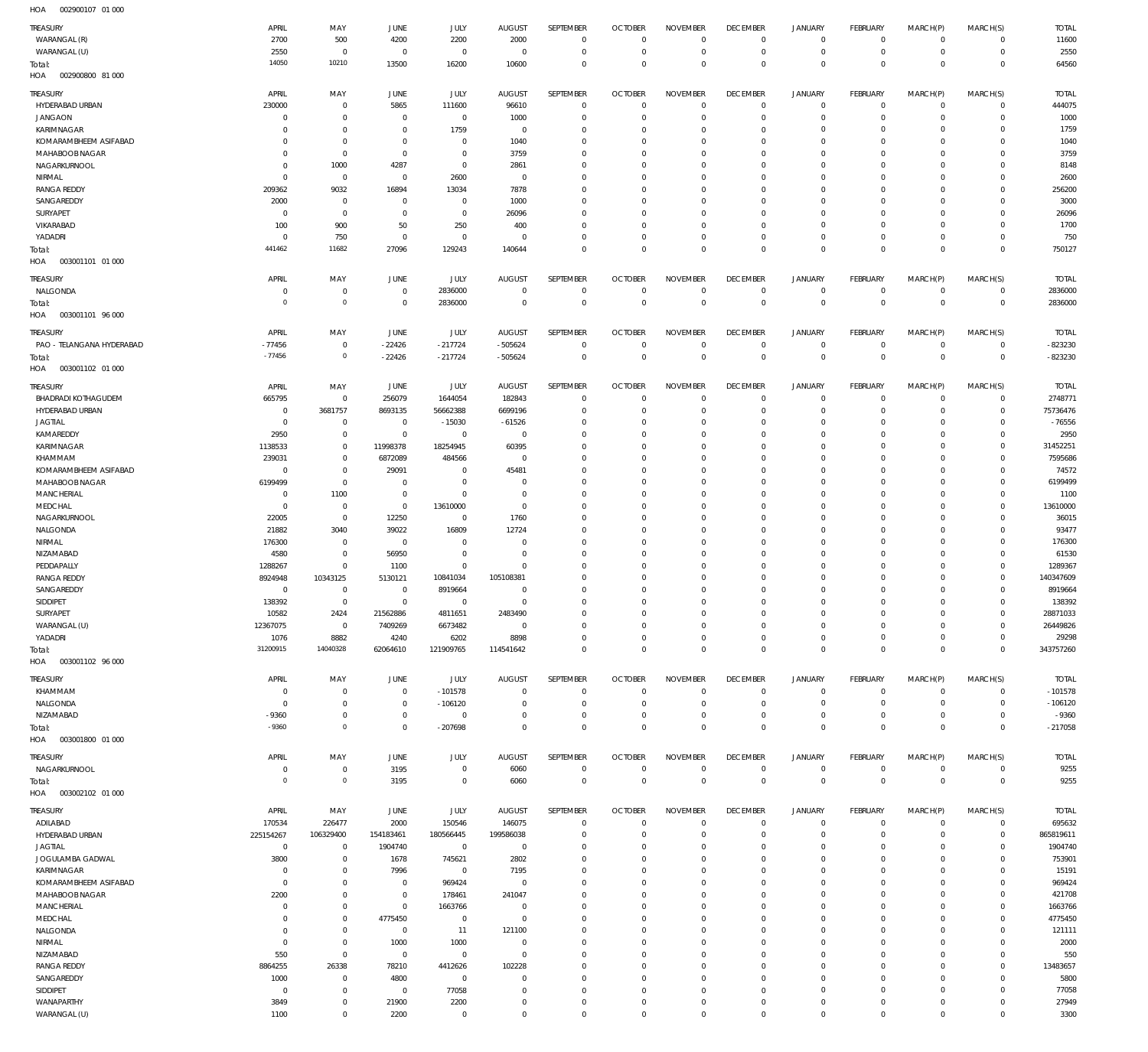| <b>TREASURY</b><br>WARANGAL (R)   | APRIL<br>2700              | MAY<br>500                       | JUNE<br>4200                     | JULY<br>2200                  | <b>AUGUST</b><br>2000    | SEPTEMBER<br>$\mathbf 0$         | <b>OCTOBER</b><br>$\overline{0}$ | <b>NOVEMBER</b><br>$\overline{0}$ | <b>DECEMBER</b><br>$^{\circ}$  | <b>JANUARY</b><br>0                | FEBRUARY<br>$^{\circ}$       | MARCH(P)<br>$^{\circ}$      | MARCH(S)<br>$\mathbf 0$     | <b>TOTAL</b><br>11600  |
|-----------------------------------|----------------------------|----------------------------------|----------------------------------|-------------------------------|--------------------------|----------------------------------|----------------------------------|-----------------------------------|--------------------------------|------------------------------------|------------------------------|-----------------------------|-----------------------------|------------------------|
| WARANGAL (U)                      | 2550                       | $\mathbf 0$                      | $^{\circ}$                       | $\overline{0}$                | $^{\circ}$               | $\mathbb O$                      | $\overline{0}$                   | $\mathbf 0$                       | $\overline{0}$                 | $\mathsf{O}\xspace$                | $\circ$                      | $\mathbf 0$                 | $\mathbf 0$                 | 2550                   |
| Total:                            | 14050                      | 10210                            | 13500                            | 16200                         | 10600                    | $\mathbb O$                      | $\Omega$                         | $\mathbb O$                       | $\mathbf 0$                    | $\mathbb O$                        | $\Omega$                     | $\mathbf 0$                 | $\overline{0}$              | 64560                  |
| HOA<br>002900800 81 000           |                            |                                  |                                  |                               |                          |                                  |                                  |                                   |                                |                                    |                              |                             |                             |                        |
| TREASURY                          | APRIL                      | MAY                              | JUNE                             | JULY                          | <b>AUGUST</b>            | SEPTEMBER                        | <b>OCTOBER</b>                   | <b>NOVEMBER</b>                   | <b>DECEMBER</b>                | <b>JANUARY</b>                     | FEBRUARY                     | MARCH(P)                    | MARCH(S)                    | <b>TOTAL</b>           |
| HYDERABAD URBAN                   | 230000                     | $\overline{0}$                   | 5865                             | 111600                        | 96610                    | $\overline{0}$                   | $\Omega$                         | $\Omega$                          | $^{\circ}$                     | $\mathbf 0$                        | $^{\circ}$                   | $^{\circ}$                  | $\mathbf 0$                 | 444075                 |
| <b>JANGAON</b><br>KARIMNAGAR      | $\Omega$<br>$\Omega$       | $\overline{0}$<br>$\overline{0}$ | $^{\circ}$<br>$\Omega$           | $\mathbf 0$<br>1759           | 1000<br>$^{\circ}$       | $\mathbf{0}$<br>$\overline{0}$   | $\Omega$<br>$\Omega$             | $\Omega$<br>$\Omega$              | $\Omega$<br>$\Omega$           | $\mathbf 0$<br>$\mathbf 0$         | $\Omega$<br>$\Omega$         | $\Omega$<br>$\Omega$        | $\Omega$<br>$\Omega$        | 1000<br>1759           |
| KOMARAMBHEEM ASIFABAD             | $\Omega$                   | $\overline{0}$                   | $\Omega$                         | $\Omega$                      | 1040                     | $\Omega$                         | -C                               | $\Omega$                          | $\Omega$                       | $\Omega$                           | $\Omega$                     | $\Omega$                    | $\Omega$                    | 1040                   |
| MAHABOOB NAGAR                    | $\Omega$                   | $\mathbf 0$                      | $^{\circ}$                       | $\overline{0}$                | 3759                     | $\mathbf{0}$                     | $\Omega$                         | $\mathbf{0}$                      | $\Omega$                       | $\Omega$                           | $\Omega$                     | $\Omega$                    | $\Omega$                    | 3759                   |
| NAGARKURNOOL                      | $\Omega$                   | 1000                             | 4287                             | $\mathbf 0$                   | 2861                     | $\Omega$                         | $\Omega$                         | $\Omega$                          | $\Omega$                       | $\Omega$                           | $\Omega$                     | $\Omega$                    | $\Omega$                    | 8148                   |
| NIRMAL                            | $\Omega$                   | $\overline{0}$                   | $\Omega$                         | 2600                          | $\Omega$                 | $\mathbf{0}$                     | $\Omega$                         | $\mathbf{0}$                      | $\Omega$                       | $\Omega$                           | $\Omega$                     | $\Omega$                    | $\Omega$                    | 2600                   |
| <b>RANGA REDDY</b>                | 209362                     | 9032                             | 16894                            | 13034                         | 7878                     | $\Omega$                         | -C                               | $\Omega$                          | $\Omega$                       | $\Omega$                           | $\Omega$                     | $\Omega$                    | $\Omega$                    | 256200                 |
| SANGAREDDY                        | 2000                       | $\overline{0}$                   | $\Omega$                         | $\overline{0}$                | 1000                     | $\mathbf{0}$                     | $\Omega$                         | $\Omega$                          | $\Omega$                       | $\Omega$                           | $\Omega$                     | $\Omega$                    | $\Omega$                    | 3000                   |
| SURYAPET                          | $\overline{0}$             | $\mathbf 0$                      | $\Omega$                         | $\overline{0}$                | 26096                    | $\Omega$                         | $\Omega$                         | $\Omega$                          | $\Omega$                       | $\Omega$                           | $\Omega$                     | $\Omega$                    | $\Omega$                    | 26096                  |
| VIKARABAD                         | 100<br>$\Omega$            | 900                              | 50                               | 250<br>$\overline{0}$         | 400<br>$\Omega$          | $\Omega$<br>$\Omega$             | $\Omega$<br>$\Omega$             | $\Omega$                          | $\Omega$<br>$\Omega$           | $\Omega$                           | $\Omega$<br>$\Omega$         | $\Omega$<br>$\Omega$        | $\Omega$<br>$\Omega$        | 1700                   |
| YADADRI<br>Total:                 | 441462                     | 750<br>11682                     | $^{\circ}$<br>27096              | 129243                        | 140644                   | $\Omega$                         | $\Omega$                         | $\mathbf{0}$<br>$\overline{0}$    | $\Omega$                       | $\mathbf 0$<br>$\overline{0}$      | $\Omega$                     | $\Omega$                    | $\Omega$                    | 750<br>750127          |
| 003001101 01 000<br>HOA           |                            |                                  |                                  |                               |                          |                                  |                                  |                                   |                                |                                    |                              |                             |                             |                        |
|                                   |                            |                                  |                                  |                               |                          |                                  |                                  |                                   |                                |                                    |                              |                             |                             |                        |
| TREASURY                          | APRIL                      | MAY                              | JUNE                             | JULY                          | <b>AUGUST</b>            | SEPTEMBER                        | <b>OCTOBER</b>                   | <b>NOVEMBER</b>                   | <b>DECEMBER</b>                | <b>JANUARY</b>                     | FEBRUARY                     | MARCH(P)                    | MARCH(S)                    | TOTAL                  |
| NALGONDA                          | $\Omega$<br>$\circ$        | $\overline{0}$<br>$\mathbb O$    | $\overline{0}$<br>$\overline{0}$ | 2836000<br>2836000            | $\Omega$<br>$\mathsf{C}$ | $\,0\,$<br>$\mathbf 0$           | $^{\circ}$<br>$\mathbf{0}$       | $\mathbf 0$<br>$\mathbf 0$        | $^{\circ}$<br>$\mathbf{0}$     | 0<br>$\,0\,$                       | $^{\circ}$<br>$\overline{0}$ | $\mathbf 0$<br>$\mathbf{0}$ | $\mathbf 0$<br>$\mathbf{0}$ | 2836000<br>2836000     |
| Total:<br>HOA<br>003001101 96 000 |                            |                                  |                                  |                               |                          |                                  |                                  |                                   |                                |                                    |                              |                             |                             |                        |
|                                   |                            |                                  |                                  |                               |                          |                                  |                                  |                                   |                                |                                    |                              |                             |                             |                        |
| TREASURY                          | APRIL                      | MAY                              | JUNE                             | <b>JULY</b>                   | <b>AUGUST</b>            | SEPTEMBER                        | <b>OCTOBER</b>                   | <b>NOVEMBER</b>                   | <b>DECEMBER</b>                | <b>JANUARY</b>                     | FEBRUARY                     | MARCH(P)                    | MARCH(S)                    | <b>TOTAL</b>           |
| PAO - TELANGANA HYDERABAD         | $-77456$<br>$-77456$       | $\overline{0}$<br>$\mathbb O$    | $-22426$                         | $-217724$                     | $-505624$                | $\mathbf 0$                      | $\Omega$<br>$\mathbf{0}$         | $^{\circ}$<br>$\mathbf{0}$        | $^{\circ}$<br>$\mathbf{0}$     | $\mathbf 0$                        | $^{\circ}$<br>$\mathbf{0}$   | $^{\circ}$<br>$\mathbf{0}$  | $\mathbf 0$                 | $-823230$<br>$-823230$ |
| Total:<br>HOA<br>003001102 01 000 |                            |                                  | $-22426$                         | $-217724$                     | $-505624$                | $\mathbf 0$                      |                                  |                                   |                                | $\mathbf 0$                        |                              |                             | $\mathbf 0$                 |                        |
|                                   |                            |                                  |                                  |                               |                          |                                  |                                  |                                   |                                |                                    |                              |                             |                             |                        |
| TREASURY                          | APRIL                      | MAY                              | JUNE                             | JULY                          | <b>AUGUST</b>            | SEPTEMBER                        | <b>OCTOBER</b>                   | <b>NOVEMBER</b>                   | <b>DECEMBER</b>                | <b>JANUARY</b>                     | FEBRUARY                     | MARCH(P)                    | MARCH(S)                    | TOTAL                  |
| <b>BHADRADI KOTHAGUDEM</b>        | 665795                     | $\mathbf 0$                      | 256079                           | 1644054                       | 182843                   | $\overline{0}$                   | $\mathsf{C}$                     | $^{\circ}$                        | $\overline{0}$                 | $\mathbf 0$                        | $\circ$                      | $\circ$                     | $\mathbf 0$                 | 2748771                |
| HYDERABAD URBAN<br><b>JAGTIAL</b> | $\overline{0}$<br>$\Omega$ | 3681757<br>$\mathbf 0$           | 8693135<br>$^{\circ}$            | 56662388                      | 6699196                  | $\mathbf 0$<br>$\overline{0}$    | $\Omega$<br>-C                   | $\mathbf 0$<br>$\overline{0}$     | $\Omega$<br>$\Omega$           | $\mathbf 0$<br>$\mathbf 0$         | $\circ$<br>$\Omega$          | $\mathbf 0$<br>$\mathbf 0$  | $\mathbf 0$<br>$\mathbf 0$  | 75736476<br>$-76556$   |
| KAMAREDDY                         | 2950                       | $\overline{0}$                   | $\mathbf 0$                      | $-15030$<br>$\overline{0}$    | $-61526$<br>$^{\circ}$   | $\mathbf{0}$                     | $\Omega$                         | $\overline{0}$                    | $\Omega$                       | $\circ$                            | $\Omega$                     | $\Omega$                    | $\Omega$                    | 2950                   |
| KARIMNAGAR                        | 1138533                    | $\mathbf 0$                      | 11998378                         | 18254945                      | 60395                    | $\overline{0}$                   | -C                               | $\overline{0}$                    | $\Omega$                       | $\mathbf 0$                        | $\Omega$                     | $\Omega$                    | $\Omega$                    | 31452251               |
| KHAMMAM                           | 239031                     | $\overline{0}$                   | 6872089                          | 484566                        | $\Omega$                 | $\overline{0}$                   | $\Omega$                         | $\mathbf{0}$                      | $\Omega$                       | $\Omega$                           | $\Omega$                     | $\Omega$                    | $\Omega$                    | 7595686                |
| KOMARAMBHEEM ASIFABAD             | $\overline{0}$             | $\mathbf 0$                      | 29091                            | $\overline{0}$                | 45481                    | $\overline{0}$                   | $\Omega$                         | $\overline{0}$                    | $\Omega$                       | $\mathbf 0$                        | $\Omega$                     | $\Omega$                    | $\Omega$                    | 74572                  |
| MAHABOOB NAGAR                    | 6199499                    | $\mathbf 0$                      | $\Omega$                         | $\mathbf 0$                   | $\Omega$                 | $\overline{0}$                   | $\Omega$                         | $\mathbf 0$                       | $\Omega$                       | $\mathbf 0$                        | $\Omega$                     | $\Omega$                    | $\Omega$                    | 6199499                |
| <b>MANCHERIAL</b>                 | $\Omega$                   | 1100                             | $\Omega$                         | $\overline{0}$                | $\Omega$                 | $\overline{0}$                   | $\Omega$                         | $\mathbf{0}$                      | $\Omega$                       | $\circ$                            | $\Omega$                     | $\Omega$                    | $\Omega$                    | 1100                   |
| MEDCHAL                           | $\Omega$                   | $\mathbf 0$                      | $^{\circ}$                       | 13610000                      | $\Omega$                 | $\overline{0}$                   | $\mathsf{C}$                     | $\overline{0}$                    | $\Omega$                       | $\mathbf 0$                        | $\Omega$                     | $\Omega$                    | $\Omega$                    | 13610000               |
| NAGARKURNOOL                      | 22005                      | $\overline{0}$                   | 12250                            | $\overline{0}$                | 1760                     | $\overline{0}$                   | $\Omega$                         | $\mathbf{0}$                      | $\Omega$                       | $\circ$                            | $\Omega$                     | $\Omega$                    | $\Omega$                    | 36015                  |
| NALGONDA                          | 21882                      | 3040                             | 39022<br>$^{\circ}$              | 16809                         | 12724<br>$\Omega$        | $\mathbf{0}$<br>$\mathbf{0}$     | $\Omega$<br>$\mathsf{C}$         | $\overline{0}$<br>$\mathbf{0}$    | $\Omega$<br>$\Omega$           | $\mathbf 0$<br>$\mathbf 0$         | $\Omega$<br>$\Omega$         | $\mathbf 0$<br>$\Omega$     | $\Omega$<br>$\Omega$        | 93477                  |
| NIRMAL<br>NIZAMABAD               | 176300<br>4580             | $\overline{0}$<br>$\mathbf 0$    | 56950                            | $\overline{0}$<br>$\mathbf 0$ | $\Omega$                 | $\mathbf{0}$                     | $\Omega$                         | $\overline{0}$                    | $\Omega$                       | $\mathbf 0$                        | $\Omega$                     | $\Omega$                    | $\Omega$                    | 176300<br>61530        |
| PEDDAPALLY                        | 1288267                    | $\overline{0}$                   | 1100                             | $\overline{0}$                | $\Omega$                 | $\mathbf{0}$                     | -C                               | $\overline{0}$                    | $\Omega$                       | $\mathbf 0$                        | $\Omega$                     | $\Omega$                    | $\mathbf 0$                 | 1289367                |
| <b>RANGA REDDY</b>                | 8924948                    | 10343125                         | 5130121                          | 10841034                      | 105108381                | $\mathbf{0}$                     | $\Omega$                         | $\mathbf{0}$                      | $\Omega$                       | $\circ$                            | $\Omega$                     | $\Omega$                    | $\Omega$                    | 140347609              |
| SANGAREDDY                        | $\Omega$                   | $\overline{0}$                   | $\Omega$                         | 8919664                       | $\Omega$                 | $\overline{0}$                   | $\Omega$                         | $\overline{0}$                    | $\Omega$                       | $\mathbf 0$                        | $\Omega$                     | $\Omega$                    | $\mathbf 0$                 | 8919664                |
| SIDDIPET                          | 138392                     | $\overline{0}$                   | $\overline{0}$                   | $\overline{0}$                | $\Omega$                 | $\Omega$                         | $\Omega$                         | $\overline{0}$                    | $\Omega$                       | $\circ$                            | $\Omega$                     | $\Omega$                    | $\Omega$                    | 138392                 |
| <b>SURYAPET</b>                   | 10582                      | 2424                             | 21562886                         | 4811651                       | 2483490                  | $\mathbf 0$                      | -0                               | $\Omega$                          | -0                             | $\mathbf 0$                        | - 0                          | $\Omega$                    | $\mathbf 0$                 | 28871033               |
| WARANGAL (U)                      | 12367075                   | $\mathbf 0$                      | 7409269                          | 6673482                       | $\mathbf 0$              | $\mathbf 0$                      | $^{\circ}$                       | $\mathbf 0$                       | $\Omega$                       | $\mathbf 0$                        | $\mathbf 0$                  | $\mathbf 0$                 | $\mathbf 0$                 | 26449826               |
| YADADRI                           | 1076                       | 8882                             | 4240                             | 6202                          | 8898                     | $\mathbf 0$                      | $^{\circ}$                       | $\mathbf 0$                       | $^{\circ}$                     | $\mathsf{O}\xspace$                | $\mathbf 0$                  | $\mathsf{O}$                | $\mathbf 0$                 | 29298                  |
| Total:<br>HOA<br>003001102 96 000 | 31200915                   | 14040328                         | 62064610                         | 121909765                     | 114541642                | $\mathbf 0$                      | $\Omega$                         | $\mathbf 0$                       | $\Omega$                       | $\mathbb O$                        | $\Omega$                     | $\mathbf 0$                 | $\Omega$                    | 343757260              |
|                                   |                            |                                  |                                  |                               |                          |                                  |                                  |                                   |                                |                                    |                              |                             |                             |                        |
| TREASURY                          | APRIL                      | MAY                              | JUNE                             | JULY                          | <b>AUGUST</b>            | SEPTEMBER                        | <b>OCTOBER</b>                   | <b>NOVEMBER</b>                   | <b>DECEMBER</b>                | <b>JANUARY</b>                     | FEBRUARY                     | MARCH(P)                    | MARCH(S)                    | <b>TOTAL</b>           |
| KHAMMAM                           | $\overline{0}$             | $\overline{0}$                   | $\overline{0}$                   | $-101578$                     | $^{\circ}$               | $\overline{0}$                   | $\Omega$                         | $\overline{0}$                    | $\overline{0}$                 | $\mathbf 0$                        | $\Omega$                     | $\mathbf 0$                 | $\mathbf 0$                 | $-101578$              |
| NALGONDA                          | $\Omega$<br>$-9360$        | $\mathbf 0$<br>$\mathbf 0$       | $\overline{0}$<br>$^{\circ}$     | $-106120$<br>$\mathbf 0$      | $\Omega$<br>$\Omega$     | $\mathbb O$<br>$\mathbb O$       | $\overline{0}$<br>$^{\circ}$     | $\mathbf{0}$<br>$\mathbb O$       | $^{\circ}$<br>$^{\circ}$       | $\mathbf 0$<br>$\mathbf 0$         | $\mathbf 0$<br>$\mathbf 0$   | $\mathbf 0$<br>$\mathbf 0$  | $\mathbf 0$<br>$\Omega$     | $-106120$              |
| NIZAMABAD                         | $-9360$                    | $\mathbb O$                      | $\Omega$                         | $-207698$                     | $\Omega$                 | $\mathbb O$                      | $\Omega$                         | $\mathbb O$                       | $\overline{0}$                 | $\mathbb O$                        | $\Omega$                     | $\Omega$                    | $\Omega$                    | $-9360$<br>$-217058$   |
| Total:<br>HOA<br>003001800 01 000 |                            |                                  |                                  |                               |                          |                                  |                                  |                                   |                                |                                    |                              |                             |                             |                        |
|                                   |                            |                                  |                                  |                               |                          |                                  |                                  |                                   |                                |                                    |                              |                             |                             |                        |
| TREASURY                          | APRIL<br>$\Omega$          | MAY<br>$\mathbf 0$               | JUNE                             | JULY<br>$\mathbf 0$           | <b>AUGUST</b>            | SEPTEMBER<br>$\mathbb O$         | <b>OCTOBER</b><br>$\mathbf 0$    | <b>NOVEMBER</b><br>$\mathbb O$    | <b>DECEMBER</b><br>$\mathbf 0$ | <b>JANUARY</b>                     | FEBRUARY<br>$\mathbf 0$      | MARCH(P)<br>$\mathbf 0$     | MARCH(S)<br>$\mathbf 0$     | <b>TOTAL</b>           |
| NAGARKURNOOL<br>Total:            | $^{\circ}$                 | $\mathbb O$                      | 3195<br>3195                     | $\mathbf 0$                   | 6060<br>6060             | $\mathbb O$                      | $\mathbf 0$                      | $\mathbb O$                       | $\mathbf 0$                    | $\mathsf{O}\xspace$<br>$\mathbb O$ | $\mathbf 0$                  | $\mathbf 0$                 | $\mathbf 0$                 | 9255<br>9255           |
| 003002102 01 000<br>HOA           |                            |                                  |                                  |                               |                          |                                  |                                  |                                   |                                |                                    |                              |                             |                             |                        |
|                                   |                            |                                  |                                  |                               |                          |                                  |                                  |                                   |                                |                                    |                              |                             |                             |                        |
| <b>TREASURY</b>                   | APRIL                      | MAY                              | JUNE                             | JULY                          | <b>AUGUST</b>            | SEPTEMBER                        | <b>OCTOBER</b>                   | <b>NOVEMBER</b>                   | <b>DECEMBER</b>                | <b>JANUARY</b>                     | FEBRUARY                     | MARCH(P)                    | MARCH(S)                    | <b>TOTAL</b>           |
| ADILABAD<br>HYDERABAD URBAN       | 170534<br>225154267        | 226477<br>106329400              | 2000<br>154183461                | 150546<br>180566445           | 146075<br>199586038      | $\overline{0}$<br>$\overline{0}$ | $\overline{0}$<br>$\Omega$       | $^{\circ}$<br>$\Omega$            | $^{\circ}$<br>$\Omega$         | $\mathbf 0$<br>$\mathbf 0$         | $^{\circ}$<br>$\Omega$       | 0<br>$\Omega$               | $\mathbf 0$<br>$\mathbf 0$  | 695632<br>865819611    |
| <b>JAGTIAL</b>                    | $\overline{0}$             | $\overline{0}$                   | 1904740                          | $\mathbf 0$                   | $\mathbf 0$              | $\overline{0}$                   | $\Omega$                         | $\Omega$                          | $\Omega$                       | $\mathbf 0$                        | $\Omega$                     | $\Omega$                    | $\Omega$                    | 1904740                |
| JOGULAMBA GADWAL                  | 3800                       | $\mathbf 0$                      | 1678                             | 745621                        | 2802                     | $\mathbf{0}$                     | $\Omega$                         | $\mathbf{0}$                      | $\Omega$                       | $\Omega$                           | $\Omega$                     | $\Omega$                    | $\Omega$                    | 753901                 |
| KARIMNAGAR                        | $\Omega$                   | $\mathbf 0$                      | 7996                             | $\mathbf 0$                   | 7195                     | $\overline{0}$                   | $\Omega$                         | $\mathbf{0}$                      | $\Omega$                       | $\Omega$                           | $\Omega$                     | $\Omega$                    | $\Omega$                    | 15191                  |
| KOMARAMBHEEM ASIFABAD             | $\Omega$                   | $\overline{0}$                   | $^{\circ}$                       | 969424                        | $\Omega$                 | $\Omega$                         | $\Omega$                         | $\Omega$                          | $\Omega$                       | $\Omega$                           | $\Omega$                     | $\Omega$                    | $\Omega$                    | 969424                 |
| MAHABOOB NAGAR                    | 2200                       | $\mathbf 0$                      | $\overline{0}$                   | 178461                        | 241047                   | $\mathbf{0}$                     | $\Omega$                         | $\mathbf{0}$                      | $\Omega$                       | $\Omega$                           | $\Omega$                     | $\Omega$                    | $\Omega$                    | 421708                 |
| <b>MANCHERIAL</b>                 | $\Omega$                   | $\overline{0}$                   | $\mathbf 0$                      | 1663766                       | $\Omega$                 | $\Omega$                         | $\Omega$                         | $\Omega$                          | $\Omega$                       | $\Omega$                           | $\Omega$                     | $\Omega$                    | $\Omega$                    | 1663766                |
| MEDCHAL                           | $\Omega$                   | $\overline{0}$                   | 4775450                          | $\overline{0}$                | $\Omega$                 | $\mathbf{0}$                     | $\Omega$                         | $\mathbf{0}$                      | $\Omega$                       | $\Omega$                           | $\Omega$                     | $\Omega$                    | $\Omega$                    | 4775450                |
| NALGONDA                          | $\Omega$                   | $\overline{0}$                   | $^{\circ}$                       | 11                            | 121100                   | $\Omega$                         | $\Omega$                         | $\Omega$                          | $\Omega$                       | $\Omega$                           | $\Omega$                     | $\Omega$                    | $\Omega$                    | 121111                 |
| NIRMAL<br>NIZAMABAD               | $\Omega$<br>550            | $\mathbf 0$<br>$\mathbf 0$       | 1000<br>$\mathbf 0$              | 1000<br>$\mathbf 0$           | $\Omega$<br>$\Omega$     | $\mathbf{0}$<br>$\mathbf{0}$     | $\Omega$<br>$\Omega$             | $\mathbf{0}$<br>$\mathbf{0}$      | $\Omega$<br>$\Omega$           | $\Omega$<br>$\Omega$               | $\Omega$<br>$\Omega$         | $\Omega$<br>$\Omega$        | $\Omega$<br>$\Omega$        | 2000<br>550            |
| <b>RANGA REDDY</b>                | 8864255                    | 26338                            | 78210                            | 4412626                       | 102228                   | $\mathbf{0}$                     | $\Omega$                         | $\mathbf{0}$                      | $\Omega$                       | $\Omega$                           | $\Omega$                     | $\Omega$                    | $\Omega$                    | 13483657               |
| SANGAREDDY                        | 1000                       | $\overline{0}$                   | 4800                             | $\mathbf 0$                   | $\Omega$                 | $\mathbf{0}$                     | $\Omega$                         | $\Omega$                          | $\Omega$                       | $\Omega$                           | $\Omega$                     | $\Omega$                    | $\Omega$                    | 5800                   |
| SIDDIPET                          | $\Omega$                   | $\mathbf 0$                      | $\overline{0}$                   | 77058                         | $\Omega$                 | $\mathbf{0}$                     | $\Omega$                         | $\overline{0}$                    | $\Omega$                       | $\Omega$                           | $\Omega$                     | $\Omega$                    | $\Omega$                    | 77058                  |
| WANAPARTHY                        | 3849                       | $\overline{0}$                   | 21900                            | 2200                          | $\Omega$                 | $\overline{0}$                   | $\Omega$                         | $\mathbf 0$                       | $\overline{0}$                 | $\mathbf 0$                        | 0                            | $\mathbf 0$                 | $\mathbf 0$                 | 27949                  |
| WARANGAL (U)                      | 1100                       | $\mathbf 0$                      | 2200                             | $\mathbf 0$                   | $\Omega$                 | $\mathbf 0$                      | $\Omega$                         | $\mathbf 0$                       | $\mathbf 0$                    | $\mathbf 0$                        | $\Omega$                     | $\mathbf 0$                 | $\mathbf 0$                 | 3300                   |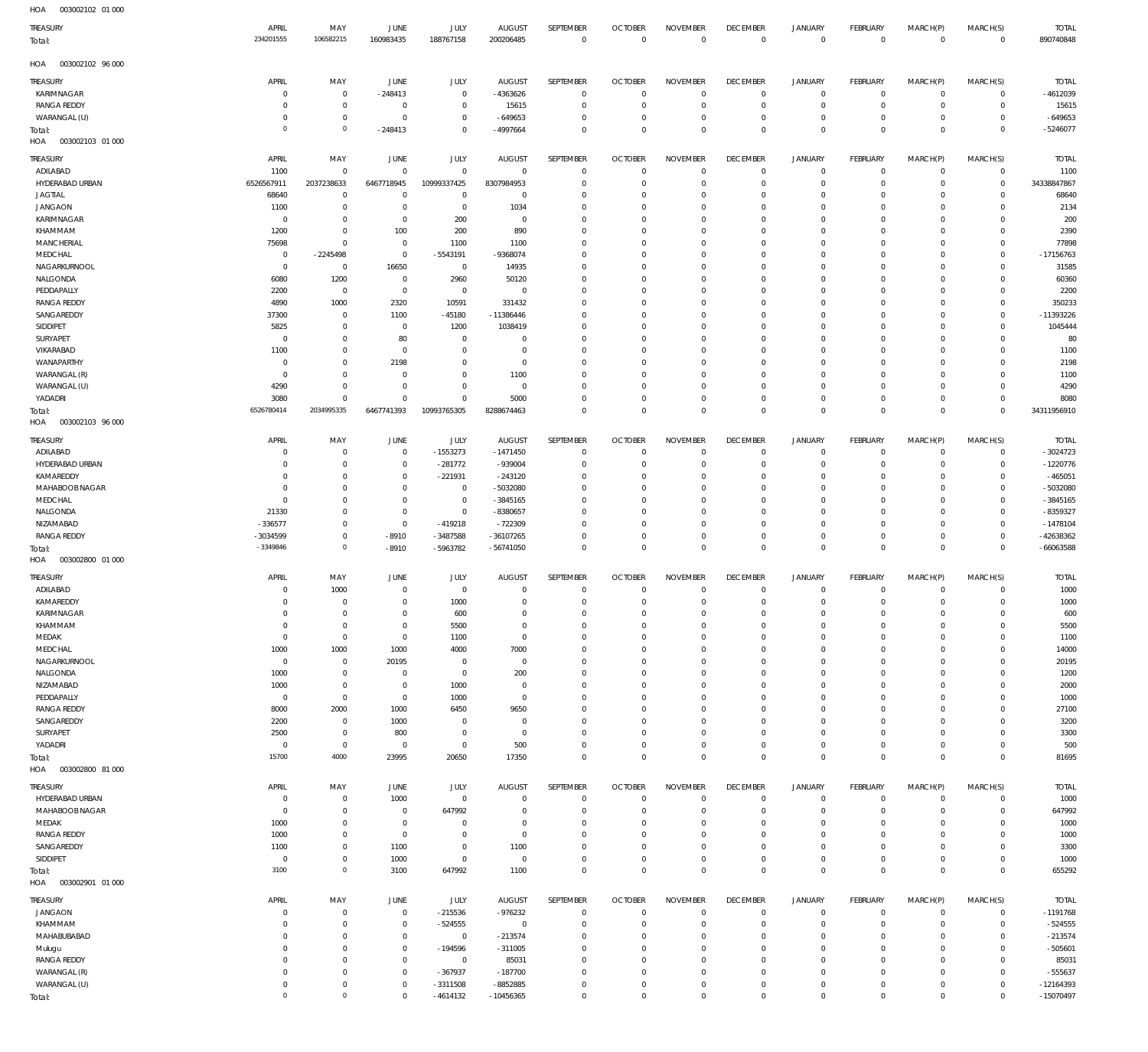| HOA<br>003002102 01 000           |                                |                            |                               |                           |                              |                            |                               |                               |                               |                               |                      |                         |                         |                            |
|-----------------------------------|--------------------------------|----------------------------|-------------------------------|---------------------------|------------------------------|----------------------------|-------------------------------|-------------------------------|-------------------------------|-------------------------------|----------------------|-------------------------|-------------------------|----------------------------|
| TREASURY                          | APRIL                          | MAY                        | JUNE                          | JULY                      | <b>AUGUST</b>                | SEPTEMBER                  | <b>OCTOBER</b>                | <b>NOVEMBER</b>               | <b>DECEMBER</b>               | <b>JANUARY</b>                | FEBRUARY             | MARCH(P)                | MARCH(S)                | <b>TOTAL</b>               |
| Total:                            | 234201555                      | 106582215                  | 160983435                     | 188767158                 | 200206485                    | $\overline{0}$             | $\overline{0}$                | $\overline{0}$                | $\,0\,$                       | $\overline{0}$                | $\overline{0}$       | $\mathbf 0$             | $\mathbf 0$             | 890740848                  |
|                                   |                                |                            |                               |                           |                              |                            |                               |                               |                               |                               |                      |                         |                         |                            |
| 003002102 96 000<br>HOA           |                                |                            |                               |                           |                              |                            |                               |                               |                               |                               |                      |                         |                         |                            |
| TREASURY                          | APRIL                          | MAY                        | JUNE                          | JULY                      | <b>AUGUST</b>                | SEPTEMBER                  | <b>OCTOBER</b>                | <b>NOVEMBER</b>               | <b>DECEMBER</b>               | JANUARY                       | FEBRUARY             | MARCH(P)                | MARCH(S)                | <b>TOTAL</b>               |
| KARIMNAGAR                        | $^{\circ}$                     | $^{\circ}$                 | $-248413$                     | $\mathbf 0$               | $-4363626$                   | $\overline{0}$             | $\mathbf 0$                   | $\overline{0}$                | $\,0\,$                       | $\mathbf 0$                   | $\Omega$             | $\circ$                 | 0                       | $-4612039$                 |
| <b>RANGA REDDY</b>                | $\overline{0}$                 | $^{\circ}$                 | $\mathbf 0$                   | $^{\circ}$                | 15615                        | $\overline{0}$             | $\mathbf 0$                   | $\mathbf 0$                   | $\mathbf 0$                   | $\circ$                       | $\Omega$             | $\circ$                 | $\mathbf 0$             | 15615                      |
| WARANGAL (U)                      | $\overline{0}$                 | $\mathbf 0$                | $\mathbf 0$                   | $^{\circ}$                | $-649653$                    | $\overline{0}$             | $\mathbf 0$                   | $\mathbf 0$                   | $\mathbf 0$                   | $\mathbf 0$                   | $\Omega$             | $\circ$                 | $\mathbf 0$             | $-649653$                  |
| Total:                            | $\circ$                        | $^{\circ}$                 | $-248413$                     | $^{\circ}$                | $-4997664$                   | $\overline{0}$             | $\mathbf 0$                   | $\overline{0}$                | $\mathbf 0$                   | $\overline{0}$                | $\Omega$             | $\overline{0}$          | $\Omega$                | $-5246077$                 |
| HOA<br>003002103 01 000           |                                |                            |                               |                           |                              |                            |                               |                               |                               |                               |                      |                         |                         |                            |
|                                   |                                |                            |                               |                           |                              |                            |                               |                               |                               |                               |                      |                         |                         |                            |
| TREASURY                          | APRIL                          | MAY                        | JUNE                          | JULY                      | <b>AUGUST</b>                | SEPTEMBER                  | <b>OCTOBER</b>                | <b>NOVEMBER</b>               | <b>DECEMBER</b>               | <b>JANUARY</b>                | FEBRUARY             | MARCH(P)                | MARCH(S)                | <b>TOTAL</b>               |
| ADILABAD                          | 1100                           | $\Omega$                   | $\mathbf 0$                   | $^{\circ}$                | $^{\circ}$                   | $\overline{0}$             | $\mathbf 0$<br>$\Omega$       | $\mathbf 0$<br>$\mathbf 0$    | $\,0\,$<br>$\mathbf 0$        | $\mathbf 0$<br>$\mathbf{0}$   | $\Omega$<br>$\Omega$ | $\circ$<br>$\Omega$     | $\circ$                 | 1100                       |
| HYDERABAD URBAN<br><b>JAGTIAL</b> | 6526567911<br>68640            | 2037238633<br>$^{\circ}$   | 6467718945<br>$^{\circ}$      | 10999337425<br>$^{\circ}$ | 8307984953<br>$\mathbf 0$    | $\mathbf 0$<br>$\mathbf 0$ | $\mathbf 0$                   | $\mathbf 0$                   | $^{\circ}$                    | $\mathbf 0$                   | $\Omega$             | $^{\circ}$              | $\circ$<br>$\circ$      | 34338847867<br>68640       |
| <b>JANGAON</b>                    | 1100                           | $\Omega$                   | $\overline{0}$                | $\circ$                   | 1034                         | $\mathbf 0$                | $\mathbf 0$                   | $\mathbf 0$                   | $\mathbf 0$                   | $^{\circ}$                    | $\Omega$             | $\Omega$                | $\Omega$                | 2134                       |
| KARIMNAGAR                        | $\overline{0}$                 | - 0                        | $\overline{0}$                | 200                       | $\mathbf 0$                  | $\mathbf 0$                | $\mathbf 0$                   | $\mathbf 0$                   | $\mathbf 0$                   | $\mathbf 0$                   | $\Omega$             | $\Omega$                | $\Omega$                | 200                        |
| KHAMMAM                           | 1200                           | $\Omega$                   | 100                           | 200                       | 890                          | $\mathbf 0$                | $\Omega$                      | $\mathbf 0$                   | $\mathbf 0$                   | $^{\circ}$                    | $\Omega$             | $\Omega$                | $\Omega$                | 2390                       |
| MANCHERIAL                        | 75698                          | $\Omega$                   | $\overline{0}$                | 1100                      | 1100                         | $\mathbf 0$                | $\mathbf 0$                   | $\mathbf 0$                   | $\mathbf 0$                   | $\mathbf 0$                   | $\Omega$             | $^{\circ}$              | $\circ$                 | 77898                      |
| MEDCHAL                           | $\overline{0}$                 | $-2245498$                 | $\mathbb O$                   | $-5543191$                | -9368074                     | $\mathbf 0$                | $\Omega$                      | $\mathbf 0$                   | $\mathbf 0$                   | $^{\circ}$                    |                      | $\Omega$                | $\Omega$                | $-17156763$                |
| NAGARKURNOOL                      | $\overline{0}$                 | $\overline{0}$             | 16650                         | $\mathbf 0$               | 14935                        | $\mathbf 0$                | $\mathbf 0$                   | $\mathbf 0$                   | $\mathbf 0$                   | $\mathbf 0$                   | $\Omega$             | $^{\circ}$              | $\Omega$                | 31585                      |
| NALGONDA                          | 6080                           | 1200                       | $\overline{0}$                | 2960                      | 50120                        | $\mathbf 0$                | $\Omega$                      | $\mathbf 0$                   | $\mathbf 0$                   | $^{\circ}$                    |                      | $\Omega$                | $\Omega$                | 60360                      |
| PEDDAPALLY                        | 2200                           | $^{\circ}$                 | $\mathbb O$                   | $^{\circ}$                | $^{\circ}$                   | $\mathbf 0$                | $\mathbf 0$                   | $\mathbf 0$                   | $\mathbf 0$                   | $\mathbf 0$                   | $\Omega$             | $^{\circ}$              | $\Omega$                | 2200                       |
| <b>RANGA REDDY</b>                | 4890                           | 1000                       | 2320                          | 10591                     | 331432                       | $\mathbf 0$                | $\Omega$                      | $\mathbf 0$                   | $\mathbf 0$                   | $^{\circ}$                    |                      | $\Omega$                | $\Omega$                | 350233                     |
| SANGAREDDY                        | 37300                          | $^{\circ}$                 | 1100                          | $-45180$                  | $-11386446$                  | $\mathbf 0$                | $\mathbf 0$                   | $\mathbf{0}$                  | $\mathbf{0}$                  | $\mathbf 0$                   | $\Omega$             | $^{\circ}$              | $\circ$                 | $-11393226$                |
| SIDDIPET                          | 5825                           | $\Omega$                   | $\overline{0}$                | 1200                      | 1038419                      | $\mathbf 0$                | $\Omega$                      | $\mathbf 0$                   | $\mathbf 0$                   | $^{\circ}$                    |                      | $\Omega$                | $\Omega$                | 1045444                    |
| SURYAPET                          | $\overline{0}$                 | $\Omega$                   | 80                            | $\circ$                   | $\mathbf 0$                  | $\mathbf 0$                | $\mathbf 0$                   | $\mathbf{0}$                  | $\mathbf{0}$                  | $\circ$                       | $\Omega$             | $^{\circ}$              | $\Omega$                | 80                         |
| VIKARABAD                         | 1100                           | $\Omega$                   | $\mathbb O$                   | $\Omega$                  | $\mathbf 0$                  | $\mathbf 0$                | $\mathbf 0$                   | $\mathbf 0$                   | $\mathbf 0$                   | $^{\circ}$                    |                      | $\Omega$                | $\Omega$                | 1100                       |
| WANAPARTHY                        | $\overline{0}$                 | $\Omega$                   | 2198                          | $\Omega$                  | $\mathbf 0$                  | $\mathbf 0$                | $\mathbf 0$                   | $\mathbf 0$                   | $\mathbf 0$                   | $\mathbf{0}$                  | $\Omega$             | $\Omega$                | $\Omega$                | 2198                       |
| WARANGAL (R)                      | $\overline{0}$                 | $\Omega$                   | $^{\circ}$                    | $\Omega$                  | 1100                         | $\mathbf 0$                | $\Omega$                      | $\mathbf 0$                   | $\mathbf 0$                   | $^{\circ}$                    | $\Omega$             | $\Omega$                | $\Omega$                | 1100                       |
| WARANGAL (U)                      | 4290                           | $\Omega$                   | $\overline{0}$                | $\Omega$                  | $\mathbf 0$                  | $\mathbf 0$                | $\mathbf 0$                   | $\mathbf 0$                   | $\mathbf 0$                   | $\circ$                       | $\Omega$             | $^{\circ}$              | $\Omega$                | 4290                       |
| YADADRI                           | 3080<br>6526780414             | $\Omega$<br>2034995335     | $\overline{0}$                | $\Omega$                  | 5000                         | $\mathbf 0$<br>$\Omega$    | $\mathbf 0$<br>$\mathbf 0$    | $\mathbf 0$<br>$\overline{0}$ | $\mathbf 0$<br>$\mathbf 0$    | $\mathbf 0$<br>$\overline{0}$ | $\Omega$<br>$\Omega$ | $\circ$<br>$\Omega$     | $\circ$<br>$\Omega$     | 8080                       |
| Total:<br>HOA<br>003002103 96 000 |                                |                            | 6467741393                    | 10993765305               | 8288674463                   |                            |                               |                               |                               |                               |                      |                         |                         | 34311956910                |
|                                   |                                |                            |                               |                           |                              |                            |                               |                               |                               |                               |                      |                         |                         |                            |
| TREASURY                          | APRIL                          | MAY                        | JUNE                          | JULY                      | <b>AUGUST</b>                | SEPTEMBER                  | <b>OCTOBER</b>                | <b>NOVEMBER</b>               | <b>DECEMBER</b>               | <b>JANUARY</b>                | FEBRUARY             | MARCH(P)                | MARCH(S)                | <b>TOTAL</b>               |
| ADILABAD                          | $\Omega$                       | $\Omega$                   | $\mathbb O$                   | $-1553273$                | $-1471450$                   | $\mathbf 0$                | $\mathbf 0$                   | $\mathbf 0$                   | $\mathbf 0$                   | $^{\circ}$                    | $\Omega$             | $\circ$                 | $\mathbf 0$             | $-3024723$                 |
| HYDERABAD URBAN                   | $\overline{0}$                 | $\Omega$                   | $\mathbb O$                   | $-281772$                 | $-939004$                    | $\overline{0}$             | $\mathbf 0$                   | $\mathbf 0$                   | $\,0\,$                       | $\circ$                       | $\Omega$             | $\circ$                 | $\circ$                 | $-1220776$                 |
| KAMAREDDY                         | $^{\circ}$                     | $\Omega$                   | $\mathbb O$                   | $-221931$                 | $-243120$                    | 0                          | $\mathbf 0$                   | $\mathbf 0$                   | $^{\circ}$                    | $^{\circ}$                    | $\Omega$             | $\Omega$                | $\Omega$                | $-465051$                  |
| MAHABOOB NAGAR                    | $\overline{0}$                 | $\Omega$                   | $\mathbb O$                   | $\mathbf 0$               | $-5032080$                   | $\mathbf 0$                | $\mathbf 0$                   | $\mathbf 0$                   | $\mathbf 0$                   | $\mathbf 0$                   | $\Omega$             | $^{\circ}$              | $\Omega$                | $-5032080$                 |
| MEDCHAL                           | $\overline{0}$                 | $\Omega$                   | $\mathbb O$                   | $\mathbf 0$               | $-3845165$                   | $\mathbf 0$                | $\mathbf 0$                   | $\mathbf 0$                   | $\mathbf 0$                   | $\mathbf{0}$                  | $\Omega$             | $\Omega$                | $\Omega$                | $-3845165$                 |
| NALGONDA                          | 21330                          | $\Omega$<br>$\Omega$       | $\mathbb O$                   | $\mathbf 0$               | $-8380657$                   | $\mathbf 0$                | $\mathbf 0$                   | $\mathbf{0}$<br>$\mathbf{0}$  | $\mathbf{0}$<br>$\mathbf{0}$  | $\mathbf 0$                   | $\Omega$<br>$\Omega$ | $^{\circ}$              | $\Omega$                | $-8359327$                 |
| NIZAMABAD<br><b>RANGA REDDY</b>   | $-336577$<br>-3034599          | $\Omega$                   | $\mathbb O$<br>$-8910$        | $-419218$<br>$-3487588$   | $-722309$<br>$-36107265$     | $\mathbf 0$<br>$\mathbf 0$ | $\mathbf 0$<br>$\mathbf 0$    | $\mathbf 0$                   | $\mathbf 0$                   | $\mathbf 0$<br>$\circ$        | $\Omega$             | $\circ$<br>$\mathbf 0$  | $\Omega$<br>$\mathbf 0$ | $-1478104$<br>-42638362    |
|                                   | -3349846                       | $\Omega$                   | $-8910$                       | -5963782                  | $-56741050$                  | $\overline{0}$             | $\mathbf 0$                   | $\mathbf{0}$                  | $\mathbf{0}$                  | $\mathbf 0$                   | $\Omega$             | $\mathbf 0$             | $^{\circ}$              | $-66063588$                |
| Total:<br>HOA<br>003002800 01 000 |                                |                            |                               |                           |                              |                            |                               |                               |                               |                               |                      |                         |                         |                            |
|                                   |                                |                            |                               |                           |                              |                            |                               |                               |                               |                               |                      |                         |                         |                            |
| <b>TREASURY</b>                   | APRIL                          | MAY                        | JUNE                          | JULY<br>$\mathbf 0$       | <b>AUGUST</b><br>$\mathbf 0$ | SEPTEMBER<br>$\mathbf 0$   | <b>OCTOBER</b><br>$\mathbf 0$ | <b>NOVEMBER</b>               | <b>DECEMBER</b>               | <b>JANUARY</b>                | FEBRUARY<br>$\circ$  | MARCH(P)<br>$\circ$     | MARCH(S)                | <b>TOTAL</b>               |
| ADILABAD<br>KAMAREDDY             | $\overline{0}$<br>$\Omega$     | 1000<br>$\Omega$           | $\mathbb O$<br>$\overline{0}$ | 1000                      | $\Omega$                     | $\bf 0$                    | $\mathbf 0$                   | $\overline{0}$<br>$\mathbf 0$ | $\mathbf 0$<br>$\,0\,$        | $\circ$<br>$\mathbf 0$        | $\mathbf 0$          | $\mathbb O$             | $\circ$<br>0            | 1000<br>1000               |
| KARIMNAGAR                        | $\overline{0}$                 | $^{\circ}$                 | $\mathbb O$                   | 600                       | $\mathbf 0$                  | $\overline{0}$             | $\Omega$                      | $\mathbf 0$                   | $\mathbf 0$                   | $\mathbf 0$                   | $\Omega$             | $\Omega$                | $\circ$                 | 600                        |
| KHAMMAM                           | $\overline{0}$                 | $^{\circ}$                 | $\mathbb O$                   | 5500                      | $\mathbf 0$                  | $\mathbf 0$                | $\mathbf 0$                   | $\mathbf 0$                   | $\mathbf 0$                   | $\mathbf 0$                   | $\Omega$             | $\circ$                 | $\circ$                 | 5500                       |
| MEDAK                             | $\overline{0}$                 | $\mathbf 0$                | $\mathbf 0$                   | 1100                      | $\mathbf 0$                  | $\mathbf 0$                | $\Omega$                      | $\mathbf 0$                   | $\mathbf 0$                   | $\mathbf 0$                   | $\Omega$             | $\circ$                 | $\Omega$                | 1100                       |
| MEDCHAL                           | 1000                           | 1000                       | 1000                          | 4000                      | 7000                         | $\mathbf 0$                | $\mathbf 0$                   | $\mathbf 0$                   | $\mathbf 0$                   | $\mathbf 0$                   | $\Omega$             | $\circ$                 | $\circ$                 | 14000                      |
| NAGARKURNOOL                      | $\overline{0}$                 | $\overline{0}$             | 20195                         | $^{\circ}$                | $\mathbf 0$                  | $\mathbf 0$                | $\Omega$                      | $\mathbf 0$                   | $\mathbf 0$                   | $\mathbf 0$                   | $\Omega$             | $\circ$                 | $\Omega$                | 20195                      |
| NALGONDA                          | 1000                           | $\overline{0}$             | $\mathbf 0$                   | $^{\circ}$                | 200                          | $\mathbf 0$                | $\mathbf 0$                   | $\mathbf 0$                   | $\mathbf 0$                   | $\mathbf 0$                   | $\Omega$             | $\Omega$                | $\Omega$                | 1200                       |
| NIZAMABAD                         | 1000                           | $^{\circ}$                 | $\,0\,$                       | 1000                      | $^{\circ}$                   | $\mathbf 0$                | $\Omega$                      | $\mathbf 0$                   | $\mathbf 0$                   | $\mathbf 0$                   | $\Omega$             | $\Omega$                | $\Omega$                | 2000                       |
| PEDDAPALLY                        | $\overline{0}$                 | $\overline{0}$             | $\,0\,$                       | 1000                      | $\mathbf 0$                  | $\mathbf 0$                | $\mathbf 0$                   | $\mathbf 0$                   | $\mathbf 0$                   | $\mathbf 0$                   | $\Omega$             | $\circ$                 | $\circ$                 | 1000                       |
| <b>RANGA REDDY</b>                | 8000                           | 2000                       | 1000                          | 6450                      | 9650                         | $\mathbf 0$                | $\Omega$                      | $\mathbf 0$                   | $\mathbf 0$                   | $\mathbf 0$                   | $\Omega$             | $\Omega$                | $\Omega$                | 27100                      |
| SANGAREDDY                        | 2200                           | $\overline{0}$             | 1000                          | $\circ$                   | $\mathbf 0$                  | $\mathbf 0$                | $\mathbf 0$                   | $\mathbf 0$                   | $\mathbf 0$                   | $\mathbf 0$                   | $\Omega$             | $\circ$                 | $\circ$                 | 3200                       |
| SURYAPET                          | 2500                           | $\mathbf 0$                | 800                           | 0                         | $\mathbf 0$                  | $\mathbf 0$                | $\Omega$                      | $\mathbf 0$                   | $\mathbf 0$                   | $\mathbf 0$                   | $\Omega$             | $\Omega$                | $\Omega$                | 3300                       |
| YADADRI                           | $\overline{0}$                 | $\mathbf 0$                | $\,0\,$                       | $^{\circ}$                | 500                          | $\mathbf 0$                | $\mathbf 0$                   | $\mathbf 0$                   | $\mathbf{0}$                  | $\circ$                       | $\Omega$             | $\mathbf 0$             | $\circ$                 | 500                        |
| Total:                            | 15700                          | 4000                       | 23995                         | 20650                     | 17350                        | $\mathbf 0$                | $\Omega$                      | $\overline{0}$                | $\overline{0}$                | $\mathbb O$                   | $\Omega$             | $\overline{0}$          | $\mathbf 0$             | 81695                      |
| HOA<br>003002800 81 000           |                                |                            |                               |                           |                              |                            |                               |                               |                               |                               |                      |                         |                         |                            |
| TREASURY                          | APRIL                          | MAY                        | JUNE                          | JULY                      | AUGUST                       | SEPTEMBER                  | <b>OCTOBER</b>                | <b>NOVEMBER</b>               | <b>DECEMBER</b>               | JANUARY                       | FEBRUARY             | MARCH(P)                | MARCH(S)                | <b>TOTAL</b>               |
| HYDERABAD URBAN                   | $\overline{0}$                 | $\overline{0}$             | 1000                          | $\mathbf 0$               | $\mathbf 0$                  | $\overline{0}$             | $\mathbf 0$                   | $\mathbf 0$                   | $\,0\,$                       | $\circ$                       | $\Omega$             | $\circ$                 | 0                       | 1000                       |
| MAHABOOB NAGAR                    | $\overline{0}$                 | $\overline{0}$             | $\,0\,$                       | 647992                    | $\mathbb O$                  | $\overline{0}$             | $\mathbf 0$                   | $\mathbf{0}$                  | $\,0\,$                       | $\circ$                       | $\Omega$             | $\mathbf 0$             | $\circ$                 | 647992                     |
| MEDAK                             | 1000                           | $^{\circ}$                 | $\,0\,$                       | $^{\circ}$                | $\mathbb O$                  | $\mathbf 0$                | $\mathbf 0$                   | $\mathbf 0$                   | $\mathbf 0$                   | $\mathbf 0$                   | $\Omega$             | $\circ$                 | $\mathbf 0$             | 1000                       |
| <b>RANGA REDDY</b>                | 1000                           | $^{\circ}$                 | $\,0\,$                       | $\overline{0}$            | $\mathbb O$                  | $\overline{0}$             | $\mathbf 0$                   | $\mathbf{0}$                  | $\mathbf{0}$                  | $\mathbf 0$                   | $\Omega$             | $\mathbf 0$             | $\Omega$                | 1000                       |
| SANGAREDDY                        | 1100                           | $\mathbf 0$                | 1100                          | $\mathbf 0$               | 1100                         | $\mathbf 0$                | $\mathbf 0$                   | $\mathbf 0$                   | $\mathbf 0$                   | $\mathbf 0$                   | $\Omega$             | $\mathbf 0$             | $\mathbf 0$             | 3300                       |
| SIDDIPET                          | $\overline{0}$                 | $\mathbf 0$<br>$\mathbf 0$ | 1000                          | $\mathbf{0}$              | $\mathbb O$                  | $\mathbf 0$                | $\mathbf 0$                   | $\mathbf 0$                   | $\mathbf 0$                   | $\mathbf 0$                   | $\Omega$<br>$\Omega$ | $\mathbf 0$             | $\mathbf 0$             | 1000                       |
| Total:                            |                                |                            | 3100                          | 647992                    | 1100                         | $\overline{0}$             | $\mathbf 0$                   | $\overline{0}$                | $\,0\,$                       | $\overline{0}$                |                      | $\mathbf 0$             | $\mathbf 0$             | 655292                     |
|                                   | 3100                           |                            |                               |                           |                              |                            |                               |                               |                               |                               |                      |                         |                         |                            |
| 003002901 01 000<br>HOA           |                                |                            |                               |                           |                              |                            |                               |                               |                               |                               |                      |                         |                         |                            |
| TREASURY                          | APRIL                          | MAY                        | JUNE                          | JULY                      | AUGUST                       | SEPTEMBER                  | <b>OCTOBER</b>                | <b>NOVEMBER</b>               | <b>DECEMBER</b>               | JANUARY                       | FEBRUARY             | MARCH(P)                | MARCH(S)                | <b>TOTAL</b>               |
| <b>JANGAON</b>                    | $\overline{0}$                 | $\overline{0}$             | $\,0\,$                       | $-215536$                 | $-976232$                    | $\overline{0}$             | $\mathbf 0$                   | $\mathbf 0$                   | $\,0\,$                       | $\circ$                       | $\Omega$             | $\circ$                 | $\mathbf 0$             | $-1191768$                 |
| KHAMMAM                           | $\overline{0}$                 | $^{\circ}$                 | $\,0\,$                       | $-524555$                 | $\overline{0}$               | $\mathbf 0$                | $\mathbf 0$                   | $\mathbf 0$                   | $\mathbf 0$                   | $\mathbf 0$                   | $\Omega$             | $\circ$                 | $\circ$                 | $-524555$                  |
| MAHABUBABAD                       | $\overline{0}$                 | $^{\circ}$                 | $\mathbf 0$                   | $\mathbf 0$               | $-213574$                    | $\mathbf 0$                | $\mathbf 0$                   | $\mathbf{0}$                  | $\mathbf{0}$                  | $\mathbf 0$                   | $\Omega$             | $\circ$                 | $\circ$                 | $-213574$                  |
| Mulugu                            | $^{\circ}$                     | $\Omega$                   | $\mathbf 0$                   | $-194596$                 | $-311005$                    | $\mathbf 0$                | $\mathbf 0$                   | $\mathbf 0$                   | $\mathbf 0$                   | $\mathbf 0$                   | $\Omega$             | $\Omega$                | $\Omega$                | $-505601$                  |
| <b>RANGA REDDY</b>                | $\overline{0}$                 | $\Omega$                   | $\mathbf 0$                   | $\mathbf 0$               | 85031                        | $\mathbf 0$                | $\mathbf 0$                   | $\mathbf{0}$                  | $\mathbf{0}$                  | $\mathbf 0$                   | $\Omega$<br>$\Omega$ | $\circ$                 | $\Omega$                | 85031                      |
| WARANGAL (R)                      | $\overline{0}$                 | $\Omega$<br>$\Omega$       | $\mathbb O$                   | $-367937$                 | $-187700$                    | $\mathbf 0$                | $\mathbf 0$                   | $\mathbf 0$                   | $\mathbf{0}$                  | $\mathbf 0$                   | $\Omega$             | $\circ$                 | 0                       | $-555637$                  |
| WARANGAL (U)<br>Total:            | $\overline{0}$<br>$\mathbf{0}$ | $^{\circ}$                 | $\mathbb O$<br>$\mathbb O$    | $-3311508$<br>$-4614132$  | $-8852885$<br>$-10456365$    | $\mathbf 0$<br>$\mathbf 0$ | $\mathbf 0$<br>$\mathbf 0$    | $\mathbf 0$<br>$\overline{0}$ | $\mathbf 0$<br>$\overline{0}$ | $\mathbf 0$<br>$\mathbb O$    | $\mathbf{0}$         | $\mathbf 0$<br>$\Omega$ | $\circ$<br>$\Omega$     | $-12164393$<br>$-15070497$ |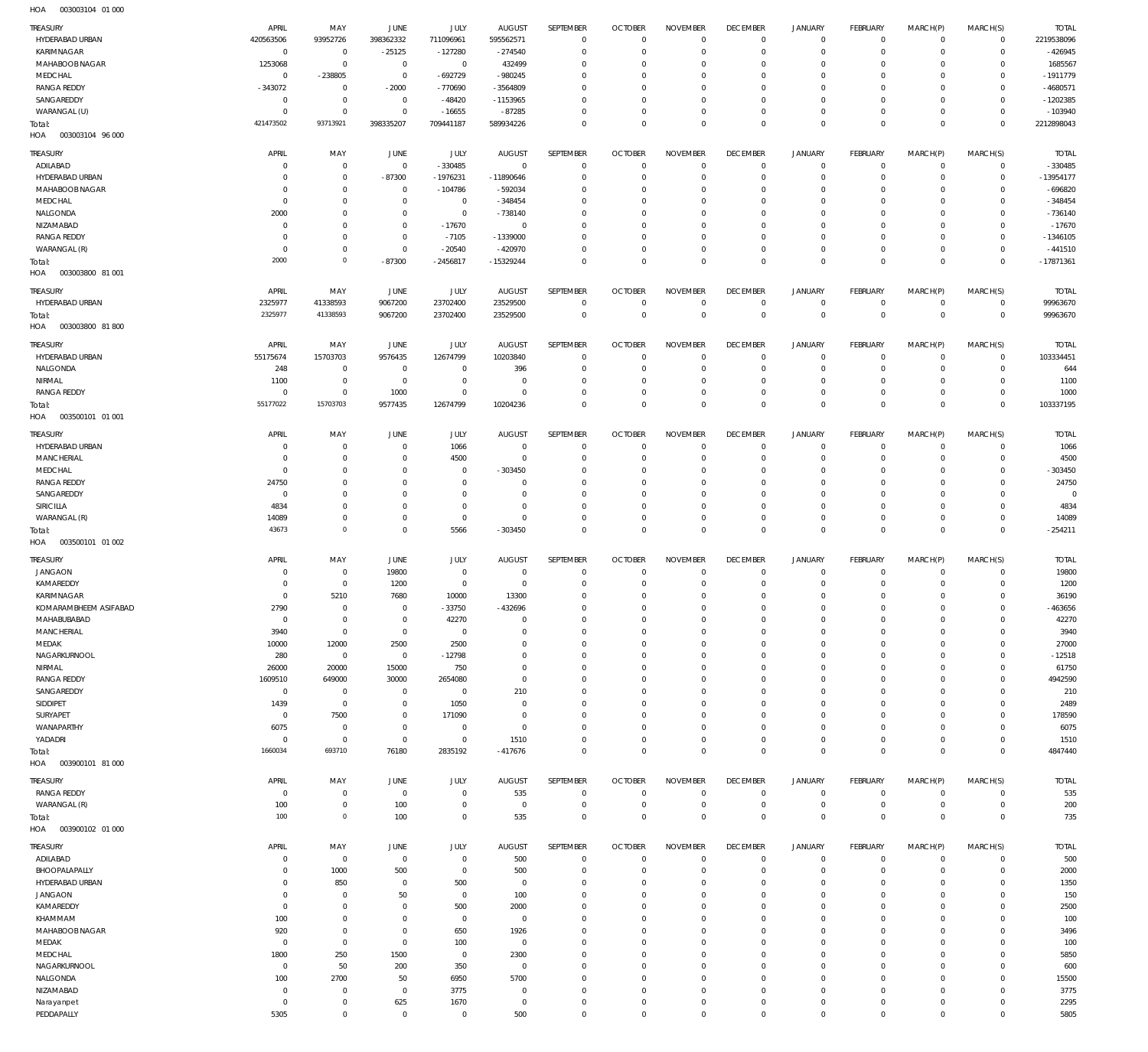| HYDERABAD URBAN                       | APRIL                        | MAY                              | JUNE                             | JULY                             | <b>AUGUST</b>             | SEPTEMBER                     | <b>OCTOBER</b>             | <b>NOVEMBER</b>                   | <b>DECEMBER</b>                  | <b>JANUARY</b>                             | FEBRUARY                      | MARCH(P)                   | MARCH(S)                   | <b>TOTAL</b>          |
|---------------------------------------|------------------------------|----------------------------------|----------------------------------|----------------------------------|---------------------------|-------------------------------|----------------------------|-----------------------------------|----------------------------------|--------------------------------------------|-------------------------------|----------------------------|----------------------------|-----------------------|
|                                       | 420563506                    | 93952726                         | 398362332                        | 711096961                        | 595562571                 | $\overline{0}$                | $\overline{0}$             | $\overline{0}$                    | $\overline{0}$                   | $\mathbf 0$                                | $\mathbf 0$                   | $\mathbf 0$                | $\mathsf{O}$               | 2219538096            |
| KARIMNAGAR                            | $\overline{0}$               | $\overline{0}$                   | $-25125$                         | $-127280$                        | $-274540$                 | $\overline{0}$                | $\Omega$                   | $\overline{0}$                    | $\Omega$                         | $\mathbf 0$                                | $\mathbf 0$                   | $\mathbf 0$                | $\circ$                    | $-426945$             |
| MAHABOOB NAGAR<br>MEDCHAL             | 1253068<br>$\overline{0}$    | $\overline{0}$<br>-238805        | $\overline{0}$<br>$\mathbb O$    | $\overline{0}$<br>-692729        | 432499<br>$-980245$       | $\Omega$<br>$\Omega$          | $\Omega$<br>$\Omega$       | $\Omega$<br>$\overline{0}$        | $\Omega$<br>$\Omega$             | $\circ$<br>$\mathbf 0$                     | $\Omega$<br>$\Omega$          | $\Omega$<br>$\Omega$       | 0<br>$\mathbf 0$           | 1685567<br>$-1911779$ |
| <b>RANGA REDDY</b>                    | $-343072$                    | $\overline{0}$                   | $-2000$                          | -770690                          | -3564809                  | $\Omega$                      | $\Omega$                   | $\Omega$                          | $\Omega$                         | $\mathbf 0$                                | $\Omega$                      | $\Omega$                   | $\Omega$                   | -4680571              |
| SANGAREDDY                            | $\overline{0}$               | $\overline{0}$                   | $\overline{0}$                   | $-48420$                         | $-1153965$                | $\Omega$                      | $\Omega$                   | $\overline{0}$                    | $\Omega$                         | $\mathbf 0$                                | $\Omega$                      | $\Omega$                   | $\mathbf 0$                | $-1202385$            |
| WARANGAL (U)                          | $\mathbf 0$                  | $\overline{0}$                   | $\overline{0}$                   | $-16655$                         | $-87285$                  | $\Omega$                      | $\Omega$                   | $\mathbf 0$                       | $\mathbf 0$                      | $\mathsf{O}\xspace$                        | $\circ$                       | $\mathbf 0$                | $\mathbf 0$                | $-103940$             |
| Total:<br>HOA<br>003003104 96 000     | 421473502                    | 93713921                         | 398335207                        | 709441187                        | 589934226                 | $\Omega$                      | $\Omega$                   | $\overline{0}$                    | $\overline{0}$                   | $\mathbb O$                                | $\Omega$                      | $\overline{0}$             | $\mathbf 0$                | 2212898043            |
| TREASURY                              | APRIL                        | MAY                              | <b>JUNE</b>                      | JULY                             | <b>AUGUST</b>             | SEPTEMBER                     | <b>OCTOBER</b>             | <b>NOVEMBER</b>                   | <b>DECEMBER</b>                  | JANUARY                                    | FEBRUARY                      | MARCH(P)                   | MARCH(S)                   | <b>TOTAL</b>          |
| ADILABAD                              | $^{\circ}$                   | $\overline{0}$                   | $\overline{0}$                   | $-330485$                        | $\overline{0}$            | $\mathbf 0$                   | $\Omega$                   | $\overline{0}$                    | $^{\circ}$                       | $\mathsf{O}\xspace$                        | $\mathbf 0$                   | $\mathbf 0$                | $\mathbf 0$                | $-330485$             |
| HYDERABAD URBAN                       | 0                            | $\overline{0}$                   | $-87300$                         | $-1976231$                       | -11890646                 | $\Omega$                      | $\Omega$                   | $\Omega$                          | $\Omega$                         | $\mathsf{O}\xspace$                        | $\Omega$                      | $\mathbf 0$                | $\mathbf 0$                | $-13954177$           |
| MAHABOOB NAGAR                        | $^{\circ}$                   | $\mathbf 0$                      | $\overline{0}$                   | $-104786$                        | $-592034$                 | $\Omega$                      | $\Omega$                   | $\Omega$                          | $\Omega$                         | $\mathbf 0$                                | $\Omega$                      | $\mathbf 0$                | $^{\circ}$                 | $-696820$             |
| MEDCHAL                               | $\overline{0}$               | $\overline{0}$                   | $\overline{0}$                   | $\mathbf 0$                      | $-348454$                 | $\Omega$                      | $\Omega$                   | $\mathbf 0$                       | 0                                | $\mathsf{O}\xspace$                        | $\Omega$                      | $\mathbf 0$                | $^{\circ}$                 | $-348454$             |
| NALGONDA<br>NIZAMABAD                 | 2000<br>$\overline{0}$       | $\mathbf 0$<br>$\overline{0}$    | $\overline{0}$<br>$\overline{0}$ | $\overline{0}$<br>$-17670$       | $-738140$<br>$\circ$      | $\Omega$<br>$\Omega$          | $\Omega$<br>$\Omega$       | $\mathbf 0$<br>$\mathbf 0$        | $\Omega$<br>0                    | $\mathbf 0$<br>$\mathbf 0$                 | $\Omega$<br>$\Omega$          | $\mathbf 0$<br>$\mathbf 0$ | $\Omega$<br>$^{\circ}$     | $-736140$<br>$-17670$ |
| <b>RANGA REDDY</b>                    | $^{\circ}$                   | $\mathbf 0$                      | $\overline{0}$                   | $-7105$                          | $-1339000$                | $\Omega$                      | $\Omega$                   | $\Omega$                          | $\Omega$                         | $\mathbf 0$                                | $\Omega$                      | $\mathbf 0$                | $^{\circ}$                 | $-1346105$            |
| WARANGAL (R)                          | $\mathbf 0$                  | $\overline{0}$                   | $\overline{0}$                   | $-20540$                         | $-420970$                 | $\Omega$                      | $\Omega$                   | $\mathbf 0$                       | $\overline{0}$                   | $\mathsf{O}\xspace$                        | $\mathbf 0$                   | $\mathbf 0$                | $\mathbf 0$                | $-441510$             |
| Total:<br>HOA<br>003003800 81 001     | 2000                         | $\overline{0}$                   | $-87300$                         | $-2456817$                       | $-15329244$               | $\Omega$                      | $\Omega$                   | $\Omega$                          | $\Omega$                         | $\mathbb O$                                | $\Omega$                      | $\mathbf 0$                | $^{\circ}$                 | $-17871361$           |
| <b>TREASURY</b>                       | APRIL                        | MAY                              | JUNE                             | JULY                             | <b>AUGUST</b>             | SEPTEMBER                     | <b>OCTOBER</b>             | <b>NOVEMBER</b>                   | <b>DECEMBER</b>                  | JANUARY                                    | FEBRUARY                      | MARCH(P)                   | MARCH(S)                   | <b>TOTAL</b>          |
| HYDERABAD URBAN                       | 2325977                      | 41338593                         | 9067200                          | 23702400                         | 23529500                  | $\overline{0}$                | $\overline{0}$             | $\overline{0}$                    | $\overline{0}$                   | 0                                          | $\mathbf 0$                   | $\mathbf 0$                | $\mathbf 0$                | 99963670              |
| Total:                                | 2325977                      | 41338593                         | 9067200                          | 23702400                         | 23529500                  | $\mathbf 0$                   | $\overline{0}$             | $\mathbf 0$                       | $\mathbf 0$                      | $\mathbb O$                                | $\mathbf 0$                   | $\mathbf 0$                | $\mathbf 0$                | 99963670              |
| HOA<br>003003800 81800                |                              |                                  |                                  |                                  |                           |                               |                            |                                   |                                  |                                            |                               |                            |                            |                       |
| <b>TREASURY</b>                       | APRIL                        | MAY                              | JUNE                             | <b>JULY</b>                      | <b>AUGUST</b>             | SEPTEMBER                     | <b>OCTOBER</b>             | <b>NOVEMBER</b>                   | <b>DECEMBER</b>                  | <b>JANUARY</b>                             | FEBRUARY                      | MARCH(P)                   | MARCH(S)                   | <b>TOTAL</b>          |
| HYDERABAD URBAN                       | 55175674                     | 15703703                         | 9576435                          | 12674799                         | 10203840                  | $\overline{0}$                | $\Omega$                   | $\overline{0}$                    | $^{\circ}$                       | $\mathsf{O}\xspace$                        | $^{\circ}$                    | $\mathbf 0$                | $\mathbf 0$                | 103334451             |
| NALGONDA                              | 248                          | $\overline{0}$                   | $\overline{0}$                   | $\mathbf 0$                      | 396                       | $^{\circ}$                    | $\Omega$                   | $^{\circ}$                        | $^{\circ}$                       | $\mathsf{O}\xspace$                        | O                             | $\mathbf 0$                | $\mathbf 0$                | 644                   |
| NIRMAL                                | 1100                         | $\overline{0}$                   | $\overline{0}$                   | $\overline{0}$                   | $\Omega$                  | $\Omega$                      | $\Omega$                   | $\overline{0}$                    | $\Omega$                         | $\mathbf 0$                                | $^{\circ}$                    | $\mathbf 0$                | $\mathbf 0$                | 1100                  |
| <b>RANGA REDDY</b>                    | $\mathbf 0$<br>55177022      | $\overline{0}$<br>15703703       | 1000                             | $\mathbf 0$                      | $\Omega$                  | $\mathbf 0$<br>$\Omega$       | $\Omega$<br>$\Omega$       | $\mathbf 0$<br>$\Omega$           | $\overline{0}$<br>$\Omega$       | $\mathsf{O}\xspace$<br>$\mathbb O$         | $\mathbf 0$<br>$\Omega$       | $\mathbf 0$                | $\mathbf 0$                | 1000                  |
| Total:<br>HOA<br>003500101 01 001     |                              |                                  | 9577435                          | 12674799                         | 10204236                  |                               |                            |                                   |                                  |                                            |                               | $\mathbf 0$                | $\mathbf{0}$               | 103337195             |
|                                       |                              |                                  |                                  |                                  |                           |                               |                            |                                   |                                  |                                            |                               |                            |                            |                       |
| <b>TREASURY</b><br>HYDERABAD URBAN    | APRIL<br>$^{\circ}$          | MAY<br>$\overline{0}$            | JUNE<br>$\overline{0}$           | JULY<br>1066                     | <b>AUGUST</b><br>$\Omega$ | SEPTEMBER<br>$\Omega$         | <b>OCTOBER</b><br>$\Omega$ | <b>NOVEMBER</b><br>$\Omega$       | <b>DECEMBER</b><br>$^{\circ}$    | JANUARY<br>0                               | FEBRUARY<br>$\mathbf 0$       | MARCH(P)<br>$\mathbf 0$    | MARCH(S)<br>$\mathbf 0$    | <b>TOTAL</b><br>1066  |
| <b>MANCHERIAL</b>                     | $^{\circ}$                   | $\mathbf 0$                      | $\overline{0}$                   | 4500                             | $^{\circ}$                | $\Omega$                      | $\Omega$                   | $\Omega$                          | $\Omega$                         | $\mathbf 0$                                | 0                             | $\mathbf 0$                | $\mathbf 0$                | 4500                  |
| MEDCHAL                               | $\overline{0}$               | $\mathbf 0$                      | $\Omega$                         | $\overline{0}$                   | $-303450$                 | $\Omega$                      | $\Omega$                   | $\Omega$                          | $\Omega$                         | $\circ$                                    | $\Omega$                      | $\Omega$                   | 0                          | $-303450$             |
| <b>RANGA REDDY</b>                    | 24750                        | $\mathbf 0$                      | $\Omega$                         | $\Omega$                         | $\Omega$                  | $\Omega$                      | $\Omega$                   | $\Omega$                          | $\Omega$                         | $\circ$                                    | $\Omega$                      | $\mathbf 0$                | 0                          | 24750                 |
| SANGAREDDY                            | $^{\circ}$                   | $\mathbf 0$                      | $\Omega$                         | $\Omega$                         | $\Omega$                  | $\Omega$                      | $\Omega$                   | $\Omega$                          | $\Omega$                         | $\circ$                                    | $\Omega$                      | $\Omega$                   | $\Omega$                   | $\Omega$              |
| SIRICILLA                             | 4834                         | $\mathbf 0$                      | $\Omega$                         | $\mathbb O$                      | $\Omega$                  | $\Omega$                      | $\Omega$                   | $\overline{0}$                    | $\overline{0}$                   | $\mathbf 0$                                | $\Omega$                      | $\circ$                    | $\mathbf 0$                | 4834                  |
| WARANGAL (R)<br>Total:                | 14089<br>43673               | $\mathbf 0$<br>$\mathbf{0}$      | $\Omega$<br>$\overline{0}$       | $\overline{0}$<br>5566           | $^{\circ}$<br>$-303450$   | $\Omega$<br>$\overline{0}$    | $\Omega$<br>$\Omega$       | $\mathbf 0$<br>$\overline{0}$     | $\mathbf 0$<br>$\mathbf 0$       | $\mathsf{O}\xspace$<br>$\mathbb O$         | $\mathbf 0$<br>$\overline{0}$ | $\mathbf 0$<br>$\mathbb O$ | 0<br>$\mathbf 0$           | 14089<br>$-254211$    |
| HOA<br>003500101 01 002               |                              |                                  |                                  |                                  |                           |                               |                            |                                   |                                  |                                            |                               |                            |                            |                       |
|                                       |                              |                                  |                                  |                                  |                           |                               |                            | <b>NOVEMBER</b>                   | <b>DECEMBER</b>                  | <b>JANUARY</b>                             |                               |                            |                            |                       |
|                                       |                              |                                  |                                  |                                  |                           |                               |                            |                                   |                                  |                                            |                               |                            |                            |                       |
| <b>TREASURY</b>                       | APRIL                        | MAY                              | JUNE                             | <b>JULY</b>                      | <b>AUGUST</b><br>$\Omega$ | SEPTEMBER<br>$\Omega$         | <b>OCTOBER</b><br>$\Omega$ |                                   |                                  |                                            | <b>FEBRUARY</b>               | MARCH(P)                   | MARCH(S)                   | <b>TOTAL</b>          |
| <b>JANGAON</b><br>KAMAREDDY           | $^{\circ}$<br>$\overline{0}$ | $\overline{0}$<br>$\overline{0}$ | 19800<br>1200                    | $\overline{0}$<br>$\overline{0}$ | $\circ$                   | $\mathbf{0}$                  | $\Omega$                   | $^{\circ}$<br>$\mathbf 0$         | $^{\circ}$<br>$^{\circ}$         | 0<br>$\mathsf{O}\xspace$                   | $\mathbf 0$<br>0              | $\mathbf 0$<br>$\mathbf 0$ | $\mathbf 0$<br>$\mathbf 0$ | 19800<br>1200         |
| KARIMNAGAR                            | $\overline{0}$               | 5210                             | 7680                             | 10000                            | 13300                     | $\Omega$                      | $\Omega$                   | $\mathbf 0$                       | $\Omega$                         | $\mathbf 0$                                | $\Omega$                      | $\circ$                    | $\mathbf 0$                | 36190                 |
| KOMARAMBHEEM ASIFABAD                 | 2790                         | $\overline{0}$                   | $\Omega$                         | $-33750$                         | -432696                   | $\Omega$                      | $\Omega$                   | $\Omega$                          | $\Omega$                         | $\Omega$                                   | $\Omega$                      | $\Omega$                   | $\circ$                    | $-463656$             |
| MAHABUBABAD                           | $\overline{0}$               | $\overline{0}$                   | $\mathbb O$                      | 42270                            | $\mathbf{0}$              | $\mathbf 0$                   | $\Omega$                   | $\mathbf 0$                       | $\overline{0}$                   | $\mathsf{O}\xspace$                        | $\mathbf 0$                   | $\mathbf 0$                | $\mathbf 0$                | 42270                 |
| MANCHERIAL                            | 3940                         | $\,0\,$                          | $\mathbb O$                      | $\mathbb O$                      | $^{\circ}$<br>$\Omega$    | $\mathbf 0$<br>$\Omega$       | $\Omega$<br>$\Omega$       | $\mathbf 0$                       | $\Omega$<br>$\Omega$             | $\mathsf{O}\xspace$                        | $\Omega$<br>$\Omega$          | $\mathbf 0$<br>$\mathbf 0$ | $\mathbf 0$<br>$\mathbf 0$ | 3940                  |
| MEDAK<br>NAGARKURNOOL                 | 10000<br>280                 | 12000<br>$\overline{0}$          | 2500<br>$\overline{0}$           | 2500<br>$-12798$                 | $\Omega$                  | $\Omega$                      | $\Omega$                   | $\overline{0}$<br>$\mathbf 0$     | 0                                | $\mathbf 0$<br>$\mathsf{O}\xspace$         | $\Omega$                      | $\mathbf 0$                | $\mathbf 0$                | 27000<br>$-12518$     |
| NIRMAL                                | 26000                        | 20000                            | 15000                            | 750                              | $\Omega$                  | $\Omega$                      | $\Omega$                   | $\mathbf 0$                       | $\Omega$                         | $\mathbf 0$                                | $\Omega$                      | $\mathbf 0$                | $^{\circ}$                 | 61750                 |
| <b>RANGA REDDY</b>                    | 1609510                      | 649000                           | 30000                            | 2654080                          | $^{\circ}$                | $\Omega$                      | $\Omega$                   | $\overline{0}$                    | 0                                | $\mathsf{O}\xspace$                        | $\Omega$                      | $\mathbf 0$                | $^{\circ}$                 | 4942590               |
| SANGAREDDY                            | $\overline{0}$               | $\overline{0}$                   | $\overline{0}$                   | $\overline{0}$                   | 210                       | $\Omega$                      | $\Omega$                   | $\overline{0}$                    | $\Omega$                         | $\mathbf 0$                                | $\Omega$                      | $\mathbf 0$                | $^{\circ}$                 | 210                   |
| SIDDIPET                              | 1439                         | $\overline{0}$                   | $\overline{0}$                   | 1050                             | $^{\circ}$                | $\mathbf 0$                   | $\Omega$<br>$\Omega$       | $\overline{0}$                    | 0                                | $\mathsf{O}\xspace$                        | $\Omega$                      | $\mathbf 0$                | $\mathbf 0$                | 2489                  |
| SURYAPET<br>WANAPARTHY                | $\mathbf 0$<br>6075          | 7500<br>$\overline{0}$           | $\overline{0}$<br>$\overline{0}$ | 171090<br>$^{\circ}$             | $\Omega$<br>$^{\circ}$    | $\Omega$<br>$\overline{0}$    | $\Omega$                   | $\Omega$<br>$\mathbf 0$           | $\Omega$<br>$\overline{0}$       | $\mathbf 0$<br>$\mathbf 0$                 | $\Omega$<br>$\Omega$          | $\mathbf 0$<br>$\circ$     | $^{\circ}$<br>$^{\circ}$   | 178590<br>6075        |
| YADADRI                               | $\overline{0}$               | $\overline{0}$                   | $\mathbb O$                      | $\overline{0}$                   | 1510                      | $\Omega$                      | $\Omega$                   | $\mathbf 0$                       | $\mathbf 0$                      | $\mathsf{O}\xspace$                        | $^{\circ}$                    | $\mathbf 0$                | $^{\circ}$                 | 1510                  |
| Total:<br>HOA<br>003900101 81 000     | 1660034                      | 693710                           | 76180                            | 2835192                          | $-417676$                 | $\overline{0}$                | $\Omega$                   | $\mathbf 0$                       | $\mathbf 0$                      | $\mathbb O$                                | $\Omega$                      | $\mathbb O$                | $\mathbf 0$                | 4847440               |
|                                       |                              |                                  |                                  |                                  |                           |                               |                            |                                   |                                  |                                            |                               |                            |                            |                       |
| <b>TREASURY</b><br><b>RANGA REDDY</b> | APRIL<br>$\overline{0}$      | MAY<br>$\overline{0}$            | JUNE<br>$\mathbf 0$              | JULY<br>$\mathbf 0$              | <b>AUGUST</b><br>535      | SEPTEMBER<br>$\overline{0}$   | <b>OCTOBER</b><br>$\Omega$ | <b>NOVEMBER</b><br>$\overline{0}$ | <b>DECEMBER</b><br>$\mathbf 0$   | <b>JANUARY</b><br>0                        | FEBRUARY<br>$\mathbf 0$       | MARCH(P)<br>$\mathbf 0$    | MARCH(S)<br>$\circ$        | <b>TOTAL</b><br>535   |
| WARANGAL (R)                          | 100                          | $\overline{0}$                   | 100                              | $^{\circ}$                       | $\circ$                   | $^{\circ}$                    | $\Omega$                   | $\Omega$                          | $^{\circ}$                       | $\mathsf{O}\xspace$                        | $\mathbf 0$                   | $\mathbf 0$                | $\mathbf 0$                | 200                   |
| Total:<br>HOA<br>003900102 01 000     | 100                          | $\mathbf{0}$                     | 100                              | $\mathbb O$                      | 535                       | $\mathbf 0$                   | $\overline{0}$             | $\mathbf 0$                       | $\mathbf 0$                      | $\mathbb O$                                | $\mathbb O$                   | $\mathbb O$                | $\mathbf 0$                | 735                   |
|                                       |                              |                                  |                                  |                                  |                           |                               |                            |                                   |                                  |                                            |                               |                            |                            |                       |
| <b>TREASURY</b><br>ADILABAD           | APRIL<br>$\mathbf 0$         | MAY<br>$\overline{0}$            | JUNE<br>$\mathbf 0$              | <b>JULY</b><br>$\mathbb O$       | <b>AUGUST</b><br>500      | SEPTEMBER<br>$\mathbf 0$      | <b>OCTOBER</b><br>$\Omega$ | <b>NOVEMBER</b><br>$\mathbf 0$    | <b>DECEMBER</b><br>$^{\circ}$    | JANUARY<br>$\mathsf{O}\xspace$             | FEBRUARY<br>$^{\circ}$        | MARCH(P)<br>$\mathbf 0$    | MARCH(S)<br>$\mathbf 0$    | <b>TOTAL</b><br>500   |
| BHOOPALAPALLY                         | $\overline{0}$               | 1000                             | 500                              | $\overline{0}$                   | 500                       | $\mathbf 0$                   | $\Omega$                   | $\overline{0}$                    | $^{\circ}$                       | $\mathsf{O}\xspace$                        | 0                             | $\mathbf 0$                | $\mathbf 0$                | 2000                  |
| HYDERABAD URBAN                       | $\mathbf 0$                  | 850                              | 0                                | 500                              | $\overline{0}$            | $\Omega$                      | $\Omega$                   | $\Omega$                          | $\Omega$                         | $\mathsf{O}\xspace$                        | 0                             | $\mathbf 0$                | $^{\circ}$                 | 1350                  |
| <b>JANGAON</b>                        | $\overline{0}$               | $\overline{0}$                   | 50                               | $\overline{0}$                   | 100                       | $\mathbf 0$                   | $\Omega$                   | $\mathbf 0$                       | $^{\circ}$                       | $\mathsf{O}\xspace$                        | $\Omega$                      | $\mathbf 0$                | $\mathbf 0$                | 150                   |
| KAMAREDDY                             | $\mathbf 0$                  | $\overline{0}$                   | 0<br>$\Omega$                    | 500                              | 2000<br>$^{\circ}$        | $\mathbf 0$<br>$\overline{0}$ | $\Omega$<br>$\Omega$       | $\overline{0}$<br>$\overline{0}$  | $\Omega$<br>$\Omega$             | $\mathbf 0$                                | $\Omega$<br>$\Omega$          | $\mathbf 0$<br>$\mathbf 0$ | $^{\circ}$<br>$^{\circ}$   | 2500                  |
| KHAMMAM<br>MAHABOOB NAGAR             | 100<br>920                   | $\overline{0}$<br>$\overline{0}$ | $\overline{0}$                   | $\overline{0}$<br>650            | 1926                      | $\Omega$                      | $\Omega$                   | $\mathbf 0$                       | $\Omega$                         | $\mathbf 0$<br>$\mathbf 0$                 | $\Omega$                      | $\mathbf 0$                | $\mathbf 0$                | 100<br>3496           |
| MEDAK                                 | $\overline{0}$               | $\overline{0}$                   | $\overline{0}$                   | 100                              | $^{\circ}$                | $\mathbf 0$                   | $\Omega$                   | $\mathbf 0$                       | $\Omega$                         | $\mathsf{O}\xspace$                        | $\Omega$                      | $\mathbf 0$                | $\mathbf 0$                | 100                   |
| MEDCHAL                               | 1800                         | 250                              | 1500                             | $\overline{0}$                   | 2300                      | $\mathbf 0$                   | $\Omega$                   | $\mathbf 0$                       | $\Omega$                         | $\mathbf 0$                                | $\Omega$                      | $\mathbf 0$                | $^{\circ}$                 | 5850                  |
| NAGARKURNOOL                          | $\overline{0}$               | 50                               | 200                              | 350                              | $\overline{0}$            | $\mathbf 0$                   | $\Omega$                   | $\mathbf 0$                       | $^{\circ}$                       | $\mathsf{O}\xspace$                        | $\Omega$                      | $\mathbf 0$                | $^{\circ}$                 | 600                   |
| NALGONDA                              | 100                          | 2700                             | 50                               | 6950                             | 5700                      | $\Omega$                      | $\Omega$                   | $\overline{0}$                    | $\Omega$                         | $\mathbf 0$                                | $\Omega$                      | $\mathbf 0$                | $^{\circ}$                 | 15500                 |
| NIZAMABAD<br>Narayanpet               | $\mathbf 0$<br>$\mathbf 0$   | $\overline{0}$<br>$\overline{0}$ | $\overline{0}$<br>625            | 3775<br>1670                     | $\circ$<br>$\circ$        | $\mathbf 0$<br>$\mathbf 0$    | $\Omega$<br>0              | $\mathbf 0$<br>$\mathbf 0$        | $\overline{0}$<br>$\overline{0}$ | $\mathsf{O}\xspace$<br>$\mathsf{O}\xspace$ | 0<br>0                        | $\circ$<br>0               | $\mathbf 0$<br>$\mathbf 0$ | 3775<br>2295          |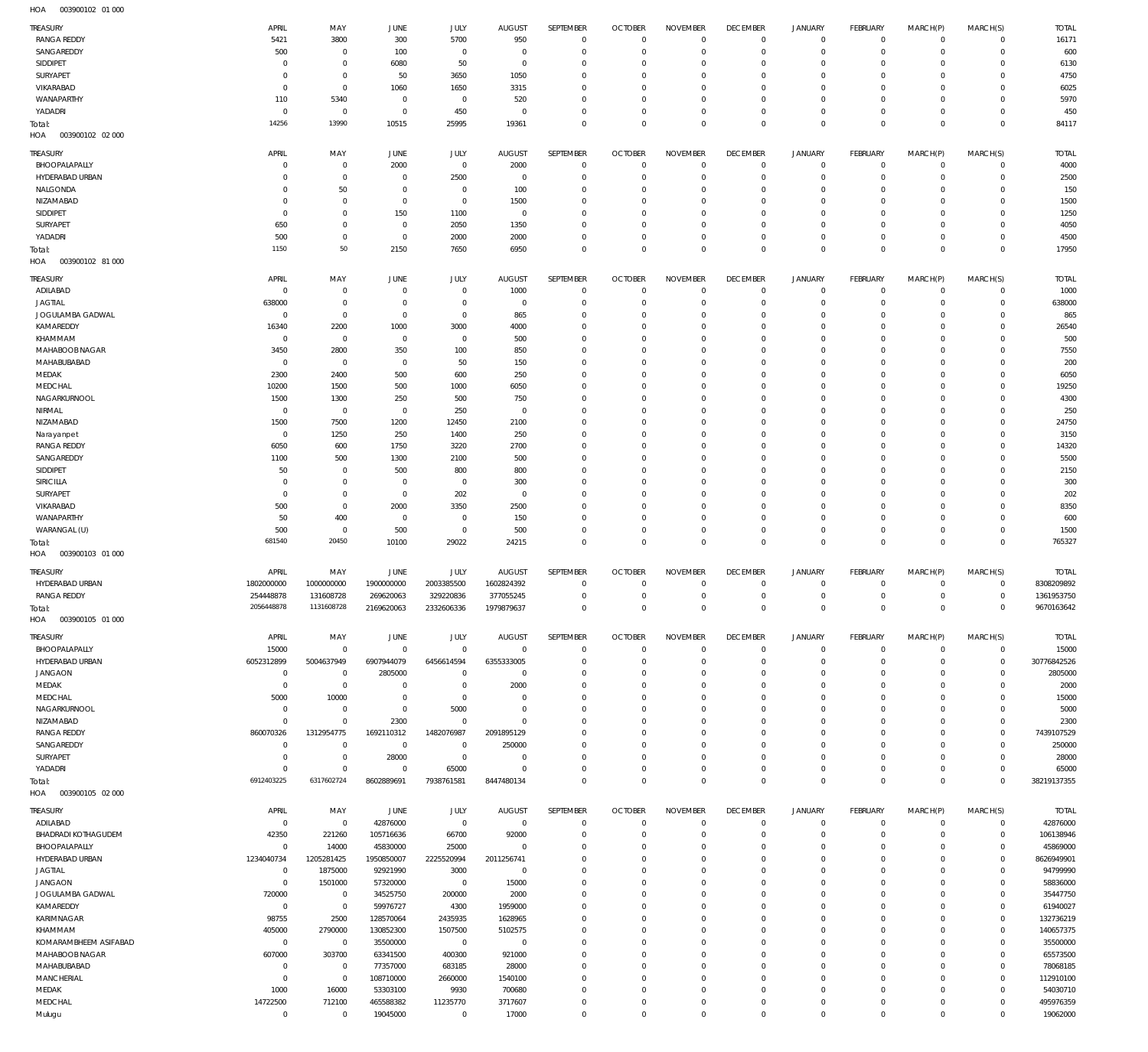| <b>TREASURY</b>            | APRIL          | MAY            | JUNE           | JULY           | <b>AUGUST</b>  | SEPTEMBER        | <b>OCTOBER</b> | <b>NOVEMBER</b> | <b>DECEMBER</b> | <b>JANUARY</b> | FEBRUARY       | MARCH(P)    | MARCH(S)    | <b>TOTAL</b> |
|----------------------------|----------------|----------------|----------------|----------------|----------------|------------------|----------------|-----------------|-----------------|----------------|----------------|-------------|-------------|--------------|
| <b>RANGA REDDY</b>         | 5421           | 3800           | 300            | 5700           | 950            | $^{\circ}$       | $\Omega$       | $\mathbf 0$     | $^{\circ}$      | $\mathbf 0$    | $\mathbf 0$    | $^{\circ}$  | $^{\circ}$  | 16171        |
| SANGAREDDY                 | 500            | $^{\circ}$     | 100            | $^{\circ}$     | $\circ$        | $\Omega$         | $\Omega$       | $\Omega$        | $^{\circ}$      | $\mathbf 0$    | $\circ$        | $^{\circ}$  | $^{\circ}$  | 600          |
|                            |                |                |                |                |                |                  |                |                 |                 |                |                |             |             |              |
| SIDDIPET                   | $\mathbf 0$    | $\overline{0}$ | 6080           | 50             | $\circ$        | $^{\circ}$       | $\Omega$       | $\mathbf 0$     | 0               | $^{\circ}$     | 0              | $^{\circ}$  | $^{\circ}$  | 6130         |
| SURYAPET                   | 0              | $\overline{0}$ | 50             | 3650           | 1050           | $\Omega$         |                | $\Omega$        | $\Omega$        | $\mathbf 0$    | $\Omega$       | $\Omega$    | $^{\circ}$  | 4750         |
| VIKARABAD                  | $\mathbf 0$    | $\mathbf 0$    | 1060           | 1650           | 3315           | $^{\circ}$       | $\Omega$       | $\mathbf 0$     | $^{\circ}$      | $\mathbf 0$    | -0             | $^{\circ}$  | $^{\circ}$  | 6025         |
| WANAPARTHY                 | 110            | 5340           | $^{\circ}$     | $^{\circ}$     | 520            | $\Omega$         |                | $\Omega$        | $\Omega$        | $\mathbf 0$    | $\Omega$       | 0           | $^{\circ}$  | 5970         |
|                            |                |                |                |                |                |                  |                |                 |                 |                |                |             |             |              |
| YADADRI                    | $^{\circ}$     | $\overline{0}$ | $^{\circ}$     | 450            | $\Omega$       | $^{\circ}$       | $\Omega$       | $\mathbf 0$     | $\mathbf{0}$    | $\mathbf 0$    | -0             | $^{\circ}$  | $^{\circ}$  | 450          |
| Total:                     | 14256          | 13990          | 10515          | 25995          | 19361          | $\Omega$         | $\Omega$       | $\Omega$        | $\Omega$        | $\mathbf{0}$   | 0              | $\mathbf 0$ | $\mathbf 0$ | 84117        |
| HOA<br>003900102 02 000    |                |                |                |                |                |                  |                |                 |                 |                |                |             |             |              |
|                            |                |                |                |                |                |                  |                |                 |                 |                |                |             |             |              |
| TREASURY                   | APRIL          | MAY            | JUNE           | JULY           | <b>AUGUST</b>  | <b>SEPTEMBER</b> | <b>OCTOBER</b> | <b>NOVEMBER</b> | <b>DECEMBER</b> | <b>JANUARY</b> | FEBRUARY       | MARCH(P)    | MARCH(S)    | <b>TOTAL</b> |
| BHOOPALAPALLY              | $\mathbf 0$    | $\overline{0}$ | 2000           | $\mathbf 0$    | 2000           | $^{\circ}$       | $\Omega$       | $\mathbf 0$     | $^{\circ}$      | $\mathbf 0$    | $\circ$        | $^{\circ}$  | $^{\circ}$  | 4000         |
| HYDERABAD URBAN            | 0              | $\overline{0}$ | $^{\circ}$     | 2500           | $^{\circ}$     | $^{\circ}$       | $\Omega$       | $\mathbf 0$     | $^{\circ}$      | $\mathbf 0$    | $\circ$        | $^{\circ}$  | $^{\circ}$  | 2500         |
|                            |                |                |                |                |                |                  |                |                 |                 |                |                |             |             |              |
| NALGONDA                   | $\mathbf 0$    | 50             | $^{\circ}$     | $^{\circ}$     | 100            | $^{\circ}$       | $\Omega$       | $\mathbf 0$     | 0               | $\mathbf 0$    | $\circ$        | $\mathbf 0$ | $^{\circ}$  | 150          |
| NIZAMABAD                  | 0              | $\overline{0}$ | $^{\circ}$     | $\mathbf 0$    | 1500           | $\Omega$         | $\Omega$       | $\mathbf 0$     | 0               | $\mathbf 0$    | -0             | $\mathbf 0$ | $^{\circ}$  | 1500         |
| SIDDIPET                   | $\mathbf 0$    | $\mathbf 0$    | 150            | 1100           | $^{\circ}$     | $^{\circ}$       | $\Omega$       | $\mathbf 0$     | $^{\circ}$      | $\mathbf 0$    | -0             | 0           | $^{\circ}$  | 1250         |
| SURYAPE <sup>®</sup>       | 650            | $\overline{0}$ | $^{\circ}$     | 2050           | 1350           | $^{\circ}$       | $\Omega$       | $\mathbf 0$     | $\mathbf{0}$    | $\mathbf 0$    | -0             | $\mathbf 0$ | $^{\circ}$  | 4050         |
|                            |                |                |                |                |                |                  |                |                 |                 |                |                |             |             |              |
| YADADRI                    | 500            | $\mathbf 0$    | $^{\circ}$     | 2000           | 2000           | $^{\circ}$       | $\Omega$       | $\mathbf 0$     | $^{\circ}$      | $\mathbf 0$    | $\circ$        | $\mathbf 0$ | $^{\circ}$  | 4500         |
| Total:                     | 1150           | 50             | 2150           | 7650           | 6950           | $\mathbf 0$      | $\Omega$       | $\mathbf 0$     | $\mathbf{0}$    | $\mathbf 0$    | $\overline{0}$ | $\mathbf 0$ | $\mathbf 0$ | 17950        |
| 003900102 81 000<br>HOA    |                |                |                |                |                |                  |                |                 |                 |                |                |             |             |              |
|                            |                |                |                |                |                |                  |                |                 |                 |                |                |             |             |              |
| TREASURY                   | APRIL          | MAY            | JUNE           | JULY           | <b>AUGUST</b>  | SEPTEMBER        | <b>OCTOBER</b> | <b>NOVEMBER</b> | <b>DECEMBER</b> | <b>JANUARY</b> | FEBRUARY       | MARCH(P)    | MARCH(S)    | <b>TOTAL</b> |
| ADILABAD                   | $\overline{0}$ | $^{\circ}$     | $\mathbf 0$    | $^{\circ}$     | 1000           | $^{\circ}$       | $\Omega$       | $\Omega$        | $^{\circ}$      | $\mathbf 0$    | $\circ$        | $^{\circ}$  | $^{\circ}$  | 1000         |
| <b>JAGTIAL</b>             | 638000         | $\overline{0}$ | - 0            | $^{\circ}$     | $\circ$        | $^{\circ}$       | $\Omega$       | $\mathbf 0$     | 0               | $\mathbf 0$    | -0             | $^{\circ}$  | $\mathbf 0$ | 638000       |
|                            | $\overline{0}$ | $\mathbf 0$    | $\mathbf 0$    | $^{\circ}$     | 865            | $\Omega$         |                | $\Omega$        | -C              | $\mathbf 0$    |                | 0           | $^{\circ}$  | 865          |
| JOGULAMBA GADWAL           |                |                |                |                |                |                  |                |                 |                 |                | 0              |             |             |              |
| KAMAREDDY                  | 16340          | 2200           | 1000           | 3000           | 4000           | $^{\circ}$       | $\Omega$       | $\mathbf 0$     | $^{\circ}$      | $\mathbf 0$    | 0              | $^{\circ}$  | $^{\circ}$  | 26540        |
| KHAMMAM                    | 0              | $\overline{0}$ | $^{\circ}$     | $^{\circ}$     | 500            | $\Omega$         |                | $\Omega$        | $\Omega$        | $\mathbf 0$    | 0              | 0           | $^{\circ}$  | 500          |
| MAHABOOB NAGAR             | 3450           | 2800           | 350            | 100            | 850            | $\Omega$         | $\Omega$       | $\Omega$        | $\Omega$        | $\mathbf 0$    | 0              | 0           | $^{\circ}$  | 7550         |
| MAHABUBABAD                | 0              | $^{\circ}$     | $^{\circ}$     | 50             | 150            | $\Omega$         | $\Omega$       | $\Omega$        | $\Omega$        | $\mathbf 0$    | 0              | 0           | $^{\circ}$  | 200          |
|                            |                |                |                |                |                |                  |                |                 |                 |                |                |             |             |              |
| MEDAK                      | 2300           | 2400           | 500            | 600            | 250            | $\Omega$         |                | $\Omega$        | $\Omega$        | $\mathbf 0$    | $\Omega$       | 0           | $^{\circ}$  | 6050         |
| MEDCHAL                    | 10200          | 1500           | 500            | 1000           | 6050           | $\Omega$         | $\Omega$       | $\Omega$        | $\Omega$        | $\mathbf 0$    | 0              | 0           | $^{\circ}$  | 19250        |
| NAGARKURNOOL               | 1500           | 1300           | 250            | 500            | 750            | $\Omega$         |                | $\Omega$        | $\Omega$        | $\mathbf 0$    | $\Omega$       | 0           | $^{\circ}$  | 4300         |
| NIRMAL                     | $\overline{0}$ | $\overline{0}$ | $^{\circ}$     | 250            | $^{\circ}$     | $\Omega$         | $\Omega$       | $\Omega$        | $\Omega$        | $\mathbf 0$    | 0              | 0           | $^{\circ}$  | 250          |
|                            |                |                |                |                |                |                  |                |                 |                 |                |                |             |             |              |
| NIZAMABAD                  | 1500           | 7500           | 1200           | 12450          | 2100           | $\Omega$         |                | $\Omega$        | $\Omega$        | $\mathbf 0$    | $\Omega$       | 0           | $^{\circ}$  | 24750        |
| Narayanpet                 | $^{\circ}$     | 1250           | 250            | 1400           | 250            | $\Omega$         | $\Omega$       | $\Omega$        | $\Omega$        | $\mathbf 0$    | 0              | 0           | $^{\circ}$  | 3150         |
| <b>RANGA REDDY</b>         | 6050           | 600            | 1750           | 3220           | 2700           | $\Omega$         |                | $\Omega$        | $\Omega$        | $\mathbf 0$    | 0              | 0           | $^{\circ}$  | 14320        |
| SANGAREDDY                 | 1100           | 500            | 1300           | 2100           | 500            | $\Omega$         |                | $\Omega$        | $\Omega$        | $\mathbf 0$    | $\Omega$       | $\Omega$    | $^{\circ}$  | 5500         |
|                            |                |                |                |                |                |                  |                |                 |                 |                |                |             |             |              |
| SIDDIPET                   | 50             | $\overline{0}$ | 500            | 800            | 800            | $^{\circ}$       | $\Omega$       | $^{\circ}$      | $^{\circ}$      | $^{\circ}$     | 0              | $^{\circ}$  | $^{\circ}$  | 2150         |
| <b>SIRICILLA</b>           | $\mathbf 0$    | $^{\circ}$     | $^{\circ}$     | $^{\circ}$     | 300            | $\Omega$         |                | $\Omega$        | $\Omega$        | $\mathbf 0$    | $\Omega$       | $\Omega$    | $^{\circ}$  | 300          |
| SURYAPET                   | $^{\circ}$     | $\overline{0}$ | $^{\circ}$     | 202            | $^{\circ}$     | $^{\circ}$       | $\Omega$       | $\mathbf 0$     | $^{\circ}$      | $\mathbf 0$    | 0              | $^{\circ}$  | $^{\circ}$  | 202          |
| VIKARABAD                  | 500            | $\overline{0}$ | 2000           | 3350           | 2500           | $\Omega$         |                | $\Omega$        | $\Omega$        | $\mathbf 0$    | $\Omega$       | $\Omega$    | $^{\circ}$  | 8350         |
|                            |                |                |                |                |                |                  |                |                 |                 |                |                |             |             |              |
| WANAPARTHY                 | 50             | 400            | $^{\circ}$     | $^{\circ}$     | 150            | $^{\circ}$       | $\Omega$       | $\mathbf 0$     | $^{\circ}$      | $\mathbf 0$    | -0             | $\mathbf 0$ | $^{\circ}$  | 600          |
|                            |                |                |                |                |                |                  |                |                 |                 |                |                |             |             |              |
| WARANGAL (U)               | 500            | $\,0\,$        | 500            | $^{\circ}$     | 500            | $\Omega$         | $\Omega$       | $^{\circ}$      | $\mathbf{0}$    | $\mathbf 0$    | $\circ$        | $\mathbf 0$ | $^{\circ}$  | 1500         |
|                            | 681540         | 20450          | 10100          | 29022          | 24215          | $\mathbf{0}$     | $\Omega$       | $\mathbf 0$     | $\mathbf 0$     | $\mathbb O$    | $^{\circ}$     | $\mathbf 0$ | $^{\circ}$  | 765327       |
| Total:                     |                |                |                |                |                |                  |                |                 |                 |                |                |             |             |              |
| 003900103 01 000<br>HOA    |                |                |                |                |                |                  |                |                 |                 |                |                |             |             |              |
| <b>TREASURY</b>            | APRIL          | MAY            |                |                |                | SEPTEMBER        | <b>OCTOBER</b> | <b>NOVEMBER</b> | <b>DECEMBER</b> | <b>JANUARY</b> | FEBRUARY       |             |             |              |
|                            |                |                | JUNE           | JULY           | <b>AUGUST</b>  |                  |                |                 |                 |                |                | MARCH(P)    | MARCH(S)    | <b>TOTAL</b> |
| HYDERABAD URBAN            | 1802000000     | 1000000000     | 1900000000     | 2003385500     | 1602824392     | $^{\circ}$       | $\Omega$       | $^{\circ}$      | $^{\circ}$      | $\mathbf 0$    | $\circ$        | $\mathbf 0$ | $^{\circ}$  | 8308209892   |
| <b>RANGA REDDY</b>         | 254448878      | 131608728      | 269620063      | 329220836      | 377055245      | $\mathbf{0}$     | $\Omega$       | $\mathbf 0$     | $\mathbf{0}$    | $\mathsf{O}$   | $^{\circ}$     | $\mathbf 0$ | $\mathbf 0$ | 1361953750   |
| Total:                     | 2056448878     | 1131608728     | 2169620063     | 2332606336     | 1979879637     | $\Omega$         | $\Omega$       | $\Omega$        | $\Omega$        | $\Omega$       | $\Omega$       | $\Omega$    | $\Omega$    | 9670163642   |
| HOA<br>003900105 01 000    |                |                |                |                |                |                  |                |                 |                 |                |                |             |             |              |
|                            |                |                |                |                |                |                  |                |                 |                 |                |                |             |             |              |
| <b>TREASURY</b>            | APRIL          | MAY            | JUNE           | JULY           | <b>AUGUST</b>  | SEPTEMBER        | <b>OCTOBER</b> | <b>NOVEMBER</b> | <b>DECEMBER</b> | <b>JANUARY</b> | FEBRUARY       | MARCH(P)    | MARCH(S)    | <b>TOTAL</b> |
| BHOOPALAPALLY              | 15000          | $\mathbf 0$    | $\mathbf 0$    | $\mathbf 0$    | $\mathbf{0}$   | $^{\circ}$       | $\overline{0}$ | $\mathbf 0$     | $^{\circ}$      | $\mathbf 0$    | $^{\circ}$     | $\mathbf 0$ | $\mathbf 0$ | 15000        |
|                            |                |                |                |                |                |                  | $\Omega$       |                 |                 |                |                |             |             |              |
| HYDERABAD URBAN            | 6052312899     | 5004637949     | 6907944079     | 6456614594     | 6355333005     | $^{\circ}$       |                | $^{\circ}$      | $^{\circ}$      | $\mathbf 0$    | $\circ$        | $\mathbf 0$ | $\mathbf 0$ | 30776842526  |
| <b>JANGAON</b>             | $^{\circ}$     | $^{\circ}$     | 2805000        | $^{\circ}$     | $\circ$        | $\Omega$         | $\Omega$       | $\Omega$        | $\Omega$        | $\mathbf 0$    | $\circ$        | $\mathbf 0$ | $\mathbf 0$ | 2805000      |
| MEDAK                      | $\mathbf 0$    | $\mathbf 0$    | - 0            | $\overline{0}$ | 2000           | $^{\circ}$       | $\Omega$       | $\mathbf 0$     | $^{\circ}$      | $\mathbf 0$    | -0             | $\mathbf 0$ | $\mathbf 0$ | 2000         |
| MEDCHAL                    | 5000           | 10000          | $^{\circ}$     | $^{\circ}$     | $\Omega$       | $\Omega$         | $\Omega$       | $\Omega$        | $\Omega$        | 0              | $\mathbf 0$    | 0           | $^{\circ}$  | 15000        |
| NAGARKURNOOL               | $^{\circ}$     | $\overline{0}$ | $\overline{0}$ | 5000           | $\Omega$       | $^{\circ}$       | $\Omega$       | $\overline{0}$  | $\mathbf{0}$    | $\mathbf 0$    | -0             | $\mathbf 0$ | $\mathbf 0$ | 5000         |
|                            | $\mathbf 0$    | $\,0\,$        | 2300           | $\mathbf 0$    | $\Omega$       | $\Omega$         | $\Omega$       | $\Omega$        | $\Omega$        | 0              | $\mathbf 0$    | 0           | $^{\circ}$  |              |
| NIZAMABAD                  |                |                |                |                |                |                  |                |                 |                 |                |                |             |             | 2300         |
| <b>RANGA REDDY</b>         | 860070326      | 1312954775     | 1692110312     | 1482076987     | 2091895129     | $^{\circ}$       | $\Omega$       | $\overline{0}$  | $\mathbf{0}$    | $\mathbf 0$    | $\circ$        | $\mathbf 0$ | $\mathbf 0$ | 7439107529   |
| SANGAREDDY                 | $^{\circ}$     | $\overline{0}$ | $\mathbf 0$    | $\mathbf{0}$   | 250000         | $\Omega$         | $\Omega$       | $\Omega$        | $\mathbf{0}$    | 0              | 0              | $^{\circ}$  | $\mathbf 0$ | 250000       |
| SURYAPET                   | $\mathbf 0$    | $\mathbf 0$    | 28000          | $\mathbf{0}$   | $\Omega$       | $\Omega$         | $\Omega$       | $\overline{0}$  | $\mathbf{0}$    | $\mathbf 0$    | $\circ$        | $\mathbf 0$ | $\mathbf 0$ | 28000        |
| YADADRI                    | $\mathbf 0$    | $\mathbf 0$    | $\overline{0}$ | 65000          | $\Omega$       | $\Omega$         | $\Omega$       | $\overline{0}$  | $^{\circ}$      | $\mathbf 0$    | $^{\circ}$     | $\mathbf 0$ | $\mathbf 0$ | 65000        |
|                            | 6912403225     | 6317602724     |                |                |                | $\Omega$         | $\Omega$       | $\overline{0}$  |                 |                | $\Omega$       | $\mathbf 0$ | $\mathbf 0$ |              |
| Total:                     |                |                | 8602889691     | 7938761581     | 8447480134     |                  |                |                 | $\overline{0}$  | $\mathbb O$    |                |             |             | 38219137355  |
| HOA<br>003900105 02 000    |                |                |                |                |                |                  |                |                 |                 |                |                |             |             |              |
| <b>TREASURY</b>            | APRIL          | MAY            |                |                |                | SEPTEMBER        | <b>OCTOBER</b> | <b>NOVEMBER</b> | <b>DECEMBER</b> | <b>JANUARY</b> | FEBRUARY       |             |             |              |
|                            |                |                | JUNE           | JULY           | <b>AUGUST</b>  |                  |                |                 |                 |                |                | MARCH(P)    | MARCH(S)    | <b>TOTAL</b> |
| ADILABAD                   | $\overline{0}$ | $\overline{0}$ | 42876000       | $\mathbf 0$    | $\overline{0}$ | $^{\circ}$       | $^{\circ}$     | $\overline{0}$  | $^{\circ}$      | $\circ$        | $^{\circ}$     | $\mathbf 0$ | $^{\circ}$  | 42876000     |
| <b>BHADRADI KOTHAGUDEM</b> | 42350          | 221260         | 105716636      | 66700          | 92000          | $\mathbf{0}$     | $\Omega$       | $\overline{0}$  | $^{\circ}$      | $\mathsf{O}$   | $\circ$        | $\mathbf 0$ | $\mathbf 0$ | 106138946    |
| BHOOPALAPALLY              | $\mathbf{0}$   | 14000          | 45830000       | 25000          | $^{\circ}$     | $^{\circ}$       | $\Omega$       | $\overline{0}$  | $^{\circ}$      | $\circ$        | $\circ$        | $\mathbf 0$ | $\mathbf 0$ | 45869000     |
| HYDERABAD URBAN            | 1234040734     | 1205281425     | 1950850007     | 2225520994     | 2011256741     | $^{\circ}$       | $\Omega$       | $\mathbf 0$     | $\mathbf{0}$    | $\circ$        | $\circ$        | $\mathbf 0$ | $\mathbf 0$ | 8626949901   |
|                            |                |                |                |                |                |                  | $\Omega$       |                 |                 |                |                |             |             |              |
| <b>JAGTIAL</b>             | $\mathbf{0}$   | 1875000        | 92921990       | 3000           | $^{\circ}$     | $^{\circ}$       |                | $\overline{0}$  | $\mathbf{0}$    | $\circ$        | $\circ$        | $\mathbf 0$ | $\mathbf 0$ | 94799990     |
| <b>JANGAON</b>             | $\mathbf{0}$   | 1501000        | 57320000       | $\overline{0}$ | 15000          | $\mathbf{0}$     | $\Omega$       | $\mathbf 0$     | $^{\circ}$      | $\mathbf 0$    | $\circ$        | $\mathbf 0$ | $\mathbf 0$ | 58836000     |
| JOGULAMBA GADWAL           | 720000         | $\mathbf 0$    | 34525750       | 200000         | 2000           | $\mathbf{0}$     | $\Omega$       | $\overline{0}$  | $\mathbf{0}$    | $\circ$        | $\circ$        | $\mathbf 0$ | $\mathbf 0$ | 35447750     |
| KAMAREDDY                  | $\mathbf 0$    | $\mathbf 0$    | 59976727       | 4300           | 1959000        | $\mathbf{0}$     | $\Omega$       | $\overline{0}$  | $\mathbf{0}$    | $\mathbf 0$    | $\circ$        | $\mathbf 0$ | $\mathbf 0$ | 61940027     |
|                            |                |                |                |                |                | $\Omega$         | $\Omega$       |                 |                 |                |                |             |             |              |
| KARIMNAGAR                 | 98755          | 2500           | 128570064      | 2435935        | 1628965        |                  |                | $\mathbf 0$     | $\mathbf{0}$    | $\circ$        | $\circ$        | $\mathbf 0$ | $\mathbf 0$ | 132736219    |
| KHAMMAM                    | 405000         | 2790000        | 130852300      | 1507500        | 5102575        | $^{\circ}$       | $\Omega$       | $\mathbf 0$     | $\mathbf{0}$    | $\circ$        | $\circ$        | $\mathbf 0$ | $\mathbf 0$ | 140657375    |
| KOMARAMBHEEM ASIFABAD      | $^{\circ}$     | $\mathbf 0$    | 35500000       | $\overline{0}$ | $^{\circ}$     | $\Omega$         | $\Omega$       | $\mathbf 0$     | $\Omega$        | $\circ$        | $\circ$        | $\mathbf 0$ | $\mathbf 0$ | 35500000     |
| MAHABOOB NAGAR             | 607000         | 303700         | 63341500       | 400300         | 921000         | $\mathbf 0$      | $\Omega$       | $\overline{0}$  | $\mathbf{0}$    | $\circ$        | $\circ$        | $\mathbf 0$ | $\mathbf 0$ | 65573500     |
|                            | $\mathbf 0$    |                |                |                |                | $^{\circ}$       | $\Omega$       |                 | $\mathbf{0}$    | $\mathbf 0$    | $\circ$        | $\mathbf 0$ | $^{\circ}$  |              |
| MAHABUBABAD                |                | $\mathbf 0$    | 77357000       | 683185         | 28000          |                  |                | $\mathbf 0$     |                 |                |                |             |             | 78068185     |
| <b>MANCHERIAL</b>          | $\mathbf 0$    | $\mathbf 0$    | 108710000      | 2660000        | 1540100        | $\mathbf 0$      | $\Omega$       | $\mathbf 0$     | $\mathbf{0}$    | $\circ$        | $\circ$        | $\mathbf 0$ | $\mathbf 0$ | 112910100    |
| MEDAK                      | 1000           | 16000          | 53303100       | 9930           | 700680         | $\Omega$         | $\Omega$       | $\mathbf 0$     | $\mathbf{0}$    | $\circ$        | $\circ$        | $\mathbf 0$ | $\mathbf 0$ | 54030710     |
| MEDCHAL                    | 14722500       | 712100         | 465588382      | 11235770       | 3717607        | $^{\circ}$       | $\mathbf 0$    | $\mathbf 0$     | $^{\circ}$      | $\circ$        | $^{\circ}$     | $\mathbf 0$ | $\mathbf 0$ | 495976359    |
| Mulugu                     | $\mathbf{0}$   | $\,0\,$        | 19045000       | $\mathbf 0$    | 17000          | $^{\circ}$       | $\Omega$       | $\mathbf 0$     | $\overline{0}$  | $\mathsf{O}$   | $^{\circ}$     | $\mathbf 0$ | $\mathbf 0$ | 19062000     |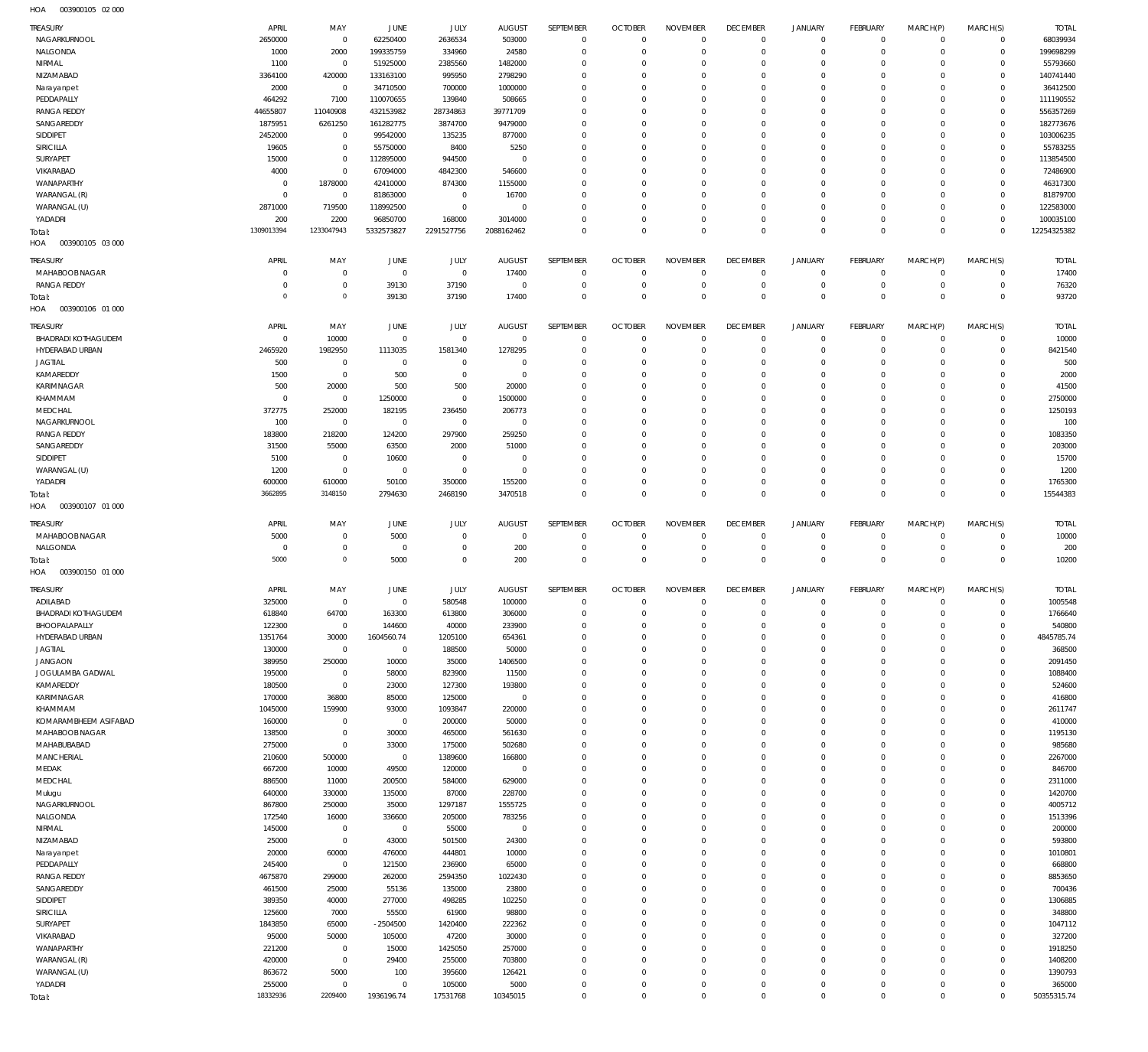003900105 02 000 HOA

| <b>TREASURY</b>                               | APRIL                      | MAY                            | JUNE                         | JULY                    | <b>AUGUST</b>                | SEPTEMBER                  | <b>OCTOBER</b>                   | <b>NOVEMBER</b>               | <b>DECEMBER</b>                   | <b>JANUARY</b>               | <b>FEBRUARY</b>                | MARCH(P)             | MARCH(S)             | <b>TOTAL</b>          |
|-----------------------------------------------|----------------------------|--------------------------------|------------------------------|-------------------------|------------------------------|----------------------------|----------------------------------|-------------------------------|-----------------------------------|------------------------------|--------------------------------|----------------------|----------------------|-----------------------|
| NAGARKURNOOL                                  | 2650000                    | $\overline{0}$                 | 62250400                     | 2636534                 | 503000                       | $\mathbf 0$                | $\overline{0}$                   | $\Omega$                      | $\overline{0}$                    | $^{\circ}$                   | $\mathbf 0$                    | $\Omega$             | $\Omega$             | 68039934              |
| NALGONDA                                      | 1000                       | 2000                           | 199335759                    | 334960                  | 24580                        | $\Omega$                   | $\Omega$                         | $\Omega$                      | $\Omega$                          | $\Omega$                     | $\mathbf 0$                    | $\Omega$             | $\mathbf 0$          | 199698299             |
| NIRMAL                                        | 1100                       | $\overline{0}$                 | 51925000                     | 2385560                 | 1482000                      | $\Omega$                   | $\Omega$                         | $\Omega$                      | $\Omega$                          | $\Omega$                     | $\Omega$                       | $\Omega$             | $\Omega$             | 55793660              |
| NIZAMABAD<br>Narayanpet                       | 3364100<br>2000            | 420000<br>$\overline{0}$       | 133163100<br>34710500        | 995950<br>700000        | 2798290<br>1000000           | $\Omega$<br>$\Omega$       | $\Omega$<br>$\Omega$             | $\Omega$<br>$\Omega$          | $\Omega$<br>$\Omega$              | $\Omega$<br>$\Omega$         | $\Omega$<br>$\Omega$           | $\Omega$             | $\Omega$<br>$\Omega$ | 140741440<br>36412500 |
| PEDDAPALLY                                    | 464292                     | 7100                           | 110070655                    | 139840                  | 508665                       | $\Omega$                   | $\Omega$                         | $\Omega$                      | $\Omega$                          | $\Omega$                     | $\Omega$                       | $\Omega$             | $\Omega$             | 111190552             |
| <b>RANGA REDDY</b>                            | 44655807                   | 11040908                       | 432153982                    | 28734863                | 39771709                     | $\Omega$                   | $\Omega$                         | $\Omega$                      | $\Omega$                          | $\Omega$                     | $\Omega$                       |                      | $\mathbf 0$          | 556357269             |
| SANGAREDDY                                    | 1875951                    | 6261250                        | 161282775                    | 3874700                 | 9479000                      | $\Omega$                   | $\Omega$                         | $\Omega$                      | $\Omega$                          | $\Omega$                     | $\Omega$                       | $\Omega$             | $\circ$              | 182773676             |
| SIDDIPET                                      | 2452000                    | $\overline{0}$                 | 99542000                     | 135235                  | 877000                       | $\Omega$                   | $\Omega$                         | $\Omega$                      | $\Omega$                          | $\Omega$                     | $\Omega$                       |                      | $\Omega$             | 103006235             |
| SIRICILLA                                     | 19605                      | $\mathbf{0}$                   | 55750000                     | 8400                    | 5250                         | $\Omega$                   | $\Omega$                         | $\Omega$                      | $\Omega$                          | $\Omega$                     | $\Omega$                       | $\Omega$             | $\Omega$             | 55783255              |
| SURYAPET<br>VIKARABAD                         | 15000<br>4000              | $\overline{0}$<br>$\mathbf{0}$ | 112895000<br>67094000        | 944500<br>4842300       | $\mathbf 0$<br>546600        | $\Omega$<br>$\Omega$       | $\Omega$<br>$\Omega$             | $\Omega$<br>$\Omega$          | $\Omega$<br>$\Omega$              | $\Omega$<br>$\Omega$         | $\Omega$<br>$\Omega$           | $\Omega$             | $\Omega$<br>$\Omega$ | 113854500<br>72486900 |
| WANAPARTHY                                    | $\overline{0}$             | 1878000                        | 42410000                     | 874300                  | 1155000                      | $\Omega$                   | $\Omega$                         | $\Omega$                      | $\Omega$                          | $\Omega$                     | $\Omega$                       | $\Omega$             | $\Omega$             | 46317300              |
| WARANGAL (R)                                  | $\overline{0}$             | $\overline{0}$                 | 81863000                     | $\mathbf{0}$            | 16700                        | $\Omega$                   | $\Omega$                         | $\Omega$                      | $\Omega$                          | $\Omega$                     | $\Omega$                       |                      | $\Omega$             | 81879700              |
| WARANGAL (U)                                  | 2871000                    | 719500                         | 118992500                    | $\mathbf{0}$            | $\overline{0}$               | $\Omega$                   | $\Omega$                         | $\Omega$                      | $\Omega$                          | $\Omega$                     | $\Omega$                       | $\Omega$             | $\Omega$             | 122583000             |
| YADADRI                                       | 200                        | 2200                           | 96850700                     | 168000                  | 3014000                      | $\Omega$                   | $\Omega$                         | $\Omega$                      | $\overline{0}$                    | $\Omega$                     | $\Omega$                       | $\Omega$             | $\Omega$             | 100035100             |
| Total:                                        | 1309013394                 | 1233047943                     | 5332573827                   | 2291527756              | 2088162462                   | $\Omega$                   | $\Omega$                         | $\Omega$                      | $\Omega$                          | $\Omega$                     | $\Omega$                       | $\Omega$             | $\Omega$             | 12254325382           |
| 003900105 03 000<br>HOA                       |                            |                                |                              |                         |                              |                            |                                  |                               |                                   |                              |                                |                      |                      |                       |
| TREASURY                                      | APRIL                      | MAY                            | <b>JUNE</b>                  | JULY                    | <b>AUGUST</b>                | SEPTEMBER                  | <b>OCTOBER</b>                   | <b>NOVEMBER</b>               | <b>DECEMBER</b>                   | <b>JANUARY</b>               | <b>FEBRUARY</b>                | MARCH(P)             | MARCH(S)             | <b>TOTAL</b>          |
| MAHABOOB NAGAR                                | $\overline{0}$             | $\mathbf{0}$                   | $\overline{0}$               | $\mathbf 0$             | 17400                        | $^{\circ}$                 | $^{\circ}$                       | $\Omega$                      | $^{\circ}$                        | $^{\circ}$                   | $\mathbf 0$                    | $\Omega$             | $\Omega$             | 17400                 |
| <b>RANGA REDDY</b><br>Total:                  | $\Omega$<br>$\overline{0}$ | $\mathbf 0$<br>$\mathbf 0$     | 39130<br>39130               | 37190<br>37190          | $\mathbf 0$<br>17400         | $\Omega$<br>$\Omega$       | $\overline{0}$<br>$\Omega$       | $\Omega$<br>$\Omega$          | $\Omega$<br>$\Omega$              | $\Omega$<br>$\Omega$         | $\mathbf 0$<br>$\Omega$        | $\Omega$<br>$\Omega$ | $\Omega$<br>$\Omega$ | 76320<br>93720        |
| HOA<br>003900106 01 000                       |                            |                                |                              |                         |                              |                            |                                  |                               |                                   |                              |                                |                      |                      |                       |
|                                               |                            |                                |                              |                         |                              |                            |                                  |                               |                                   |                              |                                |                      |                      |                       |
| <b>TREASURY</b><br><b>BHADRADI KOTHAGUDEM</b> | APRIL<br>$\overline{0}$    | MAY<br>10000                   | JUNE<br>$\overline{0}$       | JULY<br>$\mathbf 0$     | <b>AUGUST</b><br>$\mathbf 0$ | SEPTEMBER<br>$^{\circ}$    | <b>OCTOBER</b><br>$\overline{0}$ | <b>NOVEMBER</b><br>$^{\circ}$ | <b>DECEMBER</b><br>$\overline{0}$ | <b>JANUARY</b><br>$^{\circ}$ | <b>FEBRUARY</b><br>$\mathbf 0$ | MARCH(P)<br>$\Omega$ | MARCH(S)<br>$\Omega$ | <b>TOTAL</b><br>10000 |
| HYDERABAD URBAN                               | 2465920                    | 1982950                        | 1113035                      | 1581340                 | 1278295                      | $\Omega$                   | $\Omega$                         | $\Omega$                      | $\Omega$                          | $\Omega$                     | $\Omega$                       | $\Omega$             | $\Omega$             | 8421540               |
| <b>JAGTIAL</b>                                | 500                        | $\overline{0}$                 | $\overline{0}$               | $^{\circ}$              | $\overline{0}$               | $\Omega$                   | $\Omega$                         | $\Omega$                      | $\Omega$                          | $\Omega$                     | $\Omega$                       | $\Omega$             | $\Omega$             | 500                   |
| KAMAREDDY                                     | 1500                       | $\overline{0}$                 | 500                          | $\mathbf{0}$            | $\mathbf 0$                  | $\Omega$                   | $\Omega$                         | $\Omega$                      | $\Omega$                          | $\Omega$                     | $\Omega$                       | $\Omega$             | $\Omega$             | 2000                  |
| KARIMNAGAR                                    | 500                        | 20000                          | 500                          | 500                     | 20000                        | $\Omega$                   | $\Omega$                         | $\Omega$                      | $\Omega$                          | $\Omega$                     | $\Omega$                       | $\Omega$             | $\Omega$             | 41500                 |
| KHAMMAM                                       | $\overline{0}$             | $\overline{0}$                 | 1250000                      | $\mathbf 0$             | 1500000                      | $\Omega$                   | $\Omega$                         | $\Omega$                      | $\Omega$                          | $\Omega$                     | $\Omega$                       | $\Omega$             | $\Omega$             | 2750000               |
| MEDCHAL<br>NAGARKURNOOL                       | 372775<br>100              | 252000<br>$\overline{0}$       | 182195<br>$\overline{0}$     | 236450<br>$\mathbf 0$   | 206773<br>$\mathbf 0$        | $\Omega$<br>$\Omega$       | $\Omega$<br>$\Omega$             | $\Omega$<br>$\Omega$          | $\Omega$<br>$\Omega$              | $\Omega$<br>$\Omega$         | $\Omega$<br>$\Omega$           | $\Omega$             | $\Omega$<br>$\Omega$ | 1250193<br>100        |
| <b>RANGA REDDY</b>                            | 183800                     | 218200                         | 124200                       | 297900                  | 259250                       | $\Omega$                   | $\Omega$                         | $\Omega$                      | $\Omega$                          | $\Omega$                     | $\Omega$                       | $\Omega$             | $\Omega$             | 1083350               |
| SANGAREDDY                                    | 31500                      | 55000                          | 63500                        | 2000                    | 51000                        | $\Omega$                   | $\Omega$                         | $\Omega$                      | $\overline{0}$                    | $\Omega$                     | $\Omega$                       |                      | $\Omega$             | 203000                |
| SIDDIPET                                      | 5100                       | $\mathbf{0}$                   | 10600                        | $\mathbf 0$             | $\overline{0}$               | $\Omega$                   | $\Omega$                         | $\Omega$                      | $\Omega$                          | $\Omega$                     | $\Omega$                       | $\Omega$             | $\Omega$             | 15700                 |
| WARANGAL (U)                                  | 1200                       | $\mathbf 0$                    | $\overline{0}$               | $\mathbf{0}$            | $\mathbf 0$                  | $\Omega$                   | $\Omega$                         | $\Omega$                      | $\overline{0}$                    | $\Omega$                     | $\Omega$                       | $\Omega$             | $\Omega$             | 1200                  |
| YADADRI                                       | 600000<br>3662895          | 610000<br>3148150              | 50100                        | 350000                  | 155200                       | $\Omega$<br>$\Omega$       | $\overline{0}$<br>$\Omega$       | $^{\circ}$<br>$\Omega$        | $\overline{0}$<br>$\Omega$        | $\Omega$<br>$\Omega$         | $\Omega$<br>$\Omega$           | $\Omega$             | $\Omega$<br>$\Omega$ | 1765300               |
| Total:<br>HOA<br>003900107 01 000             |                            |                                | 2794630                      | 2468190                 | 3470518                      |                            |                                  |                               |                                   |                              |                                | $\Omega$             |                      | 15544383              |
|                                               |                            |                                |                              |                         |                              |                            |                                  |                               |                                   |                              |                                |                      |                      |                       |
|                                               |                            |                                |                              |                         |                              |                            |                                  |                               |                                   |                              |                                |                      |                      |                       |
| TREASURY                                      | APRIL                      | MAY                            | <b>JUNE</b>                  | JULY                    | <b>AUGUST</b>                | SEPTEMBER                  | <b>OCTOBER</b>                   | <b>NOVEMBER</b>               | <b>DECEMBER</b>                   | <b>JANUARY</b>               | <b>FEBRUARY</b>                | MARCH(P)             | MARCH(S)             | <b>TOTAL</b>          |
| MAHABOOB NAGAR                                | 5000                       | $\mathbf{0}$                   | 5000                         | $\mathbf 0$<br>$\Omega$ | $^{\circ}$                   | $^{\circ}$                 | $\Omega$                         | $\Omega$                      | $^{\circ}$                        | $^{\circ}$                   | $\mathbf 0$                    | $\Omega$<br>$\Omega$ | $\Omega$<br>$\Omega$ | 10000                 |
| NALGONDA<br>Total:                            | $\overline{0}$<br>5000     | $\mathbf 0$<br>$\mathbf 0$     | $\overline{0}$<br>5000       | $\mathbf 0$             | 200<br>200                   | $^{\circ}$<br>$\Omega$     | $\overline{0}$<br>$\Omega$       | $^{\circ}$<br>$\Omega$        | $\overline{0}$<br>$\Omega$        | $^{\circ}$<br>$\Omega$       | $\mathbf 0$<br>$\Omega$        | $\Omega$             | $\Omega$             | 200<br>10200          |
| 003900150 01 000<br>HOA                       |                            |                                |                              |                         |                              |                            |                                  |                               |                                   |                              |                                |                      |                      |                       |
| <b>TREASURY</b>                               | APRIL                      | MAY                            | <b>JUNE</b>                  | JULY                    | <b>AUGUST</b>                | SEPTEMBER                  | <b>OCTOBER</b>                   | <b>NOVEMBER</b>               | <b>DECEMBER</b>                   | <b>JANUARY</b>               | <b>FEBRUARY</b>                | MARCH(P)             |                      | <b>TOTAL</b>          |
| ADILABAD                                      | 325000                     | $\mathbf{0}$                   | $\overline{0}$               | 580548                  | 100000                       | $\mathbf{0}$               | $\mathbf 0$                      | $\mathbf 0$                   | $\overline{0}$                    | $\mathbf 0$                  | $\mathbf 0$                    | $\Omega$             | MARCH(S)<br>$\Omega$ | 1005548               |
| <b>BHADRADI KOTHAGUDEM</b>                    | 618840                     | 64700                          | 163300                       | 613800                  | 306000                       | $\mathbf 0$                | $\Omega$                         | $\Omega$                      | $\Omega$                          |                              | $\Omega$                       |                      | $\Omega$             | 1766640               |
| BHOOPALAPALLY                                 | 122300                     | $\mathbf 0$                    | 144600                       | 40000                   | 233900                       | $\mathbf{0}$               | $\mathbf 0$                      | $\mathbf 0$                   | $\overline{0}$                    | $\Omega$                     | $\mathbf 0$                    | $\Omega$             | $\Omega$             | 540800                |
| HYDERABAD URBAN                               | 1351764                    | 30000                          | 1604560.74                   | 1205100                 | 654361                       | $\mathbf{0}$               | $\mathbf 0$                      | $\overline{0}$                | $\mathbf 0$                       | $\mathbf 0$                  | $\mathbf 0$                    | $\Omega$             | $\Omega$             | 4845785.74            |
| <b>JAGTIAL</b>                                | 130000                     | $\overline{0}$                 | $\overline{0}$               | 188500                  | 50000                        | $\mathbf 0$<br>$\mathbf 0$ | $\overline{0}$<br>$\overline{0}$ | $\mathbf 0$<br>$\Omega$       | $\overline{0}$                    | $\Omega$<br>$\Omega$         | $\mathbf 0$<br>$\Omega$        | $\Omega$<br>$\Omega$ | $\Omega$<br>$\Omega$ | 368500                |
| <b>JANGAON</b><br>JOGULAMBA GADWAL            | 389950<br>195000           | 250000<br>$\overline{0}$       | 10000<br>58000               | 35000<br>823900         | 1406500<br>11500             | $\mathbf 0$                | $\overline{0}$                   | $\Omega$                      | $\mathbf 0$<br>$\overline{0}$     | $\Omega$                     | $\Omega$                       | $\Omega$             | $\Omega$             | 2091450<br>1088400    |
| KAMAREDDY                                     | 180500                     | $\mathbf 0$                    | 23000                        | 127300                  | 193800                       | $\mathbf 0$                | $\overline{0}$                   | $\Omega$                      | $\mathbf 0$                       | $\Omega$                     | $\Omega$                       | $\Omega$             | $\Omega$             | 524600                |
| KARIMNAGAR                                    | 170000                     | 36800                          | 85000                        | 125000                  | $\,0\,$                      | $\mathbf 0$                | $\overline{0}$                   | $^{\circ}$                    | $\overline{0}$                    | $\Omega$                     | $\mathbf 0$                    | $\Omega$             | $\Omega$             | 416800                |
| KHAMMAM                                       | 1045000                    | 159900                         | 93000                        | 1093847                 | 220000                       | $\mathbf 0$                | $\overline{0}$                   | $\Omega$                      | $\mathbf 0$                       | $\Omega$                     | $\Omega$                       | $\Omega$             | $\Omega$             | 2611747               |
| KOMARAMBHEEM ASIFABAD                         | 160000                     | $\overline{0}$                 | $\overline{0}$               | 200000                  | 50000                        | $\Omega$                   | $\overline{0}$                   | $\Omega$                      | $\Omega$                          | $\Omega$                     | $\Omega$                       | $\Omega$             | $\Omega$             | 410000                |
| MAHABOOB NAGAR<br>MAHABUBABAD                 | 138500                     | $\mathbf 0$<br>$\mathbf{0}$    | 30000                        | 465000                  | 561630                       | $\mathbf 0$<br>$\Omega$    | $\overline{0}$<br>$\overline{0}$ | $\Omega$<br>$\Omega$          | $\mathbf 0$<br>$\overline{0}$     | $\Omega$<br>$\Omega$         | $\mathbf 0$<br>$\Omega$        | $\Omega$<br>$\Omega$ | $\Omega$<br>$\Omega$ | 1195130               |
| MANCHERIAL                                    | 275000<br>210600           | 500000                         | 33000<br>$\overline{0}$      | 175000<br>1389600       | 502680<br>166800             | $\mathbf 0$                | $\overline{0}$                   | $\Omega$                      | $\mathbf 0$                       | $\Omega$                     | $\mathbf 0$                    | $\Omega$             | $\Omega$             | 985680<br>2267000     |
| MEDAK                                         | 667200                     | 10000                          | 49500                        | 120000                  | $\,0\,$                      | $\Omega$                   | $\overline{0}$                   | $\Omega$                      | $\Omega$                          | $\Omega$                     | $\Omega$                       | $\Omega$             | $\Omega$             | 846700                |
| MEDCHAL                                       | 886500                     | 11000                          | 200500                       | 584000                  | 629000                       | $\mathbf 0$                | $\overline{0}$                   | $\Omega$                      | $\mathbf 0$                       | $\Omega$                     | $\Omega$                       | $\Omega$             | $\Omega$             | 2311000               |
| Mulugu                                        | 640000                     | 330000                         | 135000                       | 87000                   | 228700                       | $\mathbf 0$                | $\overline{0}$                   | $\Omega$                      | $\overline{0}$                    | $\Omega$                     | $\Omega$                       | $\Omega$             | $\Omega$             | 1420700               |
| NAGARKURNOOL                                  | 867800                     | 250000                         | 35000                        | 1297187                 | 1555725                      | $\mathbf 0$                | $\overline{0}$                   | $\Omega$                      | $\overline{0}$                    | $\Omega$                     | $\Omega$                       | $\Omega$<br>$\Omega$ | $\Omega$             | 4005712               |
| NALGONDA                                      | 172540                     | 16000                          | 336600                       | 205000                  | 783256                       | $\mathbf 0$<br>$\mathbf 0$ | $\overline{0}$<br>$\overline{0}$ | $\Omega$<br>$\Omega$          | $\overline{0}$<br>$\mathbf 0$     | $\Omega$<br>$\Omega$         | $\Omega$<br>$\Omega$           | $\Omega$             | $\Omega$<br>$\Omega$ | 1513396               |
| NIRMAL<br>NIZAMABAD                           | 145000<br>25000            | $\overline{0}$<br>$\mathbf 0$  | $\overline{0}$<br>43000      | 55000<br>501500         | $\,0\,$<br>24300             | $\mathbf 0$                | $\overline{0}$                   | $\mathbf 0$                   | $\overline{0}$                    | $\Omega$                     | $\mathbf 0$                    | $\Omega$             | $\Omega$             | 200000<br>593800      |
| Narayanpet                                    | 20000                      | 60000                          | 476000                       | 444801                  | 10000                        | $\mathbf 0$                | $\overline{0}$                   | $\Omega$                      | $\mathbf 0$                       | $\Omega$                     | $\Omega$                       | $\Omega$             | $\Omega$             | 1010801               |
| PEDDAPALLY                                    | 245400                     | $\overline{0}$                 | 121500                       | 236900                  | 65000                        | $\Omega$                   | $\overline{0}$                   | $\Omega$                      | $\Omega$                          | $\Omega$                     | $\Omega$                       | $\Omega$             | $\Omega$             | 668800                |
| <b>RANGA REDDY</b>                            | 4675870                    | 299000                         | 262000                       | 2594350                 | 1022430                      | $\mathbf 0$                | $\overline{0}$                   | $\Omega$                      | $\mathbf 0$                       | $\Omega$                     | $\mathbf 0$                    | $\Omega$             | $\Omega$             | 8853650               |
| SANGAREDDY                                    | 461500                     | 25000                          | 55136                        | 135000                  | 23800                        | $\Omega$<br>$\mathbf 0$    | $\overline{0}$<br>$\overline{0}$ | $\Omega$<br>$\Omega$          | $\overline{0}$                    | $\Omega$<br>$\Omega$         | $\Omega$<br>$\mathbf 0$        | $\Omega$<br>$\Omega$ | $\Omega$<br>$\Omega$ | 700436                |
| SIDDIPET<br>SIRICILLA                         | 389350<br>125600           | 40000<br>7000                  | 277000<br>55500              | 498285<br>61900         | 102250<br>98800              | $\Omega$                   | $\overline{0}$                   | $\Omega$                      | $\mathbf 0$<br>$\Omega$           | $\Omega$                     | $\Omega$                       | $\Omega$             | $\Omega$             | 1306885<br>348800     |
| SURYAPET                                      | 1843850                    | 65000                          | $-2504500$                   | 1420400                 | 222362                       | $\mathbf 0$                | $\overline{0}$                   | $\Omega$                      | $\mathbf 0$                       | $\Omega$                     | $\Omega$                       | $\Omega$             | $\Omega$             | 1047112               |
| VIKARABAD                                     | 95000                      | 50000                          | 105000                       | 47200                   | 30000                        | $\mathbf 0$                | $\overline{0}$                   | $\Omega$                      | $\overline{0}$                    | $\Omega$                     | $\Omega$                       | $\Omega$             | $\Omega$             | 327200                |
| WANAPARTHY                                    | 221200                     | $\overline{0}$                 | 15000                        | 1425050                 | 257000                       | $\mathbf 0$                | $\overline{0}$                   | $\Omega$                      | $\overline{0}$                    | $\Omega$                     | $\Omega$                       | $\Omega$             | $\Omega$             | 1918250               |
| WARANGAL (R)                                  | 420000                     | $\overline{0}$                 | 29400                        | 255000                  | 703800                       | $\Omega$                   | $\overline{0}$                   | $\Omega$                      | $\overline{0}$                    | $\Omega$                     | $\Omega$                       | $\Omega$             | $\Omega$             | 1408200               |
| WARANGAL (U)                                  | 863672                     | 5000                           | 100                          | 395600                  | 126421                       | $\mathbf 0$                | $\overline{0}$                   | $\Omega$                      | $\mathbf 0$                       | $\Omega$                     | $\Omega$                       | $\Omega$<br>$\Omega$ | $\Omega$<br>$\Omega$ | 1390793               |
| YADADRI<br>Total:                             | 255000<br>18332936         | $\overline{0}$<br>2209400      | $\overline{0}$<br>1936196.74 | 105000<br>17531768      | 5000<br>10345015             | $\mathbf 0$<br>$\mathbf 0$ | $\overline{0}$<br>$\Omega$       | $\mathbf 0$<br>$\mathbf 0$    | $\overline{0}$<br>$\mathbb O$     | $\mathbf 0$<br>$\mathbf 0$   | $\mathbf 0$<br>$\overline{0}$  | $\Omega$             | $\mathbf 0$          | 365000<br>50355315.74 |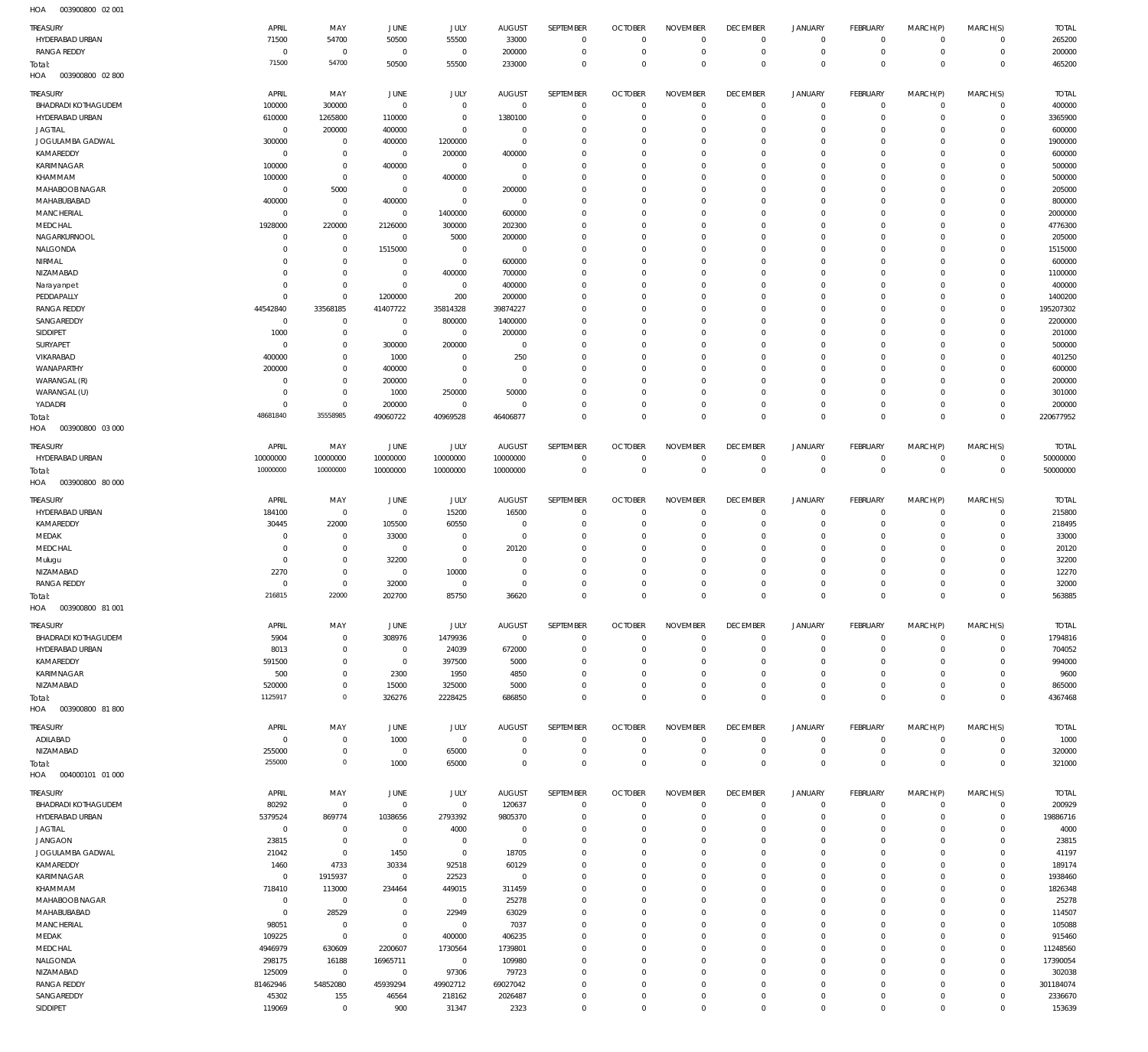003900800 02 001 HOA

| TREASURY                          | APRIL           | MAY                   | JUNE           | JULY            | <b>AUGUST</b>   | SEPTEMBER                 | <b>OCTOBER</b>            | <b>NOVEMBER</b>           | <b>DECEMBER</b>     | <b>JANUARY</b>             | <b>FEBRUARY</b> | MARCH(P)                   | MARCH(S)    | <b>TOTAL</b>      |
|-----------------------------------|-----------------|-----------------------|----------------|-----------------|-----------------|---------------------------|---------------------------|---------------------------|---------------------|----------------------------|-----------------|----------------------------|-------------|-------------------|
| HYDERABAD URBAN                   | 71500           | 54700                 | 50500          | 55500           | 33000           | $\mathbf 0$               | $^{\circ}$                | $^{\circ}$                | $^{\circ}$          | $\circ$                    | $^{\circ}$      | $\circ$                    | $\mathbf 0$ | 265200            |
| RANGA REDDY                       | $\mathbf 0$     | $\overline{0}$        | $\overline{0}$ | $\overline{0}$  | 200000          | $\mathbf 0$               | $^{\circ}$                | $\mathbf{0}$              | $^{\circ}$          | $\mathbf 0$                | $^{\circ}$      | $\mathbf 0$                | $\mathbf 0$ | 200000            |
| Total:                            | 71500           | 54700                 | 50500          | 55500           | 233000          | $\overline{0}$            | $\overline{0}$            | $\mathbf 0$               | $\Omega$            | $\,0\,$                    | $\Omega$        | $\mathbf 0$                | $\mathbf 0$ | 465200            |
| HOA<br>003900800 02 800           |                 |                       |                |                 |                 |                           |                           |                           |                     |                            |                 |                            |             |                   |
| TREASURY                          | APRIL           | MAY                   | <b>JUNE</b>    | JULY            | <b>AUGUST</b>   | SEPTEMBER                 | <b>OCTOBER</b>            | <b>NOVEMBER</b>           | <b>DECEMBER</b>     | <b>JANUARY</b>             | <b>FEBRUARY</b> | MARCH(P)                   | MARCH(S)    | <b>TOTAL</b>      |
| <b>BHADRADI KOTHAGUDEM</b>        | 100000          | 300000                | $^{\circ}$     | $\overline{0}$  | $\overline{0}$  | $\mathbf 0$               | $^{\circ}$                | $^{\circ}$                | $^{\circ}$          | $\circ$                    | $^{\circ}$      | $\circ$                    | $\mathbf 0$ | 400000            |
| HYDERABAD URBAN                   | 610000          | 1265800               | 110000         | $\overline{0}$  | 1380100         | $\overline{0}$            | $^{\circ}$                | $\mathbf 0$               | $^{\circ}$          | $\mathbf 0$                | $^{\circ}$      | $\mathbf 0$                | $\mathbf 0$ | 3365900           |
| <b>JAGTIAL</b>                    | $\mathbf 0$     | 200000                | 400000         | $\overline{0}$  | $\mathbf 0$     | $\overline{0}$            | $^{\circ}$                | $\mathbf 0$               | $\Omega$            | $\mathbf 0$                | $\Omega$        | $\mathbf 0$                | $\mathbf 0$ | 600000            |
|                                   |                 |                       |                |                 | $\mathbf 0$     | $\overline{0}$            | $\Omega$                  | $\mathbf 0$               |                     |                            | $\Omega$        |                            |             | 1900000           |
| JOGULAMBA GADWAL                  | 300000          | $\overline{0}$        | 400000         | 1200000         |                 |                           |                           |                           | $^{\circ}$          | $\mathbf 0$                |                 | $\mathbf 0$                | $\mathbf 0$ |                   |
| KAMAREDDY                         | $\mathbf 0$     | $\overline{0}$        | $\overline{0}$ | 200000          | 400000          | $\overline{0}$            | $\Omega$                  | $\Omega$                  | $\Omega$            | $\mathbf 0$                | $\Omega$        | $\mathbf 0$                | $\mathbf 0$ | 600000            |
| KARIMNAGAR                        | 100000          | $\overline{0}$        | 400000         | $\overline{0}$  | $^{\circ}$      | $\overline{0}$            | $\Omega$                  | $\mathbf 0$               | $\Omega$            | $\mathbf 0$                | $\Omega$        | $\mathbf 0$                | $\mathbf 0$ | 500000            |
| KHAMMAM                           | 100000          | $\overline{0}$        | $\overline{0}$ | 400000          | $\mathbf 0$     | $\overline{0}$            | $\Omega$                  | $\mathbf 0$               | $\Omega$            | $\mathbf 0$                | $\Omega$        | $\mathbf 0$                | $\mathbf 0$ | 500000            |
| MAHABOOB NAGAR                    | $\overline{0}$  | 5000                  | $\overline{0}$ | $\overline{0}$  | 200000          | $\overline{0}$            | $\Omega$                  | $\mathbf 0$               | $\Omega$            | $\mathbf 0$                | $\Omega$        | $\mathbf 0$                | $\mathbf 0$ | 205000            |
| MAHABUBABAD                       | 400000          | $\overline{0}$        | 400000         | $\mathbb O$     | $^{\circ}$      | $\overline{0}$            | $\Omega$                  | $\mathbf{0}$              | $\Omega$            | $\mathbf 0$                | $\Omega$        | $\mathbf 0$                | $\mathbf 0$ | 800000            |
| <b>MANCHERIAL</b>                 | $\overline{0}$  | $\overline{0}$        | $\overline{0}$ | 1400000         | 600000          | $\overline{0}$            | $\Omega$                  | $\mathbf{0}$              | $\Omega$            | $\mathbf 0$                | $\Omega$        | $\mathbf 0$                | $\mathbf 0$ | 2000000           |
| MEDCHAL                           | 1928000         | 220000                | 2126000        | 300000          | 202300          | $\overline{0}$            | $^{\circ}$                | $\mathbf{0}$              | $\Omega$            | $\mathbf 0$                | $\Omega$        | $\mathbf 0$                | $\mathbf 0$ | 4776300           |
| NAGARKURNOOL                      | $\mathbf 0$     | $\overline{0}$        | $\mathbf 0$    | 5000            | 200000          | $\overline{0}$            | $\Omega$                  | $\mathbf{0}$              | $\Omega$            | $\mathbf 0$                | $\Omega$        | $\mathbf 0$                | $\mathbf 0$ | 205000            |
| NALGONDA                          | $\mathbf 0$     | $\overline{0}$        | 1515000        | $\mathbb O$     | $\overline{0}$  | $\overline{0}$            | $\Omega$                  | $\mathbf{0}$              | $\Omega$            | $\mathbf 0$                | $\Omega$        | $\mathbf 0$                | $\mathbf 0$ | 1515000           |
| NIRMAL                            | $\mathbf 0$     | $\overline{0}$        | $\mathbf 0$    | $\mathbb O$     | 600000          | $\overline{0}$            | $\Omega$                  | $\mathbf{0}$              | $\Omega$            | $\mathbf 0$                | $\Omega$        | $\mathbf 0$                | $\mathbf 0$ | 600000            |
| NIZAMABAD                         | $\mathbf 0$     | $\overline{0}$        | $\overline{0}$ | 400000          | 700000          | $\overline{0}$            | $\Omega$                  | $\mathbf{0}$              | $\Omega$            | $\circ$                    | $\Omega$        | $\mathbf 0$                | $\mathbf 0$ | 1100000           |
| Narayanpet                        | $\mathbf 0$     | $\overline{0}$        | $\mathbf 0$    | $\overline{0}$  | 400000          | $\overline{0}$            | $\Omega$                  | $\mathbf{0}$              | $\Omega$            | $\mathbf 0$                | $\Omega$        | $\mathbf 0$                | $\mathbf 0$ | 400000            |
| PEDDAPALLY                        | $\mathbf 0$     | $\overline{0}$        | 1200000        | 200             | 200000          | $\overline{0}$            | $\Omega$                  | $\Omega$                  | $\Omega$            | $\mathbf 0$                | $\Omega$        | $\mathbf 0$                | 0           | 1400200           |
| RANGA REDDY                       | 44542840        | 33568185              | 41407722       | 35814328        | 39874227        | $\overline{0}$            | $\Omega$                  | $\mathbf{0}$              | $\Omega$            | $\mathbf 0$                | $\Omega$        | $\mathbf 0$                | $\mathbf 0$ | 195207302         |
| SANGAREDDY                        | $\overline{0}$  | $\overline{0}$        | $\overline{0}$ | 800000          | 1400000         | $\overline{0}$            | $\Omega$                  | $\Omega$                  | $\Omega$            | $\mathbf 0$                | $\Omega$        | $\mathbf 0$                | $\mathbf 0$ | 2200000           |
| SIDDIPET                          | 1000            | $\overline{0}$        | $\mathbf 0$    | $\mathbf 0$     | 200000          | $\overline{0}$            | $\Omega$                  | $\mathbf{0}$              | $\Omega$            | $\mathbf 0$                | $\Omega$        | $\mathbf 0$                | $\mathbf 0$ | 201000            |
| SURYAPET                          | $\mathbf 0$     | $\overline{0}$        | 300000         | 200000          | $\mathbf{0}$    | $\overline{0}$            | $\Omega$                  | $\Omega$                  | $\Omega$            | $\mathbf 0$                | $\Omega$        | $\mathbf 0$                | $\mathbf 0$ | 500000            |
| VIKARABAD                         | 400000          | $\overline{0}$        | 1000           | $\overline{0}$  | 250             | $\overline{0}$            | $\Omega$                  | $\mathbf{0}$              | $\Omega$            | $\mathbf 0$                | $\Omega$        | $\mathbf 0$                | $\mathbf 0$ | 401250            |
| WANAPARTHY                        | 200000          | $\overline{0}$        | 400000         | $\overline{0}$  | $\mathbf 0$     | $\overline{0}$            | $\Omega$                  | $\mathbf{0}$              | $\Omega$            | $\mathbf 0$                | $\Omega$        | $\mathbf 0$                | $\mathbf 0$ | 600000            |
| WARANGAL (R)                      | $\mathbf 0$     | $\overline{0}$        | 200000         | $\overline{0}$  | $\mathbf{0}$    | $\overline{0}$            | $\Omega$                  | $\mathbf{0}$              | $\Omega$            | $\mathbf 0$                | $\Omega$        | $\mathbf 0$                | $\mathbf 0$ | 200000            |
| WARANGAL (U)                      | $\mathbf 0$     | $\overline{0}$        | 1000           | 250000          | 50000           | $\overline{0}$            | $\mathbf 0$               | $\mathbf{0}$              | $\Omega$            | $\mathbf 0$                | $\Omega$        | $\mathbf 0$                | $\mathbf 0$ | 301000            |
| YADADRI                           | $\mathbf 0$     | $\overline{0}$        | 200000         | $\overline{0}$  | $\mathbf{0}$    | $\overline{0}$            | $\mathbf 0$               | $\mathbf{0}$              | $^{\circ}$          | $\mathbf 0$                | $\Omega$        | $\mathbf 0$                | $\mathbf 0$ | 200000            |
|                                   | 48681840        | 35558985              | 49060722       | 40969528        | 46406877        | $\overline{0}$            | $\Omega$                  | $\overline{0}$            | $\Omega$            | $\,0\,$                    | $\Omega$        | $\mathbf 0$                | $\mathbf 0$ | 220677952         |
| Total:<br>003900800 03 000<br>HOA |                 |                       |                |                 |                 |                           |                           |                           |                     |                            |                 |                            |             |                   |
|                                   |                 |                       |                |                 |                 |                           |                           |                           |                     |                            |                 |                            |             |                   |
| TREASURY                          | APRIL           | MAY                   | <b>JUNE</b>    | JULY            | <b>AUGUST</b>   | SEPTEMBER                 | <b>OCTOBER</b>            | <b>NOVEMBER</b>           | <b>DECEMBER</b>     | <b>JANUARY</b>             | <b>FEBRUARY</b> | MARCH(P)                   | MARCH(S)    | <b>TOTAL</b>      |
| HYDERABAD URBAN                   | 10000000        | 10000000              | 10000000       | 10000000        | 10000000        | $\overline{0}$            | $^{\circ}$                | $^{\circ}$                | $^{\circ}$          | $\circ$                    | $^{\circ}$      | $\mathbf 0$                | $\mathbf 0$ | 50000000          |
| Total:                            | 10000000        | 10000000              | 10000000       | 10000000        | 10000000        | $\,0\,$                   | $\mathbf 0$               | $\overline{0}$            | $\mathbf 0$         | $\,0\,$                    | $\mathbf 0$     | $\mathbb O$                | $\mathbf 0$ | 50000000          |
| 003900800 80 000<br>HOA           |                 |                       |                |                 |                 |                           |                           |                           |                     |                            |                 |                            |             |                   |
|                                   |                 |                       |                |                 |                 |                           |                           |                           |                     |                            |                 |                            |             |                   |
| TREASURY                          | APRIL           | MAY                   | <b>JUNE</b>    | JULY            | <b>AUGUST</b>   | SEPTEMBER                 | <b>OCTOBER</b>            | <b>NOVEMBER</b>           | <b>DECEMBER</b>     | <b>JANUARY</b>             | <b>FEBRUARY</b> | MARCH(P)                   | MARCH(S)    | <b>TOTAL</b>      |
| HYDERABAD URBAN                   | 184100          | $\overline{0}$        | $\mathbf 0$    | 15200           | 16500           | $^{\circ}$                | $^{\circ}$                | $^{\circ}$                | $^{\circ}$          | $\circ$                    | $^{\circ}$      | $\circ$                    | $\mathbf 0$ | 215800            |
| KAMAREDDY                         | 30445           | 22000                 | 105500         | 60550           | $^{\circ}$      | $\overline{0}$            | $\Omega$                  | $\mathbf{0}$              | $^{\circ}$          | $\mathbf 0$                | $^{\circ}$      | $\mathbf 0$                | $^{\circ}$  | 218495            |
| MEDAK                             | $\mathbf 0$     | $\overline{0}$        | 33000          | $\mathbf{0}$    | $\mathbf{0}$    | $\overline{0}$            | $\mathbf 0$               | $\mathbf{0}$              | $\Omega$            | $\mathbf 0$                | $\Omega$        | $\mathbf 0$                | $\mathbf 0$ | 33000             |
| MEDCHAL                           | $\mathbf 0$     | $\overline{0}$        | $\overline{0}$ | $\overline{0}$  | 20120           | $\overline{0}$            | $\Omega$                  | $\mathbf{0}$              | $^{\circ}$          | $\mathbf 0$                | $\Omega$        | $\mathbf 0$                | $\mathbf 0$ | 20120             |
| Mulugu                            | $\mathbf 0$     | $\overline{0}$        | 32200          | $\overline{0}$  | $\mathbf 0$     | $\overline{0}$            | $\Omega$                  | $\mathbf 0$               | $\Omega$            | $\mathbf 0$                | $\Omega$        | $\mathbf 0$                | $\mathbf 0$ | 32200             |
| NIZAMABAD                         | 2270            | $\overline{0}$        | $\overline{0}$ | 10000           | $\mathbf 0$     | $\overline{0}$            | $\Omega$                  | $\mathbf 0$               | $\Omega$            | $\circ$                    | $\Omega$        | $\mathbf 0$                | $\mathbf 0$ | 12270             |
| <b>RANGA REDDY</b>                | $\Omega$        | $\overline{0}$        | 32000          | $\mathbf 0$     | $\mathbf 0$     | $\overline{0}$            | $\mathbf 0$               | $\mathbf 0$               | $\Omega$            | $\mathbf 0$                | $\Omega$        | $\mathbf 0$                | $\mathbf 0$ | 32000             |
| Total:                            | 216815          | 22000                 | 202700         | 85750           | 36620           | $\mathbf{0}$              | $\overline{0}$            | $\mathbf{0}$              | $\mathbf{0}$        | $\overline{0}$             | $\Omega$        | $\Omega$                   | $\Omega$    | 563885            |
| HOA<br>003900800 81 001           |                 |                       |                |                 |                 |                           |                           |                           |                     |                            |                 |                            |             |                   |
|                                   |                 |                       |                |                 |                 |                           |                           |                           |                     |                            |                 |                            |             |                   |
| TREASURY                          | APRIL           | MAY                   | JUNE           | JULY            | <b>AUGUST</b>   | SEPTEMBER                 | <b>OCTOBER</b>            | <b>NOVEMBER</b>           | <b>DECEMBER</b>     | <b>JANUARY</b>             | <b>FEBRUARY</b> | MARCH(P)                   | MARCH(S)    | <b>TOTAL</b>      |
| <b>BHADRADI KOTHAGUDEM</b>        | 5904            | $\overline{0}$        | 308976         | 1479936         | $\overline{0}$  | $\mathbf 0$               | $^{\circ}$                | $^{\circ}$                | $^{\circ}$          | $\circ$                    | $^{\circ}$      | $\mathbf 0$                | $\mathbf 0$ | 1794816           |
| HYDERABAD URBAN                   | 8013            | $\overline{0}$        | $^{\circ}$     | 24039           | 672000          | $\overline{0}$            | $\Omega$                  | $\Omega$                  | $\Omega$            | $\circ$                    | $^{\circ}$      | $\mathbf 0$                | 0           | 704052            |
| KAMAREDDY                         | 591500          | $\mathbf 0$           | $^{\circ}$     | 397500          | 5000            | $^{\circ}$                | 0                         | $^{\circ}$                | $\circ$             | $\circ$                    | $\Omega$        | $\mathbf 0$                | 0           | 994000            |
| KARIMNAGAR                        | 500             | $\mathbf 0$           | 2300           | 1950            | 4850            | $^{\circ}$                | $\Omega$                  | $\Omega$                  | $\Omega$            | $\mathbf 0$                | $\Omega$        | $\Omega$                   | $\Omega$    | 9600              |
| NIZAMABAD                         | 520000          | $\overline{0}$        | 15000          | 325000          | 5000            | $\overline{0}$            | $\mathbf 0$               | $^{\circ}$                | $^{\circ}$          | $\circ$                    | $\mathbf 0$     | $\circ$                    | $\circ$     | 865000            |
| Total:                            | 1125917         | $\overline{0}$        | 326276         | 2228425         | 686850          | $\overline{0}$            | $\Omega$                  | $\Omega$                  | $\Omega$            | $\mathbf 0$                | $\Omega$        | $\Omega$                   | $\mathbf 0$ | 4367468           |
| HOA<br>003900800 81800            |                 |                       |                |                 |                 |                           |                           |                           |                     |                            |                 |                            |             |                   |
| <b>TREASURY</b>                   | APRIL           | MAY                   | <b>JUNE</b>    | JULY            | <b>AUGUST</b>   | SEPTEMBER                 | <b>OCTOBER</b>            | <b>NOVEMBER</b>           | <b>DECEMBER</b>     | <b>JANUARY</b>             | <b>FEBRUARY</b> | MARCH(P)                   | MARCH(S)    | <b>TOTAL</b>      |
| ADILABAD                          | $\mathbf 0$     | $\overline{0}$        | 1000           | $\overline{0}$  | $^{\circ}$      | $\overline{0}$            | $\Omega$                  | $^{\circ}$                | $^{\circ}$          | $\circ$                    | $^{\circ}$      | $\mathbf 0$                | $\mathbf 0$ | 1000              |
| NIZAMABAD                         | 255000          | $\overline{0}$        | $\overline{0}$ | 65000           | 0               | $\overline{0}$            | $^{\circ}$                | $\mathbf 0$               | $^{\circ}$          | $\mathbf 0$                | $^{\circ}$      | $\mathbf 0$                | $\mathbf 0$ | 320000            |
| Total:                            | 255000          | $\overline{0}$        | 1000           | 65000           | $\mathbf 0$     | $\,0\,$                   | $\Omega$                  | $\mathbf 0$               | $^{\circ}$          | $\mathbf 0$                | $\Omega$        | $\mathbf 0$                | $\mathbf 0$ | 321000            |
| 004000101 01 000<br>HOA           |                 |                       |                |                 |                 |                           |                           |                           |                     |                            |                 |                            |             |                   |
|                                   |                 |                       |                |                 |                 |                           |                           |                           |                     |                            |                 |                            |             |                   |
| TREASURY                          | APRIL           | MAY                   | <b>JUNE</b>    | JULY            | <b>AUGUST</b>   | SEPTEMBER                 | <b>OCTOBER</b>            | <b>NOVEMBER</b>           | <b>DECEMBER</b>     | <b>JANUARY</b>             | <b>FEBRUARY</b> | MARCH(P)                   | MARCH(S)    | <b>TOTAL</b>      |
| <b>BHADRADI KOTHAGUDEM</b>        | 80292           | $\overline{0}$        | $\mathbf 0$    | $\mathbf 0$     | 120637          | $^{\circ}$                | $^{\circ}$                | $^{\circ}$                | $^{\circ}$          | $\circ$                    | $^{\circ}$      | $\mathbf 0$                | $\mathbf 0$ | 200929            |
| HYDERABAD URBAN                   | 5379524         | 869774                | 1038656        | 2793392         | 9805370         | $\overline{0}$            | $^{\circ}$                | $\Omega$                  | $\Omega$            | $\circ$                    | $^{\circ}$      | $\mathbf 0$                | $\mathbf 0$ | 19886716          |
| <b>JAGTIAL</b>                    | $\mathbf 0$     | $\overline{0}$        | $^{\circ}$     | 4000            | $^{\circ}$      | $^{\circ}$                | $\Omega$                  | $\Omega$                  | $\Omega$            | $\mathbf 0$                | -C              | $^{\circ}$                 | 0           | 4000              |
| <b>JANGAON</b>                    | 23815           | $\overline{0}$        | $^{\circ}$     | $\overline{0}$  | $^{\circ}$      | $^{\circ}$                | $\Omega$                  | $\Omega$                  | $\Omega$            | $\mathbf 0$                | $\Omega$        | $\Omega$                   | $\Omega$    | 23815             |
| JOGULAMBA GADWAL                  | 21042           | $\overline{0}$        | 1450           | $\overline{0}$  | 18705           | $^{\circ}$                | $\Omega$                  | $^{\circ}$                | $\Omega$            | $\mathbf 0$                | -C              | $\Omega$                   | 0           | 41197             |
| KAMAREDDY                         | 1460            | 4733                  | 30334          | 92518           | 60129           | $^{\circ}$                | $\Omega$                  | $\Omega$                  | $\Omega$            | $\Omega$                   | -C              | $\Omega$                   | $\Omega$    | 189174            |
| KARIMNAGAR                        | $\mathbf 0$     | 1915937               | $^{\circ}$     | 22523           | $^{\circ}$      | $\overline{0}$            | 0                         | $^{\circ}$                | $\circ$             | $\mathbf 0$                | $\Omega$        | $\mathbf 0$                | 0           | 1938460           |
| KHAMMAM                           | 718410          | 113000                | 234464         | 449015          | 311459          | $^{\circ}$                | $\Omega$                  | $\Omega$                  | $\Omega$            | $\Omega$                   | -C              | $\Omega$                   | O           | 1826348           |
| MAHABOOB NAGAR                    | $\mathbf 0$     | $\overline{0}$        | $\mathbf 0$    | $\overline{0}$  | 25278           | $\overline{0}$            | $\Omega$                  | $^{\circ}$                | $\circ$             | $\mathbf 0$                | $\Omega$        | $\mathbf 0$                | 0           | 25278             |
| MAHABUBABAD                       | $\mathbf 0$     | 28529                 | $\mathbf 0$    | 22949           | 63029           | $\overline{0}$            | $\Omega$                  | $\Omega$                  | $\Omega$            | $\Omega$                   | -C              | $\Omega$                   | O           | 114507            |
| MANCHERIAL                        | 98051           | $\overline{0}$        | $\mathbf 0$    | $\overline{0}$  | 7037            | $\overline{0}$            | $\Omega$                  | $^{\circ}$                | $\Omega$            | $\mathbf 0$                | $\Omega$        | $\mathbf 0$                | 0           | 105088            |
| MEDAK                             | 109225          | $\overline{0}$        | $\mathbf 0$    | 400000          | 406235          | $\mathbf 0$               | $\Omega$                  | $^{\circ}$                | $\Omega$            | $\mathbf 0$                | -C              | $\Omega$                   | $\Omega$    | 915460            |
| MEDCHAL                           | 4946979         | 630609                | 2200607        | 1730564         | 1739801         | $^{\circ}$                | $\Omega$                  | $\Omega$                  | $\Omega$            | $\mathbf 0$                | $\Omega$        | $\Omega$                   | 0           | 11248560          |
| NALGONDA                          | 298175          | 16188                 | 16965711       | $\overline{0}$  | 109980          | $\overline{0}$            | $\Omega$                  | $\Omega$                  | $\Omega$            | $\mathbf 0$                | -C              | $\Omega$                   | 0           | 17390054          |
| NIZAMABAD                         | 125009          | $\overline{0}$        | $^{\circ}$     | 97306           | 79723           | $^{\circ}$                | $\Omega$                  | $^{\circ}$                | $\Omega$            | $\mathbf 0$                | -C              | $\Omega$                   | 0           | 302038            |
| <b>RANGA REDDY</b>                | 81462946        | 54852080              | 45939294       | 49902712        | 69027042        | $^{\circ}$                | $^{\circ}$                | $^{\circ}$                | $\Omega$            | $\mathbf 0$                | $\Omega$        | $\mathbf 0$                | 0           | 301184074         |
| SANGAREDDY                        |                 |                       |                |                 |                 |                           |                           |                           |                     |                            |                 |                            |             |                   |
|                                   |                 |                       |                |                 |                 |                           |                           |                           |                     |                            |                 |                            |             |                   |
| SIDDIPET                          | 45302<br>119069 | 155<br>$\overline{0}$ | 46564<br>900   | 218162<br>31347 | 2026487<br>2323 | $^{\circ}$<br>$\mathbf 0$ | $^{\circ}$<br>$\mathbf 0$ | $^{\circ}$<br>$\mathbf 0$ | $\circ$<br>$\Omega$ | $\mathbf 0$<br>$\mathbf 0$ | -C<br>$\Omega$  | $\mathbf 0$<br>$\mathbf 0$ | 0<br>0      | 2336670<br>153639 |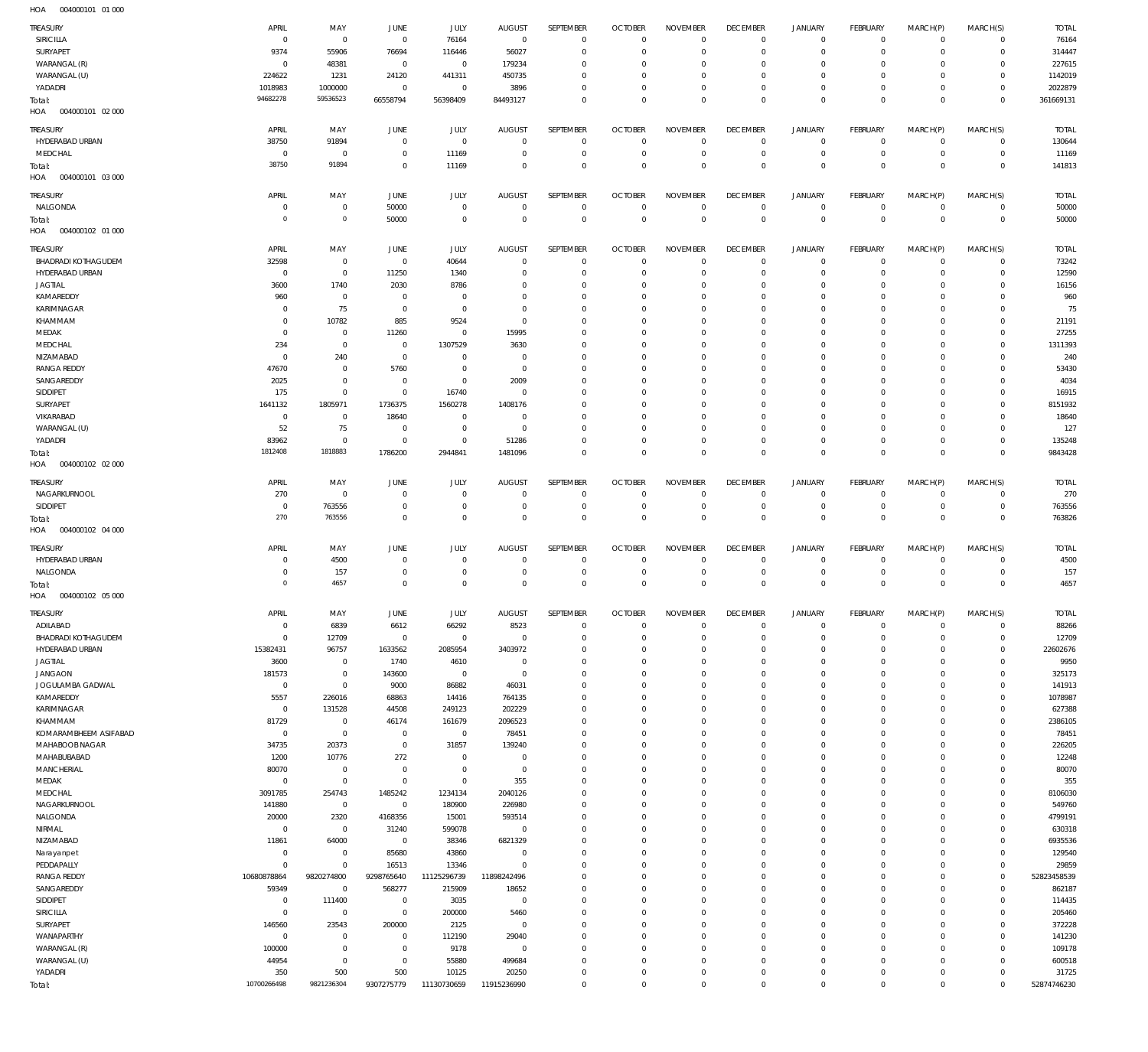| .<br>001000101             |                |             |                |             |                |                  |                |                 |                 |                |                |             |                |              |
|----------------------------|----------------|-------------|----------------|-------------|----------------|------------------|----------------|-----------------|-----------------|----------------|----------------|-------------|----------------|--------------|
| TREASURY                   | APRIL          | MAY         | <b>JUNE</b>    | JULY        | <b>AUGUST</b>  | SEPTEMBER        | <b>OCTOBER</b> | <b>NOVEMBER</b> | <b>DECEMBER</b> | <b>JANUARY</b> | FEBRUARY       | MARCH(P)    | MARCH(S)       | <b>TOTAL</b> |
| SIRICILLA                  | $^{\circ}$     | $^{\circ}$  | $\overline{0}$ | 76164       | $\mathbf 0$    | $\mathbf 0$      | $\Omega$       | $\Omega$        | $\mathbf 0$     | $\mathbf 0$    | $\mathbf{0}$   | $\mathbf 0$ | $\mathbf{0}$   | 76164        |
| SURYAPET                   | 9374           | 55906       | 76694          | 116446      | 56027          | $\mathbf 0$      | $\mathbf 0$    | $\Omega$        | $\Omega$        | $\mathbf 0$    | $\mathbf 0$    | $\Omega$    | $\mathbf 0$    | 314447       |
| WARANGAL (R)               | $\Omega$       | 48381       | $^{\circ}$     | $\mathbb O$ | 179234         | $\Omega$         | $\Omega$       | $\Omega$        | $\mathbf 0$     | $\mathbf 0$    | $\Omega$       | $\Omega$    | $\mathbf 0$    | 227615       |
|                            |                |             |                |             |                | $\Omega$         | $\Omega$       | $\Omega$        | $\Omega$        |                |                | $\Omega$    |                |              |
| WARANGAL (U)               | 224622         | 1231        | 24120          | 441311      | 450735         |                  |                |                 |                 | $\mathbf 0$    | $^{\circ}$     |             | $\mathbf 0$    | 1142019      |
| YADADRI                    | 1018983        | 1000000     | $^{\circ}$     | $^{\circ}$  | 3896           | $\Omega$         | $\mathbf 0$    | $\Omega$        | $\mathbf 0$     | $\mathbf 0$    | $^{\circ}$     | $\Omega$    | $\mathbf 0$    | 2022879      |
| Total:                     | 94682278       | 59536523    | 66558794       | 56398409    | 84493127       | $\Omega$         | $\Omega$       | $\Omega$        | $\Omega$        | $\Omega$       | $\Omega$       | $\Omega$    | $\mathbf 0$    | 361669131    |
| HOA<br>004000101 02 000    |                |             |                |             |                |                  |                |                 |                 |                |                |             |                |              |
|                            |                |             |                |             |                |                  |                |                 |                 |                |                |             |                |              |
| <b>TREASURY</b>            | APRIL          | MAY         | JUNE           | JULY        | <b>AUGUST</b>  | SEPTEMBER        | <b>OCTOBER</b> | <b>NOVEMBER</b> | <b>DECEMBER</b> | <b>JANUARY</b> | FEBRUARY       | MARCH(P)    | MARCH(S)       | <b>TOTAL</b> |
| HYDERABAD URBAN            | 38750          | 91894       | $\circ$        | $\mathbb O$ | $^{\circ}$     | 0                | $\overline{0}$ | $\mathbf 0$     | $\mathbf 0$     | $\mathbf 0$    | $\circ$        | $\mathbf 0$ | $\circ$        | 130644       |
| MEDCHAL                    | $^{\circ}$     | $\mathbb O$ | $\overline{0}$ | 11169       | $^{\circ}$     | $\mathbf 0$      | $\overline{0}$ | $\mathbf 0$     | $\overline{0}$  | $\mathbf 0$    | $\mathbf{0}$   | $\mathbf 0$ | $\overline{0}$ | 11169        |
| Total:                     | 38750          | 91894       | $\mathbf 0$    | 11169       | $\Omega$       | $\mathbf 0$      | $\mathbf 0$    | $\mathbf 0$     | $\mathbf 0$     | $\mathbf 0$    | $\overline{0}$ | $\mathbf 0$ | $\overline{0}$ | 141813       |
| HOA<br>004000101 03 000    |                |             |                |             |                |                  |                |                 |                 |                |                |             |                |              |
|                            |                |             |                |             |                |                  |                |                 |                 |                |                |             |                |              |
| TREASURY                   | APRIL          | MAY         | <b>JUNE</b>    | JULY        | <b>AUGUST</b>  | <b>SEPTEMBER</b> | <b>OCTOBER</b> | <b>NOVEMBER</b> | <b>DECEMBER</b> | <b>JANUARY</b> | FEBRUARY       | MARCH(P)    | MARCH(S)       | <b>TOTAL</b> |
| NALGONDA                   | $^{\circ}$     | $\mathbf 0$ | 50000          | $^{\circ}$  | $^{\circ}$     | $\mathbf 0$      | $\mathbf 0$    | $\mathbf 0$     | $\overline{0}$  | $\mathbf 0$    | $\mathbf 0$    | $\mathbf 0$ | $\mathbf{0}$   | 50000        |
| Total:                     | $\circ$        | $\mathbb O$ | 50000          | $\mathbf 0$ | $\overline{0}$ | $\mathbf 0$      | $\mathbf{0}$   | $\mathbf 0$     | $\overline{0}$  | $\mathbf 0$    | $\overline{0}$ | $\mathbf 0$ | $\overline{0}$ | 50000        |
| HOA<br>004000102 01 000    |                |             |                |             |                |                  |                |                 |                 |                |                |             |                |              |
|                            |                |             |                |             |                |                  |                |                 |                 |                |                |             |                |              |
| TREASURY                   | APRIL          | MAY         | JUNE           | JULY        | <b>AUGUST</b>  | SEPTEMBER        | <b>OCTOBER</b> | <b>NOVEMBER</b> | <b>DECEMBER</b> | <b>JANUARY</b> | FEBRUARY       | MARCH(P)    | MARCH(S)       | <b>TOTAL</b> |
| BHADRADI KOTHAGUDEM        | 32598          | $\mathbb O$ | $\circ$        | 40644       | $\overline{0}$ | $\mathbf 0$      | $\overline{0}$ | $\mathbf 0$     | $\mathbf 0$     | $\mathbf 0$    | $\mathbf{0}$   | $\mathbf 0$ | $\mathbf{0}$   | 73242        |
| HYDERABAD URBAN            | $^{\circ}$     | $\mathbf 0$ | 11250          | 1340        | $\Omega$       | $\mathbf 0$      | $\mathbf 0$    | $\mathbf 0$     | $\mathbf 0$     | $\mathbf 0$    | $\mathbf{0}$   | $\mathbf 0$ | $\mathbf{0}$   | 12590        |
| JAGTIAL                    | 3600           | 1740        | 2030           | 8786        | $^{\circ}$     | $\mathbf 0$      | $\mathbf 0$    | $\mathbf 0$     | $\mathbf 0$     | $\mathbf 0$    | $\mathbf{0}$   | $\Omega$    | $\mathbf 0$    | 16156        |
| KAMAREDDY                  | 960            | $\mathbb O$ | 0              | $\mathbf 0$ | $\Omega$       | $\Omega$         | $\Omega$       | $\Omega$        | $\Omega$        | $\Omega$       | $\mathbf{0}$   | $\Omega$    | $\Omega$       | 960          |
|                            |                |             |                |             |                |                  |                |                 |                 |                |                |             |                |              |
| KARIMNAGAR                 | 0              | 75          | $\overline{0}$ | $\mathbf 0$ | $^{\circ}$     | $\mathbf 0$      | $\mathbf 0$    | $\Omega$        | $\mathbf 0$     | $\mathbf 0$    | $\mathbf{0}$   | $\Omega$    | $\mathbf 0$    | 75           |
| KHAMMAM                    | $\Omega$       | 10782       | 885            | 9524        | $^{\circ}$     | $\mathbf 0$      | $\mathbf 0$    | $\Omega$        | $\mathbf 0$     | $\Omega$       | $\mathbf 0$    | $\Omega$    | $\mathbf 0$    | 21191        |
| MEDAK                      | $^{\circ}$     | $\mathbb O$ | 11260          | $\mathbf 0$ | 15995          | $\mathbf 0$      | $\Omega$       | $\Omega$        | $\Omega$        | $\mathbf 0$    | $\mathbf{0}$   | $\Omega$    | $\mathbf{0}$   | 27255        |
| MEDCHAL                    | 234            | $\mathbb O$ | $\circ$        | 1307529     | 3630           | $\mathbf 0$      | $\mathbf 0$    | $\Omega$        | $\mathbf 0$     | $\Omega$       | $\mathbf 0$    | $\Omega$    | $\mathbf 0$    | 1311393      |
| NIZAMABAD                  | $^{\circ}$     | 240         | $\overline{0}$ | $\mathbf 0$ | $^{\circ}$     | $\mathbf 0$      | $\Omega$       | $\Omega$        | $\Omega$        | $\Omega$       | $\mathbf{0}$   | $\Omega$    | $\mathbf 0$    | 240          |
| <b>RANGA REDDY</b>         | 47670          | $\mathbb O$ | 5760           | $\mathbb O$ | $^{\circ}$     | $\mathbf 0$      | $\mathbf 0$    | $\mathbf 0$     | $\mathbf 0$     | $\mathbf 0$    | $\mathbf 0$    | $\Omega$    | $\mathbf 0$    | 53430        |
|                            |                |             |                |             |                |                  |                |                 |                 |                |                |             |                |              |
| SANGAREDDY                 | 2025           | $\mathbf 0$ | $^{\circ}$     | $\mathbf 0$ | 2009           | $\mathbf 0$      | $\Omega$       | $\Omega$        | $\Omega$        | $\Omega$       | $\mathbf{0}$   | $\Omega$    | $\Omega$       | 4034         |
| SIDDIPET                   | 175            | $\mathbf 0$ | $\circ$        | 16740       | $\overline{0}$ | $\Omega$         | $\Omega$       | $\Omega$        | $\Omega$        | $\mathbf 0$    | $\mathbf{0}$   | $\Omega$    | $\mathbf 0$    | 16915        |
| SURYAPET                   | 1641132        | 1805971     | 1736375        | 1560278     | 1408176        | $\mathbf 0$      | $\mathbf 0$    | $\Omega$        | $\mathbf 0$     | $\mathbf 0$    | $\mathbf 0$    | $\Omega$    | $\mathbf 0$    | 8151932      |
| VIKARABAD                  | $^{\circ}$     | $\mathbf 0$ | 18640          | $\mathbf 0$ | $\overline{0}$ | $\mathbf 0$      | $\mathbf 0$    | $\Omega$        | $\Omega$        | $\Omega$       | $^{\circ}$     | $\Omega$    | $\mathbf 0$    | 18640        |
| WARANGAL (U)               | 52             | 75          | $^{\circ}$     | $\mathbb O$ | $^{\circ}$     | $\mathbf 0$      | $\mathbf 0$    | $\Omega$        | $\mathbf 0$     | $\mathbf 0$    | $\mathbf{0}$   | $\Omega$    | $\mathbf{0}$   | 127          |
|                            | 83962          | $\mathbf 0$ | $\circ$        | $\mathbf 0$ |                | $\mathbf 0$      | $\mathbf 0$    | $\Omega$        | $\mathbf 0$     | $\mathbf 0$    | $\mathbf{0}$   | $\Omega$    | $\mathbf{0}$   |              |
| YADADRI                    |                |             |                |             | 51286          |                  |                |                 |                 |                |                |             |                | 135248       |
| Total:                     | 1812408        | 1818883     | 1786200        | 2944841     | 1481096        | $\mathbf 0$      | $\Omega$       | $\mathbf 0$     | $\mathbf 0$     | $\mathbf 0$    | $\overline{0}$ | $\Omega$    | $\overline{0}$ | 9843428      |
| HOA<br>004000102 02 000    |                |             |                |             |                |                  |                |                 |                 |                |                |             |                |              |
|                            |                |             |                |             |                |                  |                |                 |                 |                |                |             |                |              |
| TREASURY                   | APRIL          | MAY         | <b>JUNE</b>    | JULY        | <b>AUGUST</b>  | SEPTEMBER        | <b>OCTOBER</b> | <b>NOVEMBER</b> | <b>DECEMBER</b> | <b>JANUARY</b> | FEBRUARY       | MARCH(P)    | MARCH(S)       | <b>TOTAL</b> |
| NAGARKURNOOL               | 270            | $\mathbf 0$ | $\mathbf 0$    | $^{\circ}$  | $^{\circ}$     | $\mathbf 0$      | $\mathbf 0$    | $\mathbf 0$     | $\mathbf 0$     | $\mathbf 0$    | $^{\circ}$     | $\Omega$    | $\mathbf{0}$   | 270          |
| SIDDIPET                   | $^{\circ}$     | 763556      | $\mathbf 0$    | $\mathbf 0$ | $^{\circ}$     | $\mathbf 0$      | $\mathbf 0$    | $\mathbf 0$     | $\mathbf 0$     | $\mathbf 0$    | $\circ$        | $\mathbf 0$ | $\circ$        | 763556       |
| Total:                     | 270            | 763556      | $\mathbf 0$    | $\mathbf 0$ | $\Omega$       | $\mathbf 0$      | $\mathbf 0$    | $\mathbf 0$     | $\mathbf 0$     | $\mathbf 0$    | $\overline{0}$ | $\mathbf 0$ | $\overline{0}$ | 763826       |
| HOA<br>004000102 04 000    |                |             |                |             |                |                  |                |                 |                 |                |                |             |                |              |
|                            |                |             |                |             |                |                  |                |                 |                 |                |                |             |                |              |
| TREASURY                   | APRIL          | MAY         | <b>JUNE</b>    | <b>JULY</b> | <b>AUGUST</b>  | SEPTEMBER        | <b>OCTOBER</b> | <b>NOVEMBER</b> | <b>DECEMBER</b> | <b>JANUARY</b> | FEBRUARY       | MARCH(P)    | MARCH(S)       | <b>TOTAL</b> |
| HYDERABAD URBAN            | $^{\circ}$     | 4500        | 0              | $\mathbf 0$ | $^{\circ}$     | $\mathbf 0$      | $\mathbf 0$    | $\mathbf 0$     | $\overline{0}$  | $\mathbf 0$    | $\mathbf{0}$   | $\mathbf 0$ | $\overline{0}$ | 4500         |
| NALGONDA                   | 0              | 157         | $^{\circ}$     | $\mathbf 0$ | $^{\circ}$     | 0                | 0              | $\mathbf 0$     | $\mathbf 0$     | $\mathbf 0$    | $\circ$        | $\mathbf 0$ | $\circ$        | 157          |
| Total:                     | $\overline{0}$ | 4657        | $\circ$        | $\mathbf 0$ | $\Omega$       | $\mathbf 0$      | $\overline{0}$ | $\mathbf 0$     | $\mathbf 0$     | $\mathbf 0$    | $\overline{0}$ | $\mathbf 0$ | $\overline{0}$ | 4657         |
| HOA<br>004000102 05 000    |                |             |                |             |                |                  |                |                 |                 |                |                |             |                |              |
|                            |                |             |                |             |                |                  |                |                 |                 |                |                |             |                |              |
| <b>TREASURY</b>            | APRIL          | MAY         | <b>JUNE</b>    | JULY        | <b>AUGUST</b>  | SEPTEMBER        | <b>OCTOBER</b> | <b>NOVEMBER</b> | <b>DECEMBER</b> | <b>JANUARY</b> | FEBRUARY       | MARCH(P)    | MARCH(S)       | <b>TOTAL</b> |
| ADILABAD                   | $^{\circ}$     | 6839        | 6612           | 66292       | 8523           | $\mathbf 0$      | $\mathbf 0$    | $\mathbf 0$     | $\mathbf 0$     | 0              | $\mathbf{0}$   | $\mathbf 0$ | $^{\circ}$     | 88266        |
| <b>BHADRADI KOTHAGUDEM</b> | $^{\circ}$     | 12709       | $\overline{0}$ | $\mathbf 0$ | $\mathbf 0$    | $\mathbf 0$      | $\mathbf 0$    | $\Omega$        | $\mathbf 0$     | $\mathbf 0$    | $\mathbf 0$    | $\Omega$    | $\mathbf{0}$   | 12709        |
|                            |                |             |                |             |                |                  |                |                 |                 |                |                |             |                |              |
| HYDERABAD URBAN            | 15382431       | 96757       | 1633562        | 2085954     | 3403972        | $\mathbf 0$      | $\mathbf 0$    | $\Omega$        | $\mathbf 0$     | $\mathbf 0$    | $\mathbf 0$    | $\Omega$    | $\mathbf 0$    | 22602676     |
| JAGTIAL                    | 3600           | $\mathbf 0$ | 1740           | 4610        | $^{\circ}$     | $\mathbf 0$      | $\Omega$       | $\Omega$        | $\Omega$        | $\Omega$       | $\Omega$       | $\Omega$    | $\Omega$       | 9950         |
| <b>JANGAON</b>             | 181573         | $\mathbf 0$ | 143600         | $\mathbf 0$ | $\mathbf{0}$   | $\Omega$         | $\Omega$       | $\Omega$        | $\Omega$        | $\Omega$       | $\mathbf 0$    | $\Omega$    | $\Omega$       | 325173       |
| JOGULAMBA GADWAL           | $\mathbf 0$    | $\mathbf 0$ | 9000           | 86882       | 46031          | $\mathbf 0$      | $\mathbf 0$    | $\Omega$        | $\mathbf 0$     | $\Omega$       | $\Omega$       | $\Omega$    | $\Omega$       | 141913       |
| KAMAREDDY                  | 5557           | 226016      | 68863          | 14416       | 764135         | $\Omega$         | $\Omega$       | $\Omega$        | $\Omega$        | $\Omega$       | $\mathbf 0$    | $\Omega$    | $\Omega$       | 1078987      |
| KARIMNAGAR                 | $\mathbf 0$    | 131528      | 44508          | 249123      | 202229         | $\mathbf 0$      | $\mathbf 0$    | $\Omega$        | $\mathbf 0$     | $\mathbf 0$    | $\mathbf 0$    | $\Omega$    | $\mathbf 0$    | 627388       |
| KHAMMAM                    | 81729          | $\mathbf 0$ | 46174          | 161679      | 2096523        | $\Omega$         | $\Omega$       | $\Omega$        | $\Omega$        | $\Omega$       | $\Omega$       | $\Omega$    | $\Omega$       | 2386105      |
|                            |                |             |                |             |                |                  |                |                 |                 |                |                |             |                |              |
| KOMARAMBHEEM ASIFABAD      | $\mathbf 0$    | $\mathbf 0$ | $\overline{0}$ | $\mathbb O$ | 78451          | $\mathbf 0$      | $\Omega$       | $\Omega$        | $\mathbf 0$     | $\mathbf 0$    | $\mathbf 0$    | $\Omega$    | $\mathbf 0$    | 78451        |
| MAHABOOB NAGAR             | 34735          | 20373       | $\mathbf 0$    | 31857       | 139240         | $\mathbf 0$      | $\Omega$       | $\Omega$        | $\mathbf 0$     | $\Omega$       | $\Omega$       | $\Omega$    | $\Omega$       | 226205       |
| MAHABUBABAD                | 1200           | 10776       | 272            | $\mathbf 0$ | $\mathbf{0}$   | $\mathbf 0$      | $\Omega$       | $\Omega$        | $\Omega$        | $\Omega$       | $\mathbf 0$    | $\Omega$    | $\Omega$       | 12248        |
| <b>MANCHERIAL</b>          | 80070          | $\mathbf 0$ | $\mathbf 0$    | $\mathbf 0$ | $\mathbf{0}$   | $\mathbf 0$      | $\mathbf 0$    | $\Omega$        | $\mathbf 0$     | $\mathbf 0$    | $\mathbf 0$    | $\Omega$    | $\mathbf 0$    | 80070        |
| MEDAK                      | $\mathbf 0$    | $\mathbf 0$ | $\mathbf 0$    | $\mathbf 0$ | 355            | $\Omega$         | $\Omega$       | $\Omega$        | $\Omega$        | $\Omega$       | $\Omega$       | $\Omega$    | $\Omega$       | 355          |
| MEDCHAL                    | 3091785        | 254743      | 1485242        | 1234134     | 2040126        | $\mathbf 0$      | $\mathbf 0$    | $\Omega$        | $\mathbf 0$     | $\mathbf 0$    | $\mathbf 0$    | $\Omega$    | $\mathbf 0$    | 8106030      |
|                            |                |             |                |             |                |                  |                |                 |                 |                |                |             |                |              |
| NAGARKURNOOL               | 141880         | $\mathbf 0$ | $\mathbf 0$    | 180900      | 226980         | $\Omega$         | $\Omega$       | $\Omega$        | $\Omega$        | $\Omega$       | $\Omega$       | $\Omega$    | $\Omega$       | 549760       |
| NALGONDA                   | 20000          | 2320        | 4168356        | 15001       | 593514         | $\Omega$         | $\Omega$       | $\Omega$        | $\Omega$        | $\Omega$       | $\mathbf 0$    | $\Omega$    | $\Omega$       | 4799191      |
| NIRMAL                     | $^{\circ}$     | $\mathbf 0$ | 31240          | 599078      | $\mathbf 0$    | $\mathbf 0$      | $\mathbf 0$    | $\Omega$        | $\mathbf 0$     | $\Omega$       | $\Omega$       | $\Omega$    | $\mathbf 0$    | 630318       |
| NIZAMABAD                  | 11861          | 64000       | $\overline{0}$ | 38346       | 6821329        | $\Omega$         | $\Omega$       | $\Omega$        | $\Omega$        | $\Omega$       | $\mathbf 0$    | $\Omega$    | $\Omega$       | 6935536      |
| Narayanpet                 | $^{\circ}$     | $\mathbb O$ | 85680          | 43860       | $^{\circ}$     | $\mathbf 0$      | $\mathbf 0$    | $\Omega$        | $\mathbf 0$     | $\mathbf 0$    | $\mathbf 0$    | $\Omega$    | $\Omega$       | 129540       |
| PEDDAPALLY                 | $\mathbf 0$    | $\mathbf 0$ | 16513          | 13346       | $\Omega$       | $\Omega$         | $\Omega$       | $\Omega$        | $\Omega$        | $\Omega$       | $\Omega$       | $\Omega$    | $\Omega$       | 29859        |
|                            |                |             |                |             |                |                  |                |                 |                 |                |                |             |                |              |
| <b>RANGA REDDY</b>         | 10680878864    | 9820274800  | 9298765640     | 11125296739 | 11898242496    | $\mathbf 0$      | $\Omega$       | $\Omega$        | $\mathbf 0$     | $\mathbf 0$    | $\mathbf 0$    | $\Omega$    | $\circ$        | 52823458539  |
| SANGAREDDY                 | 59349          | $\mathbf 0$ | 568277         | 215909      | 18652          | $\Omega$         | $\Omega$       | $\Omega$        | $\Omega$        | $\Omega$       | $\Omega$       | $\Omega$    | $\Omega$       | 862187       |
| SIDDIPET                   | $\mathbf 0$    | 111400      | $^{\circ}$     | 3035        | $\mathbf{0}$   | $\mathbf 0$      | $\Omega$       | $\Omega$        | $\Omega$        | $\Omega$       | $\mathbf 0$    | $\Omega$    | $\Omega$       | 114435       |
| SIRICILLA                  | $^{\circ}$     | $\mathbf 0$ | $\circ$        | 200000      | 5460           | $\mathbf 0$      | $\mathbf 0$    | $\Omega$        | $\mathbf 0$     | $\Omega$       | $\mathbf 0$    | $\Omega$    | $\Omega$       | 205460       |
| SURYAPET                   |                | 23543       | 200000         | 2125        | $\mathbf{0}$   | $\mathbf 0$      | $\Omega$       | $\Omega$        | $\Omega$        | $\Omega$       | $\Omega$       | $\Omega$    | $\Omega$       | 372228       |
|                            |                |             |                |             |                |                  |                |                 |                 |                |                |             |                |              |
|                            | 146560         |             |                |             |                |                  |                |                 |                 |                |                |             |                |              |
| WANAPARTHY                 | $\mathbf 0$    | $\mathbf 0$ | $\mathbf 0$    | 112190      | 29040          | $\mathbf 0$      | $\mathbf 0$    | $\Omega$        | $\mathbf 0$     | $\mathbf 0$    | $\mathbf 0$    | $\Omega$    | $\mathbf 0$    | 141230       |
| WARANGAL (R)               | 100000         | $\mathbf 0$ | $\mathbf 0$    | 9178        | $^{\circ}$     | $\mathbf 0$      | $\Omega$       | $\Omega$        | $\Omega$        | $\Omega$       | $\Omega$       | $\Omega$    | $\Omega$       | 109178       |
| WARANGAL (U)               | 44954          | $\mathbf 0$ | $\mathbf 0$    | 55880       | 499684         | $\Omega$         | $\Omega$       | $\Omega$        | $\Omega$        | $\mathbf 0$    | $\mathbf 0$    | $\Omega$    | $\mathbf 0$    | 600518       |
| YADADRI                    | 350            | 500         | 500            | 10125       | 20250          | $\mathbf 0$      | $\mathbf 0$    | $\mathbf 0$     | $\mathbf 0$     | $\mathbf 0$    | $\mathbf 0$    | $\Omega$    | $\mathbf 0$    | 31725        |
| Total:                     | 10700266498    | 9821236304  | 9307275779     | 11130730659 | 11915236990    | $\Omega$         | $\mathbf 0$    | $\mathbf 0$     | $\mathbf 0$     | $\mathbf 0$    | $\overline{0}$ | $\mathbf 0$ | $\mathbf 0$    | 52874746230  |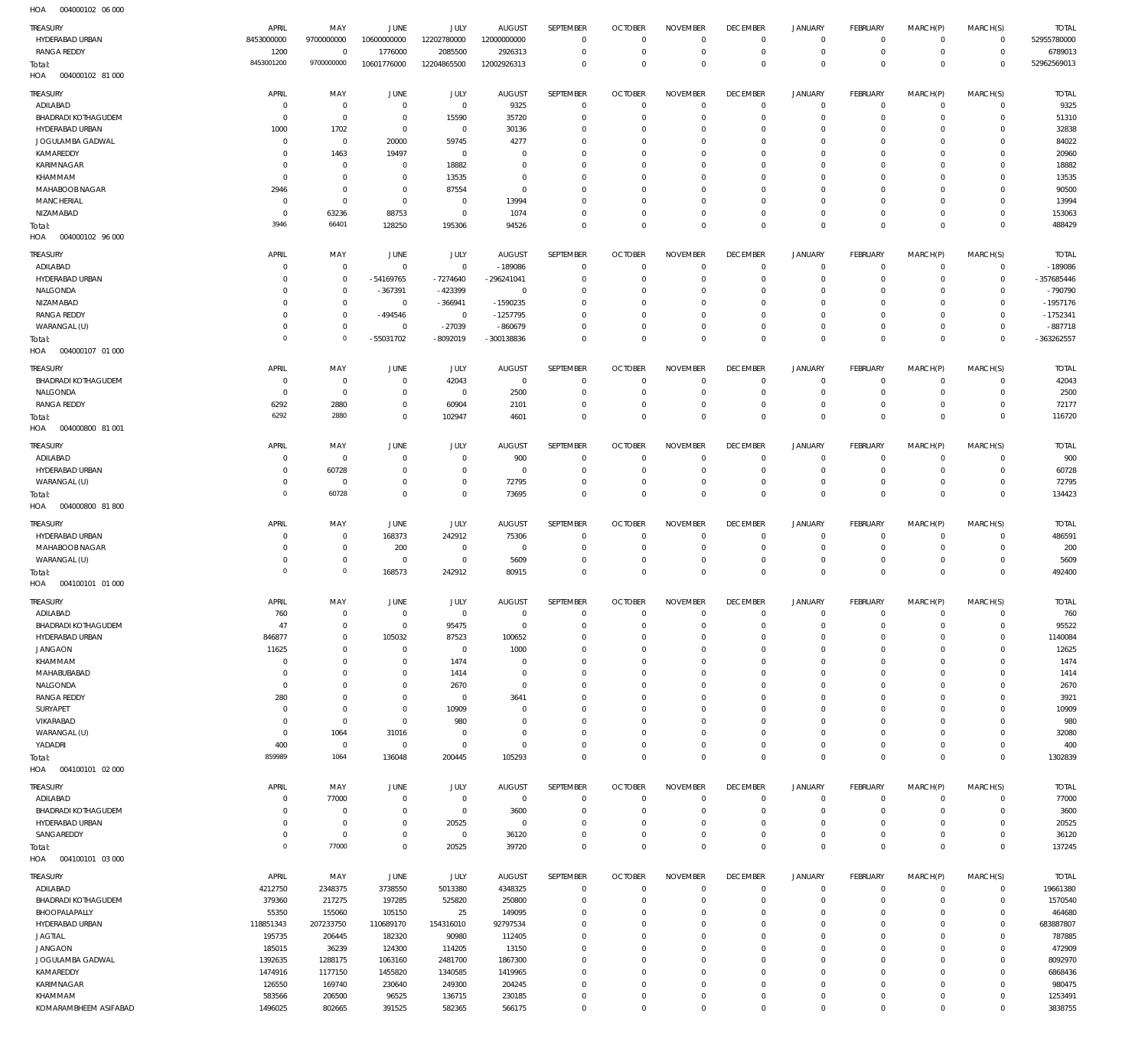004000102 06 000 HOA

| <b>TREASURY</b><br>HYDERABAD URBAN<br><b>RANGA REDDY</b> | APRIL<br>8453000000<br>1200 | MAY<br>9700000000<br>$\,0\,$     | <b>JUNE</b><br>10600000000<br>1776000 | JULY<br>12202780000<br>2085500 | <b>AUGUST</b><br>12000000000<br>2926313 | SEPTEMBER<br>$^{\circ}$<br>$\mathbf 0$ | <b>OCTOBER</b><br>$\Omega$<br>$^{\circ}$ | <b>NOVEMBER</b><br>$\overline{0}$<br>$\,0\,$ | <b>DECEMBER</b><br>$^{\circ}$<br>$^{\circ}$ | <b>JANUARY</b><br>0<br>$\mathbf 0$ | FEBRUARY<br>0<br>$\overline{0}$ | MARCH(P)<br>$^{\circ}$<br>$\mathbf 0$ | MARCH(S)<br>$\overline{0}$<br>$\overline{0}$ | <b>TOTAL</b><br>52955780000<br>6789013 |
|----------------------------------------------------------|-----------------------------|----------------------------------|---------------------------------------|--------------------------------|-----------------------------------------|----------------------------------------|------------------------------------------|----------------------------------------------|---------------------------------------------|------------------------------------|---------------------------------|---------------------------------------|----------------------------------------------|----------------------------------------|
| Total:<br>004000102 81 000<br>HOA                        | 8453001200                  | 9700000000                       | 10601776000                           | 12204865500                    | 12002926313                             | $\mathbf 0$                            | $\Omega$                                 | $\mathbb O$                                  | $\mathbf 0$                                 | $\mathbf 0$                        | $\circ$                         | $\mathbf 0$                           | $\overline{0}$                               | 52962569013                            |
| TREASURY                                                 | APRIL                       | MAY                              | <b>JUNE</b>                           | <b>JULY</b>                    | <b>AUGUST</b>                           | SEPTEMBER                              | <b>OCTOBER</b>                           | <b>NOVEMBER</b>                              | <b>DECEMBER</b>                             | <b>JANUARY</b>                     | FEBRUARY                        | MARCH(P)                              | MARCH(S)                                     | <b>TOTAL</b>                           |
| ADILABAD                                                 | $\mathbf 0$                 | $\,0\,$                          | $\overline{0}$                        | $\overline{0}$                 | 9325                                    | $\overline{0}$                         | $\Omega$                                 | $\overline{0}$                               | $\mathbf{0}$                                | 0                                  | $^{\circ}$                      | $^{\circ}$                            | $\overline{0}$                               | 9325                                   |
| <b>BHADRADI KOTHAGUDEM</b>                               | $\mathbf 0$                 | $\,0\,$                          | $\overline{0}$                        | 15590                          | 35720                                   | $^{\circ}$                             | $\Omega$                                 | $\Omega$                                     | $\circ$                                     | 0                                  | $^{\circ}$                      | $\Omega$                              | $^{\circ}$                                   | 51310                                  |
| HYDERABAD URBAN                                          | 1000                        | 1702                             | $\overline{0}$                        | $\overline{0}$                 | 30136                                   | $\Omega$                               | $\Omega$                                 | $\overline{0}$                               | $\circ$                                     | $\mathbf 0$                        | 0                               | $\Omega$                              | $^{\circ}$                                   | 32838                                  |
| JOGULAMBA GADWAL<br>KAMAREDDY                            | $\mathbf 0$<br>$\mathbf 0$  | $\,0\,$                          | 20000                                 | 59745                          | 4277                                    | $\Omega$<br>$\Omega$                   | n                                        | $\Omega$                                     | $\Omega$                                    | $\mathbf 0$                        | 0                               | $\Omega$<br>$\Omega$                  | $\mathbf 0$                                  | 84022                                  |
| KARIMNAGAR                                               | $\mathbf 0$                 | 1463<br>$\overline{0}$           | 19497<br>$\overline{0}$               | $\overline{0}$<br>18882        | $\Omega$<br>$\Omega$                    | $\Omega$                               | $\Omega$<br>$\Omega$                     | $\overline{0}$<br>$\Omega$                   | $\Omega$<br>$\Omega$                        | $\mathbf 0$<br>$\mathbf 0$         | 0<br>0                          | $\Omega$                              | $^{\circ}$<br>$\mathbf 0$                    | 20960<br>18882                         |
| KHAMMAM                                                  | $\mathbf 0$                 | $\mathbf 0$                      | $\overline{0}$                        | 13535                          | $\Omega$                                | $\Omega$                               | $\Omega$                                 | $\overline{0}$                               | $\Omega$                                    | $\mathbf 0$                        | $\Omega$                        | $\Omega$                              | $\mathbf 0$                                  | 13535                                  |
| MAHABOOB NAGAR                                           | 2946                        | $\,0\,$                          | $\overline{0}$                        | 87554                          | $\Omega$                                | $\Omega$                               | n                                        | $\Omega$                                     | $\Omega$                                    | $\mathbf 0$                        | 0                               | $\Omega$                              | $\mathbf 0$                                  | 90500                                  |
| <b>MANCHERIAL</b>                                        | $\mathbf 0$                 | $\mathbf 0$                      | $\mathbf 0$                           | $\overline{0}$                 | 13994                                   | $\Omega$                               | $\Omega$                                 | $\mathbf{0}$                                 | $\Omega$                                    | $\mathbf 0$                        | $\Omega$                        | $\Omega$                              | $\mathbf 0$                                  | 13994                                  |
| NIZAMABAD                                                | $\mathbf 0$                 | 63236                            | 88753                                 | $\overline{0}$                 | 1074                                    | $^{\circ}$                             | $\Omega$                                 | $\overline{0}$                               | $\circ$                                     | $\mathbf 0$                        | $^{\circ}$                      | $\mathbf 0$                           | $\mathbf 0$                                  | 153063                                 |
| Total:<br>004000102 96 000<br>HOA                        | 3946                        | 66401                            | 128250                                | 195306                         | 94526                                   | $\Omega$                               | $\Omega$                                 | $\overline{0}$                               | $\mathbf{0}$                                | $\mathbf 0$                        | $\mathbf 0$                     | $\mathbf 0$                           | $\mathbf 0$                                  | 488429                                 |
|                                                          |                             |                                  |                                       |                                |                                         |                                        |                                          |                                              |                                             |                                    |                                 |                                       |                                              |                                        |
| TREASURY<br>ADILABAD                                     | APRIL<br>$\mathbf 0$        | MAY<br>$\,0\,$                   | <b>JUNE</b><br>$\overline{0}$         | JULY<br>$\mathbf 0$            | <b>AUGUST</b><br>$-189086$              | SEPTEMBER<br>$\Omega$                  | <b>OCTOBER</b><br>$\Omega$               | <b>NOVEMBER</b><br>$^{\circ}$                | <b>DECEMBER</b><br>0                        | <b>JANUARY</b><br>0                | FEBRUARY<br>0                   | MARCH(P)<br>$^{\circ}$                | MARCH(S)<br>$\overline{0}$                   | <b>TOTAL</b><br>$-189086$              |
| HYDERABAD URBAN                                          | $\mathbf 0$                 | $\,0\,$                          | -54169765                             | $-7274640$                     | -296241041                              | $^{\circ}$                             | $\Omega$                                 | $\overline{0}$                               | 0                                           | $\mathbf 0$                        | $^{\circ}$                      | $^{\circ}$                            | $\overline{0}$                               | -357685446                             |
| NALGONDA                                                 | $\mathbf 0$                 | $\,0\,$                          | $-367391$                             | -423399                        | $^{\circ}$                              | $\Omega$                               | $\Omega$                                 | $\overline{0}$                               | 0                                           | 0                                  | 0                               | 0                                     | $\mathbf 0$                                  | $-790790$                              |
| NIZAMABAD                                                | $\mathbf 0$                 | $\,0\,$                          | $^{\circ}$                            | $-366941$                      | $-1590235$                              | $\Omega$                               | $\Omega$                                 | $\overline{0}$                               | $\Omega$                                    | $\mathbf 0$                        | $^{\circ}$                      | 0                                     | $\mathbf 0$                                  | $-1957176$                             |
| <b>RANGA REDDY</b>                                       | 0                           | $\,0\,$                          | $-494546$                             | $\overline{0}$                 | $-1257795$                              | $\Omega$                               | $\Omega$                                 | $\overline{0}$                               | $\circ$                                     | $\mathbf 0$                        | $^{\circ}$                      | $^{\circ}$                            | $\mathbf 0$                                  | $-1752341$                             |
| WARANGAL (U)                                             | $\mathbf 0$                 | $\,0\,$                          | $^{\circ}$                            | $-27039$                       | $-860679$                               | $\Omega$                               | $\Omega$                                 | $\mathbb O$                                  | $\overline{0}$                              | $\mathbf 0$                        | $^{\circ}$                      | $\mathbf 0$                           | $\mathbf 0$                                  | $-887718$                              |
| Total:<br>004000107 01 000<br>HOA                        | $\mathbf 0$                 | $\circ$                          | -55031702                             | -8092019                       | -300138836                              | $\Omega$                               | $\Omega$                                 | $\mathbb O$                                  | $^{\circ}$                                  | $\mathbf 0$                        | $\mathbf 0$                     | $\mathbf 0$                           | $\overline{0}$                               | -363262557                             |
|                                                          |                             |                                  |                                       |                                |                                         |                                        |                                          |                                              |                                             |                                    |                                 |                                       |                                              |                                        |
| TREASURY                                                 | APRIL                       | MAY                              | JUNE                                  | JULY                           | <b>AUGUST</b>                           | SEPTEMBER                              | <b>OCTOBER</b>                           | <b>NOVEMBER</b>                              | <b>DECEMBER</b>                             | <b>JANUARY</b>                     | FEBRUARY                        | MARCH(P)                              | MARCH(S)                                     | <b>TOTAL</b>                           |
| <b>BHADRADI KOTHAGUDEM</b><br>NALGONDA                   | $\mathbf 0$<br>$\mathbf{0}$ | $\overline{0}$<br>$\overline{0}$ | $\overline{0}$<br>$\overline{0}$      | 42043<br>$\overline{0}$        | $^{\circ}$<br>2500                      | $\Omega$<br>$\overline{0}$             | $\Omega$<br>$\Omega$                     | $\Omega$<br>$\overline{0}$                   | $\circ$<br>$\mathbf{0}$                     | 0<br>$\mathbf 0$                   | $^{\circ}$<br>$^{\circ}$        | $^{\circ}$<br>$^{\circ}$              | $\mathbf 0$<br>$\mathbf 0$                   | 42043<br>2500                          |
| <b>RANGA REDDY</b>                                       | 6292                        | 2880                             | $\overline{0}$                        | 60904                          | 2101                                    | $^{\circ}$                             | $\Omega$                                 | $\mathbf 0$                                  | $\circ$                                     | 0                                  | $^{\circ}$                      | $^{\circ}$                            | $\mathbf 0$                                  | 72177                                  |
| Total:                                                   | 6292                        | 2880                             | $\overline{0}$                        | 102947                         | 4601                                    | $\overline{0}$                         | $\Omega$                                 | $\mathbb O$                                  | $\mathbf 0$                                 | $\mathbf 0$                        | $\mathbf 0$                     | $\mathbf 0$                           | $\mathbf 0$                                  | 116720                                 |
| 004000800 81 001<br>HOA                                  |                             |                                  |                                       |                                |                                         |                                        |                                          |                                              |                                             |                                    |                                 |                                       |                                              |                                        |
| TREASURY                                                 | APRIL                       | MAY                              | <b>JUNE</b>                           | <b>JULY</b>                    | <b>AUGUST</b>                           | SEPTEMBER                              | <b>OCTOBER</b>                           | <b>NOVEMBER</b>                              | <b>DECEMBER</b>                             | <b>JANUARY</b>                     | FEBRUARY                        | MARCH(P)                              | MARCH(S)                                     | <b>TOTAL</b>                           |
| ADILABAD                                                 | $\mathbf 0$                 | $\,0\,$                          | $^{\circ}$                            | $\overline{0}$                 | 900                                     | $\Omega$                               | $\Omega$                                 | $^{\circ}$                                   | 0                                           | 0                                  | $^{\circ}$                      | $^{\circ}$                            | $\overline{0}$                               | 900                                    |
| HYDERABAD URBAN                                          | 0                           | 60728                            | $^{\circ}$                            | $\overline{0}$                 | $\overline{0}$                          | $^{\circ}$                             | 0                                        | $\overline{0}$                               | $\mathbf 0$                                 | $\mathbf 0$                        | 0                               | $\mathbf 0$                           | $\overline{0}$                               | 60728                                  |
| WARANGAL (U)                                             | $\mathbf 0$                 | $\,0\,$                          | $^{\circ}$                            | $\mathbf 0$                    | 72795                                   | $\Omega$                               | 0                                        | $\mathbb O$                                  | $\circ$                                     | $\mathbf 0$                        | 0                               | $^{\circ}$                            | $\mathbf 0$                                  | 72795                                  |
| Total:<br>004000800 81 800<br>HOA                        | $\mathbf 0$                 | 60728                            | $\mathbf 0$                           | $\mathbf 0$                    | 73695                                   | $\mathbf 0$                            | $\Omega$                                 | $\mathbb O$                                  | $\mathbf 0$                                 | $\mathbf 0$                        | $\mathbf 0$                     | $\mathbf 0$                           | $\overline{0}$                               | 134423                                 |
|                                                          |                             |                                  |                                       |                                |                                         |                                        |                                          |                                              |                                             |                                    |                                 |                                       |                                              |                                        |
| TREASURY                                                 | APRIL                       | MAY                              | JUNE                                  | JULY                           | <b>AUGUST</b>                           | SEPTEMBER                              | <b>OCTOBER</b>                           | <b>NOVEMBER</b>                              | <b>DECEMBER</b>                             | <b>JANUARY</b>                     | FEBRUARY                        | MARCH(P)                              | MARCH(S)                                     | <b>TOTAL</b>                           |
| HYDERABAD URBAN<br>MAHABOOB NAGAR                        | $\mathbf 0$<br>$\mathbf 0$  | $\,0\,$<br>$\,0\,$               | 168373<br>200                         | 242912<br>$\overline{0}$       | 75306<br>$\circ$                        | $\Omega$<br>$^{\circ}$                 | $\Omega$<br>0                            | $\Omega$<br>$\overline{0}$                   | $\circ$<br>$\circ$                          | $\mathbf 0$<br>0                   | $^{\circ}$<br>$^{\circ}$        | $\Omega$<br>$^{\circ}$                | $\mathbf 0$<br>$\mathbf 0$                   | 486591<br>200                          |
| WARANGAL (U)                                             | $\mathbf 0$                 | $\,0\,$                          | $^{\circ}$                            | $\mathbf 0$                    | 5609                                    | $\Omega$                               | $\Omega$                                 | $\overline{0}$                               | $\circ$                                     | $\mathbf 0$                        | $^{\circ}$                      | $^{\circ}$                            | $^{\circ}$                                   | 5609                                   |
| Total:                                                   | $\mathbf 0$                 | $\circ$                          | 168573                                | 242912                         | 80915                                   | $\mathbf 0$                            | $\Omega$                                 | $\mathbb O$                                  | $\mathbf{0}$                                | $\mathbf 0$                        | $^{\circ}$                      | $\mathbf 0$                           | $\overline{0}$                               | 492400                                 |
| 004100101 01 000<br>HOA                                  |                             |                                  |                                       |                                |                                         |                                        |                                          |                                              |                                             |                                    |                                 |                                       |                                              |                                        |
| TREASURY                                                 | APRIL                       | MAY                              | <b>JUNE</b>                           | JULY                           | <b>AUGUST</b>                           | SEPTEMBER                              | <b>OCTOBER</b>                           | <b>NOVEMBER</b>                              | <b>DECEMBER</b>                             | <b>JANUARY</b>                     | FEBRUARY                        | MARCH(P)                              | MARCH(S)                                     | <b>TOTAL</b>                           |
| ADILABAD                                                 | 760                         | $\,0\,$                          | 0                                     | $\mathbf 0$                    | 0                                       | $\Omega$                               |                                          | $\Omega$                                     | 0                                           | 0                                  | $\Omega$                        | $\Omega$                              | 0                                            | 760                                    |
| <b>BHADRADI KOTHAGUDEM</b>                               | 47                          | $\,0\,$                          | $\mathbf 0$                           | 95475                          | $\mathbb O$                             | $\mathbf 0$                            | $\mathbf 0$                              | $\mathbb O$                                  | $^{\circ}$                                  | $\mathbf 0$                        | $\mathbf 0$                     | $\mathbf 0$                           | $\overline{0}$                               | 95522                                  |
| HYDERABAD URBAN<br><b>JANGAON</b>                        | 846877<br>11625             | $\,0\,$<br>$\,0\,$               | 105032<br>$\,0\,$                     | 87523<br>$\overline{0}$        | 100652<br>1000                          | $\mathbf{0}$<br>$\Omega$               | $\Omega$<br>$\Omega$                     | $\mathbb O$<br>$\mathbb O$                   | $^{\circ}$<br>$^{\circ}$                    | $\mathbf 0$<br>$\mathbf 0$         | $^{\circ}$<br>$^{\circ}$        | $\mathbf 0$<br>$^{\circ}$             | $\mathbf 0$<br>$\mathbf 0$                   | 1140084<br>12625                       |
| KHAMMAM                                                  | 0                           | $\,0\,$                          | $\overline{0}$                        | 1474                           | $\circ$                                 | $\Omega$                               | $\Omega$                                 | $\mathbb O$                                  | $^{\circ}$                                  | $\mathbf 0$                        | $^{\circ}$                      | $^{\circ}$                            | $\mathbf 0$                                  | 1474                                   |
| MAHABUBABAD                                              | 0                           | $\mathbf 0$                      | $\overline{0}$                        | 1414                           | $\Omega$                                | $\Omega$                               | $\Omega$                                 | $\mathbb O$                                  | $\Omega$                                    | $\mathbf 0$                        | $^{\circ}$                      | $^{\circ}$                            | $\mathbf 0$                                  | 1414                                   |
| NALGONDA                                                 | $\bf 0$                     | $\,0\,$                          | $\mathbf 0$                           | 2670                           | $\Omega$                                | $\Omega$                               | $\Omega$                                 | $\mathbb O$                                  | 0                                           | $\mathbf 0$                        | $^{\circ}$                      | $^{\circ}$                            | $\mathbf 0$                                  | 2670                                   |
| <b>RANGA REDDY</b>                                       | 280                         | $\,0\,$                          | $\mathbf 0$                           | $\overline{0}$                 | 3641                                    | $\Omega$                               | $\Omega$                                 | $\mathbb O$                                  | $\Omega$                                    | $\mathbf 0$                        | $^{\circ}$                      | $^{\circ}$                            | $\mathbf 0$                                  | 3921                                   |
| SURYAPET<br>VIKARABAD                                    | 0<br>$\mathbf 0$            | $\,0\,$<br>$\,0\,$               | $\overline{0}$<br>$\mathbf 0$         | 10909<br>980                   | $\circ$<br>$\Omega$                     | $\Omega$<br>$\Omega$                   | $\Omega$<br>$\Omega$                     | $\mathbb O$<br>$\mathbb O$                   | 0<br>$\Omega$                               | $\mathbf 0$<br>$\mathbf 0$         | $^{\circ}$<br>$^{\circ}$        | $^{\circ}$<br>$^{\circ}$              | $\mathbf 0$<br>$\mathbf 0$                   | 10909<br>980                           |
| WARANGAL (U)                                             | $\bf 0$                     | 1064                             | 31016                                 | $\overline{0}$                 | $\Omega$                                | $\Omega$                               | $\Omega$                                 | $\mathbb O$                                  | $^{\circ}$                                  | $\mathbf 0$                        | $^{\circ}$                      | $\mathbf 0$                           | $\overline{0}$                               | 32080                                  |
| YADADRI                                                  | 400                         | $\,0\,$                          | $\,0\,$                               | $\mathbf 0$                    | $\Omega$                                | $\Omega$                               | $\Omega$                                 | $\,0\,$                                      | $^{\circ}$                                  | $\mathbf 0$                        | $^{\circ}$                      | $\mathbf 0$                           | $\overline{0}$                               | 400                                    |
| Total:                                                   | 859989                      | 1064                             | 136048                                | 200445                         | 105293                                  | $\mathbf 0$                            | $\Omega$                                 | $\mathbf 0$                                  | $\mathbf 0$                                 | $\mathsf 0$                        | $\mathbf 0$                     | $\mathbf 0$                           | $\overline{0}$                               | 1302839                                |
| 004100101 02 000<br>HOA                                  |                             |                                  |                                       |                                |                                         |                                        |                                          |                                              |                                             |                                    |                                 |                                       |                                              |                                        |
| TREASURY                                                 | APRIL                       | MAY                              | <b>JUNE</b>                           | JULY                           | <b>AUGUST</b>                           | SEPTEMBER                              | <b>OCTOBER</b>                           | <b>NOVEMBER</b>                              | <b>DECEMBER</b>                             | <b>JANUARY</b>                     | FEBRUARY                        | MARCH(P)                              | MARCH(S)                                     | <b>TOTAL</b>                           |
| ADILABAD                                                 | $\bf 0$                     | 77000                            | $\mathbf 0$                           | $\overline{0}$                 | $\overline{0}$                          | $\overline{0}$                         | $\Omega$                                 | $\mathbf 0$                                  | $\mathbf 0$                                 | 0                                  | $\mathbf 0$                     | $^{\circ}$                            | $\overline{0}$                               | 77000                                  |
| <b>BHADRADI KOTHAGUDEM</b>                               | $\mathbf 0$                 | $\,0\,$                          | $\overline{0}$                        | $\overline{0}$                 | 3600                                    | $^{\circ}$                             | $\Omega$                                 | $\mathbf{0}$                                 | $\circ$                                     | 0                                  | $^{\circ}$                      | $^{\circ}$                            | $\overline{0}$                               | 3600                                   |
| HYDERABAD URBAN<br>SANGAREDDY                            | $\bf 0$<br>$\bf 0$          | $\,0\,$<br>$\,0\,$               | $\overline{0}$<br>$\mathbf 0$         | 20525<br>$\overline{0}$        | $\circ$<br>36120                        | $\Omega$<br>$^{\circ}$                 | $\Omega$<br>$\Omega$                     | $\mathbf 0$<br>$\mathbf 0$                   | $\mathbf{0}$<br>$\mathbf{0}$                | $\mathbf 0$<br>$\mathbf 0$         | $^{\circ}$<br>$\mathbf 0$       | $\Omega$<br>$\mathbf 0$               | $\mathbf 0$<br>$\mathbf 0$                   | 20525<br>36120                         |
| Total:                                                   | $\mathbf 0$                 | 77000                            | $\mathbf 0$                           | 20525                          | 39720                                   | $\overline{0}$                         | $\Omega$                                 | $\mathbf 0$                                  | $\mathbf{0}$                                | $\mathsf 0$                        | $\Omega$                        | $\Omega$                              | $\mathbf 0$                                  | 137245                                 |
| 004100101 03 000<br>HOA                                  |                             |                                  |                                       |                                |                                         |                                        |                                          |                                              |                                             |                                    |                                 |                                       |                                              |                                        |
| TREASURY                                                 | APRIL                       | MAY                              | JUNE                                  | JULY                           | <b>AUGUST</b>                           | SEPTEMBER                              | <b>OCTOBER</b>                           | <b>NOVEMBER</b>                              | <b>DECEMBER</b>                             | <b>JANUARY</b>                     | FEBRUARY                        | MARCH(P)                              | MARCH(S)                                     | <b>TOTAL</b>                           |
| ADILABAD                                                 | 4212750                     | 2348375                          | 3738550                               | 5013380                        | 4348325                                 | $\mathbf 0$                            | $^{\circ}$                               | $\,0\,$                                      | $\mathbf 0$                                 | $\mathbf 0$                        | $\mathbf 0$                     | $\mathbf 0$                           | $\overline{0}$                               | 19661380                               |
| <b>BHADRADI KOTHAGUDEM</b>                               | 379360                      | 217275                           | 197285                                | 525820                         | 250800                                  | $\mathbf 0$                            | $\Omega$                                 | $\mathbf{0}$                                 | $\overline{0}$                              | $\mathbf 0$                        | $^{\circ}$                      | $^{\circ}$                            | $\overline{0}$                               | 1570540                                |
| BHOOPALAPALLY                                            | 55350                       | 155060                           | 105150                                | 25                             | 149095                                  | $\mathbf{0}$                           | $\Omega$                                 | $\mathbf 0$                                  | $\circ$                                     | $\mathbf 0$                        | $^{\circ}$                      | $^{\circ}$                            | $\overline{0}$                               | 464680                                 |
| HYDERABAD URBAN                                          | 118851343                   | 207233750                        | 110689170                             | 154316010                      | 92797534                                | $\mathbf 0$                            | $\Omega$                                 | $\mathbf 0$                                  | $^{\circ}$                                  | $\mathbf 0$                        | $^{\circ}$                      | $^{\circ}$                            | $\mathbf 0$                                  | 683887807                              |
| <b>JAGTIAL</b>                                           | 195735                      | 206445                           | 182320                                | 90980                          | 112405                                  | $\Omega$                               | $\Omega$                                 | $\mathbf 0$                                  | $\circ$                                     | $\mathbf 0$                        | $^{\circ}$                      | $^{\circ}$                            | $\mathbf 0$                                  | 787885                                 |
| <b>JANGAON</b><br>JOGULAMBA GADWAL                       | 185015<br>1392635           | 36239<br>1288175                 | 124300<br>1063160                     | 114205<br>2481700              | 13150<br>1867300                        | $\overline{0}$<br>$\Omega$             | $\Omega$<br>$\Omega$                     | $\mathbf 0$<br>$\mathbf 0$                   | $\Omega$<br>$\Omega$                        | $\mathbf 0$<br>$\mathbf 0$         | $^{\circ}$<br>$^{\circ}$        | $^{\circ}$<br>$\mathbf 0$             | $\mathbf 0$<br>$\mathbf 0$                   | 472909<br>8092970                      |
| KAMAREDDY                                                | 1474916                     | 1177150                          | 1455820                               | 1340585                        | 1419965                                 | $\Omega$                               | $\Omega$                                 | $\mathbf 0$                                  | $^{\circ}$                                  | $\mathbf 0$                        | $^{\circ}$                      | $^{\circ}$                            | $\mathbf 0$                                  | 6868436                                |
| KARIMNAGAR                                               | 126550                      | 169740                           | 230640                                | 249300                         | 204245                                  | $\Omega$                               | $\Omega$                                 | $\mathbf 0$                                  | $^{\circ}$                                  | $\mathbf 0$                        | $^{\circ}$                      | $\mathbf 0$                           | $\mathbf 0$                                  | 980475                                 |
| KHAMMAM                                                  | 583566                      | 206500                           | 96525                                 | 136715                         | 230185                                  | $\mathbf 0$                            | 0                                        | $\mathbb O$                                  | $^{\circ}$                                  | $\mathbf 0$                        | 0                               | 0                                     | $\overline{0}$                               | 1253491                                |
| KOMARAMBHEEM ASIFABAD                                    | 1496025                     | 802665                           | 391525                                | 582365                         | 566175                                  | $\overline{0}$                         | $\mathbf 0$                              | $\mathbb O$                                  | $\mathbf 0$                                 | $\mathbf 0$                        | $\mathbf 0$                     | $\mathbf 0$                           | $\overline{0}$                               | 3838755                                |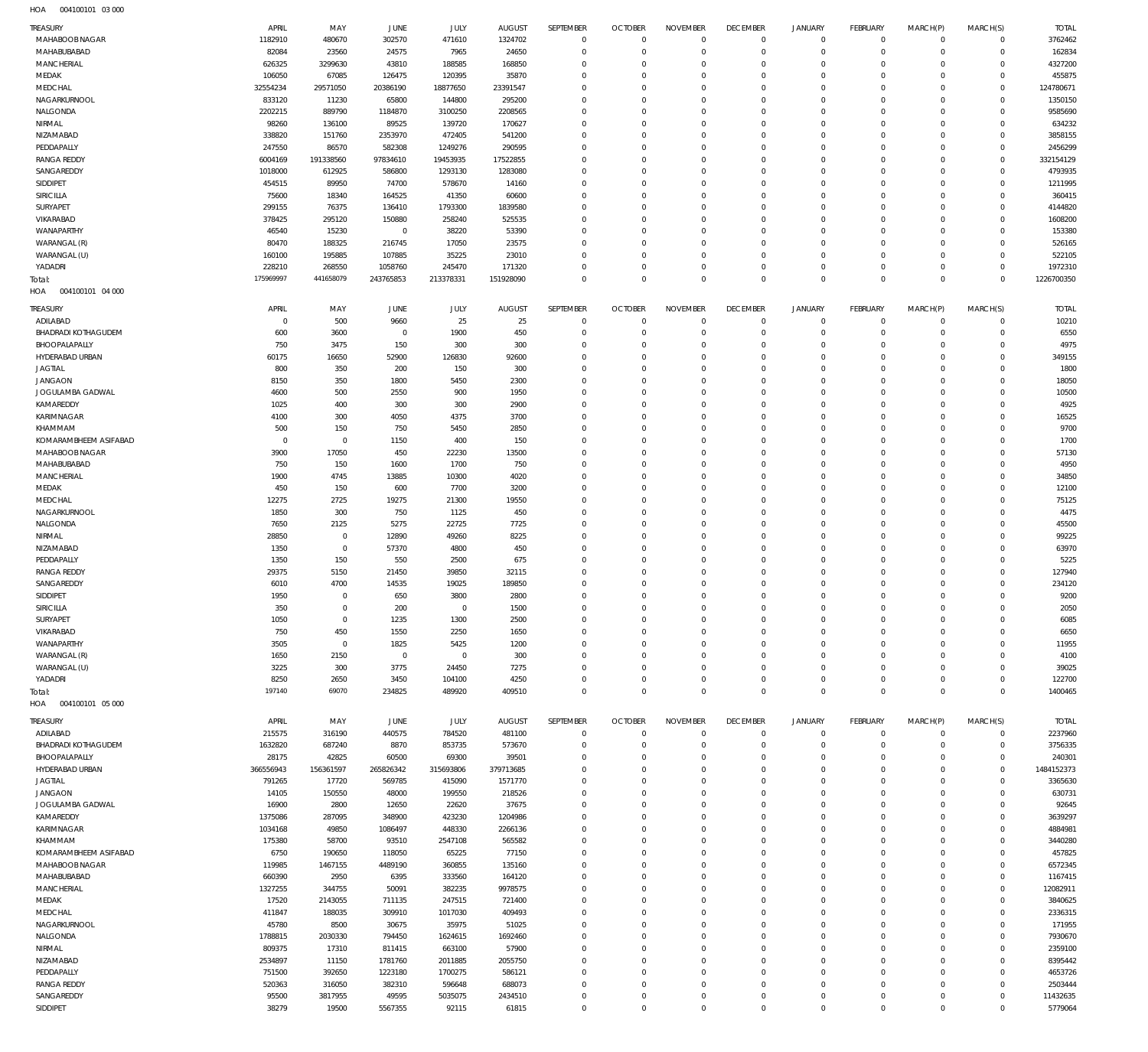004100101 03 000 HOA

| TREASURY                   | APRIL       | MAY         | JUNE           | JULY         | <b>AUGUST</b> | SEPTEMBER      | <b>OCTOBER</b> | <b>NOVEMBER</b> | <b>DECEMBER</b> | <b>JANUARY</b> | <b>FEBRUARY</b> | MARCH(P)   | MARCH(S)            | <b>TOTAL</b> |
|----------------------------|-------------|-------------|----------------|--------------|---------------|----------------|----------------|-----------------|-----------------|----------------|-----------------|------------|---------------------|--------------|
| MAHABOOB NAGAR             | 1182910     | 480670      | 302570         | 471610       | 1324702       | $\mathsf 0$    | $\mathbf 0$    | $\Omega$        | $\mathbf 0$     | $\overline{0}$ | $\mathbf 0$     | $^{\circ}$ | $\mathbf 0$         | 3762462      |
| MAHABUBABAD                | 82084       | 23560       | 24575          | 7965         | 24650         | $\mathbf 0$    | $\mathbf{0}$   | $\Omega$        | $\Omega$        | $\Omega$       | $\mathbf 0$     | $^{\circ}$ | $\mathbf 0$         | 162834       |
| <b>MANCHERIAL</b>          | 626325      | 3299630     | 43810          | 188585       | 168850        | $\mathbf 0$    | $\mathbf{0}$   | $\Omega$        | $\Omega$        | $\Omega$       | $\mathbf 0$     | $\Omega$   | $\mathbf 0$         | 4327200      |
| MEDAK                      | 106050      | 67085       | 126475         | 120395       | 35870         | $\Omega$       | $\Omega$       | $\Omega$        | $\Omega$        | $\Omega$       | $\Omega$        | $\Omega$   | $\mathbf 0$         | 455875       |
| MEDCHAL                    | 32554234    | 29571050    | 20386190       | 18877650     | 23391547      | $\Omega$       | $\Omega$       | $\Omega$        | $\Omega$        | $\Omega$       | $\Omega$        | $\Omega$   | $\mathbf 0$         | 124780671    |
| NAGARKURNOOL               | 833120      | 11230       | 65800          | 144800       | 295200        | $\Omega$       | $\mathbf{0}$   | $\Omega$        | $\Omega$        | $\Omega$       | $\Omega$        | $\Omega$   | $\mathbf 0$         | 1350150      |
| NALGONDA                   | 2202215     | 889790      | 1184870        | 3100250      | 2208565       | $\Omega$       | $\Omega$       | $\Omega$        | $\Omega$        | $\Omega$       | $\Omega$        | $\Omega$   | $\circ$             | 9585690      |
| NIRMAL                     | 98260       | 136100      | 89525          | 139720       | 170627        | $\Omega$       | $\mathbf{0}$   | $\Omega$        | $\Omega$        | $\Omega$       | $\Omega$        | $\Omega$   | $\mathbf 0$         | 634232       |
| NIZAMABAD                  | 338820      | 151760      | 2353970        | 472405       | 541200        | $\Omega$       | $\Omega$       | $\Omega$        | $\Omega$        | $\Omega$       | $\Omega$        | $\Omega$   | $\Omega$            | 3858155      |
| PEDDAPALLY                 | 247550      | 86570       | 582308         | 1249276      | 290595        | $\Omega$       | $\mathbf{0}$   | $\Omega$        | $\Omega$        | $\Omega$       | $\Omega$        | $\Omega$   | $\mathbf 0$         | 2456299      |
| <b>RANGA REDDY</b>         | 6004169     | 191338560   | 97834610       | 19453935     | 17522855      | $\Omega$       | $\Omega$       | $\Omega$        | $\Omega$        | $\Omega$       | $\Omega$        | $\Omega$   | $\mathbf 0$         | 332154129    |
| SANGAREDDY                 | 1018000     | 612925      | 586800         | 1293130      | 1283080       | $\Omega$       | $\mathbf{0}$   | $\Omega$        | $\Omega$        | $\Omega$       | $\Omega$        | $\Omega$   | $\mathbf 0$         | 4793935      |
| SIDDIPET                   | 454515      | 89950       | 74700          | 578670       | 14160         | $\mathbf 0$    | $\Omega$       | $\Omega$        | $\Omega$        | $\Omega$       | $\Omega$        | $\Omega$   | $\Omega$            | 1211995      |
| SIRICILLA                  | 75600       | 18340       | 164525         | 41350        | 60600         | $\Omega$       | $\mathbf{0}$   | $\Omega$        | $\Omega$        | $\Omega$       | $\Omega$        | $\Omega$   | $\circ$             | 360415       |
| SURYAPET                   | 299155      | 76375       | 136410         | 1793300      | 1839580       | $\mathbf 0$    | $\Omega$       | $\Omega$        | $\Omega$        | $\Omega$       | $\Omega$        | $\Omega$   | $\Omega$            | 4144820      |
| VIKARABAD                  | 378425      | 295120      | 150880         | 258240       | 525535        | $\Omega$       | $\Omega$       | $\Omega$        | $\Omega$        | $\Omega$       | $\Omega$        | $\Omega$   | $\circ$             | 1608200      |
| WANAPARTHY                 | 46540       | 15230       | $\overline{0}$ | 38220        | 53390         | $\mathbf 0$    | $\mathbf{0}$   | $\Omega$        | $\Omega$        | $\Omega$       | $\Omega$        | -C         | $\Omega$            | 153380       |
| WARANGAL (R)               | 80470       | 188325      | 216745         | 17050        | 23575         | $\Omega$       | $\mathbf{0}$   | $\Omega$        | $\Omega$        | $\Omega$       | $\Omega$        | $\Omega$   | $\Omega$            | 526165       |
| WARANGAL (U)               | 160100      | 195885      | 107885         | 35225        | 23010         | $\mathbf 0$    | $\mathbf{0}$   | $\Omega$        | $\Omega$        | $\Omega$       | $\Omega$        | $\Omega$   | $\mathbf 0$         | 522105       |
| YADADRI                    | 228210      | 268550      | 1058760        | 245470       | 171320        | $\Omega$       | $\mathbf{0}$   | $\Omega$        | $\Omega$        | $\Omega$       | $\mathbf 0$     | $\Omega$   | $\mathbf 0$         | 1972310      |
| Total:                     | 175969997   | 441658079   | 243765853      | 213378331    | 151928090     | $\Omega$       | $\Omega$       | $\Omega$        | $\Omega$        | $\Omega$       | $\mathbf 0$     | $\Omega$   | $\mathbf 0$         | 1226700350   |
| 004100101 04 000<br>HOA    |             |             |                |              |               |                |                |                 |                 |                |                 |            |                     |              |
|                            |             |             |                |              |               |                |                |                 |                 |                |                 |            |                     |              |
| <b>TREASURY</b>            | APRIL       | MAY         | JUNE           | JULY         | <b>AUGUST</b> | SEPTEMBER      | <b>OCTOBER</b> | <b>NOVEMBER</b> | <b>DECEMBER</b> | <b>JANUARY</b> | <b>FEBRUARY</b> | MARCH(P)   | MARCH(S)            | <b>TOTAL</b> |
| ADILABAD                   | $^{\circ}$  | 500         | 9660           | 25           | 25            | $\overline{0}$ | $^{\circ}$     | $\Omega$        | $\mathbf 0$     | $\overline{0}$ | $\circ$         | $\Omega$   | $\circ$             | 10210        |
| <b>BHADRADI KOTHAGUDEM</b> | 600         | 3600        | $\overline{0}$ | 1900         | 450           | 0              | $\mathbf{0}$   | $\Omega$        | $\Omega$        | $\Omega$       | $\mathbf 0$     | $\Omega$   | $\mathbf 0$         | 6550         |
| BHOOPALAPALLY              | 750         | 3475        | 150            | 300          | 300           | $\Omega$       | $\Omega$       | $\Omega$        | $\Omega$        | $\Omega$       | $^{\circ}$      | $\Omega$   | $\Omega$            | 4975         |
| HYDERABAD URBAN            | 60175       | 16650       | 52900          | 126830       | 92600         | $\Omega$       | $\Omega$       | $\Omega$        | $\Omega$        | $\Omega$       | $\Omega$        | $\Omega$   | $\Omega$            | 349155       |
| <b>JAGTIAL</b>             | 800         | 350         | 200            | 150          | 300           | $\Omega$       | $\Omega$       | $\Omega$        | $\Omega$        | $\Omega$       | $\Omega$        | $\Omega$   | $\Omega$            | 1800         |
| <b>JANGAON</b>             | 8150        | 350         | 1800           | 5450         | 2300          | $\Omega$       | $\Omega$       | $\Omega$        | $\Omega$        | $\Omega$       | $\Omega$        | -C         | $\Omega$            | 18050        |
| JOGULAMBA GADWAL           | 4600        | 500         | 2550           | 900          | 1950          | $\Omega$       | $\Omega$       | $\Omega$        | $\Omega$        | $\Omega$       | $\Omega$        | $\Omega$   | $\Omega$            | 10500        |
| KAMAREDDY                  | 1025        | 400         | 300            | 300          | 2900          | $\Omega$       | $\Omega$       | $\Omega$        | $\Omega$        | $\Omega$       | $\Omega$        | $\Omega$   | $\Omega$            | 4925         |
| KARIMNAGAR                 | 4100        | 300         | 4050           | 4375         | 3700          | $\Omega$       | $\Omega$       | $\Omega$        | $\Omega$        | $\Omega$       | $\Omega$        | $\Omega$   | $\Omega$            | 16525        |
| KHAMMAM                    | 500         | 150         | 750            | 5450         | 2850          | $\Omega$       | $\Omega$       | $\Omega$        | $\Omega$        | $\Omega$       | $\Omega$        | $\Omega$   | $\Omega$            | 9700         |
| KOMARAMBHEEM ASIFABAD      | $\mathbf 0$ | $\mathbf 0$ | 1150           | 400          | 150           | $\Omega$       | $\Omega$       | $\Omega$        | $\Omega$        | $\Omega$       | $\Omega$        | $\Omega$   | $\Omega$            | 1700         |
| MAHABOOB NAGAR             | 3900        | 17050       | 450            | 22230        | 13500         | $\Omega$       | $\Omega$       | $\Omega$        | $\Omega$        | $\Omega$       | $\Omega$        | $\Omega$   | $\Omega$            | 57130        |
| MAHABUBABAD                | 750         | 150         | 1600           | 1700         | 750           | $\Omega$       | $\Omega$       | $\Omega$        | $\Omega$        | $\Omega$       | $\Omega$        | $\Omega$   | $\Omega$            | 4950         |
| MANCHERIAL                 | 1900        | 4745        | 13885          | 10300        | 4020          | $\Omega$       | $\Omega$       | $\Omega$        | $\Omega$        | $\Omega$       | $\Omega$        | $\Omega$   | $\Omega$            | 34850        |
| MEDAK                      | 450         | 150         | 600            | 7700         | 3200          | $\Omega$       | $\Omega$       | $\Omega$        | $\Omega$        | $\Omega$       | $\Omega$        | $\Omega$   | $\Omega$            | 12100        |
| MEDCHAL                    | 12275       | 2725        | 19275          | 21300        | 19550         | $\Omega$       | $\Omega$       | $\Omega$        | $\Omega$        | $\Omega$       | $\Omega$        | $\Omega$   | $\Omega$            | 75125        |
| NAGARKURNOOL               | 1850        | 300         | 750            | 1125         | 450           | $\Omega$       | $\Omega$       | $\Omega$        | $\Omega$        | $\Omega$       | $\Omega$        | $\Omega$   | $\Omega$            | 4475         |
| NALGONDA                   | 7650        | 2125        | 5275           | 22725        | 7725          | $\Omega$       | $\Omega$       | $\Omega$        | $\Omega$        | $\Omega$       | $\Omega$        | $\Omega$   | $\Omega$            | 45500        |
| NIRMAL                     | 28850       | $\mathbf 0$ | 12890          | 49260        | 8225          | $\Omega$       | $\Omega$       | $\Omega$        | $\Omega$        | $\Omega$       | $\Omega$        | $\Omega$   | $\Omega$            | 99225        |
| NIZAMABAD                  | 1350        | $\mathbf 0$ | 57370          | 4800         | 450           | $\Omega$       | $\Omega$       | $\Omega$        | $\Omega$        | $\Omega$       | $\Omega$        | $\Omega$   | $\Omega$            | 63970        |
| PEDDAPALLY                 | 1350        | 150         | 550            | 2500         | 675           | $\Omega$       | $\Omega$       | $\Omega$        | $\Omega$        | $\Omega$       | $\Omega$        | $\Omega$   | $\Omega$            | 5225         |
| <b>RANGA REDDY</b>         | 29375       | 5150        | 21450          | 39850        | 32115         | $\Omega$       | $\Omega$       | $\Omega$        | $\Omega$        | $\Omega$       | $\Omega$        | $\Omega$   | $\Omega$            | 127940       |
| SANGAREDDY                 | 6010        | 4700        | 14535          | 19025        | 189850        | $\Omega$       | $\Omega$       | $\Omega$        | $\Omega$        | $\Omega$       | $\Omega$        | $\Omega$   | $\Omega$            | 234120       |
| SIDDIPET                   | 1950        | $\mathbf 0$ | 650            | 3800         | 2800          | $\Omega$       | $\Omega$       | $\Omega$        | $\Omega$        | $\Omega$       | $\Omega$        | $\Omega$   | $\Omega$            | 9200         |
| <b>SIRICILLA</b>           | 350         | $\Omega$    | 200            | $\Omega$     | 1500          | $\Omega$       | $\Omega$       | $\Omega$        | $\Omega$        | $\Omega$       | $\Omega$        | $\Omega$   | $\Omega$            | 2050         |
| SURYAPET                   | 1050        | $\mathbf 0$ | 1235           | 1300         | 2500          | 0              | $^{\circ}$     | $\Omega$        | $\Omega$        | $\Omega$       | $\Omega$        | $\Omega$   | $\Omega$            | 6085         |
| VIKARABAD                  | 750         | 450         | 1550           | 2250         | 1650          | 0              | $\mathbf 0$    | $\Omega$        | $\Omega$        | $\Omega$       | $^{\circ}$      | $\Omega$   | $\Omega$            | 6650         |
| WANAPARTHY                 | 3505        | $\mathbf 0$ | 1825           | 5425         | 1200          | 0              | $^{\circ}$     | $\Omega$        | $\Omega$        | $\Omega$       | $\Omega$        | $\Omega$   | $\Omega$            | 11955        |
| WARANGAL (R)               | 1650        | 2150        | $\overline{0}$ | $\mathbf{0}$ | 300           | $\Omega$       | $\Omega$       | $\Omega$        | $\Omega$        | $\Omega$       | $\Omega$        | $\Omega$   | $\Omega$            | 4100         |
| WARANGAL (U)               | 3225        | 300         | 3775           | 24450        | 7275          | $\Omega$       | $^{\circ}$     | $\Omega$        | $\Omega$        | $\Omega$       | $\Omega$        | $\Omega$   | $\Omega$            | 39025        |
| YADADRI                    | 8250        | 2650        | 3450           | 104100       | 4250          | $\Omega$       | $\mathbf 0$    | $\Omega$        | $\Omega$        | $\Omega$       | $\mathbf 0$     | $\Omega$   | $\Omega$            | 122700       |
| Total:                     | 197140      | 69070       | 234825         | 489920       | 409510        | $\mathbf 0$    | $\mathbf{0}$   | $\Omega$        | $\mathbf 0$     | $\Omega$       | $\mathbf 0$     | $\Omega$   | $\mathbf 0$         | 1400465      |
| HOA   004100101   05   000 |             |             |                |              |               |                |                |                 |                 |                |                 |            |                     |              |
| TREASURY                   | APRIL       | MAY         | JUNE           | JULY         | <b>AUGUST</b> | SEPTEMBER      | <b>OCTOBER</b> | <b>NOVEMBER</b> | <b>DECEMBER</b> | JANUARY        | <b>FEBRUARY</b> | MARCH(P)   | MARCH(S)            | <b>TOTAL</b> |
| ADILABAD                   | 215575      | 316190      | 440575         | 784520       | 481100        | $\mathsf 0$    | $\mathbf 0$    | $\Omega$        | $\Omega$        | $\overline{0}$ | $\mathbf 0$     | $^{\circ}$ | $\mathbf 0$         | 2237960      |
| BHADRADI KOTHAGUDEM        | 1632820     | 687240      | 8870           | 853735       | 573670        | $\mathbf 0$    | $\mathbf{0}$   | $^{\circ}$      | $\Omega$        | $\Omega$       | $\mathbf 0$     | $^{\circ}$ | $\mathsf{O}\xspace$ | 3756335      |
| BHOOPALAPALLY              | 28175       | 42825       | 60500          | 69300        | 39501         | 0              | $\mathbf{0}$   | $\Omega$        | $\Omega$        | $\Omega$       | $\mathbf 0$     | $\Omega$   | $\mathbf 0$         | 240301       |
| HYDERABAD URBAN            | 366556943   | 156361597   | 265826342      | 315693806    | 379713685     | $\mathbf 0$    | $\mathbf{0}$   | $\Omega$        | $\Omega$        | $\Omega$       | $\Omega$        | $\Omega$   | $\mathbf 0$         | 1484152373   |
| <b>JAGTIAL</b>             | 791265      | 17720       | 569785         | 415090       | 1571770       | $\mathbf 0$    | $\mathbf{0}$   | $\Omega$        | $\Omega$        | $\Omega$       | $\mathbf 0$     | $\Omega$   | $\mathbf 0$         | 3365630      |
| <b>JANGAON</b>             | 14105       | 150550      | 48000          | 199550       | 218526        | $\mathbf 0$    | $\mathbf{0}$   | $\Omega$        | $\Omega$        | $\Omega$       | $\Omega$        | $\Omega$   | $\Omega$            | 630731       |
| JOGULAMBA GADWAL           | 16900       | 2800        | 12650          | 22620        | 37675         | $\mathbf 0$    | $\mathbf{0}$   | $\Omega$        | $\Omega$        | $\Omega$       | $\mathbf 0$     | $\Omega$   | $\mathbf 0$         | 92645        |
| KAMAREDDY                  | 1375086     | 287095      | 348900         | 423230       | 1204986       | $\Omega$       | $\mathbf{0}$   | $\Omega$        | $\Omega$        | $\Omega$       | $\Omega$        | $\Omega$   | $\mathbf 0$         | 3639297      |
| KARIMNAGAR                 | 1034168     | 49850       | 1086497        | 448330       | 2266136       | $\mathbf 0$    | $\mathbf{0}$   | $\Omega$        | $\Omega$        | $\Omega$       | $\mathbf 0$     | $\Omega$   | $\mathbf 0$         | 4884981      |
| KHAMMAM                    | 175380      | 58700       | 93510          | 2547108      | 565582        | $\mathbf 0$    | $\mathbf{0}$   | $\Omega$        | $\Omega$        | $\Omega$       | $\Omega$        | $\Omega$   | $\mathbf 0$         | 3440280      |
| KOMARAMBHEEM ASIFABAD      | 6750        | 190650      | 118050         | 65225        | 77150         | 0              | $\mathbf{0}$   | $\Omega$        | $\Omega$        | $\Omega$       | $\mathbf 0$     | $\Omega$   | $\mathbf 0$         | 457825       |
| MAHABOOB NAGAR             | 119985      | 1467155     | 4489190        | 360855       | 135160        | $\Omega$       | $\mathbf{0}$   | $\Omega$        | $\Omega$        | $\Omega$       | $\Omega$        | $\Omega$   | $\mathbf 0$         | 6572345      |
| MAHABUBABAD                | 660390      | 2950        | 6395           | 333560       | 164120        | 0              | $\mathbf{0}$   | $\Omega$        | $\Omega$        | $\Omega$       | $\mathbf 0$     | $\Omega$   | $\mathbf 0$         | 1167415      |
| <b>MANCHERIAL</b>          | 1327255     | 344755      | 50091          | 382235       | 9978575       | $\mathbf 0$    | $\mathbf{0}$   | $\Omega$        | $\Omega$        | $\Omega$       | $\Omega$        | $\Omega$   | $\mathbf 0$         | 12082911     |
| MEDAK                      | 17520       | 2143055     | 711135         | 247515       | 721400        | 0              | $\mathbf{0}$   | $\Omega$        | $\Omega$        | $\Omega$       | $\mathbf 0$     | $\Omega$   | $\mathbf 0$         | 3840625      |
| MEDCHAL                    | 411847      | 188035      | 309910         | 1017030      | 409493        | $\Omega$       | $\mathbf{0}$   | $\Omega$        | $\Omega$        | $\Omega$       | $\Omega$        | $\Omega$   | $\mathbf 0$         | 2336315      |
| NAGARKURNOOL               | 45780       | 8500        | 30675          | 35975        | 51025         | 0              | $\mathbf{0}$   | $\Omega$        | $\Omega$        | $\Omega$       | $\mathbf 0$     | $\Omega$   | $\mathbf 0$         | 171955       |
| NALGONDA                   | 1788815     | 2030330     | 794450         | 1624615      | 1692460       | $\mathbf 0$    | $\mathbf{0}$   | $\Omega$        | $\Omega$        | $\Omega$       | $\Omega$        | $\Omega$   | $\mathbf 0$         | 7930670      |
| NIRMAL                     | 809375      | 17310       | 811415         | 663100       | 57900         | 0              | $\mathbf{0}$   | $\Omega$        | $\Omega$        | $\Omega$       | $\mathbf 0$     | $\Omega$   | $\mathbf 0$         | 2359100      |
| NIZAMABAD                  | 2534897     | 11150       | 1781760        | 2011885      | 2055750       | $\Omega$       | $\mathbf{0}$   | $\Omega$        | $\Omega$        | $\Omega$       | $\Omega$        | $\Omega$   | $\mathbf 0$         | 8395442      |
| PEDDAPALLY                 | 751500      | 392650      | 1223180        | 1700275      | 586121        | 0              | $\mathbf{0}$   | $\Omega$        | $\Omega$        | $\Omega$       | $\Omega$        | $\Omega$   | $\mathbf 0$         | 4653726      |
| <b>RANGA REDDY</b>         | 520363      | 316050      | 382310         | 596648       | 688073        | $\mathbf 0$    | $\mathbf{0}$   | $\Omega$        | $\Omega$        | $\Omega$       | $\Omega$        | $\Omega$   | $\mathbf 0$         | 2503444      |
| SANGAREDDY                 | 95500       | 3817955     | 49595          | 5035075      | 2434510       | 0              | $\mathbf{0}$   | $^{\circ}$      | $\mathbf 0$     | $\Omega$       | $\circ$         | $\Omega$   | $\mathbf 0$         | 11432635     |
| SIDDIPET                   | 38279       | 19500       | 5567355        | 92115        | 61815         | $\mathbf 0$    | $\mathbf{0}$   | $^{\circ}$      | $\mathbf 0$     | $\Omega$       | $\mathbf 0$     | $\Omega$   | $\mathbf 0$         | 5779064      |
|                            |             |             |                |              |               |                |                |                 |                 |                |                 |            |                     |              |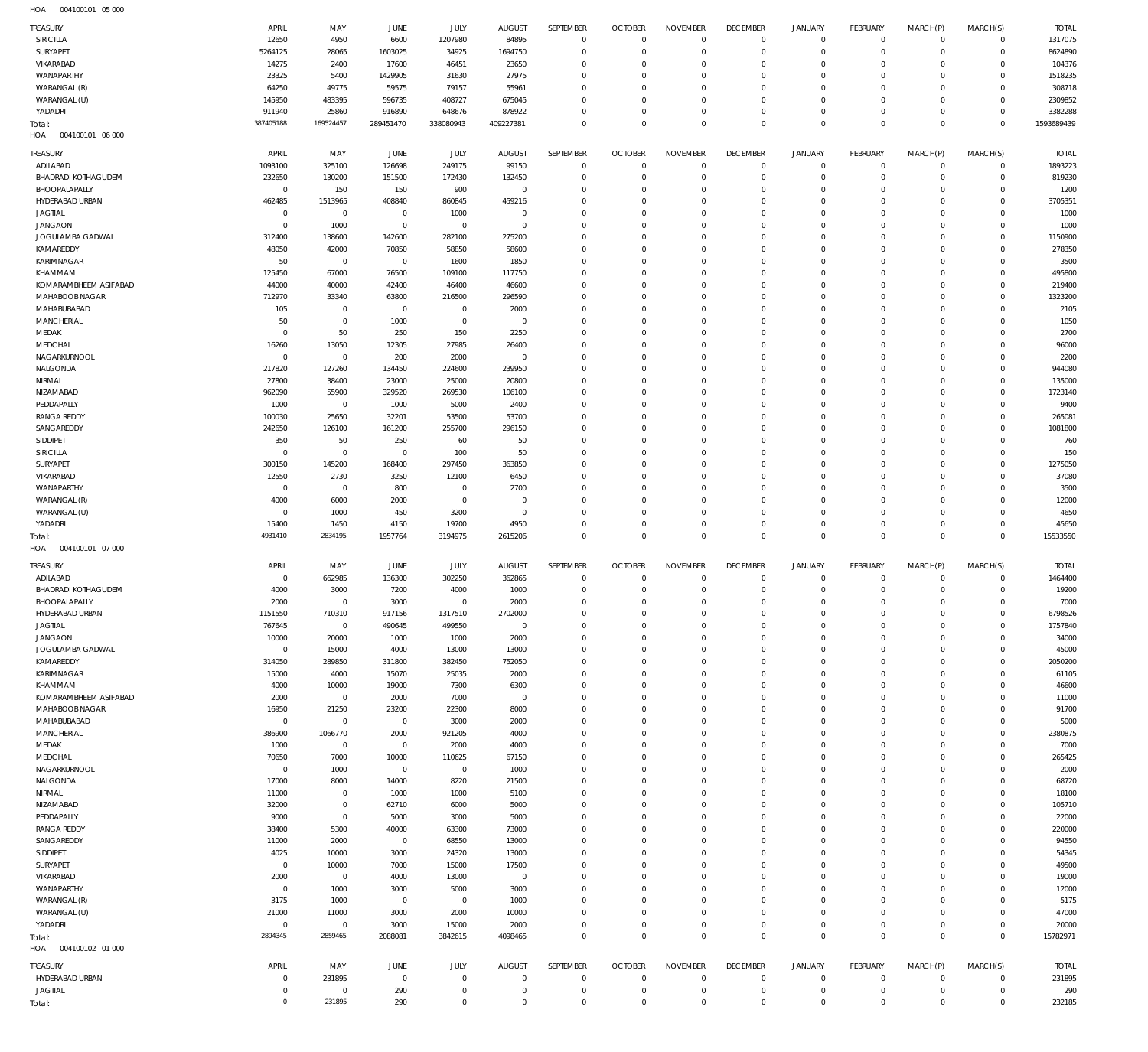004100101 05 000 HOA

| TREASURY<br>SIRICILLA                   | APRIL<br>12650         | MAY<br>4950                   | JUNE<br>6600        | JULY<br>1207980            | <b>AUGUST</b><br>84895    | SEPTEMBER<br>$\mathbf 0$   | <b>OCTOBER</b><br>$\overline{0}$ | <b>NOVEMBER</b><br>$\mathbf 0$ | <b>DECEMBER</b><br>$\overline{0}$ | <b>JANUARY</b><br>$\mathbf 0$ | <b>FEBRUARY</b><br>$\overline{0}$ | MARCH(P)<br>$^{\circ}$     | MARCH(S)<br>$\mathbf 0$    | <b>TOTAL</b><br>1317075 |
|-----------------------------------------|------------------------|-------------------------------|---------------------|----------------------------|---------------------------|----------------------------|----------------------------------|--------------------------------|-----------------------------------|-------------------------------|-----------------------------------|----------------------------|----------------------------|-------------------------|
| <b>SURYAPET</b>                         | 5264125                | 28065                         | 1603025             | 34925                      | 1694750                   | $\mathbf 0$                | $\mathbf 0$                      | $\mathbf 0$                    | $\overline{0}$                    | $\mathbf 0$                   | $\overline{0}$                    | $^{\circ}$                 | $\mathbf 0$                | 8624890                 |
| VIKARABAD                               | 14275                  | 2400                          | 17600               | 46451                      | 23650                     | $\mathbf 0$                | $\mathbf 0$                      | $\mathbf 0$                    | $\mathbf 0$                       | 0                             | $\overline{0}$                    | $\Omega$                   | $\mathbf 0$                | 104376                  |
| WANAPARTHY                              | 23325                  | 5400                          | 1429905             | 31630                      | 27975                     | $\mathbf 0$                | $\mathbf 0$                      | 0                              | $\mathbf 0$                       | 0                             | $\overline{0}$                    | $\Omega$                   | $\Omega$                   | 1518235                 |
| WARANGAL (R)                            | 64250                  | 49775                         | 59575               | 79157                      | 55961                     | $\mathbf 0$                | $\mathbf 0$                      | $\mathbf 0$                    | $\mathbf 0$                       | 0                             | $\overline{0}$                    | $\Omega$                   | $\mathbf 0$                | 308718                  |
| WARANGAL (U)                            | 145950                 | 483395                        | 596735              | 408727                     | 675045                    | $\mathbf 0$                | $\mathbf 0$                      | 0                              | $\mathbf 0$                       | 0                             | $\overline{0}$                    | $\Omega$                   | $\mathbf 0$                | 2309852                 |
| YADADRI                                 | 911940                 | 25860                         | 916890              | 648676                     | 878922                    | $\mathbf 0$                | $\mathbf 0$                      | $\mathbf 0$                    | $\mathbf 0$                       | 0                             | $\overline{0}$                    | 0                          | $\mathbf 0$                | 3382288                 |
|                                         | 387405188              | 169524457                     | 289451470           | 338080943                  | 409227381                 | $\mathbf 0$                | $\mathbf 0$                      | $\mathbf 0$                    | $\mathbf 0$                       | $\mathbf 0$                   | $\overline{0}$                    | $\mathbf 0$                | $\mathbb O$                | 1593689439              |
| Total:<br>004100101 06 000<br>HOA       |                        |                               |                     |                            |                           |                            |                                  |                                |                                   |                               |                                   |                            |                            |                         |
|                                         |                        |                               |                     |                            |                           |                            |                                  |                                |                                   |                               |                                   |                            |                            |                         |
| TREASURY                                | APRIL                  | MAY                           | JUNE                | JULY                       | <b>AUGUST</b>             | SEPTEMBER                  | <b>OCTOBER</b>                   | <b>NOVEMBER</b>                | <b>DECEMBER</b>                   | <b>JANUARY</b>                | FEBRUARY                          | MARCH(P)                   | MARCH(S)                   | <b>TOTAL</b>            |
| ADILABAD                                | 1093100                | 325100                        | 126698              | 249175                     | 99150                     | $\mathbf 0$                | $\overline{0}$                   | $\mathbf 0$                    | $\overline{0}$                    | $\mathbf 0$                   | $\mathbf 0$                       | $\mathbf{0}$               | $\mathbf 0$                | 1893223                 |
| <b>BHADRADI KOTHAGUDEM</b>              | 232650                 | 130200                        | 151500              | 172430                     | 132450                    | $\mathbf 0$                | $\mathbf 0$                      | $\mathbf 0$                    | $\mathbf 0$                       | $\mathbf 0$                   | $\overline{0}$                    | $^{\circ}$                 | $\mathbf 0$                | 819230                  |
| BHOOPALAPALLY                           | $\mathbf 0$            | 150                           | 150                 | 900                        | $\mathbf 0$               | $\mathbf 0$                | $\mathbf 0$                      | $\mathbf 0$                    | $\mathbf 0$                       | 0                             | $\overline{0}$                    | $\Omega$                   | $\mathbf 0$                | 1200                    |
| HYDERABAD URBAN                         | 462485                 | 1513965                       | 408840              | 860845                     | 459216                    | $\mathbf 0$                | $\mathbf 0$                      | $\mathbf 0$                    | $^{\circ}$                        | 0                             | $\overline{0}$                    | $\Omega$                   | $\mathbf 0$                | 3705351                 |
| <b>JAGTIAL</b>                          | $^{\circ}$             | $\mathbf 0$                   | $^{\circ}$          | 1000                       | $^{\circ}$                | $\mathbf 0$                | $\mathbf 0$                      | $\mathbf 0$                    | $^{\circ}$                        | 0                             | $\overline{0}$                    | $\Omega$                   | $\mathbf 0$                | 1000                    |
| <b>JANGAON</b>                          | $\Omega$               | 1000                          | $^{\circ}$          | $\mathbf 0$                | $^{\circ}$                | $\mathbf 0$                | 0                                | $\mathbf 0$                    | $^{\circ}$                        | 0                             | $\overline{0}$                    | $\Omega$                   | $\mathbf 0$                | 1000                    |
| JOGULAMBA GADWAL                        | 312400                 | 138600                        | 142600              | 282100                     | 275200                    | $^{\circ}$                 | $\mathbf 0$                      | $\Omega$                       | $\mathbf 0$                       | 0                             | $\overline{0}$                    | $\Omega$                   | $\mathbf 0$                | 1150900                 |
| KAMAREDDY                               | 48050                  | 42000                         | 70850               | 58850                      | 58600                     | $\mathbf 0$                | $\mathbf 0$                      | $\mathbf 0$                    | $^{\circ}$                        | 0                             | $\overline{0}$                    | $\Omega$                   | $\mathbf 0$                | 278350                  |
| KARIMNAGAR                              | 50                     | $\mathbf 0$                   | $\mathbb O$         | 1600                       | 1850                      | $^{\circ}$                 | $\mathbf 0$                      | 0                              | $\mathbf 0$                       | 0                             | $\overline{0}$                    | $\Omega$                   | $\mathbf 0$                | 3500                    |
| KHAMMAM                                 | 125450                 | 67000                         | 76500               | 109100                     | 117750                    | $\mathbf 0$                | $\mathbf 0$                      | $\mathbf 0$                    | $^{\circ}$                        | 0                             | $\overline{0}$                    | $\Omega$                   | $\mathbf 0$                | 495800                  |
| KOMARAMBHEEM ASIFABAD<br>MAHABOOB NAGAR | 44000                  | 40000                         | 42400               | 46400                      | 46600                     | $\mathbf 0$<br>$\mathbf 0$ | $\mathbf 0$                      | 0                              | $\mathbf 0$<br>$\mathbf 0$        | 0                             | $\overline{0}$<br>$\overline{0}$  | $\Omega$                   | $\mathbf 0$<br>$\Omega$    | 219400                  |
|                                         | 712970                 | 33340                         | 63800               | 216500                     | 296590                    |                            | $\mathbf 0$                      | $\mathbf 0$                    |                                   | 0                             |                                   | $\Omega$                   | $\mathbf 0$                | 1323200                 |
| MAHABUBABAD<br><b>MANCHERIAL</b>        | 105<br>50              | $\overline{0}$<br>$\mathbf 0$ | $\mathbb O$<br>1000 | $\mathbf 0$<br>$\mathbf 0$ | 2000<br>$\mathbf 0$       | $\mathbf 0$<br>$\mathbf 0$ | $\mathbf 0$<br>$\mathbf 0$       | 0<br>$\mathbf 0$               | $\mathbf 0$<br>$\mathbf 0$        | 0<br>0                        | $\overline{0}$<br>$\overline{0}$  | $\Omega$<br>$\Omega$       | $\Omega$                   | 2105<br>1050            |
|                                         | $^{\circ}$             | 50                            | 250                 | 150                        | 2250                      | $\mathbf 0$                | $\mathbf 0$                      | $\mathbf 0$                    | $\mathbf 0$                       | 0                             | $\overline{0}$                    | $\Omega$                   | $\mathbf 0$                | 2700                    |
| MEDAK<br>MEDCHAL                        |                        | 13050                         | 12305               | 27985                      |                           | $\mathbf 0$                | $\mathbf 0$                      | $\mathbf 0$                    | $\mathbf 0$                       | $\mathbf 0$                   | $\overline{0}$                    | $\Omega$                   | $\Omega$                   | 96000                   |
| NAGARKURNOOL                            | 16260<br>$^{\circ}$    | $\mathbf 0$                   | 200                 | 2000                       | 26400<br>$\mathbf 0$      | $\mathbf 0$                | $\mathbf 0$                      | $\mathbf 0$                    | $\mathbf 0$                       | 0                             | $\overline{0}$                    | $\Omega$                   | $\mathbf 0$                | 2200                    |
| NALGONDA                                | 217820                 | 127260                        | 134450              | 224600                     | 239950                    | $\mathbf 0$                | $\mathbf 0$                      | $\mathbf 0$                    | $\mathbf 0$                       | $\mathbf 0$                   | $\overline{0}$                    | $\Omega$                   | $\Omega$                   | 944080                  |
| NIRMAL                                  | 27800                  | 38400                         | 23000               | 25000                      | 20800                     | $\mathbf 0$                | $\mathbf 0$                      | $\mathbf 0$                    | $\mathbf 0$                       | 0                             | $\overline{0}$                    | $\Omega$                   | $\mathbf 0$                | 135000                  |
| NIZAMABAD                               | 962090                 | 55900                         | 329520              | 269530                     | 106100                    | $\mathbf 0$                | $\mathbf 0$                      | $\mathbf 0$                    | $\mathbf 0$                       | $\mathbf 0$                   | $\overline{0}$                    | $\Omega$                   | $\Omega$                   | 1723140                 |
| PEDDAPALLY                              | 1000                   | $\overline{0}$                | 1000                | 5000                       | 2400                      | $\mathbf 0$                | $\mathbf 0$                      | $\mathbf 0$                    | $\mathbf 0$                       | 0                             | $\overline{0}$                    | $\Omega$                   | $\mathbf 0$                | 9400                    |
| <b>RANGA REDDY</b>                      | 100030                 | 25650                         | 32201               | 53500                      | 53700                     | $\mathbf 0$                | $\mathbf 0$                      | $\mathbf 0$                    | $\mathbf 0$                       | 0                             | $\overline{0}$                    | $\Omega$                   | $\mathbf 0$                | 265081                  |
| SANGAREDDY                              | 242650                 | 126100                        | 161200              | 255700                     | 296150                    | $\mathbf 0$                | $\mathbf 0$                      | $\mathbf 0$                    | $\mathbf 0$                       | 0                             | $\overline{0}$                    | $\Omega$                   | $\mathbf 0$                | 1081800                 |
| SIDDIPET                                | 350                    | 50                            | 250                 | 60                         | 50                        | $\mathbf 0$                | $\mathbf 0$                      | $\mathbf 0$                    | $\mathbf 0$                       | 0                             | $\overline{0}$                    | $\Omega$                   | $\mathbf 0$                | 760                     |
| SIRICILLA                               | $^{\circ}$             | $\mathbf 0$                   | $\mathbf 0$         | 100                        | 50                        | $\mathbf 0$                | $\mathbf 0$                      | $\mathbf 0$                    | $\mathbf 0$                       | 0                             | $\overline{0}$                    | $\Omega$                   | $\mathbf 0$                | 150                     |
| SURYAPET                                | 300150                 | 145200                        | 168400              | 297450                     | 363850                    | $\mathbf 0$                | $\mathbf 0$                      | $\mathbf 0$                    | $\mathbf 0$                       | 0                             | $\overline{0}$                    | $\Omega$                   | $\mathbf 0$                | 1275050                 |
| VIKARABAD                               | 12550                  | 2730                          | 3250                | 12100                      | 6450                      | $\mathbf 0$                | $\mathbf 0$                      | $\mathbf 0$                    | $\mathbf 0$                       | 0                             | $\overline{0}$                    | $\Omega$                   | $\mathbf 0$                | 37080                   |
| WANAPARTHY                              | $\circ$                | $\overline{0}$                | 800                 | $\mathbf 0$                | 2700                      | $\mathbf 0$                | 0                                | $\mathbf 0$                    | $\mathbf 0$                       | 0                             | $\overline{0}$                    | $\Omega$                   | $\mathbf 0$                | 3500                    |
| WARANGAL (R)                            | 4000                   | 6000                          | 2000                | $\mathbf 0$                | $\mathbf 0$               | $\mathbf 0$                | $\mathbf 0$                      | $\mathbf 0$                    | $\mathbf 0$                       | 0                             | $\overline{0}$                    | $\Omega$                   | $\mathbf 0$                | 12000                   |
|                                         |                        |                               |                     |                            |                           |                            |                                  |                                |                                   |                               |                                   |                            |                            |                         |
|                                         |                        |                               |                     |                            |                           |                            |                                  |                                |                                   |                               |                                   |                            |                            |                         |
| WARANGAL (U)                            | $\circ$                | 1000                          | 450                 | 3200                       | $\mathbf 0$               | $\mathbf 0$                | 0                                | $\mathbf 0$                    | $\mathbf 0$                       | 0                             | $\overline{0}$                    | 0                          | $\mathbf 0$                | 4650                    |
| YADADRI                                 | 15400<br>4931410       | 1450<br>2834195               | 4150                | 19700                      | 4950                      | $\mathbf 0$                | $\mathbf 0$<br>$\mathbf 0$       | $\mathbf 0$<br>$\mathbf 0$     | $\mathbf 0$<br>$\overline{0}$     | $\mathbf 0$<br>$\mathbf 0$    | $\overline{0}$                    | $^{\circ}$                 | $\mathbf 0$                | 45650                   |
| Total:<br>HOA<br>004100101 07 000       |                        |                               | 1957764             | 3194975                    | 2615206                   | $\mathbf 0$                |                                  |                                |                                   |                               | $\mathbb O$                       | $\mathbf 0$                | $\mathbb O$                | 15533550                |
|                                         |                        |                               |                     |                            |                           |                            |                                  |                                |                                   |                               |                                   |                            |                            |                         |
| TREASURY                                | APRIL                  | MAY                           | JUNE                | JULY                       | <b>AUGUST</b>             | SEPTEMBER                  | <b>OCTOBER</b>                   | <b>NOVEMBER</b>                | <b>DECEMBER</b>                   | <b>JANUARY</b>                | <b>FEBRUARY</b>                   | MARCH(P)                   | MARCH(S)                   | <b>TOTAL</b>            |
| ADILABAD                                | $^{\circ}$             | 662985                        | 136300              | 302250                     | 362865                    | $\mathbf 0$                | $\overline{0}$                   | $\mathbf 0$                    | $\overline{0}$                    | $\mathbf 0$                   | $\overline{0}$                    | $^{\circ}$                 | $\mathbf 0$                | 1464400                 |
| <b>BHADRADI KOTHAGUDEM</b>              | 4000                   | 3000                          | 7200                | 4000                       | 1000                      | $\mathbf 0$                | $\mathbf 0$                      | $\mathbf 0$                    | $^{\circ}$                        | 0                             | $\overline{0}$                    | $\circ$                    | $\mathbf 0$                | 19200                   |
| BHOOPALAPALLY                           | 2000                   | $\mathbf 0$                   | 3000                | $\mathbf 0$                | 2000                      | $\mathbf 0$                | $\mathbf 0$                      | $\mathbf 0$                    | $\overline{0}$                    | $\mathbf 0$                   | $\mathbf 0$                       | $\Omega$                   | $\mathbf 0$                | 7000                    |
| HYDERABAD URBAN                         | 1151550                | 710310                        | 917156              | 1317510                    | 2702000                   | 0                          | 0                                | 0                              | 0                                 | 0                             | - 0                               | 0                          | $\circ$                    | 6798526                 |
| <b>JAGTIAL</b>                          | 767645                 | $\overline{0}$                | 490645              | 499550                     | $\mathbf 0$               | $\mathbf 0$                | $\mathbf 0$                      | $\mathbf 0$                    | $\mathbf 0$                       | 0                             | $\overline{0}$                    | 0                          | $\mathbf 0$                | 1757840                 |
| <b>JANGAON</b>                          | 10000                  | 20000                         | 1000                | 1000                       | 2000                      | $\mathbf 0$                | $\mathbf 0$                      | $\mathbf 0$                    | $\overline{0}$                    | 0                             | $\overline{0}$                    | 0<br>$\Omega$              | $\mathbf 0$<br>$\Omega$    | 34000                   |
| JOGULAMBA GADWAL                        | $^{\circ}$             | 15000                         | 4000                | 13000                      | 13000                     | $\mathbf 0$                | $\mathbf 0$                      | $\mathbf 0$                    | $\mathbf 0$                       | 0                             | $\overline{0}$                    |                            |                            | 45000                   |
| KAMAREDDY                               | 314050                 | 289850                        | 311800              | 382450                     | 752050                    | $\mathbf 0$<br>$\mathbf 0$ | $\mathbf 0$<br>$\mathbf 0$       | $\mathbf 0$<br>$\mathbf 0$     | $\mathbf 0$<br>$\mathbf 0$        | 0<br>0                        | $\overline{0}$<br>$\overline{0}$  | 0<br>$\Omega$              | $\mathbf 0$<br>$\Omega$    | 2050200                 |
| KARIMNAGAR<br>KHAMMAM                   | 15000                  | 4000                          | 15070               | 25035                      | 2000                      | $\mathbf 0$                | $\mathbf 0$                      | $\mathbf 0$                    | $\mathbf 0$                       | 0                             | $\overline{0}$                    | $\Omega$                   | $\mathbf 0$                | 61105                   |
| KOMARAMBHEEM ASIFABAD                   | 4000<br>2000           | 10000<br>$\overline{0}$       | 19000<br>2000       | 7300<br>7000               | 6300<br>$\mathbf 0$       | $\mathbf 0$                | $\mathbf 0$                      | $\mathbf 0$                    | $\mathbf 0$                       | 0                             | $\overline{0}$                    | $\Omega$                   | $\mathbf 0$                | 46600<br>11000          |
| MAHABOOB NAGAR                          | 16950                  | 21250                         | 23200               | 22300                      | 8000                      | $\mathbf 0$                | $\mathbf 0$                      | $\mathbf 0$                    | $\mathbf 0$                       | 0                             | $\overline{0}$                    | $\Omega$                   | $\Omega$                   | 91700                   |
| MAHABUBABAD                             | $^{\circ}$             | $\mathbf 0$                   | $\mathbb O$         | 3000                       | 2000                      | $\mathbf 0$                | $\mathbf 0$                      | $\mathbf 0$                    | $\mathbf 0$                       | 0                             | $\overline{0}$                    | 0                          | $\mathbf 0$                | 5000                    |
| MANCHERIAL                              | 386900                 | 1066770                       | 2000                | 921205                     | 4000                      | $\mathbf 0$                | $\mathbf 0$                      | $\mathbf 0$                    | $\mathbf 0$                       | 0                             | $\overline{0}$                    | $\Omega$                   | $\mathbf 0$                | 2380875                 |
| MEDAK                                   | 1000                   | $\overline{0}$                | $\mathbf 0$         | 2000                       | 4000                      | $\mathbf 0$                | $\mathbf 0$                      | $\mathbf 0$                    | $\mathbf 0$                       | 0                             | $\overline{0}$                    | 0                          | $\Omega$                   | 7000                    |
| MEDCHAL                                 | 70650                  | 7000                          | 10000               | 110625                     | 67150                     | $\mathbf 0$                | $\mathbf 0$                      | $\mathbf 0$                    | $\mathbf 0$                       | 0                             | $\overline{0}$                    | $\Omega$                   | $\Omega$                   | 265425                  |
| NAGARKURNOOL                            | $\overline{0}$         | 1000                          | $\mathbb O$         | $\mathbf 0$                | 1000                      | $\mathbf 0$                | $\mathbf 0$                      | $\mathbf 0$                    | $\mathbf 0$                       | 0                             | $\overline{0}$                    | 0                          | $\Omega$                   | 2000                    |
| NALGONDA                                | 17000                  | 8000                          | 14000               | 8220                       | 21500                     | $\mathbf 0$                | $\mathbf 0$                      | $\mathbf 0$                    | $\mathbf 0$                       | 0                             | $\overline{0}$                    | $\Omega$                   | $\mathbf 0$                | 68720                   |
| NIRMAL                                  | 11000                  | $\mathbf 0$                   | 1000                | 1000                       | 5100                      | $\mathbf 0$                | $\mathbf 0$                      | $\mathbf 0$                    | $\mathbf 0$                       | 0                             | $\overline{0}$                    | 0                          | $\mathbf 0$                | 18100                   |
| NIZAMABAD                               | 32000                  | $\mathbf 0$                   | 62710               | 6000                       | 5000                      | $\mathbb O$                | $\mathbf 0$                      | $\mathbf 0$                    | $\mathbf 0$                       | 0                             | $\overline{0}$                    | $\Omega$                   | $\mathbf 0$                | 105710                  |
| PEDDAPALLY                              | 9000                   | $\mathbf 0$                   | 5000                | 3000                       | 5000                      | $\mathbf 0$                | $\mathbf 0$                      | $\mathbf 0$                    | $\mathbf 0$                       | 0                             | $\overline{0}$                    | $\Omega$                   | $\mathbf 0$                | 22000                   |
| <b>RANGA REDDY</b>                      | 38400                  | 5300                          | 40000               | 63300                      | 73000                     | $\mathbb O$                | $\mathbf 0$                      | $\mathbf 0$                    | $\mathbf 0$                       | 0                             | $\overline{0}$                    | $\Omega$                   | $\mathbf 0$                | 220000                  |
| SANGAREDDY                              | 11000                  | 2000                          | $\mathbb O$         | 68550                      | 13000                     | $\mathbf 0$                | $\mathbf 0$                      | $\mathbf 0$                    | $\mathbf 0$                       | 0                             | $\overline{0}$                    | $\Omega$                   | $\Omega$                   | 94550                   |
| SIDDIPET                                | 4025                   | 10000                         | 3000                | 24320                      | 13000                     | $\mathbf 0$                | $\mathbf 0$                      | $\mathbf 0$                    | $\mathbf 0$                       | 0                             | $\overline{0}$                    | 0                          | $\mathbf 0$                | 54345                   |
| SURYAPET                                | $^{\circ}$             | 10000                         | 7000                | 15000                      | 17500                     | $\mathbf 0$                | $\mathbf 0$                      | $\mathbf 0$                    | $\mathbf 0$                       | 0                             | $\overline{0}$                    | $\Omega$                   | $\Omega$                   | 49500                   |
| VIKARABAD                               | 2000                   | $\overline{0}$                | 4000                | 13000                      | $\mathbf 0$               | $\mathbf 0$                | $\mathbf 0$                      | $\mathbf 0$                    | $\mathbf 0$                       | 0                             | $\overline{0}$                    | 0                          | $\mathbf 0$                | 19000                   |
| WANAPARTHY                              | $\overline{0}$         | 1000                          | 3000                | 5000                       | 3000                      | $\mathbf 0$                | $\mathbf 0$                      | $\mathbf 0$                    | $\mathbf 0$                       | 0                             | $\overline{0}$                    | $\Omega$                   | $\Omega$                   | 12000                   |
| WARANGAL (R)                            | 3175                   | 1000                          | $\mathbf 0$         | $\mathbf 0$                | 1000                      | $\mathbf 0$                | $\mathbf 0$                      | $\mathbf 0$                    | $\mathbf 0$                       | 0                             | $\overline{0}$                    | 0                          | $\mathbf 0$                | 5175                    |
| WARANGAL (U)                            | 21000                  | 11000                         | 3000                | 2000                       | 10000                     | $\mathbf 0$                | $\mathbf 0$                      | $\mathbf 0$                    | $\mathbf 0$                       | $\mathbf 0$                   | $\overline{0}$                    | $\Omega$                   | $\Omega$                   | 47000                   |
| YADADRI                                 | $\overline{0}$         | $\overline{0}$                | 3000                | 15000                      | 2000                      | $\mathbf 0$                | $\mathbf 0$                      | $\mathbf 0$                    | $\overline{0}$                    | $\mathsf{O}\xspace$           | $\mathbf 0$                       | $\circ$                    | $\mathbf 0$                | 20000                   |
| Total:                                  | 2894345                | 2859465                       | 2088081             | 3842615                    | 4098465                   | $\mathbf 0$                | $\mathbf 0$                      | $\mathbf 0$                    | $\overline{0}$                    | $\mathbf 0$                   | $\mathbb O$                       | $\mathbf 0$                | $\mathbf 0$                | 15782971                |
| 004100102 01 000<br>HOA                 |                        |                               |                     |                            |                           |                            |                                  |                                |                                   |                               |                                   |                            |                            |                         |
| TREASURY                                | APRIL                  | MAY                           | JUNE                | JULY                       | AUGUST                    | SEPTEMBER                  | <b>OCTOBER</b>                   | <b>NOVEMBER</b>                | <b>DECEMBER</b>                   | <b>JANUARY</b>                | FEBRUARY                          | MARCH(P)                   | MARCH(S)                   | <b>TOTAL</b>            |
| HYDERABAD URBAN                         | $\circ$                | 231895                        | $\mathbf 0$         | $\mathbf 0$                | $^{\circ}$                | $\mathbf 0$                | $\overline{0}$                   | $\mathbf 0$                    | $\overline{0}$                    | $\mathbf 0$                   | $\overline{0}$                    | $^{\circ}$                 | $\mathbf 0$                | 231895                  |
| <b>JAGTIAL</b>                          | $^{\circ}$<br>$\Omega$ | $^{\circ}$<br>231895          | 290<br>290          | $\mathbf 0$<br>$\mathbb O$ | $^{\circ}$<br>$\mathbf 0$ | $\mathbb O$<br>$\mathbf 0$ | $\overline{0}$<br>$\mathbf 0$    | $\mathbf 0$<br>$\mathbf 0$     | $\overline{0}$<br>$\overline{0}$  | $\mathbf 0$<br>$\mathbb O$    | $\mathbb O$<br>$\,0\,$            | $\mathbf 0$<br>$\mathbf 0$ | $\mathbf 0$<br>$\mathbb O$ | 290<br>232185           |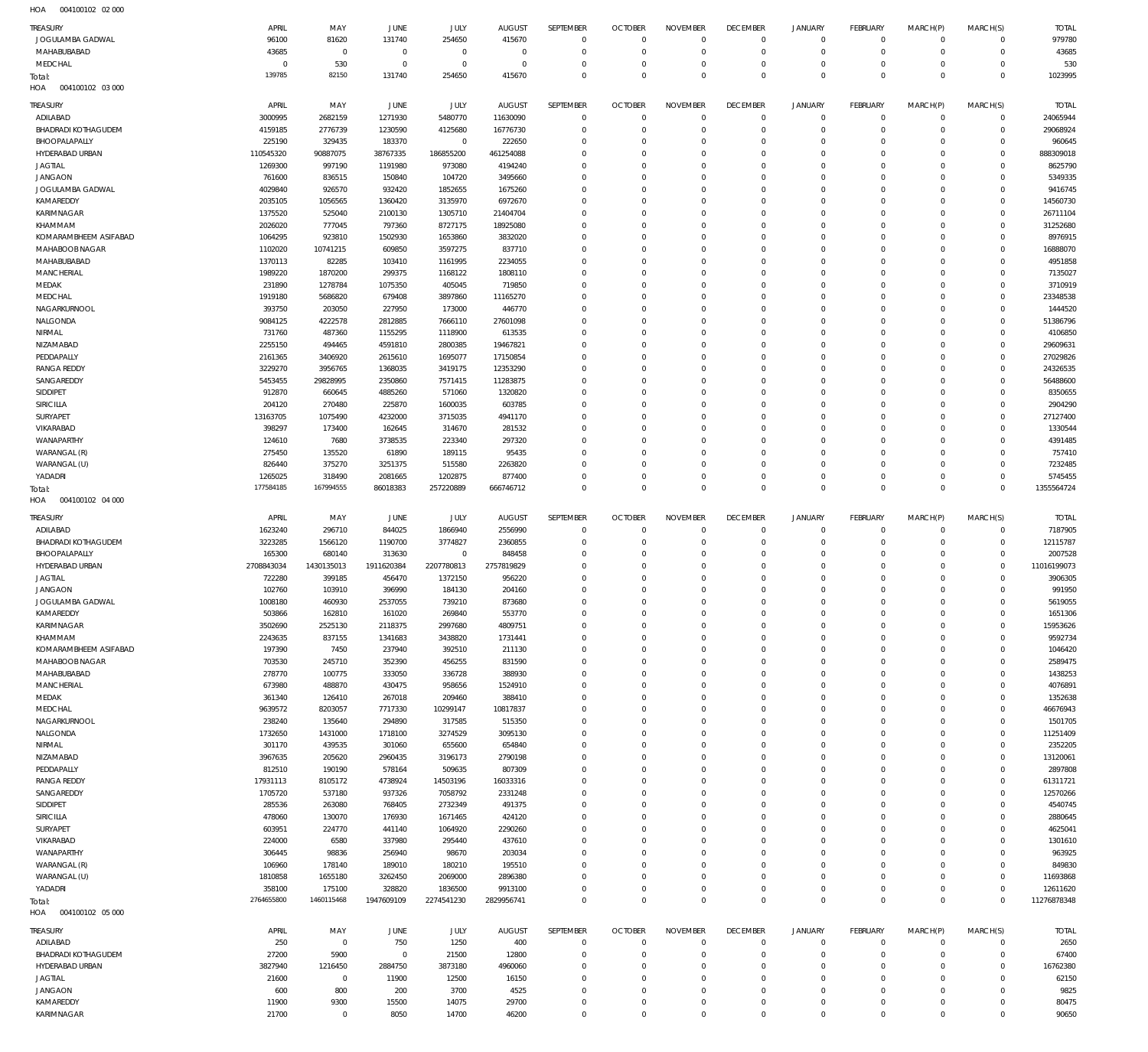004100102 02 000 HOA

| TREASURY<br>JOGULAMBA GADWAL<br>MAHABUBABAD | APRIL<br>96100<br>43685 | MAY<br>81620<br>$\overline{0}$ | <b>JUNE</b><br>131740<br>$\mathbf 0$ | JULY<br>254650<br>$\mathbb O$ | <b>AUGUST</b><br>415670<br>$\overline{0}$ | SEPTEMBER<br>$\bf 0$<br>$\mathbf 0$ | <b>OCTOBER</b><br>$\mathbf 0$<br>$\mathbf 0$ | <b>NOVEMBER</b><br>$\mathbf 0$<br>$\mathbf 0$ | <b>DECEMBER</b><br>$\overline{0}$<br>$\mathbf 0$ | <b>JANUARY</b><br>$\overline{0}$<br>$\bf 0$ | FEBRUARY<br>$\overline{0}$<br>$\overline{0}$ | MARCH(P)<br>$\mathbf 0$<br>$\mathbf 0$ | MARCH(S)<br>$\circ$<br>$\overline{0}$ | <b>TOTAL</b><br>979780<br>43685 |
|---------------------------------------------|-------------------------|--------------------------------|--------------------------------------|-------------------------------|-------------------------------------------|-------------------------------------|----------------------------------------------|-----------------------------------------------|--------------------------------------------------|---------------------------------------------|----------------------------------------------|----------------------------------------|---------------------------------------|---------------------------------|
| MEDCHAL<br>Total:                           | 0<br>139785             | 530<br>82150                   | $\circ$<br>131740                    | $\mathbb O$<br>254650         | $\overline{0}$<br>415670                  | $\bf 0$<br>$\mathbf 0$              | $\mathbf 0$<br>$\mathbf 0$                   | $\mathbf 0$<br>$\mathbf 0$                    | $\mathbf 0$<br>$\mathbf 0$                       | $\mathbf 0$<br>$\mathbf 0$                  | $\overline{0}$<br>$\overline{0}$             | $\mathbf 0$<br>$\mathbf 0$             | $\mathbf{0}$<br>$\overline{0}$        | 530<br>1023995                  |
| HOA<br>004100102 03 000                     |                         |                                |                                      |                               |                                           |                                     |                                              |                                               |                                                  |                                             |                                              |                                        |                                       |                                 |
| TREASURY                                    | APRIL                   | MAY                            | JUNE                                 | JULY                          | <b>AUGUST</b>                             | SEPTEMBER                           | <b>OCTOBER</b>                               | <b>NOVEMBER</b>                               | <b>DECEMBER</b>                                  | <b>JANUARY</b>                              | FEBRUARY                                     | MARCH(P)                               | MARCH(S)                              | <b>TOTAL</b>                    |
| ADILABAD                                    | 3000995                 | 2682159                        | 1271930                              | 5480770                       | 11630090                                  | $\mathbf 0$                         | $\overline{0}$                               | $\Omega$                                      | $\mathbf 0$                                      | $\mathbf 0$                                 | $\overline{0}$                               | $\mathbf 0$                            | $\mathbf{0}$                          | 24065944                        |
| <b>BHADRADI KOTHAGUDEM</b><br>BHOOPALAPALLY | 4159185<br>225190       | 2776739<br>329435              | 1230590<br>183370                    | 4125680<br>$\mathbf 0$        | 16776730<br>222650                        | $\mathbf 0$<br>$\mathbf 0$          | $\mathbf 0$<br>$\mathbf 0$                   | $\Omega$<br>$\Omega$                          | $\mathbf 0$<br>$\mathbf 0$                       | $\mathbf 0$<br>$\mathbf 0$                  | $\overline{0}$<br>$\mathbf 0$                | $\Omega$<br>$\Omega$                   | $\mathbf{0}$<br>$\mathbf{0}$          | 29068924<br>960645              |
| HYDERABAD URBAN                             | 110545320               | 90887075                       | 38767335                             | 186855200                     | 461254088                                 | $\mathbf 0$                         | $\Omega$                                     | $\Omega$                                      | $\mathbf 0$                                      | $\mathbf 0$                                 | $\Omega$                                     | $\Omega$                               | $\mathbf 0$                           | 888309018                       |
| <b>JAGTIAL</b>                              | 1269300                 | 997190                         | 1191980                              | 973080                        | 4194240                                   | $\Omega$                            | $\Omega$                                     | $\Omega$                                      | $\Omega$                                         | $\mathbf 0$                                 | $\Omega$                                     | $\Omega$                               | $\mathbf 0$                           | 8625790                         |
| <b>JANGAON</b>                              | 761600                  | 836515                         | 150840                               | 104720                        | 3495660                                   | $\mathbf 0$                         | $\mathbf 0$                                  | $\Omega$                                      | $\mathbf 0$                                      | $\Omega$                                    | $\Omega$                                     | $\Omega$                               | $\Omega$                              | 5349335                         |
| JOGULAMBA GADWAL                            | 4029840                 | 926570                         | 932420                               | 1852655                       | 1675260                                   | $\Omega$                            | $\Omega$                                     | $\Omega$                                      | $\Omega$                                         | $\mathbf 0$                                 | $\Omega$                                     | $\Omega$                               | $\mathbf 0$                           | 9416745                         |
| KAMAREDDY                                   | 2035105                 | 1056565                        | 1360420                              | 3135970                       | 6972670                                   | $\mathbf 0$                         | $\Omega$                                     | $\Omega$                                      | $\Omega$                                         | $\Omega$                                    | $\Omega$                                     | $\Omega$                               | $\mathbf{0}$                          | 14560730                        |
| KARIMNAGAR                                  | 1375520                 | 525040                         | 2100130                              | 1305710                       | 21404704                                  | $\mathbf 0$                         | $\Omega$                                     | $\Omega$                                      | $\Omega$                                         | $\mathbf 0$                                 | $\Omega$                                     | $\Omega$                               | $\mathbf 0$                           | 26711104                        |
| KHAMMAM                                     | 2026020                 | 777045                         | 797360                               | 8727175                       | 18925080                                  | $\mathbf 0$                         | $\Omega$                                     | $\Omega$                                      | $\Omega$                                         | $\Omega$                                    | $\Omega$                                     | $\Omega$                               | $\mathbf{0}$                          | 31252680                        |
| KOMARAMBHEEM ASIFABAD                       | 1064295                 | 923810                         | 1502930                              | 1653860                       | 3832020                                   | $\mathbf 0$                         | $\Omega$                                     | $\Omega$                                      | $\Omega$                                         | $\mathbf 0$                                 | $\Omega$                                     | $\Omega$                               | $\mathbf 0$                           | 8976915                         |
| MAHABOOB NAGAR                              | 1102020                 | 10741215                       | 609850                               | 3597275                       | 837710                                    | $\Omega$                            | $\Omega$                                     | $\Omega$                                      | $\Omega$                                         | $\Omega$                                    | $\Omega$                                     | $\Omega$                               | $\mathbf{0}$                          | 16888070                        |
| MAHABUBABAD                                 | 1370113                 | 82285                          | 103410                               | 1161995                       | 2234055                                   | $\mathbf 0$                         | $\mathbf 0$                                  | $\Omega$                                      | $\Omega$                                         | $\mathbf 0$                                 | $\Omega$                                     | $\Omega$                               | $\mathbf 0$                           | 4951858                         |
| MANCHERIAL                                  | 1989220                 | 1870200                        | 299375                               | 1168122                       | 1808110                                   | $\mathbf 0$<br>$\Omega$             | $\Omega$                                     | $\Omega$                                      | $\Omega$                                         | $\Omega$                                    | $\Omega$                                     | $\Omega$                               | $\Omega$                              | 7135027                         |
| MEDAK<br>MEDCHAL                            | 231890<br>1919180       | 1278784<br>5686820             | 1075350<br>679408                    | 405045<br>3897860             | 719850<br>11165270                        | $\mathbf 0$                         | $\Omega$<br>$\Omega$                         | $\Omega$<br>$\Omega$                          | $\Omega$<br>$\Omega$                             | $\mathbf 0$<br>$\Omega$                     | $\Omega$<br>$\Omega$                         | $\Omega$<br>$\Omega$                   | $\mathbf 0$<br>$\mathbf 0$            | 3710919<br>23348538             |
| NAGARKURNOOL                                | 393750                  | 203050                         | 227950                               | 173000                        | 446770                                    | $\Omega$                            | $\Omega$                                     | $\Omega$                                      | $\Omega$                                         | $\mathbf 0$                                 | $\Omega$                                     | $\Omega$                               | $\mathbf 0$                           | 1444520                         |
| NALGONDA                                    | 9084125                 | 4222578                        | 2812885                              | 7666110                       | 27601098                                  | $\mathbf 0$                         | $\mathbf 0$                                  | $\Omega$                                      | $\mathbf 0$                                      | $\Omega$                                    | $\Omega$                                     | $\Omega$                               | $\mathbf 0$                           | 51386796                        |
| NIRMAL                                      | 731760                  | 487360                         | 1155295                              | 1118900                       | 613535                                    | $\Omega$                            | $\Omega$                                     | $\Omega$                                      | $\Omega$                                         | $\Omega$                                    | $\Omega$                                     | $\Omega$                               | $\mathbf 0$                           | 4106850                         |
| NIZAMABAD                                   | 2255150                 | 494465                         | 4591810                              | 2800385                       | 19467821                                  | $\mathbf 0$                         | $\Omega$                                     | $\Omega$                                      | $\Omega$                                         | $\Omega$                                    | $\Omega$                                     | $\Omega$                               | $\mathbf{0}$                          | 29609631                        |
| PEDDAPALLY                                  | 2161365                 | 3406920                        | 2615610                              | 1695077                       | 17150854                                  | $\Omega$                            | $\Omega$                                     | $\Omega$                                      | $\Omega$                                         | $\mathbf 0$                                 | $\Omega$                                     | $\Omega$                               | $\mathbf 0$                           | 27029826                        |
| <b>RANGA REDDY</b>                          | 3229270                 | 3956765                        | 1368035                              | 3419175                       | 12353290                                  | $\mathbf 0$                         | $\Omega$                                     | $\Omega$                                      | $\Omega$                                         | $\Omega$                                    | $\Omega$                                     | $\Omega$                               | $\mathbf{0}$                          | 24326535                        |
| SANGAREDDY                                  | 5453455                 | 29828995                       | 2350860                              | 7571415                       | 11283875                                  | $\mathbf 0$                         | $\Omega$                                     | $\Omega$                                      | $\Omega$                                         | $\mathbf 0$                                 | $\Omega$                                     | $\Omega$                               | $\mathbf 0$                           | 56488600                        |
| SIDDIPET                                    | 912870                  | 660645                         | 4885260                              | 571060                        | 1320820                                   | $\mathbf 0$                         | $\Omega$                                     | $\Omega$                                      | $\Omega$                                         | $\Omega$                                    | $\Omega$                                     | $\Omega$                               | $\mathbf 0$                           | 8350655                         |
| SIRICILLA                                   | 204120                  | 270480                         | 225870                               | 1600035                       | 603785                                    | $\mathbf 0$                         | $\Omega$                                     | $\Omega$                                      | $\Omega$                                         | $\mathbf 0$                                 | $\Omega$                                     | $\Omega$                               | $\mathbf 0$                           | 2904290                         |
| SURYAPET                                    | 13163705                | 1075490                        | 4232000                              | 3715035                       | 4941170                                   | $\Omega$                            | $\Omega$                                     | $\Omega$                                      | $\Omega$                                         | $\Omega$                                    | $\Omega$                                     | $\Omega$                               | $\Omega$                              | 27127400                        |
| VIKARABAD                                   | 398297                  | 173400                         | 162645                               | 314670                        | 281532                                    | $\Omega$                            | $\Omega$                                     | $\Omega$                                      | $\Omega$                                         | $\mathbf 0$                                 | $\Omega$                                     | $\Omega$                               | $\mathbf 0$                           | 1330544                         |
| WANAPARTHY                                  | 124610                  | 7680                           | 3738535                              | 223340                        | 297320                                    | $\mathbf 0$                         | $\Omega$                                     | $\Omega$                                      | $\Omega$                                         | $\Omega$                                    | $\Omega$                                     | $\Omega$                               | $\Omega$                              | 4391485                         |
| WARANGAL (R)<br>WARANGAL (U)                | 275450<br>826440        | 135520<br>375270               | 61890<br>3251375                     | 189115<br>515580              | 95435<br>2263820                          | $\Omega$<br>$\mathbf 0$             | $\Omega$<br>$\mathbf 0$                      | $\Omega$<br>$\Omega$                          | $\Omega$<br>$\mathbf 0$                          | $\mathbf 0$<br>$\mathbf 0$                  | $\Omega$<br>$\Omega$                         | $\Omega$<br>$\Omega$                   | $\mathbf 0$<br>$\Omega$               | 757410<br>7232485               |
| YADADRI                                     | 1265025                 | 318490                         | 2081665                              | 1202875                       | 877400                                    | $\mathbf 0$                         | $\mathbf 0$                                  | $\Omega$                                      | $\mathbf 0$                                      | $\mathbf 0$                                 | $\mathbf 0$                                  | $\Omega$                               | $\mathbf 0$                           | 5745455                         |
| Total:                                      | 177584185               | 167994555                      | 86018383                             | 257220889                     | 666746712                                 | $\Omega$                            | $\Omega$                                     | $\mathbf 0$                                   | $\mathbf 0$                                      | $\mathbf 0$                                 | $\Omega$                                     | $\Omega$                               | $\mathbf 0$                           | 1355564724                      |
| HOA<br>004100102 04 000                     |                         |                                |                                      |                               |                                           |                                     |                                              |                                               |                                                  |                                             |                                              |                                        |                                       |                                 |
|                                             |                         |                                |                                      |                               |                                           |                                     |                                              |                                               |                                                  |                                             |                                              |                                        |                                       |                                 |
| <b>TREASURY</b>                             | APRIL                   | MAY                            | JUNE                                 | JULY                          | <b>AUGUST</b>                             | SEPTEMBER                           | <b>OCTOBER</b>                               | <b>NOVEMBER</b>                               | <b>DECEMBER</b>                                  | <b>JANUARY</b>                              | FEBRUARY                                     | MARCH(P)                               | MARCH(S)                              | <b>TOTAL</b>                    |
| ADILABAD                                    | 1623240                 | 296710                         | 844025                               | 1866940                       | 2556990                                   | $\mathbf 0$                         | $\mathbf 0$                                  | $\mathbf 0$                                   | $\mathbf 0$                                      | $\mathbf 0$                                 | $\overline{0}$                               | $\mathbf 0$                            | $\overline{0}$                        | 7187905                         |
| <b>BHADRADI KOTHAGUDEM</b><br>BHOOPALAPALLY | 3223285                 | 1566120                        | 1190700                              | 3774827<br>$\mathbf 0$        | 2360855                                   | $\bf 0$<br>$\mathbf 0$              | $\mathbf 0$<br>$\mathbf 0$                   | $\mathbf 0$<br>$\mathbf 0$                    | $\mathbf 0$<br>$\mathbf 0$                       | $\mathbf 0$<br>$\mathbf 0$                  | $\overline{0}$<br>$\overline{0}$             | $\mathbf 0$<br>$\Omega$                | $\overline{0}$<br>$\mathbf{0}$        | 12115787                        |
| HYDERABAD URBAN                             | 165300<br>2708843034    | 680140<br>1430135013           | 313630<br>1911620384                 | 2207780813                    | 848458<br>2757819829                      | $\mathbf 0$                         | $\mathbf 0$                                  | $\mathbf 0$                                   | $\mathbf 0$                                      | $\mathbf 0$                                 | $\overline{0}$                               | $\mathbf 0$                            | $\overline{0}$                        | 2007528<br>11016199073          |
| <b>JAGTIAL</b>                              | 722280                  | 399185                         | 456470                               | 1372150                       | 956220                                    | $\mathbf 0$                         | $\mathbf 0$                                  | $\mathbf 0$                                   | $\mathbf 0$                                      | $\mathbf 0$                                 | $\Omega$                                     | $\Omega$                               | $\mathbf{0}$                          | 3906305                         |
| <b>JANGAON</b>                              | 102760                  | 103910                         | 396990                               | 184130                        | 204160                                    | $\mathbf 0$                         | $\mathbf 0$                                  | $\mathbf 0$                                   | $\mathbf 0$                                      | $\mathbf 0$                                 | $\Omega$                                     | $\Omega$                               | $\mathbf{0}$                          | 991950                          |
| JOGULAMBA GADWAL                            | 1008180                 | 460930                         | 2537055                              | 739210                        | 873680                                    | $\mathbf 0$                         | $\mathbf 0$                                  | $\mathbf 0$                                   | $\mathbf 0$                                      | $\mathbf 0$                                 | $\overline{0}$                               | $\mathbf 0$                            | $\Omega$                              | 5619055                         |
| KAMAREDDY                                   | 503866                  | 162810                         | 161020                               | 269840                        | 553770                                    | $\mathbb O$                         | 0                                            | 0                                             | 0                                                | 0                                           | $\Omega$                                     | 0                                      | $\mathbf{0}$                          | 1651306                         |
| KARIMNAGAR                                  | 3502690                 | 2525130                        | 2118375                              | 2997680                       | 4809751                                   | $\mathbf 0$                         | $\mathbf 0$                                  | $\mathbf 0$                                   | $\mathbf 0$                                      | $\mathbf 0$                                 | $\overline{0}$                               | $\mathbf 0$                            | $\mathbf{0}$                          | 15953626                        |
| KHAMMAM                                     | 2243635                 | 837155                         | 1341683                              | 3438820                       | 1731441                                   | $\mathbb O$                         | $\mathbf 0$                                  | $\mathbf 0$                                   | $\mathbf 0$                                      | $\bf 0$                                     | $\overline{0}$                               | $\mathbf 0$                            | $\mathbf{0}$                          | 9592734                         |
| KOMARAMBHEEM ASIFABAD                       | 197390                  | 7450                           | 237940                               | 392510                        | 211130                                    | $\mathbf 0$                         | $\mathbf 0$                                  | $\mathbf 0$                                   | $\mathbf 0$                                      | $\mathbf 0$                                 | $\overline{0}$                               | $\Omega$                               | $\mathbf{0}$                          | 1046420                         |
| MAHABOOB NAGAR                              | 703530                  | 245710                         | 352390                               | 456255                        | 831590                                    | $\mathbb O$                         | $\mathbf 0$                                  | $\mathbf 0$                                   | $\mathbf 0$                                      | $\mathbf 0$                                 | $\overline{0}$                               | $\Omega$                               | $\mathbf 0$                           | 2589475                         |
| MAHABUBABAD                                 | 278770                  | 100775                         | 333050                               | 336728                        | 388930                                    | $\mathbf 0$                         | $\mathbf 0$                                  | $\mathbf 0$                                   | $\mathbf 0$                                      | $\mathbf 0$                                 | $\mathbf 0$                                  | $\Omega$                               | $\mathbf{0}$                          | 1438253                         |
| MANCHERIAL                                  | 673980                  | 488870                         | 430475                               | 958656                        | 1524910                                   | $\mathbf 0$                         | $\mathbf 0$                                  | $\mathbf 0$                                   | $\mathbf 0$                                      | $\mathbf 0$                                 | $\overline{0}$                               | $\Omega$                               | $\mathbf{0}$                          | 4076891                         |
| MEDAK                                       | 361340                  | 126410                         | 267018                               | 209460                        | 388410                                    | $\mathbf 0$                         | $\mathbf 0$                                  | $\mathbf 0$                                   | $\mathbf 0$                                      | $\mathbf 0$                                 | $\mathbf 0$                                  | $\Omega$                               | $\mathbf 0$                           | 1352638                         |
| MEDCHAL                                     | 9639572                 | 8203057                        | 7717330                              | 10299147                      | 10817837                                  | $\mathbf 0$<br>$\mathbf 0$          | $\mathbf 0$                                  | $\mathbf 0$                                   | $\mathbf 0$<br>$\mathbf 0$                       | $\mathbf 0$<br>$\mathbf 0$                  | $\overline{0}$<br>$\mathbf 0$                | $\Omega$<br>$\Omega$                   | $\mathbf{0}$<br>$\mathbf{0}$          | 46676943                        |
| NAGARKURNOOL<br>NALGONDA                    | 238240<br>1732650       | 135640<br>1431000              | 294890<br>1718100                    | 317585<br>3274529             | 515350<br>3095130                         | $\mathbf 0$                         | $\mathbf 0$<br>$\mathbf 0$                   | $\mathbf 0$<br>$\mathbf 0$                    | $\mathbf 0$                                      | $\mathbf 0$                                 | $\overline{0}$                               | $\Omega$                               | $\mathbf{0}$                          | 1501705<br>11251409             |
| NIRMAL                                      | 301170                  | 439535                         | 301060                               | 655600                        | 654840                                    | $\mathbf 0$                         | $\mathbf 0$                                  | $\mathbf 0$                                   | $\mathbf 0$                                      | $\mathbf 0$                                 | $\mathbf 0$                                  | $\Omega$                               | $\mathbf{0}$                          | 2352205                         |
| NIZAMABAD                                   | 3967635                 | 205620                         | 2960435                              | 3196173                       | 2790198                                   | $\mathbf 0$                         | $\mathbf 0$                                  | $\mathbf 0$                                   | $\mathbf 0$                                      | $\mathbf 0$                                 | $\mathbf 0$                                  | $\Omega$                               | $\mathbf{0}$                          | 13120061                        |
| PEDDAPALLY                                  | 812510                  | 190190                         | 578164                               | 509635                        | 807309                                    | $\mathbf 0$                         | $\mathbf 0$                                  | $\mathbf 0$                                   | $\mathbf 0$                                      | $\mathbf 0$                                 | $\mathbf 0$                                  | $\mathbf 0$                            | $\mathbf{0}$                          | 2897808                         |
| RANGA REDDY                                 | 17931113                | 8105172                        | 4738924                              | 14503196                      | 16033316                                  | $\mathbf 0$                         | $\mathbf 0$                                  | $\mathbf 0$                                   | $\mathbf 0$                                      | $\mathbf 0$                                 | $\mathbf 0$                                  | $\Omega$                               | $\mathbf{0}$                          | 61311721                        |
| SANGAREDDY                                  | 1705720                 | 537180                         | 937326                               | 7058792                       | 2331248                                   | $\mathbf 0$                         | $\mathbf 0$                                  | $\mathbf 0$                                   | $\mathbf 0$                                      | $\mathbf 0$                                 | $\overline{0}$                               | $\Omega$                               | $\mathbf{0}$                          | 12570266                        |
| SIDDIPET                                    | 285536                  | 263080                         | 768405                               | 2732349                       | 491375                                    | $\mathbb O$                         | $\mathbf 0$                                  | $\mathbf 0$                                   | $\mathbf 0$                                      | $\mathbf 0$                                 | $\mathbf 0$                                  | $\Omega$                               | $\mathbf 0$                           | 4540745                         |
| SIRICILLA                                   | 478060                  | 130070                         | 176930                               | 1671465                       | 424120                                    | $\mathbf 0$                         | $\mathbf 0$                                  | $\mathbf 0$                                   | $\mathbf 0$                                      | $\mathbf 0$                                 | $\mathbf 0$                                  | $\Omega$                               | $\mathbf{0}$                          | 2880645                         |
| SURYAPET                                    | 603951                  | 224770                         | 441140                               | 1064920                       | 2290260                                   | $\mathbf 0$                         | $\mathbf 0$                                  | $\mathbf 0$                                   | $\mathbf 0$                                      | $\mathbf 0$                                 | $\mathbf 0$                                  | $\Omega$                               | $\mathbf 0$                           | 4625041                         |
| VIKARABAD                                   | 224000                  | 6580                           | 337980                               | 295440                        | 437610                                    | $\mathbf 0$                         | $\mathbf 0$                                  | $\mathbf 0$                                   | $\mathbf 0$                                      | $\mathbf 0$                                 | $\mathbf 0$                                  | $\Omega$                               | $\Omega$                              | 1301610                         |
| WANAPARTHY                                  | 306445                  | 98836                          | 256940                               | 98670                         | 203034                                    | $\mathbf 0$                         | $\mathbf 0$                                  | $\mathbf 0$                                   | $\mathbf 0$                                      | $\mathbf 0$                                 | $\overline{0}$                               | $\Omega$                               | $\mathbf{0}$                          | 963925                          |
| WARANGAL (R)                                | 106960                  | 178140                         | 189010                               | 180210                        | 195510                                    | $\mathbf 0$                         | $\mathbf 0$                                  | $\mathbf 0$                                   | $\mathbf 0$                                      | $\mathbf 0$                                 | $\mathbf 0$                                  | $\Omega$                               | $\mathbf{0}$                          | 849830                          |
| WARANGAL (U)                                | 1810858                 | 1655180                        | 3262450                              | 2069000                       | 2896380                                   | $\mathbf 0$<br>$\mathbf 0$          | $\mathbf 0$                                  | $\mathbf 0$                                   | $\mathbf 0$                                      | $\mathbf 0$                                 | $\overline{0}$<br>$\overline{0}$             | $\mathbf 0$<br>$\mathbf 0$             | $\mathbf{0}$<br>$\mathbf{0}$          | 11693868                        |
| YADADRI                                     | 358100<br>2764655800    | 175100<br>1460115468           | 328820<br>1947609109                 | 1836500<br>2274541230         | 9913100<br>2829956741                     | $\mathbf 0$                         | 0<br>$\mathbf 0$                             | $\bf 0$<br>$\mathbf 0$                        | $\mathbf 0$<br>$\mathbf 0$                       | $\bf 0$<br>$\mathbf 0$                      | $\overline{0}$                               | $\mathbf 0$                            | $\overline{0}$                        | 12611620<br>11276878348         |
| Total:<br>004100102 05 000<br>HOA           |                         |                                |                                      |                               |                                           |                                     |                                              |                                               |                                                  |                                             |                                              |                                        |                                       |                                 |
| TREASURY                                    | APRIL                   | MAY                            | <b>JUNE</b>                          | JULY                          | <b>AUGUST</b>                             | SEPTEMBER                           | <b>OCTOBER</b>                               | <b>NOVEMBER</b>                               | <b>DECEMBER</b>                                  | <b>JANUARY</b>                              | FEBRUARY                                     | MARCH(P)                               | MARCH(S)                              | <b>TOTAL</b>                    |
| ADILABAD                                    | 250                     | $\mathbb O$                    | 750                                  | 1250                          | 400                                       | $\mathbf 0$                         | $\mathbf 0$                                  | $\mathbf 0$                                   | $\mathbf{0}$                                     | $\mathbf 0$                                 | $\overline{0}$                               | $\mathbf 0$                            | $\overline{0}$                        | 2650                            |
| <b>BHADRADI KOTHAGUDEM</b>                  | 27200                   | 5900                           | $\mathbf 0$                          | 21500                         | 12800                                     | $\mathbf 0$                         | $\mathbf 0$                                  | $\Omega$                                      | $\mathbf 0$                                      | $\mathbf 0$                                 | $\overline{0}$                               | $\mathbf 0$                            | $\mathbf{0}$                          | 67400                           |
| HYDERABAD URBAN                             | 3827940                 | 1216450                        | 2884750                              | 3873180                       | 4960060                                   | $\mathbf 0$                         | $\mathbf 0$                                  | $\mathbf 0$                                   | $\mathbf 0$                                      | $\mathbf 0$                                 | $\overline{0}$                               | $\Omega$                               | $\mathbf{0}$                          | 16762380                        |
| <b>JAGTIAL</b>                              | 21600                   | $\mathbf 0$                    | 11900                                | 12500                         | 16150                                     | $\mathbf 0$                         | $\mathbf 0$                                  | $\Omega$                                      | $\mathbf 0$                                      | $\mathbf 0$                                 | $\Omega$                                     | $\Omega$                               | $\mathbf 0$                           | 62150                           |
| <b>JANGAON</b>                              | 600                     | 800                            | 200                                  | 3700                          | 4525                                      | $\mathbf 0$                         | $\mathbf 0$                                  | $\mathbf 0$                                   | $\mathbf 0$                                      | $\mathbf 0$                                 | $\Omega$                                     | $\Omega$                               | $\mathbf{0}$                          | 9825                            |
| KAMAREDDY                                   | 11900                   | 9300                           | 15500                                | 14075                         | 29700                                     | $\bf 0$                             | 0                                            | $\mathbf 0$                                   | $\bf 0$                                          | $\bf 0$                                     | $\mathbf 0$                                  | $\mathbf 0$                            | $\mathbf 0$                           | 80475                           |
| KARIMNAGAR                                  | 21700                   | $\mathbb O$                    | 8050                                 | 14700                         | 46200                                     | $\mathbf 0$                         | $\mathbf 0$                                  | $\mathbf 0$                                   | $\mathbf 0$                                      | $\mathbf 0$                                 | $\mathbf 0$                                  | $\mathbf 0$                            | $\mathbf 0$                           | 90650                           |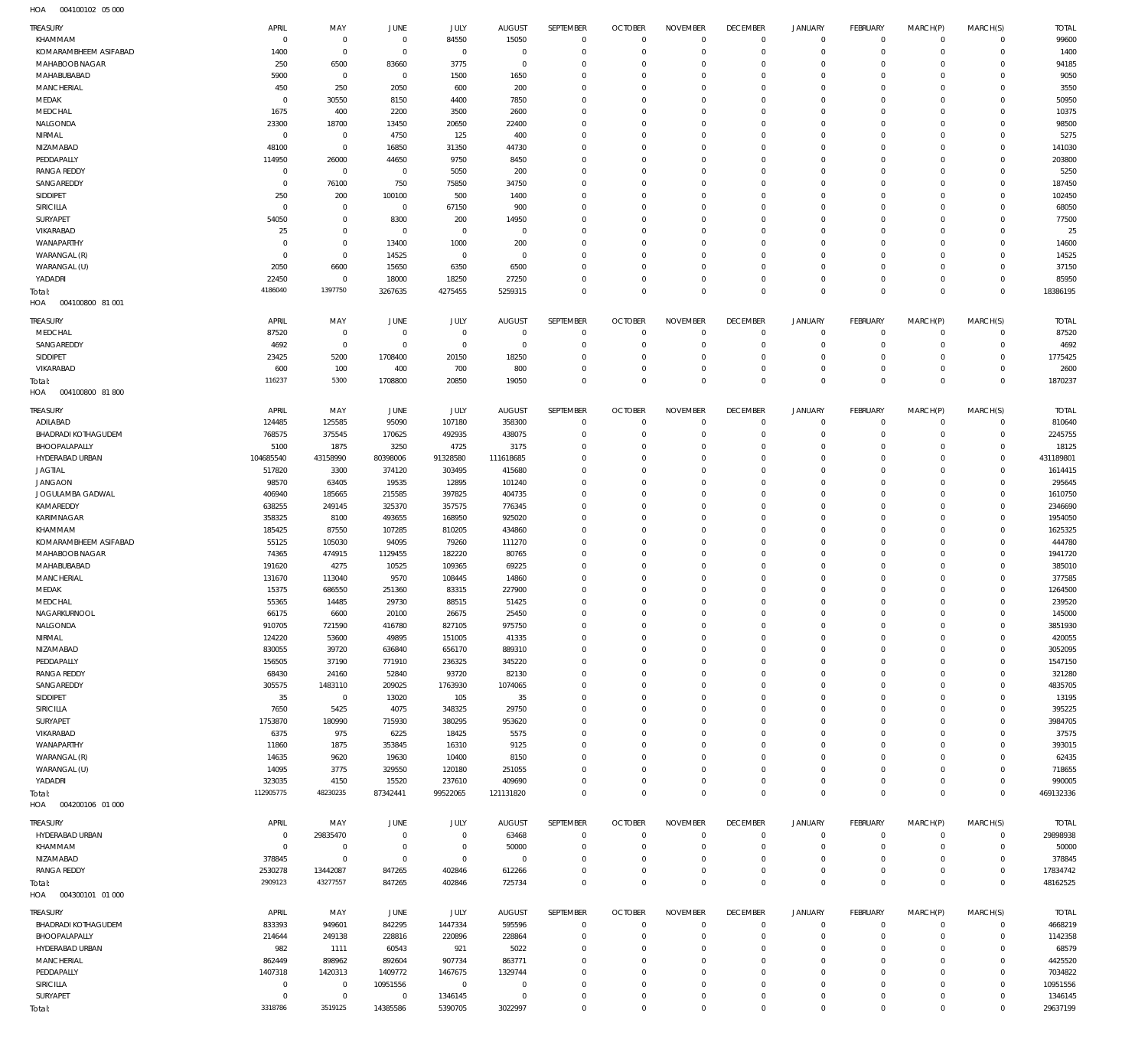004100102 05 000 HOA

| TREASURY                          | APRIL                 | MAY                | JUNE                     | JULY             | <b>AUGUST</b>           | SEPTEMBER                  | <b>OCTOBER</b>                | <b>NOVEMBER</b>                | <b>DECEMBER</b>                   | <b>JANUARY</b>                | FEBRUARY                      | MARCH(P)                   | MARCH(S)                   | <b>TOTAL</b>           |
|-----------------------------------|-----------------------|--------------------|--------------------------|------------------|-------------------------|----------------------------|-------------------------------|--------------------------------|-----------------------------------|-------------------------------|-------------------------------|----------------------------|----------------------------|------------------------|
| KHAMMAM                           | $\overline{0}$        | $\mathbf 0$        | $\overline{0}$           | 84550            | 15050                   | $\mathbf 0$                | $\overline{0}$                | $\mathbf 0$                    | $\overline{0}$                    | $\mathbf 0$                   | $\overline{0}$                | $\mathbf 0$                | $\overline{0}$             | 99600                  |
| KOMARAMBHEEM ASIFABAD             | 1400                  | $\mathbf 0$        | $\overline{0}$           | $\mathbf 0$      | $\overline{0}$          | $\mathbf 0$                | $\overline{0}$                | $\mathbf 0$                    | $\mathbf 0$                       | $\mathbf 0$                   | $\overline{0}$                | $\mathbf 0$                | $\mathbf 0$                | 1400                   |
| MAHABOOB NAGAR                    | 250                   | 6500               | 83660                    | 3775             | $\overline{0}$          | $\mathbf 0$                | $\mathbf 0$                   | $\mathbf 0$                    | $\mathbf 0$                       | $\mathbf 0$                   | $\mathbf 0$                   | $\mathbf 0$                | $\mathbf 0$                | 94185                  |
| MAHABUBABAD                       | 5900                  | $\overline{0}$     | $\overline{0}$           | 1500             | 1650                    | $\mathbf 0$                | $\mathbf 0$                   | $\mathbf 0$                    | $\mathbf 0$                       | $\mathbf 0$                   | $\mathbf 0$                   | $\Omega$                   | $\mathbf 0$                | 9050                   |
| MANCHERIAL<br>MEDAK               | 450<br>$\overline{0}$ | 250<br>30550       | 2050<br>8150             | 600<br>4400      | 200<br>7850             | $\mathbf 0$<br>$\mathbf 0$ | $\mathbf 0$<br>$\mathbf 0$    | $\mathbf 0$<br>0               | $\mathbf 0$<br>$\mathbf 0$        | $\mathbf 0$<br>$\mathbf 0$    | $\mathbf 0$<br>$\mathbf 0$    | $\Omega$<br>$\Omega$       | $\mathbf 0$<br>$\mathbf 0$ | 3550<br>50950          |
| MEDCHAL                           | 1675                  | 400                | 2200                     | 3500             | 2600                    | $\mathbf 0$                | $\mathbf 0$                   | $\Omega$                       | $\mathbf 0$                       | $\mathbf 0$                   | $\mathbf 0$                   | $\Omega$                   | $\mathbf 0$                | 10375                  |
| NALGONDA                          | 23300                 | 18700              | 13450                    | 20650            | 22400                   | $\mathbf 0$                | $\mathbf 0$                   | $\mathbf 0$                    | $\mathbf 0$                       | $\mathbf 0$                   | $\mathbf 0$                   | $\Omega$                   | $\mathbf 0$                | 98500                  |
| NIRMAL                            | $\overline{0}$        | $\mathbf 0$        | 4750                     | 125              | 400                     | $\mathbf 0$                | $\mathbf 0$                   | $\mathbf 0$                    | $\mathbf 0$                       | $\mathbf 0$                   | $\mathbf 0$                   | $\Omega$                   | $\mathbf 0$                | 5275                   |
| NIZAMABAD                         | 48100                 | $\mathbf 0$        | 16850                    | 31350            | 44730                   | $\mathbf 0$                | $\mathbf 0$                   | $\Omega$                       | $\mathbf 0$                       | $\mathbf 0$                   | $\mathbf 0$                   | $\Omega$                   | $\mathbf 0$                | 141030                 |
| PEDDAPALLY                        | 114950                | 26000              | 44650                    | 9750             | 8450                    | $\mathbf 0$                | $\mathbf 0$                   | $\Omega$                       | $\mathbf 0$                       | $\mathbf 0$                   | $\mathbf 0$                   | $\Omega$                   | $\mathbf 0$                | 203800                 |
| <b>RANGA REDDY</b>                | $\overline{0}$        | $\overline{0}$     | $\overline{0}$           | 5050             | 200                     | $\mathbf 0$                | $\mathbf 0$                   | $\Omega$                       | $\mathbf 0$                       | $\mathbf 0$                   | $\mathbf 0$                   | $\Omega$                   | $\mathbf 0$                | 5250                   |
| SANGAREDDY                        | $\overline{0}$        | 76100              | 750                      | 75850            | 34750                   | $\mathbf 0$                | $\mathbf 0$                   | $\mathbf 0$                    | $\mathbf 0$                       | $\mathbf 0$                   | $\mathbf 0$                   | $\Omega$                   | $\mathbf 0$                | 187450                 |
| SIDDIPET<br>SIRICILLA             | 250<br>$\overline{0}$ | 200<br>$\mathbf 0$ | 100100<br>$\overline{0}$ | 500<br>67150     | 1400<br>900             | $\mathbf 0$<br>$\mathbf 0$ | $\mathbf 0$<br>$\mathbf 0$    | 0<br>$\Omega$                  | $\mathbf 0$<br>$\mathbf 0$        | $\mathbf 0$<br>$\mathbf 0$    | $\mathbf 0$<br>$\mathbf 0$    | $\Omega$<br>$\Omega$       | $\mathbf 0$<br>$\mathbf 0$ | 102450<br>68050        |
| SURYAPET                          | 54050                 | $\mathbf 0$        | 8300                     | 200              | 14950                   | $\mathbf 0$                | $\mathbf 0$                   | $\mathbf 0$                    | $\mathbf 0$                       | $\mathbf 0$                   | $\mathbf 0$                   | $\Omega$                   | $\mathbf 0$                | 77500                  |
| VIKARABAD                         | 25                    | $\mathbf 0$        | $\overline{0}$           | $\mathbf 0$      | $\overline{0}$          | $\mathbf 0$                | $\mathbf 0$                   | $\mathbf 0$                    | $\mathbf 0$                       | $\mathbf 0$                   | $\mathbf 0$                   | $\Omega$                   | $\mathbf 0$                | 25                     |
| WANAPARTHY                        | $\circ$               | $\mathbf 0$        | 13400                    | 1000             | 200                     | $\mathbf 0$                | $\mathbf 0$                   | $\Omega$                       | $\mathbf 0$                       | $\mathbf 0$                   | $\mathbf 0$                   | $\Omega$                   | $\mathbf 0$                | 14600                  |
| WARANGAL (R)                      | $\circ$               | $\mathbf 0$        | 14525                    | $\mathbf 0$      | $\overline{0}$          | $\mathbf 0$                | $\mathbf 0$                   | 0                              | $\mathbf 0$                       | $\mathbf 0$                   | $\mathbf 0$                   | $\Omega$                   | $\mathbf 0$                | 14525                  |
| WARANGAL (U)                      | 2050                  | 6600               | 15650                    | 6350             | 6500                    | $\mathbf 0$                | $\mathbf 0$                   | 0                              | $\mathbf 0$                       | $\mathbf 0$                   | $\mathbf 0$                   | $\Omega$                   | $\mathbf 0$                | 37150                  |
| YADADRI                           | 22450                 | $\overline{0}$     | 18000                    | 18250            | 27250                   | $\mathbf 0$                | $\mathbf 0$                   | $\mathbf 0$                    | $\overline{0}$                    | $\mathbf 0$                   | $\mathbf 0$                   | $\mathbf 0$                | $\mathbf 0$                | 85950                  |
| Total:                            | 4186040               | 1397750            | 3267635                  | 4275455          | 5259315                 | $\mathbf 0$                | $\overline{0}$                | $\mathbf 0$                    | $\overline{0}$                    | $\mathbf 0$                   | $\overline{0}$                | $\mathbf 0$                | $\mathbf 0$                | 18386195               |
| HOA<br>004100800 81 001           |                       |                    |                          |                  |                         |                            |                               |                                |                                   |                               |                               |                            |                            |                        |
| TREASURY                          | APRIL                 | MAY                | JUNE                     | JULY             | <b>AUGUST</b>           | SEPTEMBER                  | <b>OCTOBER</b>                | <b>NOVEMBER</b>                | <b>DECEMBER</b>                   | <b>JANUARY</b>                | <b>FEBRUARY</b>               | MARCH(P)                   | MARCH(S)                   | <b>TOTAL</b>           |
| MEDCHAL                           | 87520                 | $\overline{0}$     | $\overline{0}$           | $\mathbf 0$      | $\overline{0}$          | $\mathbf 0$                | $\mathbf 0$                   | $\mathbf 0$                    | $\overline{0}$                    | $\mathbf 0$                   | $\overline{0}$                | $\mathbf 0$                | $\mathbf 0$                | 87520                  |
| SANGAREDDY                        | 4692                  | $\overline{0}$     | $\overline{0}$           | $\mathbf 0$      | $\overline{0}$          | $\mathbf 0$                | $\overline{0}$                | $\mathbf 0$                    | $\overline{0}$                    | $\mathbf 0$                   | $\overline{0}$                | $\mathbf 0$                | $\mathbf 0$                | 4692                   |
| SIDDIPET                          | 23425                 | 5200               | 1708400                  | 20150            | 18250                   | $\mathbf 0$                | $\mathbf 0$                   | $\mathbf 0$                    | $\mathbf 0$                       | $\mathbf 0$                   | $\mathbf 0$                   | $\mathbf 0$                | $\mathbf 0$                | 1775425                |
| VIKARABAD                         | 600<br>116237         | 100<br>5300        | 400<br>1708800           | 700<br>20850     | 800<br>19050            | $\mathbf 0$<br>$\mathbf 0$ | $\mathbf 0$<br>$\mathbf 0$    | $\mathbf 0$<br>$\mathbf 0$     | $\mathbf 0$<br>$\overline{0}$     | $\mathbf 0$<br>$\mathbf 0$    | $\mathbf 0$<br>$\overline{0}$ | $\mathbf 0$<br>$\mathbf 0$ | $\mathbf 0$<br>$\mathbb O$ | 2600<br>1870237        |
| Total:<br>004100800 81 800<br>HOA |                       |                    |                          |                  |                         |                            |                               |                                |                                   |                               |                               |                            |                            |                        |
|                                   |                       |                    |                          |                  |                         |                            |                               |                                |                                   |                               |                               |                            |                            |                        |
| TREASURY<br>ADILABAD              | APRIL<br>124485       | MAY<br>125585      | JUNE<br>95090            | JULY<br>107180   | <b>AUGUST</b><br>358300 | SEPTEMBER<br>$\mathbf 0$   | <b>OCTOBER</b><br>$\mathbf 0$ | <b>NOVEMBER</b><br>$\mathbf 0$ | <b>DECEMBER</b><br>$\overline{0}$ | <b>JANUARY</b><br>$\mathbf 0$ | FEBRUARY<br>$\overline{0}$    | MARCH(P)<br>$\mathbf 0$    | MARCH(S)<br>$\mathbf 0$    | <b>TOTAL</b><br>810640 |
| <b>BHADRADI KOTHAGUDEM</b>        | 768575                | 375545             | 170625                   | 492935           | 438075                  | $\mathbf 0$                | $\overline{0}$                | $\mathbf 0$                    | $\mathbf 0$                       | $\mathbf 0$                   | $\overline{0}$                | $\mathbf 0$                | $\mathbf 0$                | 2245755                |
| BHOOPALAPALLY                     | 5100                  | 1875               | 3250                     | 4725             | 3175                    | $\mathbf 0$                | $\mathbf 0$                   | $\mathbf 0$                    | $\mathbf 0$                       | $\mathbf 0$                   | $\mathbf 0$                   | $\mathbf 0$                | $\mathbf 0$                | 18125                  |
| HYDERABAD URBAN                   | 104685540             | 43158990           | 80398006                 | 91328580         | 111618685               | $\mathbf 0$                | $\mathbf 0$                   | $\Omega$                       | $\mathbf 0$                       | $\mathbf 0$                   | $\mathbf 0$                   | $\Omega$                   | $\mathbf 0$                | 431189801              |
| <b>JAGTIAL</b>                    | 517820                | 3300               | 374120                   | 303495           | 415680                  | $\mathbf 0$                | $\mathbf 0$                   | $\mathbf 0$                    | $\mathbf 0$                       | $\mathbf 0$                   | $\mathbf 0$                   | $\Omega$                   | $\mathbf 0$                | 1614415                |
| <b>JANGAON</b>                    | 98570                 | 63405              | 19535                    | 12895            | 101240                  | $\mathbf 0$                | $\mathbf 0$                   | $\Omega$                       | $\mathbf 0$                       | $\mathbf 0$                   | $\mathbf 0$                   | $\Omega$                   | $\mathbf 0$                | 295645                 |
| JOGULAMBA GADWAL                  | 406940                | 185665             | 215585                   | 397825           | 404735                  | $\mathbf 0$                | $\mathbf 0$                   | $\Omega$                       | $\mathbf 0$                       | $\mathbf 0$                   | $\mathbf 0$                   | $\Omega$                   | $\mathbf 0$                | 1610750                |
| KAMAREDDY                         | 638255                | 249145             | 325370                   | 357575           | 776345                  | $\mathbf 0$                | $\mathbf 0$                   | $\mathbf 0$                    | $\mathbf 0$                       | $\mathbf 0$                   | $\mathbf 0$                   | $\Omega$                   | $\mathbf 0$                | 2346690                |
| KARIMNAGAR                        | 358325                | 8100               | 493655                   | 168950           | 925020                  | $\mathbf 0$<br>$\mathbf 0$ | $\mathbf 0$<br>$\mathbf 0$    | $\Omega$<br>$\Omega$           | $\mathbf 0$<br>$\mathbf 0$        | $\mathbf 0$<br>$\mathbf 0$    | $\mathbf 0$                   | $\Omega$<br>$\Omega$       | $\mathbf 0$<br>$\mathbf 0$ | 1954050                |
| KHAMMAM<br>KOMARAMBHEEM ASIFABAD  | 185425<br>55125       | 87550<br>105030    | 107285<br>94095          | 810205<br>79260  | 434860<br>111270        | $\mathbf 0$                | $\mathbf 0$                   | $\Omega$                       | $\mathbf 0$                       | $\mathbf 0$                   | $\mathbf 0$<br>$\mathbf 0$    | $\Omega$                   | $\mathbf 0$                | 1625325<br>444780      |
| MAHABOOB NAGAR                    | 74365                 | 474915             | 1129455                  | 182220           | 80765                   | $\mathbf 0$                | $\mathbf 0$                   | $\Omega$                       | $\mathbf 0$                       | $\mathbf 0$                   | $\mathbf 0$                   | $\Omega$                   | $\mathbf 0$                | 1941720                |
| MAHABUBABAD                       | 191620                | 4275               | 10525                    | 109365           | 69225                   | $\mathbf 0$                | $\mathbf 0$                   | $\mathbf 0$                    | $\mathbf 0$                       | $\mathbf 0$                   | $\mathbf 0$                   | $\Omega$                   | $\mathbf 0$                | 385010                 |
| MANCHERIAL                        | 131670                | 113040             | 9570                     | 108445           | 14860                   | $\mathbf 0$                | $\mathbf 0$                   | $\mathbf 0$                    | $\mathbf 0$                       | $\mathbf 0$                   | $\mathbf 0$                   | $\Omega$                   | $\mathbf 0$                | 377585                 |
| MEDAK                             | 15375                 | 686550             | 251360                   | 83315            | 227900                  | $\mathbf 0$                | $\mathbf 0$                   | $\Omega$                       | $\mathbf 0$                       | $\mathbf 0$                   | $\mathbf 0$                   | $\Omega$                   | $\mathbf 0$                | 1264500                |
| MEDCHAL                           | 55365                 | 14485              | 29730                    | 88515            | 51425                   | $\mathbf 0$                | $\mathbf 0$                   | $\mathbf 0$                    | $\overline{0}$                    | $\mathbf 0$                   | $\mathbf{0}$                  | $\mathbf 0$                | $\mathbf 0$                | 239520                 |
| NAGARKURNOOL                      | 66175                 | 6600               | 20100                    | 26675            | 25450                   | $\Omega$                   | $\Omega$                      | $\Omega$                       | $\Omega$                          | $\cap$                        | $\Omega$                      | $\cap$                     | $\cap$                     | 145000                 |
| NALGONDA                          | 910705                | 721590             | 416780                   | 827105           | 975750                  | $\mathbf 0$<br>$\mathbf 0$ | $\mathbf 0$<br>$\mathbf 0$    | $\mathbf 0$<br>$\mathbf 0$     | $\mathbf 0$                       | $\mathbf 0$<br>$\mathbf 0$    | $\mathbf 0$<br>$\mathbf 0$    | $\mathbf 0$                | $\mathbf 0$                | 3851930                |
| NIRMAL<br>NIZAMABAD               | 124220<br>830055      | 53600<br>39720     | 49895<br>636840          | 151005<br>656170 | 41335<br>889310         | $\mathbf 0$                | $\mathbf 0$                   | $\mathbf 0$                    | $\mathbf 0$<br>$\mathbf 0$        | $\mathbf 0$                   | $\mathbf 0$                   | $\mathbf 0$<br>$\Omega$    | $\mathbf 0$<br>$\mathbf 0$ | 420055<br>3052095      |
| PEDDAPALLY                        | 156505                | 37190              | 771910                   | 236325           | 345220                  | $\mathbf 0$                | $\mathbf 0$                   | $\mathbf 0$                    | $\mathbf 0$                       | $\mathbf 0$                   | $\mathbf 0$                   | $\Omega$                   | $\mathbf 0$                | 1547150                |
| <b>RANGA REDDY</b>                | 68430                 | 24160              | 52840                    | 93720            | 82130                   | $\mathbf 0$                | $\mathbf 0$                   | $\mathbf 0$                    | $\mathbf 0$                       | $\mathbf 0$                   | $\mathbf 0$                   | $\Omega$                   | $\mathbf 0$                | 321280                 |
| SANGAREDDY                        | 305575                | 1483110            | 209025                   | 1763930          | 1074065                 | $\mathbf 0$                | $\mathbf 0$                   | $\mathbf 0$                    | $\mathbf 0$                       | $\mathbf 0$                   | $\mathbf 0$                   | $\Omega$                   | $\mathbf 0$                | 4835705                |
| SIDDIPET                          | 35                    | $\overline{0}$     | 13020                    | 105              | 35                      | $\mathbf 0$                | $\mathbf 0$                   | $\mathbf 0$                    | $\mathbf 0$                       | $\mathbf 0$                   | $\mathbf 0$                   | $\Omega$                   | $\mathbf 0$                | 13195                  |
| SIRICILLA                         | 7650                  | 5425               | 4075                     | 348325           | 29750                   | $\mathbf 0$                | $\mathbf 0$                   | $\Omega$                       | $\mathbf 0$                       | $\mathbf 0$                   | $\mathbf 0$                   | $\Omega$                   | $\mathbf 0$                | 395225                 |
| SURYAPET                          | 1753870               | 180990             | 715930                   | 380295           | 953620                  | $\mathbf 0$                | $\mathbf 0$                   | $\mathbf 0$                    | $\mathbf 0$                       | $\mathbf 0$                   | $\mathbf 0$                   | 0                          | $\mathbf 0$                | 3984705                |
| VIKARABAD                         | 6375                  | 975                | 6225                     | 18425            | 5575                    | $\mathbf 0$<br>$\mathbf 0$ | $\mathbf 0$<br>$\mathbf 0$    | $\mathbf 0$                    | $\mathbf 0$<br>$\mathbf 0$        | $\mathbf 0$<br>$\mathbf 0$    | $\mathbf 0$                   | $\Omega$<br>$\Omega$       | $\mathbf 0$<br>$\mathbf 0$ | 37575                  |
| WANAPARTHY<br>WARANGAL (R)        | 11860<br>14635        | 1875<br>9620       | 353845<br>19630          | 16310<br>10400   | 9125<br>8150            | $\mathbf 0$                | $\mathbf 0$                   | $\mathbf 0$<br>$\mathbf 0$     | $\mathbf 0$                       | $\mathbf 0$                   | $\mathbf 0$<br>$\mathbf 0$    | $\Omega$                   | $\mathbf 0$                | 393015<br>62435        |
| WARANGAL (U)                      | 14095                 | 3775               | 329550                   | 120180           | 251055                  | $\mathbf 0$                | $\mathbf 0$                   | $\mathbf 0$                    | $\mathbf 0$                       | $\mathbf 0$                   | $\mathbf 0$                   | $\Omega$                   | $\mathbf 0$                | 718655                 |
| YADADRI                           | 323035                | 4150               | 15520                    | 237610           | 409690                  | $\mathbf 0$                | $\mathbf 0$                   | $\mathbf 0$                    | $\overline{0}$                    | $\mathbf 0$                   | $\mathbf 0$                   | $\mathbf 0$                | $\mathbf 0$                | 990005                 |
| Total:                            | 112905775             | 48230235           | 87342441                 | 99522065         | 121131820               | $\mathbf 0$                | $\overline{0}$                | $\mathbf 0$                    | $\overline{0}$                    | $\mathbf 0$                   | $\overline{0}$                | $\mathbf 0$                | $\mathbf 0$                | 469132336              |
| HOA<br>004200106 01 000           |                       |                    |                          |                  |                         |                            |                               |                                |                                   |                               |                               |                            |                            |                        |
| TREASURY                          | APRIL                 | MAY                | JUNE                     | JULY             | <b>AUGUST</b>           | SEPTEMBER                  | <b>OCTOBER</b>                | <b>NOVEMBER</b>                | <b>DECEMBER</b>                   | <b>JANUARY</b>                | FEBRUARY                      | MARCH(P)                   | MARCH(S)                   | <b>TOTAL</b>           |
| HYDERABAD URBAN                   | $\overline{0}$        | 29835470           | $\overline{0}$           | $\mathbf 0$      | 63468                   | $\mathbf 0$                | $\overline{0}$                | $\mathbf 0$                    | $\overline{0}$                    | $\mathbf 0$                   | $\overline{0}$                | $\mathbf 0$                | $\overline{0}$             | 29898938               |
| KHAMMAM                           | $\mathbf 0$           | $\overline{0}$     | $\overline{0}$           | $\mathbf 0$      | 50000                   | $\mathbf 0$                | $\overline{0}$                | $\mathbf 0$                    | $\mathbf 0$                       | $\mathbf 0$                   | $\overline{0}$                | $\mathbf 0$                | $\mathbf 0$                | 50000                  |
| NIZAMABAD                         | 378845                | $\mathbf 0$        | $\overline{0}$           | $\mathbf 0$      | $\overline{0}$          | $\mathbf 0$                | $\mathbf 0$                   | $\mathbf 0$                    | $\mathbf 0$                       | $\mathbf 0$                   | $\mathbf 0$                   | $\mathbf 0$                | $\mathbf 0$                | 378845                 |
| <b>RANGA REDDY</b>                | 2530278               | 13442087           | 847265                   | 402846           | 612266                  | $\mathbf 0$                | $\mathbf 0$                   | $\mathbf 0$                    | $\overline{0}$                    | $\mathbf 0$                   | $\mathbf 0$                   | $\mathbf 0$                | $\mathbf 0$                | 17834742               |
| Total:                            | 2909123               | 43277557           | 847265                   | 402846           | 725734                  | $\mathbf 0$                | $\mathbf 0$                   | $\mathbf 0$                    | $\overline{0}$                    | $\mathbf 0$                   | $\overline{0}$                | $\mathbf 0$                | $\mathbf 0$                | 48162525               |
| HOA   004300101   01   000        |                       |                    |                          |                  |                         |                            |                               |                                |                                   |                               |                               |                            |                            |                        |
| TREASURY                          | APRIL                 | MAY                | JUNE                     | JULY             | <b>AUGUST</b>           | SEPTEMBER                  | <b>OCTOBER</b>                | <b>NOVEMBER</b>                | <b>DECEMBER</b>                   | <b>JANUARY</b>                | FEBRUARY                      | MARCH(P)                   | MARCH(S)                   | <b>TOTAL</b>           |
| <b>BHADRADI KOTHAGUDEM</b>        | 833393                | 949601             | 842295                   | 1447334          | 595596                  | $\mathbf 0$                | $\overline{0}$                | $\mathbf 0$                    | $\overline{0}$                    | $\mathbf 0$                   | $\overline{0}$                | $\mathbf 0$                | $\overline{0}$             | 4668219                |
| BHOOPALAPALLY                     | 214644                | 249138             | 228816                   | 220896           | 228864                  | $\mathbf 0$<br>$\mathbf 0$ | $\overline{0}$<br>$\mathbf 0$ | $\mathbf 0$                    | $\mathbf 0$                       | $\mathbf 0$<br>$\mathbf 0$    | $\overline{0}$                | $\mathbf 0$                | $\mathbf 0$                | 1142358                |
| HYDERABAD URBAN<br>MANCHERIAL     | 982<br>862449         | 1111<br>898962     | 60543<br>892604          | 921<br>907734    | 5022<br>863771          | $\mathbf 0$                | $\mathbf 0$                   | $\mathbf 0$<br>$\mathbf 0$     | $\mathbf 0$<br>$\mathbf 0$        | $\mathbf 0$                   | $\mathbf 0$<br>$\mathbf 0$    | $\mathbf 0$<br>$\Omega$    | $\mathbf 0$<br>$\mathbf 0$ | 68579<br>4425520       |
| PEDDAPALLY                        | 1407318               | 1420313            | 1409772                  | 1467675          | 1329744                 | $\mathbf 0$                | $\mathbf 0$                   | $\mathbf 0$                    | $\mathbf 0$                       | $\mathbf 0$                   | $\mathbf 0$                   | $\mathbf 0$                | $\mathbf 0$                | 7034822                |
| SIRICILLA                         | $\overline{0}$        | $\overline{0}$     | 10951556                 | $\overline{0}$   | $\overline{0}$          | $\mathbf 0$                | $\mathbf 0$                   | $\mathbf 0$                    | $\mathbf 0$                       | $\mathbf 0$                   | $\mathbf 0$                   | $\mathbf 0$                | $\mathbf 0$                | 10951556               |
| SURYAPET                          | $\overline{0}$        | $\overline{0}$     | $\overline{0}$           | 1346145          | $\overline{0}$          | $\mathbf 0$                | $\mathbf 0$                   | $\mathbf 0$                    | $\mathbf 0$                       | $\mathbf 0$                   | $\mathbf 0$                   | $\mathbf 0$                | $\mathbf 0$                | 1346145                |
| Total:                            | 3318786               | 3519125            | 14385586                 | 5390705          | 3022997                 | $\mathbf 0$                | $\overline{0}$                | $\mathbf 0$                    | $\mathbb O$                       | $\mathbf 0$                   | $\mathbf 0$                   | $\mathbf 0$                | $\mathbf 0$                | 29637199               |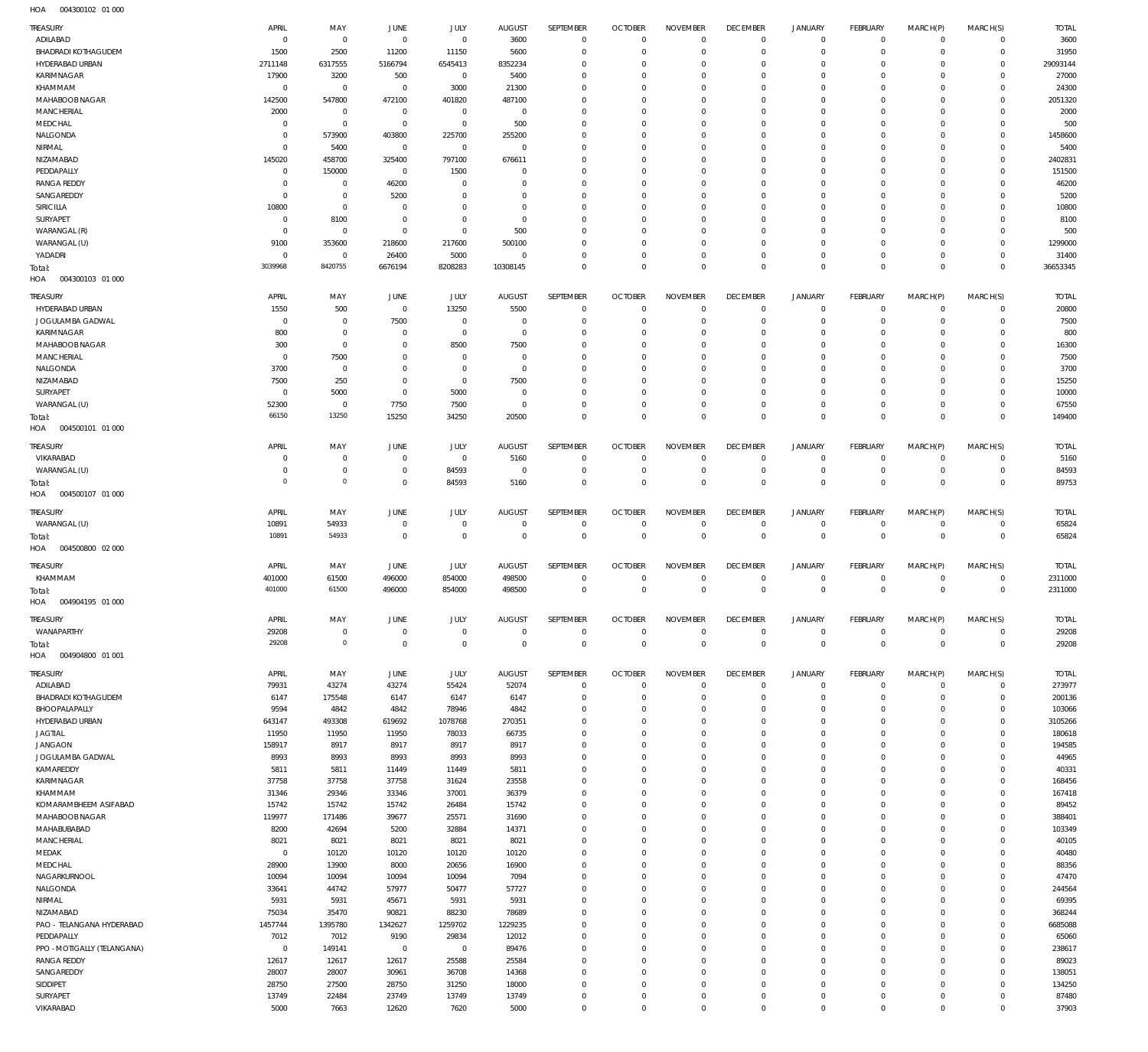| TREASURY<br>ADILABAD              | APRIL<br>$\circ$   | MAY<br>$\overline{0}$      | <b>JUNE</b><br>$\overline{0}$ | <b>JULY</b><br>$\mathbf 0$ | <b>AUGUST</b><br>3600   | SEPTEMBER<br>$\mathbf{0}$  | <b>OCTOBER</b><br>$\overline{0}$ | <b>NOVEMBER</b><br>$\Omega$    | <b>DECEMBER</b><br>$\overline{0}$ | <b>JANUARY</b><br>$^{\circ}$ | <b>FEBRUARY</b><br>$\overline{0}$ | MARCH(P)<br>$\mathbf 0$ | MARCH(S)<br>$\mathbf 0$     | <b>TOTAL</b><br>3600    |
|-----------------------------------|--------------------|----------------------------|-------------------------------|----------------------------|-------------------------|----------------------------|----------------------------------|--------------------------------|-----------------------------------|------------------------------|-----------------------------------|-------------------------|-----------------------------|-------------------------|
| <b>BHADRADI KOTHAGUDEM</b>        | 1500               | 2500                       | 11200                         | 11150                      | 5600                    | $\mathbf 0$                | $\overline{0}$                   | $\Omega$                       | $\mathbf 0$                       | $\mathbf 0$                  | $\mathbf 0$                       | $\mathbf 0$             | $\mathbf 0$                 | 31950                   |
| HYDERABAD URBAN                   | 2711148            | 6317555                    | 5166794                       | 6545413                    | 8352234                 | $\mathbf 0$                | $\Omega$                         | $\Omega$                       | $\mathbf 0$                       | $^{\circ}$                   | $\mathbf 0$                       | $\Omega$                | $\mathbf 0$                 | 29093144                |
| KARIMNAGAR                        | 17900              | 3200                       | 500                           | $\mathsf{O}\xspace$        | 5400                    | $\mathbf 0$                | $\overline{0}$                   | $\Omega$                       | $\mathbf 0$                       | 0                            | $\mathbf{0}$                      | $\Omega$                | $\Omega$                    | 27000                   |
| KHAMMAM                           | $^{\circ}$         | $\mathbf 0$                | $\mathbf 0$                   | 3000                       | 21300                   | $\Omega$                   | $\Omega$                         | $\Omega$                       | $\mathbf 0$                       | 0                            | $\mathbf{0}$                      | $\Omega$                | $\Omega$                    | 24300                   |
| MAHABOOB NAGAR                    | 142500             | 547800                     | 472100                        | 401820                     | 487100                  | $\Omega$                   | $\overline{0}$                   | $\Omega$                       | $\mathbf 0$                       | 0                            | $\mathbf{0}$                      | $\Omega$                | $\Omega$                    | 2051320                 |
| <b>MANCHERIAL</b><br>MEDCHAL      | 2000<br>$^{\circ}$ | $\mathbf 0$<br>$\mathbb O$ | $\mathbf 0$<br>$\overline{0}$ | 0<br>$\mathbf 0$           | $\overline{0}$<br>500   | $\mathbf 0$<br>$\Omega$    | $\overline{0}$<br>$\Omega$       | $\Omega$<br>$\Omega$           | $\mathbf 0$<br>$\Omega$           | 0<br>$\Omega$                | $\mathbf{0}$<br>$\mathbf{0}$      | $\Omega$<br>$\Omega$    | $\Omega$<br>$\Omega$        | 2000<br>500             |
| NALGONDA                          | $^{\circ}$         | 573900                     | 403800                        | 225700                     | 255200                  | $\mathbf 0$                | $\overline{0}$                   | $\Omega$                       | $\mathbf 0$                       | 0                            | $\mathbf{0}$                      | $\Omega$                | $\mathbf 0$                 | 1458600                 |
| NIRMAL                            | $^{\circ}$         | 5400                       | $\overline{0}$                | $\mathbf 0$                | $\overline{0}$          | $\Omega$                   | $\Omega$                         | $\Omega$                       | $\Omega$                          | $\Omega$                     | $\mathbf{0}$                      | $\Omega$                | $\Omega$                    | 5400                    |
| NIZAMABAD                         | 145020             | 458700                     | 325400                        | 797100                     | 676611                  | $\mathbf 0$                | $\overline{0}$                   | $\Omega$                       | $\mathbf 0$                       | 0                            | $\mathbf{0}$                      | $\Omega$                | $\mathbf 0$                 | 2402831                 |
| PEDDAPALLY                        | $\circ$            | 150000                     | $\overline{0}$                | 1500                       | $\mathbf 0$             | $\Omega$                   | $\Omega$                         | $\Omega$                       | $\Omega$                          | $\Omega$                     | $\mathbf{0}$                      | $\Omega$                | $\Omega$                    | 151500                  |
| <b>RANGA REDDY</b>                | $^{\circ}$         | $^{\circ}$                 | 46200                         | $\mathbf 0$                | $\Omega$                | $\Omega$                   | $\overline{0}$                   | $\Omega$                       | $\mathbf 0$                       | 0                            | $\mathbf{0}$                      | $\Omega$                | $\mathbf 0$                 | 46200                   |
| SANGAREDDY                        | $^{\circ}$         | $\mathbf 0$                | 5200                          | $\mathbf 0$                | $\mathbf 0$             | $\mathbf 0$                | $\mathbf 0$                      | $\Omega$                       | $\mathbf 0$                       | 0                            | $\mathbf{0}$                      | $\Omega$                | $\Omega$                    | 5200                    |
| SIRICILLA                         | 10800              | $\mathbf 0$                | $\overline{0}$                | $\mathbf 0$                | $\Omega$                | $\Omega$                   | $\Omega$                         | $\Omega$                       | $\mathbf 0$                       | 0                            | $\mathbf{0}$                      | $\Omega$                | $\mathbf 0$                 | 10800                   |
| <b>SURYAPET</b>                   | $^{\circ}$         | 8100                       | $\overline{0}$                | $\mathbf 0$                | $\overline{0}$          | $\Omega$<br>$\Omega$       | $\mathbf 0$<br>$\Omega$          | $\Omega$                       | $\mathbf 0$                       | 0                            | $\mathbf{0}$                      | $\Omega$                | $\Omega$<br>$\Omega$        | 8100                    |
| WARANGAL (R)<br>WARANGAL (U)      | $\Omega$<br>9100   | $\overline{0}$<br>353600   | $\overline{0}$<br>218600      | $\mathbf 0$<br>217600      | 500<br>500100           | $\Omega$                   | $\overline{0}$                   | $\Omega$<br>$\Omega$           | $\mathbf 0$<br>$\mathbf 0$        | 0<br>0                       | $\mathbf{0}$<br>$\mathbf{0}$      | $\Omega$<br>0           | $\mathbf 0$                 | 500<br>1299000          |
| YADADRI                           | $^{\circ}$         | $\mathbf 0$                | 26400                         | 5000                       | $\mathbf 0$             | $\mathbf 0$                | $\mathbf 0$                      | $\Omega$                       | $\mathbf 0$                       | $\mathbf 0$                  | $\mathbf{0}$                      | $\Omega$                | $\mathbf 0$                 | 31400                   |
| Total:                            | 3039968            | 8420755                    | 6676194                       | 8208283                    | 10308145                | $\mathbf 0$                | $\overline{0}$                   | $\mathbf 0$                    | $\overline{0}$                    | $\mathbf 0$                  | $\overline{0}$                    | $\mathbf 0$             | $\overline{0}$              | 36653345                |
| HOA<br>004300103 01 000           |                    |                            |                               |                            |                         |                            |                                  |                                |                                   |                              |                                   |                         |                             |                         |
| TREASURY                          | APRIL              | MAY                        | JUNE                          | JULY                       | <b>AUGUST</b>           | SEPTEMBER                  | <b>OCTOBER</b>                   | <b>NOVEMBER</b>                | <b>DECEMBER</b>                   | <b>JANUARY</b>               | FEBRUARY                          | MARCH(P)                | MARCH(S)                    | <b>TOTAL</b>            |
| HYDERABAD URBAN                   | 1550               | 500                        | $\overline{0}$                | 13250                      | 5500                    | $\mathbf 0$                | $\Omega$                         | $\Omega$                       | $\mathbf 0$                       | $^{\circ}$                   | $\mathbf{0}$                      | $\mathbf 0$             | $\mathbf 0$                 | 20800                   |
| JOGULAMBA GADWAL                  | $\Omega$           | $\mathbf 0$                | 7500                          | $\mathbf 0$                | $\mathbf 0$             | $\mathbf 0$                | $\overline{0}$                   | $\Omega$                       | $\mathbf 0$                       | $\mathbf 0$                  | $\mathbf 0$                       | $\Omega$                | $\mathbf 0$                 | 7500                    |
| KARIMNAGAR                        | 800                | $\mathbf 0$                | $^{\circ}$                    | $\mathbf 0$                | $\mathbf 0$             | $\mathbf 0$                | $\mathbf 0$                      | $\Omega$                       | $\mathbf 0$                       | 0                            | $\mathbf{0}$                      | $\Omega$                | 0                           | 800                     |
| MAHABOOB NAGAR                    | 300                | $\mathbf 0$                | $^{\circ}$                    | 8500                       | 7500                    | $\Omega$                   | $\Omega$                         | $\Omega$                       | $\Omega$                          | $\Omega$                     | $\Omega$                          | $\Omega$                | $\Omega$                    | 16300                   |
| <b>MANCHERIAL</b>                 | $^{\circ}$         | 7500                       | $^{\circ}$                    | $\Omega$                   | $\mathbf 0$             | $\Omega$                   | $\Omega$                         | $\Omega$                       | $\mathbf 0$                       | 0                            | $^{\circ}$                        | $\Omega$                | $\Omega$                    | 7500                    |
| NALGONDA                          | 3700               | $\overline{0}$             | $^{\circ}$                    | $\mathbf 0$                | $\mathbf 0$             | $\Omega$                   | $\Omega$                         | $\Omega$                       | $\Omega$                          | $\Omega$                     | $\Omega$                          | $\Omega$                | $\Omega$                    | 3700                    |
| NIZAMABAD                         | 7500               | 250                        | $^{\circ}$                    | $\Omega$                   | 7500                    | $\Omega$                   | $\Omega$                         | $\Omega$                       | $\Omega$                          | $\Omega$                     | $\mathbf 0$                       | $\Omega$                | $\Omega$                    | 15250                   |
| SURYAPET                          | $\Omega$           | 5000                       | $\overline{0}$                | 5000                       | $\mathbf 0$             | $\Omega$                   | $\Omega$                         | $\Omega$                       | $\mathbf 0$                       | $\mathbf 0$                  | $\mathbf{0}$                      | $\Omega$                | $\Omega$                    | 10000                   |
| WARANGAL (U)                      | 52300<br>66150     | $\mathbf 0$<br>13250       | 7750                          | 7500                       | $\mathbf 0$<br>20500    | $\Omega$<br>$\mathbf 0$    | $\mathbf 0$<br>$\Omega$          | $\Omega$<br>$\Omega$           | $\mathbf 0$<br>$\mathbf 0$        | $\mathbf 0$<br>$\mathbf 0$   | $\mathbf{0}$<br>$\overline{0}$    | $\Omega$<br>$\Omega$    | $\mathbf 0$<br>$\mathbf{0}$ | 67550<br>149400         |
| Total:<br>HOA<br>004500101 01 000 |                    |                            | 15250                         | 34250                      |                         |                            |                                  |                                |                                   |                              |                                   |                         |                             |                         |
| TREASURY                          | APRIL              | MAY                        | <b>JUNE</b>                   | JULY                       | <b>AUGUST</b>           | SEPTEMBER                  | <b>OCTOBER</b>                   | <b>NOVEMBER</b>                | <b>DECEMBER</b>                   | <b>JANUARY</b>               | FEBRUARY                          | MARCH(P)                | MARCH(S)                    | <b>TOTAL</b>            |
| VIKARABAD                         | $\Omega$           | $\mathbf 0$                | $\overline{0}$                | $\mathbf 0$                | 5160                    | $\mathbf 0$                | $\overline{0}$                   | $\mathbf 0$                    | $\overline{0}$                    | $^{\circ}$                   | $\mathbf 0$                       | $\mathbf 0$             | $\mathbf 0$                 | 5160                    |
| WARANGAL (U)                      | $^{\circ}$         | $\mathbb O$                | $\mathbf 0$                   | 84593                      | $\overline{0}$          | $\mathbf 0$                | $\overline{0}$                   | $\mathbf 0$                    | $\overline{0}$                    | $\mathbf 0$                  | $\overline{0}$                    | $\mathbf 0$             | $\overline{0}$              | 84593                   |
| Total:                            | $\circ$            | $\mathbf 0$                | $\overline{0}$                | 84593                      | 5160                    | $\mathbf 0$                | $\overline{0}$                   | $\mathbf 0$                    | $\overline{0}$                    | $\mathbf 0$                  | $\overline{0}$                    | $\mathbf 0$             | $\mathbf{0}$                | 89753                   |
| 004500107 01 000<br>HOA           |                    |                            |                               |                            |                         |                            |                                  |                                |                                   |                              |                                   |                         |                             |                         |
| TREASURY                          | APRIL              | MAY                        | <b>JUNE</b>                   | JULY                       | <b>AUGUST</b>           | SEPTEMBER                  | <b>OCTOBER</b>                   | <b>NOVEMBER</b>                | <b>DECEMBER</b>                   | <b>JANUARY</b>               | FEBRUARY                          | MARCH(P)                | MARCH(S)                    | <b>TOTAL</b>            |
| WARANGAL (U)                      | 10891              | 54933                      | $\overline{0}$                | $\mathbf 0$                | $\mathbf 0$             | $\mathbf 0$                | $\overline{0}$                   | $\mathbf 0$                    | $^{\circ}$                        | $^{\circ}$                   | $\mathbf 0$                       | $\mathbf 0$             | $\circ$                     | 65824                   |
| Total:<br>004500800 02 000<br>HOA | 10891              | 54933                      | $\mathbf{0}$                  | $\mathbf 0$                | $\mathbf 0$             | $\mathbf 0$                | $\overline{0}$                   | $\mathbf 0$                    | $\overline{0}$                    | $\overline{0}$               | $\overline{0}$                    | $\mathbf{0}$            | $\overline{0}$              | 65824                   |
|                                   | APRIL              |                            |                               |                            |                         |                            |                                  |                                |                                   |                              |                                   |                         |                             |                         |
| TREASURY<br>KHAMMAM               | 401000             | MAY<br>61500               | JUNE<br>496000                | <b>JULY</b><br>854000      | <b>AUGUST</b><br>498500 | SEPTEMBER<br>$\mathbf 0$   | <b>OCTOBER</b><br>$\overline{0}$ | <b>NOVEMBER</b><br>$\mathbf 0$ | <b>DECEMBER</b><br>$\overline{0}$ | <b>JANUARY</b><br>$^{\circ}$ | FEBRUARY<br>$\mathbf 0$           | MARCH(P)<br>$\mathbf 0$ | MARCH(S)<br>$\circ$         | <b>TOTAL</b><br>2311000 |
| Total:                            | 401000             | 61500                      | 496000                        | 854000                     | 498500                  | $\bf 0$                    | $\overline{0}$                   | $\mathbf 0$                    | $\overline{0}$                    | $\mathbf 0$                  | $\overline{0}$                    | $\mathbf 0$             | $\mathbf{0}$                | 2311000                 |
| HOA<br>004904195 01 000           |                    |                            |                               |                            |                         |                            |                                  |                                |                                   |                              |                                   |                         |                             |                         |
| TREASURY                          | APRIL              | MAY                        | JUNE                          | JULY                       | <b>AUGUST</b>           | SEPTEMBER                  | <b>OCTOBER</b>                   | <b>NOVEMBER</b>                | <b>DECEMBER</b>                   | <b>JANUARY</b>               | FEBRUARY                          | MARCH(P)                | MARCH(S)                    | <b>TOTAL</b>            |
| WANAPARTHY                        | 29208              | $\mathbf 0$                | $\mathbf 0$                   | $\mathbf 0$                | $\overline{0}$          | $\mathbf 0$                | $\overline{0}$                   | $\mathbf 0$                    | $\overline{0}$                    | $\circ$                      | $\overline{0}$                    | $\mathbf 0$             | $\mathbf 0$                 | 29208                   |
| Total:                            | 29208              | $\mathbb O$                | $\mathbf{0}$                  | $\mathbf 0$                | $\mathbf 0$             | $\bf 0$                    | $\overline{0}$                   | $\overline{0}$                 | $\overline{0}$                    | $\mathbf 0$                  | $\overline{0}$                    | $\mathbf{0}$            | $\overline{0}$              | 29208                   |
| HOA<br>004904800 01 001           |                    |                            |                               |                            |                         |                            |                                  |                                |                                   |                              |                                   |                         |                             |                         |
| TREASURY                          | APRIL              | MAY                        | JUNE                          | JULY                       | <b>AUGUST</b>           | SEPTEMBER                  | <b>OCTOBER</b>                   | <b>NOVEMBER</b>                | <b>DECEMBER</b>                   | JANUARY                      | FEBRUARY                          | MARCH(P)                | MARCH(S)                    | <b>TOTAL</b>            |
| ADILABAD                          | 79931              | 43274                      | 43274                         | 55424                      | 52074                   | $\mathbf 0$                | $\overline{0}$                   | $\mathbf 0$                    | $\overline{0}$                    | $\circ$                      | $\overline{0}$                    | $\mathbf 0$             | $\mathbf 0$                 | 273977                  |
| <b>BHADRADI KOTHAGUDEM</b>        | 6147               | 175548                     | 6147                          | 6147                       | 6147                    | $\mathbf 0$                | $\overline{0}$                   | $\mathbf 0$                    | $\overline{0}$                    | $\mathbf 0$                  | $\overline{0}$                    | $\mathbf 0$             | $\overline{0}$              | 200136                  |
| BHOOPALAPALLY                     | 9594               | 4842                       | 4842                          | 78946                      | 4842                    | $\mathbf 0$                | $\overline{0}$                   | $\mathbf 0$                    | $\mathbf 0$                       | 0                            | $\mathbf{0}$                      | $\Omega$                | $\mathbf 0$                 | 103066                  |
| HYDERABAD URBAN                   | 643147             | 493308                     | 619692                        | 1078768                    | 270351                  | $\mathbf 0$                | $\overline{0}$                   | $\Omega$                       | $\overline{0}$                    | $\mathbf 0$                  | $\mathbf{0}$                      | 0                       | $\mathbf 0$                 | 3105266                 |
| JAGTIAL                           | 11950              | 11950                      | 11950                         | 78033                      | 66735                   | $\mathbf 0$                | $\overline{0}$                   | $\mathbf 0$                    | $\mathbf 0$                       | 0                            | $\mathbf{0}$                      | $\Omega$                | $\mathbf 0$                 | 180618                  |
| <b>JANGAON</b>                    | 158917             | 8917                       | 8917                          | 8917                       | 8917                    | $\mathbf 0$<br>$\mathbf 0$ | $\overline{0}$<br>$\overline{0}$ | $\Omega$<br>$\mathbf 0$        | $\mathbf 0$<br>$\mathbf 0$        | $\mathbf 0$<br>0             | $\mathbf{0}$<br>$\circ$           | $\Omega$<br>0           | $\Omega$<br>$\mathbf 0$     | 194585                  |
| JOGULAMBA GADWAL<br>KAMAREDDY     | 8993<br>5811       | 8993<br>5811               | 8993<br>11449                 | 8993<br>11449              | 8993<br>5811            | $\mathbf 0$                | $\overline{0}$                   | $\Omega$                       | $\mathbf 0$                       | $\mathbf 0$                  | $\mathbf{0}$                      | $\Omega$                | $\mathbf 0$                 | 44965<br>40331          |
| KARIMNAGAR                        | 37758              | 37758                      | 37758                         | 31624                      | 23558                   | $\mathbf 0$                | $\overline{0}$                   | $\Omega$                       | $\mathbf 0$                       | 0                            | $\circ$                           | 0                       | $\mathbf 0$                 | 168456                  |
| KHAMMAM                           | 31346              | 29346                      | 33346                         | 37001                      | 36379                   | $\mathbf 0$                | $\overline{0}$                   | $\mathbf 0$                    | $\mathbf 0$                       | $\mathbf 0$                  | $\mathbf{0}$                      | 0                       | $\mathbf 0$                 | 167418                  |
| KOMARAMBHEEM ASIFABAD             | 15742              | 15742                      | 15742                         | 26484                      | 15742                   | $\mathbf 0$                | $\overline{0}$                   | $\Omega$                       | $\mathbf 0$                       | 0                            | $\mathbf{0}$                      | $\Omega$                | $\mathbf 0$                 | 89452                   |
| MAHABOOB NAGAR                    | 119977             | 171486                     | 39677                         | 25571                      | 31690                   | $\mathbf 0$                | $\overline{0}$                   | $\mathbf 0$                    | $\mathbf 0$                       | $\mathbf 0$                  | $\mathbf{0}$                      | 0                       | $\mathbf 0$                 | 388401                  |
| MAHABUBABAD                       | 8200               | 42694                      | 5200                          | 32884                      | 14371                   | $\mathbf 0$                | $\overline{0}$                   | $\Omega$                       | $\mathbf 0$                       | 0                            | $\mathbf{0}$                      | $\Omega$                | $\mathbf 0$                 | 103349                  |
| MANCHERIAL                        | 8021               | 8021                       | 8021                          | 8021                       | 8021                    | $\mathbf 0$                | $\overline{0}$                   | $\mathbf 0$                    | $\mathbf 0$                       | 0                            | $\mathbf 0$                       | 0                       | $\mathbf 0$                 | 40105                   |
| MEDAK                             | $\circ$            | 10120                      | 10120                         | 10120                      | 10120                   | $\mathbf 0$                | $\overline{0}$                   | $\Omega$                       | $\mathbf 0$                       | 0                            | $\mathbf{0}$                      | $\Omega$                | $\mathbf 0$                 | 40480                   |
| MEDCHAL                           | 28900              | 13900                      | 8000                          | 20656                      | 16900                   | $\mathbf 0$<br>$\mathbf 0$ | $\overline{0}$<br>$\overline{0}$ | $\Omega$<br>$\mathbf 0$        | $\mathbf 0$<br>$\mathbf 0$        | 0                            | $\mathbf{0}$<br>$\mathbf{0}$      | 0<br>$\Omega$           | $\mathbf 0$<br>$\mathbf 0$  | 88356                   |
| NAGARKURNOOL<br>NALGONDA          | 10094<br>33641     | 10094<br>44742             | 10094<br>57977                | 10094<br>50477             | 7094<br>57727           | $\mathbf 0$                | $\overline{0}$                   | $\Omega$                       | $\mathbf 0$                       | 0<br>0                       | $\mathbf{0}$                      | 0                       | $\mathbf 0$                 | 47470<br>244564         |
| NIRMAL                            | 5931               | 5931                       | 45671                         | 5931                       | 5931                    | $\mathbf 0$                | $\overline{0}$                   | $\mathbf 0$                    | $\mathbf 0$                       | 0                            | $\circ$                           | 0                       | $\mathbf 0$                 | 69395                   |
| NIZAMABAD                         | 75034              | 35470                      | 90821                         | 88230                      | 78689                   | $\mathbf 0$                | $\overline{0}$                   | $\Omega$                       | $\mathbf 0$                       | $\mathbf 0$                  | $\mathbf{0}$                      | $\Omega$                | $\mathbf 0$                 | 368244                  |
| PAO - TELANGANA HYDERABAD         | 1457744            | 1395780                    | 1342627                       | 1259702                    | 1229235                 | $\mathbf 0$                | $\overline{0}$                   | $\mathbf 0$                    | $\mathbf 0$                       | 0                            | $\circ$                           | 0                       | $\mathbf 0$                 | 6685088                 |
| PEDDAPALLY                        | 7012               | 7012                       | 9190                          | 29834                      | 12012                   | $\mathbf 0$                | $\overline{0}$                   | $\mathbf 0$                    | $\mathbf 0$                       | $\mathbf 0$                  | $\mathbf 0$                       | 0                       | $\Omega$                    | 65060                   |
| PPO - MOTIGALLY (TELANGANA)       | $\circ$            | 149141                     | $\overline{0}$                | $\mathsf{O}\xspace$        | 89476                   | $\mathbf 0$                | $\overline{0}$                   | $\Omega$                       | $\mathbf 0$                       | 0                            | $\mathbf{0}$                      | $\Omega$                | $\mathbf 0$                 | 238617                  |
| <b>RANGA REDDY</b>                | 12617              | 12617                      | 12617                         | 25588                      | 25584                   | $\mathbf 0$                | $\overline{0}$                   | $\mathbf 0$                    | $\mathbf 0$                       | $\mathbf 0$                  | $\mathbf{0}$                      | 0                       | $\mathbf 0$                 | 89023                   |
| SANGAREDDY                        | 28007              | 28007                      | 30961                         | 36708                      | 14368                   | $\mathbf 0$                | $\overline{0}$                   | $\Omega$                       | $\mathbf 0$                       | 0                            | $\mathbf{0}$                      | $\Omega$                | $\mathbf 0$                 | 138051                  |
| SIDDIPET<br>SURYAPET              | 28750<br>13749     | 27500<br>22484             | 28750<br>23749                | 31250<br>13749             | 18000<br>13749          | $\mathbf 0$<br>$\mathbf 0$ | $\overline{0}$<br>$\overline{0}$ | $\mathbf 0$<br>$\mathbf 0$     | $\overline{0}$<br>$\overline{0}$  | 0<br>0                       | $^{\circ}$<br>$\circ$             | 0<br>0                  | $\mathbf 0$<br>$\mathbf 0$  | 134250<br>87480         |
| VIKARABAD                         | 5000               | 7663                       | 12620                         | 7620                       | 5000                    | $\mathbf 0$                | $\overline{0}$                   | $\mathbf 0$                    | $\overline{0}$                    | $\mathbf 0$                  | $\mathbf{0}$                      | $\mathbf 0$             | $\mathbf 0$                 | 37903                   |
|                                   |                    |                            |                               |                            |                         |                            |                                  |                                |                                   |                              |                                   |                         |                             |                         |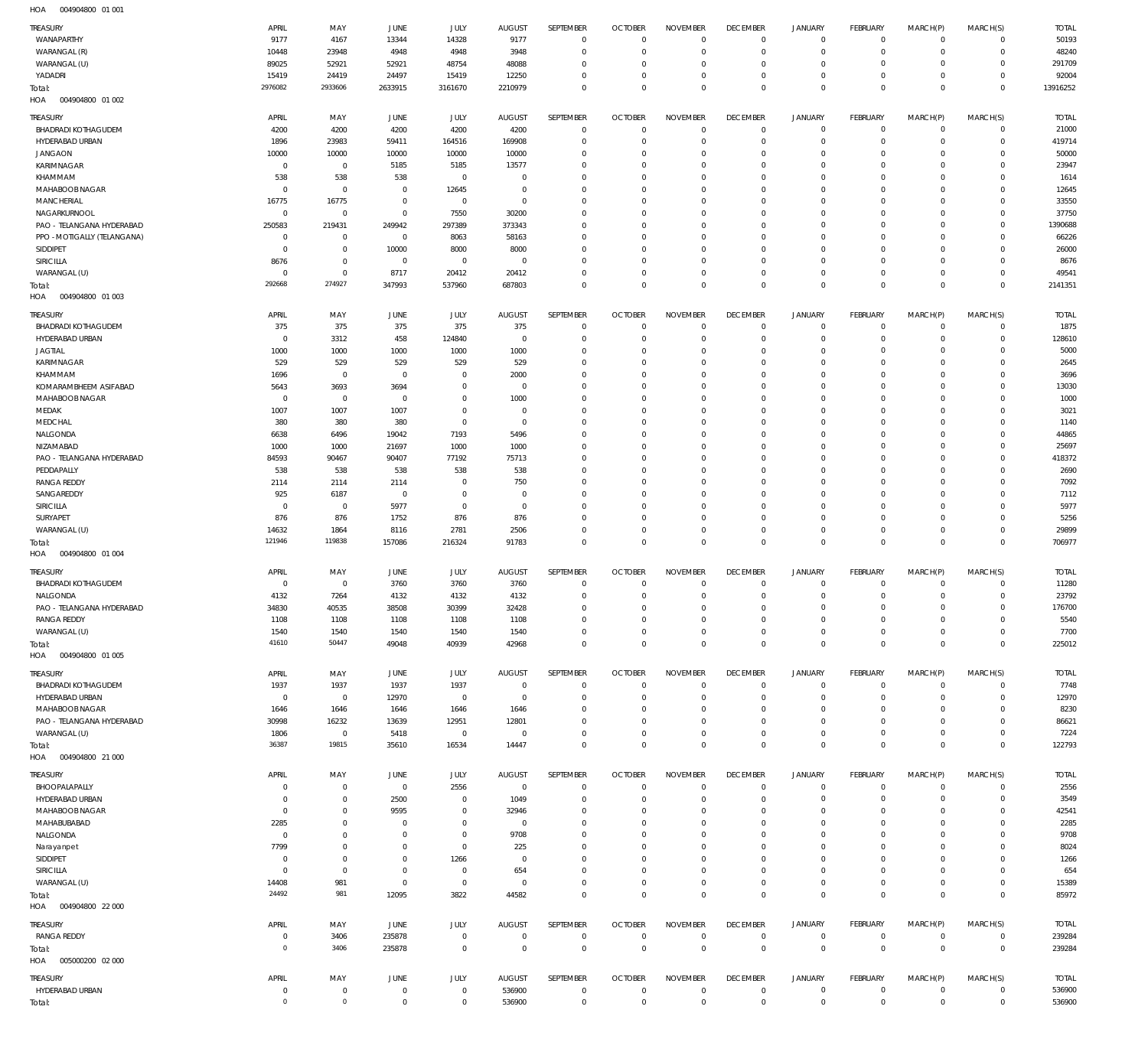| HOA | 004904800 01 001 |  |
|-----|------------------|--|

| TREASURY<br>WANAPARTHY                | APRIL<br>9177                | MAY<br>4167                | <b>JUNE</b><br>13344             | JULY<br>14328              | <b>AUGUST</b><br>9177         | SEPTEMBER<br>$\mathbf 0$   | <b>OCTOBER</b><br>$\overline{0}$ | <b>NOVEMBER</b><br>$\mathbf 0$ | <b>DECEMBER</b><br>$\mathbf 0$   | <b>JANUARY</b><br>$\mathbf 0$ | FEBRUARY<br>$\circ$            | MARCH(P)<br>$\mathbf 0$   | MARCH(S)<br>$\mathbf{0}$       | <b>TOTAL</b><br>50193 |
|---------------------------------------|------------------------------|----------------------------|----------------------------------|----------------------------|-------------------------------|----------------------------|----------------------------------|--------------------------------|----------------------------------|-------------------------------|--------------------------------|---------------------------|--------------------------------|-----------------------|
| WARANGAL (R)                          | 10448                        | 23948                      | 4948                             | 4948                       | 3948                          | $\mathbf 0$                | $\overline{0}$                   | $\mathbf 0$                    | $\mathbf 0$                      | 0                             | $\mathbf{0}$                   | 0                         | $\mathbf{0}$                   | 48240                 |
| WARANGAL (U)                          | 89025                        | 52921                      | 52921                            | 48754                      | 48088                         | $\mathbf 0$                | $\mathbf 0$                      | 0                              | $\mathbf 0$                      | 0                             | $^{\circ}$                     | 0                         | $\mathbf{0}$                   | 291709                |
| YADADRI                               | 15419                        | 24419                      | 24497                            | 15419                      | 12250                         | $\mathbf 0$                | $\mathbf 0$                      | $\mathbf 0$                    | $\mathbf 0$                      | $\mathbf 0$                   | $\mathbf{0}$                   | 0                         | $\mathbf{0}$                   | 92004                 |
| Total:                                | 2976082                      | 2933606                    | 2633915                          | 3161670                    | 2210979                       | $\mathbf 0$                | $\overline{0}$                   | $\mathbf 0$                    | $\overline{0}$                   | $\mathbf 0$                   | $\overline{0}$                 | $\mathbf 0$               | $\overline{0}$                 | 13916252              |
| 004904800 01 002<br>HOA               |                              |                            |                                  |                            |                               |                            |                                  |                                |                                  |                               |                                |                           |                                |                       |
| TREASURY                              | APRIL                        | MAY                        | JUNE                             | JULY                       | <b>AUGUST</b>                 | SEPTEMBER                  | <b>OCTOBER</b>                   | <b>NOVEMBER</b>                | <b>DECEMBER</b>                  | <b>JANUARY</b>                | FEBRUARY                       | MARCH(P)                  | MARCH(S)                       | <b>TOTAL</b>          |
| <b>BHADRADI KOTHAGUDEM</b>            | 4200                         | 4200                       | 4200                             | 4200                       | 4200                          | $\mathbf 0$                | $\overline{0}$                   | $\mathbf 0$                    | $\mathbf 0$                      | $\mathbf 0$                   | $\circ$                        | $\mathbf 0$               | $\circ$                        | 21000                 |
| HYDERABAD URBAN                       | 1896                         | 23983                      | 59411                            | 164516                     | 169908                        | $\mathbf 0$                | $\overline{0}$                   | $\mathbf 0$                    | $\mathbf 0$                      | $\mathbf 0$                   | $\mathbf{0}$                   | $\mathbf 0$               | $\mathbf{0}$                   | 419714                |
| <b>JANGAON</b>                        | 10000                        | 10000                      | 10000                            | 10000                      | 10000                         | $\mathbf 0$                | $^{\circ}$                       | $\mathbf 0$                    | $\mathbf 0$                      | 0                             | $^{\circ}$                     | $\Omega$                  | $\mathbf 0$                    | 50000                 |
| KARIMNAGAR                            | $\mathbf 0$                  | $\mathbf 0$                | 5185                             | 5185                       | 13577                         | $\mathbf 0$                | $\mathbf 0$                      | $\mathbf 0$                    | $\mathbf 0$                      | 0                             | $^{\circ}$                     | $\Omega$                  | $\mathbf 0$                    | 23947                 |
| KHAMMAM                               | 538                          | 538                        | 538                              | $\mathbf 0$                | $\overline{0}$                | $\mathbf 0$                | $\mathbf 0$                      | $\mathbf 0$                    | $\mathbf 0$                      | 0                             | $^{\circ}$                     | $\Omega$                  | $\mathbf 0$                    | 1614                  |
| MAHABOOB NAGAR<br>MANCHERIAL          | $\overline{0}$<br>16775      | $\mathbf 0$<br>16775       | $\overline{0}$<br>$\overline{0}$ | 12645<br>$\mathbf 0$       | $\overline{0}$<br>$\mathbf 0$ | $\mathbf 0$<br>$\mathbf 0$ | 0<br>$\mathbf 0$                 | $\mathbf 0$<br>$\mathbf 0$     | $\mathbf 0$<br>$\mathbf 0$       | 0<br>0                        | $^{\circ}$<br>$^{\circ}$       | $\Omega$<br>$\Omega$      | $\mathbf 0$<br>$\mathbf 0$     | 12645<br>33550        |
| NAGARKURNOOL                          | $\overline{0}$               | $\mathbf 0$                | $\overline{0}$                   | 7550                       | 30200                         | $\mathbf 0$                | $\mathbf 0$                      | $\mathbf 0$                    | $\mathbf 0$                      | 0                             | $^{\circ}$                     | $\Omega$                  | $\mathbf 0$                    | 37750                 |
| PAO - TELANGANA HYDERABAD             | 250583                       | 219431                     | 249942                           | 297389                     | 373343                        | $\mathbf 0$                | 0                                | $\Omega$                       | $\mathbf 0$                      | 0                             | $^{\circ}$                     | $\Omega$                  | $\mathbf 0$                    | 1390688               |
| PPO - MOTIGALLY (TELANGANA)           | $\overline{0}$               | $\mathbf 0$                | $\overline{0}$                   | 8063                       | 58163                         | $\mathbf 0$                | $\mathbf 0$                      | $\mathbf 0$                    | $\mathbf 0$                      | 0                             | $^{\circ}$                     | $\Omega$                  | $\mathbf 0$                    | 66226                 |
| SIDDIPET                              | $\overline{0}$               | $\mathbf 0$                | 10000                            | 8000                       | 8000                          | $\mathbf 0$                | 0                                | 0                              | $\mathbf 0$                      | 0                             | $^{\circ}$                     | $\Omega$                  | $\mathbf 0$                    | 26000                 |
| SIRICILLA                             | 8676                         | $\mathbf 0$                | $\overline{0}$                   | $\mathbf 0$                | $\overline{0}$                | $\mathbf 0$                | $\mathbf 0$                      | $\mathbf 0$                    | $\mathbf 0$                      | 0                             | $\mathbf 0$                    | $\Omega$                  | $\mathbf 0$                    | 8676                  |
| WARANGAL (U)                          | $\overline{0}$               | $\mathbf 0$                | 8717                             | 20412                      | 20412                         | $\mathbf 0$                | $\mathbf 0$                      | $\mathbf 0$                    | $\mathbf 0$                      | 0                             | $\mathbf{0}$                   | 0                         | $\mathbf 0$                    | 49541                 |
| Total:                                | 292668                       | 274927                     | 347993                           | 537960                     | 687803                        | $\mathbf 0$                | $\mathbf 0$                      | $\mathbf 0$                    | $\overline{0}$                   | $\mathbf 0$                   | $\overline{0}$                 | $\mathbf 0$               | $\overline{0}$                 | 2141351               |
| 004904800 01 003<br>HOA               |                              |                            |                                  |                            |                               |                            |                                  |                                |                                  |                               |                                |                           |                                |                       |
| TREASURY                              | APRIL                        | MAY                        | JUNE                             | JULY                       | <b>AUGUST</b>                 | SEPTEMBER                  | <b>OCTOBER</b>                   | <b>NOVEMBER</b>                | <b>DECEMBER</b>                  | <b>JANUARY</b>                | FEBRUARY                       | MARCH(P)                  | MARCH(S)                       | <b>TOTAL</b>          |
| <b>BHADRADI KOTHAGUDEM</b>            | 375                          | 375                        | 375                              | 375                        | 375                           | $\mathbf 0$                | $\overline{0}$                   | $\mathbf 0$                    | $\overline{0}$                   | 0                             | $\circ$                        | $\mathbf 0$               | $\mathbf{0}$                   | 1875                  |
| HYDERABAD URBAN                       | $^{\circ}$                   | 3312                       | 458                              | 124840                     | $\overline{0}$                | $\mathbf 0$                | $\mathbf 0$                      | 0                              | $\mathbf 0$                      | 0                             | $^{\circ}$                     | 0                         | $\mathbf{0}$                   | 128610                |
| <b>JAGTIAL</b>                        | 1000                         | 1000                       | 1000                             | 1000                       | 1000                          | $\mathbf 0$                | $\mathbf 0$                      | $\mathbf 0$                    | $\mathbf 0$                      | 0                             | $^{\circ}$                     | $\Omega$                  | $\mathbf 0$                    | 5000                  |
| KARIMNAGAR                            | 529                          | 529                        | 529                              | 529                        | 529                           | $\mathbf 0$                | $^{\circ}$                       | 0                              | $\mathbf 0$                      | 0                             | $^{\circ}$                     | $\Omega$                  | $\mathbf 0$                    | 2645                  |
| KHAMMAM                               | 1696                         | $\overline{0}$             | $\overline{0}$                   | $\mathbf 0$                | 2000                          | $\mathbf 0$                | 0                                | $\Omega$                       | $\mathbf 0$                      | 0                             | $^{\circ}$                     | $\Omega$                  | $\mathbf 0$                    | 3696                  |
| KOMARAMBHEEM ASIFABAD                 | 5643                         | 3693                       | 3694                             | $\mathbf 0$                | $\overline{0}$                | $\mathbf 0$                | $\mathbf 0$                      | 0                              | $\mathbf 0$                      | 0                             | $^{\circ}$                     | 0                         | $\mathbf 0$                    | 13030                 |
| MAHABOOB NAGAR<br>MEDAK               | $\mathbf 0$<br>1007          | $\mathbf 0$<br>1007        | $\overline{0}$<br>1007           | $\mathbf 0$<br>$\mathbf 0$ | 1000<br>$^{\circ}$            | $\mathbf 0$<br>$\mathbf 0$ | $\circ$<br>$^{\circ}$            | $\Omega$<br>$\Omega$           | $\mathbf 0$<br>$\mathbf 0$       | 0<br>0                        | $^{\circ}$<br>$^{\circ}$       | 0<br>$\Omega$             | $\mathbf 0$<br>$\mathbf 0$     | 1000<br>3021          |
| MEDCHAL                               | 380                          | 380                        | 380                              | $\mathbf 0$                | $\overline{0}$                | $\mathbf 0$                | $\mathbf 0$                      | 0                              | $\mathbf 0$                      | 0                             | $^{\circ}$                     | 0                         | $^{\circ}$                     | 1140                  |
| NALGONDA                              | 6638                         | 6496                       | 19042                            | 7193                       | 5496                          | $\mathbf 0$                | $\mathbf 0$                      | $\Omega$                       | $\mathbf 0$                      | 0                             | $^{\circ}$                     | $\Omega$                  | $\mathbf 0$                    | 44865                 |
| NIZAMABAD                             | 1000                         | 1000                       | 21697                            | 1000                       | 1000                          | $\mathbf 0$                | $^{\circ}$                       | $\Omega$                       | $\mathbf 0$                      | 0                             | $^{\circ}$                     | $\Omega$                  | $\mathbf 0$                    | 25697                 |
| PAO - TELANGANA HYDERABAD             | 84593                        | 90467                      | 90407                            | 77192                      | 75713                         | $\mathbf 0$                | 0                                | 0                              | $\mathbf 0$                      | 0                             | $^{\circ}$                     | 0                         | $\mathbf 0$                    | 418372                |
| PEDDAPALLY                            | 538                          | 538                        | 538                              | 538                        | 538                           | $\mathbf 0$                | $^{\circ}$                       | $\mathbf 0$                    | $\mathbf 0$                      | 0                             | $^{\circ}$                     | $\Omega$                  | $\mathbf 0$                    | 2690                  |
| <b>RANGA REDDY</b>                    | 2114                         | 2114                       | 2114                             | 0                          | 750                           | $\mathbf 0$                | $^{\circ}$                       | 0                              | $\mathbf 0$                      | 0                             | $^{\circ}$                     | 0                         | $\mathbf 0$                    | 7092                  |
| SANGAREDDY                            | 925                          | 6187                       | $\overline{0}$                   | $\mathbf 0$                | $\mathbf 0$                   | $\mathbf 0$                | $\circ$                          | $\Omega$                       | $\mathbf 0$                      | 0                             | $^{\circ}$                     | $\Omega$                  | $\mathbf 0$                    | 7112                  |
| SIRICILLA                             | $\overline{0}$               | $\overline{0}$             | 5977                             | $\mathbf 0$                | $\overline{0}$                | $\mathbf 0$                | $\mathbf 0$                      | 0                              | $\mathbf 0$                      | 0                             | $^{\circ}$                     | 0                         | $\mathbf 0$                    | 5977                  |
| SURYAPET                              | 876                          | 876                        | 1752                             | 876                        | 876                           | $\mathbf 0$                | $\mathbf 0$                      | 0                              | $\mathbf 0$                      | 0                             | $^{\circ}$                     | 0                         | $\mathbf 0$                    | 5256                  |
| WARANGAL (U)                          | 14632<br>121946              | 1864<br>119838             | 8116                             | 2781<br>216324             | 2506<br>91783                 | $\mathbf 0$<br>$\mathbf 0$ | $\mathbf 0$<br>$\overline{0}$    | $\mathbf 0$<br>$\mathbf 0$     | $\mathbf 0$<br>$\overline{0}$    | 0<br>$\mathbf 0$              | $\mathbf{0}$<br>$\overline{0}$ | 0<br>$\mathbf 0$          | $\mathbf{0}$<br>$\overline{0}$ | 29899<br>706977       |
| Total:<br>004904800 01 004<br>HOA     |                              |                            | 157086                           |                            |                               |                            |                                  |                                |                                  |                               |                                |                           |                                |                       |
|                                       |                              |                            |                                  |                            |                               |                            |                                  |                                |                                  |                               |                                |                           |                                |                       |
| TREASURY                              | APRIL                        | MAY                        | <b>JUNE</b>                      | JULY                       | <b>AUGUST</b>                 | SEPTEMBER                  | <b>OCTOBER</b>                   | <b>NOVEMBER</b>                | <b>DECEMBER</b>                  | <b>JANUARY</b>                | FEBRUARY                       | MARCH(P)                  | MARCH(S)                       | <b>TOTAL</b>          |
| <b>BHADRADI KOTHAGUDEM</b>            | $\mathbf 0$                  | $\mathbf 0$                | 3760                             | 3760                       | 3760                          | $\mathbf 0$                | $\overline{0}$                   | $\mathbf 0$                    | $\mathbf 0$                      | $\mathbf 0$                   | $\mathbf{0}$                   | $\mathbf 0$               | $^{\circ}$                     | 11280                 |
| NALGONDA<br>PAO - TELANGANA HYDERABAD | 4132<br>34830                | 7264<br>40535              | 4132<br>38508                    | 4132<br>30399              | 4132<br>32428                 | $\mathbf 0$<br>$\mathbf 0$ | $^{\circ}$<br>$\overline{0}$     | $\mathbf 0$<br>$\Omega$        | $\overline{0}$<br>$\overline{0}$ | $\mathbf 0$<br>$\mathbf 0$    | $\mathbf{0}$<br>$\mathbf{0}$   | $\mathbf 0$<br>$\Omega$   | $\mathbf{0}$<br>$\circ$        | 23792<br>176700       |
| <b>RANGA REDDY</b>                    | 1108                         | 1108                       | 1108                             | 1108                       | 1108                          | $\mathbf 0$                | $^{\circ}$                       | $\mathbf 0$                    | $\mathbf 0$                      | $\mathbf 0$                   | $^{\circ}$                     | $\mathbf 0$               | $\mathbf{0}$                   | 5540                  |
| WARANGAL (U)                          | 1540                         | 1540                       | 1540                             | 1540                       | 1540                          | $\mathbf 0$                | $\overline{0}$                   | $\mathbf 0$                    | $\mathbf 0$                      | $\mathbf 0$                   | $\overline{0}$                 | $\mathbf 0$               | $\mathbf{0}$                   | 7700                  |
| Total:                                | 41610                        | 50447                      | 49048                            | 40939                      | 42968                         | $\mathbf 0$                | $\overline{0}$                   | $\mathbf 0$                    | $\overline{0}$                   | $\mathbf 0$                   | $\overline{0}$                 | $\mathbf 0$               | $\overline{0}$                 | 225012                |
| HOA  004904800  01  005               |                              |                            |                                  |                            |                               |                            |                                  |                                |                                  |                               |                                |                           |                                |                       |
| TREASURY                              | APRIL                        | MAY                        | JUNE                             | JULY                       | <b>AUGUST</b>                 | SEPTEMBER                  | <b>OCTOBER</b>                   | <b>NOVEMBER</b>                | <b>DECEMBER</b>                  | <b>JANUARY</b>                | FEBRUARY                       | MARCH(P)                  | MARCH(S)                       | <b>TOTAL</b>          |
| <b>BHADRADI KOTHAGUDEM</b>            | 1937                         | 1937                       | 1937                             | 1937                       | $\overline{0}$                | $\mathbf 0$                | $\overline{0}$                   | $\mathbf 0$                    | $\overline{0}$                   | $\mathbf 0$                   | $\overline{0}$                 | $\mathbf 0$               | $\mathbf{0}$                   | 7748                  |
| HYDERABAD URBAN                       | $\overline{0}$               | $\overline{0}$             | 12970                            | $\overline{0}$             | $\overline{0}$                | $\mathbf 0$                | $\overline{0}$                   | $\mathbf 0$                    | $\mathbf 0$                      | 0                             | $\mathbf{0}$                   | 0                         | $\mathbf{0}$                   | 12970                 |
| MAHABOOB NAGAR                        | 1646                         | 1646                       | 1646                             | 1646                       | 1646                          | $\mathbf 0$                | $\mathbf 0$                      | $\mathbf 0$                    | $\mathbf 0$                      | 0                             | $^{\circ}$                     | 0                         | $\mathbf{0}$                   | 8230                  |
| PAO - TELANGANA HYDERABAD             | 30998                        | 16232                      | 13639                            | 12951                      | 12801                         | $\mathbf 0$                | $\mathbf 0$                      | $\mathbf 0$                    | $\mathbf 0$                      | 0                             | $^{\circ}$                     | 0                         | $\mathbf{0}$                   | 86621                 |
| WARANGAL (U)                          | 1806                         | $\overline{0}$             | 5418                             | $\mathbf 0$                | $\overline{0}$                | $\mathbf 0$                | $\mathbf 0$                      | $\mathbf 0$                    | $\mathbf 0$                      | $\mathbf 0$                   | $\mathbf{0}$                   | 0                         | $\mathbf{0}$                   | 7224                  |
| Total:                                | 36387                        | 19815                      | 35610                            | 16534                      | 14447                         | $\mathbf 0$                | $\overline{0}$                   | $\mathbf 0$                    | $\overline{0}$                   | $\mathbf 0$                   | $\overline{0}$                 | $\mathbf 0$               | $\overline{0}$                 | 122793                |
| HOA<br>004904800 21 000               |                              |                            |                                  |                            |                               |                            |                                  |                                |                                  |                               |                                |                           |                                |                       |
| TREASURY                              | APRIL                        | MAY                        | JUNE                             | JULY                       | <b>AUGUST</b>                 | SEPTEMBER                  | <b>OCTOBER</b>                   | <b>NOVEMBER</b>                | <b>DECEMBER</b>                  | <b>JANUARY</b>                | FEBRUARY                       | MARCH(P)                  | MARCH(S)                       | <b>TOTAL</b>          |
| BHOOPALAPALLY                         | $^{\circ}$                   | $\mathbf 0$                | $\overline{0}$                   | 2556                       | $\overline{0}$                | $\mathbf 0$                | $\overline{0}$                   | $\mathbf 0$                    | $\overline{0}$                   | $\mathbf 0$                   | $\mathbf{0}$                   | $\mathbf 0$               | $\mathbf{0}$                   | 2556                  |
| HYDERABAD URBAN                       | $^{\circ}$                   | $\bf 0$                    | 2500                             | $\mathbf 0$                | 1049                          | $\mathbf 0$                | $\overline{0}$                   | $\mathbf 0$                    | $\mathbf 0$                      | $\mathbf 0$                   | $\mathbf{0}$                   | 0                         | $\mathbf{0}$                   | 3549                  |
| MAHABOOB NAGAR                        | $^{\circ}$                   | $\mathbf 0$                | 9595                             | $\mathbf 0$                | 32946                         | $\mathbf 0$                | $^{\circ}$                       | $\mathbf 0$                    | $\mathbf 0$                      | $\mathbf 0$                   | $^{\circ}$                     | 0                         | $\mathbf 0$                    | 42541                 |
| MAHABUBABAD                           | 2285                         | $\mathbf 0$                | $\overline{0}$                   | $\mathbf 0$                | $\overline{0}$                | $\mathbf 0$                | $^{\circ}$                       | $\mathbf 0$                    | $\mathbf 0$                      | 0                             | $^{\circ}$                     | $\Omega$                  | $\mathbf 0$                    | 2285                  |
| NALGONDA                              | $^{\circ}$                   | $\mathbf 0$                | $\overline{0}$                   | $\mathbf 0$                | 9708                          | $\mathbf 0$                | $^{\circ}$                       | $\mathbf 0$                    | $\mathbf 0$                      | 0                             | $^{\circ}$                     | 0                         | $^{\circ}$                     | 9708                  |
| Narayanpet                            | 7799                         | $\bf 0$                    | $\overline{0}$                   | $\mathbf 0$                | 225                           | $\mathbf 0$                | $^{\circ}$                       | $\mathbf 0$                    | $\mathbf 0$                      | 0                             | $^{\circ}$                     | $\Omega$                  | $\mathbf 0$                    | 8024                  |
| SIDDIPET                              | $^{\circ}$<br>$\overline{0}$ | $\mathbf 0$                | $^{\circ}$                       | 1266                       | $\overline{0}$                | $\mathbf 0$                | $\mathbf 0$                      | $\mathbf 0$                    | $\mathbf 0$<br>$\mathbf 0$       | 0                             | $^{\circ}$                     | $\Omega$                  | $\mathbf 0$                    | 1266                  |
| SIRICILLA<br>WARANGAL (U)             | 14408                        | $\mathbf 0$<br>981         | $^{\circ}$<br>$\overline{0}$     | $\mathbf 0$<br>$\mathbf 0$ | 654<br>$\overline{0}$         | $\mathbf 0$<br>$\mathbf 0$ | $\mathbf 0$<br>$\mathbf 0$       | $\mathbf 0$<br>$\mathbf 0$     | $\mathbf 0$                      | 0<br>$\mathbf 0$              | $^{\circ}$<br>$\mathbf{0}$     | 0<br>0                    | $^{\circ}$<br>$\mathbf{0}$     | 654<br>15389          |
|                                       | 24492                        | 981                        | 12095                            | 3822                       | 44582                         | $\mathbf 0$                | $\overline{0}$                   | $\mathbf 0$                    | $\overline{0}$                   | $\mathbf 0$                   | $\overline{0}$                 | $\mathbf 0$               | $\overline{0}$                 | 85972                 |
| Total:<br>HOA   004904800   22 000    |                              |                            |                                  |                            |                               |                            |                                  |                                |                                  |                               |                                |                           |                                |                       |
|                                       |                              |                            |                                  |                            |                               |                            |                                  |                                |                                  |                               |                                |                           |                                |                       |
| TREASURY                              | APRIL                        | MAY                        | JUNE                             | JULY                       | AUGUST                        | SEPTEMBER                  | <b>OCTOBER</b>                   | <b>NOVEMBER</b>                | <b>DECEMBER</b>                  | JANUARY                       | FEBRUARY                       | MARCH(P)                  | MARCH(S)                       | <b>TOTAL</b>          |
| <b>RANGA REDDY</b>                    | 0<br>$\overline{0}$          | 3406<br>3406               | 235878<br>235878                 | $\mathbf 0$<br>$\,0\,$     | $\mathbf 0$<br>$\overline{0}$ | $\mathbf 0$<br>$\mathbf 0$ | $\overline{0}$<br>$\overline{0}$ | $\mathbf 0$<br>$\overline{0}$  | $\overline{0}$<br>$\overline{0}$ | 0<br>$\,0\,$                  | $\circ$<br>$\overline{0}$      | $^{\circ}$<br>$\mathbf 0$ | $\circ$                        | 239284<br>239284      |
| Total:<br>HOA<br>005000200 02 000     |                              |                            |                                  |                            |                               |                            |                                  |                                |                                  |                               |                                |                           | $\overline{0}$                 |                       |
|                                       |                              |                            |                                  |                            |                               |                            |                                  |                                |                                  |                               |                                |                           |                                |                       |
| TREASURY                              | APRIL                        | MAY                        | JUNE                             | JULY                       | <b>AUGUST</b>                 | SEPTEMBER                  | <b>OCTOBER</b>                   | <b>NOVEMBER</b>                | <b>DECEMBER</b>                  | <b>JANUARY</b>                | FEBRUARY                       | MARCH(P)                  | MARCH(S)                       | <b>TOTAL</b>          |
| HYDERABAD URBAN                       | $\mathbf 0$<br>$\mathbf 0$   | $\mathbf 0$<br>$\mathbf 0$ | $\overline{0}$                   | $\mathbb O$                | 536900                        | $\mathbb O$                | $\overline{0}$                   | $\mathbf 0$                    | $\overline{0}$                   | $\circ$                       | $\overline{0}$                 | $\mathbf 0$               | $\circ$                        | 536900                |
| Total:                                |                              |                            | $\overline{0}$                   | $\mathbb O$                | 536900                        | $\mathbf 0$                | $\overline{0}$                   | $\mathbf 0$                    | $\overline{0}$                   | $\mathbf 0$                   | $\overline{0}$                 | $\mathbf 0$               | $\overline{0}$                 | 536900                |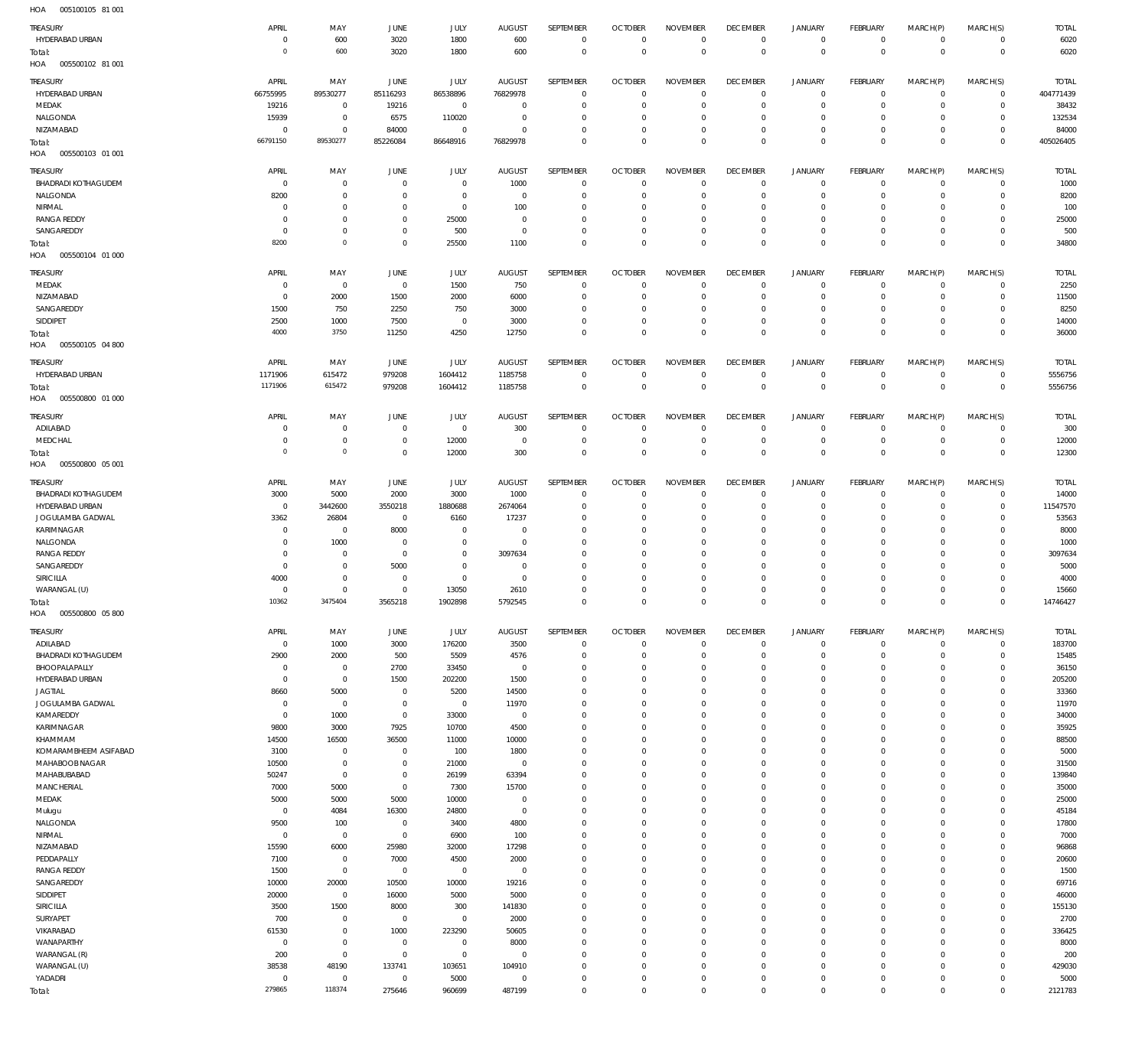005100105 81 001 HOA

| $\cdots$<br>000100100      |                |                |                |                |                |                  |                |                     |                 |                     |                |             |                |                 |
|----------------------------|----------------|----------------|----------------|----------------|----------------|------------------|----------------|---------------------|-----------------|---------------------|----------------|-------------|----------------|-----------------|
| TREASURY                   | APRIL          | MAY            | <b>JUNE</b>    | <b>JULY</b>    | <b>AUGUST</b>  | SEPTEMBER        | <b>OCTOBER</b> | <b>NOVEMBER</b>     | <b>DECEMBER</b> | <b>JANUARY</b>      | FEBRUARY       | MARCH(P)    | MARCH(S)       | <b>TOTAL</b>    |
| HYDERABAD URBAN            | $\mathbf 0$    | 600            | 3020           | 1800           | 600            | $\mathbb O$      | $\mathbf 0$    | $\mathbf 0$         | $\mathbf 0$     | $\overline{0}$      | $\mathbf{0}$   | $\mathbf 0$ | $\overline{0}$ | 6020            |
| Total:                     | $\circ$        | 600            | 3020           | 1800           | 600            | $\bf 0$          | $\overline{0}$ | $\mathbf 0$         | $\overline{0}$  | $\mathbf 0$         | $\overline{0}$ | $\mathbf 0$ | $\overline{0}$ | 6020            |
| HOA<br>005500102 81 001    |                |                |                |                |                |                  |                |                     |                 |                     |                |             |                |                 |
|                            | APRIL          |                |                |                |                |                  |                |                     | <b>DECEMBER</b> |                     |                |             |                |                 |
| TREASURY                   |                | MAY            | JUNE           | JULY           | <b>AUGUST</b>  | SEPTEMBER        | <b>OCTOBER</b> | <b>NOVEMBER</b>     |                 | <b>JANUARY</b>      | FEBRUARY       | MARCH(P)    | MARCH(S)       | <b>TOTAL</b>    |
| HYDERABAD URBAN            | 66755995       | 89530277       | 85116293       | 86538896       | 76829978       | 0                | $\overline{0}$ | $\mathbf 0$         | 0               | $\mathbf 0$         | $\overline{0}$ | $\mathbf 0$ | $\overline{0}$ | 404771439       |
| MEDAK                      | 19216          | $\mathbf 0$    | 19216          | $\mathbf 0$    | $^{\circ}$     | $\bf 0$          | $\mathbf 0$    | $\mathbf 0$         | $\mathbf 0$     | $\mathbf 0$         | $\circ$        | $\mathbf 0$ | $\overline{0}$ | 38432           |
| NALGONDA                   | 15939          | $\mathbb O$    | 6575           | 110020         | $^{\circ}$     | $\mathbf 0$      | $\mathbf 0$    | $\mathbf 0$         | $\mathbf 0$     | $\mathbf 0$         | $\circ$        | $\mathbf 0$ | $\overline{0}$ | 132534          |
| NIZAMABAD                  | 0              | $\mathbf 0$    | 84000          | $\mathbf 0$    | $^{\circ}$     | $\bf 0$          | 0              | 0                   | $\mathbf 0$     | $\mathbf 0$         | $\circ$        | $\mathbf 0$ | $\circ$        | 84000           |
| Total:                     | 66791150       | 89530277       | 85226084       | 86648916       | 76829978       | $\mathbf 0$      | $\mathbf 0$    | $\mathbf 0$         | $\overline{0}$  | $\mathbf 0$         | $\overline{0}$ | $\mathbf 0$ | $\overline{0}$ | 405026405       |
| HOA<br>005500103 01 001    |                |                |                |                |                |                  |                |                     |                 |                     |                |             |                |                 |
|                            |                |                |                |                |                |                  |                |                     |                 |                     |                |             |                |                 |
| <b>TREASURY</b>            | APRIL          | MAY            | <b>JUNE</b>    | <b>JULY</b>    | <b>AUGUST</b>  | <b>SEPTEMBER</b> | <b>OCTOBER</b> | <b>NOVEMBER</b>     | <b>DECEMBER</b> | <b>JANUARY</b>      | FEBRUARY       | MARCH(P)    | MARCH(S)       | <b>TOTAL</b>    |
| <b>BHADRADI KOTHAGUDEM</b> | $^{\circ}$     | $\mathbf 0$    | $\mathbf 0$    | $\mathbf 0$    | 1000           | $\mathbf 0$      | $\mathbf 0$    | $\Omega$            | $\mathbf 0$     | $\overline{0}$      | $\mathbf{0}$   | $\mathbf 0$ | $\mathbf{0}$   | 1000            |
| NALGONDA                   | 8200           | $\mathbb O$    | $^{\circ}$     | $\mathbf 0$    | $\mathbf{0}$   | $\mathbf 0$      | $\mathbf 0$    | $\Omega$            | $\mathbf 0$     | $\mathbf 0$         | $\mathbf{0}$   | $\Omega$    | $\mathbf{0}$   | 8200            |
| NIRMAL                     | 0              | $\mathbf 0$    | $\mathbf 0$    | $\mathbf 0$    | 100            | $\mathbf 0$      | $\mathbf 0$    | $\mathbf 0$         | $\mathbf 0$     | $\mathbf 0$         | $\mathbf 0$    | $\mathbf 0$ | $\mathbf{0}$   | 100             |
| <b>RANGA REDDY</b>         | 0              | $\mathbf 0$    | $^{\circ}$     | 25000          | $\mathbf{0}$   | $\mathbf 0$      | 0              | $\Omega$            | $\mathbf 0$     | $\mathbf 0$         | $\mathbf 0$    | $\Omega$    | $\mathbf 0$    | 25000           |
| SANGAREDDY                 | 0              | $\mathbf 0$    | $\mathbb O$    | 500            | $\mathbf{0}$   | $\mathbf 0$      | $\mathbf 0$    | $\mathbf 0$         | $\mathbf 0$     | $\mathbf 0$         | $\mathbf{0}$   | $\mathbf 0$ | $\mathbf{0}$   | 500             |
| Total:                     | 8200           | $\mathbf 0$    | $\mathbf 0$    | 25500          | 1100           | $\mathbf 0$      | $\mathbf 0$    | $\Omega$            | $\mathbf 0$     | $\mathbf 0$         | $\overline{0}$ | $\Omega$    | $\mathbf 0$    | 34800           |
| HOA<br>005500104 01 000    |                |                |                |                |                |                  |                |                     |                 |                     |                |             |                |                 |
|                            |                |                |                |                |                |                  |                |                     |                 |                     |                |             |                |                 |
| TREASURY                   | APRIL          | MAY            | <b>JUNE</b>    | JULY           | <b>AUGUST</b>  | SEPTEMBER        | <b>OCTOBER</b> | <b>NOVEMBER</b>     | <b>DECEMBER</b> | <b>JANUARY</b>      | FEBRUARY       | MARCH(P)    | MARCH(S)       | <b>TOTAL</b>    |
| MEDAK                      | 0              | $\overline{0}$ | $\overline{0}$ | 1500           | 750            | 0                | $\mathbf 0$    | $\mathbf 0$         | 0               | $\overline{0}$      | $\overline{0}$ | $\mathbf 0$ | $\circ$        | 2250            |
| NIZAMABAD                  | $\mathbf 0$    | 2000           | 1500           | 2000           | 6000           | $\mathbb O$      | $\mathbf 0$    | $\mathbf 0$         | $\mathbf 0$     | $\mathbf 0$         | $\circ$        | $\mathbf 0$ | $\circ$        | 11500           |
| SANGAREDDY                 | 1500           | 750            | 2250           | 750            | 3000           | $\mathbf 0$      | $\mathbf 0$    | $\mathbf 0$         | $\mathbf 0$     | $\mathbf 0$         | $\mathbf{0}$   | $\mathbf 0$ | $\mathbf{0}$   | 8250            |
| SIDDIPET                   | 2500           | 1000           | 7500           | $\mathbb O$    | 3000           | $\mathbb O$      | 0              | 0                   | $\mathbf 0$     | $\mathbf 0$         | $\circ$        | $^{\circ}$  | $\circ$        | 14000           |
| Total:                     | 4000           | 3750           | 11250          | 4250           | 12750          | $\mathbb O$      | $\mathbf 0$    | $\mathbf 0$         | $\overline{0}$  | $\mathbf 0$         | $\overline{0}$ | $\mathbf 0$ | $\overline{0}$ | 36000           |
| HOA<br>005500105 04 800    |                |                |                |                |                |                  |                |                     |                 |                     |                |             |                |                 |
|                            |                |                |                |                |                |                  |                |                     |                 |                     |                |             |                |                 |
| TREASURY                   | APRIL          | MAY            | JUNE           | JULY           | <b>AUGUST</b>  | SEPTEMBER        | <b>OCTOBER</b> | <b>NOVEMBER</b>     | <b>DECEMBER</b> | <b>JANUARY</b>      | FEBRUARY       | MARCH(P)    | MARCH(S)       | <b>TOTAL</b>    |
| HYDERABAD URBAN            | 1171906        | 615472         | 979208         | 1604412        | 1185758        | $\mathbf 0$      | $\overline{0}$ | $\mathbf 0$         | $\overline{0}$  | $\mathbf 0$         | $\mathbf{0}$   | $^{\circ}$  | $\overline{0}$ | 5556756         |
| Total:                     | 1171906        | 615472         | 979208         | 1604412        | 1185758        | $\mathbb O$      | $\mathbf 0$    | $\mathbf 0$         | $\overline{0}$  | $\bf 0$             | $\overline{0}$ | $\mathbf 0$ | $\,0\,$        | 5556756         |
| HOA<br>005500800 01 000    |                |                |                |                |                |                  |                |                     |                 |                     |                |             |                |                 |
|                            |                |                |                |                |                |                  |                |                     |                 |                     |                |             |                |                 |
| TREASURY                   | APRIL          | MAY            | <b>JUNE</b>    | JULY           | <b>AUGUST</b>  | SEPTEMBER        | <b>OCTOBER</b> | <b>NOVEMBER</b>     | <b>DECEMBER</b> | <b>JANUARY</b>      | FEBRUARY       | MARCH(P)    | MARCH(S)       | <b>TOTAL</b>    |
| ADILABAD                   | 0              | $\mathbf 0$    | $\overline{0}$ | $\mathbb O$    | 300            | 0                | 0              | $\mathbf 0$         | 0               | $\mathbf 0$         | $\overline{0}$ | $\mathbf 0$ | $\overline{0}$ | 300             |
| MEDCHAL                    | 0              | $\mathbf 0$    | $\overline{0}$ | 12000          | $\mathbf 0$    | $\mathbb O$      | $\overline{0}$ | $\mathbf 0$         | $\overline{0}$  | $\mathbf 0$         | $\overline{0}$ | $\mathbf 0$ | $\overline{0}$ | 12000           |
| Total:                     | $\overline{0}$ | $\mathbf 0$    | $\overline{0}$ | 12000          | 300            | $\mathbb O$      | $\overline{0}$ | $\mathbf 0$         | $\overline{0}$  | $\bf 0$             | $\overline{0}$ | $\mathbf 0$ | $\overline{0}$ | 12300           |
| HOA<br>005500800 05 001    |                |                |                |                |                |                  |                |                     |                 |                     |                |             |                |                 |
|                            | APRIL          |                |                |                |                |                  |                |                     |                 | <b>JANUARY</b>      |                |             |                | <b>TOTAL</b>    |
| TREASURY                   |                | MAY            | <b>JUNE</b>    | JULY           | <b>AUGUST</b>  | SEPTEMBER        | <b>OCTOBER</b> | <b>NOVEMBER</b>     | <b>DECEMBER</b> |                     | FEBRUARY       | MARCH(P)    | MARCH(S)       |                 |
| <b>BHADRADI KOTHAGUDEM</b> | 3000           | 5000           | 2000           | 3000           | 1000           | $\mathbf 0$      | $\mathbf 0$    | $\mathbf 0$         | $\mathbf 0$     | 0                   | $\mathbf 0$    | $\mathbf 0$ | $\overline{0}$ | 14000           |
| HYDERABAD URBAN            | $\mathbf 0$    | 3442600        | 3550218        | 1880688        | 2674064        | $\mathbf 0$      | $\mathbf 0$    | $\Omega$            | $\mathbf 0$     | $\mathbf 0$         | $\mathbf 0$    | $\Omega$    | $\circ$        | 11547570        |
| JOGULAMBA GADWAL           | 3362           | 26804          | $^{\circ}$     | 6160           | 17237          | $\mathbf 0$      | $\mathbf 0$    | $\mathbf 0$         | $\mathbf 0$     | $\mathbf 0$         | $^{\circ}$     | $\mathbf 0$ | $\mathbf{0}$   | 53563           |
| KARIMNAGAR                 | 0              | $\mathbf 0$    | 8000           | $\mathbf 0$    | $^{\circ}$     | $\mathbf 0$      | 0              | $\Omega$            | $\mathbf 0$     | 0                   | $\mathbf 0$    | $\Omega$    | $\mathbf 0$    | 8000            |
| NALGONDA                   | 0              | 1000           | $^{\circ}$     | $\mathbf 0$    | $\mathbf{0}$   | $\mathbf 0$      | 0              | $\Omega$            | $\mathbf 0$     | $\mathbf 0$         | $\mathbf 0$    | $\Omega$    | $\mathbf{0}$   | 1000            |
| <b>RANGA REDDY</b>         | 0              | $\mathbf 0$    | $\overline{0}$ | $\mathbf 0$    | 3097634        | $\mathbf 0$      | 0              | $\Omega$            | $\mathbf 0$     | $\mathbf 0$         | $\mathbf 0$    | $\Omega$    | $\mathbf 0$    | 3097634         |
| SANGAREDDY                 | $\mathbf 0$    | $\mathbf 0$    | 5000           | $\mathbf 0$    | $\mathbf{0}$   | $\mathbf 0$      | 0              | $\Omega$            | $\mathbf 0$     | $\mathbf 0$         | $\mathbf 0$    | $\Omega$    | $\mathbf 0$    | 5000            |
| SIRICILLA                  | 4000           | $\mathbb O$    | $^{\circ}$     | $\mathbf 0$    | $\mathbf{0}$   | $\mathbf 0$      | 0              | $\Omega$            | $\mathbf 0$     | $\mathbf 0$         | $\mathbf 0$    | $\Omega$    | $\mathbf 0$    | 4000            |
| WARANGAL (U)               | 0              | $\mathbf 0$    | $^{\circ}$     | 13050          | 2610           | $\mathbf 0$      | $\mathbf 0$    | $\Omega$            | $\Omega$        | $\mathbf 0$         | $\Omega$       | $\Omega$    | $\Omega$       | 15660           |
| Total:                     | 10362          | 3475404        | 3565218        | 1902898        | 5792545        | $\Omega$         | $\Omega$       | $\Omega$            | $\Omega$        | $\Omega$            | $\Omega$       | $\Omega$    | $\overline{0}$ | 14746427        |
| 005500800 05800<br>HOA     |                |                |                |                |                |                  |                |                     |                 |                     |                |             |                |                 |
|                            |                |                |                |                |                |                  |                |                     |                 |                     |                |             |                |                 |
| TREASURY                   | APRIL          | MAY            | JUNE           | JULY           | <b>AUGUST</b>  | SEPTEMBER        | <b>OCTOBER</b> | <b>NOVEMBER</b>     | <b>DECEMBER</b> | <b>JANUARY</b>      | FEBRUARY       | MARCH(P)    | MARCH(S)       | <b>TOTAL</b>    |
| ADILABAD                   | $\mathbf 0$    | 1000           | 3000           | 176200         | 3500           | 0                | $\mathbf 0$    | $\mathbf 0$         | $\mathbf 0$     | $\overline{0}$      | $\circ$        | 0           | $\circ$        | 183700          |
| BHADRADI KOTHAGUDEM        | 2900           | 2000           | 500            | 5509           | 4576           | $\mathbf 0$      | $\mathbf 0$    | $\mathbf 0$         | $\mathbf 0$     | $\mathbf 0$         | $\overline{0}$ | $\mathbf 0$ | $\overline{0}$ | 15485           |
| BHOOPALAPALLY              | 0              | $\mathbf 0$    | 2700           | 33450          | $\mathbf 0$    | 0                | 0              | $\mathbf 0$         | 0               | $\mathbf 0$         | $\circ$        | $\mathbf 0$ | $\circ$        | 36150           |
| HYDERABAD URBAN            | $\mathbf 0$    | $\mathbf 0$    | 1500           | 202200         | 1500           | $\mathbb O$      | $\mathbf 0$    | $\mathbf 0$         | $\mathbf 0$     | $\mathbf 0$         | $\circ$        | $\mathbf 0$ | $\mathbf{0}$   | 205200          |
| <b>JAGTIAL</b>             | 8660           | 5000           | $\overline{0}$ | 5200           | 14500          | $\mathbb O$      | $\mathbf 0$    | $\mathbf 0$         | $\mathbf 0$     | $\mathbf 0$         | $\circ$        | $\mathbf 0$ | $\circ$        | 33360           |
| JOGULAMBA GADWAL           | 0              |                |                |                |                |                  |                |                     |                 |                     |                |             |                | 11970           |
| KAMAREDDY                  |                |                |                |                |                |                  |                |                     |                 |                     |                |             |                |                 |
| KARIMNAGAR                 |                | $\mathbb O$    | $\overline{0}$ | $\mathbf 0$    | 11970          | $\mathbf 0$      | $\mathbf 0$    | $\mathbf 0$         | $\mathbf 0$     | $\mathbf 0$         | $\mathbf 0$    | $\mathbf 0$ | $\mathbf{0}$   |                 |
|                            | $\mathbf 0$    | 1000           | $\mathbf 0$    | 33000          | $\mathbf 0$    | $\mathbb O$      | $\mathbf 0$    | $\mathbf 0$         | $\mathbf 0$     | $\mathbf 0$         | $\circ$        | $\mathbf 0$ | $\circ$        | 34000           |
|                            | 9800           | 3000           | 7925           | 10700          | 4500           | $\mathbb O$      | 0              | $\mathbf 0$         | $\mathbf 0$     | $\mathbf 0$         | $\circ$        | $\mathbf 0$ | $\mathbf{0}$   | 35925           |
| KHAMMAM                    | 14500          | 16500          | 36500          | 11000          | 10000          | $\mathbf 0$      | $\mathbf 0$    | $\mathbf 0$         | $\mathbf 0$     | $\mathbf 0$         | $\mathbf{0}$   | $\mathbf 0$ | $\circ$        | 88500           |
| KOMARAMBHEEM ASIFABAD      | 3100           | $\mathbb O$    | $\mathbf 0$    | 100            | 1800           | $\mathbf 0$      | $\mathbf 0$    | $\mathbf 0$         | $\mathbf 0$     | $\mathbf 0$         | $\circ$        | $\mathbf 0$ | $\mathbf{0}$   | 5000            |
| MAHABOOB NAGAR             | 10500          | $\mathbf 0$    | $\mathbf 0$    | 21000          | $\overline{0}$ | $\mathbb O$      | $\mathbf 0$    | $\mathbf 0$         | $\mathbf 0$     | $\mathbf 0$         | $\mathbf 0$    | $\mathbf 0$ | $\mathbf{0}$   | 31500           |
| MAHABUBABAD                | 50247          | $\mathbf 0$    | $\mathbb O$    | 26199          | 63394          | $\mathbf 0$      | 0              | $\mathbf 0$         | $\mathbf 0$     | $\mathbf 0$         | $\circ$        | $\mathbf 0$ | $\mathbf{0}$   | 139840          |
| MANCHERIAL                 | 7000           | 5000           | $\mathbf 0$    | 7300           | 15700          | $\mathbb O$      | 0              | $\mathbf 0$         | $\mathbf 0$     | $\mathbf 0$         | $\mathbf 0$    | $\mathbf 0$ | $\mathbf{0}$   | 35000           |
| MEDAK                      | 5000           | 5000           | 5000           | 10000          | $\mathbf 0$    | $\mathbf 0$      | $\mathbf 0$    | $\mathbf 0$         | $\mathbf 0$     | $\mathbf 0$         | $\circ$        | $\mathbf 0$ | $\mathbf{0}$   | 25000           |
| Mulugu                     | 0              | 4084           | 16300          | 24800          | $\mathbf 0$    | $\mathbb O$      | 0              | $\mathbf 0$         | $\mathbf 0$     | $\mathbf 0$         | $\circ$        | $\mathbf 0$ | $\circ$        | 45184           |
| NALGONDA                   | 9500           | 100            | $\overline{0}$ | 3400           | 4800           | $\mathbf 0$      | $\mathbf 0$    | $\mathbf 0$         | $\mathbf 0$     | $\mathbf 0$         | $\mathbf{0}$   | $\mathbf 0$ | $\mathbf{0}$   | 17800           |
| NIRMAL                     | 0              | $\overline{0}$ | $\overline{0}$ | 6900           | 100            | $\mathbb O$      | 0              | $\mathbf 0$         | $\mathbf 0$     | $\mathbf 0$         | $\circ$        | $\mathbf 0$ | $\circ$        | 7000            |
|                            |                |                |                |                |                | $\mathbf 0$      | $\mathbf 0$    | $\mathbf 0$         | $\mathbf 0$     | $\mathbf 0$         | $\mathbf 0$    | $\mathbf 0$ | $\mathbf{0}$   |                 |
| NIZAMABAD                  | 15590          | 6000           | 25980          | 32000          | 17298          |                  |                |                     |                 |                     |                |             |                | 96868           |
| PEDDAPALLY                 | 7100           | $\overline{0}$ | 7000           | 4500           | 2000           | $\mathbb O$      | $\mathbf 0$    | $\mathbf 0$         | $\mathbf 0$     | $\mathbf 0$         | $\circ$        | $\mathbf 0$ | $\circ$        | 20600           |
| <b>RANGA REDDY</b>         | 1500           | $\mathbf 0$    | $\overline{0}$ | $\mathbb O$    | $\mathbf 0$    | $\mathbb O$      | 0              | $\mathbf 0$         | $\mathbf 0$     | $\mathbf 0$         | $\circ$        | $\mathbf 0$ | $\mathbf{0}$   | 1500            |
| SANGAREDDY                 | 10000          | 20000          | 10500          | 10000          | 19216          | $\mathbb O$      | $\mathbf 0$    | $\mathbf 0$         | $\mathbf 0$     | $\mathbf 0$         | $\circ$        | $\mathbf 0$ | $\circ$        | 69716           |
| SIDDIPET                   | 20000          | $\mathbf 0$    | 16000          | 5000           | 5000           | $\mathbf 0$      | $\mathbf 0$    | $\mathbf 0$         | $\mathbf 0$     | $\mathbf 0$         | $\circ$        | $\mathbf 0$ | $\mathbf{0}$   | 46000           |
| SIRICILLA                  | 3500           | 1500           | 8000           | 300            | 141830         | $\mathbb O$      | $\mathbf 0$    | $\mathbf 0$         | $\mathbf 0$     | $\mathbf 0$         | $\mathbf{0}$   | $\mathbf 0$ | $\circ$        | 155130          |
| SURYAPET                   | 700            | $\mathbf 0$    | $\overline{0}$ | $\mathbf 0$    | 2000           | $\mathbf 0$      | 0              | $\mathbf 0$         | $\mathbf 0$     | $\mathbf 0$         | $\circ$        | $\mathbf 0$ | $\circ$        | 2700            |
| VIKARABAD                  | 61530          | $\mathbf 0$    | 1000           | 223290         | 50605          | $\mathbb O$      | $\mathbf 0$    | $\mathbf 0$         | $\mathbf 0$     | $\mathbf 0$         | $\mathbf 0$    | $\mathbf 0$ | $\circ$        | 336425          |
| WANAPARTHY                 | $\mathbf 0$    | $\mathbf 0$    | $\mathbf 0$    | $\mathbb O$    | 8000           | $\mathbf 0$      | $\mathbf 0$    | $\mathbf 0$         | $\mathbf 0$     | $\mathbf 0$         | $\circ$        | $\mathbf 0$ | $\mathbf{0}$   | 8000            |
| WARANGAL (R)               | 200            | $\mathbf 0$    | $\overline{0}$ | $\mathbf 0$    | $\mathbf 0$    | $\mathbb O$      | 0              | $\mathbf 0$         | $\mathbf 0$     | $\mathbf 0$         | $\circ$        | $\mathbf 0$ | $\circ$        | 200             |
| WARANGAL (U)               | 38538          | 48190          | 133741         | 103651         | 104910         | $\mathbf 0$      | 0              | $\mathbf 0$         | $\mathbf 0$     | $\mathbf 0$         | $\circ$        | $\mathbf 0$ | $\mathbf{0}$   | 429030          |
|                            | 0              | $\mathbb O$    | $\overline{0}$ |                | $\mathbf 0$    | $\mathbb O$      | 0              | 0                   | $\mathbf 0$     | $\mathbf 0$         | $\circ$        | $\mathbf 0$ | $\circ$        |                 |
| YADADRI<br>Total:          | 279865         | 118374         | 275646         | 5000<br>960699 | 487199         | $\mathbf 0$      | $\mathbf 0$    | $\mathsf{O}\xspace$ | $\bf 0$         | $\mathsf{O}\xspace$ | $\mathbf 0$    | $\mathbf 0$ | $\overline{0}$ | 5000<br>2121783 |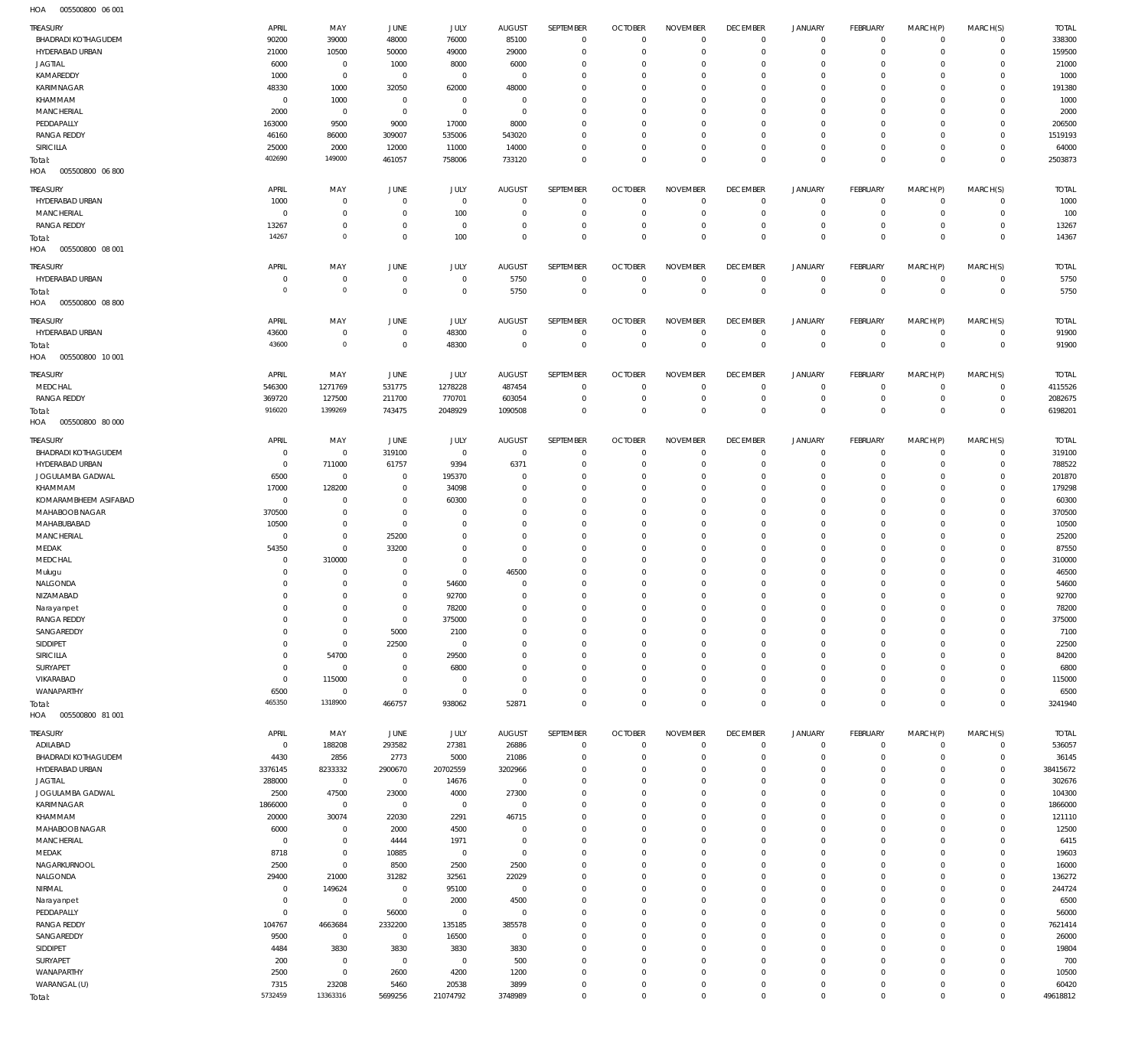005500800 06 001 HOA

| TREASURY                   | APRIL          | MAY              | JUNE           | <b>JULY</b> | <b>AUGUST</b>  | SEPTEMBER   | <b>OCTOBER</b> | <b>NOVEMBER</b> | <b>DECEMBER</b> | <b>JANUARY</b>      | FEBRUARY       | MARCH(P)       | MARCH(S)       | <b>TOTAL</b> |
|----------------------------|----------------|------------------|----------------|-------------|----------------|-------------|----------------|-----------------|-----------------|---------------------|----------------|----------------|----------------|--------------|
| <b>BHADRADI KOTHAGUDEM</b> | 90200          | 39000            | 48000          | 76000       | 85100          | $\mathbf 0$ | $\overline{0}$ | $\mathbf 0$     | $\overline{0}$  | $\overline{0}$      | $\overline{0}$ | $\mathbf 0$    | $\overline{0}$ | 338300       |
| HYDERABAD URBAN            | 21000          | 10500            | 50000          | 49000       | 29000          | $\mathbf 0$ | $\mathbf 0$    | $\mathbf 0$     | $\mathbf 0$     | $\mathbf 0$         | $\mathbf{0}$   | $\mathbf 0$    | $\mathbf{0}$   | 159500       |
|                            |                |                  |                |             |                |             |                |                 |                 |                     |                |                |                |              |
| <b>JAGTIAL</b>             | 6000           | $\overline{0}$   | 1000           | 8000        | 6000           | $\mathbf 0$ | $\mathbf 0$    | $\Omega$        | $\mathbf 0$     | $\mathbf 0$         | $\mathbf{0}$   | $\Omega$       | $\mathbf{0}$   | 21000        |
| KAMAREDDY                  | 1000           | $\overline{0}$   | $\overline{0}$ | $\mathbb O$ | $\overline{0}$ | $\mathbf 0$ | $\mathbf 0$    | $\mathbf 0$     | $\mathbf 0$     | $\mathbf 0$         | $\mathbf{0}$   | $\Omega$       | $\mathbf{0}$   | 1000         |
| KARIMNAGAR                 | 48330          | 1000             | 32050          | 62000       | 48000          | $\mathbf 0$ | $\Omega$       | $\Omega$        | $\Omega$        | $\mathbf 0$         | $\mathbf{0}$   | $\Omega$       | $\mathbf{0}$   | 191380       |
| KHAMMAM                    | $^{\circ}$     | 1000             | $\overline{0}$ | $\mathbb O$ | $\overline{0}$ | $\mathbf 0$ | $\mathbf 0$    | $\mathbf 0$     | $\mathbf 0$     | $\mathbf 0$         | $\mathbf{0}$   | $\Omega$       | $\mathbf{0}$   | 1000         |
|                            |                |                  |                |             |                |             |                |                 |                 |                     |                |                |                |              |
| <b>MANCHERIAL</b>          | 2000           | $\overline{0}$   | $\overline{0}$ | $\mathbb O$ | $\overline{0}$ | $\mathbf 0$ | $\mathbf 0$    | $\Omega$        | $\mathbf 0$     | $\mathbf 0$         | $\mathbf{0}$   | $\Omega$       | $\mathbf 0$    | 2000         |
| PEDDAPALLY                 | 163000         | 9500             | 9000           | 17000       | 8000           | $\Omega$    | $\Omega$       | $\Omega$        | $\Omega$        | $\Omega$            | $\mathbf{0}$   | $\Omega$       | $\mathbf{0}$   | 206500       |
| <b>RANGA REDDY</b>         | 46160          | 86000            | 309007         | 535006      | 543020         | $\mathbf 0$ | $\mathbf 0$    | $\mathbf 0$     | $\mathbf 0$     | $\mathbf 0$         | $\mathbf{0}$   | $\Omega$       | $\mathbf{0}$   | 1519193      |
| SIRICILLA                  | 25000          | 2000             | 12000          | 11000       | 14000          | $\mathbf 0$ | $\mathbf 0$    | $\mathbf 0$     | $\mathbf 0$     | $\mathbf 0$         | $\mathbf{0}$   | $\Omega$       | $\mathbf{0}$   | 64000        |
|                            |                |                  |                |             |                |             |                |                 |                 |                     |                |                |                |              |
| Total:                     | 402690         | 149000           | 461057         | 758006      | 733120         | $\mathbf 0$ | $\mathbf 0$    | $\mathbf 0$     | $\overline{0}$  | $\mathbf 0$         | $\overline{0}$ | $\mathbf 0$    | $\overline{0}$ | 2503873      |
| HOA<br>005500800 06 800    |                |                  |                |             |                |             |                |                 |                 |                     |                |                |                |              |
|                            |                |                  |                |             |                |             |                |                 |                 |                     |                |                |                |              |
| TREASURY                   | APRIL          | MAY              | <b>JUNE</b>    | <b>JULY</b> | <b>AUGUST</b>  | SEPTEMBER   | <b>OCTOBER</b> | <b>NOVEMBER</b> | <b>DECEMBER</b> | <b>JANUARY</b>      | FEBRUARY       | MARCH(P)       | MARCH(S)       | <b>TOTAL</b> |
| HYDERABAD URBAN            | 1000           | $^{\circ}$       | $^{\circ}$     | $\mathbf 0$ | $\overline{0}$ | $\mathbf 0$ | $\mathbf 0$    | $\Omega$        | $\mathbf 0$     | $\mathbf 0$         | $\mathbf{0}$   | $\circ$        | $\mathbf{0}$   | 1000         |
| <b>MANCHERIAL</b>          | $^{\circ}$     | $\mathbf 0$      | $^{\circ}$     | 100         | $\Omega$       | $\mathbf 0$ | $\mathbf 0$    | $\Omega$        | $\mathbf 0$     | $\mathbf 0$         | $\mathbf{0}$   | $\circ$        | $\mathbf{0}$   | 100          |
|                            |                |                  |                |             |                |             |                |                 |                 |                     |                |                |                |              |
| <b>RANGA REDDY</b>         | 13267          | $\mathbf 0$      | $^{\circ}$     | $^{\circ}$  | $\Omega$       | $\mathbf 0$ | $\mathbf 0$    | $\mathbf 0$     | $\mathbf 0$     | $\mathbf 0$         | $\mathbf 0$    | $\circ$        | $\mathbf 0$    | 13267        |
| Total:                     | 14267          | $\mathbb O$      | $\mathbf 0$    | 100         | $\Omega$       | $\Omega$    | $\mathbf 0$    | $\Omega$        | $\mathbf 0$     | $\mathbf 0$         | $\overline{0}$ | $\Omega$       | $\mathbf 0$    | 14367        |
| HOA<br>005500800 08 001    |                |                  |                |             |                |             |                |                 |                 |                     |                |                |                |              |
|                            |                |                  |                |             |                |             |                |                 |                 |                     |                |                |                |              |
| TREASURY                   | APRIL          | MAY              | <b>JUNE</b>    | JULY        | <b>AUGUST</b>  | SEPTEMBER   | <b>OCTOBER</b> | <b>NOVEMBER</b> | <b>DECEMBER</b> | <b>JANUARY</b>      | FEBRUARY       | MARCH(P)       | MARCH(S)       | <b>TOTAL</b> |
| HYDERABAD URBAN            | $^{\circ}$     | $\mathbb O$      | $\circ$        | $\mathbf 0$ | 5750           | $\bf 0$     | $\overline{0}$ | $\mathbf 0$     | $\overline{0}$  | $\overline{0}$      | $\overline{0}$ | $\mathbf 0$    | $\circ$        | 5750         |
|                            | $\overline{0}$ | $\mathbb O$      |                |             |                |             |                |                 |                 |                     |                |                |                |              |
| Total:                     |                |                  | $\overline{0}$ | $\mathbf 0$ | 5750           | $\mathbf 0$ | $\overline{0}$ | $\mathbf 0$     | $\overline{0}$  | $\mathbf 0$         | $\overline{0}$ | $\mathbf 0$    | $\overline{0}$ | 5750         |
| 005500800 08 800<br>HOA    |                |                  |                |             |                |             |                |                 |                 |                     |                |                |                |              |
|                            |                |                  |                |             |                |             |                |                 |                 |                     |                |                |                |              |
| TREASURY                   | APRIL          | MAY              | <b>JUNE</b>    | JULY        | <b>AUGUST</b>  | SEPTEMBER   | <b>OCTOBER</b> | <b>NOVEMBER</b> | <b>DECEMBER</b> | <b>JANUARY</b>      | FEBRUARY       | MARCH(P)       | MARCH(S)       | <b>TOTAL</b> |
| HYDERABAD URBAN            | 43600          | $\mathbf 0$      | $\mathbf 0$    | 48300       | $\overline{0}$ | $\mathbf 0$ | $\overline{0}$ | $\mathbf 0$     | $\overline{0}$  | $\mathbf 0$         | $\mathbf{0}$   | $\mathbf 0$    | $\circ$        | 91900        |
| Total:                     | 43600          | $\mathbb O$      | $\overline{0}$ | 48300       | $\overline{0}$ | $\mathbf 0$ | $\mathbf 0$    | $\mathbf 0$     | $\overline{0}$  | $\mathbf 0$         | $\overline{0}$ | $\overline{0}$ | $\overline{0}$ | 91900        |
| HOA<br>005500800 10 001    |                |                  |                |             |                |             |                |                 |                 |                     |                |                |                |              |
|                            |                |                  |                |             |                |             |                |                 |                 |                     |                |                |                |              |
| TREASURY                   | APRIL          | MAY              | JUNE           | JULY        | <b>AUGUST</b>  | SEPTEMBER   | <b>OCTOBER</b> | <b>NOVEMBER</b> | <b>DECEMBER</b> | <b>JANUARY</b>      | FEBRUARY       | MARCH(P)       | MARCH(S)       | <b>TOTAL</b> |
|                            |                |                  |                |             |                |             |                |                 |                 |                     |                |                |                |              |
| MEDCHAL                    | 546300         | 1271769          | 531775         | 1278228     | 487454         | $\mathbb O$ | $\overline{0}$ | $\mathbf 0$     | $\overline{0}$  | $\overline{0}$      | $\overline{0}$ | $\mathbf 0$    | $\overline{0}$ | 4115526      |
| <b>RANGA REDDY</b>         | 369720         | 127500           | 211700         | 770701      | 603054         | $\bf 0$     | $\mathbf 0$    | $\mathbf 0$     | $\mathbf 0$     | $\mathbf 0$         | $\mathbf{0}$   | $\mathbf 0$    | $\mathbf{0}$   | 2082675      |
| Total:                     | 916020         | 1399269          | 743475         | 2048929     | 1090508        | $\mathbf 0$ | $\overline{0}$ | $\mathbf 0$     | $\overline{0}$  | $\mathbf 0$         | $\overline{0}$ | $\mathbf 0$    | $\overline{0}$ | 6198201      |
| HOA<br>005500800 80 000    |                |                  |                |             |                |             |                |                 |                 |                     |                |                |                |              |
|                            |                |                  |                |             |                |             |                |                 |                 |                     |                |                |                |              |
| TREASURY                   | APRIL          | MAY              | JUNE           | <b>JULY</b> | <b>AUGUST</b>  | SEPTEMBER   | <b>OCTOBER</b> | <b>NOVEMBER</b> | <b>DECEMBER</b> | <b>JANUARY</b>      | FEBRUARY       | MARCH(P)       | MARCH(S)       | <b>TOTAL</b> |
| <b>BHADRADI KOTHAGUDEM</b> | $^{\circ}$     | $\mathbf 0$      |                | $\mathbf 0$ | $\mathbf 0$    | $\mathbf 0$ | $\mathbf 0$    | $\Omega$        | $\mathbf 0$     | $\mathbf 0$         | $\mathbf 0$    | $\Omega$       | $\mathbf 0$    |              |
|                            |                |                  | 319100         |             |                |             |                |                 |                 |                     |                |                |                | 319100       |
| HYDERABAD URBAN            | $\mathbf 0$    | 711000           | 61757          | 9394        | 6371           | $\mathbf 0$ | $\mathbf 0$    | $\Omega$        | $\mathbf 0$     | $\mathbf 0$         | $\mathbf{0}$   | $\Omega$       | $\mathbf{0}$   | 788522       |
| JOGULAMBA GADWAL           | 6500           | $\mathbf 0$      | $^{\circ}$     | 195370      | $\Omega$       | $\mathbf 0$ | $\mathbf 0$    | $\Omega$        | $\mathbf 0$     | $\mathbf 0$         | $\mathbf 0$    | $\Omega$       | $\mathbf 0$    | 201870       |
| KHAMMAM                    | 17000          | 128200           | $\mathbf 0$    | 34098       | $\Omega$       | $\Omega$    | $\Omega$       | $\Omega$        | $\Omega$        | $\mathbf 0$         | $\Omega$       | $\Omega$       | $\Omega$       | 179298       |
|                            |                |                  |                |             |                |             |                |                 |                 |                     |                |                |                |              |
| KOMARAMBHEEM ASIFABAD      | $\mathbf 0$    | $\mathbf 0$      | $^{\circ}$     | 60300       | $\Omega$       | $\Omega$    | $\Omega$       | $\Omega$        | $\mathbf 0$     | $\mathbf 0$         | $\mathbf 0$    | $\Omega$       | $\mathbf 0$    | 60300        |
| MAHABOOB NAGAR             | 370500         | $\mathbf 0$      | $^{\circ}$     | $^{\circ}$  | $\Omega$       | $\Omega$    | $\Omega$       | $\Omega$        | $\Omega$        | $\Omega$            | $\Omega$       | $\Omega$       | $\Omega$       | 370500       |
| MAHABUBABAD                | 10500          | $\mathbf 0$      | $\mathbf 0$    | $\Omega$    | $\Omega$       | $\Omega$    | $\Omega$       | $\Omega$        | $\Omega$        | $\Omega$            | $\mathbf 0$    | $\Omega$       | $\Omega$       | 10500        |
| MANCHERIAL                 | $^{\circ}$     | $\mathbf 0$      | 25200          | $\Omega$    | $\Omega$       | $\Omega$    | $\mathbf 0$    | $\Omega$        | $\mathbf 0$     | $\mathbf 0$         | $\Omega$       | $\Omega$       | $\mathbf 0$    | 25200        |
|                            |                |                  |                |             |                |             |                |                 |                 |                     |                |                |                |              |
| MEDAK                      | 54350          | $\mathbf 0$      | 33200          | $\Omega$    | $\Omega$       | $\Omega$    | $\Omega$       | $\Omega$        | $\Omega$        | $\Omega$            | $\mathbf 0$    | $\Omega$       | $\Omega$       | 87550        |
| MEDCHAL                    | $^{\circ}$     | 310000           | $^{\circ}$     | $\mathbf 0$ | $^{\circ}$     | $\mathbf 0$ | $\mathbf 0$    | $\Omega$        | $\mathbf 0$     | $\mathbf 0$         | $\mathbf 0$    | $\Omega$       | $\mathbf 0$    | 310000       |
| Mulugu                     | $\Omega$       | $^{\circ}$       | $^{\circ}$     | $\mathbf 0$ | 46500          | $\Omega$    | $\Omega$       | $\Omega$        | $\Omega$        | $\Omega$            | $\Omega$       | $\Omega$       | $\Omega$       | 46500        |
|                            | $\Omega$       | $\mathbf 0$      | $^{\circ}$     |             | $\Omega$       | $\mathbf 0$ | $\mathbf 0$    | $\Omega$        | $\Omega$        | $\Omega$            | $\Omega$       | $\Omega$       | $\mathbf 0$    |              |
| NALGONDA                   |                |                  |                | 54600       |                |             |                |                 |                 |                     |                |                |                | 54600        |
| NIZAMABAD                  | $\Omega$       | $\Omega$         | $\Omega$       | 92700       | $\Omega$       | $\Omega$    | $\Omega$       | $\Omega$        | $\Omega$        | $\Omega$            | $\Omega$       | $\Omega$       | $\Omega$       | 92700        |
| Narayanpet                 | $\Omega$       | $\Omega$         | $\Omega$       | 78200       | $\Omega$       | $\Omega$    | $\Omega$       | $\Omega$        | $\Omega$        | $\Omega$            | $\Omega$       | $\Omega$       | $\Omega$       | 78200        |
| <b>RANGA REDDY</b>         | $^{\circ}$     | $\mathbf 0$      | $\mathbf 0$    | 375000      | $\mathbf{0}$   | $\mathbf 0$ | $\mathbf 0$    | $\Omega$        | $\mathbf 0$     | $\mathbf 0$         | $\mathbf 0$    | $\Omega$       | $\mathbf 0$    | 375000       |
| SANGAREDDY                 | $\mathbf 0$    | $\mathbf 0$      | 5000           |             | $\Omega$       | $\mathbf 0$ | $\mathbf 0$    | $\Omega$        | $\mathbf 0$     | $\mathbf 0$         | $\mathbf 0$    | $\Omega$       | $\mathbf 0$    | 7100         |
|                            |                |                  |                | 2100        |                |             |                |                 |                 |                     |                |                |                |              |
| SIDDIPET                   | $\Omega$       | $\mathbf 0$      | 22500          | $\mathbf 0$ | $\Omega$       | $\mathbf 0$ | $\mathbf 0$    | $\Omega$        | $\mathbf 0$     | $\mathbf 0$         | $\mathbf 0$    | $\Omega$       | $\mathbf 0$    | 22500        |
| SIRICILLA                  | $\Omega$       | 54700            | $\mathbf 0$    | 29500       | $\Omega$       | $\Omega$    | $\mathbf 0$    | $\Omega$        | $\mathbf 0$     | $\mathbf 0$         | $\Omega$       | $\Omega$       | $\Omega$       | 84200        |
| SURYAPET                   | $\mathbf 0$    | $\mathbf 0$      | $\mathbf 0$    | 6800        | $\Omega$       | $\Omega$    | $\mathbf 0$    | $\Omega$        | $\mathbf 0$     | $\mathbf 0$         | $\mathbf 0$    | $\Omega$       | $\mathbf 0$    | 6800         |
| VIKARABAD                  | $\mathbf 0$    | 115000           | $^{\circ}$     | $^{\circ}$  | $^{\circ}$     | $\mathbf 0$ | $\mathbf 0$    | $\Omega$        | $\mathbf 0$     | $\mathbf 0$         | $\Omega$       | $\Omega$       | $\mathbf 0$    | 115000       |
|                            |                |                  |                |             |                |             |                |                 |                 |                     |                |                |                |              |
| WANAPARTHY                 | 6500           | $\mathbf 0$      | $\mathbf 0$    | $\mathbf 0$ | $\mathbf 0$    | $\mathbf 0$ | $\mathbf 0$    | $\Omega$        | $\mathbf 0$     | $\mathbf 0$         | $\mathbf 0$    | $\Omega$       | $\mathbf 0$    | 6500         |
| Total:                     | 465350         | 1318900          | 466757         | 938062      | 52871          | $\mathbf 0$ | $\mathbf 0$    | $\mathbf 0$     | $\mathbf 0$     | $\mathbf 0$         | $\overline{0}$ | $\Omega$       | $\mathbf 0$    | 3241940      |
| HOA<br>005500800 81 001    |                |                  |                |             |                |             |                |                 |                 |                     |                |                |                |              |
|                            |                |                  |                |             |                |             |                |                 |                 |                     |                |                |                |              |
| TREASURY                   | APRIL          | MAY              | JUNE           | JULY        | <b>AUGUST</b>  | SEPTEMBER   | <b>OCTOBER</b> | <b>NOVEMBER</b> | <b>DECEMBER</b> | <b>JANUARY</b>      | FEBRUARY       | MARCH(P)       | MARCH(S)       | <b>TOTAL</b> |
| ADILABAD                   | $\mathbf 0$    | 188208           | 293582         | 27381       | 26886          | $\mathbb O$ | $\overline{0}$ | $\mathbf 0$     | $\overline{0}$  | $\overline{0}$      | $\circ$        | $\mathbf 0$    | $\overline{0}$ | 536057       |
|                            |                |                  |                |             |                |             |                |                 |                 |                     |                |                |                |              |
| BHADRADI KOTHAGUDEM        | 4430           | 2856             | 2773           | 5000        | 21086          | $\mathbb O$ | $\mathbf 0$    | $\mathbf 0$     | $\mathbf 0$     | $\mathbf 0$         | $\circ$        | $\mathbf 0$    | $\circ$        | 36145        |
| HYDERABAD URBAN            | 3376145        | 8233332          | 2900670        | 20702559    | 3202966        | $\mathbf 0$ | $\mathbf 0$    | $\mathbf 0$     | $\mathbf 0$     | $\mathbf 0$         | $\mathbf{0}$   | $\mathbf 0$    | $\mathbf{0}$   | 38415672     |
| <b>JAGTIAL</b>             | 288000         | $\overline{0}$   | $\overline{0}$ | 14676       | $\,0\,$        | $\mathbf 0$ | $\mathbf 0$    | $\mathbf 0$     | $\mathbf 0$     | $\mathbf 0$         | $\mathbf{0}$   | $\Omega$       | $\mathbf{0}$   | 302676       |
| JOGULAMBA GADWAL           | 2500           | 47500            | 23000          | 4000        | 27300          | $\mathbf 0$ | $\mathbf 0$    | $\mathbf 0$     | $\mathbf 0$     | $\mathbf 0$         | $\mathbf 0$    | $\Omega$       | $\mathbf 0$    | 104300       |
|                            |                |                  |                |             |                |             |                | $\Omega$        |                 |                     |                |                |                |              |
| KARIMNAGAR                 | 1866000        | $\overline{0}$   | $\overline{0}$ | $\mathbb O$ | $\overline{0}$ | $\mathbf 0$ | $\mathbf 0$    |                 | $\mathbf 0$     | $\mathbf 0$         | $\mathbf{0}$   | $\Omega$       | $\mathbf{0}$   | 1866000      |
| KHAMMAM                    | 20000          | 30074            | 22030          | 2291        | 46715          | $\mathbf 0$ | $\mathbf 0$    | $\mathbf 0$     | $\mathbf 0$     | $\mathbf 0$         | $\mathbf 0$    | $\Omega$       | $\mathbf 0$    | 121110       |
| MAHABOOB NAGAR             | 6000           | $\mathbf 0$      | 2000           | 4500        | $\overline{0}$ | $\mathbf 0$ | $\mathbf 0$    | $\Omega$        | $\mathbf 0$     | $\mathbf 0$         | $\mathbf{0}$   | $\Omega$       | $\mathbf{0}$   | 12500        |
| MANCHERIAL                 | $\circ$        | $\mathbf 0$      | 4444           | 1971        | $^{\circ}$     | $\mathbf 0$ | $\mathbf 0$    | $\mathbf 0$     | $\mathbf 0$     | $\mathbf 0$         | $\mathbf{0}$   | $\Omega$       | $\mathbf{0}$   | 6415         |
|                            |                |                  |                |             |                |             |                |                 |                 |                     |                |                |                |              |
| MEDAK                      | 8718           | $\mathbf 0$      | 10885          | $\mathbb O$ | $\overline{0}$ | $\mathbf 0$ | $\mathbf 0$    | $\mathbf 0$     | $\mathbf 0$     | $\mathbf 0$         | $\mathbf 0$    | $\Omega$       | $\mathbf 0$    | 19603        |
| NAGARKURNOOL               | 2500           | $\mathbf 0$      | 8500           | 2500        | 2500           | $\mathbf 0$ | $\mathbf 0$    | $\mathbf 0$     | $\mathbf 0$     | $\mathbf 0$         | $\mathbf{0}$   | $\Omega$       | $\mathbf{0}$   | 16000        |
| NALGONDA                   | 29400          | 21000            | 31282          | 32561       | 22029          | $\mathbf 0$ | $\mathbf 0$    | $\mathbf 0$     | $\mathbf 0$     | $\mathbf 0$         | $\mathbf 0$    | $\Omega$       | $\mathbf 0$    | 136272       |
| NIRMAL                     | $\mathbf 0$    | 149624           | $\overline{0}$ | 95100       | $\mathbf 0$    | $\mathbf 0$ | $\mathbf 0$    | $\mathbf 0$     | $\mathbf 0$     | $\mathbf 0$         | $\mathbf{0}$   | $\Omega$       | $\mathbf{0}$   | 244724       |
|                            |                |                  |                |             |                |             |                |                 |                 |                     |                |                |                |              |
| Narayanpet                 | $^{\circ}$     | $\mathbf 0$      | $\overline{0}$ | 2000        | 4500           | $\mathbf 0$ | $\mathbf 0$    | $\mathbf 0$     | $\mathbf 0$     | $\mathbf 0$         | $\mathbf{0}$   | $\Omega$       | $\mathbf{0}$   | 6500         |
| PEDDAPALLY                 | $\mathbf 0$    | $\mathbb O$      | 56000          | $\mathbb O$ | $\mathbf 0$    | $\mathbf 0$ | $\mathbf 0$    | $\mathbf 0$     | $\mathbf 0$     | $\mathbf 0$         | $\mathbf 0$    | $\Omega$       | $\mathbf{0}$   | 56000        |
| <b>RANGA REDDY</b>         | 104767         | 4663684          | 2332200        | 135185      | 385578         | $\mathbf 0$ | $\mathbf 0$    | $\mathbf 0$     | $\mathbf 0$     | $\mathbf 0$         | $\mathbf{0}$   | $\Omega$       | $\mathbf{0}$   | 7621414      |
|                            |                |                  |                |             |                |             |                |                 |                 |                     |                |                |                |              |
| SANGAREDDY                 | 9500           | $\boldsymbol{0}$ | $\overline{0}$ | 16500       | $\mathbf 0$    | $\mathbf 0$ | $\mathbf 0$    | $\mathbf 0$     | $\mathbf 0$     | $\mathbf 0$         | $\mathbf 0$    | $\Omega$       | $\mathbf 0$    | 26000        |
| SIDDIPET                   | 4484           | 3830             | 3830           | 3830        | 3830           | $\mathbf 0$ | $\mathbf 0$    | $\Omega$        | $\mathbf 0$     | $\mathbf 0$         | $\mathbf{0}$   | $\Omega$       | $\mathbf{0}$   | 19804        |
| SURYAPET                   | 200            | $\mathsf 0$      | $\overline{0}$ | $\mathbb O$ | 500            | $\mathbf 0$ | $\mathbf 0$    | $\mathbf 0$     | $\mathbf 0$     | $\mathbf 0$         | $\mathbf 0$    | $\Omega$       | $\mathbf{0}$   | 700          |
| WANAPARTHY                 | 2500           | $\overline{0}$   | 2600           | 4200        | 1200           | $\mathbf 0$ | $\mathbf 0$    | $\mathbf 0$     | $\mathbf 0$     | $\mathbf 0$         | $\mathbf{0}$   | $\Omega$       | $\mathbf{0}$   | 10500        |
|                            |                |                  |                |             |                |             |                |                 |                 |                     |                |                |                |              |
| WARANGAL (U)               | 7315           | 23208            | 5460           | 20538       | 3899           | $\mathbb O$ | 0              | $\bf 0$         | $\overline{0}$  | $\mathsf{O}\xspace$ | $\circ$        | $\mathbf 0$    | $\mathbf{0}$   | 60420        |
| Total:                     | 5732459        | 13363316         | 5699256        | 21074792    | 3748989        | $\mathbf 0$ | $\mathbf 0$    | $\mathbf 0$     | $\mathbf 0$     | $\mathbf 0$         | $\overline{0}$ | $\mathbf 0$    | $\Omega$       | 49618812     |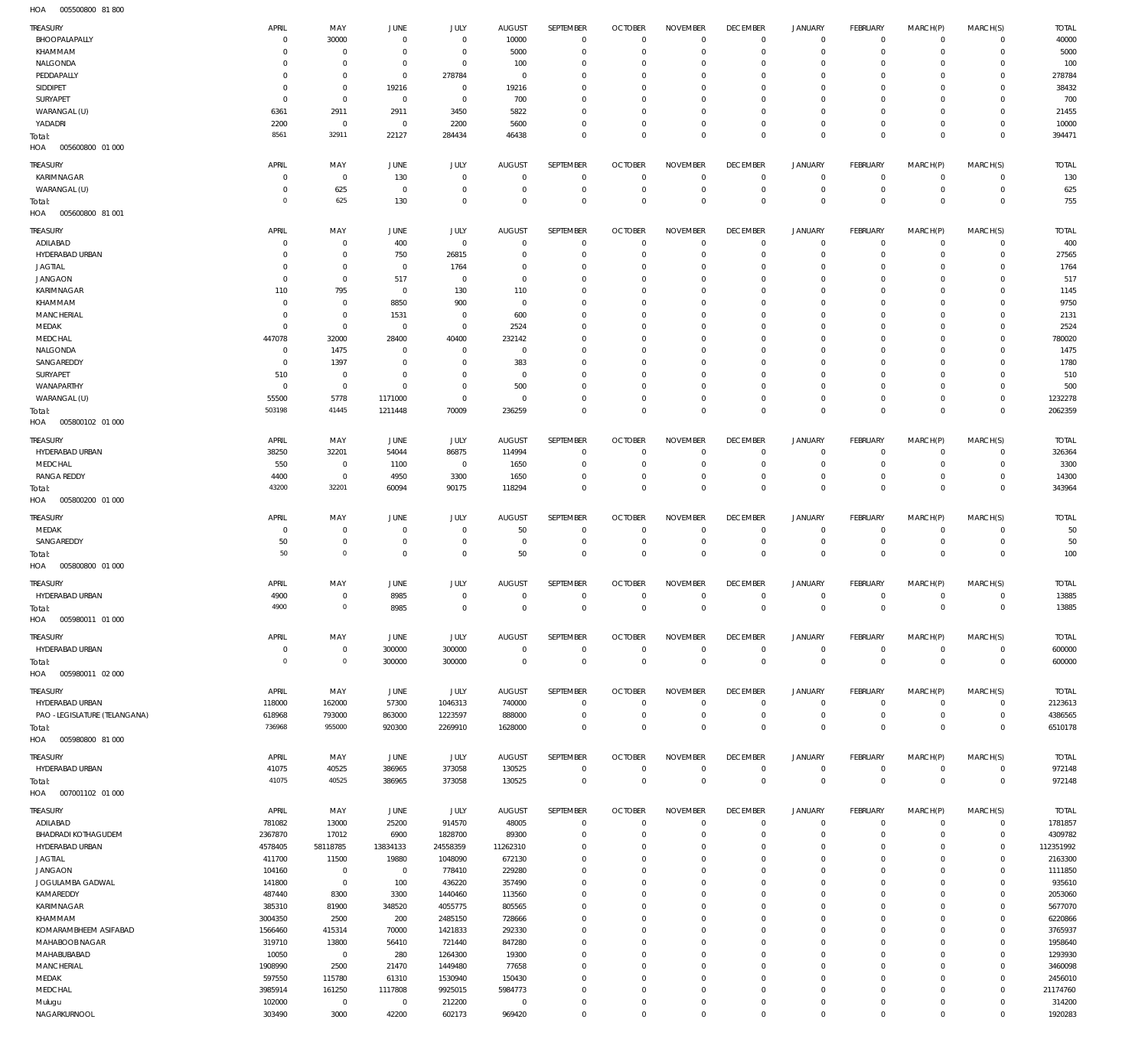005500800 81 800 HOA

| <b>TREASURY</b>                    | APRIL            | MAY                            | JUNE                          | JULY                       | <b>AUGUST</b>           | SEPTEMBER                  | <b>OCTOBER</b>                   | <b>NOVEMBER</b>             | <b>DECEMBER</b>                   | <b>JANUARY</b>             | FEBRUARY                     | MARCH(P)                | MARCH(S)                     | <b>TOTAL</b>           |
|------------------------------------|------------------|--------------------------------|-------------------------------|----------------------------|-------------------------|----------------------------|----------------------------------|-----------------------------|-----------------------------------|----------------------------|------------------------------|-------------------------|------------------------------|------------------------|
| BHOOPALAPALLY                      | $\mathbf 0$      | 30000                          | $\overline{0}$                | $\bf 0$                    | 10000                   | $\bf 0$                    | $\overline{0}$                   | $\mathbf 0$                 | $\overline{0}$                    | $\circ$                    | $\overline{0}$               | $\circ$                 | $\overline{0}$               | 40000                  |
| KHAMMAM<br>NALGONDA                | 0<br>$\Omega$    | $\bf 0$<br>$\mathsf{O}\xspace$ | 0<br>$\overline{0}$           | $\bf 0$<br>$\mathbf 0$     | 5000<br>100             | $\mathbf 0$<br>$\mathbf 0$ | $\overline{0}$<br>$\mathbf 0$    | $\Omega$<br>$\Omega$        | $\mathbf 0$<br>$\mathbf 0$        | $\mathbf 0$<br>$\mathbf 0$ | $\mathbf{0}$<br>$\mathbf{0}$ | $\mathbf 0$<br>$\Omega$ | $\mathbf{0}$<br>$\mathbf{0}$ | 5000<br>100            |
| PEDDAPALLY                         | 0                | $\mathsf{O}\xspace$            | $\overline{0}$                | 278784                     | $\overline{0}$          | $\mathbf 0$                | $\mathbf 0$                      | $\mathbf 0$                 | $\mathbf 0$                       | 0                          | $\mathbf{0}$                 | 0                       | $\mathbf{0}$                 | 278784                 |
| SIDDIPET                           | 0                | $\mathsf{O}\xspace$            | 19216                         | $\bf 0$                    | 19216                   | $\mathbf 0$                | $\mathbf 0$                      | $\Omega$                    | $\mathbf 0$                       | $\mathbf 0$                | $\mathbf 0$                  | $\Omega$                | $\Omega$                     | 38432                  |
| SURYAPET                           | $\mathbf 0$      | $\mathsf{O}\xspace$            | $\overline{0}$                | $\bf 0$                    | 700                     | $\mathbf 0$                | $\mathbf 0$                      | $\mathbf 0$                 | $\mathbf 0$                       | $\mathbf 0$                | $^{\circ}$                   | $\Omega$                | $\mathbf{0}$                 | 700                    |
| WARANGAL (U)                       | 6361             | 2911                           | 2911                          | 3450                       | 5822                    | $\mathbf 0$                | $\mathbf 0$                      | $\mathbf 0$                 | $\mathbf 0$                       | $\mathbf 0$                | $\mathbf{0}$                 | $\mathbf 0$             | $\mathbf{0}$                 | 21455                  |
| YADADRI                            | 2200             | $\bf 0$                        | $\overline{0}$                | 2200                       | 5600                    | $\mathbf 0$                | $\mathbf 0$                      | $\mathbf 0$                 | $\overline{0}$                    | $\mathbf 0$                | $\mathbf{0}$                 | $\mathbf 0$             | $\mathbf{0}$                 | 10000                  |
| Total:                             | 8561             | 32911                          | 22127                         | 284434                     | 46438                   | $\mathbf 0$                | $\overline{0}$                   | $\mathbf 0$                 | $\overline{0}$                    | $\mathbf 0$                | $\overline{0}$               | $\mathbf 0$             | $\overline{0}$               | 394471                 |
| HOA<br>005600800 01 000            |                  |                                |                               |                            |                         |                            |                                  |                             |                                   |                            |                              |                         |                              |                        |
| TREASURY                           | APRIL            | MAY                            | <b>JUNE</b>                   | JULY                       | <b>AUGUST</b>           | SEPTEMBER                  | <b>OCTOBER</b>                   | <b>NOVEMBER</b>             | <b>DECEMBER</b>                   | <b>JANUARY</b>             | FEBRUARY                     | MARCH(P)                | MARCH(S)                     | <b>TOTAL</b>           |
| KARIMNAGAR                         | $\mathbf 0$      | $\mathbf 0$                    | 130                           | $\mathbf 0$                | $\mathbf 0$             | $\mathbf 0$                | $\overline{0}$                   | $\Omega$                    | $\overline{0}$                    | $\mathbf 0$                | $\mathbf{0}$                 | $\mathbf 0$             | $\circ$                      | 130                    |
| WARANGAL (U)                       | $\mathbf 0$      | 625                            | $\overline{0}$                | $\mathbf 0$                | $\mathbf 0$             | $\mathbf 0$                | $\overline{0}$                   | $\mathbf 0$                 | $\overline{0}$                    | $\mathbf 0$                | $\overline{0}$               | $\mathbf 0$             | $\circ$                      | 625                    |
| Total:                             | $\circ$          | 625                            | 130                           | $\mathbf 0$                | $\mathbf 0$             | $\mathbf 0$                | $\overline{0}$                   | $\mathbf 0$                 | $\overline{0}$                    | $\mathbf 0$                | $\overline{0}$               | $\mathbf 0$             | $\mathbf 0$                  | 755                    |
| HOA<br>005600800 81 001            |                  |                                |                               |                            |                         |                            |                                  |                             |                                   |                            |                              |                         |                              |                        |
| TREASURY                           | APRIL            | MAY                            | <b>JUNE</b>                   | JULY                       | <b>AUGUST</b>           | SEPTEMBER                  | <b>OCTOBER</b>                   | <b>NOVEMBER</b>             | <b>DECEMBER</b>                   | <b>JANUARY</b>             | FEBRUARY                     | MARCH(P)                | MARCH(S)                     | <b>TOTAL</b>           |
| ADILABAD                           | $\mathbf 0$      | 0                              | 400                           | $\bf 0$                    | $\mathbf 0$             | 0                          | $\overline{0}$                   | $\mathbf 0$                 | $\overline{0}$                    | 0                          | $\overline{0}$               | $\mathbf 0$             | $\circ$                      | 400                    |
| HYDERABAD URBAN                    | 0                | $\mathsf{O}\xspace$            | 750                           | 26815                      | $\mathbf 0$             | $\mathbf 0$                | $\overline{0}$                   | $\mathbf 0$                 | $\overline{0}$                    | $\mathbf 0$                | $\circ$                      | $\mathbf 0$             | $\circ$                      | 27565                  |
| <b>JAGTIAL</b>                     | $\mathbf 0$      | $\bf 0$                        | $\overline{0}$                | 1764                       | $\mathbf 0$             | $\mathbf 0$                | $\mathbf 0$                      | $\mathbf 0$                 | $\mathbf 0$                       | $\mathbf 0$                | $\mathbf{0}$                 | $\Omega$                | $\mathbf{0}$                 | 1764                   |
| <b>JANGAON</b>                     | 0                | $\mathsf{O}\xspace$            | 517                           | 0                          | $\overline{0}$          | $\mathbf 0$                | $\mathbf 0$                      | $\mathbf 0$                 | $\overline{0}$                    | $\mathbf 0$                | $\mathbf{0}$                 | $\mathbf 0$             | $\mathbf{0}$                 | 517                    |
| KARIMNAGAR                         | 110              | 795                            | $\overline{0}$                | 130                        | 110                     | $\mathbf 0$                | $\mathbf 0$                      | $\mathbf 0$                 | $\mathbf 0$                       | $\mathbf 0$                | $\mathbf{0}$                 | $\Omega$                | $\mathbf 0$                  | 1145                   |
| KHAMMAM                            | $\mathbf 0$      | $\bf 0$                        | 8850                          | 900                        | $\overline{0}$          | $\mathbf 0$                | $\mathbf 0$                      | $\Omega$                    | $\mathbf 0$                       | $\mathbf 0$                | $\mathbf 0$                  | $\Omega$                | $\mathbf 0$                  | 9750                   |
| MANCHERIAL                         | $\mathbf 0$      | $\mathsf{O}\xspace$            | 1531                          | $\mathbf 0$                | 600                     | $\mathbf 0$                | $\mathbf 0$                      | $\mathbf 0$                 | $\mathbf 0$                       | $\mathbf 0$                | $\mathbf{0}$                 | $\Omega$                | $\mathbf 0$                  | 2131                   |
| MEDAK                              | 0                | $\bf 0$                        | $\mathbf 0$                   | $\bf 0$                    | 2524                    | $\mathbf 0$                | $\mathbf 0$                      | $\Omega$                    | $\mathbf 0$                       | $\mathbf 0$                | $\mathbf 0$                  | $\Omega$                | $\mathbf 0$                  | 2524                   |
| MEDCHAL                            | 447078           | 32000                          | 28400                         | 40400                      | 232142                  | $\mathbf 0$<br>$\mathbf 0$ | $\mathbf 0$                      | $\Omega$<br>$\Omega$        | $\mathbf 0$<br>$\mathbf 0$        | $\mathbf 0$                | $\mathbf{0}$<br>$\mathbf 0$  | 0<br>$\Omega$           | $\mathbf{0}$<br>$\mathbf 0$  | 780020                 |
| NALGONDA<br>SANGAREDDY             | 0<br>$\mathbf 0$ | 1475<br>1397                   | 0<br>$\overline{0}$           | $\mathbf 0$<br>$\mathbf 0$ | $\overline{0}$<br>383   | $\mathbf 0$                | $\mathbf 0$<br>$\mathbf 0$       | $\Omega$                    | $\mathbf 0$                       | $\mathbf 0$<br>$\mathbf 0$ | $\mathbf{0}$                 | $\Omega$                | $\mathbf{0}$                 | 1475<br>1780           |
| SURYAPET                           | 510              | $\mathbf 0$                    | $\mathbf 0$                   | $\mathbf 0$                | $\mathbf 0$             | $\mathbf 0$                | $\mathbf 0$                      | $\mathbf 0$                 | $\mathbf 0$                       | $\mathbf 0$                | $\mathbf 0$                  | $\mathbf 0$             | $\mathbf 0$                  | 510                    |
| WANAPARTHY                         | 0                | $\mathsf{O}\xspace$            | $\mathbf 0$                   | $\mathbf 0$                | 500                     | $\mathbf 0$                | $\mathbf 0$                      | $\Omega$                    | $\mathbf 0$                       | $\mathbf 0$                | $\mathbf{0}$                 | $\Omega$                | $\mathbf{0}$                 | 500                    |
| WARANGAL (U)                       | 55500            | 5778                           | 1171000                       | $\mathsf{O}\xspace$        | $\overline{0}$          | $\mathbf 0$                | $\overline{0}$                   | $\mathbf 0$                 | $\overline{0}$                    | $\mathbf 0$                | $\mathbf{0}$                 | $\mathbf 0$             | $\mathbf{0}$                 | 1232278                |
| Total:                             | 503198           | 41445                          | 1211448                       | 70009                      | 236259                  | $\mathbf 0$                | $\overline{0}$                   | $\mathbf 0$                 | $\overline{0}$                    | $\mathbf 0$                | $\overline{0}$               | $\mathbf 0$             | $\overline{0}$               | 2062359                |
| 005800102 01 000<br>HOA            |                  |                                |                               |                            |                         |                            |                                  |                             |                                   |                            |                              |                         |                              |                        |
|                                    | APRIL            |                                |                               |                            |                         |                            |                                  |                             |                                   |                            |                              |                         |                              |                        |
| <b>TREASURY</b><br>HYDERABAD URBAN | 38250            | MAY<br>32201                   | <b>JUNE</b><br>54044          | JULY<br>86875              | <b>AUGUST</b><br>114994 | SEPTEMBER<br>$\mathbf 0$   | <b>OCTOBER</b><br>$\overline{0}$ | <b>NOVEMBER</b><br>$\Omega$ | <b>DECEMBER</b><br>$\overline{0}$ | <b>JANUARY</b><br>0        | FEBRUARY<br>$^{\circ}$       | MARCH(P)<br>$\mathbf 0$ | MARCH(S)<br>$\mathbf{0}$     | <b>TOTAL</b><br>326364 |
| MEDCHAL                            | 550              | $\mathbf 0$                    | 1100                          | $\bf 0$                    | 1650                    | $\mathbf 0$                | $\overline{0}$                   | $\Omega$                    | $\mathbf 0$                       | $\mathbf 0$                | $\mathbf{0}$                 | $\mathbf 0$             | $\circ$                      | 3300                   |
| <b>RANGA REDDY</b>                 | 4400             | $\mathbf 0$                    | 4950                          | 3300                       | 1650                    | $\mathbf 0$                | $\mathbf 0$                      | $\Omega$                    | $\mathbf 0$                       | $\mathbf 0$                | $\mathbf{0}$                 | $\mathbf 0$             | $\mathbf{0}$                 | 14300                  |
| Total:                             | 43200            | 32201                          | 60094                         | 90175                      | 118294                  | $\mathbf 0$                | $\overline{0}$                   | $\Omega$                    | $\overline{0}$                    | $\mathbf 0$                | $\overline{0}$               | $\mathbf 0$             | $\overline{0}$               | 343964                 |
| HOA<br>005800200 01 000            |                  |                                |                               |                            |                         |                            |                                  |                             |                                   |                            |                              |                         |                              |                        |
|                                    |                  |                                |                               |                            |                         |                            |                                  |                             |                                   |                            |                              |                         |                              |                        |
| TREASURY                           | APRIL            | MAY                            | <b>JUNE</b>                   | JULY                       | <b>AUGUST</b>           | SEPTEMBER                  | <b>OCTOBER</b>                   | <b>NOVEMBER</b>             | <b>DECEMBER</b>                   | <b>JANUARY</b>             | FEBRUARY                     | MARCH(P)                | MARCH(S)                     | <b>TOTAL</b>           |
| MEDAK<br>SANGAREDDY                | 0<br>50          | 0<br>$\mathsf{O}\xspace$       | $\mathbf 0$<br>$\overline{0}$ | 0<br>$\bf 0$               | 50<br>$\overline{0}$    | 0<br>$\mathbf 0$           | $\mathbf 0$<br>$\overline{0}$    | $\mathbf 0$<br>$\mathbf 0$  | $\mathbf 0$<br>$\overline{0}$     | 0<br>$\mathbf 0$           | $\circ$<br>$\overline{0}$    | 0<br>$\mathbf 0$        | $\circ$<br>$\overline{0}$    | 50<br>50               |
| Total:                             | 50               | $\mathbf 0$                    | $\mathbf 0$                   | $\mathbf 0$                | 50                      | $\bf 0$                    | $\overline{0}$                   | $\mathbf 0$                 | $\overline{0}$                    | $\mathbf 0$                | $\overline{0}$               | $\mathbf 0$             | $\overline{0}$               | 100                    |
| 005800800 01 000<br>HOA            |                  |                                |                               |                            |                         |                            |                                  |                             |                                   |                            |                              |                         |                              |                        |
|                                    |                  |                                |                               |                            |                         |                            |                                  |                             |                                   |                            |                              |                         |                              |                        |
| <b>TREASURY</b>                    | APRIL            | MAY                            | <b>JUNE</b>                   | JULY                       | <b>AUGUST</b>           | SEPTEMBER                  | <b>OCTOBER</b>                   | <b>NOVEMBER</b>             | <b>DECEMBER</b>                   | <b>JANUARY</b>             | FEBRUARY                     | MARCH(P)                | MARCH(S)                     | <b>TOTAL</b>           |
| HYDERABAD URBAN                    | 4900<br>4900     | $\mathbf 0$<br>$\mathbf 0$     | 8985                          | $\mathbf 0$                | $\mathbf 0$             | $\mathbf 0$                | $\overline{0}$                   | $\mathbf 0$                 | $\overline{0}$                    | $\mathbf 0$                | $^{\circ}$                   | $\mathbf 0$             | $\mathbf{0}$                 | 13885                  |
| Total:                             |                  |                                | 8985                          | $\Omega$                   | $\mathbf 0$             | $\mathbf 0$                | $\overline{0}$                   | $\Omega$                    | $\overline{0}$                    | $\mathbf 0$                | $\overline{0}$               | $\mathbf 0$             | $\overline{0}$               | 13885                  |
| 005980011 01 000<br>HOA            |                  |                                |                               |                            |                         |                            |                                  |                             |                                   |                            |                              |                         |                              |                        |
| <b>TREASURY</b>                    | APRIL            | MAY                            | JUNE                          | JULY                       | AUGUST                  | SEPTEMBER                  | <b>OCTOBER</b>                   | <b>NOVEMBER</b>             | <b>DECEMBER</b>                   | <b>JANUARY</b>             | FEBRUARY                     | MARCH(P)                | MARCH(S)                     | <b>TOTAL</b>           |
| HYDERABAD URBAN                    | 0                | $\bf 0$                        | 300000                        | 300000                     | $\overline{0}$          | $\bf 0$                    | $\overline{0}$                   | $\mathbf 0$                 | $\overline{0}$                    | $\circ$                    | $\overline{0}$               | $\mathbf 0$             | $\overline{0}$               | 600000                 |
| Total:                             | $\overline{0}$   | $\mathbf 0$                    | 300000                        | 300000                     | $\overline{0}$          | $\mathsf{O}\xspace$        | $\overline{0}$                   | $\mathbf 0$                 | $\overline{0}$                    | $\mathbf 0$                | $\overline{0}$               | $\,0\,$                 | $\overline{0}$               | 600000                 |
| HOA<br>005980011 02 000            |                  |                                |                               |                            |                         |                            |                                  |                             |                                   |                            |                              |                         |                              |                        |
| <b>TREASURY</b>                    | APRIL            | MAY                            | JUNE                          | <b>JULY</b>                | <b>AUGUST</b>           | SEPTEMBER                  | <b>OCTOBER</b>                   | <b>NOVEMBER</b>             | <b>DECEMBER</b>                   | <b>JANUARY</b>             | FEBRUARY                     | MARCH(P)                | MARCH(S)                     | <b>TOTAL</b>           |
| HYDERABAD URBAN                    | 118000           | 162000                         | 57300                         | 1046313                    | 740000                  | $\mathbf 0$                | $\overline{0}$                   | $\Omega$                    | $\overline{0}$                    | $\circ$                    | $\overline{0}$               | $\mathbf 0$             | $\overline{0}$               | 2123613                |
| PAO -LEGISLATURE (TELANGANA)       | 618968           | 793000                         | 863000                        | 1223597                    | 888000                  | $\mathbf 0$                | $\overline{0}$                   | $\mathbf 0$                 | $\overline{0}$                    | $\mathbf 0$                | $\overline{0}$               | $\mathbf 0$             | $\overline{0}$               | 4386565                |
| Total:                             | 736968           | 955000                         | 920300                        | 2269910                    | 1628000                 | $\mathbf 0$                | $\overline{0}$                   | $\mathbf 0$                 | $\overline{0}$                    | $\mathbf 0$                | $\overline{0}$               | $\mathbf 0$             | $\overline{0}$               | 6510178                |
| HOA<br>005980800 81 000            |                  |                                |                               |                            |                         |                            |                                  |                             |                                   |                            |                              |                         |                              |                        |
| <b>TREASURY</b>                    | APRIL            | MAY                            | JUNE                          | JULY                       | <b>AUGUST</b>           | SEPTEMBER                  | <b>OCTOBER</b>                   | <b>NOVEMBER</b>             | <b>DECEMBER</b>                   | <b>JANUARY</b>             | FEBRUARY                     | MARCH(P)                | MARCH(S)                     | <b>TOTAL</b>           |
| HYDERABAD URBAN                    | 41075            | 40525                          | 386965                        | 373058                     | 130525                  | $\mathbf 0$                | $\overline{0}$                   | $\mathbf 0$                 | $\overline{0}$                    | $\circ$                    | $\overline{0}$               | $\mathbf 0$             | $\overline{0}$               | 972148                 |
| Total:                             | 41075            | 40525                          | 386965                        | 373058                     | 130525                  | $\mathbf 0$                | $\overline{0}$                   | $\mathbf 0$                 | $\overline{0}$                    | $\bf 0$                    | $\overline{0}$               | $\mathbf 0$             | $\overline{0}$               | 972148                 |
| HOA<br>007001102 01 000            |                  |                                |                               |                            |                         |                            |                                  |                             |                                   |                            |                              |                         |                              |                        |
| TREASURY                           | APRIL            | MAY                            | JUNE                          | JULY                       | <b>AUGUST</b>           | SEPTEMBER                  | <b>OCTOBER</b>                   | <b>NOVEMBER</b>             | <b>DECEMBER</b>                   | <b>JANUARY</b>             | FEBRUARY                     | MARCH(P)                | MARCH(S)                     | <b>TOTAL</b>           |
| ADILABAD                           | 781082           | 13000                          | 25200                         | 914570                     | 48005                   | $\mathbf 0$                | $\overline{0}$                   | $\Omega$                    | $\overline{0}$                    | $\mathbf 0$                | $\overline{0}$               | $\mathbf 0$             | $\overline{0}$               | 1781857                |
| BHADRADI KOTHAGUDEM                | 2367870          | 17012                          | 6900                          | 1828700                    | 89300                   | $\mathbf 0$                | $\overline{0}$                   | $\mathbf 0$                 | $\mathbf 0$                       | $\mathbf 0$                | $\mathbf{0}$                 | $\mathbf 0$             | $\circ$                      | 4309782                |
| HYDERABAD URBAN                    | 4578405          | 58118785                       | 13834133                      | 24558359                   | 11262310                | $\mathbf 0$                | $\mathbf 0$                      | $\Omega$                    | $\mathbf 0$                       | $\mathbf 0$                | $\mathbf{0}$                 | $\mathbf 0$             | $\circ$                      | 112351992              |
| JAGTIAL                            | 411700           | 11500                          | 19880                         | 1048090                    | 672130                  | $\mathbf 0$                | $\mathbf 0$                      | $\mathbf 0$                 | $\mathbf 0$                       | $\mathbf 0$                | $\mathbf 0$                  | $\Omega$                | $\mathbf{0}$                 | 2163300                |
| <b>JANGAON</b>                     | 104160           | $\mathbf{0}$                   | $\overline{0}$                | 778410                     | 229280                  | $\mathbf 0$                | $\mathbf 0$                      | $\Omega$                    | $\mathbf 0$                       | $\mathbf 0$                | $\mathbf 0$                  | $\Omega$                | $\mathbf 0$                  | 1111850                |
| JOGULAMBA GADWAL                   | 141800           | $\mathbb O$                    | 100                           | 436220                     | 357490                  | $\mathbf 0$                | $\mathbf 0$                      | $\mathbf 0$                 | $\mathbf 0$                       | $\mathbf 0$                | $\mathbf 0$                  | $\Omega$                | $\mathbf{0}$                 | 935610                 |
| KAMAREDDY                          | 487440           | 8300                           | 3300                          | 1440460                    | 113560                  | $\mathbf 0$                | $\mathbf 0$                      | $\Omega$                    | $\mathbf 0$                       | $\mathbf 0$                | $\mathbf 0$                  | $\Omega$                | $\mathbf 0$                  | 2053060                |
| KARIMNAGAR                         | 385310           | 81900                          | 348520                        | 4055775                    | 805565                  | $\mathbf 0$                | $\mathbf 0$                      | $\mathbf 0$                 | $\mathbf 0$                       | $\mathbf 0$                | $\mathbf{0}$                 | $\Omega$                | $\mathbf 0$                  | 5677070                |
| KHAMMAM                            | 3004350          | 2500                           | 200                           | 2485150                    | 728666                  | $\mathbf 0$                | $\mathbf 0$                      | $\Omega$                    | $\mathbf 0$                       | $\mathbf 0$                | $\mathbf 0$                  | $\Omega$                | $\mathbf 0$                  | 6220866                |
| KOMARAMBHEEM ASIFABAD              | 1566460          | 415314                         | 70000                         | 1421833                    | 292330                  | $\mathbf 0$                | $\mathbf 0$                      | $\mathbf 0$                 | $\mathbf 0$                       | $\mathbf 0$                | $\mathbf 0$                  | $\Omega$                | $\mathbf{0}$                 | 3765937                |
| MAHABOOB NAGAR                     | 319710           | 13800<br>$\bf 0$               | 56410                         | 721440                     | 847280                  | $\mathbf 0$<br>$\mathbf 0$ | $\mathbf 0$<br>$\mathbf 0$       | $\Omega$<br>$\mathbf 0$     | $\mathbf 0$<br>$\mathbf 0$        | $\mathbf 0$<br>$\mathbf 0$ | $\mathbf 0$<br>$\mathbf 0$   | $\Omega$<br>$\Omega$    | $\mathbf 0$<br>$\mathbf 0$   | 1958640                |
| MAHABUBABAD<br>MANCHERIAL          | 10050<br>1908990 | 2500                           | 280<br>21470                  | 1264300<br>1449480         | 19300<br>77658          | $\mathbf 0$                | $\mathbf 0$                      | $\Omega$                    | $\mathbf 0$                       | $\mathbf 0$                | $\mathbf{0}$                 | $\Omega$                | $\mathbf 0$                  | 1293930<br>3460098     |
| MEDAK                              | 597550           | 115780                         | 61310                         | 1530940                    | 150430                  | $\mathbf 0$                | $\mathbf 0$                      | $\mathbf 0$                 | $\mathbf 0$                       | $\mathbf 0$                | $\mathbf 0$                  | $\Omega$                | $\mathbf{0}$                 | 2456010                |
| MEDCHAL                            | 3985914          | 161250                         | 1117808                       | 9925015                    | 5984773                 | $\mathbf 0$                | $\mathbf 0$                      | $\mathbf 0$                 | $\mathbf 0$                       | $\mathbf 0$                | $\mathbf{0}$                 | $\Omega$                | $\mathbf{0}$                 | 21174760               |
| Mulugu                             | 102000           | $\mathbf 0$                    | $\overline{0}$                | 212200                     | $\overline{0}$          | $\bf 0$                    | $\mathbf 0$                      | $\mathbf 0$                 | $\mathbf 0$                       | $\mathbf 0$                | $\circ$                      | $\mathbf 0$             | $\circ$                      | 314200                 |
| NAGARKURNOOL                       | 303490           | 3000                           | 42200                         | 602173                     | 969420                  | $\mathbf 0$                | $\mathbf 0$                      | $\mathbf 0$                 | $\mathbf 0$                       | $\mathbf 0$                | $\mathbf 0$                  | $\mathbf 0$             | $\mathbf 0$                  | 1920283                |
|                                    |                  |                                |                               |                            |                         |                            |                                  |                             |                                   |                            |                              |                         |                              |                        |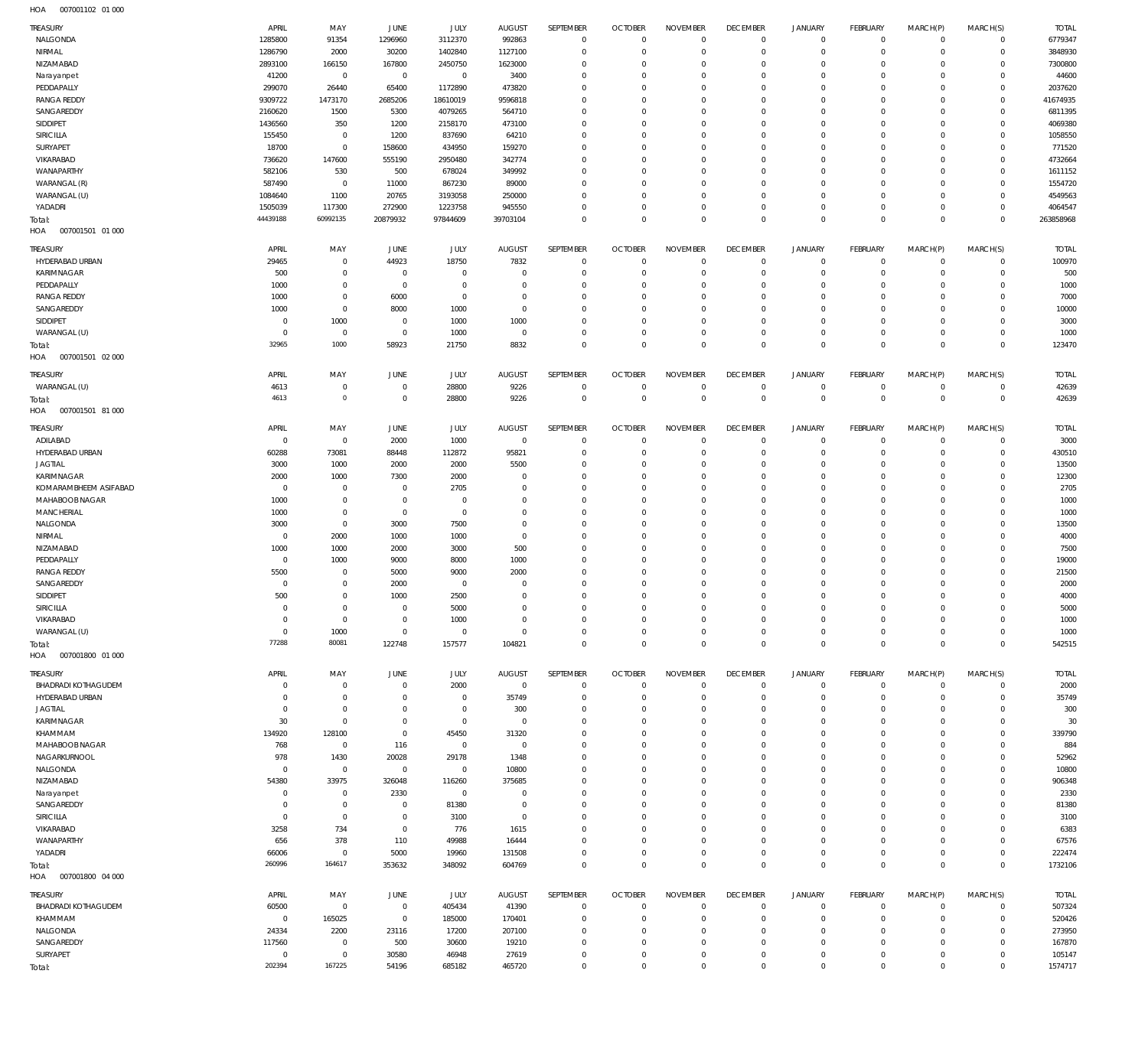| HOA<br>007001102 01 000    |                |             |                |             |                |                |                |                 |                 |                |                 |              |                     |              |
|----------------------------|----------------|-------------|----------------|-------------|----------------|----------------|----------------|-----------------|-----------------|----------------|-----------------|--------------|---------------------|--------------|
| TREASURY                   | APRIL          | MAY         | JUNE           | <b>JULY</b> | <b>AUGUST</b>  | SEPTEMBER      | <b>OCTOBER</b> | <b>NOVEMBER</b> | <b>DECEMBER</b> | JANUARY        | <b>FEBRUARY</b> | MARCH(P)     | MARCH(S)            | <b>TOTAL</b> |
| NALGONDA                   | 1285800        | 91354       | 1296960        | 3112370     | 992863         | $\overline{0}$ | $\overline{0}$ | $\mathbf 0$     | $\mathbf 0$     | $\circ$        | $\overline{0}$  | $\circ$      | $\circ$             | 6779347      |
| NIRMAL                     | 1286790        | 2000        | 30200          | 1402840     | 1127100        | $\mathbf 0$    | $\overline{0}$ | $\mathbf 0$     | $\mathbf 0$     | $^{\circ}$     | $\overline{0}$  | $^{\circ}$   | $\mathsf{O}\xspace$ | 3848930      |
| NIZAMABAD                  | 2893100        | 166150      | 167800         | 2450750     | 1623000        | $\mathbf 0$    | $\mathbf 0$    | 0               | $\mathbf 0$     | $^{\circ}$     | $\mathbf 0$     | $\Omega$     | $\mathbf 0$         | 7300800      |
|                            |                |             |                |             |                |                |                |                 |                 |                |                 |              |                     |              |
| Narayanpet                 | 41200          | $\mathbb O$ | $\mathbf 0$    | $\mathbf 0$ | 3400           | $\mathbf 0$    | $\mathbf 0$    | 0               | $\mathbf 0$     | $^{\circ}$     | $\Omega$        | $\Omega$     | $\mathbf 0$         | 44600        |
| PEDDAPALLY                 | 299070         | 26440       | 65400          | 1172890     | 473820         | $\mathbf 0$    | $\mathbf 0$    | $\Omega$        | $\overline{0}$  | $\Omega$       | $\Omega$        | $\Omega$     | $\mathbf 0$         | 2037620      |
| <b>RANGA REDDY</b>         | 9309722        | 1473170     | 2685206        | 18610019    | 9596818        | $\mathbf 0$    | $\mathbf 0$    | 0               | $\mathbf 0$     | $\Omega$       | $\circ$         | $\Omega$     | $\mathbf 0$         | 41674935     |
| SANGAREDDY                 | 2160620        | 1500        | 5300           | 4079265     | 564710         | $\mathbf 0$    | $\mathbf 0$    | $\Omega$        | $\mathbf 0$     | $\Omega$       | $\Omega$        | $\Omega$     | $\mathbf 0$         | 6811395      |
| SIDDIPET                   | 1436560        | 350         | 1200           | 2158170     | 473100         | $\mathbf 0$    | $\mathbf 0$    | 0               | $\mathbf 0$     | $^{\circ}$     | $\overline{0}$  | $\Omega$     | $\mathbf 0$         | 4069380      |
| SIRICILLA                  | 155450         | $\mathbb O$ | 1200           | 837690      | 64210          | $\mathbf 0$    | $\mathbf 0$    | $\Omega$        | $\overline{0}$  | $\Omega$       | $\Omega$        | $\Omega$     | $\mathbf 0$         | 1058550      |
| SURYAPET                   | 18700          | $\mathbb O$ | 158600         | 434950      | 159270         | $\mathbf 0$    | $\mathbf 0$    | 0               | $\mathbf 0$     | $^{\circ}$     | $\circ$         | $\Omega$     | $\mathbf 0$         | 771520       |
| VIKARABAD                  | 736620         | 147600      | 555190         | 2950480     | 342774         | $\mathbf 0$    | $\mathbf 0$    | $\Omega$        | $\mathbf 0$     | $\Omega$       | $\Omega$        | $\Omega$     | $\mathbf 0$         | 4732664      |
| WANAPARTHY                 | 582106         | 530         | 500            | 678024      | 349992         | $\mathbf 0$    | $\mathbf 0$    | 0               | $\mathbf 0$     | $^{\circ}$     | $\overline{0}$  | $\Omega$     | $\mathbf 0$         | 1611152      |
|                            |                |             |                |             |                |                |                | $\Omega$        |                 |                |                 |              |                     |              |
| WARANGAL (R)               | 587490         | $\mathbb O$ | 11000          | 867230      | 89000          | $\mathbf 0$    | $\mathbf 0$    |                 | $\overline{0}$  | $\Omega$       | $\Omega$        | $\Omega$     | $\mathbf 0$         | 1554720      |
| WARANGAL (U)               | 1084640        | 1100        | 20765          | 3193058     | 250000         | $\mathbf 0$    | $\mathbf 0$    | 0               | $\mathbf 0$     | $\mathbf 0$    | $\overline{0}$  | $\Omega$     | $\mathbf 0$         | 4549563      |
| YADADRI                    | 1505039        | 117300      | 272900         | 1223758     | 945550         | $\mathbf 0$    | $\mathbf 0$    | 0               | $\mathbf 0$     | $^{\circ}$     | $\mathbf 0$     | $\Omega$     | $\mathbf 0$         | 4064547      |
| Total:                     | 44439188       | 60992135    | 20879932       | 97844609    | 39703104       | $\mathbf 0$    | $\overline{0}$ | $\mathbf 0$     | $\mathbb O$     | $\mathbf 0$    | $\Omega$        | $\Omega$     | $\mathbb O$         | 263858968    |
| HOA<br>007001501 01 000    |                |             |                |             |                |                |                |                 |                 |                |                 |              |                     |              |
|                            |                |             |                |             |                |                |                |                 |                 |                |                 |              |                     |              |
| TREASURY                   | APRIL          | MAY         | JUNE           | <b>JULY</b> | <b>AUGUST</b>  | SEPTEMBER      | <b>OCTOBER</b> | <b>NOVEMBER</b> | <b>DECEMBER</b> | <b>JANUARY</b> | <b>FEBRUARY</b> | MARCH(P)     | MARCH(S)            | <b>TOTAL</b> |
| HYDERABAD URBAN            | 29465          | $\mathbb O$ | 44923          | 18750       | 7832           | $\mathbf 0$    | $\overline{0}$ | $\mathbf 0$     | $\mathbf 0$     | $^{\circ}$     | $\overline{0}$  | $^{\circ}$   | $\mathsf{O}\xspace$ | 100970       |
| KARIMNAGAR                 | 500            | $\mathbb O$ | $\mathbf 0$    | $\mathbf 0$ | 0              | $\mathbf 0$    | $\overline{0}$ | $\mathbf 0$     | $\mathbf 0$     | $\circ$        | $\overline{0}$  | $^{\circ}$   | $\mathsf{O}\xspace$ | 500          |
| PEDDAPALLY                 | 1000           | $\mathbb O$ | $\mathbf 0$    | $\mathbb O$ | $\mathbf 0$    | $\mathbf 0$    | $\overline{0}$ | 0               | $\overline{0}$  | $\Omega$       | $\Omega$        | $\Omega$     | $\mathbf 0$         | 1000         |
| <b>RANGA REDDY</b>         | 1000           | $\mathbb O$ | 6000           | $\mathbb O$ | $\mathbf 0$    | $\mathbf 0$    | $\overline{0}$ | 0               | $\mathbf 0$     | $\circ$        | $\overline{0}$  | $\Omega$     | $\mathbf 0$         | 7000         |
| SANGAREDDY                 | 1000           | $\mathbb O$ | 8000           | 1000        | 0              | $\mathbf 0$    | $\mathbf 0$    | 0               | $\overline{0}$  | $\Omega$       | $\Omega$        | $\Omega$     | $\mathbf 0$         | 10000        |
| SIDDIPET                   | $^{\circ}$     | 1000        | $\mathbf 0$    | 1000        | 1000           | $\mathbf 0$    | $\overline{0}$ | 0               | $\mathbf 0$     | $\circ$        | $\overline{0}$  | $\Omega$     | $\mathbf 0$         | 3000         |
| WARANGAL (U)               | 0              | $\mathbb O$ | $\overline{0}$ | 1000        | 0              | $\mathbf 0$    | $\overline{0}$ | 0               | $\mathbf 0$     | $^{\circ}$     | $\mathbf 0$     | $\mathbf 0$  | $\mathbf 0$         | 1000         |
|                            | 32965          | 1000        | 58923          | 21750       | 8832           | $\mathbf 0$    | $\overline{0}$ | $\mathbf 0$     | $\mathbb O$     | $\mathbf 0$    | $\overline{0}$  | $\Omega$     | $\mathbb O$         | 123470       |
| Total:                     |                |             |                |             |                |                |                |                 |                 |                |                 |              |                     |              |
| HOA<br>007001501 02 000    |                |             |                |             |                |                |                |                 |                 |                |                 |              |                     |              |
| TREASURY                   | APRIL          | MAY         | JUNE           | <b>JULY</b> | <b>AUGUST</b>  | SEPTEMBER      | <b>OCTOBER</b> | <b>NOVEMBER</b> | <b>DECEMBER</b> | JANUARY        | <b>FEBRUARY</b> | MARCH(P)     | MARCH(S)            | <b>TOTAL</b> |
| WARANGAL (U)               | 4613           | $\,0\,$     | $^{\circ}$     | 28800       | 9226           | $\mathbf 0$    | $\overline{0}$ | $\mathbf 0$     | $\mathbf 0$     | $^{\circ}$     | $\overline{0}$  | $\Omega$     | $\circ$             | 42639        |
|                            | 4613           | $\circ$     | $\mathbf 0$    | 28800       | 9226           | $\mathbf 0$    | $\overline{0}$ | $\overline{0}$  | $\,0\,$         | $\mathbf 0$    | $\overline{0}$  | $\mathbf 0$  | $\,0\,$             | 42639        |
| Total:                     |                |             |                |             |                |                |                |                 |                 |                |                 |              |                     |              |
| 007001501 81 000<br>HOA    |                |             |                |             |                |                |                |                 |                 |                |                 |              |                     |              |
| TREASURY                   | APRIL          | MAY         | JUNE           | <b>JULY</b> | <b>AUGUST</b>  | SEPTEMBER      | <b>OCTOBER</b> | <b>NOVEMBER</b> | <b>DECEMBER</b> | <b>JANUARY</b> | <b>FEBRUARY</b> | MARCH(P)     | MARCH(S)            | <b>TOTAL</b> |
| ADILABAD                   | 0              | $\,0\,$     | 2000           | 1000        | $\overline{0}$ | $\mathbf 0$    | $\overline{0}$ | $\mathbf 0$     | $\overline{0}$  | $\circ$        | $\circ$         | $^{\circ}$   | 0                   | 3000         |
| HYDERABAD URBAN            | 60288          | 73081       | 88448          | 112872      | 95821          | $\mathbf 0$    | $\overline{0}$ | 0               | $\overline{0}$  | $^{\circ}$     | $\circ$         | $^{\circ}$   | $\mathbf 0$         | 430510       |
|                            |                |             |                |             |                |                |                |                 |                 |                |                 |              |                     |              |
| <b>JAGTIAL</b>             | 3000           | 1000        | 2000           | 2000        | 5500           | $\mathbf 0$    | $\overline{0}$ | 0               | $\mathbf 0$     | $\circ$        | $\overline{0}$  | $\Omega$     | $\mathbf 0$         | 13500        |
| KARIMNAGAR                 | 2000           | 1000        | 7300           | 2000        | $\mathbf 0$    | $\mathbf 0$    | $\overline{0}$ | 0               | $\overline{0}$  | $\Omega$       | $\Omega$        | $\Omega$     | $\mathbf 0$         | 12300        |
| KOMARAMBHEEM ASIFABAD      | 0              | $\,0\,$     | $\mathbf 0$    | 2705        | $\mathbf 0$    | $\mathbf 0$    | $\overline{0}$ | 0               | $\mathbf 0$     | $\Omega$       | $\circ$         | $\Omega$     | $\mathbf 0$         | 2705         |
| MAHABOOB NAGAR             | 1000           | $\,0\,$     | $\mathbf 0$    | $\mathbf 0$ | $\mathbf 0$    | $\mathbf 0$    | $\overline{0}$ | 0               | $\overline{0}$  | $\Omega$       | $\Omega$        | $\Omega$     | $\mathbf 0$         | 1000         |
| MANCHERIAL                 | 1000           | $\,0\,$     | $\mathbf 0$    | $\mathbb O$ | $\mathbf 0$    | $\mathbf 0$    | $\overline{0}$ | 0               | $\mathbf 0$     | $\Omega$       | $\circ$         | $\Omega$     | $\mathbf 0$         | 1000         |
| NALGONDA                   | 3000           | $\,0\,$     | 3000           | 7500        | $\mathbf 0$    | $\mathbf 0$    | $\overline{0}$ | 0               | $\overline{0}$  | $\Omega$       | $\Omega$        | $\Omega$     | $\mathbf 0$         | 13500        |
| NIRMAL                     | 0              | 2000        | 1000           | 1000        | $\mathbf 0$    | $\mathbf 0$    | $\overline{0}$ | 0               | $\mathbf 0$     | $\Omega$       | $\circ$         | $\Omega$     | $\mathbf 0$         | 4000         |
| NIZAMABAD                  | 1000           | 1000        | 2000           | 3000        | 500            | $\mathbf 0$    | $\overline{0}$ | 0               | $\overline{0}$  | $\Omega$       | $\Omega$        | $\Omega$     | $\mathbf 0$         | 7500         |
| PEDDAPALLY                 | $^{\circ}$     | 1000        | 9000           | 8000        | 1000           | $\mathbf 0$    | $\overline{0}$ | 0               | $\mathbf 0$     | $\Omega$       | $\circ$         | $\Omega$     | $\mathbf 0$         | 19000        |
| <b>RANGA REDDY</b>         |                |             |                |             |                | $\mathbf 0$    | $\overline{0}$ |                 |                 |                | $\Omega$        |              |                     |              |
|                            | 5500           | $\mathbb O$ | 5000           | 9000        | 2000           |                |                | 0               | $\mathbf 0$     | $\Omega$       |                 | $\Omega$     | $\mathbf 0$         | 21500        |
| SANGAREDDY                 | 0              | $\mathbb O$ | 2000           | $\mathbf 0$ | $\mathbf 0$    | $\mathbf 0$    | $\overline{0}$ | 0               | $\mathbf 0$     | $\Omega$       | $\circ$         | $\Omega$     | $\mathbf 0$         | 2000         |
| SIDDIPET                   | 500            | $\mathbb O$ | 1000           | 2500        | $\mathbf 0$    | $\mathbf 0$    | $\overline{0}$ | 0               | $\mathbf 0$     | $\Omega$       | $\Omega$        | $\Omega$     | $\mathbf 0$         | 4000         |
| SIRICILLA                  |                | $\mathbb O$ | $\circ$        | 5000        | 0              | 0              | $\mathbf 0$    | 0               | 0               | - 0            | $\Omega$        |              | $\mathbf 0$         | 5000         |
| VIKARABAD                  | 0              | $\mathbb O$ | $\mathbf 0$    | 1000        | $\mathbf 0$    | $\bf 0$        | $\overline{0}$ | $\bf 0$         | $\mathbf 0$     | $\mathbf 0$    | $\overline{0}$  | $\mathbf 0$  | $\mathbf 0$         | 1000         |
| WARANGAL (U)               | $\overline{0}$ | 1000        | $\mathbf 0$    | $\mathbb O$ | $\mathbf 0$    | $\mathbf 0$    | $\overline{0}$ | $\bf 0$         | $\,0\,$         | $\mathbf 0$    | $\mathbf{0}$    | $\mathbf 0$  | $\mathsf{O}\xspace$ | 1000         |
| Total:                     | 77288          | 80081       | 122748         | 157577      | 104821         | $\mathbf 0$    | $\overline{0}$ | $\mathbf 0$     | $\mathbb O$     | $\mathbf 0$    | $\overline{0}$  | $\mathbf 0$  | $\mathbb O$         | 542515       |
| HOA<br>007001800 01 000    |                |             |                |             |                |                |                |                 |                 |                |                 |              |                     |              |
|                            |                |             |                |             |                |                |                |                 |                 |                |                 |              |                     |              |
| TREASURY                   | APRIL          | MAY         | JUNE           | <b>JULY</b> | AUGUST         | SEPTEMBER      | <b>OCTOBER</b> | <b>NOVEMBER</b> | <b>DECEMBER</b> | JANUARY        | <b>FEBRUARY</b> | MARCH(P)     | MARCH(S)            | <b>TOTAL</b> |
| <b>BHADRADI KOTHAGUDEM</b> | $\Omega$       | $\mathbb O$ | $^{\circ}$     | 2000        | $\mathbb O$    | $\overline{0}$ | $\overline{0}$ | $\mathbf 0$     | $\mathbf 0$     | $\mathbf 0$    | $\overline{0}$  | $\circ$      | $\mathbf 0$         | 2000         |
| HYDERABAD URBAN            | $\Omega$       | $\mathbb O$ | $^{\circ}$     | $\mathbf 0$ | 35749          | $\mathbf 0$    | $\overline{0}$ | $\mathbf 0$     | $\mathbf 0$     | $\mathbf 0$    | $\overline{0}$  | $^{\circ}$   | $\mathbf 0$         | 35749        |
| <b>JAGTIAL</b>             | $\mathbf 0$    | $\mathbb O$ | $^{\circ}$     | $\mathbb O$ | 300            | $\mathbf 0$    | $\mathbf 0$    | $\mathbf 0$     | $\mathbf 0$     | $\mathbf 0$    | $\mathbf 0$     | $\Omega$     | $\mathbf 0$         | 300          |
| KARIMNAGAR                 | 30             | $\mathbb O$ | $^{\circ}$     | $\mathbb O$ | $\overline{0}$ | $\mathbf 0$    | $\mathbf 0$    | $\mathbf 0$     | $\mathbf 0$     | $\mathbf 0$    | $\overline{0}$  | $\Omega$     | $\circ$             | 30           |
| KHAMMAM                    | 134920         | 128100      | $^{\circ}$     | 45450       | 31320          | $\mathbf 0$    | $\mathbf 0$    | $\Omega$        | $\mathbf 0$     | $\Omega$       | $\Omega$        | $\Omega$     | $\mathbf 0$         | 339790       |
| MAHABOOB NAGAR             | 768            | $\mathbb O$ | 116            | $\mathbf 0$ | $^{\circ}$     | $\mathbf 0$    | $\overline{0}$ | $\mathbf 0$     | $\mathbf 0$     | $\mathbf 0$    | $\circ$         | $\Omega$     | $\circ$             | 884          |
|                            |                |             |                |             |                |                |                |                 |                 |                |                 |              |                     |              |
| NAGARKURNOOL               | 978            | 1430        | 20028          | 29178       | 1348           | $\mathbf 0$    | $\mathbf 0$    | 0               | $\mathbf 0$     | $^{\circ}$     | $\Omega$        | $\Omega$     | $\Omega$            | 52962        |
| NALGONDA                   | $^{\circ}$     | $\mathbb O$ | $\mathbf 0$    | $\mathbb O$ | 10800          | $\mathbf 0$    | $\overline{0}$ | $\mathbf 0$     | $\mathbf 0$     | $\mathbf 0$    | $\overline{0}$  | $\Omega$     | $\circ$             | 10800        |
| NIZAMABAD                  | 54380          | 33975       | 326048         | 116260      | 375685         | $\mathbf 0$    | $\mathbf 0$    | $\Omega$        | $\mathbf 0$     | $\Omega$       | $\Omega$        | $\Omega$     | $\mathbf 0$         | 906348       |
| Narayanpet                 | $\mathbf 0$    | $\mathbb O$ | 2330           | $\mathbf 0$ | $\mathbf 0$    | $\mathbf 0$    | $\overline{0}$ | $\mathbf 0$     | $\mathbf 0$     | $\mathbf 0$    | $\overline{0}$  | $\Omega$     | $\mathbf 0$         | 2330         |
| SANGAREDDY                 | $\Omega$       | $\mathbb O$ | $^{\circ}$     | 81380       | $\mathbf 0$    | $\mathbf 0$    | $\mathbf 0$    | 0               | $\mathbf 0$     | $^{\circ}$     | $\Omega$        | $\Omega$     | $\Omega$            | 81380        |
| SIRICILLA                  | $^{\circ}$     | $\mathbb O$ | $\mathbf 0$    | 3100        | $\mathbf 0$    | $\mathbf 0$    | $\overline{0}$ | $\mathbf 0$     | $\mathbf 0$     | $\mathbf 0$    | $\circ$         | $\Omega$     | $\circ$             | 3100         |
| VIKARABAD                  | 3258           | 734         | $\mathbf{0}$   | 776         | 1615           | $\mathbf 0$    | $\mathbf 0$    | $\Omega$        | $\mathbf 0$     | $\Omega$       | $\Omega$        | $\Omega$     | $\mathbf 0$         | 6383         |
| WANAPARTHY                 | 656            | 378         | 110            | 49988       | 16444          | $\mathbf 0$    | $\overline{0}$ | $\mathbf 0$     | $\mathbf 0$     | $\mathbf 0$    | $\overline{0}$  | $\Omega$     | $\mathbf 0$         | 67576        |
| YADADRI                    | 66006          | $\mathbb O$ | 5000           | 19960       | 131508         | $\mathbf 0$    | $\mathbf 0$    | 0               | $\,0\,$         | $\mathbf 0$    | $\overline{0}$  | $\mathbf 0$  | $\mathbf 0$         | 222474       |
|                            | 260996         | 164617      | 353632         | 348092      |                | $\mathbf 0$    | $\overline{0}$ | $\mathbf 0$     | $\mathbb O$     | $\mathbf 0$    | $\overline{0}$  | $\Omega$     | $\mathbb O$         | 1732106      |
| Total:                     |                |             |                |             | 604769         |                |                |                 |                 |                |                 |              |                     |              |
| HOA<br>007001800 04 000    |                |             |                |             |                |                |                |                 |                 |                |                 |              |                     |              |
| TREASURY                   | APRIL          | MAY         | JUNE           | JULY        | <b>AUGUST</b>  | SEPTEMBER      | <b>OCTOBER</b> | <b>NOVEMBER</b> | <b>DECEMBER</b> | JANUARY        | <b>FEBRUARY</b> | MARCH(P)     | MARCH(S)            | <b>TOTAL</b> |
| <b>BHADRADI KOTHAGUDEM</b> | 60500          | $\mathbb O$ | $\mathbf 0$    | 405434      | 41390          | $\overline{0}$ | $\overline{0}$ | $\mathbf 0$     | $\mathbf 0$     | $^{\circ}$     | $\overline{0}$  | $\mathbf{0}$ | $\mathsf{O}\xspace$ | 507324       |
| KHAMMAM                    | $\overline{0}$ | 165025      | $\mathbf 0$    | 185000      | 170401         | $\mathbf 0$    | $\overline{0}$ | $\bf 0$         | $\,0\,$         | $^{\circ}$     | $\overline{0}$  | $\mathbf 0$  | $\mathsf{O}\xspace$ | 520426       |
|                            |                |             |                |             |                |                |                |                 |                 |                | $\Omega$        |              |                     |              |
| NALGONDA                   | 24334          | 2200        | 23116          | 17200       | 207100         | $\mathbf 0$    | $\overline{0}$ | $\mathbf 0$     | $\mathbf 0$     | $^{\circ}$     |                 | $\Omega$     | $\mathbf 0$         | 273950       |
| SANGAREDDY                 | 117560         | $\mathbb O$ | 500            | 30600       | 19210          | $\mathbf 0$    | $\overline{0}$ | $\mathbf 0$     | $\mathbf 0$     | $\mathbf 0$    | $\overline{0}$  | $\Omega$     | $\mathbf 0$         | 167870       |
| SURYAPET                   | $^{\circ}$     | $\,0\,$     | 30580          | 46948       | 27619          | $\mathbf 0$    | $\mathbf 0$    | 0               | $\mathbf 0$     | $^{\circ}$     | $\mathbf 0$     | $\Omega$     | $\mathbf 0$         | 105147       |
| Total:                     | 202394         | 167225      | 54196          | 685182      | 465720         | $\mathbf 0$    | $\overline{0}$ | $\bf 0$         | $\mathbb O$     | $\mathbf 0$    | $\mathbb O$     | $\Omega$     | $\mathbb O$         | 1574717      |
|                            |                |             |                |             |                |                |                |                 |                 |                |                 |              |                     |              |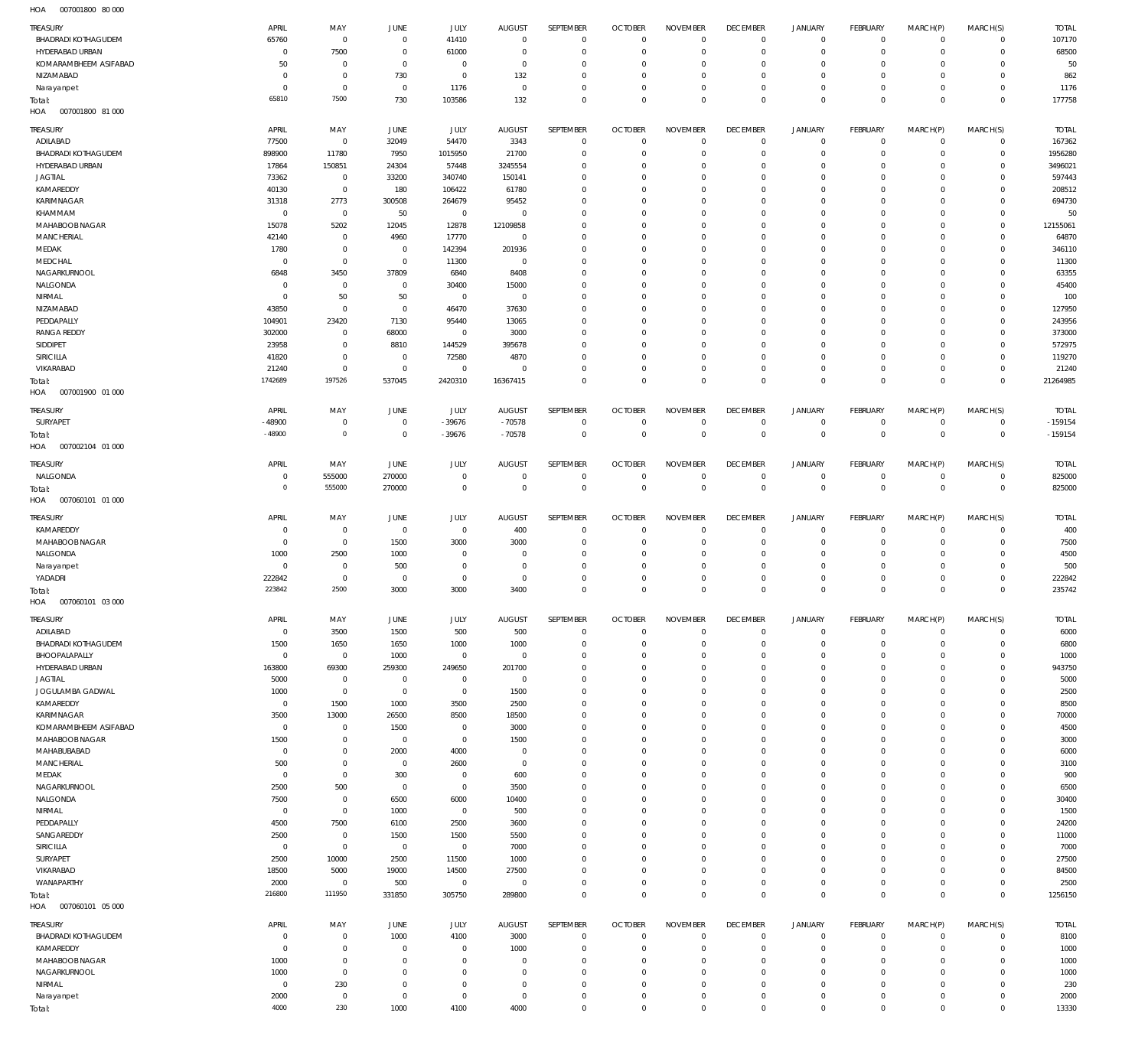007001800 80 000 HOA

|                                        | APRIL                 | MAY                           | <b>JUNE</b>        | <b>JULY</b>             | <b>AUGUST</b>         | SEPTEMBER                  | <b>OCTOBER</b>            | <b>NOVEMBER</b>            | <b>DECEMBER</b>        | <b>JANUARY</b>               | FEBRUARY                 | MARCH(P)                   | MARCH(S)                   | <b>TOTAL</b>  |
|----------------------------------------|-----------------------|-------------------------------|--------------------|-------------------------|-----------------------|----------------------------|---------------------------|----------------------------|------------------------|------------------------------|--------------------------|----------------------------|----------------------------|---------------|
| TREASURY<br><b>BHADRADI KOTHAGUDEM</b> | 65760                 | $\overline{0}$                | $^{\circ}$         | 41410                   | $\mathbf{0}$          | $\overline{0}$             | $\overline{0}$            | $\mathbb O$                | $^{\circ}$             | $\mathbf 0$                  | $\mathbf 0$              | $\mathbf 0$                | $\mathbf{0}$               | 107170        |
| HYDERABAD URBAN                        | $^{\circ}$            | 7500                          | $\overline{0}$     | 61000                   | $\Omega$              | $\mathbf 0$                | $\overline{0}$            | $\mathbb O$                | $^{\circ}$             | $\mathsf{O}$                 | $^{\circ}$               | $\mathbf 0$                | $\mathbf 0$                | 68500         |
| KOMARAMBHEEM ASIFABAD                  | 50                    | $\overline{0}$                | $^{\circ}$         | $\overline{0}$          | $^{\circ}$            | $\mathbf 0$                | 0                         | $\overline{0}$             | $\circ$                | $\circ$                      | 0                        | $\mathbf 0$                | $\mathbf 0$                | 50            |
| NIZAMABAD                              | $^{\circ}$            | $\overline{0}$                | 730                | $\overline{0}$          | 132                   | $\mathbf 0$                | $\Omega$                  | $\mathbb O$                | $^{\circ}$             | $\mathsf{O}$                 | $^{\circ}$               | $\mathbf 0$                | $\mathbf 0$                | 862           |
| Narayanpet                             | $\overline{0}$        | $\overline{0}$                | $\overline{0}$     | 1176                    | $\overline{0}$        | $\mathbf 0$                | $^{\circ}$                | $\mathbb O$                | $^{\circ}$             | $\mathsf{O}$                 | $\mathbf 0$              | $\mathbf 0$                | $\mathbf 0$                | 1176          |
| Total:                                 | 65810                 | 7500                          | 730                | 103586                  | 132                   | $\mathbf 0$                | $^{\circ}$                | $\mathbf 0$                | $\mathbf{0}$           | $\mathbb O$                  | $^{\circ}$               | $\mathbf 0$                | $\mathbf 0$                | 177758        |
| HOA<br>007001800 81 000                |                       |                               |                    |                         |                       |                            |                           |                            |                        |                              |                          |                            |                            |               |
| TREASURY                               | APRIL                 | MAY                           | JUNE               | JULY                    | <b>AUGUST</b>         | SEPTEMBER                  | <b>OCTOBER</b>            | <b>NOVEMBER</b>            | <b>DECEMBER</b>        | JANUARY                      | FEBRUARY                 | MARCH(P)                   | MARCH(S)                   | <b>TOTAL</b>  |
| ADILABAD                               | 77500                 | $\overline{0}$                | 32049              | 54470                   | 3343                  | $\overline{0}$             | $\overline{0}$            | $\mathbf 0$                | $^{\circ}$             | $\mathbf 0$                  | $\mathbf 0$              | $\mathbf 0$                | $^{\circ}$                 | 167362        |
| <b>BHADRADI KOTHAGUDEM</b>             | 898900                | 11780                         | 7950               | 1015950                 | 21700                 | $\mathbf 0$                | C                         | $\mathbf{0}$               | 0                      | $\mathbf 0$                  | $^{\circ}$               | $\mathbf 0$                | $\mathbf 0$                | 1956280       |
| HYDERABAD URBAN                        | 17864                 | 150851                        | 24304              | 57448                   | 3245554               | $\mathbf 0$                | 0                         | $\mathbf 0$                | $\circ$                | $\mathbf 0$                  | $^{\circ}$               | $\mathbf 0$                | 0                          | 3496021       |
| <b>JAGTIAL</b>                         | 73362                 | $\overline{0}$                | 33200              | 340740                  | 150141                | $\mathbf 0$                | 0                         | $\mathbf 0$                | 0                      | $\mathbf 0$                  | 0                        | $\mathbf 0$                | $^{\circ}$                 | 597443        |
| KAMAREDDY                              | 40130                 | $\,0\,$                       | 180                | 106422                  | 61780                 | $\mathbf 0$                | $\Omega$                  | $\mathbf 0$                | 0                      | $\mathbf 0$                  | $^{\circ}$               | $\mathbf 0$                | $^{\circ}$                 | 208512        |
| KARIMNAGAR                             | 31318                 | 2773                          | 300508             | 264679                  | 95452                 | $\mathbf 0$                | 0                         | $\mathbf 0$                | 0                      | $\mathbf 0$                  | 0                        | $\mathbf 0$                | $\mathbf 0$                | 694730        |
| KHAMMAM                                | $^{\circ}$            | $\overline{0}$                | 50                 | $\overline{0}$          | $\mathbf{0}$          | $\mathbf 0$                | $\Omega$                  | $\mathbf 0$                | 0                      | $\mathbf 0$                  | $^{\circ}$               | $\mathbf 0$                | $^{\circ}$                 | 50            |
| MAHABOOB NAGAR                         | 15078                 | 5202                          | 12045              | 12878                   | 12109858              | $\mathbf 0$                | 0                         | $\mathbf 0$                | 0                      | $\mathbf 0$                  | $^{\circ}$               | $\mathbf 0$                | $\mathbf 0$                | 12155061      |
| <b>MANCHERIAL</b>                      | 42140                 | $\mathbf 0$                   | 4960               | 17770                   | $\overline{0}$        | $\mathbf 0$                | $\Omega$                  | $\mathbf 0$                | 0                      | $\mathbf 0$                  | $^{\circ}$               | $\mathbf 0$                | $^{\circ}$                 | 64870         |
| MEDAK                                  | 1780                  | $\overline{0}$                | $^{\circ}$         | 142394                  | 201936                | $\mathbf 0$                | $\Omega$                  | $\mathbf 0$                | $\circ$                | $\mathbf 0$                  | $^{\circ}$               | $\mathbf 0$                | $\mathbf 0$                | 346110        |
| MEDCHAL                                | - 0                   | $\overline{0}$                | $\overline{0}$     | 11300                   | $^{\circ}$            | $\mathbf 0$                | 0                         | $\mathbf 0$                | 0                      | $\mathbf 0$                  | $^{\circ}$               | $\mathbf 0$                | $^{\circ}$                 | 11300         |
| NAGARKURNOOL                           | 6848                  | 3450                          | 37809              | 6840                    | 8408                  | $\mathbf 0$                | $\Omega$                  | $\mathbb O$                | $\circ$                | $\mathbf 0$                  | $^{\circ}$               | $\mathbf 0$                | $\mathbf 0$                | 63355         |
| NALGONDA                               | - 0                   | $\overline{0}$                | $^{\circ}$         | 30400                   | 15000                 | $\mathbf 0$<br>$\mathbf 0$ | 0                         | $\mathbb O$                | 0                      | $\mathbf 0$                  | $^{\circ}$               | $\mathbf 0$                | $^{\circ}$                 | 45400         |
| NIRMAL<br>NIZAMABAD                    | $^{\circ}$<br>43850   | 50<br>$\overline{0}$          | 50<br>$^{\circ}$   | $\overline{0}$<br>46470 | $\mathbf{0}$<br>37630 | $\mathbf 0$                | $\Omega$<br>0             | $\mathbb O$<br>$\mathbb O$ | 0<br>0                 | $\mathbf 0$<br>$\mathbf 0$   | $^{\circ}$<br>$^{\circ}$ | $\mathbf 0$<br>$\mathbf 0$ | $^{\circ}$<br>$^{\circ}$   | 100<br>127950 |
| PEDDAPALLY                             | 104901                | 23420                         | 7130               | 95440                   | 13065                 | $\mathbf 0$                | $\Omega$                  | $\mathbb O$                | 0                      | $\mathbf 0$                  | $^{\circ}$               | $\mathbf 0$                | $^{\circ}$                 | 243956        |
| <b>RANGA REDDY</b>                     | 302000                | $^{\circ}$                    | 68000              | $\overline{0}$          | 3000                  | $\mathbf 0$                | $\Omega$                  | $\mathbb O$                | 0                      | $\mathbf 0$                  | $^{\circ}$               | $\mathbf 0$                | $^{\circ}$                 | 373000        |
| SIDDIPET                               | 23958                 | $\mathbb O$                   | 8810               | 144529                  | 395678                | $\mathbf 0$                | $\Omega$                  | $\mathbb O$                | 0                      | $\mathbf 0$                  | $^{\circ}$               | $\mathbf 0$                | $\mathbf 0$                | 572975        |
| SIRICILLA                              | 41820                 | $\overline{0}$                | $^{\circ}$         | 72580                   | 4870                  | $\mathbf 0$                | 0                         | $\mathbb O$                | $\circ$                | $\mathbf 0$                  | $\mathbf 0$              | $\mathbf 0$                | $\mathbf 0$                | 119270        |
| VIKARABAD                              | 21240                 | $\overline{0}$                | $\circ$            | $^{\circ}$              | $\Omega$              | $\mathbf 0$                | 0                         | $\mathbb O$                | $\circ$                | $\mathbf 0$                  | $^{\circ}$               | $\mathbf 0$                | $\mathbf 0$                | 21240         |
| Total:                                 | 1742689               | 197526                        | 537045             | 2420310                 | 16367415              | $\mathbb O$                | $\Omega$                  | $\mathbb O$                | $^{\circ}$             | $\mathbb O$                  | $\mathbf 0$              | $\mathbf 0$                | $\mathbf 0$                | 21264985      |
| 007001900 01 000<br>HOA                |                       |                               |                    |                         |                       |                            |                           |                            |                        |                              |                          |                            |                            |               |
| TREASURY                               | APRIL                 | MAY                           | JUNE               | <b>JULY</b>             | <b>AUGUST</b>         | SEPTEMBER                  | <b>OCTOBER</b>            | <b>NOVEMBER</b>            | <b>DECEMBER</b>        | JANUARY                      | FEBRUARY                 | MARCH(P)                   | MARCH(S)                   | <b>TOTAL</b>  |
| SURYAPET                               | $-48900$              | $\overline{0}$                | $^{\circ}$         | $-39676$                | $-70578$              | $\overline{0}$             | $^{\circ}$                | $\overline{0}$             | $^{\circ}$             | $\mathbf 0$                  | $\mathbf 0$              | $\mathbf 0$                | $^{\circ}$                 | $-159154$     |
| Total:                                 | $-48900$              | $\circ$                       | $\mathbb O$        | $-39676$                | $-70578$              | $\mathbf 0$                | $\mathbf 0$               | $\mathbb O$                | $\mathbb O$            | $\mathbb O$                  | $\mathbf 0$              | $\mathbf 0$                | $\mathbf 0$                | $-159154$     |
| 007002104 01 000<br>HOA                |                       |                               |                    |                         |                       |                            |                           |                            |                        |                              |                          |                            |                            |               |
|                                        |                       |                               |                    |                         |                       |                            |                           |                            |                        |                              |                          |                            |                            |               |
| <b>TREASURY</b>                        | APRIL                 | MAY                           | JUNE               | JULY                    | <b>AUGUST</b>         | SEPTEMBER                  | <b>OCTOBER</b>            | <b>NOVEMBER</b>            | <b>DECEMBER</b>        | <b>JANUARY</b>               | <b>FEBRUARY</b>          | MARCH(P)                   | MARCH(S)                   | <b>TOTAL</b>  |
| NALGONDA                               | - 0<br>$\Omega$       | 555000                        | 270000             | $^{\circ}$              | $^{\circ}$            | $\mathbf 0$                | $^{\circ}$                | $^{\circ}$                 | $\mathbf 0$            | $\mathbf 0$                  | $\mathbf 0$              | 0                          | $\mathbf 0$                | 825000        |
| Total:<br>007060101 01 000             |                       | 555000                        | 270000             | $\overline{0}$          | $\mathbf{0}$          | $\mathbb O$                | $\mathbf 0$               | $\mathbb O$                | $\mathbb O$            | $\mathbb O$                  | $\mathbf 0$              | $\mathbf 0$                | $\mathbf 0$                | 825000        |
| HOA                                    |                       |                               |                    |                         |                       |                            |                           |                            |                        |                              |                          |                            |                            |               |
| TREASURY                               | APRIL                 | MAY                           | JUNE               | JULY                    | <b>AUGUST</b>         | SEPTEMBER                  | <b>OCTOBER</b>            | <b>NOVEMBER</b>            | <b>DECEMBER</b>        | <b>JANUARY</b>               | <b>FEBRUARY</b>          | MARCH(P)                   | MARCH(S)                   | <b>TOTAL</b>  |
| KAMAREDDY                              | - 0                   | $\overline{0}$                | $\overline{0}$     | $\overline{0}$          | 400                   | $\overline{0}$             | $\overline{0}$            | $^{\circ}$                 | $^{\circ}$             | $\mathbf 0$                  | $^{\circ}$               | $\mathbf 0$                | $\mathbf 0$                | 400           |
| MAHABOOB NAGAR                         | $\overline{0}$        | $\overline{0}$                | 1500               | 3000                    | 3000                  | $\mathbf 0$                | $\Omega$                  | $\mathbf{0}$               | $^{\circ}$             | $\mathbf 0$                  | $^{\circ}$               | $^{\circ}$                 | $\mathbf 0$                | 7500          |
| NALGONDA                               | 1000                  | 2500                          | 1000               | $\Omega$                | $\Omega$              | $\overline{0}$             | - 0                       | $\overline{0}$             | $\circ$                | $\mathbf 0$                  | 0                        | $\mathbf 0$                | $\mathbf 0$                | 4500          |
| Narayanpet                             | $\overline{0}$        | $\overline{0}$                | 500                | $^{\circ}$              | $^{\circ}$            | $\mathbf 0$                | 0                         | $\mathbb O$                | $^{\circ}$             | $\circ$                      | 0                        | $\mathbf 0$                | $\mathbf 0$                | 500           |
| YADADRI                                | 222842                | $\overline{0}$                | $\circ$            | $^{\circ}$              | $^{\circ}$            | $\overline{0}$             | - 0                       | $\overline{0}$             | $^{\circ}$             | $\mathbf 0$                  | 0                        | $\mathbf 0$                | $\mathbf 0$                | 222842        |
| Total:                                 | 223842                | 2500                          | 3000               | 3000                    | 3400                  | $\mathbf 0$                | $\Omega$                  | $\mathbb O$                | $\overline{0}$         | $\mathbb O$                  | $^{\circ}$               | $\mathbf 0$                | $^{\circ}$                 | 235742        |
| HOA<br>007060101 03 000                |                       |                               |                    |                         |                       |                            |                           |                            |                        |                              |                          |                            |                            |               |
| TREASURY                               | APRIL                 | MAY                           | JUNE               |                         |                       |                            |                           | <b>NOVEMBER</b>            | <b>DECEMBER</b>        |                              |                          |                            |                            | <b>TOTAL</b>  |
| ADILABAD                               |                       |                               |                    | <b>JULY</b>             | <b>AUGUST</b>         | SEPTEMBER                  | <b>OCTOBER</b>            |                            |                        | <b>JANUARY</b>               | FEBRUARY                 | MARCH(P)                   | MARCH(S)                   |               |
|                                        | $\overline{0}$        | 3500                          | 1500               | 500                     | 500                   | $\overline{0}$             | $^{\circ}$                | $\overline{0}$             | $\mathbf 0$            | 0                            | $\mathbf 0$              | $^{\circ}$                 | $\mathbf 0$                | 6000          |
| <b>BHADRADI KOTHAGUDEM</b>             | 1500                  | 1650                          | 1650               | 1000                    | 1000                  | $\mathbf 0$                | $\overline{0}$            | $\mathbb O$                | $^{\circ}$             | $\mathbf 0$                  | $\mathbf 0$              | $\mathbf 0$                | $\mathbf 0$                | 6800          |
| BHOOPALAPALLY                          | $\overline{0}$        | $\overline{0}$                | 1000               | $\overline{0}$          | $\overline{0}$        | $\overline{0}$             | 0                         | $\overline{0}$             | 0                      | $\mathsf{O}$                 | $^{\circ}$               | $\mathbf 0$                | $\mathbf 0$                | 1000          |
| HYDERABAD URBAN                        | 163800                | 69300                         | 259300             | 249650                  | 201700                | $\mathbf 0$                | $^{\circ}$                | $\mathbb O$                | $\circ$                | $\mathsf{O}$                 | $^{\circ}$               | $\mathbf 0$                | $\mathbf 0$                | 943750        |
| <b>JAGTIAL</b>                         | 5000                  | $\overline{0}$                | $^{\circ}$         | $\overline{0}$          | $\mathbf{0}$          | $\mathbf 0$                | $\Omega$                  | $\mathbb O$                | $\circ$                | $\mathsf{O}$                 | $^{\circ}$               | $\mathbf 0$                | $\mathbf 0$                | 5000          |
| JOGULAMBA GADWAL                       | 1000                  | $\overline{0}$                | $\overline{0}$     | $\overline{0}$          | 1500                  | $\mathbf 0$                | $^{\circ}$                | $\mathbb O$                | 0                      | $\mathsf{O}$                 | $^{\circ}$               | $\mathbf 0$                | $\mathbf 0$                | 2500          |
| KAMAREDDY                              | $\overline{0}$        | 1500                          | 1000               | 3500                    | 2500                  | $\mathbf 0$                | $\Omega$                  | $\mathbb O$                | 0                      | $\mathsf{O}$                 | $^{\circ}$               | $\mathbf 0$                | $\mathbf 0$                | 8500          |
| KARIMNAGAR                             | 3500                  | 13000                         | 26500              | 8500                    | 18500                 | $\mathbf 0$                | $^{\circ}$                | $\mathbb O$                | 0                      | $\mathsf{O}$                 | $\mathbf 0$              | $\mathbf 0$                | $\mathbf 0$                | 70000         |
| KOMARAMBHEEM ASIFABAD                  | $\overline{0}$        | $\mathbb O$                   | 1500               | $^{\circ}$              | 3000                  | $\mathbf 0$                | $\Omega$                  | $\mathbb O$                | 0                      | $\mathsf{O}$                 | $^{\circ}$               | $\mathbf 0$                | $\mathbf 0$                | 4500          |
| MAHABOOB NAGAR                         | 1500                  | $\overline{0}$                | $^{\circ}$         | $\overline{0}$          | 1500<br>0             | $\mathbf 0$                | $^{\circ}$<br>$\Omega$    | $\mathbb O$                | 0<br>0                 | $\mathsf{O}$                 | $^{\circ}$<br>$^{\circ}$ | $\mathbf 0$<br>$\mathbf 0$ | $\mathbf 0$<br>$\mathbf 0$ | 3000          |
| MAHABUBABAD                            | $\mathbf 0$           | $\mathbb O$<br>$\overline{0}$ | 2000<br>$^{\circ}$ | 4000                    | $^{\circ}$            | $\mathbf 0$<br>$\mathbf 0$ | $\Omega$                  | $\mathbb O$<br>$\mathbb O$ | 0                      | $\mathsf{O}$<br>$\mathsf{O}$ | $\mathbf 0$              | $\mathbf 0$                | $\mathbf 0$                | 6000          |
| <b>MANCHERIAL</b>                      | 500<br>$\overline{0}$ | $\overline{0}$                |                    | 2600<br>$^{\circ}$      |                       | $\mathbf 0$                | 0                         | $\mathbb O$                | $\circ$                | $\mathsf{O}$                 | $^{\circ}$               | $\mathbf 0$                | $\mathbf 0$                | 3100          |
| MEDAK<br>NAGARKURNOOL                  | 2500                  | 500                           | 300<br>$^{\circ}$  | $\overline{0}$          | 600<br>3500           | $\mathbf 0$                | $\Omega$                  | $\mathbb O$                | $\Omega$               | $\mathsf{O}$                 | $^{\circ}$               | $\mathbf 0$                | $\mathbf 0$                | 900<br>6500   |
| NALGONDA                               | 7500                  | $\overline{0}$                | 6500               | 6000                    | 10400                 | $\mathbf 0$                | 0                         | $\mathbb O$                | $\circ$                | $\mathsf{O}$                 | $^{\circ}$               | $\mathbf 0$                | $\mathbf 0$                | 30400         |
| NIRMAL                                 | $\overline{0}$        | $\overline{0}$                | 1000               | $\overline{0}$          | 500                   | $\mathbf 0$                | $\Omega$                  | $\mathbb O$                | 0                      | $\mathbf 0$                  | $^{\circ}$               | $\mathbf 0$                | $\mathbf 0$                | 1500          |
| PEDDAPALLY                             | 4500                  | 7500                          | 6100               | 2500                    | 3600                  | $\mathbf 0$                | 0                         | $\mathbb O$                | $\circ$                | $\mathsf{O}$                 | $^{\circ}$               | $\mathbf 0$                | $\mathbf 0$                | 24200         |
| SANGAREDDY                             | 2500                  | $\overline{0}$                | 1500               | 1500                    | 5500                  | $\mathbf 0$                | $\Omega$                  | $\mathbb O$                | 0                      | $\mathbf 0$                  | $^{\circ}$               | $\mathbf 0$                | $\mathbf 0$                | 11000         |
| SIRICILLA                              | $\overline{0}$        | $\overline{0}$                | $\overline{0}$     | $\overline{0}$          | 7000                  | $\mathbf 0$                | $\Omega$                  | $\mathbb O$                | $\circ$                | $\mathsf{O}$                 | $^{\circ}$               | $\mathbf 0$                | $\mathbf 0$                | 7000          |
| SURYAPET                               | 2500                  | 10000                         | 2500               | 11500                   | 1000                  | $\mathbf 0$                | 0                         | $\mathbb O$                | 0                      | $\mathbf 0$                  | $^{\circ}$               | $\mathbf 0$                | $\mathbf 0$                | 27500         |
| VIKARABAD                              | 18500                 | 5000                          | 19000              | 14500                   | 27500                 | $\mathbf 0$                | $\Omega$                  | $\mathbb O$                | $\circ$                | $\mathsf{O}$                 | $\mathbf 0$              | $\mathbf 0$                | $\mathbf 0$                | 84500         |
| WANAPARTHY                             | 2000                  | $\overline{0}$                | 500                | $\overline{0}$          | $\overline{0}$        | $\mathbf 0$                | $^{\circ}$                | $\mathbb O$                | $^{\circ}$             | $\mathbf 0$                  | $\mathbf 0$              | $\mathbf 0$                | $\mathbf 0$                | 2500          |
| Total:                                 | 216800                | 111950                        | 331850             | 305750                  | 289800                | $\mathbb O$                | $\Omega$                  | $\mathbb O$                | $\mathbb O$            | $\mathbb O$                  | $\mathbf 0$              | $\mathbf 0$                | $\mathbf 0$                | 1256150       |
| 007060101 05 000<br>HOA                |                       |                               |                    |                         |                       |                            |                           |                            |                        |                              |                          |                            |                            |               |
| <b>TREASURY</b>                        | APRIL                 | MAY                           | JUNE               | <b>JULY</b>             | <b>AUGUST</b>         | SEPTEMBER                  | <b>OCTOBER</b>            | <b>NOVEMBER</b>            | <b>DECEMBER</b>        | JANUARY                      | <b>FEBRUARY</b>          | MARCH(P)                   | MARCH(S)                   | <b>TOTAL</b>  |
| <b>BHADRADI KOTHAGUDEM</b>             | $\mathbf 0$           | $\overline{0}$                | 1000               | 4100                    | 3000                  | $\overline{0}$             | $^{\circ}$                | $\overline{0}$             | $^{\circ}$             | $\mathbf 0$                  | $\mathbf 0$              | $\mathbf 0$                | $\mathbf 0$                | 8100          |
| KAMAREDDY                              | $\mathbf 0$           | $\overline{0}$                | $\Omega$           | $^{\circ}$              | 1000                  | $\overline{0}$             | $^{\circ}$                | $\mathbf{0}$               | $^{\circ}$             | $\mathbf 0$                  | $^{\circ}$               | $\mathbf 0$                | $\mathbf 0$                | 1000          |
| MAHABOOB NAGAR                         | 1000                  | $\overline{0}$                | $^{\circ}$         | $^{\circ}$              | $^{\circ}$            | $\overline{0}$             | - 0                       | $\overline{0}$             | $\circ$                | $\mathbf 0$                  | $\mathbf 0$              | $\mathbf 0$                | $\mathbf 0$                | 1000          |
| NAGARKURNOOL                           | 1000                  | $\overline{0}$                | $\Omega$           | $^{\circ}$              | $\Omega$              | $\mathbf 0$                | $\Omega$                  | $\mathbb O$                | $^{\circ}$             | $\mathbf 0$                  | $^{\circ}$               | $\mathbf 0$                | $\mathbf 0$                | 1000          |
| NIRMAL                                 | $\overline{0}$        | 230                           | $\circ$            | $^{\circ}$              | $\Omega$              | $\overline{0}$             | $^{\circ}$                | $\mathbb O$                | $\overline{0}$         | $\mathbf 0$                  | $\mathbf 0$              | $\mathbf 0$                | $\mathbf 0$                | 230           |
| Narayanpet<br>Total:                   | 2000<br>4000          | $\overline{0}$<br>230         | $^{\circ}$<br>1000 | $^{\circ}$<br>4100      | $\mathbf{0}$<br>4000  | $\mathbf 0$<br>$\mathbb O$ | $^{\circ}$<br>$\mathbf 0$ | $\mathbb O$<br>$\mathbb O$ | $\circ$<br>$\mathbb O$ | $\mathbf 0$<br>$\mathbb O$   | 0<br>$\mathbf 0$         | $\mathbf 0$<br>$\mathbf 0$ | $\mathbf 0$<br>$\mathbf 0$ | 2000<br>13330 |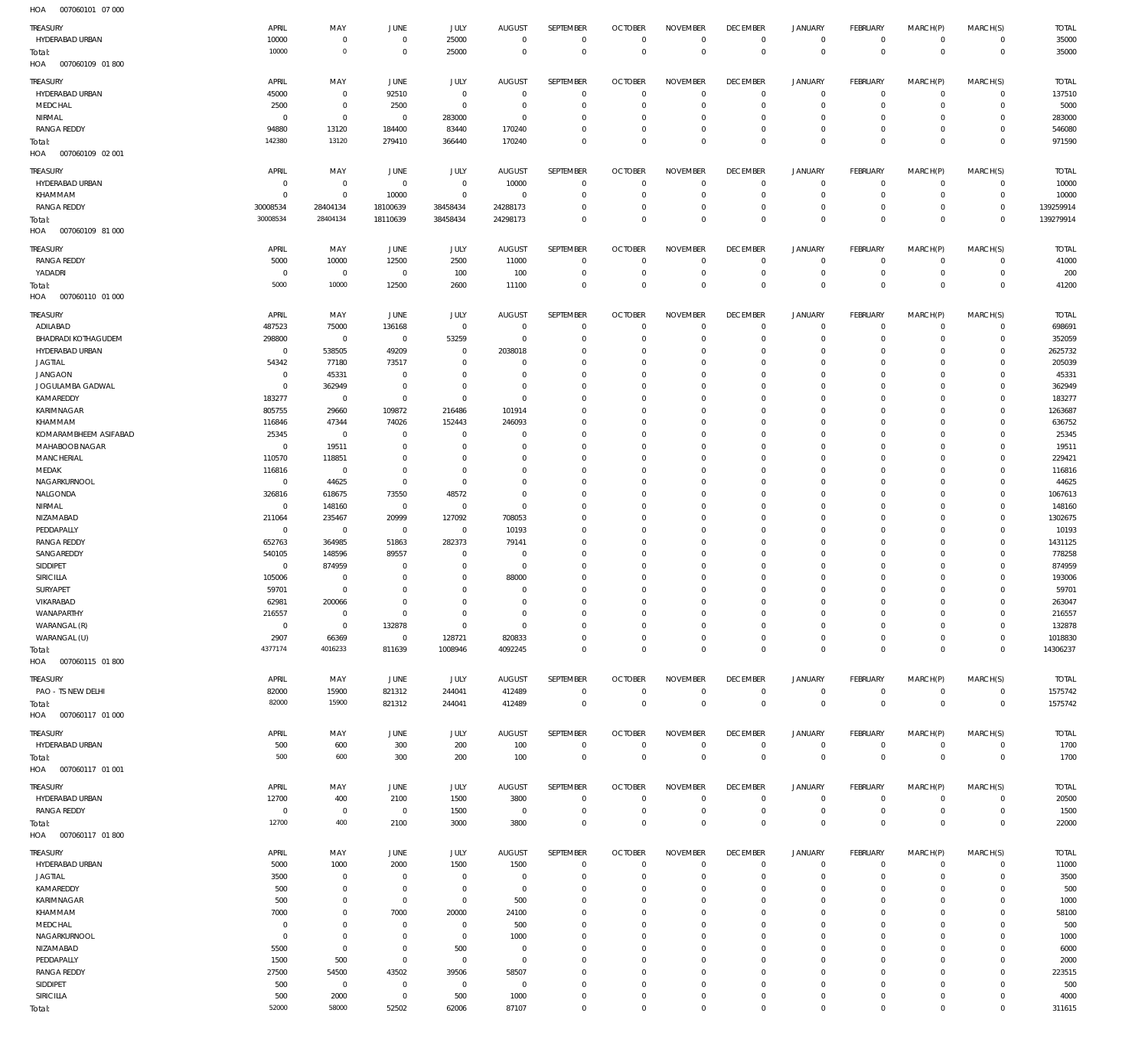007060101 07 000 HOA

| <b>TREASURY</b>                      | APRIL                            | MAY                        | <b>JUNE</b>                      | JULY                       | <b>AUGUST</b>                    | SEPTEMBER                  | <b>OCTOBER</b>                   | <b>NOVEMBER</b>                | <b>DECEMBER</b>                   | <b>JANUARY</b>                 | <b>FEBRUARY</b>                  | MARCH(P)                   | MARCH(S)                         | <b>TOTAL</b>            |
|--------------------------------------|----------------------------------|----------------------------|----------------------------------|----------------------------|----------------------------------|----------------------------|----------------------------------|--------------------------------|-----------------------------------|--------------------------------|----------------------------------|----------------------------|----------------------------------|-------------------------|
| HYDERABAD URBAN                      | 10000                            | $\mathbf 0$                | $\overline{0}$                   | 25000                      | $\overline{0}$                   | $\overline{0}$             | $\overline{0}$                   | $\mathbf 0$                    | $\overline{0}$                    | $\circ$                        | $\overline{0}$                   | $\mathbf{0}$               | $\overline{0}$                   | 35000                   |
| Total:                               | 10000                            | $\mathbf 0$                | $\overline{0}$                   | 25000                      | $\overline{0}$                   | $\mathbf 0$                | $\overline{0}$                   | $\mathbf 0$                    | $\overline{0}$                    | $\mathbf 0$                    | $\overline{0}$                   | $\mathbf 0$                | $\overline{0}$                   | 35000                   |
| HOA<br>007060109 01 800              |                                  |                            |                                  |                            |                                  |                            |                                  |                                |                                   |                                |                                  |                            |                                  |                         |
| <b>TREASURY</b>                      | APRIL                            | MAY                        | <b>JUNE</b>                      | JULY                       | <b>AUGUST</b>                    | SEPTEMBER                  | <b>OCTOBER</b>                   | <b>NOVEMBER</b>                | <b>DECEMBER</b>                   | <b>JANUARY</b>                 | FEBRUARY                         | MARCH(P)                   | MARCH(S)                         | <b>TOTAL</b>            |
| HYDERABAD URBAN<br>MEDCHAL           | 45000<br>2500                    | $\mathbf 0$<br>$\mathbf 0$ | 92510                            | $\mathbf 0$<br>$\mathbf 0$ | $\Omega$<br>$^{\circ}$           | $\mathbf 0$<br>$\mathbf 0$ | $\overline{0}$<br>$\overline{0}$ | $\Omega$<br>$\mathbf 0$        | $\mathbf 0$<br>$\mathbf 0$        | $^{\circ}$<br>$\mathbf 0$      | $\mathbf{0}$<br>$\mathbf{0}$     | $\Omega$<br>$\mathbf 0$    | $\mathbf{0}$<br>$\mathbf{0}$     | 137510<br>5000          |
| NIRMAL                               | $\mathbf 0$                      | $\mathbf 0$                | 2500<br>$\mathbf 0$              | 283000                     | $\mathbf 0$                      | $\Omega$                   | $\mathbf 0$                      | $\Omega$                       | $\mathbf 0$                       | $\mathbf 0$                    | $\mathbf 0$                      | $\Omega$                   | $\mathbf 0$                      | 283000                  |
| <b>RANGA REDDY</b>                   | 94880                            | 13120                      | 184400                           | 83440                      | 170240                           | $\Omega$                   | $\mathbf 0$                      | $\Omega$                       | $\mathbf 0$                       | $\mathbf 0$                    | $\mathbf{0}$                     | $\Omega$                   | $\mathbf{0}$                     | 546080                  |
| Total:                               | 142380                           | 13120                      | 279410                           | 366440                     | 170240                           | $\mathbf 0$                | $\mathbf 0$                      | $\Omega$                       | $\mathbf 0$                       | $\mathbf 0$                    | $\mathbf 0$                      | $\Omega$                   | $\mathbf 0$                      | 971590                  |
| HOA   007060109   02   001           |                                  |                            |                                  |                            |                                  |                            |                                  |                                |                                   |                                |                                  |                            |                                  |                         |
| <b>TREASURY</b>                      | APRIL                            | MAY                        | <b>JUNE</b>                      | JULY                       | <b>AUGUST</b>                    | SEPTEMBER                  | <b>OCTOBER</b>                   | <b>NOVEMBER</b>                | <b>DECEMBER</b>                   | <b>JANUARY</b>                 | <b>FEBRUARY</b>                  | MARCH(P)                   | MARCH(S)                         | <b>TOTAL</b>            |
| HYDERABAD URBAN                      | $\overline{0}$                   | $^{\circ}$                 | $\overline{0}$                   | $\mathbf 0$                | 10000                            | $\mathbf 0$                | $\overline{0}$                   | $\Omega$                       | $\overline{0}$                    | $\mathbf 0$                    | $\overline{0}$                   | $^{\circ}$                 | $\mathbf{0}$                     | 10000                   |
| KHAMMAM                              | $\overline{0}$                   | $\mathbf 0$                | 10000                            | $\mathbf 0$                | $\overline{0}$                   | $\mathbf 0$                | $\overline{0}$                   | $\mathbf 0$                    | $\overline{0}$                    | $\mathbf 0$                    | $\overline{0}$                   | $^{\circ}$                 | $\overline{0}$                   | 10000                   |
| RANGA REDDY                          | 30008534<br>30008534             | 28404134<br>28404134       | 18100639<br>18110639             | 38458434<br>38458434       | 24288173<br>24298173             | $\mathbf 0$<br>$\mathbf 0$ | $\overline{0}$<br>$\overline{0}$ | $\mathbf 0$<br>$\mathbf 0$     | $\mathbf 0$<br>$\overline{0}$     | $\mathbf 0$<br>$\mathbf 0$     | $\mathbf{0}$<br>$\overline{0}$   | 0<br>$\mathbf 0$           | $\overline{0}$<br>$\overline{0}$ | 139259914<br>139279914  |
| Total:<br>HOA<br>007060109 81 000    |                                  |                            |                                  |                            |                                  |                            |                                  |                                |                                   |                                |                                  |                            |                                  |                         |
| <b>TREASURY</b>                      | APRIL                            | MAY                        | <b>JUNE</b>                      | JULY                       | <b>AUGUST</b>                    | SEPTEMBER                  | <b>OCTOBER</b>                   | <b>NOVEMBER</b>                | <b>DECEMBER</b>                   | <b>JANUARY</b>                 | FEBRUARY                         | MARCH(P)                   | MARCH(S)                         | <b>TOTAL</b>            |
| <b>RANGA REDDY</b>                   | 5000                             | 10000                      | 12500                            | 2500                       | 11000                            | $\mathbf 0$                | $\mathbf 0$                      | $\mathbf 0$                    | $\mathbf 0$                       | $^{\circ}$                     | $\mathbf{0}$                     | $^{\circ}$                 | $\mathbf{0}$                     | 41000                   |
| YADADRI                              | $\mathbf 0$                      | $\mathbf 0$                | $\mathbf 0$                      | 100                        | 100                              | $\mathbf 0$                | $\overline{0}$                   | $\mathbf 0$                    | $\mathbf 0$                       | $\mathbf 0$                    | $\mathbf{0}$                     | $\mathbf 0$                | $\mathbf{0}$                     | 200                     |
| Total:                               | 5000                             | 10000                      | 12500                            | 2600                       | 11100                            | $\mathbf 0$                | $\overline{0}$                   | $\mathbf 0$                    | $\mathbf 0$                       | $\mathbf 0$                    | $\overline{0}$                   | $\mathbf 0$                | $\overline{0}$                   | 41200                   |
| HOA   007060110   01   000           |                                  |                            |                                  |                            |                                  |                            |                                  |                                |                                   |                                |                                  |                            |                                  |                         |
| <b>TREASURY</b>                      | APRIL                            | MAY                        | JUNE                             | JULY                       | <b>AUGUST</b>                    | SEPTEMBER                  | <b>OCTOBER</b>                   | <b>NOVEMBER</b>                | <b>DECEMBER</b>                   | <b>JANUARY</b>                 | <b>FEBRUARY</b>                  | MARCH(P)                   | MARCH(S)                         | <b>TOTAL</b>            |
| ADILABAD                             | 487523                           | 75000                      | 136168                           | $\mathbf 0$                | $\overline{0}$                   | $\mathbf 0$                | $\overline{0}$                   | $\Omega$                       | $\mathbf 0$                       | 0                              | $\overline{0}$                   | $^{\circ}$                 | $\mathbf{0}$                     | 698691                  |
| <b>BHADRADI KOTHAGUDEM</b>           | 298800                           | $\overline{0}$             | $\overline{0}$                   | 53259                      | $\overline{0}$                   | $\mathbf 0$                | $\overline{0}$                   | $\mathbf 0$                    | $\overline{0}$                    | $^{\circ}$                     | $\overline{0}$                   | $^{\circ}$                 | $\mathbf{0}$                     | 352059                  |
| HYDERABAD URBAN<br><b>JAGTIAL</b>    | $\overline{0}$<br>54342          | 538505<br>77180            | 49209<br>73517                   | $\mathbf 0$<br>$\mathbf 0$ | 2038018<br>$\mathbf 0$           | $\mathbf 0$<br>$\Omega$    | $\overline{0}$<br>$\mathbf 0$    | $\mathbf 0$<br>$\Omega$        | $\mathbf 0$<br>$\mathbf 0$        | 0<br>0                         | $\mathbf{0}$<br>$\mathbf{0}$     | $\Omega$<br>$\Omega$       | $\mathbf{0}$<br>$\Omega$         | 2625732<br>205039       |
| <b>JANGAON</b>                       | $\overline{0}$                   | 45331                      | $\overline{0}$                   | $\mathbf 0$                | $\overline{0}$                   | $\mathbf 0$                | $\overline{0}$                   | $\Omega$                       | $\mathbf 0$                       | 0                              | $\mathbf{0}$                     | $\Omega$                   | $\mathbf{0}$                     | 45331                   |
| JOGULAMBA GADWAL                     | $\overline{0}$                   | 362949                     | $\overline{0}$                   | $\mathbf 0$                | $\overline{0}$                   | $\Omega$                   | $\mathbf 0$                      | $\Omega$                       | $\mathbf 0$                       | $\mathbf 0$                    | $\mathbf{0}$                     | $\Omega$                   | $\mathbf 0$                      | 362949                  |
| KAMAREDDY                            | 183277                           | $\overline{0}$             | $\overline{0}$                   | $\mathbf 0$                | $\overline{0}$                   | $\Omega$                   | $\overline{0}$                   | $\Omega$                       | $\mathbf 0$                       | 0                              | $\mathbf{0}$                     | $\Omega$                   | $\mathbf{0}$                     | 183277                  |
| KARIMNAGAR                           | 805755                           | 29660                      | 109872                           | 216486                     | 101914                           | $\Omega$                   | $\mathbf 0$                      | $\Omega$                       | $\mathbf 0$                       | 0                              | $\mathbf{0}$                     | $\Omega$                   | $\mathbf 0$                      | 1263687                 |
| KHAMMAM<br>KOMARAMBHEEM ASIFABAD     | 116846<br>25345                  | 47344<br>$\mathbf 0$       | 74026<br>$\overline{0}$          | 152443<br>$\mathbf 0$      | 246093<br>$\overline{0}$         | $\mathbf 0$<br>$\mathbf 0$ | $\mathbf 0$<br>$\mathbf 0$       | $\Omega$<br>$\Omega$           | $\mathbf 0$<br>$\mathbf 0$        | 0<br>0                         | $\mathbf{0}$<br>$\mathbf{0}$     | $\Omega$<br>$\Omega$       | $\mathbf 0$<br>$\mathbf 0$       | 636752<br>25345         |
| MAHABOOB NAGAR                       | $\overline{0}$                   | 19511                      | $\overline{0}$                   | $\mathbf 0$                | $\mathbf 0$                      | $\Omega$                   | $\mathbf 0$                      | $\Omega$                       | $\mathbf 0$                       | 0                              | $\mathbf{0}$                     | $\Omega$                   | $\mathbf 0$                      | 19511                   |
| <b>MANCHERIAL</b>                    | 110570                           | 118851                     | $\overline{0}$                   | $\mathbf 0$                | $\Omega$                         | $\Omega$                   | $\mathbf 0$                      | $\Omega$                       | $\mathbf 0$                       | 0                              | $\mathbf{0}$                     | $\Omega$                   | $\Omega$                         | 229421                  |
| MEDAK                                | 116816                           | $\overline{0}$             | $\overline{0}$                   | $\mathbf 0$                | $\mathbf 0$                      | $\mathbf 0$                | $\mathbf 0$                      | $\Omega$                       | $\mathbf 0$                       | 0                              | $\mathbf{0}$                     | $\Omega$                   | $\mathbf 0$                      | 116816                  |
| NAGARKURNOOL                         | $\overline{0}$                   | 44625                      | $\overline{0}$                   | $\mathbf 0$                | $\Omega$                         | $\Omega$                   | $\mathbf 0$                      | $\Omega$                       | $\mathbf 0$                       | 0                              | $\mathbf{0}$                     | $\Omega$                   | $\Omega$                         | 44625                   |
| NALGONDA<br>NIRMAL                   | 326816<br>$\overline{0}$         | 618675<br>148160           | 73550<br>$\overline{0}$          | 48572<br>$\mathbf 0$       | $\overline{0}$<br>$\overline{0}$ | $\mathbf 0$<br>$\Omega$    | $\mathbf 0$<br>$\Omega$          | $\Omega$<br>$\Omega$           | $\mathbf 0$<br>$\mathbf 0$        | 0<br>$\mathbf 0$               | $\mathbf{0}$<br>$\mathbf 0$      | $\Omega$<br>$\Omega$       | $\mathbf{0}$<br>$\Omega$         | 1067613<br>148160       |
| NIZAMABAD                            | 211064                           | 235467                     | 20999                            | 127092                     | 708053                           | $\mathbf 0$                | $\overline{0}$                   | $\Omega$                       | $\mathbf 0$                       | 0                              | $\mathbf{0}$                     | $\Omega$                   | $\mathbf{0}$                     | 1302675                 |
| PEDDAPALLY                           | $\overline{0}$                   | $\mathbf 0$                | $\overline{0}$                   | $\mathbf 0$                | 10193                            | $\mathbf 0$                | $\mathbf 0$                      | $\Omega$                       | $\mathbf 0$                       | 0                              | $\mathbf{0}$                     | $\Omega$                   | $\mathbf 0$                      | 10193                   |
| <b>RANGA REDDY</b>                   | 652763                           | 364985                     | 51863                            | 282373                     | 79141                            | $\Omega$                   | $\mathbf 0$                      | $\Omega$                       | $\mathbf 0$                       | 0                              | $\mathbf{0}$                     | $\Omega$                   | $\mathbf 0$                      | 1431125                 |
| SANGAREDDY                           | 540105                           | 148596                     | 89557                            | $\mathbf 0$                | $\overline{0}$                   | $\mathbf 0$                | $\mathbf 0$                      | $\Omega$                       | $\mathbf 0$                       | 0                              | $\mathbf{0}$                     | $\Omega$                   | $\mathbf{0}$                     | 778258                  |
| SIDDIPET                             | $\overline{0}$<br>105006         | 874959<br>$\mathbf 0$      | $\overline{0}$<br>$\overline{0}$ | $\mathbf 0$<br>$\mathbf 0$ | $\overline{0}$<br>88000          | $\mathbf 0$<br>$\Omega$    | $\mathbf 0$<br>$\overline{0}$    | $\Omega$<br>$\Omega$           | $\mathbf 0$<br>$\mathbf 0$        | 0<br>0                         | $\mathbf{0}$<br>$\mathbf{0}$     | $\Omega$<br>$\Omega$       | $\mathbf 0$<br>$^{\circ}$        | 874959                  |
| SIRICILLA<br>SURYAPET                | 59701                            | $\mathbf 0$                | $\overline{0}$                   | $\mathbf 0$                | $\mathbf 0$                      | $\mathbf 0$                | $\mathbf 0$                      | $\Omega$                       | $\mathbf 0$                       | 0                              | $\mathbf{0}$                     | $\Omega$                   | $\mathbf{0}$                     | 193006<br>59701         |
| VIKARABAD                            | 62981                            | 200066                     | $\Omega$                         | $\Omega$                   | $\Omega$                         | $\Omega$                   | $\mathbf 0$                      | $\Omega$                       | $\Omega$                          | $\Omega$                       | $\Omega$                         | $\Omega$                   | $\Omega$                         | 263047                  |
| WANAPARTHY                           | 216557                           | $\overline{0}$             | $\overline{0}$                   | $\mathbf 0$                | $\mathbf 0$                      | $\mathbf 0$                | $^{\circ}$                       | $\Omega$                       | 0                                 | $^{\circ}$                     | $^{\circ}$                       | $\Omega$                   | $^{\circ}$                       | 216557                  |
| WARANGAL (R)                         | $\overline{0}$                   | $\mathbf 0$                | 132878                           | $\mathbf 0$                | $\overline{0}$                   | $\mathbf 0$                | $\overline{0}$                   | $\mathbf 0$                    | $\overline{0}$                    | $\mathbf 0$                    | $\mathbf{0}$                     | $^{\circ}$                 | $\mathbf{0}$                     | 132878                  |
| WARANGAL (U)                         | 2907<br>4377174                  | 66369<br>4016233           | $\overline{0}$                   | 128721                     | 820833                           | $\mathbf 0$<br>$\mathbf 0$ | $\overline{0}$<br>$\overline{0}$ | $\mathbf 0$<br>$\mathbf 0$     | $\overline{0}$<br>$\overline{0}$  | $\mathbf 0$<br>$\overline{0}$  | $\overline{0}$<br>$\overline{0}$ | $\mathbf 0$<br>$\mathbf 0$ | $\overline{0}$<br>$\overline{0}$ | 1018830<br>14306237     |
| Total:<br>HOA   007060115   01   800 |                                  |                            | 811639                           | 1008946                    | 4092245                          |                            |                                  |                                |                                   |                                |                                  |                            |                                  |                         |
|                                      |                                  |                            |                                  |                            |                                  |                            |                                  |                                |                                   |                                |                                  |                            |                                  |                         |
| TREASURY<br>PAO - TS NEW DELHI       | APRIL<br>82000                   | MAY<br>15900               | JUNE<br>821312                   | JULY<br>244041             | <b>AUGUST</b><br>412489          | SEPTEMBER<br>$\mathbf 0$   | <b>OCTOBER</b><br>$\overline{0}$ | <b>NOVEMBER</b><br>$\mathbf 0$ | <b>DECEMBER</b><br>$\overline{0}$ | <b>JANUARY</b><br>$\mathbf{0}$ | FEBRUARY<br>$\overline{0}$       | MARCH(P)<br>$\mathbf{0}$   | MARCH(S)<br>$\overline{0}$       | <b>TOTAL</b><br>1575742 |
| Total:                               | 82000                            | 15900                      | 821312                           | 244041                     | 412489                           | $\mathbf 0$                | $\overline{0}$                   | $\overline{0}$                 | $\overline{0}$                    | $\overline{0}$                 | $\overline{0}$                   | $\mathbf 0$                | $\overline{0}$                   | 1575742                 |
| HOA   007060117   01   000           |                                  |                            |                                  |                            |                                  |                            |                                  |                                |                                   |                                |                                  |                            |                                  |                         |
| TREASURY                             | APRIL                            | MAY                        | <b>JUNE</b>                      | JULY                       | <b>AUGUST</b>                    | SEPTEMBER                  | <b>OCTOBER</b>                   | <b>NOVEMBER</b>                | <b>DECEMBER</b>                   | <b>JANUARY</b>                 | FEBRUARY                         | MARCH(P)                   | MARCH(S)                         | <b>TOTAL</b>            |
| HYDERABAD URBAN                      | 500                              | 600                        | 300                              | 200                        | 100                              | $\mathbf 0$                | $\overline{0}$                   | $\overline{0}$                 | $\overline{0}$                    | $\circ$                        | $\overline{0}$                   | $\circ$                    | $\overline{0}$                   | 1700                    |
| Total:                               | 500                              | 600                        | 300                              | 200                        | 100                              | $\mathbb O$                | $\overline{0}$                   | $\overline{0}$                 | $\overline{0}$                    | $\overline{0}$                 | $\overline{0}$                   | $\overline{0}$             | $\overline{0}$                   | 1700                    |
| 007060117 01 001<br>HOA              |                                  |                            |                                  |                            |                                  |                            |                                  |                                |                                   |                                |                                  |                            |                                  |                         |
| TREASURY                             | APRIL                            | MAY                        | <b>JUNE</b>                      | JULY                       | <b>AUGUST</b>                    | SEPTEMBER                  | <b>OCTOBER</b>                   | <b>NOVEMBER</b>                | <b>DECEMBER</b>                   | <b>JANUARY</b>                 | <b>FEBRUARY</b>                  | MARCH(P)                   | MARCH(S)                         | <b>TOTAL</b>            |
| HYDERABAD URBAN                      | 12700                            | 400                        | 2100                             | 1500                       | 3800                             | $\mathbf 0$                | $\overline{0}$                   | $\mathbf 0$                    | $\overline{0}$                    | $\circ$                        | $\overline{0}$                   | $^{\circ}$                 | $\mathbf{0}$                     | 20500                   |
| RANGA REDDY                          | $\overline{0}$<br>12700          | $\overline{0}$<br>400      | $\overline{0}$<br>2100           | 1500<br>3000               | $\overline{0}$<br>3800           | $\mathbf 0$<br>$\mathbf 0$ | $\overline{0}$<br>$\overline{0}$ | $\mathbf 0$<br>$\mathbf 0$     | $\overline{0}$<br>$\overline{0}$  | $\circ$<br>$\overline{0}$      | $\overline{0}$<br>$\overline{0}$ | $\mathbf 0$<br>$\mathbf 0$ | $\circ$<br>$\overline{0}$        | 1500<br>22000           |
| Total:<br>HOA   007060117   01   800 |                                  |                            |                                  |                            |                                  |                            |                                  |                                |                                   |                                |                                  |                            |                                  |                         |
|                                      |                                  |                            |                                  |                            |                                  |                            |                                  |                                |                                   |                                |                                  |                            |                                  |                         |
| TREASURY<br>HYDERABAD URBAN          | APRIL<br>5000                    | MAY<br>1000                | <b>JUNE</b><br>2000              | JULY<br>1500               | <b>AUGUST</b><br>1500            | SEPTEMBER<br>$\mathbf 0$   | <b>OCTOBER</b><br>$\overline{0}$ | <b>NOVEMBER</b><br>$\mathbf 0$ | <b>DECEMBER</b><br>$\overline{0}$ | <b>JANUARY</b><br>$\circ$      | FEBRUARY<br>$\overline{0}$       | MARCH(P)<br>$\mathbf 0$    | MARCH(S)<br>$\circ$              | <b>TOTAL</b><br>11000   |
| <b>JAGTIAL</b>                       | 3500                             | $\overline{0}$             | $\overline{0}$                   | $\mathbf 0$                | $\overline{0}$                   | $\mathbf 0$                | $\overline{0}$                   | $\mathbf 0$                    | $\overline{0}$                    | 0                              | $\overline{0}$                   | $^{\circ}$                 | $\circ$                          | 3500                    |
| KAMAREDDY                            | 500                              | $\mathbf 0$                | $\overline{0}$                   | $\mathbf 0$                | $\overline{0}$                   | $\mathbf 0$                | $\overline{0}$                   | $\mathbf 0$                    | $\mathbf 0$                       | $\mathbf 0$                    | $\mathbf{0}$                     | 0                          | $\mathbf{0}$                     | 500                     |
| KARIMNAGAR                           | 500                              | $\mathbf 0$                | $\overline{0}$                   | $\mathbf 0$                | 500                              | $\mathbf 0$                | $\overline{0}$                   | $\Omega$                       | $\mathbf 0$                       | 0                              | $\mathbf{0}$                     | $\Omega$                   | $\mathbf{0}$                     | 1000                    |
| KHAMMAM                              | 7000                             | $\mathbf 0$                | 7000                             | 20000                      | 24100                            | $\mathbf 0$                | $\overline{0}$                   | $\mathbf 0$                    | $\mathbf 0$                       | 0                              | $\mathbf{0}$                     | 0                          | $\mathbf{0}$                     | 58100                   |
| MEDCHAL<br>NAGARKURNOOL              | $\overline{0}$<br>$\overline{0}$ | $\mathbf 0$<br>$\mathbf 0$ | $\overline{0}$<br>$\overline{0}$ | $\mathbf 0$<br>$\,0\,$     | 500<br>1000                      | $\mathbf 0$<br>$\mathbf 0$ | $\overline{0}$<br>$\overline{0}$ | $\Omega$<br>$\mathbf 0$        | $\mathbf 0$<br>$\mathbf 0$        | 0<br>0                         | $\mathbf{0}$<br>$\mathbf{0}$     | $\Omega$<br>$\Omega$       | $\mathbf{0}$<br>$\mathbf{0}$     | 500<br>1000             |
| NIZAMABAD                            | 5500                             | $\mathbf 0$                | $\overline{0}$                   | 500                        | $\overline{0}$                   | $\mathbf 0$                | $\mathbf 0$                      | $\Omega$                       | $\mathbf 0$                       | 0                              | $\mathbf{0}$                     | $\Omega$                   | $\mathbf{0}$                     | 6000                    |
| PEDDAPALLY                           | 1500                             | 500                        | $\overline{0}$                   | $\mathbf 0$                | $\overline{0}$                   | $\Omega$                   | $\mathbf 0$                      | $\Omega$                       | $\mathbf 0$                       | $\mathbf 0$                    | $\mathbf{0}$                     | $\Omega$                   | $\mathbf{0}$                     | 2000                    |
| <b>RANGA REDDY</b>                   | 27500                            | 54500                      | 43502                            | 39506                      | 58507                            | $\mathbf 0$                | $\overline{0}$                   | $\mathbf 0$                    | $\mathbf 0$                       | 0                              | $\mathbf{0}$                     | $\Omega$                   | $\mathbf{0}$                     | 223515                  |
| SIDDIPET                             | 500                              | $\overline{0}$             | $\overline{0}$                   | $\mathbf 0$                | $\overline{0}$                   | $\mathbf 0$                | $\mathbf 0$                      | $\mathbf 0$                    | $\mathbf 0$                       | $\mathbf 0$                    | $\mathbf{0}$                     | $\Omega$                   | $\mathbf{0}$                     | 500                     |
| SIRICILLA                            | 500<br>52000                     | 2000<br>58000              | $\overline{0}$                   | 500                        | 1000<br>87107                    | $\mathbf 0$<br>$\mathbf 0$ | $\overline{0}$<br>$\overline{0}$ | $\mathbf 0$<br>$\mathbf 0$     | $\overline{0}$<br>$\overline{0}$  | 0<br>$\mathbf 0$               | $\overline{0}$<br>$\overline{0}$ | 0<br>$\mathbf 0$           | $\mathbf{0}$<br>$\overline{0}$   | 4000                    |
| Total:                               |                                  |                            | 52502                            | 62006                      |                                  |                            |                                  |                                |                                   |                                |                                  |                            |                                  | 311615                  |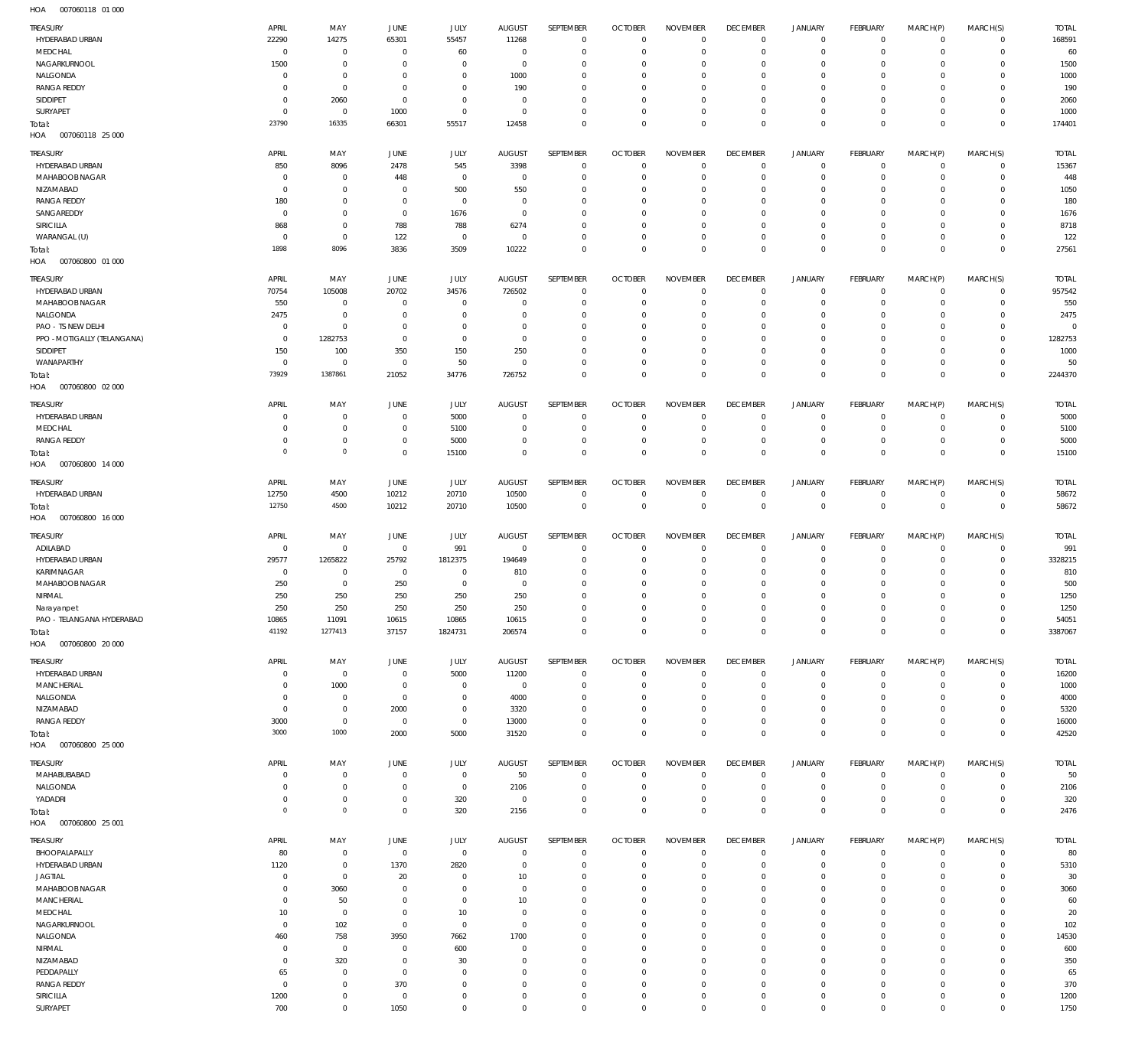| TREASURY<br>HYDERABAD URBAN             | APRIL<br>22290              | MAY<br>14275                     | JUNE<br>65301             | JULY<br>55457                 | <b>AUGUST</b><br>11268       | <b>SEPTEMBER</b><br>$^{\circ}$ | <b>OCTOBER</b><br>$\Omega$ | <b>NOVEMBER</b><br>$\Omega$ | <b>DECEMBER</b><br>$^{\circ}$ | <b>JANUARY</b><br>$\circ$  | FEBRUARY<br>$^{\circ}$    | MARCH(P)<br>$^{\circ}$     | MARCH(S)<br>$^{\circ}$     | <b>TOTAL</b><br>168591 |
|-----------------------------------------|-----------------------------|----------------------------------|---------------------------|-------------------------------|------------------------------|--------------------------------|----------------------------|-----------------------------|-------------------------------|----------------------------|---------------------------|----------------------------|----------------------------|------------------------|
| MEDCHAL<br>NAGARKURNOOL                 | $\mathbf{0}$<br>1500        | $\overline{0}$<br>$\overline{0}$ | $^{\circ}$<br>$\mathbf 0$ | 60<br>$^{\circ}$              | $\overline{0}$<br>$^{\circ}$ | $\mathbf{0}$<br>$^{\circ}$     | $\Omega$<br>$\Omega$       | $\mathbf 0$<br>$\mathbf 0$  | $^{\circ}$<br>$^{\circ}$      | $\circ$<br>$\circ$         | $\circ$<br>-0             | $^{\circ}$<br>$\mathbf 0$  | $^{\circ}$<br>$^{\circ}$   | 60<br>1500             |
| NALGONDA                                | $\mathbf{0}$                | $\overline{0}$                   | $^{\circ}$                | $^{\circ}$                    | 1000                         | $^{\circ}$                     | $\Omega$                   | $\mathbf 0$                 | $\mathbf 0$                   | $\circ$                    | -0                        | $^{\circ}$                 | $^{\circ}$                 | 1000                   |
| <b>RANGA REDDY</b>                      | $\mathbf 0$                 | $\overline{0}$                   | $^{\circ}$                | $^{\circ}$                    | 190                          | $^{\circ}$                     |                            | $\mathbf 0$                 | $\mathbf 0$                   | $\circ$                    | -0                        | $^{\circ}$                 | $^{\circ}$                 | 190                    |
| SIDDIPET                                | $\mathbf 0$                 | 2060                             | $^{\circ}$                | $\overline{0}$                | $^{\circ}$                   | $^{\circ}$                     | $\Omega$                   | $\mathbf 0$                 | $\mathbf 0$                   | $\circ$                    | -0                        | $^{\circ}$                 | $^{\circ}$                 | 2060                   |
| SURYAPET<br>Total:                      | $\mathbf 0$<br>23790        | $\overline{0}$<br>16335          | 1000<br>66301             | $\mathbf 0$<br>55517          | $^{\circ}$<br>12458          | $^{\circ}$<br>$\mathbf{0}$     | $\Omega$<br>$\Omega$       | $\mathbf 0$<br>$\mathbf 0$  | $^{\circ}$<br>$^{\circ}$      | $\circ$<br>$\mathbb O$     | $\circ$<br>$\overline{0}$ | $^{\circ}$<br>$\mathbf{0}$ | $^{\circ}$<br>$\mathbf 0$  | 1000<br>174401         |
| 007060118 25 000<br>HOA                 |                             |                                  |                           |                               |                              |                                |                            |                             |                               |                            |                           |                            |                            |                        |
| TREASURY                                | APRIL                       | MAY                              | JUNE                      | JULY                          | <b>AUGUST</b>                | SEPTEMBER                      | <b>OCTOBER</b>             | <b>NOVEMBER</b>             | <b>DECEMBER</b>               | <b>JANUARY</b>             | FEBRUARY                  | MARCH(P)                   | MARCH(S)                   | <b>TOTAL</b>           |
| HYDERABAD URBAN                         | 850                         | 8096                             | 2478                      | 545                           | 3398                         | $^{\circ}$                     | $\Omega$                   | $\mathbf 0$                 | $^{\circ}$                    | $\mathbf 0$                | $^{\circ}$                | $^{\circ}$                 | $^{\circ}$                 | 15367                  |
| MAHABOOB NAGAR                          | 0                           | $^{\circ}$                       | 448                       | $^{\circ}$                    | $^{\circ}$                   | $^{\circ}$                     |                            | $\Omega$                    | $\Omega$                      | $\mathbf 0$                | -0                        | $^{\circ}$                 | $^{\circ}$                 | 448                    |
| NIZAMABAD                               | $\mathbf{0}$                | $^{\circ}$                       | $^{\circ}$                | 500                           | 550                          | $^{\circ}$                     | $\Omega$                   | $\Omega$                    | $\Omega$                      | $\mathbf 0$                | -0                        | $^{\circ}$                 | $^{\circ}$                 | 1050                   |
| <b>RANGA REDDY</b><br>SANGAREDDY        | 180<br>$\mathbf{0}$         | $^{\circ}$<br>$^{\circ}$         | $\mathbf 0$<br>$^{\circ}$ | $^{\circ}$<br>1676            | $^{\circ}$<br>$^{\circ}$     | $^{\circ}$<br>$^{\circ}$       | $\Omega$                   | $\Omega$<br>$\mathbf 0$     | $\Omega$<br>$\Omega$          | $\mathbf 0$<br>$\mathbf 0$ | 0<br>-0                   | $^{\circ}$<br>$^{\circ}$   | $^{\circ}$<br>$^{\circ}$   | 180<br>1676            |
| SIRICILLA                               | 868                         | $^{\circ}$                       | 788                       | 788                           | 6274                         | $^{\circ}$                     |                            | $\Omega$                    | $\Omega$                      | $\mathbf 0$                | 0                         | $^{\circ}$                 | $^{\circ}$                 | 8718                   |
| WARANGAL (U)                            | $\mathbf{0}$                | $\overline{0}$                   | 122                       | $\overline{0}$                | $^{\circ}$                   | $^{\circ}$                     | $\Omega$                   | $\mathbf 0$                 | $\mathbf 0$                   | $\mathbf 0$                | $^{\circ}$                | $^{\circ}$                 | $^{\circ}$                 | 122                    |
| Total:                                  | 1898                        | 8096                             | 3836                      | 3509                          | 10222                        | $\mathbf{0}$                   | $\Omega$                   | $\mathbf 0$                 | $\overline{0}$                | $\mathbb O$                | $\mathbf 0$               | $\mathbf 0$                | $\mathbf 0$                | 27561                  |
| 007060800 01 000<br>HOA                 |                             |                                  |                           |                               |                              |                                |                            |                             |                               |                            |                           |                            |                            |                        |
| <b>TREASURY</b>                         | APRIL                       | MAY                              | JUNE                      | JULY                          | <b>AUGUST</b>                | SEPTEMBER                      | <b>OCTOBER</b>             | <b>NOVEMBER</b>             | <b>DECEMBER</b>               | <b>JANUARY</b>             | FEBRUARY                  | MARCH(P)                   | MARCH(S)                   | <b>TOTAL</b>           |
| HYDERABAD URBAN                         | 70754<br>550                | 105008                           | 20702<br>$\overline{0}$   | 34576<br>$^{\circ}$           | 726502<br>$^{\circ}$         | $^{\circ}$<br>$^{\circ}$       | $\Omega$<br>$\Omega$       | $\mathbf 0$<br>$\Omega$     | $^{\circ}$<br>$^{\circ}$      | $\circ$                    | $^{\circ}$<br>$\circ$     | $^{\circ}$<br>$^{\circ}$   | $^{\circ}$<br>$^{\circ}$   | 957542<br>550          |
| MAHABOOB NAGAR<br>NALGONDA              | 2475                        | $\overline{0}$<br>$\overline{0}$ | $^{\circ}$                | $\overline{0}$                | $\mathbf 0$                  | $^{\circ}$                     | $\Omega$                   | $\mathbf 0$                 | $\mathbf 0$                   | $\circ$<br>$\circ$         | $\circ$                   | $^{\circ}$                 | $^{\circ}$                 | 2475                   |
| PAO - TS NEW DELHI                      | $^{\circ}$                  | $\overline{0}$                   | $^{\circ}$                | $^{\circ}$                    | $^{\circ}$                   | $^{\circ}$                     | $\Omega$                   | $\mathbf 0$                 | $\mathbf 0$                   | $\circ$                    | -0                        | $^{\circ}$                 | $^{\circ}$                 | $\sqrt{ }$             |
| PPO - MOTIGALLY (TELANGANA)             | $\mathbf{0}$                | 1282753                          | $^{\circ}$                | $^{\circ}$                    | $^{\circ}$                   | $\Omega$                       | $\Omega$                   | $\mathbf 0$                 | $\Omega$                      | $\mathbf 0$                | -0                        | $^{\circ}$                 | $^{\circ}$                 | 1282753                |
| SIDDIPET                                | 150                         | 100                              | 350                       | 150                           | 250                          | $^{\circ}$                     | $\Omega$                   | $\mathbf 0$                 | $\mathbf 0$                   | $\circ$                    | -0                        | $^{\circ}$                 | $^{\circ}$                 | 1000                   |
| WANAPARTHY                              | $^{\circ}$<br>73929         | $\mathbf{0}$<br>1387861          | $^{\circ}$<br>21052       | 50<br>34776                   | $^{\circ}$<br>726752         | $\mathbf{0}$<br>$\mathbf{0}$   | $\Omega$<br>$\Omega$       | $\mathbf 0$<br>$\mathbf 0$  | $\mathbf 0$<br>$\mathbf 0$    | $\mathbf 0$<br>$\mathbb O$ | $\circ$<br>$^{\circ}$     | $^{\circ}$<br>$\mathbf 0$  | $^{\circ}$<br>$\mathbf 0$  | 50<br>2244370          |
| Total:<br>007060800 02 000<br>HOA       |                             |                                  |                           |                               |                              |                                |                            |                             |                               |                            |                           |                            |                            |                        |
| TREASURY                                | APRIL                       | MAY                              | JUNE                      | JULY                          | <b>AUGUST</b>                | SEPTEMBER                      | <b>OCTOBER</b>             | <b>NOVEMBER</b>             | <b>DECEMBER</b>               | JANUARY                    | FEBRUARY                  | MARCH(P)                   | MARCH(S)                   | <b>TOTAL</b>           |
| HYDERABAD URBAN                         | 0                           | $^{\circ}$                       | $\mathbf 0$               | 5000                          | - 0                          | $\circ$                        | $\Omega$                   | 0                           | $^{\circ}$                    | $\mathbf 0$                | -0                        | 0                          | $\mathbf 0$                | 5000                   |
| MEDCHAL                                 | $\mathbf 0$                 | $\overline{0}$                   | $^{\circ}$                | 5100                          | $^{\circ}$                   | $^{\circ}$                     | $\Omega$                   | $\mathbf 0$                 | $^{\circ}$                    | $\circ$                    | $\mathbf 0$               | $\mathbf 0$                | $\mathbf 0$                | 5100                   |
| <b>RANGA REDDY</b>                      | $\mathbf 0$                 | $\mathbf 0$                      | $\mathbf 0$               | 5000                          | $\mathbf 0$                  | $^{\circ}$                     | $\Omega$                   | $\mathbf 0$                 | $^{\circ}$                    | $\mathbf 0$                | $\circ$                   | $\mathbf 0$                | $\mathbf 0$                | 5000                   |
| Total:<br>007060800 14 000<br>HOA       | $\mathbf 0$                 | $\,0\,$                          | $\mathbf 0$               | 15100                         | $\mathbf 0$                  | $\mathbf{0}$                   | $\Omega$                   | $\mathbf 0$                 | $\overline{0}$                | $\mathbb O$                | $^{\circ}$                | $\mathbf 0$                | $\mathbf 0$                | 15100                  |
| <b>TREASURY</b>                         | APRIL                       | MAY                              | JUNE                      | JULY                          | <b>AUGUST</b>                | SEPTEMBER                      | <b>OCTOBER</b>             | <b>NOVEMBER</b>             | <b>DECEMBER</b>               | <b>JANUARY</b>             | FEBRUARY                  | MARCH(P)                   | MARCH(S)                   | <b>TOTAL</b>           |
| HYDERABAD URBAN                         | 12750<br>12750              | 4500<br>4500                     | 10212<br>10212            | 20710<br>20710                | 10500<br>10500               | $^{\circ}$<br>$\overline{0}$   | $\Omega$<br>$\overline{0}$ | $\mathbf 0$<br>$\,0\,$      | $\overline{0}$<br>$\mathbf 0$ | 0<br>$\mathbb O$           | $\circ$<br>$\mathbf{0}$   | $^{\circ}$<br>$\mathbf 0$  | $^{\circ}$<br>$^{\circ}$   | 58672<br>58672         |
| Total:<br>HOA<br>007060800 16 000       |                             |                                  |                           |                               |                              |                                |                            |                             |                               |                            |                           |                            |                            |                        |
| TREASURY                                | APRIL                       | MAY                              | JUNE                      | JULY                          | <b>AUGUST</b>                | SEPTEMBER                      | <b>OCTOBER</b>             | <b>NOVEMBER</b>             | <b>DECEMBER</b>               | <b>JANUARY</b>             | FEBRUARY                  | MARCH(P)                   | MARCH(S)                   | <b>TOTAL</b>           |
| ADILABAD                                | $\mathbf 0$                 | $\overline{0}$                   | $\mathbf 0$               | 991                           | $\overline{0}$               | $^{\circ}$                     | $\Omega$                   | $\mathbf 0$                 | $^{\circ}$                    | $\mathbf 0$                | $\circ$                   | $^{\circ}$                 | $\mathbf 0$                | 991                    |
|                                         |                             |                                  |                           |                               |                              |                                |                            |                             | $^{\circ}$                    |                            |                           |                            |                            |                        |
| HYDERABAD URBAN                         | 29577                       | 1265822                          | 25792                     | 1812375                       | 194649                       | $^{\circ}$                     | $\Omega$                   | $\Omega$                    |                               | $\mathbf 0$                | -0                        | $^{\circ}$                 | $\mathbf 0$                | 3328215                |
| KARIMNAGAR                              | $^{\circ}$                  | $^{\circ}$                       | $\overline{0}$            | $\overline{0}$                | 810                          | $^{\circ}$                     | $\Omega$                   | $\mathbf 0$                 | $\Omega$                      | $\mathbf 0$                | -0                        | $^{\circ}$                 | $^{\circ}$                 | 810                    |
| MAHABOOB NAGAR                          | 250                         | $\overline{0}$                   | 250                       | $\mathbf 0$                   | $^{\circ}$                   | $^{\circ}$                     |                            | $\Omega$                    | $\Omega$                      | $\mathbf 0$                | $\Omega$                  | $^{\circ}$                 | $^{\circ}$                 | 500                    |
| NIRMAL                                  | 250                         | 250                              | 250                       | 250                           | 250                          | $^{\circ}$                     | $\Omega$<br>$\Omega$       | $\Omega$                    | $\Omega$<br>$\Omega$          | 0                          | $\Omega$<br>$\Omega$      | $\mathbf 0$                | $\mathbf 0$                | 1250                   |
| Narayanpet<br>PAO - TELANGANA HYDERABAD | 250<br>10865                | 250<br>11091                     | 250<br>10615              | 250<br>10865                  | 250<br>10615                 | $\Omega$<br>$^{\circ}$         | $^{\circ}$                 | $\Omega$<br>$\mathbf 0$     | $\overline{0}$                | $\Omega$<br>$\circ$        | $\mathbf 0$               | $\Omega$<br>$\mathbf 0$    | $\Omega$<br>$\mathbf 0$    | 1250<br>54051          |
| Total:                                  | 41192                       | 1277413                          | 37157                     | 1824731                       | 206574                       | $\mathbf{0}$                   | $\mathbf{0}$               | $\mathbf 0$                 | $\mathbf 0$                   | $\mathbb O$                | $\mathbf{0}$              | $\mathbf 0$                | $\mathbf 0$                | 3387067                |
| 007060800 20 000<br>HOA                 |                             |                                  |                           |                               |                              |                                |                            |                             |                               |                            |                           |                            |                            |                        |
| <b>TREASURY</b>                         | APRIL                       | MAY                              | JUNE                      | JULY                          | <b>AUGUST</b>                | <b>SEPTEMBER</b>               | <b>OCTOBER</b>             | <b>NOVEMBER</b>             | <b>DECEMBER</b>               | <b>JANUARY</b>             | FEBRUARY                  | MARCH(P)                   | MARCH(S)                   | <b>TOTAL</b>           |
| HYDERABAD URBAN                         | $\mathbf{0}$                | $\overline{0}$                   | $\overline{0}$            | 5000                          | 11200                        | $^{\circ}$                     | $\Omega$                   | $\overline{0}$              | $\overline{0}$                | $\circ$                    | $\mathbf 0$               | $\mathbf 0$                | $\mathbf 0$                | 16200                  |
| MANCHERIAL                              | $\mathbf 0$                 | 1000                             | $^{\circ}$                | $\overline{0}$                | $\overline{0}$               | $^{\circ}$                     | $\Omega$                   | $\mathbf 0$                 | $^{\circ}$                    | $\circ$                    | $\circ$                   | $\mathbf 0$                | $\mathbf 0$                | 1000                   |
| NALGONDA<br>NIZAMABAD                   | $\mathbf 0$<br>$\mathbf{0}$ | $\overline{0}$<br>$\overline{0}$ | $^{\circ}$<br>2000        | $\mathbf 0$<br>$\overline{0}$ | 4000<br>3320                 | $^{\circ}$<br>$^{\circ}$       | $\Omega$<br>$\Omega$       | $\mathbf 0$<br>$\mathbf 0$  | $^{\circ}$<br>$\mathbf 0$     | $\circ$<br>$\circ$         | $\circ$<br>-0             | $\mathbf 0$<br>$\mathbf 0$ | $^{\circ}$<br>$^{\circ}$   | 4000<br>5320           |
| <b>RANGA REDDY</b>                      | 3000                        | $\mathbb O$                      | $^{\circ}$                | $\mathbf 0$                   | 13000                        | $\mathbf{0}$                   | $\Omega$                   | $\mathbf 0$                 | $^{\circ}$                    | $\mathbf 0$                | $\mathbf 0$               | $\mathbf 0$                | $\mathbf 0$                | 16000                  |
| Total:                                  | 3000                        | 1000                             | 2000                      | 5000                          | 31520                        | $\mathbf{0}$                   | $\Omega$                   | $\mathbf 0$                 | $\mathbf 0$                   | $\mathbb O$                | $^{\circ}$                | $\mathbf 0$                | $\mathbf 0$                | 42520                  |
| 007060800 25 000<br>HOA                 |                             |                                  |                           |                               |                              |                                |                            |                             |                               |                            |                           |                            |                            |                        |
| <b>TREASURY</b>                         | APRIL                       | MAY                              | JUNE                      | JULY                          | <b>AUGUST</b>                | <b>SEPTEMBER</b>               | <b>OCTOBER</b>             | <b>NOVEMBER</b>             | <b>DECEMBER</b>               | <b>JANUARY</b>             | FEBRUARY                  | MARCH(P)                   | MARCH(S)                   | <b>TOTAL</b>           |
| MAHABUBABAD                             | $\mathbf 0$                 | $^{\circ}$                       | $\mathbf 0$               | $\mathbf 0$                   | 50                           | $^{\circ}$                     | $\Omega$                   | $\mathbf 0$                 | $\overline{0}$                | $\mathbf 0$                | $\mathbf 0$               | 0                          | $\mathbf 0$                | 50                     |
| NALGONDA<br>YADADRI                     | $\mathbf{0}$<br>$\mathbf 0$ | $\overline{0}$<br>$\overline{0}$ | $^{\circ}$<br>0           | $\mathbf 0$<br>320            | 2106<br>$\overline{0}$       | $\overline{0}$<br>$^{\circ}$   | $\circ$<br>$\Omega$        | $\mathbf 0$<br>$\mathbf 0$  | $^{\circ}$<br>$^{\circ}$      | $\mathbf 0$<br>$\mathbf 0$ | $^{\circ}$<br>$\circ$     | $\mathbf 0$<br>$\mathbf 0$ | $\mathbf 0$<br>$\mathbf 0$ | 2106                   |
| Total:                                  | $\mathbf 0$                 | $\,0\,$                          | $\mathbf 0$               | 320                           | 2156                         | $^{\circ}$                     | $\Omega$                   | $\mathbf 0$                 | $\overline{0}$                | $\mathbb O$                | $^{\circ}$                | $\mathbf 0$                | $\mathbf 0$                | 320<br>2476            |
| HOA  007060800  25 001                  |                             |                                  |                           |                               |                              |                                |                            |                             |                               |                            |                           |                            |                            |                        |
| TREASURY                                | APRIL                       | MAY                              | <b>JUNE</b>               | JULY                          | <b>AUGUST</b>                | SEPTEMBER                      | <b>OCTOBER</b>             | <b>NOVEMBER</b>             | <b>DECEMBER</b>               | <b>JANUARY</b>             | FEBRUARY                  | MARCH(P)                   | MARCH(S)                   | <b>TOTAL</b>           |
| BHOOPALAPALLY                           | 80                          | $\overline{0}$                   | $\mathbf{0}$              | $\mathbf 0$                   | $^{\circ}$                   | $^{\circ}$                     | $\Omega$                   | $^{\circ}$                  | $^{\circ}$                    | $\circ$                    | $\circ$                   | $\mathbf 0$                | $\mathbf 0$                | 80                     |
| HYDERABAD URBAN<br><b>JAGTIAL</b>       | 1120<br>$\mathbf{0}$        | $\mathbb O$<br>$\mathbb O$       | 1370<br>20                | 2820<br>$^{\circ}$            | $\overline{0}$<br>10         | $\mathbf{0}$<br>$^{\circ}$     | $^{\circ}$<br>$\Omega$     | $\mathbf 0$<br>$\mathbf 0$  | $^{\circ}$<br>$^{\circ}$      | $\mathbf 0$<br>$\circ$     | $^{\circ}$<br>-0          | $\mathbf 0$<br>$\mathbf 0$ | $\mathbf 0$<br>$^{\circ}$  | 5310<br>30             |
| MAHABOOB NAGAR                          | $\mathbf{0}$                | 3060                             | $^{\circ}$                | $\overline{0}$                | $^{\circ}$                   | $^{\circ}$                     | $\Omega$                   | $\overline{0}$              | $^{\circ}$                    | $\circ$                    | $\circ$                   | $\mathbf 0$                | $^{\circ}$                 | 3060                   |
| <b>MANCHERIAL</b>                       | $\mathbf{0}$                | 50                               | $\mathbf 0$               | $\mathbf 0$                   | 10                           | $^{\circ}$                     | $\Omega$                   | $\mathbf 0$                 | $^{\circ}$                    | $\circ$                    | -0                        | $\mathbf 0$                | $^{\circ}$                 | 60                     |
| MEDCHAL                                 | 10                          | $\mathbb O$                      | $^{\circ}$                | 10                            | $^{\circ}$                   | $^{\circ}$                     | $\Omega$                   | $\overline{0}$              | $\Omega$                      | $\circ$                    | $\circ$                   | $\mathbf 0$                | $^{\circ}$                 | 20                     |
| NAGARKURNOOL                            | $^{\circ}$                  | 102                              | $\mathbf{0}$              | $\mathbf 0$                   | $\overline{0}$               | $^{\circ}$                     | $\Omega$                   | $\mathbf 0$                 | $^{\circ}$                    | $\circ$                    | -0                        | $\mathbf 0$                | $^{\circ}$                 | 102                    |
| NALGONDA<br>NIRMAL                      | 460<br>$\mathbf{0}$         | 758<br>$\mathbb O$               | 3950<br>$^{\circ}$        | 7662<br>600                   | 1700<br>$^{\circ}$           | $^{\circ}$<br>$^{\circ}$       | $\Omega$<br>$\Omega$       | $\mathbf 0$<br>$\mathbf 0$  | $\Omega$<br>$^{\circ}$        | $\circ$<br>$\circ$         | $\circ$<br>-0             | $\mathbf 0$<br>$\mathbf 0$ | $^{\circ}$<br>$^{\circ}$   | 14530<br>600           |
| NIZAMABAD                               | $\mathbf{0}$                | 320                              | $^{\circ}$                | 30                            | $^{\circ}$                   | $^{\circ}$                     | $\Omega$                   | $\mathbf 0$                 | $\Omega$                      | $\mathbf 0$                | $\circ$                   | $\mathbf 0$                | $^{\circ}$                 | 350                    |
| PEDDAPALLY                              | 65                          | $\overline{0}$                   | $\mathbf 0$               | $^{\circ}$                    | $^{\circ}$                   | $^{\circ}$                     | $\Omega$                   | $\overline{0}$              | $^{\circ}$                    | $\circ$                    | -0                        | $\mathbf 0$                | $^{\circ}$                 | 65                     |
| <b>RANGA REDDY</b>                      | $^{\circ}$                  | $\overline{0}$                   | 370                       | $^{\circ}$                    | $^{\circ}$                   | $^{\circ}$                     | $\Omega$                   | $\overline{0}$              | $^{\circ}$                    | $\circ$                    | $\circ$                   | $\mathbf 0$                | $^{\circ}$                 | 370                    |
| SIRICILLA<br>SURYAPET                   | 1200<br>700                 | $\overline{0}$<br>$\overline{0}$ | $\mathbf 0$<br>1050       | $\overline{0}$<br>$\mathbb O$ | $\mathbf 0$<br>$\mathbf 0$   | $\overline{0}$<br>$\mathbf 0$  | $\Omega$<br>$^{\circ}$     | $\overline{0}$<br>$\,0\,$   | $^{\circ}$<br>$\mathbf 0$     | $\circ$<br>$\mathbf 0$     | $^{\circ}$<br>$\mathbf 0$ | $\mathbf 0$<br>$\mathbf 0$ | $^{\circ}$<br>$\mathbf 0$  | 1200<br>1750           |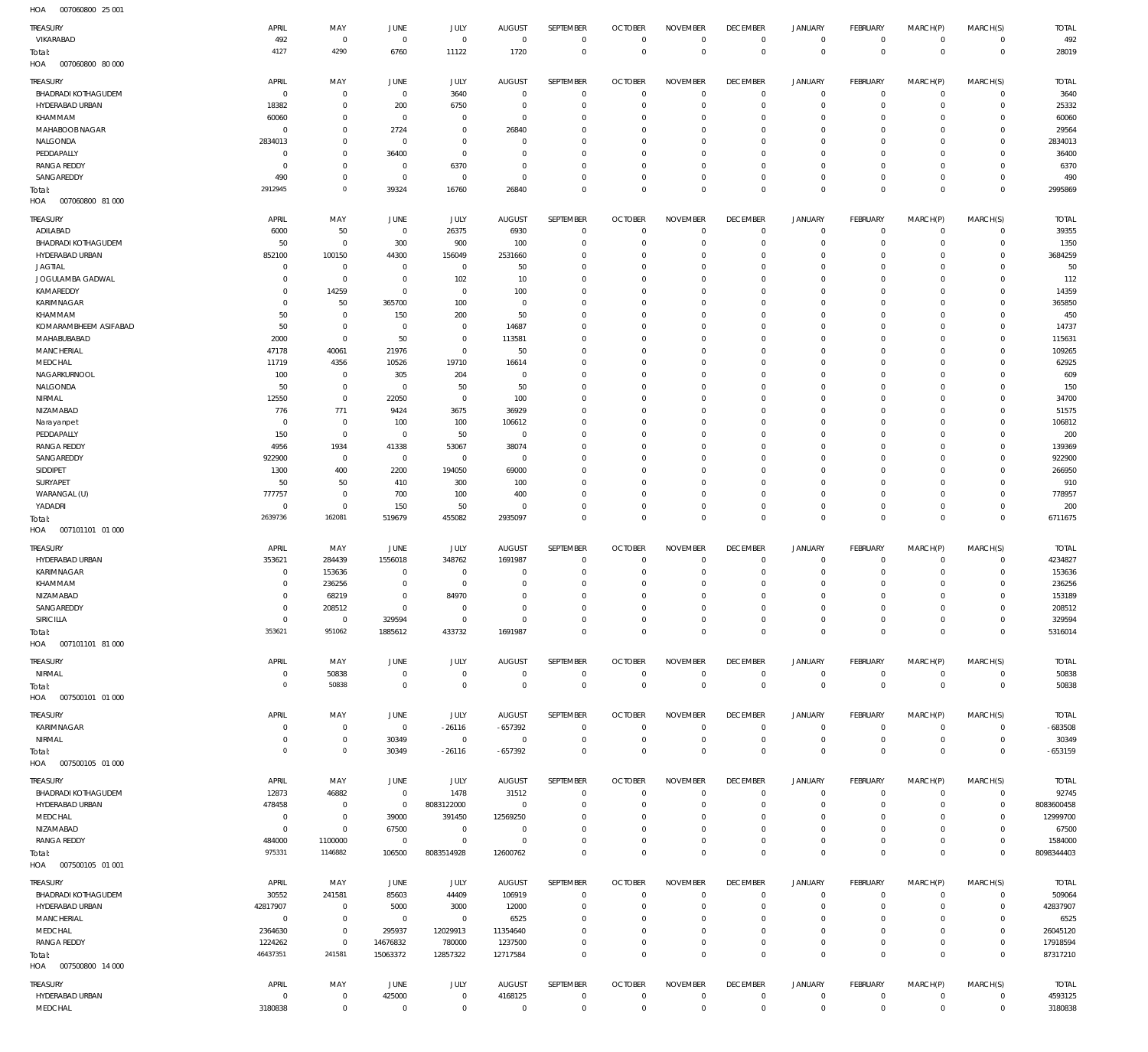007060800 25 001 HOA

| TREASURY                                       | APRIL                     | MAY                         | JUNE                     | JULY                       | <b>AUGUST</b>             | SEPTEMBER                  | <b>OCTOBER</b>                   | <b>NOVEMBER</b>                | <b>DECEMBER</b>                  | <b>JANUARY</b>                | FEBRUARY                         | MARCH(P)                   | MARCH(S)                       | <b>TOTAL</b>          |
|------------------------------------------------|---------------------------|-----------------------------|--------------------------|----------------------------|---------------------------|----------------------------|----------------------------------|--------------------------------|----------------------------------|-------------------------------|----------------------------------|----------------------------|--------------------------------|-----------------------|
| VIKARABAD<br>Total:<br>HOA<br>007060800 80 000 | 492<br>4127               | $^{\circ}$<br>4290          | $\overline{0}$<br>6760   | $\mathbf 0$<br>11122       | $\mathbf{0}$<br>1720      | $\mathbf 0$<br>$\mathbf 0$ | $\mathbf 0$<br>$\overline{0}$    | $\mathbf 0$<br>$\mathbf 0$     | $\mathbf 0$<br>$\mathbf 0$       | $\mathbf 0$<br>$\mathbf 0$    | $\mathbf{0}$<br>$\overline{0}$   | $\mathbf 0$<br>$\mathbf 0$ | $\mathbf{0}$<br>$\overline{0}$ | 492<br>28019          |
| TREASURY                                       | APRIL                     | MAY                         | JUNE                     | JULY                       | <b>AUGUST</b>             | <b>SEPTEMBER</b>           | <b>OCTOBER</b>                   | <b>NOVEMBER</b>                | <b>DECEMBER</b>                  | <b>JANUARY</b>                | FEBRUARY                         | MARCH(P)                   | MARCH(S)                       | <b>TOTAL</b>          |
| <b>BHADRADI KOTHAGUDEM</b><br>HYDERABAD URBAN  | $^{\circ}$<br>18382       | $^{\circ}$<br>$\mathbf 0$   | $\overline{0}$<br>200    | 3640<br>6750               | $^{\circ}$<br>$^{\circ}$  | $\mathbf 0$<br>$\mathbf 0$ | $\mathbf 0$<br>$\mathbf 0$       | $\mathbf 0$<br>$\mathbf 0$     | $\mathbf 0$<br>$\mathbf 0$       | $\mathbf 0$<br>$\mathbf 0$    | $\mathbf{0}$<br>$\mathbf{0}$     | $\mathbf 0$<br>$\mathbf 0$ | $^{\circ}$<br>$\mathbf{0}$     | 3640<br>25332         |
| KHAMMAM                                        | 60060                     | $\mathbf 0$                 | 0                        | $^{\circ}$                 | $^{\circ}$                | $\mathbf 0$                | $\mathbf 0$                      | $\mathbf 0$                    | $\mathbf 0$                      | $\mathbf 0$                   | $\mathbf 0$                      | $\Omega$                   | $\mathbf 0$                    | 60060                 |
| MAHABOOB NAGAR                                 | $^{\circ}$                | $\mathbf 0$                 | 2724                     | $^{\circ}$                 | 26840                     | $\mathbf 0$                | $\mathbf 0$                      | $\mathbf 0$                    | $\mathbf 0$                      | $\mathbf 0$                   | $\circ$                          | $\Omega$                   | $\mathbf 0$                    | 29564                 |
| NALGONDA                                       | 2834013                   | $\mathbf 0$                 | 0                        | $^{\circ}$                 | $^{\circ}$                | $\mathbf 0$                | $\mathbf 0$                      | $\mathbf 0$                    | $\mathbf 0$                      | $\mathbf 0$                   | $\mathbf 0$                      | $\Omega$                   | $\mathbf 0$                    | 2834013               |
| PEDDAPALLY                                     | $^{\circ}$                | $\mathbf 0$                 | 36400                    | $\mathbf 0$                | $^{\circ}$                | $\mathbf 0$                | $\mathbf 0$                      | $\mathbf 0$                    | $\mathbf 0$                      | $\mathbf 0$                   | $\circ$                          | $\Omega$                   | $\mathbf 0$                    | 36400                 |
| <b>RANGA REDDY</b>                             | $^{\circ}$                | $\mathbf 0$                 | 0                        | 6370                       | $^{\circ}$                | $\mathbf 0$                | $\mathbf 0$                      | $\mathbf 0$                    | $\mathbf 0$                      | $\mathbf 0$                   | $\mathbf 0$                      | $\Omega$                   | $\mathbf 0$                    | 6370                  |
| SANGAREDDY<br>Total:                           | 490<br>2912945            | $\mathbf 0$<br>$\mathbb O$  | 0<br>39324               | $^{\circ}$<br>16760        | $^{\circ}$<br>26840       | $\mathbf 0$<br>$\mathbf 0$ | $\mathbf 0$<br>$\mathbf 0$       | $\mathbf 0$<br>$\mathbf 0$     | $\mathbf 0$<br>$\mathbf 0$       | $\mathbf 0$<br>$\mathbf 0$    | $\mathbf 0$<br>$\overline{0}$    | $\mathbf 0$<br>$\Omega$    | $^{\circ}$<br>$\mathbf 0$      | 490<br>2995869        |
| HOA<br>007060800 81 000                        |                           |                             |                          |                            |                           |                            |                                  |                                |                                  |                               |                                  |                            |                                |                       |
| TREASURY                                       | APRIL                     | MAY                         | <b>JUNE</b>              | JULY                       | <b>AUGUST</b>             | SEPTEMBER                  | <b>OCTOBER</b>                   | <b>NOVEMBER</b>                | <b>DECEMBER</b>                  | <b>JANUARY</b>                | FEBRUARY                         | MARCH(P)                   | MARCH(S)                       | <b>TOTAL</b>          |
| ADILABAD                                       | 6000                      | 50                          | $^{\circ}$               | 26375                      | 6930                      | $\mathbf 0$                | $\mathbf 0$                      | $\mathbf 0$                    | $\mathbf 0$                      | $\mathbf 0$                   | $^{\circ}$                       | $\mathbf 0$                | $^{\circ}$                     | 39355                 |
| BHADRADI KOTHAGUDEM                            | 50                        | $\mathbf 0$                 | 300                      | 900                        | 100                       | $\mathbf 0$                | $\mathbf 0$                      | $\mathbf 0$                    | $\mathbf 0$                      | $\mathbf 0$                   | $\mathbf 0$                      | $\mathbf 0$                | $\mathbf 0$                    | 1350                  |
| HYDERABAD URBAN                                | 852100                    | 100150                      | 44300                    | 156049                     | 2531660                   | $\mathbf 0$                | $\mathbf 0$                      | $\mathbf 0$                    | $\mathbf 0$                      | $\mathbf 0$                   | $\mathbf 0$                      | $\Omega$                   | $^{\circ}$                     | 3684259               |
| <b>JAGTIAL</b>                                 | $^{\circ}$                | $^{\circ}$                  | $^{\circ}$               | $\mathbf 0$                | 50                        | $\mathbf 0$                | $\mathbf 0$                      | $\Omega$                       | $\mathbf 0$                      | $\mathbf 0$                   | $\mathbf 0$                      | 0                          | $\mathbf 0$                    | 50                    |
| JOGULAMBA GADWAL                               | $^{\circ}$                | $\mathbf 0$                 | $^{\circ}$               | 102                        | 10                        | $\mathbf 0$                | 0                                | $\Omega$                       | $\mathbf 0$                      | $\mathbf 0$                   | $\mathbf 0$                      | 0                          | $\mathbf 0$                    | 112                   |
| KAMAREDDY<br>KARIMNAGAR                        | 0<br>0                    | 14259<br>50                 | $^{\circ}$<br>365700     | $\mathbf 0$<br>100         | 100<br>$^{\circ}$         | $\mathbf 0$<br>$\mathbf 0$ | $\mathbf 0$<br>$\mathbf 0$       | 0<br>$\Omega$                  | $\mathbf 0$<br>$\mathbf 0$       | $\mathbf 0$<br>$\mathbf 0$    | $\mathbf 0$<br>$\Omega$          | 0<br>0                     | $\mathbf 0$<br>$\mathbf 0$     | 14359<br>365850       |
| KHAMMAM                                        | 50                        | $\mathbf 0$                 | 150                      | 200                        | 50                        | $\mathbf 0$                | $\mathbf 0$                      | $\Omega$                       | $\mathbf 0$                      | $\mathbf 0$                   | $\mathbf 0$                      | 0                          | $\mathbf 0$                    | 450                   |
| KOMARAMBHEEM ASIFABAD                          | 50                        | $\mathbf 0$                 | $^{\circ}$               | $^{\circ}$                 | 14687                     | $\mathbf 0$                | 0                                | 0                              | $\mathbf 0$                      | $\mathbf 0$                   | $\mathbf 0$                      | 0                          | $\mathbf 0$                    | 14737                 |
| MAHABUBABAD                                    | 2000                      | $\mathbf 0$                 | 50                       | $\mathbf 0$                | 113581                    | $\mathbf 0$                | $\mathbf 0$                      | $\Omega$                       | $\mathbf 0$                      | $\mathbf 0$                   | $\mathbf 0$                      | 0                          | $\mathbf 0$                    | 115631                |
| MANCHERIAL                                     | 47178                     | 40061                       | 21976                    | $\mathbf 0$                | 50                        | $\mathbf 0$                | 0                                | 0                              | $\mathbf 0$                      | $\mathbf 0$                   | $\mathbf 0$                      | 0                          | $\mathbf 0$                    | 109265                |
| MEDCHAL                                        | 11719                     | 4356                        | 10526                    | 19710                      | 16614                     | $\mathbf 0$                | $\mathbf 0$                      | $\Omega$                       | $\mathbf 0$                      | $\Omega$                      | $\Omega$                         | 0                          | $\mathbf 0$                    | 62925                 |
| NAGARKURNOOL<br>NALGONDA                       | 100<br>50                 | $\mathbf 0$<br>$\mathbf 0$  | 305<br>0                 | 204<br>50                  | $^{\circ}$<br>50          | $\mathbf 0$<br>$\mathbf 0$ | 0<br>$\mathbf 0$                 | $\mathbf 0$<br>$\Omega$        | $\mathbf 0$<br>$\mathbf 0$       | $\mathbf 0$<br>0              | $\mathbf 0$<br>$\Omega$          | 0                          | $\mathbf 0$<br>$\mathbf 0$     | 609<br>150            |
| NIRMAL                                         | 12550                     | $\mathbf 0$                 | 22050                    | $\mathbf 0$                | 100                       | $\mathbf 0$                | $\mathbf 0$                      | $\mathbf 0$                    | $\mathbf 0$                      | $\mathbf 0$                   | $\mathbf 0$                      | 0                          | $\mathbf 0$                    | 34700                 |
| NIZAMABAD                                      | 776                       | 771                         | 9424                     | 3675                       | 36929                     | $\mathbf 0$                | $\mathbf 0$                      | $\Omega$                       | $\mathbf 0$                      | 0                             | $\mathbf 0$                      | 0                          | $\mathbf 0$                    | 51575                 |
| Narayanpet                                     | $^{\circ}$                | $\mathbf 0$                 | 100                      | 100                        | 106612                    | $\mathbf 0$                | $\mathbf 0$                      | $\Omega$                       | $\mathbf 0$                      | $\mathbf 0$                   | $\mathbf 0$                      | 0                          | $\mathbf 0$                    | 106812                |
| PEDDAPALLY                                     | 150                       | $\mathbf 0$                 | 0                        | 50                         | $^{\circ}$                | $\mathbf 0$                | $\mathbf 0$                      | 0                              | $\mathbf 0$                      | $\mathbf 0$                   | $\mathbf 0$                      | 0                          | $\mathbf 0$                    | 200                   |
| <b>RANGA REDDY</b><br>SANGAREDDY               | 4956                      | 1934                        | 41338                    | 53067                      | 38074                     | $\mathbf 0$                | $\mathbf 0$                      | $\Omega$<br>$\Omega$           | $\mathbf 0$                      | $\mathbf 0$                   | $\Omega$                         | 0                          | $\mathbf 0$                    | 139369                |
| SIDDIPET                                       | 922900<br>1300            | $\mathbf 0$<br>400          | $^{\circ}$<br>2200       | $\mathbf 0$<br>194050      | $^{\circ}$<br>69000       | $\mathbf 0$<br>$\mathbf 0$ | $\mathbf 0$<br>0                 | 0                              | $\mathbf 0$<br>$\mathbf 0$       | $\mathbf 0$<br>$\mathbf 0$    | $\mathbf 0$<br>$\Omega$          | 0<br>0                     | $\mathbf 0$<br>$\mathbf 0$     | 922900<br>266950      |
| SURYAPET                                       | 50                        | 50                          | 410                      | 300                        | 100                       | $\mathbf 0$                | $\mathbf 0$                      | 0                              | $\mathbf 0$                      | $\mathbf 0$                   | $\mathbf 0$                      | 0                          | $\mathbf 0$                    | 910                   |
| WARANGAL (U)                                   | 777757                    | $\mathbf 0$                 | 700                      | 100                        | 400                       | $\mathbf 0$                | 0                                | $\mathbf 0$                    | $\mathbf 0$                      | $\mathbf 0$                   | $\mathbf 0$                      | 0                          | $\mathbf 0$                    | 778957                |
| YADADRI                                        | $^{\circ}$                | $\mathbf 0$                 | 150                      | 50                         | $^{\circ}$                | $\mathbf 0$                | $\mathbf 0$                      | 0                              | $\mathbf 0$                      | $\mathbf 0$                   | $\mathbf 0$                      | $\Omega$                   | $\mathbf 0$                    | 200                   |
| Total:                                         | 2639736                   | 162081                      | 519679                   | 455082                     | 2935097                   | $\mathbf 0$                | $\mathbf 0$                      | $\mathbf 0$                    | $\mathbf 0$                      | $\mathbf 0$                   | $\overline{0}$                   | $\mathbf 0$                | $\mathbf 0$                    | 6711675               |
| HOA<br>007101101 01 000                        |                           |                             |                          |                            |                           |                            |                                  |                                |                                  |                               |                                  |                            |                                |                       |
| TREASURY                                       | APRIL                     | MAY                         | JUNE                     | JULY                       | <b>AUGUST</b>             | <b>SEPTEMBER</b>           | <b>OCTOBER</b>                   | <b>NOVEMBER</b>                | <b>DECEMBER</b>                  | <b>JANUARY</b>                | FEBRUARY                         | MARCH(P)                   | MARCH(S)                       | <b>TOTAL</b>          |
| HYDERABAD URBAN                                | 353621                    | 284439                      | 1556018                  | 348762                     | 1691987                   | $\mathbf 0$                | $\mathbf 0$                      | $\mathbf 0$                    | $\mathbf 0$                      | $\mathbf 0$                   | $\mathbf 0$                      | $\mathbf 0$                | $\mathbf{0}$                   | 4234827               |
| KARIMNAGAR<br>KHAMMAM                          | $^{\circ}$<br>0           | 153636<br>236256            | $^{\circ}$<br>$^{\circ}$ | $^{\circ}$<br>$^{\circ}$   | $^{\circ}$<br>$^{\circ}$  | $\mathbf 0$<br>$\mathbf 0$ | $\mathbf 0$<br>$\mathbf 0$       | $\mathbf 0$<br>$\mathbf 0$     | $\mathbf 0$<br>$\mathbf 0$       | $\mathbf 0$<br>$\mathbf 0$    | $^{\circ}$<br>$\circ$            | $\mathbf 0$<br>$\mathbf 0$ | $\mathbf 0$<br>$\mathbf 0$     | 153636<br>236256      |
| NIZAMABAD                                      | $^{\circ}$                | 68219                       | $\mathbf 0$              | 84970                      | $\mathbf{0}$              | $\mathbf 0$                | $\mathbf 0$                      | $\mathbf 0$                    | $\mathbf 0$                      | $\mathbf 0$                   | $\mathbf{0}$                     | $\Omega$                   | $\mathbf{0}$                   | 153189                |
| SANGAREDDY                                     | $\Omega$                  | 208512                      | $\Omega$                 | $\Omega$                   | $\Omega$                  | $\Omega$                   | $\Omega$                         | $\Omega$                       | $\Omega$                         | $\Omega$                      | $\Omega$                         | $\Omega$                   | $\Omega$                       | 208512                |
| SIRICILLA                                      | $\mathbf 0$               | $\mathbf 0$                 | 329594                   | $\mathbf 0$                | $\mathbf 0$               | $\mathbf 0$                | $\mathbf{0}$                     | $\mathbf 0$                    | $\mathbf 0$                      | $\mathbf 0$                   | $\circ$                          | $\mathbf 0$                | $\mathbf{0}$                   | 329594                |
| Total:                                         | 353621                    | 951062                      | 1885612                  | 433732                     | 1691987                   | $\mathbf 0$                | $\mathbf{0}$                     | $\mathbf 0$                    | $\mathbf 0$                      | $\mathbf 0$                   | $\overline{0}$                   | $\mathbf 0$                | $\overline{0}$                 | 5316014               |
| HOA   007101101   81   000                     |                           |                             |                          |                            |                           |                            |                                  |                                |                                  |                               |                                  |                            |                                |                       |
| TREASURY                                       | APRIL                     | MAY                         | JUNE                     | JULY                       | <b>AUGUST</b>             | SEPTEMBER                  | <b>OCTOBER</b>                   | <b>NOVEMBER</b>                | <b>DECEMBER</b>                  | <b>JANUARY</b>                | FEBRUARY                         | MARCH(P)                   | MARCH(S)                       | <b>TOTAL</b>          |
| NIRMAL                                         | $^{\circ}$                | 50838                       | $\overline{0}$           | $\mathbb O$                | $\mathbf 0$               | $\mathbf 0$                | $\mathbf 0$                      | $\mathbf 0$                    | $\overline{0}$                   | $\overline{0}$                | $\mathbf{0}$                     | $\mathbf 0$                | $\circ$                        | 50838                 |
| Total:                                         | $\overline{0}$            | 50838                       | $\overline{0}$           | $\mathbf 0$                | $\mathbf 0$               | $\mathbf 0$                | $\overline{0}$                   | $\mathbf 0$                    | $\mathbf 0$                      | $\mathbb O$                   | $\overline{0}$                   | $\mathbf 0$                | $\overline{0}$                 | 50838                 |
| HOA<br>007500101 01 000                        |                           |                             |                          |                            |                           |                            |                                  |                                |                                  |                               |                                  |                            |                                |                       |
| TREASURY                                       | APRIL                     | MAY                         | JUNE                     | JULY                       | <b>AUGUST</b>             | <b>SEPTEMBER</b>           | <b>OCTOBER</b>                   | <b>NOVEMBER</b>                | <b>DECEMBER</b>                  | <b>JANUARY</b>                | FEBRUARY                         | MARCH(P)                   | MARCH(S)                       | <b>TOTAL</b>          |
| KARIMNAGAR                                     | $^{\circ}$                | $\mathbf 0$                 | $\overline{0}$           | $-26116$                   | $-657392$                 | $\bf 0$                    | $\overline{0}$                   | $\mathbf 0$                    | $\overline{0}$                   | $\mathbf 0$                   | $\mathbf{0}$                     | $\mathbf 0$                | $\mathbf{0}$                   | $-683508$             |
| NIRMAL                                         | $^{\circ}$<br>$\mathbf 0$ | $\mathbf{0}$<br>$\mathbb O$ | 30349<br>30349           | $\overline{0}$<br>$-26116$ | $\mathbf{0}$<br>$-657392$ | $\mathbf 0$<br>$\mathbf 0$ | $\overline{0}$<br>$\overline{0}$ | $\mathbf 0$<br>$\mathbf 0$     | $\overline{0}$<br>$\overline{0}$ | $\mathbf 0$<br>$\mathbf 0$    | $\overline{0}$<br>$\overline{0}$ | $\mathbf 0$<br>$\mathbf 0$ | $\mathbf{0}$<br>$\overline{0}$ | 30349<br>$-653159$    |
| Total:<br>007500105 01 000<br>HOA              |                           |                             |                          |                            |                           |                            |                                  |                                |                                  |                               |                                  |                            |                                |                       |
|                                                |                           |                             |                          |                            |                           |                            |                                  |                                |                                  |                               |                                  |                            |                                |                       |
| TREASURY<br><b>BHADRADI KOTHAGUDEM</b>         | APRIL<br>12873            | MAY<br>46882                | JUNE<br>$\overline{0}$   | JULY<br>1478               | <b>AUGUST</b><br>31512    | SEPTEMBER<br>$\mathbf 0$   | <b>OCTOBER</b><br>$\overline{0}$ | <b>NOVEMBER</b><br>$\mathbf 0$ | <b>DECEMBER</b><br>$\mathbf 0$   | <b>JANUARY</b><br>$\mathbf 0$ | FEBRUARY<br>$\mathbf{0}$         | MARCH(P)<br>$\mathbf 0$    | MARCH(S)<br>$\mathbf{0}$       | <b>TOTAL</b><br>92745 |
| HYDERABAD URBAN                                | 478458                    | $\mathbf 0$                 | $\overline{0}$           | 8083122000                 | $^{\circ}$                | $\mathbf 0$                | $\mathbf 0$                      | $\mathbf 0$                    | $\mathbf 0$                      | $\mathbf 0$                   | $\mathbf 0$                      | $\mathbf 0$                | $\mathbf{0}$                   | 8083600458            |
| MEDCHAL                                        | $\mathbf 0$               | $\mathbf 0$                 | 39000                    | 391450                     | 12569250                  | $\mathbf 0$                | $\mathbf 0$                      | $\mathbf 0$                    | $\mathbf 0$                      | $\mathbf 0$                   | $\mathbf 0$                      | $\mathbf 0$                | $^{\circ}$                     | 12999700              |
| NIZAMABAD                                      | $\mathbf 0$               | $\mathbf 0$                 | 67500                    | $\mathbf 0$                | $\mathbf{0}$              | $\mathbf 0$                | $\mathbf 0$                      | $\mathbf 0$                    | $\mathbf 0$                      | $\mathbf 0$                   | $\mathbf 0$                      | $\mathbf 0$                | $^{\circ}$                     | 67500                 |
| <b>RANGA REDDY</b>                             | 484000                    | 1100000                     | $\overline{0}$           | $\mathbf 0$                | $\mathbf 0$               | $\mathbf 0$                | $\mathbf 0$                      | $\mathbf 0$                    | $\mathbf 0$                      | $\mathbf 0$                   | $\mathbf 0$                      | $\mathbf 0$                | $\mathbf 0$                    | 1584000               |
| Total:                                         | 975331                    | 1146882                     | 106500                   | 8083514928                 | 12600762                  | $\mathbf 0$                | $\mathbf 0$                      | $\mathbf 0$                    | $\mathbf 0$                      | $\mathbf 0$                   | $\overline{0}$                   | $\mathbf 0$                | $\overline{0}$                 | 8098344403            |
| HOA  007500105  01  001                        |                           |                             |                          |                            |                           |                            |                                  |                                |                                  |                               |                                  |                            |                                |                       |
| TREASURY                                       | APRIL                     | MAY                         | <b>JUNE</b>              | JULY                       | <b>AUGUST</b>             | SEPTEMBER                  | <b>OCTOBER</b>                   | <b>NOVEMBER</b>                | <b>DECEMBER</b>                  | <b>JANUARY</b>                | FEBRUARY                         | MARCH(P)                   | MARCH(S)                       | <b>TOTAL</b>          |
| <b>BHADRADI KOTHAGUDEM</b>                     | 30552                     | 241581<br>$\mathbf 0$       | 85603                    | 44409                      | 106919                    | $\mathbf 0$<br>$\mathbf 0$ | $\mathbf 0$<br>$\mathbf 0$       | $\mathbf 0$<br>$\mathbf 0$     | $\mathbf 0$<br>$\mathbf 0$       | $\mathbf 0$<br>$\mathbf 0$    | $\mathbf{0}$<br>$\mathbf{0}$     | $\mathbf 0$<br>$\mathbf 0$ | $\mathbf{0}$<br>$\mathbf{0}$   | 509064<br>42837907    |
| HYDERABAD URBAN<br>MANCHERIAL                  | 42817907<br>$\mathbf 0$   | $\mathbf 0$                 | 5000<br>$\overline{0}$   | 3000<br>$\mathbb O$        | 12000<br>6525             | $\mathbf 0$                | $\mathbf 0$                      | $\mathbf 0$                    | $\mathbf 0$                      | $\mathbf 0$                   | $^{\circ}$                       | $\mathbf 0$                | $\mathbf{0}$                   | 6525                  |
| MEDCHAL                                        | 2364630                   | $\mathbb O$                 | 295937                   | 12029913                   | 11354640                  | $\mathbf 0$                | $\mathbf 0$                      | $\mathbf 0$                    | $\mathbf 0$                      | $\mathbf 0$                   | $\mathbf 0$                      | $\mathbf 0$                | $\mathbf{0}$                   | 26045120              |
| <b>RANGA REDDY</b>                             | 1224262                   | $\mathbf 0$                 | 14676832                 | 780000                     | 1237500                   | $\mathbf 0$                | $\mathbf 0$                      | $\mathbf 0$                    | $\mathbf 0$                      | $\mathbf 0$                   | $\mathbf{0}$                     | $\mathbf 0$                | $\mathbf{0}$                   | 17918594              |
| Total:                                         | 46437351                  | 241581                      | 15063372                 | 12857322                   | 12717584                  | $\mathbf 0$                | $\mathbf 0$                      | $\mathbf 0$                    | $\overline{0}$                   | $\mathbf 0$                   | $\overline{0}$                   | $\mathbf 0$                | $\overline{0}$                 | 87317210              |
| HOA   007500800  14 000                        |                           |                             |                          |                            |                           |                            |                                  |                                |                                  |                               |                                  |                            |                                |                       |
| TREASURY                                       | APRIL                     | MAY                         | JUNE                     | JULY                       | <b>AUGUST</b>             | SEPTEMBER                  | <b>OCTOBER</b>                   | <b>NOVEMBER</b>                | <b>DECEMBER</b>                  | <b>JANUARY</b>                | FEBRUARY                         | MARCH(P)                   | MARCH(S)                       | <b>TOTAL</b>          |
| HYDERABAD URBAN                                | $\mathbf 0$               | $\mathbf 0$                 | 425000                   | $\mathbf 0$                | 4168125                   | $\mathbf 0$                | $\mathbf 0$                      | $\mathbf 0$                    | $\mathbf 0$                      | $\mathbf 0$                   | $\mathbf{0}$                     | $\mathbf 0$                | $\mathbf{0}$                   | 4593125               |
| MEDCHAL                                        | 3180838                   | $\mathsf 0$                 | $\overline{0}$           | $\mathsf{O}\xspace$        | $\,0\,$                   | $\mathbb O$                | $\mathbf 0$                      | $\mathbf 0$                    | $\mathbf 0$                      | $\mathsf{O}\xspace$           | $\circ$                          | $\mathbf 0$                | $\mathbf{0}$                   | 3180838               |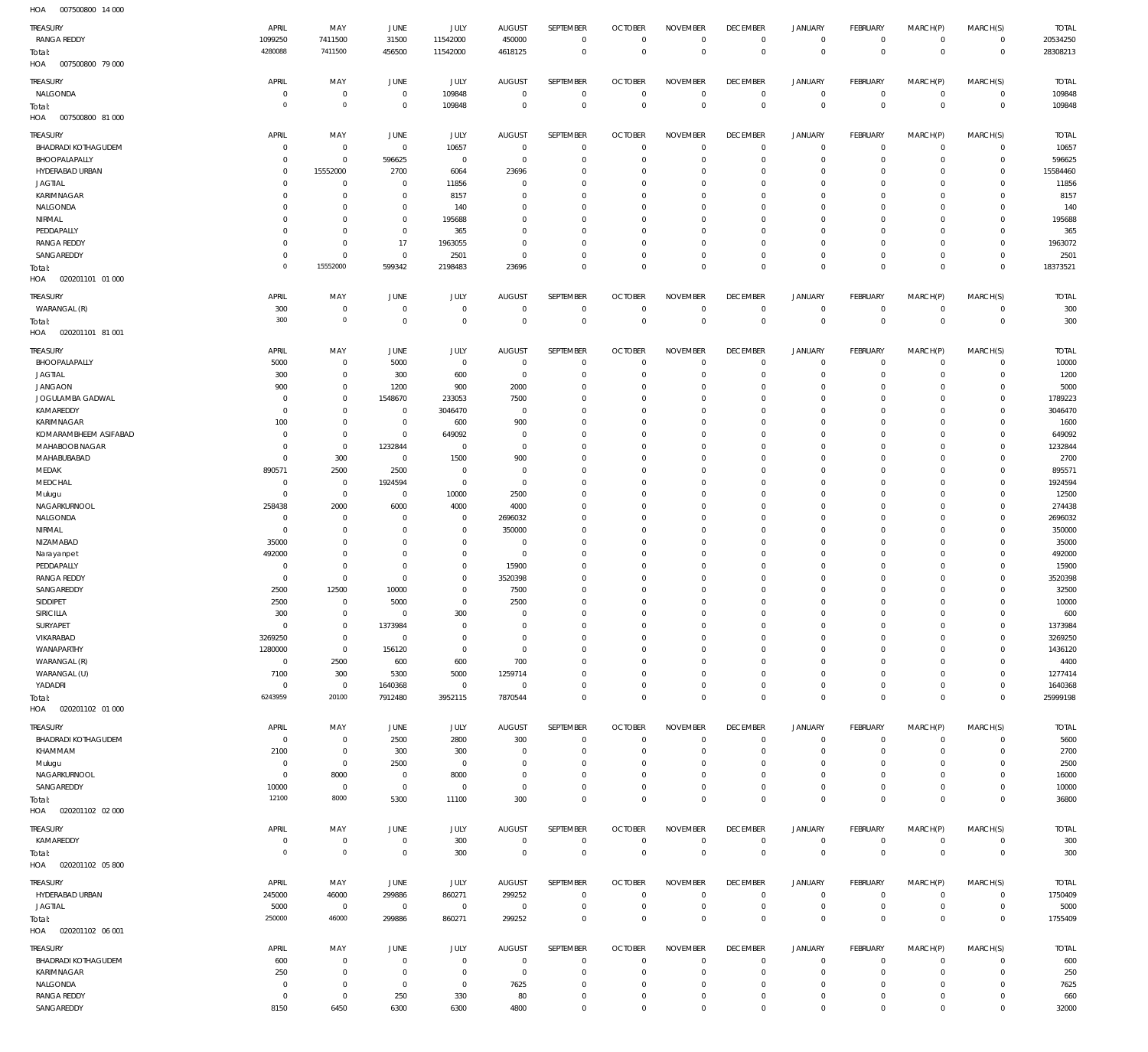007500800 14 000 HOA

| $\cdots$<br><b>OUTSOUGHOU</b><br>$1 + 000$ |                     |                            |                |                |                               |                        |                               |                                |                                  |                               |                                  |                         |                |              |
|--------------------------------------------|---------------------|----------------------------|----------------|----------------|-------------------------------|------------------------|-------------------------------|--------------------------------|----------------------------------|-------------------------------|----------------------------------|-------------------------|----------------|--------------|
| TREASURY                                   | APRIL               | MAY                        | JUNE           | JULY           | <b>AUGUST</b>                 | SEPTEMBER              | <b>OCTOBER</b>                | <b>NOVEMBER</b>                | <b>DECEMBER</b>                  | <b>JANUARY</b>                | FEBRUARY                         | MARCH(P)                | MARCH(S)       | <b>TOTAL</b> |
| <b>RANGA REDDY</b>                         | 1099250             | 7411500                    | 31500          | 11542000       | 450000                        | $\mathbf 0$            | $\mathbf{0}$                  | $\mathbf 0$                    | $\mathbf 0$                      | $\overline{0}$                | $\circ$                          | $\mathbf 0$             | $\overline{0}$ | 20534250     |
| Total:                                     | 4280088             | 7411500                    | 456500         | 11542000       | 4618125                       | $\mathbf 0$            | $\overline{0}$                | $\overline{0}$                 | $\mathbf 0$                      | $\mathbf 0$                   | $\overline{0}$                   | $\mathbf 0$             | $\,0\,$        | 28308213     |
| HOA<br>007500800 79 000                    |                     |                            |                |                |                               |                        |                               |                                |                                  |                               |                                  |                         |                |              |
| TREASURY                                   | APRIL               | MAY                        | <b>JUNE</b>    | JULY           | <b>AUGUST</b>                 | SEPTEMBER              | <b>OCTOBER</b>                | <b>NOVEMBER</b>                | <b>DECEMBER</b>                  | <b>JANUARY</b>                | FEBRUARY                         | MARCH(P)                | MARCH(S)       | <b>TOTAL</b> |
| NALGONDA                                   | 0                   | $\mathbb O$                | $\overline{0}$ | 109848         | $\overline{0}$                | 0                      | $\overline{0}$                | 0                              | $\overline{0}$                   | $\overline{0}$                | $\overline{0}$                   | 0                       | $\overline{0}$ | 109848       |
| Total:                                     | $\overline{0}$      | $\mathbf 0$                | $\overline{0}$ | 109848         | $\overline{0}$                | $\mathbf 0$            | $\overline{0}$                | $\bf 0$                        | $\overline{0}$                   | $\bf 0$                       | $\overline{0}$                   | $\mathbf 0$             | $\overline{0}$ | 109848       |
| HOA<br>007500800 81 000                    |                     |                            |                |                |                               |                        |                               |                                |                                  |                               |                                  |                         |                |              |
|                                            |                     |                            |                |                |                               |                        |                               |                                |                                  |                               |                                  |                         |                |              |
| TREASURY                                   | APRIL               | MAY                        | <b>JUNE</b>    | JULY           | <b>AUGUST</b>                 | SEPTEMBER              | <b>OCTOBER</b>                | <b>NOVEMBER</b>                | <b>DECEMBER</b>                  | <b>JANUARY</b>                | FEBRUARY                         | MARCH(P)                | MARCH(S)       | <b>TOTAL</b> |
| <b>BHADRADI KOTHAGUDEM</b>                 | $^{\circ}$          | $\mathbf 0$                | $\mathbf 0$    | 10657          | $\mathbf{0}$                  | $\mathbf 0$            | $\overline{0}$                | $\Omega$                       | $\mathbf 0$                      | $\overline{0}$                | $\overline{0}$                   | $\mathbf 0$             | $\circ$        | 10657        |
| BHOOPALAPALLY                              | 0                   | $\mathbf 0$                | 596625         | $\mathbf 0$    | $^{\circ}$                    | $\mathbf 0$            | $\mathbf 0$                   | $\Omega$                       | $\mathbf 0$                      | $\mathbf 0$                   | $\mathbf 0$                      | $\Omega$                | $\circ$        | 596625       |
| HYDERABAD URBAN                            | $^{\circ}$          | 15552000                   | 2700           | 6064           | 23696                         | $\mathbf 0$            | $\mathbf 0$                   | $\Omega$                       | $\mathbf 0$                      | $\mathbf 0$                   | $\mathbf 0$                      | $\Omega$                | $\mathbf{0}$   | 15584460     |
| <b>JAGTIAL</b>                             | 0                   | $\mathbf 0$                | $\mathbf 0$    | 11856          | 0                             | $\mathbf 0$            | $\mathbf 0$                   | $\mathbf 0$                    | $\mathbf 0$                      | $\mathbf 0$                   | $\mathbf 0$                      | $\Omega$                | $\mathbf 0$    | 11856        |
| KARIMNAGAR                                 | 0                   | $\mathbb O$                | $^{\circ}$     | 8157           | 0                             | $\mathbf 0$            | $\mathbf 0$                   | $\Omega$                       | $\mathbf 0$                      | $\mathbf 0$                   | $\mathbf 0$                      | $\Omega$                | $\mathbf 0$    | 8157         |
| NALGONDA                                   | $^{\circ}$          | $\mathbf 0$                | $\mathbf 0$    | 140            | $\mathbf{0}$                  | $\mathbf 0$            | $\mathbf 0$                   | $\mathbf 0$                    | $\mathbf 0$                      | $\mathbf 0$                   | $\mathbf 0$                      | $\Omega$                | $\mathbf 0$    | 140          |
| NIRMAL                                     | 0                   | $\mathbb O$                | $^{\circ}$     | 195688         | $\Omega$                      | $\mathbf 0$            | $\mathbf 0$                   | $\Omega$                       | $\mathbf 0$                      | $\mathbf 0$                   | $\mathbf 0$                      | $\Omega$                | $\mathbf 0$    | 195688       |
| PEDDAPALLY                                 | $\mathbf 0$         | $\mathbf 0$                | $\mathbb O$    | 365            | $\Omega$                      | $\mathbf 0$            | $\mathbf 0$                   | $\mathbf 0$                    | $\mathbf 0$                      | $\mathbf 0$                   | $\mathbf 0$                      | $\Omega$                | $\mathbf{0}$   | 365          |
| <b>RANGA REDDY</b>                         | $\mathbf 0$         | $\mathbb O$                | 17             | 1963055        | $^{\circ}$                    | $\mathbf 0$            | $\mathbf 0$                   | $\mathbf 0$                    | $\mathbf 0$                      | $\mathbf 0$                   | $\mathbf 0$                      | $\Omega$                | $\mathbf 0$    | 1963072      |
| SANGAREDDY                                 | $\mathbf 0$         | $\mathbf 0$                | $\circ$        | 2501           | $^{\circ}$                    | $\mathbf 0$            | $\mathbf 0$                   | $\mathbf 0$                    | $\mathbf 0$                      | $\mathbf 0$                   | $\mathbf 0$                      | $\mathbf 0$             | $\mathbf{0}$   | 2501         |
| Total:                                     | $\circ$             | 15552000                   | 599342         | 2198483        | 23696                         | $\mathbf 0$            | $\mathbf 0$                   | $\mathbf 0$                    | $\mathbf 0$                      | $\mathbf 0$                   | $\overline{0}$                   | $\mathbf 0$             | $\mathbf 0$    | 18373521     |
| HOA<br>020201101 01 000                    |                     |                            |                |                |                               |                        |                               |                                |                                  |                               |                                  |                         |                |              |
|                                            |                     |                            |                |                |                               |                        |                               |                                |                                  |                               |                                  |                         |                |              |
| TREASURY                                   | APRIL               | MAY                        | <b>JUNE</b>    | <b>JULY</b>    | <b>AUGUST</b>                 | SEPTEMBER              | <b>OCTOBER</b><br>$\mathbf 0$ | <b>NOVEMBER</b><br>$\mathbf 0$ | <b>DECEMBER</b>                  | <b>JANUARY</b>                | FEBRUARY                         | MARCH(P)<br>$\mathbf 0$ | MARCH(S)       | <b>TOTAL</b> |
| WARANGAL (R)                               | 300<br>300          | $\mathbf 0$<br>$\mathbf 0$ | $\circ$        | $\mathbf 0$    | $\mathbf 0$<br>$\overline{0}$ | $\bf 0$<br>$\mathbf 0$ | $\overline{0}$                | $\mathbf 0$                    | $\overline{0}$<br>$\overline{0}$ | $\overline{0}$                | $\overline{0}$<br>$\overline{0}$ | $\mathbf 0$             | $\overline{0}$ | 300          |
| Total:                                     |                     |                            | $\overline{0}$ | $\mathbf 0$    |                               |                        |                               |                                |                                  | $\bf 0$                       |                                  |                         | $\overline{0}$ | 300          |
| HOA<br>020201101 81 001                    |                     |                            |                |                |                               |                        |                               |                                |                                  |                               |                                  |                         |                |              |
| TREASURY                                   | APRIL               | MAY                        | <b>JUNE</b>    | <b>JULY</b>    | <b>AUGUST</b>                 | SEPTEMBER              | <b>OCTOBER</b>                | <b>NOVEMBER</b>                | <b>DECEMBER</b>                  | <b>JANUARY</b>                | FEBRUARY                         | MARCH(P)                | MARCH(S)       | <b>TOTAL</b> |
| BHOOPALAPALLY                              | 5000                | $\mathbf 0$                | 5000           | $\mathbf 0$    | $^{\circ}$                    | $\mathbf 0$            | $\mathbf 0$                   | $\Omega$                       | $\mathbf 0$                      | 0                             | $\mathbf 0$                      | $\mathbf 0$             | $\mathbf{0}$   | 10000        |
| <b>JAGTIAL</b>                             | 300                 | $\mathbf 0$                | 300            | 600            | $\mathbf{0}$                  | $\mathbf 0$            | $\mathbf 0$                   | $\mathbf 0$                    | $\mathbf 0$                      | $\mathbf 0$                   | $\mathbf{0}$                     | $\mathbf 0$             | $\mathbf{0}$   | 1200         |
| <b>JANGAON</b>                             | 900                 | $\mathbb O$                | 1200           | 900            | 2000                          | $\mathbf 0$            | $\mathbf 0$                   | $\mathbf 0$                    | $\mathbf 0$                      | $\mathbf 0$                   | $\mathbf 0$                      | $\Omega$                | $\mathbf 0$    | 5000         |
| JOGULAMBA GADWAL                           | $^{\circ}$          | $\mathbb O$                | 1548670        | 233053         | 7500                          | $\mathbf 0$            | $\mathbf 0$                   | $\mathbf 0$                    | $\mathbf 0$                      | $\mathbf 0$                   | $\mathbf 0$                      | $\Omega$                | $\mathbf 0$    | 1789223      |
| KAMAREDDY                                  | $\mathbf 0$         | $\mathbb O$                | $^{\circ}$     | 3046470        | $^{\circ}$                    | $\mathbf 0$            | $\mathbf 0$                   | $\Omega$                       | $\mathbf 0$                      | $\mathbf 0$                   | $\mathbf 0$                      | $\Omega$                | $\mathbf 0$    | 3046470      |
| KARIMNAGAR                                 | 100                 | $\mathbb O$                | $\overline{0}$ | 600            | 900                           | $\mathbf 0$            | $\mathbf 0$                   | $\Omega$                       | $\mathbf 0$                      | $\mathbf 0$                   | $\mathbf 0$                      | $\Omega$                | $\Omega$       | 1600         |
| KOMARAMBHEEM ASIFABAD                      | $^{\circ}$          | $\mathbb O$                | $\mathbf 0$    | 649092         | $\mathbf{0}$                  | $\mathbf 0$            | $\mathbf 0$                   | $\Omega$                       | $\mathbf 0$                      | $\mathbf 0$                   | $\mathbf 0$                      | $\Omega$                | $\mathbf 0$    | 649092       |
| MAHABOOB NAGAR                             | 0                   | $\mathbb O$                | 1232844        | $^{\circ}$     | $\mathbf{0}$                  | $\mathbf 0$            | $\mathbf 0$                   | $\Omega$                       | $\mathbf 0$                      | $\mathbf 0$                   | $\mathbf 0$                      | $\Omega$                | $\mathbf 0$    | 1232844      |
| MAHABUBABAD                                | $^{\circ}$          | 300                        | $\mathbf 0$    | 1500           | 900                           | $\mathbf 0$            | $\mathbf 0$                   | $\Omega$                       | $\mathbf 0$                      | $\mathbf 0$                   | $\mathbf 0$                      | $\Omega$                | $\mathbf 0$    | 2700         |
| MEDAK                                      | 890571              | 2500                       | 2500           | $\mathbf 0$    | $^{\circ}$                    | $\mathbf 0$            | $\mathbf 0$                   | $\mathbf 0$                    | $\mathbf 0$                      | $\mathbf 0$                   | $\mathbf 0$                      | $\Omega$                | $\mathbf 0$    | 895571       |
| MEDCHAL                                    | $^{\circ}$          | $\mathbf 0$                | 1924594        | $\mathbf 0$    | $\mathbf{0}$                  | $\mathbf 0$            | $\mathbf 0$                   | $\Omega$                       | $\mathbf 0$                      | $\mathbf 0$                   | $\mathbf 0$                      | $\Omega$                | $\mathbf 0$    | 1924594      |
| Mulugu                                     | $^{\circ}$          | $\mathbb O$                | $\mathbf 0$    | 10000          | 2500                          | $\mathbf 0$            | $\mathbf 0$                   | $\mathbf 0$                    | $\mathbf 0$                      | $\mathbf 0$                   | $\mathbf 0$                      | $\Omega$                | $\mathbf 0$    | 12500        |
| NAGARKURNOOL                               | 258438              | 2000                       | 6000           | 4000           | 4000                          | $\mathbf 0$            | $\mathbf 0$                   | $\Omega$                       | $\mathbf 0$                      | $\mathbf 0$                   | $\mathbf 0$                      | $\Omega$                | $\mathbf 0$    | 274438       |
| NALGONDA                                   | 0                   | $\mathbb O$                | $\mathbf 0$    | $\mathbf 0$    | 2696032                       | $\mathbf 0$            | $\mathbf 0$                   | $\mathbf 0$                    | $\mathbf 0$                      | $\mathbf 0$                   | $\mathbf 0$                      | $\Omega$                | $\mathbf 0$    | 2696032      |
| NIRMAL                                     | $^{\circ}$          | $\mathbb O$                | $^{\circ}$     | $\mathbf 0$    | 350000                        | $\mathbf 0$            | $\mathbf 0$                   | $\Omega$                       | $\mathbf 0$                      | $\mathbf 0$                   | $\mathbf 0$                      | $\Omega$                | $\mathbf 0$    | 350000       |
| NIZAMABAD                                  | 35000               | $\mathbf 0$                | $^{\circ}$     | $\mathbf 0$    | $\mathbf{0}$                  | $\mathbf 0$            | $\mathbf 0$                   | $\Omega$                       | $\mathbf 0$                      | $\mathbf 0$                   | $\mathbf 0$                      | $\Omega$                | $\mathbf 0$    | 35000        |
| Narayanpet                                 | 492000              | $\mathbb O$                | $^{\circ}$     | $\mathbf 0$    | $\mathbf 0$                   | $\mathbf 0$            | $\mathbf 0$                   | $\Omega$                       | $\mathbf 0$                      | $\mathbf 0$                   | $\mathbf 0$                      | $\Omega$                | $\mathbf 0$    | 492000       |
| PEDDAPALLY                                 | $^{\circ}$          | $\mathbb O$                | $^{\circ}$     | $\mathbf 0$    | 15900                         | $\mathbf 0$            | $\mathbf 0$                   | $\Omega$                       | $\mathbf 0$                      | $\mathbf 0$                   | $\mathbf 0$                      | $\Omega$                | $\mathbf 0$    | 15900        |
| <b>RANGA REDDY</b>                         | $^{\circ}$          | $\mathbb O$                | $\mathbf 0$    | $\mathbf 0$    | 3520398                       | $\mathbf 0$            | $\mathbf 0$                   | $\Omega$                       | $\mathbf 0$                      | $\mathbf 0$                   | $\mathbf 0$                      | $\Omega$                | $\mathbf 0$    | 3520398      |
| SANGAREDDY                                 | 2500                | 12500                      | 10000          | $\Omega$       | 7500                          | $\mathbf 0$            | $\mathbf 0$                   | $\Omega$                       | $\Omega$                         | $\mathbf 0$                   | $\Omega$                         | $\Omega$                | $\Omega$       | 32500        |
| SIDDIPET                                   | 2500                | $\mathbf 0$                | 5000           | $\Omega$       | 2500                          | $\Omega$               | $\Omega$                      | $\Omega$                       | $\Omega$                         | $\Omega$                      | $\Omega$                         | $\Omega$                | $\Omega$       | 10000        |
| SIRICILLA                                  | 300                 | 0                          | $^{\circ}$     | 300            | $\mathbf 0$                   | 0                      | 0                             | $\mathbf 0$                    | 0                                | $\mathsf{O}\xspace$           | $\mathbf{0}$                     | $\mathbf 0$             | $\circ$        | 600          |
| SURYAPET                                   | $\mathbf 0$         | $\mathbf 0$                | 1373984        | $^{\circ}$     | $\mathbf{0}$                  | $\mathbf 0$            | $\mathbf 0$                   | $\Omega$                       | $\mathbf 0$                      | $\mathbf 0$                   | $\mathbf 0$                      | $\mathbf 0$             | $\mathbf 0$    | 1373984      |
| VIKARABAD                                  | 3269250             | $\mathbf 0$                | $\overline{0}$ | $\mathbf 0$    | $\mathbf{0}$                  | $\mathbf 0$            | $\mathbf 0$                   | $\mathbf 0$                    | $\mathbf 0$                      | $\mathbf 0$                   | $^{\circ}$                       | $\mathbf 0$             | $\mathbf 0$    | 3269250      |
| WANAPARTHY                                 | 1280000             | $\mathbb O$                | 156120         | $\mathbf 0$    | $\mathbf{0}$                  | $\mathbf 0$            | $\mathbf 0$                   | $\Omega$                       | $\mathbf 0$                      | $\mathbf 0$                   | $^{\circ}$                       | $\Omega$                | $^{\circ}$     | 1436120      |
| WARANGAL (R)                               | $\mathbf 0$         | 2500                       | 600            | 600            | 700                           | $\mathbf 0$            | $\mathbf 0$                   | $\mathbf 0$                    | $\mathbf 0$                      | $\mathbf 0$                   | $^{\circ}$                       | $\Omega$                | $^{\circ}$     | 4400         |
| WARANGAL (U)                               | 7100                | 300                        | 5300           | 5000           | 1259714                       | $\mathbf 0$            | 0                             | $\Omega$                       | $\mathbf 0$                      | $\mathbf 0$                   | $^{\circ}$                       | $\Omega$                | $^{\circ}$     | 1277414      |
| YADADRI                                    | $\mathbf 0$         | $\overline{0}$             | 1640368        | $\mathbf 0$    | $\mathbb O$                   | $\mathbf 0$            | $\mathbf 0$                   | $\mathbf 0$                    | $\mathbf 0$                      | $\mathsf{O}\xspace$           | $\mathbf{0}$                     | $\mathbf 0$             | $\mathbf{0}$   | 1640368      |
|                                            | 6243959             | 20100                      | 7912480        | 3952115        | 7870544                       | $\mathbf 0$            | $\mathbf 0$                   | $\mathbf 0$                    | $\mathbf 0$                      | $\bf 0$                       | $\overline{0}$                   | $\mathbf 0$             | $\mathbf 0$    | 25999198     |
| Total:<br>HOA<br>020201102 01 000          |                     |                            |                |                |                               |                        |                               |                                |                                  |                               |                                  |                         |                |              |
|                                            |                     |                            |                |                |                               |                        |                               |                                |                                  |                               |                                  |                         |                |              |
| TREASURY                                   | APRIL               | MAY                        | <b>JUNE</b>    | JULY           | <b>AUGUST</b>                 | SEPTEMBER              | <b>OCTOBER</b>                | <b>NOVEMBER</b>                | <b>DECEMBER</b>                  | <b>JANUARY</b>                | FEBRUARY                         | MARCH(P)                | MARCH(S)       | <b>TOTAL</b> |
| <b>BHADRADI KOTHAGUDEM</b>                 | 0                   | $\mathbf 0$                | 2500           | 2800           | 300                           | 0                      | $\overline{0}$                | $\mathbf 0$                    | $\mathbf 0$                      | $\overline{0}$                | $\overline{0}$                   | $\mathbf 0$             | $\circ$        | 5600         |
| KHAMMAM                                    | 2100                | $\mathbf 0$                | 300            | 300            | $\mathbf 0$                   | $\mathbb O$            | $\overline{0}$                | $\mathbf 0$                    | $\overline{0}$                   | $\mathbf 0$                   | $\circ$                          | $\mathbf 0$             | $\circ$        | 2700         |
| Mulugu                                     | 0                   | $\mathbf 0$                | 2500           | $\mathbf 0$    | $^{\circ}$                    | 0                      | $\mathbf 0$                   | $\mathbf 0$                    | 0                                | $\mathbf 0$                   | $\mathbf{0}$                     | $\mathbf 0$             | $\mathbf{0}$   | 2500         |
| NAGARKURNOOL                               | $\mathbf 0$         | 8000                       | $\overline{0}$ | 8000           | 0                             | 0                      | 0                             | 0                              | $\mathbf 0$                      | $\mathbf 0$                   | $\circ$                          | $\mathbf 0$             | $\circ$        | 16000        |
| SANGAREDDY                                 | 10000               | $\overline{0}$             | $\overline{0}$ | $\mathbf 0$    | $\mathbf 0$                   | $\mathbb O$            | 0                             | $\bf 0$                        | $\overline{0}$                   | $\mathbf 0$                   | $\circ$                          | $\mathbf 0$             | $\circ$        | 10000        |
| Total:                                     | 12100               | 8000                       | 5300           | 11100          | 300                           | $\mathbf 0$            | $\mathbf 0$                   | $\mathsf{O}\xspace$            | $\mathbf 0$                      | $\mathbf 0$                   | $\overline{0}$                   | $\mathbf 0$             | $\overline{0}$ | 36800        |
| HOA<br>020201102 02 000                    |                     |                            |                |                |                               |                        |                               |                                |                                  |                               |                                  |                         |                |              |
|                                            |                     |                            |                |                |                               |                        |                               |                                |                                  |                               |                                  |                         |                |              |
| TREASURY                                   | APRIL               | MAY                        | JUNE           | <b>JULY</b>    | AUGUST                        | SEPTEMBER              | <b>OCTOBER</b>                | <b>NOVEMBER</b>                | <b>DECEMBER</b>                  | <b>JANUARY</b>                | FEBRUARY                         | MARCH(P)                | MARCH(S)       | <b>TOTAL</b> |
| KAMAREDDY                                  | 0<br>$\overline{0}$ | $\mathbb O$<br>$\mathbf 0$ | $\overline{0}$ | 300            | $\mathbf 0$                   | $\bf 0$<br>$\mathbf 0$ | $\mathbf 0$                   | $\mathbf 0$<br>$\mathbf 0$     | $\mathbf 0$                      | $\overline{0}$<br>$\mathbf 0$ | $\overline{0}$<br>$\overline{0}$ | $\mathbf 0$             | $\overline{0}$ | 300          |
| Total:                                     |                     |                            | $\mathbf 0$    | 300            | $\mathbf 0$                   |                        | $\mathbf 0$                   |                                | $\mathbf 0$                      |                               |                                  | $\mathbf 0$             | $\overline{0}$ | 300          |
| HOA<br>020201102 05 800                    |                     |                            |                |                |                               |                        |                               |                                |                                  |                               |                                  |                         |                |              |
| TREASURY                                   | APRIL               | MAY                        | JUNE           | <b>JULY</b>    | <b>AUGUST</b>                 | SEPTEMBER              | <b>OCTOBER</b>                | <b>NOVEMBER</b>                | <b>DECEMBER</b>                  | <b>JANUARY</b>                | FEBRUARY                         | MARCH(P)                | MARCH(S)       | <b>TOTAL</b> |
| HYDERABAD URBAN                            | 245000              | 46000                      | 299886         | 860271         | 299252                        | $\mathbb O$            | $\overline{0}$                | $\mathbf 0$                    | $\overline{0}$                   | $\overline{0}$                | $\overline{0}$                   | $\mathbf 0$             | $\overline{0}$ | 1750409      |
| <b>JAGTIAL</b>                             | 5000                | $\overline{0}$             | $\overline{0}$ | $\overline{0}$ | $\,0\,$                       | $\mathbb O$            | $\overline{0}$                | $\mathbf 0$                    | $\overline{0}$                   | $\overline{0}$                | $\overline{0}$                   | $\mathbf 0$             | $\overline{0}$ | 5000         |
| Total:                                     | 250000              | 46000                      | 299886         | 860271         | 299252                        | $\mathbb O$            | $\mathbf 0$                   | $\bf 0$                        | $\mathbf 0$                      | $\mathsf{O}\xspace$           | $\overline{0}$                   | $\mathbf 0$             | $\overline{0}$ | 1755409      |
| HOA<br>020201102 06 001                    |                     |                            |                |                |                               |                        |                               |                                |                                  |                               |                                  |                         |                |              |
|                                            |                     |                            |                |                |                               |                        |                               |                                |                                  |                               |                                  |                         |                |              |
| TREASURY                                   | APRIL               | MAY                        | <b>JUNE</b>    | <b>JULY</b>    | AUGUST                        | SEPTEMBER              | <b>OCTOBER</b>                | <b>NOVEMBER</b>                | <b>DECEMBER</b>                  | <b>JANUARY</b>                | FEBRUARY                         | MARCH(P)                | MARCH(S)       | <b>TOTAL</b> |
| <b>BHADRADI KOTHAGUDEM</b>                 | 600                 | $\mathbf 0$                | $\mathbf 0$    | $\mathbf 0$    | $\mathbf 0$                   | 0                      | $\mathbf 0$                   | $\Omega$                       | 0                                | $\mathbf 0$                   | $\mathbf{0}$                     | $\mathbf 0$             | $\circ$        | 600          |
| KARIMNAGAR                                 | 250                 | $\mathbf 0$                | $\mathbf 0$    | $\mathbb O$    | $\mathbf 0$                   | $\mathbf 0$            | $\overline{0}$                | $\mathbf 0$                    | $\mathbf 0$                      | $\mathbf 0$                   | $\circ$                          | $\mathbf 0$             | $\circ$        | 250          |
| NALGONDA                                   | 0                   | $\mathbf 0$                | $\overline{0}$ | $\mathbf 0$    | 7625                          | 0                      | 0                             | $\mathbf 0$                    | 0                                | $\mathbf 0$                   | $\mathbf 0$                      | $\mathbf 0$             | $\mathbf 0$    | 7625         |
| <b>RANGA REDDY</b>                         | $\mathbf 0$         | $\mathbf 0$                | 250            | 330            | 80                            | $\mathbb O$            | 0                             | $\bf 0$                        | $\bf 0$                          | $\mathsf{O}\xspace$           | $\mathbf 0$                      | $\mathbf 0$             | $\circ$        | 660          |
| SANGAREDDY                                 | 8150                | 6450                       | 6300           | 6300           | 4800                          | $\mathbf 0$            | $\mathbf 0$                   | $\mathbf 0$                    | $\mathbf 0$                      | $\mathbf 0$                   | $\mathbf 0$                      | $\mathbf 0$             | $\mathbf 0$    | 32000        |
|                                            |                     |                            |                |                |                               |                        |                               |                                |                                  |                               |                                  |                         |                |              |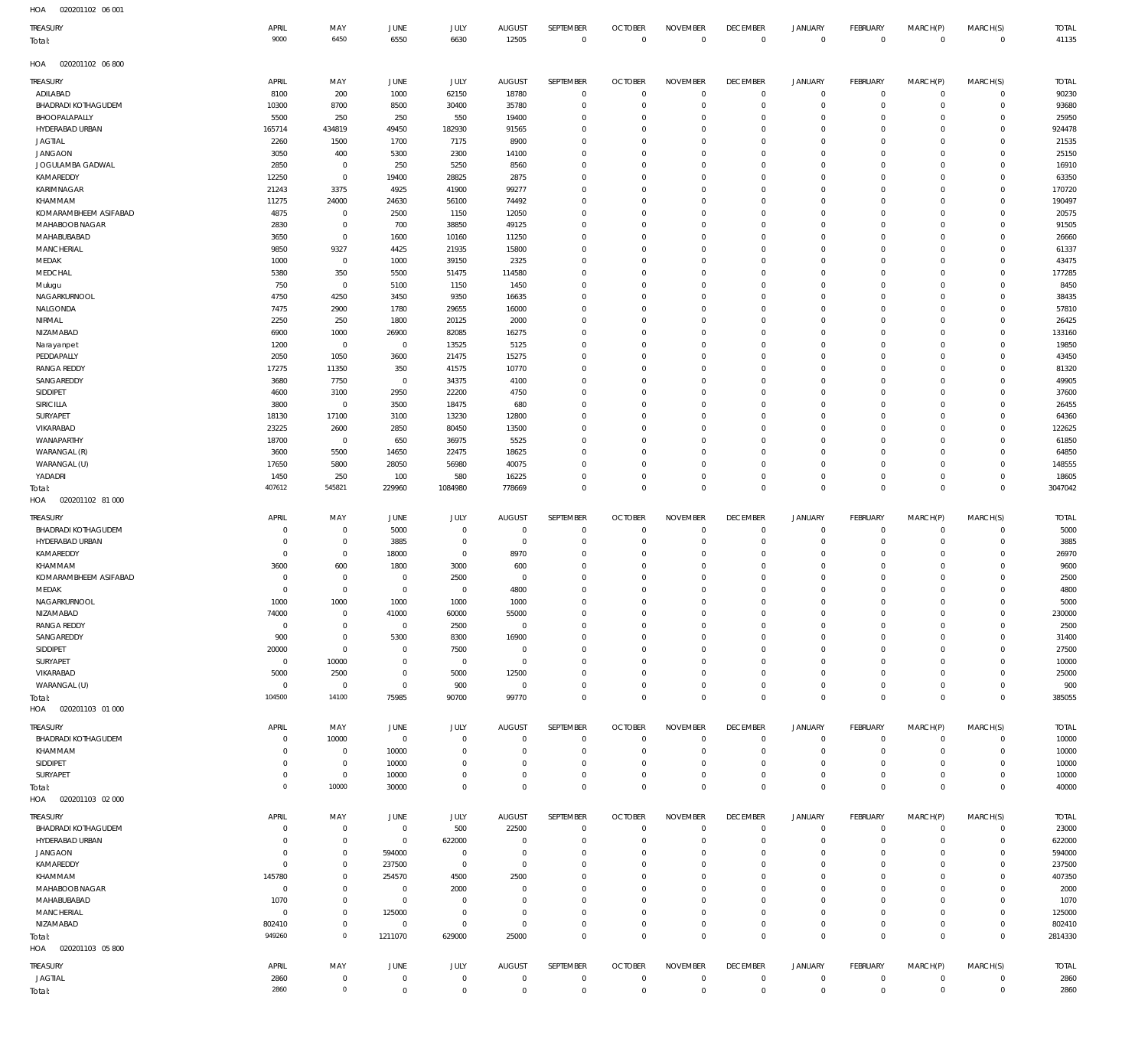| HOA | 020201102 06 001 |  |
|-----|------------------|--|

| TREASURY<br>Total:          | APRIL<br>9000  | MAY<br>6450               | JUNE<br>6550              | JULY<br>6630                     | <b>AUGUST</b><br>12505       | SEPTEMBER<br>$\mathbb O$   | <b>OCTOBER</b><br>$\mathbb O$ | <b>NOVEMBER</b><br>$\overline{0}$ | <b>DECEMBER</b><br>$\mathbb O$ | <b>JANUARY</b><br>$\,0\,$  | <b>FEBRUARY</b><br>$\mathbf 0$ | MARCH(P)<br>$\mathbf 0$    | MARCH(S)<br>$\overline{0}$ | <b>TOTAL</b><br>41135 |
|-----------------------------|----------------|---------------------------|---------------------------|----------------------------------|------------------------------|----------------------------|-------------------------------|-----------------------------------|--------------------------------|----------------------------|--------------------------------|----------------------------|----------------------------|-----------------------|
| HOA<br>020201102 06 800     |                |                           |                           |                                  |                              |                            |                               |                                   |                                |                            |                                |                            |                            |                       |
| TREASURY                    | APRIL          | MAY                       | JUNE                      | JULY                             | <b>AUGUST</b>                | SEPTEMBER                  | <b>OCTOBER</b>                | <b>NOVEMBER</b>                   | <b>DECEMBER</b>                | <b>JANUARY</b>             | FEBRUARY                       | MARCH(P)                   | MARCH(S)                   | <b>TOTAL</b>          |
| ADILABAD                    | 8100           | 200                       | 1000                      | 62150                            | 18780                        | $\overline{0}$             | $\mathbf{0}$                  | $\Omega$                          | $\,0\,$                        | 0                          | $\mathsf 0$                    | $\mathbf 0$                | $\circ$                    | 90230                 |
| <b>BHADRADI KOTHAGUDEM</b>  | 10300          | 8700                      | 8500                      | 30400                            | 35780                        | $^{\circ}$                 | $\mathbf{0}$                  | $^{\circ}$                        | $\mathbf 0$                    | 0                          | $\overline{0}$                 | 0                          | $\circ$                    | 93680                 |
| BHOOPALAPALLY               | 5500           | 250                       | 250                       | 550                              | 19400                        | $\Omega$                   | $^{\circ}$                    | $\Omega$                          | $^{\circ}$                     | $\mathbf 0$                | $\overline{0}$                 | $\Omega$                   | $\mathbf 0$                | 25950                 |
| HYDERABAD URBAN             | 165714         | 434819                    | 49450                     | 182930                           | 91565                        | $\Omega$                   | $^{\circ}$                    | $\Omega$                          | $\mathbf 0$                    | $\mathbf 0$                | $\circ$                        | $\Omega$                   | $\mathbf 0$                | 924478                |
| JAGTIAL                     | 2260           | 1500                      | 1700                      | 7175                             | 8900                         | $\Omega$                   | $^{\circ}$                    | $\Omega$                          | $^{\circ}$                     | $\mathbf 0$                | $\overline{0}$                 | $\Omega$                   | $\mathbf 0$                | 21535                 |
| <b>JANGAON</b>              | 3050           | 400                       | 5300                      | 2300                             | 14100                        | $\Omega$                   | $\mathbf{0}$                  | $\Omega$                          | $\mathbf 0$                    | $\mathbf 0$                | $\overline{0}$                 | $\Omega$                   | $\mathbf 0$                | 25150                 |
| JOGULAMBA GADWAL            | 2850           | $\overline{0}$            | 250                       | 5250                             | 8560                         | $\Omega$                   | $^{\circ}$                    | $\Omega$                          | $\mathbf 0$                    | $\mathbf 0$                | $\circ$                        | $\Omega$                   | $\mathbf 0$                | 16910                 |
| KAMAREDDY                   | 12250          | $\overline{0}$            | 19400                     | 28825                            | 2875                         | $\Omega$                   | $^{\circ}$                    | $\Omega$                          | $\mathbf 0$                    | $\mathbf 0$                | $\circ$                        | $\Omega$                   | $\mathbf 0$                | 63350                 |
| <b>KARIMNAGAR</b>           | 21243          | 3375                      | 4925                      | 41900                            | 99277                        | $\Omega$                   | $^{\circ}$                    | $\Omega$                          | $\mathbf 0$                    | $\mathbf 0$                | $\overline{0}$                 | $\Omega$                   | $\mathbf 0$                | 170720                |
| KHAMMAM                     | 11275          | 24000                     | 24630                     | 56100                            | 74492                        | $\Omega$                   | $^{\circ}$                    | $\Omega$                          | $\mathbf 0$                    | $\mathbf 0$                | $\overline{0}$                 | $\Omega$                   | $\mathbf 0$                | 190497                |
| KOMARAMBHEEM ASIFABAD       | 4875           | $\overline{0}$            | 2500                      | 1150                             | 12050                        | $\Omega$                   | $^{\circ}$                    | $\Omega$                          | $\overline{0}$                 | $\mathbf 0$                | $\overline{0}$                 | $\Omega$                   | $\mathbf 0$                | 20575                 |
| MAHABOOB NAGAR              | 2830           | $\overline{0}$            | 700                       | 38850                            | 49125                        | $\Omega$                   | $^{\circ}$                    | $\Omega$                          | $\mathbf 0$                    | $\mathbf 0$                | $\overline{0}$                 | $\Omega$                   | $\mathbf 0$                | 91505                 |
| MAHABUBABAD                 | 3650           | $\overline{0}$            | 1600                      | 10160                            | 11250                        | $\Omega$                   | $^{\circ}$                    | $\Omega$                          | $\overline{0}$                 | $\mathbf 0$                | $\overline{0}$                 | $\Omega$                   | $\mathbf 0$                | 26660                 |
| MANCHERIAL                  | 9850           | 9327                      | 4425                      | 21935                            | 15800                        | $\Omega$                   | $\mathbf{0}$                  | $\Omega$                          | $\mathbf 0$                    | $\mathbf 0$                | $\overline{0}$                 | $\Omega$                   | $\mathbf 0$                | 61337                 |
| MEDAK                       | 1000           | $\overline{0}$            | 1000                      | 39150                            | 2325                         | $\Omega$                   | $^{\circ}$                    | $\Omega$                          | $\mathbf 0$                    | $\mathbf 0$                | $\circ$                        | $\Omega$                   | $\mathbf 0$                | 43475                 |
| MEDCHAL                     | 5380           | 350<br>$\overline{0}$     | 5500                      | 51475                            | 114580                       | $\Omega$<br>$\Omega$       | $^{\circ}$<br>$^{\circ}$      | $\Omega$<br>$\Omega$              | $\mathbf 0$<br>$\mathbf 0$     | $\mathbf 0$<br>$\mathbf 0$ | $\circ$                        | $\Omega$<br>$\Omega$       | $\mathbf 0$<br>$\mathbf 0$ | 177285<br>8450        |
| Mulugu<br>NAGARKURNOOL      | 750<br>4750    | 4250                      | 5100<br>3450              | 1150<br>9350                     | 1450<br>16635                | $\Omega$                   | $^{\circ}$                    | $\Omega$                          | $\mathbf 0$                    | $\mathbf 0$                | $\circ$<br>$\overline{0}$      | $\Omega$                   | $\mathbf 0$                | 38435                 |
| NALGONDA                    | 7475           | 2900                      | 1780                      | 29655                            | 16000                        | $\Omega$                   | $^{\circ}$                    | $\Omega$                          | $\overline{0}$                 | $\mathbf 0$                | $\overline{0}$                 | $\Omega$                   | $\mathbf 0$                | 57810                 |
| NIRMAL                      | 2250           | 250                       | 1800                      | 20125                            | 2000                         | $\Omega$                   | $^{\circ}$                    | $\Omega$                          | $\mathbf 0$                    | $\mathbf 0$                | $\overline{0}$                 | $\Omega$                   | $\mathbf 0$                | 26425                 |
| NIZAMABAD                   | 6900           | 1000                      | 26900                     | 82085                            | 16275                        | $\Omega$                   | $^{\circ}$                    | $\Omega$                          | $\mathbf 0$                    | $\mathbf 0$                | $\overline{0}$                 | $\Omega$                   | $\mathbf 0$                | 133160                |
| Narayanpet                  | 1200           | $\overline{0}$            | $\mathbf 0$               | 13525                            | 5125                         | $\Omega$                   | $^{\circ}$                    | $\Omega$                          | $\mathbf 0$                    | $\mathbf 0$                | $\overline{0}$                 | $\Omega$                   | $\mathbf 0$                | 19850                 |
| PEDDAPALLY                  | 2050           | 1050                      | 3600                      | 21475                            | 15275                        | $\Omega$                   | $^{\circ}$                    | $\Omega$                          | $\mathbf 0$                    | $\mathbf 0$                | $\overline{0}$                 | $\Omega$                   | $\mathbf 0$                | 43450                 |
| <b>RANGA REDDY</b>          | 17275          | 11350                     | 350                       | 41575                            | 10770                        | $\Omega$                   | $^{\circ}$                    | $\Omega$                          | $\mathbf 0$                    | $\mathbf 0$                | $\overline{0}$                 | $\Omega$                   | $\mathbf 0$                | 81320                 |
| SANGAREDDY                  | 3680           | 7750                      | $\mathbf 0$               | 34375                            | 4100                         | $\Omega$                   | $^{\circ}$                    | $\Omega$                          | $\overline{0}$                 | $\mathbf 0$                | $\overline{0}$                 | $\Omega$                   | $\mathbf 0$                | 49905                 |
| SIDDIPET                    | 4600           | 3100                      | 2950                      | 22200                            | 4750                         | $\Omega$                   | $\mathbf 0$                   | $\Omega$                          | $\mathbf 0$                    | $\mathbf 0$                | $\overline{0}$                 | $\Omega$                   | $\mathbf 0$                | 37600                 |
| SIRICILLA                   | 3800           | $\overline{0}$            | 3500                      | 18475                            | 680                          | $\Omega$                   | $^{\circ}$                    | $\Omega$                          | $\overline{0}$                 | $\mathbf 0$                | $\overline{0}$                 | $\Omega$                   | $\mathbf 0$                | 26455                 |
| SURYAPET                    | 18130          | 17100                     | 3100                      | 13230                            | 12800                        | $\Omega$                   | $\Omega$                      | $\Omega$                          | $\mathbf 0$                    | $\mathbf 0$                | $\overline{0}$                 | $\Omega$                   | $\mathbf 0$                | 64360                 |
| VIKARABAD                   | 23225          | 2600                      | 2850                      | 80450                            | 13500                        | $\Omega$                   | $^{\circ}$                    | $\Omega$                          | $\mathbf 0$                    | $\mathbf 0$                | $\overline{0}$                 | $\Omega$                   | $\mathbf 0$                | 122625                |
| WANAPARTHY                  | 18700          | $\overline{0}$            | 650                       | 36975                            | 5525                         | $\Omega$                   | $^{\circ}$                    | $\Omega$                          | $\mathbf 0$                    | $\mathbf 0$                | $\overline{0}$                 | $\Omega$                   | $\mathbf 0$                | 61850                 |
| WARANGAL (R)                | 3600           | 5500                      | 14650                     | 22475                            | 18625                        | $\Omega$                   | $^{\circ}$                    | $\Omega$                          | $\overline{0}$                 | $\mathbf 0$                | $\overline{0}$                 | $\Omega$                   | $\mathbf 0$                | 64850                 |
| WARANGAL (U)                | 17650          | 5800                      | 28050                     | 56980                            | 40075                        | $\Omega$                   | $^{\circ}$                    | $\Omega$                          | $\mathbf 0$                    | $\mathbf 0$                | $\overline{0}$                 | $\Omega$                   | $\mathbf 0$                | 148555                |
| YADADRI                     | 1450           | 250                       | 100                       | 580                              | 16225                        | $\Omega$                   | $^{\circ}$                    | $\Omega$                          | $\mathbf 0$                    | 0                          | $\overline{0}$                 | 0                          | $\mathbf 0$                | 18605                 |
| lotal:                      | 407612         | 545821                    | 229960                    | 1084980                          | 778669                       | $\overline{0}$             | $\Omega$                      | $\overline{0}$                    | $\mathbf 0$                    | $\mathbf 0$                | $\overline{0}$                 | $\mathbf 0$                | $\overline{0}$             | 3047042               |
| 020201102 81 000<br>HOA     |                |                           |                           |                                  |                              |                            |                               |                                   |                                |                            |                                |                            |                            |                       |
| TREASURY                    | APRIL          | MAY                       | JUNE                      | JULY                             | <b>AUGUST</b>                | SEPTEMBER                  | <b>OCTOBER</b>                | <b>NOVEMBER</b>                   | <b>DECEMBER</b>                | <b>JANUARY</b>             | <b>FEBRUARY</b>                | MARCH(P)                   | MARCH(S)                   | <b>TOTAL</b>          |
| <b>BHADRADI KOTHAGUDEM</b>  | $^{\circ}$     | $\overline{0}$            | 5000                      | $\overline{0}$                   | $^{\circ}$                   | $^{\circ}$                 | $\mathbf{0}$                  | $^{\circ}$                        | $\,0\,$                        | 0                          | $\mathsf 0$                    | $\mathbf 0$                | $\circ$                    | 5000                  |
| HYDERABAD URBAN             | $^{\circ}$     | 0                         | 3885                      | $^{\circ}$                       | $^{\circ}$                   | $\circ$                    | $^{\circ}$                    | - 0                               | $^{\circ}$                     | 0                          | $\mathsf 0$                    | 0                          | $\circ$                    | 3885                  |
|                             |                |                           |                           |                                  |                              |                            |                               |                                   |                                |                            |                                |                            |                            |                       |
| KAMAREDDY                   | $\mathbf 0$    | $\overline{0}$            | 18000                     | $\overline{0}$                   | 8970                         | $\Omega$                   | $\mathbf{0}$                  | - 0                               | $^{\circ}$                     | $\circ$                    | $\overline{0}$                 | 0                          | $\mathbf 0$                | 26970                 |
| KHAMMAM                     | 3600           | 600                       | 1800                      | 3000                             | 600                          | $\circ$                    | $^{\circ}$                    | 0                                 | $\overline{0}$                 | 0                          | $\overline{0}$                 | 0                          | $\mathbf 0$                | 9600                  |
| KOMARAMBHEEM ASIFABAD       | $^{\circ}$     | $\overline{0}$            | $\overline{0}$            | 2500                             | $\Omega$                     | $\Omega$                   | $^{\circ}$                    | 0                                 | $^{\circ}$                     | $\mathbf 0$                | $\overline{0}$                 | $\Omega$                   | $\mathbf 0$                | 2500                  |
| MEDAK                       | $\overline{0}$ | $\overline{0}$            | $\overline{0}$            | $\overline{0}$                   | 4800                         | $\Omega$                   | $\mathbf{0}$                  | $\Omega$                          | $\mathbf 0$                    | $\mathbf 0$                | $\overline{0}$                 | $\Omega$                   | $\mathbf 0$                | 4800                  |
| NAGARKURNOOL                | 1000           | 1000                      | 1000                      | 1000                             | 1000                         | $\Omega$                   | $\mathbf 0$                   | $\Omega$                          | $\mathbf 0$                    | $\mathbf 0$                | $\mathbf 0$                    | $\mathbf 0$                | $\Omega$                   | 5000                  |
| NIZAMABAD                   | 74000          | 0                         | 41000                     | 60000                            | 55000                        | 0                          | $\circ$                       | 0                                 | 0                              | 0                          | $\mathbf 0$                    | 0                          | $\circ$                    | 230000                |
| <b>RANGA REDDY</b>          | $\mathbf 0$    | $\overline{0}$            | $\overline{0}$            | 2500                             | $\overline{0}$               | $\Omega$                   | $\mathbf 0$                   | $^{\circ}$                        | $\overline{0}$                 | $\mathbf 0$                | $\mathsf 0$                    | 0                          | $\mathbf 0$                | 2500                  |
| SANGAREDDY                  | 900            | $\overline{0}$            | 5300                      | 8300                             | 16900                        | $^{\circ}$                 | $\,0\,$                       | $^{\circ}$                        | $\mathbf 0$                    | 0                          | $\mathsf 0$                    | 0                          | $\circ$                    | 31400                 |
| SIDDIPET                    | 20000          | $\overline{0}$            | $\overline{0}$            | 7500                             | $\overline{0}$               | $\Omega$                   | $\mathbf 0$                   | $^{\circ}$                        | $\overline{0}$                 | $\circ$                    | $\overline{0}$                 | 0                          | $\mathbf 0$                | 27500                 |
| SURYAPET                    | $\mathbf 0$    | 10000                     | $\overline{0}$            | $\,0\,$                          | $\mathbf 0$                  | $\circ$                    | $\overline{0}$                | - 0                               | $\mathbf 0$                    | 0                          | $\overline{0}$                 | 0                          | $\mathbf 0$                | 10000                 |
| VIKARABAD                   | 5000           | 2500                      | $\overline{0}$            | 5000                             | 12500                        | $\Omega$                   | $\mathbf 0$                   | $^{\circ}$                        | $\mathbf 0$                    | $\circ$                    | $\overline{0}$                 | 0                          | $\mathbf 0$                | 25000                 |
| WARANGAL (U)                | $\mathbb O$    | $\,0\,$                   | $\overline{0}$            | 900                              | $\overline{0}$               | $\Omega$                   | $\mathbb O$                   | $^{\circ}$                        | $\mathbf 0$                    | $\mathbb O$                | $\overline{0}$                 | 0                          | $\circ$                    | 900                   |
| Total:                      | 104500         | 14100                     | 75985                     | 90700                            | 99770                        | $\Omega$                   | $\mathbf 0$                   | $^{\circ}$                        | $\mathbf 0$                    | $\mathbf 0$                | $\overline{0}$                 | $\mathbf 0$                | $\overline{0}$             | 385055                |
| HOA<br>020201103 01 000     |                |                           |                           |                                  |                              |                            |                               |                                   |                                |                            |                                |                            |                            |                       |
| TREASURY                    | APRIL          | MAY                       | JUNE                      | JULY                             | <b>AUGUST</b>                | SEPTEMBER                  | <b>OCTOBER</b>                | <b>NOVEMBER</b>                   | <b>DECEMBER</b>                | <b>JANUARY</b>             | FEBRUARY                       | MARCH(P)                   | MARCH(S)                   | <b>TOTAL</b>          |
| <b>BHADRADI KOTHAGUDEM</b>  | 0              | 10000                     | $\overline{0}$            | $\mathbf 0$                      | $\Omega$                     | $^{\circ}$                 | $^{\circ}$                    | $\Omega$                          | $\mathbf 0$                    | 0                          | $\overline{0}$                 | $\mathbf 0$                | $\circ$                    | 10000                 |
| KHAMMAM                     | $^{\circ}$     | $\overline{0}$            | 10000                     | $\Omega$                         | $\Omega$                     | $\overline{0}$             | $\mathbf 0$                   | $^{\circ}$                        | $\mathbf 0$                    | $\mathbf 0$                | $\overline{0}$                 | $\mathbf 0$                | $\circ$                    | 10000                 |
| SIDDIPET                    | $\overline{0}$ | $\overline{0}$            | 10000                     | $\Omega$                         | $\Omega$                     | $\circ$                    | $^{\circ}$                    | $^{\circ}$                        | $\overline{0}$                 | 0                          | $\overline{0}$                 | 0                          | $\circ$                    | 10000                 |
| SURYAPET                    | $\overline{0}$ | $\overline{0}$            | 10000                     | $\Omega$                         | $\Omega$                     | $^{\circ}$                 | $\mathbf 0$                   | $^{\circ}$                        | $\mathbf 0$                    | $\mathbb O$                | $\overline{0}$                 | 0                          | $\circ$                    | 10000                 |
| lotal:                      | $\mathbf 0$    | 10000                     | 30000                     | $\Omega$                         | $\overline{0}$               | $\overline{0}$             | $\mathbf 0$                   | $\overline{0}$                    | $\mathbf 0$                    | $\mathbf 0$                | $\overline{0}$                 | $\mathbf{0}$               | $\overline{0}$             | 40000                 |
| HOA   020201103   02   000  |                |                           |                           |                                  |                              |                            |                               |                                   |                                |                            |                                |                            |                            |                       |
|                             | APRIL          | MAY                       | JUNE                      | JULY                             | AUGUST                       | SEPTEMBER                  | <b>OCTOBER</b>                | <b>NOVEMBER</b>                   | <b>DECEMBER</b>                | JANUARY                    | <b>FEBRUARY</b>                | MARCH(P)                   | MARCH(S)                   | <b>TOTAL</b>          |
| <b>BHADRADI KOTHAGUDEM</b>  | $^{\circ}$     | $\mathbf 0$               | $\overline{0}$            | 500                              | 22500                        | $^{\circ}$                 | $\mathbf 0$                   | $^{\circ}$                        | $\mathbf 0$                    | 0                          | $\mathsf 0$                    | $\mathbf 0$                | $\circ$                    | 23000                 |
| TREASURY<br>HYDERABAD URBAN | $^{\circ}$     | $\overline{0}$            | $\mathbf 0$               | 622000                           | $\Omega$                     | $\Omega$                   | $\mathbf{0}$                  | $^{\circ}$                        | $\overline{0}$                 | 0                          | $\mathsf 0$                    | 0                          | $\circ$                    | 622000                |
| JANGAON                     | $\overline{0}$ | $\mathbf{0}$              | 594000                    | $\overline{0}$                   | $\overline{0}$               | $\circ$                    | $\mathbf 0$                   | - 0                               | $\mathbf 0$                    | 0                          | $\overline{0}$                 | 0                          | $\mathbf 0$                | 594000                |
| KAMAREDDY                   | $\mathbb O$    | $\mathbf{0}$              | 237500                    | $\,0\,$                          | $\overline{0}$               | $\Omega$                   | $\mathbf{0}$                  | - 0                               | $^{\circ}$                     | $\circ$                    | $\overline{0}$                 | 0                          | $\mathbf 0$                | 237500                |
| KHAMMAM                     | 145780         | $\overline{0}$            | 254570                    | 4500                             | 2500                         | $\Omega$                   | $\mathbb O$                   | - 0                               | $\mathbf 0$                    | 0                          | $\overline{0}$                 | $\Omega$                   | $\mathbf 0$                | 407350                |
| MAHABOOB NAGAR              | $\mathbf 0$    | $\overline{0}$            | $\overline{0}$            | 2000                             | $\Omega$                     | $\Omega$                   | $^{\circ}$                    | $^{\circ}$                        | $\overline{0}$                 | $\circ$                    | $\overline{0}$                 | 0                          | $\mathbf 0$                | 2000                  |
| MAHABUBABAD                 | 1070           | $\mathbf 0$               | $\overline{0}$            | $\overline{0}$                   | $\Omega$                     | $\circ$                    | $\overline{0}$                | - 0                               | $\mathbf 0$                    | 0                          | $\overline{0}$                 | 0                          | $\circ$                    | 1070                  |
| <b>MANCHERIAL</b>           | $\overline{0}$ | $\overline{0}$            | 125000                    | $\mathbf 0$                      | $\Omega$                     | $\Omega$                   | $\mathbb O$                   | $^{\circ}$                        | $\mathbf 0$                    | $\circ$                    | $\overline{0}$                 | 0                          | $\mathbf 0$                | 125000                |
| NIZAMABAD                   | 802410         | $\overline{0}$            | $\overline{0}$            | $\mathbf 0$                      | $\mathbf 0$                  | $\Omega$                   | $\mathbf 0$                   | $^{\circ}$                        | $\,0\,$                        | $\mathbb O$                | $\mathsf 0$                    | 0                          | $\circ$                    | 802410                |
| Total:                      | 949260         | $\circ$                   | 1211070                   | 629000                           | 25000                        | $\Omega$                   | $\mathbf{0}$                  | $^{\circ}$                        | $\mathbf 0$                    | $\mathbf 0$                | $\overline{0}$                 | $\mathbf 0$                | $\overline{0}$             | 2814330               |
| HOA<br>020201103 05 800     |                |                           |                           |                                  |                              |                            |                               |                                   |                                |                            |                                |                            |                            |                       |
| TREASURY                    | APRIL          | MAY                       | JUNE                      | JULY                             | <b>AUGUST</b>                | SEPTEMBER                  | <b>OCTOBER</b>                | <b>NOVEMBER</b>                   | <b>DECEMBER</b>                | <b>JANUARY</b>             | FEBRUARY                       | MARCH(P)                   | MARCH(S)                   | <b>TOTAL</b>          |
| <b>JAGTIAL</b><br>Total:    | 2860<br>2860   | $\overline{0}$<br>$\circ$ | $\overline{0}$<br>$\,0\,$ | $\overline{0}$<br>$\overline{0}$ | $^{\circ}$<br>$\overline{0}$ | $\mathbf 0$<br>$\mathbf 0$ | $^{\circ}$<br>$\mathbb O$     | $\overline{0}$<br>$\mathbf 0$     | $\overline{0}$<br>$\,0\,$      | 0<br>$\,0\,$               | $\overline{0}$<br>$\mathbf 0$  | $\mathbf 0$<br>$\mathbf 0$ | $\circ$<br>$\,0\,$         | 2860<br>2860          |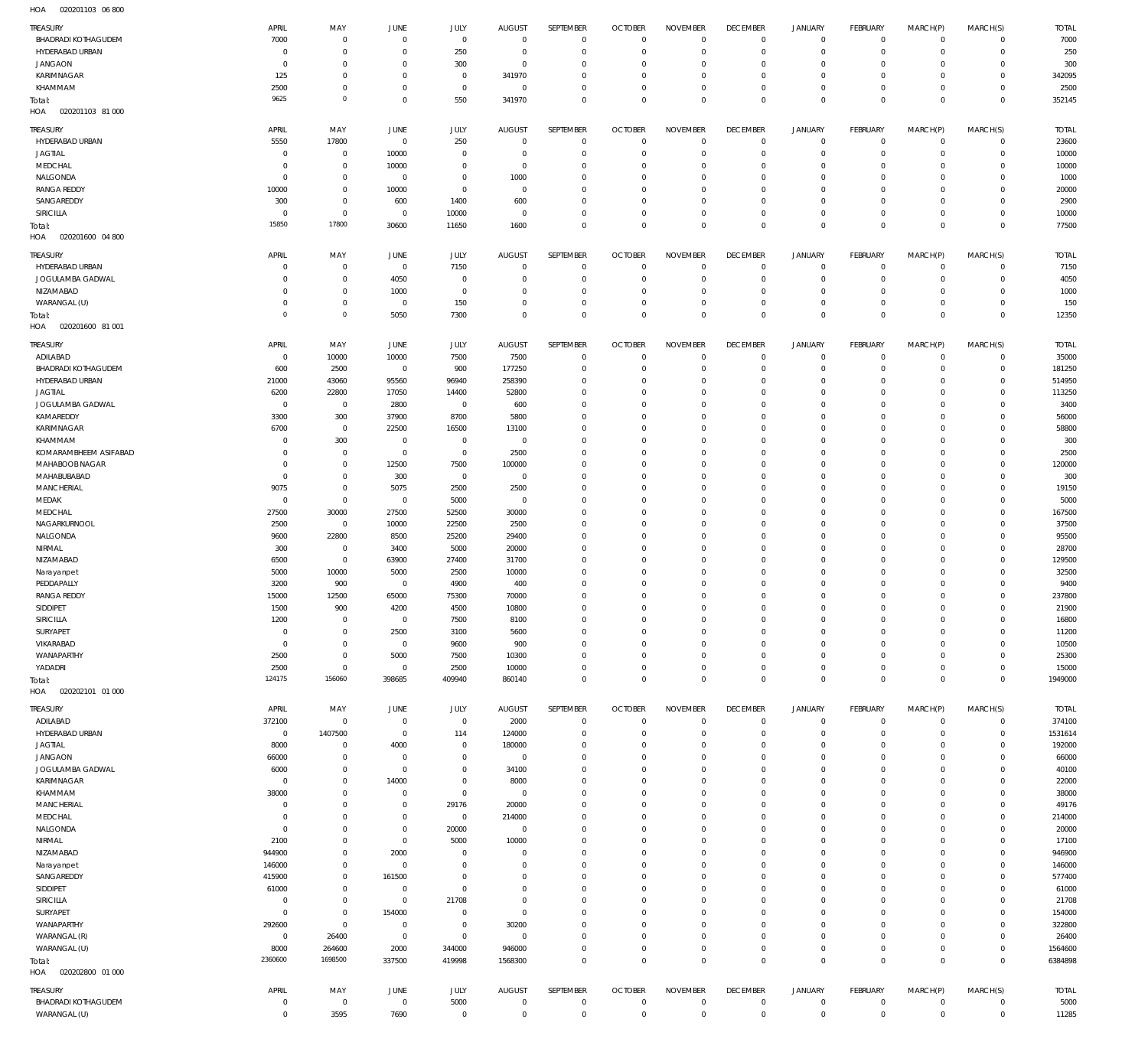020201103 06 800 HOA

| TREASURY                                      | APRIL                  | MAY                        | JUNE                             | JULY                       | <b>AUGUST</b>                   | SEPTEMBER                   | <b>OCTOBER</b>             | <b>NOVEMBER</b>                | <b>DECEMBER</b>                | JANUARY                                    | FEBRUARY                         | MARCH(P)                   | MARCH(S)                    | <b>TOTAL</b>          |
|-----------------------------------------------|------------------------|----------------------------|----------------------------------|----------------------------|---------------------------------|-----------------------------|----------------------------|--------------------------------|--------------------------------|--------------------------------------------|----------------------------------|----------------------------|-----------------------------|-----------------------|
| <b>BHADRADI KOTHAGUDEM</b>                    | 7000                   | $\,0\,$                    | $\mathbf{0}$                     | $\mathbf 0$                | $\mathbf 0$                     | $\mathbf 0$                 | $\mathbf 0$                | $\mathbb O$                    | $\mathbf 0$                    | $\mathsf{O}\xspace$                        | $\overline{0}$                   | $\overline{0}$             | $\overline{0}$              | 7000                  |
| HYDERABAD URBAN<br><b>JANGAON</b>             | C<br>0                 | $\,0\,$<br>$\mathbf 0$     | $\overline{0}$<br>$^{\circ}$     | 250<br>300                 | 0<br>$^{\circ}$                 | $\mathbf 0$<br>$\mathbf 0$  | $\circ$<br>$^{\circ}$      | $\circ$<br>$\mathbf 0$         | $\overline{0}$<br>$^{\circ}$   | $\mathsf{O}\xspace$<br>$\mathbf 0$         | $\overline{0}$<br>$\mathbf 0$    | $\mathbf 0$<br>$\mathbf 0$ | $\circ$<br>$\mathbf{0}$     | 250<br>300            |
| KARIMNAGAR                                    | 125                    | $\,0\,$                    | $^{\circ}$                       | $\mathbf 0$                | 341970                          | $\mathbf 0$                 | $^{\circ}$                 | $\mathbf 0$                    | $\mathbf 0$                    | $\mathsf{O}\xspace$                        | $\mathbf 0$                      | $\mathbf 0$                | $\circ$                     | 342095                |
| KHAMMAM                                       | 2500                   | $\,0\,$                    | $^{\circ}$                       | $\mathbf 0$                | $\mathbf 0$                     | $\mathbf 0$                 | $^{\circ}$                 | $\mathbf 0$                    | $\overline{0}$                 | $\mathsf{O}\xspace$                        | $\mathbf 0$                      | $\mathbf 0$                | $\mathbf{0}$                | 2500                  |
| Total:<br>HOA<br>020201103 81 000             | 9625                   | $\mathbb O$                | $\mathbf{0}$                     | 550                        | 341970                          | $\mathbf 0$                 | $\mathbf 0$                | $\mathbf 0$                    | $\mathbf 0$                    | $\bf 0$                                    | $\overline{0}$                   | $\mathbf 0$                | $\overline{0}$              | 352145                |
|                                               |                        |                            |                                  |                            |                                 |                             |                            |                                |                                |                                            |                                  |                            |                             |                       |
| TREASURY<br>HYDERABAD URBAN                   | APRIL<br>5550          | MAY<br>17800               | JUNE<br>$\mathbf{0}$             | JULY<br>250                | <b>AUGUST</b><br>$\overline{0}$ | SEPTEMBER<br>$\mathbf{0}$   | <b>OCTOBER</b><br>$\circ$  | <b>NOVEMBER</b><br>$\mathbf 0$ | <b>DECEMBER</b><br>$\mathbf 0$ | <b>JANUARY</b><br>$\mathbf 0$              | <b>FEBRUARY</b><br>$\mathbf 0$   | MARCH(P)<br>$\mathbf 0$    | MARCH(S)<br>$\mathbf{0}$    | <b>TOTAL</b><br>23600 |
| <b>JAGTIAL</b>                                | $^{\circ}$             | $\,0\,$                    | 10000                            | $\mathbf{0}$               | 0                               | $\mathbf 0$                 | $^{\circ}$                 | $\mathbf 0$                    | $\mathbf 0$                    | $\mathbf 0$                                | $\mathbf 0$                      | $\mathbf 0$                | $\mathbf{0}$                | 10000                 |
| MEDCHAL                                       | $\Omega$               | $\mathbb O$                | 10000                            | $\mathbf{0}$               | 0                               | $\mathbf 0$                 | $^{\circ}$                 | $\mathbf 0$                    | $\mathbf 0$                    | $\mathbf 0$                                | $\mathbf 0$                      | $\Omega$                   | $\mathbf 0$                 | 10000                 |
| NALGONDA                                      | $\Omega$               | $\mathbb O$                | $\mathbb O$                      | $\mathbf 0$                | 1000                            | $\mathbf 0$                 | $^{\circ}$                 | $\mathbf 0$                    | $\mathbf 0$                    | $\mathbf 0$                                | $\mathbf 0$                      | $\Omega$                   | $\mathbf 0$                 | 1000                  |
| <b>RANGA REDDY</b>                            | 10000                  | $\mathbb O$                | 10000                            | $\mathbf 0$                | $^{\circ}$                      | $\mathbf 0$                 | $^{\circ}$                 | $\mathbf 0$                    | $\mathbf 0$                    | $\mathbf 0$                                | $\mathbf 0$                      | $\Omega$                   | $\mathbf 0$                 | 20000                 |
| SANGAREDDY<br>SIRICILLA                       | 300<br>$\Omega$        | $\mathbb O$<br>$\mathbb O$ | 600<br>$\overline{0}$            | 1400<br>10000              | 600<br>$\overline{0}$           | $\mathbf 0$<br>$\mathbf 0$  | $^{\circ}$<br>$^{\circ}$   | $\mathbf 0$<br>$\mathbf 0$     | $\mathbf 0$<br>$\mathbf 0$     | $\mathbf 0$<br>$\mathbf 0$                 | $\mathbf 0$<br>$\mathbf 0$       | $\Omega$<br>$\mathbf 0$    | $\mathbf 0$<br>$\mathbf 0$  | 2900<br>10000         |
| Total:                                        | 15850                  | 17800                      | 30600                            | 11650                      | 1600                            | $\mathbf 0$                 | $\mathbf 0$                | $\mathbf 0$                    | $\mathbf 0$                    | $\mathbf 0$                                | $\mathbf 0$                      | $\Omega$                   | $\mathbf 0$                 | 77500                 |
| HOA<br>020201600 04 800                       |                        |                            |                                  |                            |                                 |                             |                            |                                |                                |                                            |                                  |                            |                             |                       |
| TREASURY                                      | APRIL                  | MAY                        | JUNE                             | JULY                       | <b>AUGUST</b>                   | SEPTEMBER                   | <b>OCTOBER</b>             | <b>NOVEMBER</b>                | <b>DECEMBER</b>                | <b>JANUARY</b>                             | <b>FEBRUARY</b>                  | MARCH(P)                   | MARCH(S)                    | <b>TOTAL</b>          |
| HYDERABAD URBAN                               | 0                      | $\mathbb O$                | $\mathbf 0$                      | 7150                       | $\overline{0}$                  | $\mathbf 0$                 | $\circ$                    | $^{\circ}$                     | $\mathbf 0$                    | $\mathbf 0$                                | $\overline{0}$                   | $\mathbf 0$                | $\circ$                     | 7150                  |
| JOGULAMBA GADWAL<br>NIZAMABAD                 | $\Omega$<br>$\Omega$   | $\mathbb O$<br>$\mathbb O$ | 4050<br>1000                     | $\mathbf 0$<br>$\mathbf 0$ | 0<br>$\overline{0}$             | $\mathbf 0$<br>$\mathbf 0$  | $^{\circ}$<br>$^{\circ}$   | $\mathbf 0$<br>$\mathbf 0$     | $\overline{0}$<br>$^{\circ}$   | $\mathsf{O}\xspace$<br>$\mathsf{O}\xspace$ | $\overline{0}$<br>$\mathbf 0$    | $\mathbf 0$<br>$\mathbf 0$ | $\circ$<br>$\circ$          | 4050<br>1000          |
| WARANGAL (U)                                  | 0                      | $\mathbb O$                | $\mathbf 0$                      | 150                        | $\Omega$                        | $\mathbf 0$                 | $^{\circ}$                 | $\mathbf 0$                    | $\mathbf 0$                    | $\mathsf{O}\xspace$                        | $\overline{0}$                   | $\mathbf 0$                | $\circ$                     | 150                   |
| Total:                                        | $\Omega$               | $\circ$                    | 5050                             | 7300                       | $\Omega$                        | $\mathsf 0$                 | $\mathbf 0$                | $\mathbf 0$                    | $\mathbf 0$                    | $\bf 0$                                    | $\overline{0}$                   | $\mathbf 0$                | $\overline{0}$              | 12350                 |
| HOA<br>020201600 81 001                       |                        |                            |                                  |                            |                                 |                             |                            |                                |                                |                                            |                                  |                            |                             |                       |
| TREASURY                                      | APRIL                  | MAY                        | JUNE                             | JULY                       | <b>AUGUST</b>                   | SEPTEMBER                   | <b>OCTOBER</b>             | <b>NOVEMBER</b>                | <b>DECEMBER</b>                | <b>JANUARY</b>                             | <b>FEBRUARY</b>                  | MARCH(P)                   | MARCH(S)                    | <b>TOTAL</b>          |
| ADILABAD                                      | $^{\circ}$             | 10000                      | 10000                            | 7500                       | 7500                            | $\mathbf 0$                 | $^{\circ}$                 | $\mathbf 0$                    | $\mathbf 0$                    | $\mathbf 0$                                | $\mathbf 0$                      | $\mathbf 0$                | $\mathbf{0}$                | 35000                 |
| <b>BHADRADI KOTHAGUDEM</b><br>HYDERABAD URBAN | 600<br>21000           | 2500<br>43060              | $\mathbf 0$<br>95560             | 900<br>96940               | 177250<br>258390                | $\mathbf 0$<br>$\mathbf 0$  | $^{\circ}$<br>$^{\circ}$   | $\circ$<br>$\mathbf 0$         | $^{\circ}$<br>$\mathbf 0$      | $\mathbf 0$<br>$\mathbf 0$                 | $\mathbf 0$<br>$\mathbf 0$       | $\Omega$<br>$\Omega$       | $\mathbf 0$<br>$\mathbf{0}$ | 181250<br>514950      |
| <b>JAGTIAL</b>                                | 6200                   | 22800                      | 17050                            | 14400                      | 52800                           | $\mathbf{0}$                | $^{\circ}$                 | $\mathbf 0$                    | $\mathbf 0$                    | $\mathbf 0$                                | $\mathbf 0$                      | $\Omega$                   | $\mathbf 0$                 | 113250                |
| JOGULAMBA GADWAL                              | 0                      | $\mathbb O$                | 2800                             | $\mathbf 0$                | 600                             | $\mathbf 0$                 | $^{\circ}$                 | $\mathbf 0$                    | $\mathbf 0$                    | $\mathbf 0$                                | $\Omega$                         | $\Omega$                   | $\mathbf 0$                 | 3400                  |
| KAMAREDDY                                     | 3300                   | 300                        | 37900                            | 8700                       | 5800                            | $\mathbf 0$                 | $^{\circ}$                 | $\mathbf 0$                    | $^{\circ}$                     | $\mathbf 0$                                | $\mathbf 0$                      | $\Omega$                   | $\mathbf 0$                 | 56000                 |
| KARIMNAGAR                                    | 6700                   | $\mathbb O$                | 22500                            | 16500                      | 13100                           | $\mathbf 0$                 | $\Omega$                   | $\mathbf 0$                    | $^{\circ}$                     | $\mathbf 0$                                | $\Omega$                         | $\Omega$                   | $\mathbf 0$                 | 58800                 |
| KHAMMAM                                       | $^{\circ}$<br>$\Omega$ | 300                        | $\mathbf 0$                      | $\mathbf 0$                | $\mathbf 0$                     | $\mathbf 0$<br>$\mathbf 0$  | $^{\circ}$                 | $\mathbf 0$<br>$\mathbf 0$     | $^{\circ}$                     | $\mathbf 0$<br>$\mathbf 0$                 | $\mathbf 0$<br>$\Omega$          | $\Omega$<br>$\Omega$       | $\mathbf 0$<br>$\mathbf 0$  | 300                   |
| KOMARAMBHEEM ASIFABAD<br>MAHABOOB NAGAR       | $\Omega$               | $\,0\,$<br>$\,0\,$         | $^{\circ}$<br>12500              | $\mathbf 0$<br>7500        | 2500<br>100000                  | $\mathbf 0$                 | $^{\circ}$<br>$\Omega$     | $\Omega$                       | $^{\circ}$<br>$\Omega$         | $\mathbf 0$                                | $\mathbf 0$                      | $\Omega$                   | $\mathbf 0$                 | 2500<br>120000        |
| MAHABUBABAD                                   | $^{\circ}$             | $\,0\,$                    | 300                              | $\mathbf 0$                | $^{\circ}$                      | $\mathbf 0$                 | $^{\circ}$                 | $\mathbf 0$                    | $^{\circ}$                     | $\mathbf 0$                                | $\Omega$                         | $\Omega$                   | $\mathbf 0$                 | 300                   |
| MANCHERIAL                                    | 9075                   | $\,0\,$                    | 5075                             | 2500                       | 2500                            | $\mathbf 0$                 | $\Omega$                   | $\Omega$                       | $^{\circ}$                     | $\mathbf 0$                                | $\mathbf 0$                      | $\Omega$                   | $\mathbf 0$                 | 19150                 |
| MEDAK                                         | $^{\circ}$             | $\,0\,$                    | $^{\circ}$                       | 5000                       | $\overline{0}$                  | $\mathbf 0$                 | $^{\circ}$                 | $\mathbf 0$                    | $\mathbf 0$                    | $\mathbf 0$                                | $\mathbf 0$                      | $\Omega$                   | $\mathbf 0$                 | 5000                  |
| MEDCHAL                                       | 27500                  | 30000                      | 27500                            | 52500                      | 30000                           | $\mathbf 0$                 | $\Omega$                   | $\Omega$                       | $^{\circ}$                     | $\mathbf 0$                                | $\Omega$                         | $\Omega$                   | $\mathbf 0$                 | 167500                |
| NAGARKURNOOL<br>NALGONDA                      | 2500<br>9600           | $\,0\,$<br>22800           | 10000<br>8500                    | 22500<br>25200             | 2500<br>29400                   | $\mathbf 0$<br>$\mathbf 0$  | $^{\circ}$<br>$^{\circ}$   | $\mathbf 0$<br>$\mathbf 0$     | $\mathbf 0$<br>$^{\circ}$      | $\mathbf 0$<br>$\mathbf 0$                 | $\Omega$<br>$\Omega$             | $\Omega$<br>$\Omega$       | $\mathbf 0$<br>$\mathbf 0$  | 37500<br>95500        |
| NIRMAL                                        | 300                    | $\,0\,$                    | 3400                             | 5000                       | 20000                           | $\mathbf 0$                 | $^{\circ}$                 | $\mathbf 0$                    | $\mathbf 0$                    | $\mathbf 0$                                | $\Omega$                         | $\Omega$                   | $\mathbf 0$                 | 28700                 |
| NIZAMABAD                                     | 6500                   | $\,0\,$                    | 63900                            | 27400                      | 31700                           | $\mathbf 0$                 | $^{\circ}$                 | $\mathbf 0$                    | $^{\circ}$                     | $\mathbf 0$                                | $\mathbf 0$                      | $\Omega$                   | $\mathbf 0$                 | 129500                |
| Narayanpet                                    | 5000                   | 10000                      | 5000                             | 2500                       | 10000                           | $\mathbf 0$                 | $^{\circ}$                 | $\mathbf 0$                    | $\mathbf 0$                    | $\mathbf 0$                                | $\Omega$                         | $\Omega$                   | $\mathbf 0$                 | 32500                 |
| PEDDAPALLY                                    | 3200                   | 900                        | $\mathbf 0$                      | 4900                       | 400                             | $\mathbf 0$                 | $^{\circ}$                 | $\mathbf 0$                    | $\mathbf 0$                    | $\mathbf 0$                                | $\mathbf 0$                      | $\Omega$                   | $\mathbf 0$                 | 9400                  |
| <b>RANGA REDDY</b><br>SIDDIPET                | 15000<br>1500          | 12500<br>900               | 65000<br>4200                    | 75300<br>4500              | 70000<br>10800                  | $\mathbf 0$<br>$\mathbf{0}$ | $^{\circ}$<br>$\Omega$     | $\mathbf 0$<br>$\Omega$        | $\Omega$<br>$\Omega$           | $\Omega$<br>$\Omega$                       | $\Omega$<br>$\Omega$             | $\Omega$<br>$\Omega$       | $\mathbf 0$<br>$\mathbf{0}$ | 237800<br>21900       |
| SIRICILLA                                     | 1200                   | $\mathbf 0$                | $\overline{0}$                   | 7500                       | 8100                            | 0                           | $\mathbf 0$                | $\mathbf 0$                    | $\mathbf 0$                    | 0                                          | $\mathbf 0$                      | $\mathbf 0$                | $\mathbf 0$                 | 16800                 |
| SURYAPET                                      | $^{\circ}$             | $\mathbb O$                | 2500                             | 3100                       | 5600                            | $\mathbf 0$                 | $^{\circ}$                 | $^{\circ}$                     | $\mathbf 0$                    | $\mathbf 0$                                | $\mathbf 0$                      | $\Omega$                   | $\mathbf 0$                 | 11200                 |
| VIKARABAD                                     | $^{\circ}$             | $\mathbb O$                | $\mathbb O$                      | 9600                       | 900                             | $\mathbf 0$                 | 0                          | $\mathbf 0$                    | $\mathbf 0$                    | $\mathbf 0$                                | $\mathbf 0$                      | $\mathbf 0$                | $\mathbf 0$                 | 10500                 |
| WANAPARTHY                                    | 2500                   | $\mathbb O$                | 5000                             | 7500                       | 10300                           | $\mathbf{0}$                | 0                          | $\mathbf 0$                    | $\mathbf 0$                    | $\mathbf 0$                                | $\mathbf 0$                      | $\Omega$                   | $\mathbf 0$                 | 25300                 |
| YADADRI                                       | 2500<br>124175         | $\mathbb O$<br>156060      | $\mathbb O$<br>398685            | 2500<br>409940             | 10000                           | $\mathbf 0$<br>$\mathbf 0$  | $\mathbf 0$<br>$\mathbf 0$ | $\mathbf 0$<br>$\mathbf 0$     | $\mathbf 0$<br>$\mathbf 0$     | $\mathsf{O}\xspace$<br>$\mathbf 0$         | $\mathbf 0$<br>$\mathbf 0$       | $\mathbf 0$<br>$\mathbf 0$ | $\circ$<br>$\mathbf 0$      | 15000<br>1949000      |
| Total:<br>HOA<br>020202101 01 000             |                        |                            |                                  |                            | 860140                          |                             |                            |                                |                                |                                            |                                  |                            |                             |                       |
| TREASURY                                      | APRIL                  | MAY                        | JUNE                             | JULY                       | <b>AUGUST</b>                   | SEPTEMBER                   | <b>OCTOBER</b>             | <b>NOVEMBER</b>                | <b>DECEMBER</b>                | JANUARY                                    | <b>FEBRUARY</b>                  | MARCH(P)                   | MARCH(S)                    | <b>TOTAL</b>          |
| ADILABAD                                      | 372100                 | $\mathbb O$                | $\mathbf 0$                      | $\mathbf 0$                | 2000                            | $\mathbf 0$                 | $\circ$                    | $\mathbf 0$                    | $\mathbf 0$                    | $\mathsf{O}\xspace$                        | $\overline{0}$                   | $\mathbf 0$                | $\circ$                     | 374100                |
| HYDERABAD URBAN                               | $^{\circ}$             | 1407500                    | $\mathbb O$                      | 114                        | 124000                          | $\mathbf 0$                 | $^{\circ}$                 | $\circ$                        | $\overline{0}$                 | $\mathsf{O}\xspace$                        | $\overline{0}$                   | $\mathbf 0$                | $\circ$                     | 1531614               |
| <b>JAGTIAL</b><br><b>JANGAON</b>              | 8000                   | $\mathbb O$                | 4000                             | $\mathbf 0$                | 180000                          | $\mathbf 0$                 | $^{\circ}$<br>$^{\circ}$   | $\mathbf 0$                    | $^{\circ}$<br>$\mathbf 0$      | $\mathsf{O}\xspace$<br>$\mathsf{O}\xspace$ | $\overline{0}$<br>$\overline{0}$ | $\mathbf 0$<br>$\mathbf 0$ | $\circ$<br>$\circ$          | 192000<br>66000       |
| JOGULAMBA GADWAL                              | 66000<br>6000          | $\,0\,$<br>$\,0\,$         | $\mathbf 0$<br>$\mathbf{0}$      | $\mathbf 0$<br>$\mathbf 0$ | $\mathbf 0$<br>34100            | $\mathbf 0$<br>$\mathbf 0$  | $^{\circ}$                 | $\mathbf 0$<br>$^{\circ}$      | $\overline{0}$                 | $\mathsf{O}\xspace$                        | $\mathbf 0$                      | $\mathbf 0$                | $\mathbf{0}$                | 40100                 |
| KARIMNAGAR                                    | 0                      | $\,0\,$                    | 14000                            | $\mathbf 0$                | 8000                            | $\mathbf 0$                 | $^{\circ}$                 | $\mathbf 0$                    | $^{\circ}$                     | $\mathbf 0$                                | $\mathbf 0$                      | $\mathbf 0$                | $\mathbf{0}$                | 22000                 |
| KHAMMAM                                       | 38000                  | $\,0\,$                    | $\mathbf 0$                      | $\mathbf 0$                | $\mathbf 0$                     | $\mathbf 0$                 | $^{\circ}$                 | $^{\circ}$                     | $\overline{0}$                 | $\mathsf{O}\xspace$                        | $\mathbf 0$                      | $\mathbf 0$                | $\mathbf 0$                 | 38000                 |
| <b>MANCHERIAL</b>                             | 0                      | $\,0\,$                    | $\mathbf 0$                      | 29176                      | 20000                           | $\mathbf 0$                 | $^{\circ}$                 | $\mathbf 0$                    | $^{\circ}$                     | $\mathbf 0$                                | $\mathbf 0$                      | $\mathbf 0$                | $\mathbf{0}$                | 49176                 |
| MEDCHAL                                       | 0                      | $\,0\,$                    | $^{\circ}$                       | $\mathbf 0$                | 214000                          | $\mathbf 0$                 | $^{\circ}$                 | $\mathbf 0$                    | $\overline{0}$                 | $\mathsf{O}\xspace$                        | $\mathbf 0$                      | $\mathbf 0$                | $\circ$                     | 214000                |
| NALGONDA<br>NIRMAL                            | $^{\circ}$<br>2100     | $\,0\,$<br>$\,0\,$         | $\overline{0}$<br>$\overline{0}$ | 20000<br>5000              | $\mathbf 0$<br>10000            | $\mathbf 0$<br>$\mathbf 0$  | $^{\circ}$<br>$^{\circ}$   | $\mathbb O$<br>$\mathbf 0$     | $^{\circ}$<br>$\mathbf 0$      | $\mathbf 0$<br>$\mathsf{O}\xspace$         | $\mathbf 0$<br>$\mathbf 0$       | $\mathbf 0$<br>$\mathbf 0$ | $\mathbf 0$<br>$\circ$      | 20000<br>17100        |
| NIZAMABAD                                     | 944900                 | $\,0\,$                    | 2000                             | $\mathbf 0$                | $\overline{0}$                  | $\mathbf 0$                 | $^{\circ}$                 | $\mathbf 0$                    | $^{\circ}$                     | $\mathbf 0$                                | $\mathbf 0$                      | $\mathbf 0$                | $\mathbf 0$                 | 946900                |
| Narayanpet                                    | 146000                 | $\,0\,$                    | $\,0\,$                          | $\mathbf 0$                | 0                               | $\mathbf 0$                 | $^{\circ}$                 | $\mathbf 0$                    | $\mathbf 0$                    | $\mathsf{O}\xspace$                        | $\mathbf 0$                      | $\mathbf 0$                | $\circ$                     | 146000                |
| SANGAREDDY                                    | 415900                 | $\,0\,$                    | 161500                           | $\mathbf 0$                | $\Omega$                        | $\mathbf 0$                 | $^{\circ}$                 | $\mathbf 0$                    | $\mathbf 0$                    | $\mathbf 0$                                | $\mathbf 0$                      | $\mathbf 0$                | $\mathbf 0$                 | 577400                |
| SIDDIPET                                      | 61000                  | $\,0\,$                    | $\mathbf 0$                      | $\mathbf 0$                | $\Omega$                        | $\mathbf 0$                 | $^{\circ}$                 | $\mathbf 0$                    | $^{\circ}$                     | $\mathbf 0$                                | $\mathbf 0$                      | $\mathbf 0$                | $\mathbf{0}$                | 61000                 |
| SIRICILLA<br>SURYAPET                         | 0<br>$\circ$           | $\mathbb O$<br>$\mathbb O$ | $\mathbb O$<br>154000            | 21708<br>$\mathbf 0$       | 0<br>$^{\circ}$                 | $\mathbf 0$<br>$\mathbf 0$  | $^{\circ}$<br>$^{\circ}$   | $\mathbf 0$<br>$\mathbf 0$     | $\mathbf 0$<br>$\mathbf 0$     | $\mathbf 0$<br>$\mathsf{O}\xspace$         | $\mathbf 0$<br>$\mathbf 0$       | $\mathbf 0$<br>$\mathbf 0$ | $\mathbf 0$<br>$\mathbf 0$  | 21708<br>154000       |
| WANAPARTHY                                    | 292600                 | $\mathbb O$                | $\mathbf 0$                      | $\mathbf 0$                | 30200                           | $\mathbf 0$                 | $\mathbf 0$                | $\mathbf 0$                    | $\mathbf 0$                    | $\mathsf{O}\xspace$                        | $\mathbf 0$                      | $\mathbf 0$                | $\circ$                     | 322800                |
| WARANGAL (R)                                  | $^{\circ}$             | 26400                      | $\mathbb O$                      | $\mathbf 0$                | $\mathbf 0$                     | $\mathbf 0$                 | $^{\circ}$                 | $\mathbf 0$                    | $\mathbf 0$                    | $\mathsf{O}\xspace$                        | $\mathbf 0$                      | $\mathbf 0$                | $\circ$                     | 26400                 |
| WARANGAL (U)                                  | 8000                   | 264600                     | 2000                             | 344000                     | 946000                          | $\mathbf 0$                 | $\mathbf 0$                | $\mathbb O$                    | $\mathbf 0$                    | $\mathsf{O}\xspace$                        | $\overline{0}$                   | $\mathbf 0$                | $\circ$                     | 1564600               |
| Total:                                        | 2360600                | 1698500                    | 337500                           | 419998                     | 1568300                         | $\mathbf 0$                 | $\mathbf 0$                | $\mathbb O$                    | $\mathbf 0$                    | $\mathsf{O}\xspace$                        | $\overline{0}$                   | $\mathbf 0$                | $\overline{0}$              | 6384898               |
| HOA<br>020202800 01 000                       |                        |                            |                                  |                            |                                 |                             |                            |                                |                                |                                            |                                  |                            |                             |                       |
| TREASURY                                      | APRIL                  | MAY                        | JUNE                             | JULY                       | <b>AUGUST</b>                   | SEPTEMBER                   | <b>OCTOBER</b>             | <b>NOVEMBER</b>                | <b>DECEMBER</b>                | <b>JANUARY</b>                             | <b>FEBRUARY</b>                  | MARCH(P)                   | MARCH(S)                    | <b>TOTAL</b>          |
| <b>BHADRADI KOTHAGUDEM</b>                    | $^{\circ}$             | $\mathbb O$                | $\mathbb O$                      | 5000                       | $^{\circ}$                      | 0                           | $\mathbf 0$<br>$\mathbf 0$ | $\mathbf 0$<br>$\mathbf 0$     | $\mathbf 0$<br>$\mathbf 0$     | $\mathsf{O}\xspace$<br>$\mathbf 0$         | $\overline{0}$<br>$\mathbf 0$    | $\mathbf 0$<br>$\mathbf 0$ | $\circ$                     | 5000                  |
| WARANGAL (U)                                  | $\overline{0}$         | 3595                       | 7690                             | $\mathbf 0$                | $^{\circ}$                      | $\mathbf 0$                 |                            |                                |                                |                                            |                                  |                            | $\circ$                     | 11285                 |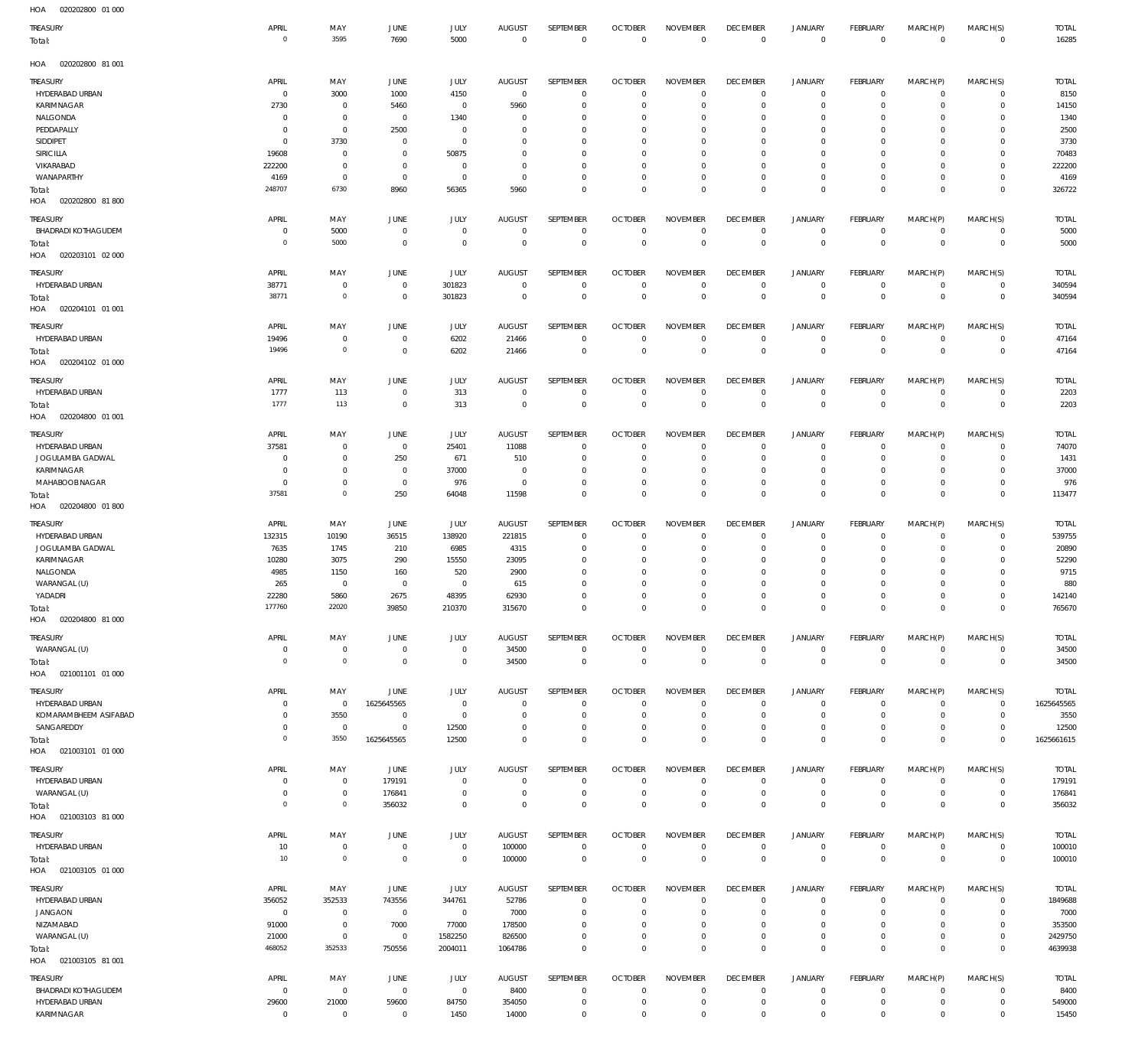| TREASURY<br>Total:                  | APRIL<br>$\overline{0}$ | MAY<br>3595                 | JUNE<br>7690                  | <b>JULY</b><br>5000        | <b>AUGUST</b><br>$\mathbb O$ | SEPTEMBER<br>$\mathbf 0$   | <b>OCTOBER</b><br>$\overline{0}$ | <b>NOVEMBER</b><br>$\mathsf 0$ | <b>DECEMBER</b><br>$\mathbf 0$ | <b>JANUARY</b><br>$\mathbf 0$ | FEBRUARY<br>$\overline{0}$ | MARCH(P)<br>$\mathsf 0$     | MARCH(S)<br>$\mathbf 0$    | <b>TOTAL</b><br>16285   |
|-------------------------------------|-------------------------|-----------------------------|-------------------------------|----------------------------|------------------------------|----------------------------|----------------------------------|--------------------------------|--------------------------------|-------------------------------|----------------------------|-----------------------------|----------------------------|-------------------------|
| 020202800 81 001<br>HOA             |                         |                             |                               |                            |                              |                            |                                  |                                |                                |                               |                            |                             |                            |                         |
| TREASURY                            | APRIL                   | MAY                         | JUNE                          | JULY                       | AUGUST                       | SEPTEMBER                  | <b>OCTOBER</b>                   | <b>NOVEMBER</b>                | <b>DECEMBER</b>                | <b>JANUARY</b>                | FEBRUARY                   | MARCH(P)                    | MARCH(S)                   | <b>TOTAL</b>            |
| HYDERABAD URBAN                     | $^{\circ}$              | 3000                        | 1000                          | 4150                       | $\mathbf 0$                  | $\mathbf 0$                | $^{\circ}$                       | $\mathbf 0$                    | $\mathbf 0$                    | 0                             | $^{\circ}$                 | $^{\circ}$                  | $\mathbf 0$                | 8150                    |
| <b>KARIMNAGAR</b>                   | 2730                    | $\mathbf 0$                 | 5460                          | $\mathbf 0$                | 5960                         | $\mathbf 0$                | $^{\circ}$                       | $\mathbf 0$                    | $\mathbf 0$                    | $\mathbf 0$                   | $^{\circ}$                 | $^{\circ}$                  | $\mathbf 0$                | 14150                   |
| NALGONDA                            | $^{\circ}$              | $\mathbf 0$                 | $\overline{0}$                | 1340                       | 0                            | $\mathbf 0$                | 0                                | $\mathbf 0$                    | 0                              | $^{\circ}$                    | 0                          | 0                           | 0                          | 1340                    |
| PEDDAPALLY                          | 0                       | $\mathbf 0$                 | 2500                          | $\mathbf 0$                | 0                            | $\mathbf 0$                | 0                                | $\mathbf 0$                    | $\mathbf{0}$                   | $\mathbf 0$                   | 0                          | 0                           | $^{\circ}$                 | 2500                    |
| SIDDIPET                            | 0                       | 3730                        | 0                             | $\mathbf 0$                | 0                            | $\mathbf 0$                | 0                                | $\mathbf 0$                    | 0                              | $\mathbf 0$                   | 0                          | 0                           | 0                          | 3730                    |
| SIRICILLA<br>VIKARABAD              | 19608<br>222200         | $\mathbf 0$<br>$\mathbf 0$  | $^{\circ}$<br>$\mathbf 0$     | 50875<br>$\mathbf 0$       | $\mathbf 0$<br>0             | $\mathbf 0$<br>$\mathbf 0$ | 0<br>0                           | $\mathbf 0$<br>$\mathbf 0$     | $\mathbf 0$<br>$\mathbf{0}$    | $\mathbf 0$<br>$\mathbf 0$    | 0<br>0                     | $\mathbf 0$<br>$^{\circ}$   | $^{\circ}$<br>0            | 70483<br>222200         |
| WANAPARTHY                          | 4169                    | $\mathbf 0$                 | $^{\circ}$                    | $\mathbf 0$                | $\mathbf 0$                  | $\mathbf 0$                | 0                                | $\mathbf 0$                    | $\mathbf 0$                    | $\mathbf 0$                   | $\mathbf 0$                | $\mathbf 0$                 | $\mathbf 0$                | 4169                    |
| Total:                              | 248707                  | 6730                        | 8960                          | 56365                      | 5960                         | $\mathbf 0$                | $\mathbf 0$                      | $\mathbf 0$                    | $\mathbf 0$                    | $\mathsf 0$                   | $\mathbf 0$                | $\mathbf 0$                 | $\mathbf 0$                | 326722                  |
| HOA<br>020202800 81 800             |                         |                             |                               |                            |                              |                            |                                  |                                |                                |                               |                            |                             |                            |                         |
| <b>TREASURY</b>                     | APRIL                   | MAY                         | <b>JUNE</b>                   | <b>JULY</b>                | <b>AUGUST</b>                | SEPTEMBER                  | <b>OCTOBER</b>                   | <b>NOVEMBER</b>                | <b>DECEMBER</b>                | <b>JANUARY</b>                | FEBRUARY                   | MARCH(P)                    | MARCH(S)                   | <b>TOTAL</b>            |
| <b>BHADRADI KOTHAGUDEM</b>          | 0                       | 5000                        | $\overline{0}$                | $\mathbf 0$                | $\mathbf 0$                  | $\mathbf 0$                | $\mathbf 0$                      | $\mathbf 0$                    | $\mathbb O$                    | 0                             | $\mathbf 0$                | $\mathbf 0$                 | 0                          | 5000                    |
| Total:                              | $\circ$                 | 5000                        | $\overline{0}$                | $\mathbf 0$                | $\mathbf 0$                  | $\mathsf 0$                | $\overline{0}$                   | $\mathbf 0$                    | $\mathbf 0$                    | $\mathsf 0$                   | $\mathbf 0$                | $\mathbf 0$                 | $\mathbf 0$                | 5000                    |
| HOA<br>020203101 02 000             |                         |                             |                               |                            |                              |                            |                                  |                                |                                |                               |                            |                             |                            |                         |
| TREASURY                            | APRIL                   | MAY                         | <b>JUNE</b>                   | <b>JULY</b>                | <b>AUGUST</b>                | SEPTEMBER                  | <b>OCTOBER</b>                   | <b>NOVEMBER</b>                | <b>DECEMBER</b>                | <b>JANUARY</b>                | FEBRUARY                   | MARCH(P)                    | MARCH(S)                   | <b>TOTAL</b>            |
| HYDERABAD URBAN                     | 38771                   | $\mathbf 0$                 | $\overline{0}$                | 301823                     | $^{\circ}$                   | $\mathbf 0$                | $^{\circ}$                       | $\mathbf 0$                    | $\mathbf 0$                    | 0                             | $^{\circ}$                 | $\mathbf 0$                 | $\circ$                    | 340594                  |
| Total:                              | 38771                   | $\mathbb O$                 | $\overline{0}$                | 301823                     | $\mathbf 0$                  | $\mathsf 0$                | $\overline{0}$                   | $\mathbf 0$                    | $\mathbf 0$                    | $\mathsf 0$                   | $\mathbf 0$                | $\mathbf 0$                 | $\mathbf 0$                | 340594                  |
| 020204101 01 001<br>HOA             |                         |                             |                               |                            |                              |                            |                                  |                                |                                |                               |                            |                             |                            |                         |
| TREASURY                            | APRIL                   | MAY                         | <b>JUNE</b>                   | <b>JULY</b>                | <b>AUGUST</b>                | SEPTEMBER                  | <b>OCTOBER</b>                   | <b>NOVEMBER</b>                | <b>DECEMBER</b>                | <b>JANUARY</b>                | FEBRUARY                   | MARCH(P)                    | MARCH(S)                   | <b>TOTAL</b>            |
| HYDERABAD URBAN                     | 19496                   | $\mathbf 0$                 | $\overline{0}$                | 6202                       | 21466                        | $\mathbb O$                | $\overline{0}$                   | $\mathbf 0$                    | $\mathbf 0$                    | 0                             | $\mathbf{0}$               | $\mathbf 0$                 | $\mathbb O$                | 47164                   |
| Total:                              | 19496                   | $\mathbb O$                 | $\overline{0}$                | 6202                       | 21466                        | $\mathbb O$                | $\overline{0}$                   | $\mathbf 0$                    | $\mathbf 0$                    | $\mathsf 0$                   | $\overline{0}$             | $\mathbf 0$                 | $\mathbf 0$                | 47164                   |
| 020204102 01 000<br>HOA             |                         |                             |                               |                            |                              |                            |                                  |                                |                                |                               |                            |                             |                            |                         |
| TREASURY                            | APRIL                   | MAY                         | <b>JUNE</b>                   | JULY                       | <b>AUGUST</b>                | SEPTEMBER                  | <b>OCTOBER</b>                   | <b>NOVEMBER</b>                | <b>DECEMBER</b>                | <b>JANUARY</b>                | FEBRUARY                   | MARCH(P)                    | MARCH(S)                   | <b>TOTAL</b>            |
| HYDERABAD URBAN                     | 1777                    | 113                         | $\mathbf 0$                   | 313                        | $\mathbf 0$                  | $\mathbf 0$                | $\mathbf 0$                      | $\mathbf 0$                    | $\mathbf 0$                    | $\mathbf 0$                   | $^{\circ}$                 | $\mathbf 0$                 | $\mathbf 0$                | 2203                    |
| Total:<br>HOA<br>020204800 01 001   | 1777                    | 113                         | $\mathbf 0$                   | 313                        | $\mathbf 0$                  | $\mathbf 0$                | $\overline{0}$                   | $\mathbf 0$                    | $\mathbf 0$                    | $\mathsf 0$                   | $\mathbf 0$                | $\mathsf 0$                 | $\mathbf 0$                | 2203                    |
|                                     |                         |                             |                               |                            |                              |                            |                                  |                                |                                |                               |                            |                             |                            |                         |
| <b>TREASURY</b>                     | APRIL                   | MAY                         | <b>JUNE</b>                   | JULY                       | <b>AUGUST</b>                | SEPTEMBER                  | <b>OCTOBER</b>                   | <b>NOVEMBER</b>                | <b>DECEMBER</b>                | <b>JANUARY</b>                | FEBRUARY                   | MARCH(P)                    | MARCH(S)                   | <b>TOTAL</b>            |
| HYDERABAD URBAN<br>JOGULAMBA GADWAL | 37581<br>$^{\circ}$     | $\mathbf 0$<br>$\mathbf{0}$ | $\overline{0}$<br>250         | 25401<br>671               | 11088                        | $\mathbf 0$<br>$\mathbf 0$ | $^{\circ}$<br>$^{\circ}$         | $^{\circ}$<br>$\mathbf 0$      | $\mathbf 0$<br>$\mathbf 0$     | 0<br>$\mathbf 0$              | 0<br>$^{\circ}$            | 0<br>$\mathbf 0$            | 0<br>$\mathbf 0$           | 74070<br>1431           |
| KARIMNAGAR                          | 0                       | $\mathbf 0$                 | $\overline{0}$                | 37000                      | 510<br>0                     | $\mathbf 0$                | 0                                | $\mathbf 0$                    | 0                              | 0                             | 0                          | 0                           | $\mathbf 0$                | 37000                   |
| MAHABOOB NAGAR                      | $\mathbf 0$             | $\mathbf 0$                 | $\overline{0}$                | 976                        | $\mathbf 0$                  | $\mathbf 0$                | $\mathbf 0$                      | $\mathbf 0$                    | $\mathbf 0$                    | $\mathsf{O}$                  | $\mathbf 0$                | $\mathbf 0$                 | $\mathbf 0$                | 976                     |
| Total:                              | 37581                   | $\mathbb O$                 | 250                           | 64048                      | 11598                        | $\mathbf 0$                | $\mathbf 0$                      | $\mathbf 0$                    | $\mathbf 0$                    | $\mathsf 0$                   | $\mathbf 0$                | $\mathbf 0$                 | $\mathbf 0$                | 113477                  |
| 020204800 01 800<br>HOA             |                         |                             |                               |                            |                              |                            |                                  |                                |                                |                               |                            |                             |                            |                         |
| TREASURY                            | APRIL                   | MAY                         | <b>JUNE</b>                   | JULY                       | <b>AUGUST</b>                | SEPTEMBER                  | <b>OCTOBER</b>                   | <b>NOVEMBER</b>                | <b>DECEMBER</b>                | <b>JANUARY</b>                | <b>FEBRUARY</b>            | MARCH(P)                    | MARCH(S)                   | <b>TOTAL</b>            |
| HYDERABAD URBAN                     | 132315                  | 10190                       | 36515                         | 138920                     | 221815                       | $\mathbf 0$                | $^{\circ}$                       | $\mathbf 0$                    | $\mathbf 0$                    | 0                             | $\mathbf 0$                | $\mathbf 0$                 | $\mathbf 0$                | 539755                  |
| JOGULAMBA GADWAL                    | 7635                    | 1745                        | 210                           | 6985                       | 4315                         | $\mathbf 0$                | 0                                | $\mathbf 0$                    | $\mathbf 0$                    | $\mathbf 0$                   | $^{\circ}$                 | $\mathbf 0$                 | 0                          | 20890                   |
| <b>KARIMNAGAR</b>                   | 10280                   | 3075                        | 290                           | 15550                      | 23095                        | $\mathbf 0$                | 0                                | $\mathbf 0$                    | $^{\circ}$                     | $\mathbf 0$                   | 0                          | 0                           | 0                          | 52290                   |
| NALGONDA                            | 4985                    | 1150                        | 160                           | 520                        | 2900                         | $\mathbf 0$                | 0                                | $\mathbf 0$                    | $\mathbf 0$                    | $\mathbf 0$                   | 0                          | 0                           | 0                          | 9715                    |
| WARANGAL (U)<br>YADADRI             | 265<br>22280            | $\mathbf 0$<br>5860         | $^{\circ}$<br>2675            | $\mathbf 0$<br>48395       | 615<br>62930                 | $\mathbf 0$<br>$\mathbf 0$ | 0<br>$\mathbf 0$                 | $\mathbf 0$<br>$\mathbf 0$     | $^{\circ}$<br>$\mathbf 0$      | $\mathbf 0$<br>$\mathbf 0$    | 0<br>$\mathbf 0$           | $\mathbf 0$<br>$\mathbf 0$  | $\mathbf 0$<br>$\mathbf 0$ | 880<br>142140           |
| Total:                              | 177760                  | 22020                       | 39850                         | 210370                     | 315670                       | $\mathbf 0$                | $\mathbf 0$                      | $\mathbf{0}$                   | $\mathbf 0$                    | $\mathbf{0}$                  | $\mathbf 0$                | $\mathbf{0}$                | $\mathbf 0$                | 765670                  |
| HOA<br>020204800 81 000             |                         |                             |                               |                            |                              |                            |                                  |                                |                                |                               |                            |                             |                            |                         |
| TREASURY                            | APRIL                   | MAY                         | <b>JUNE</b>                   | JULY                       | AUGUST                       | SEPTEMBER                  | <b>OCTOBER</b>                   | <b>NOVEMBER</b>                | <b>DECEMBER</b>                | <b>JANUARY</b>                | FEBRUARY                   | MARCH(P)                    | MARCH(S)                   | <b>TOTAL</b>            |
| WARANGAL (U)                        | 0                       | $\mathbb O$                 | $\overline{0}$                | $\mathbb O$                | 34500                        | $\mathbb O$                | $\overline{0}$                   | $\mathbb O$                    | $\,0\,$                        | $\mathbb O$                   | $\overline{0}$             | $\mathsf{O}$                | $\mathbb O$                | 34500                   |
| Total:                              | $\overline{0}$          | $\mathsf{O}\xspace$         | $\overline{0}$                | $\mathbf 0$                | 34500                        | $\mathsf 0$                | $\overline{0}$                   | $\mathsf 0$                    | $\mathbf 0$                    | $\mathsf 0$                   | $\overline{0}$             | $\mathbf 0$                 | $\mathbf 0$                | 34500                   |
| HOA  021001101  01  000             |                         |                             |                               |                            |                              |                            |                                  |                                |                                |                               |                            |                             |                            |                         |
| <b>TREASURY</b>                     | APRIL                   | MAY                         | <b>JUNE</b>                   | <b>JULY</b>                | <b>AUGUST</b>                | <b>SEPTEMBER</b>           | <b>OCTOBER</b>                   | <b>NOVEMBER</b>                | <b>DECEMBER</b>                | <b>JANUARY</b>                | FEBRUARY                   | MARCH(P)                    | MARCH(S)                   | <b>TOTAL</b>            |
| HYDERABAD URBAN                     | $^{\circ}$              | $\mathbf 0$                 | 1625645565                    | $\mathbf 0$                | $\mathbf 0$                  | $\mathbf{0}$               | $\overline{0}$                   | $\mathbf 0$                    | $\mathbf 0$                    | 0                             | $\circ$                    | $\mathbf 0$                 | $\overline{0}$             | 1625645565              |
| KOMARAMBHEEM ASIFABAD               | 0                       | 3550                        | $\overline{0}$                | $\mathbb O$                | 0                            | $\mathbf 0$                | $^{\circ}$                       | $^{\circ}$                     | $^{\circ}$                     | $\mathsf{O}$                  | 0                          | $\mathbf 0$                 | 0                          | 3550                    |
| SANGAREDDY                          | $^{\circ}$              | $\overline{0}$              | $^{\circ}$                    | 12500                      | $^{\circ}$                   | $\mathbb O$                | $^{\circ}$                       | $\mathbf 0$                    | $\mathbf 0$                    | $\mathbf 0$                   | $^{\circ}$                 | $\mathbf 0$                 | $\mathbf 0$                | 12500                   |
| Total:                              | $\mathbf 0$             | 3550                        | 1625645565                    | 12500                      | $\mathbf 0$                  | $\mathbf 0$                | $\mathbf 0$                      | $\mathbf 0$                    | $\mathbf 0$                    | $\mathsf 0$                   | $\mathbf 0$                | $\mathbf 0$                 | $\mathbf 0$                | 1625661615              |
| HOA  021003101  01  000             |                         |                             |                               |                            |                              |                            |                                  |                                |                                |                               |                            |                             |                            |                         |
| TREASURY                            | APRIL                   | MAY                         | JUNE                          | <b>JULY</b>                | AUGUST                       | SEPTEMBER                  | <b>OCTOBER</b>                   | <b>NOVEMBER</b>                | <b>DECEMBER</b>                | <b>JANUARY</b>                | FEBRUARY                   | MARCH(P)                    | MARCH(S)                   | <b>TOTAL</b>            |
| HYDERABAD URBAN                     | 0                       | $\overline{0}$              | 179191                        | $\mathbb O$                | $\mathbf 0$                  | $\mathbf 0$                | $\overline{0}$                   | $\mathbf 0$                    | $\mathbb O$                    | 0                             | $\mathbf 0$                | $^{\circ}$                  | $\mathbf 0$                | 179191                  |
| WARANGAL (U)                        | 0<br>$\mathbf 0$        | $\mathbf 0$<br>$\mathbf 0$  | 176841<br>356032              | $\mathbb O$<br>$\mathbf 0$ | $\mathbf 0$<br>$\mathbf 0$   | $\mathbf 0$<br>$\mathsf 0$ | $\overline{0}$<br>$\mathbf 0$    | $\mathbb O$<br>$\mathbf 0$     | $\mathbf 0$<br>$\mathbf 0$     | $\mathbf 0$<br>$\mathsf 0$    | $\circ$<br>$\mathbf 0$     | $\mathsf{O}$<br>$\mathbf 0$ | 0<br>$\mathbf 0$           | 176841<br>356032        |
| Total:<br>021003103 81 000<br>HOA   |                         |                             |                               |                            |                              |                            |                                  |                                |                                |                               |                            |                             |                            |                         |
|                                     |                         |                             |                               |                            |                              |                            |                                  |                                |                                |                               |                            |                             |                            |                         |
| <b>TREASURY</b><br>HYDERABAD URBAN  | APRIL<br>10             | MAY<br>$\mathbf 0$          | <b>JUNE</b><br>$\overline{0}$ | JULY<br>$\mathbf 0$        | <b>AUGUST</b><br>100000      | SEPTEMBER<br>$\mathbf 0$   | <b>OCTOBER</b><br>$\mathbf 0$    | <b>NOVEMBER</b><br>$\mathbf 0$ | <b>DECEMBER</b><br>$\mathbf 0$ | <b>JANUARY</b><br>0           | FEBRUARY<br>$\mathbf 0$    | MARCH(P)<br>$\mathbf 0$     | MARCH(S)<br>$\circ$        | <b>TOTAL</b><br>100010  |
| Total:                              | 10                      | $\mathbb O$                 | $\overline{0}$                | $\mathbf 0$                | 100000                       | $\mathbf 0$                | $\overline{0}$                   | $\mathsf 0$                    | $\mathbb O$                    | $\mathsf 0$                   | $\mathbf 0$                | $\mathsf 0$                 | $\mathbf 0$                | 100010                  |
| HOA  021003105  01  000             |                         |                             |                               |                            |                              |                            |                                  |                                |                                |                               |                            |                             |                            |                         |
| TREASURY                            | APRIL                   |                             |                               | JULY                       | AUGUST                       | SEPTEMBER                  | <b>OCTOBER</b>                   | <b>NOVEMBER</b>                | <b>DECEMBER</b>                |                               | FEBRUARY                   | MARCH(P)                    | MARCH(S)                   |                         |
| HYDERABAD URBAN                     | 356052                  | MAY<br>352533               | JUNE<br>743556                | 344761                     | 52786                        | $\mathbf 0$                | $^{\circ}$                       | $^{\circ}$                     | $\mathbf 0$                    | <b>JANUARY</b><br>0           | 0                          | $^{\circ}$                  | 0                          | <b>TOTAL</b><br>1849688 |
| <b>JANGAON</b>                      | $\overline{0}$          | $\overline{0}$              | $\overline{0}$                | $\overline{0}$             | 7000                         | $\mathbf 0$                | $\mathbf 0$                      | $\mathbf 0$                    | $\mathbf 0$                    | 0                             | $\mathbf 0$                | $^{\circ}$                  | $^{\circ}$                 | 7000                    |
| NIZAMABAD                           | 91000                   | $\overline{0}$              | 7000                          | 77000                      | 178500                       | $\mathbf 0$                | 0                                | $\mathbf 0$                    | $\mathbf 0$                    | $\mathsf{O}$                  | $^{\circ}$                 | $^{\circ}$                  | 0                          | 353500                  |
| WARANGAL (U)                        | 21000                   | $\overline{0}$              | $\overline{0}$                | 1582250                    | 826500                       | $\mathbf 0$                | $\mathbf 0$                      | $\mathbf 0$                    | $\mathbf 0$                    | $\mathbf 0$                   | $\mathbf 0$                | 0                           | 0                          | 2429750                 |
| Total:                              | 468052                  | 352533                      | 750556                        | 2004011                    | 1064786                      | $\mathbf 0$                | $\mathbf 0$                      | $\mathbf 0$                    | $\mathbf 0$                    | $\mathsf 0$                   | $\mathbf 0$                | $\mathbf 0$                 | $\mathbf 0$                | 4639938                 |
| HOA<br>021003105 81 001             |                         |                             |                               |                            |                              |                            |                                  |                                |                                |                               |                            |                             |                            |                         |
| <b>TREASURY</b>                     | APRIL                   | MAY                         | <b>JUNE</b>                   | JULY                       | <b>AUGUST</b>                | SEPTEMBER                  | <b>OCTOBER</b>                   | <b>NOVEMBER</b>                | <b>DECEMBER</b>                | <b>JANUARY</b>                | FEBRUARY                   | MARCH(P)                    | MARCH(S)                   | <b>TOTAL</b>            |
| BHADRADI KOTHAGUDEM                 | $^{\circ}$              | $\mathbb O$                 | $\overline{0}$                | $\mathbf 0$                | 8400                         | $\mathbf 0$                | $^{\circ}$                       | $\mathbf 0$                    | $\mathbf 0$                    | 0                             | $\circ$                    | $\mathbf 0$                 | $\mathbf 0$                | 8400                    |
| HYDERABAD URBAN                     | 29600                   | 21000                       | 59600                         | 84750                      | 354050                       | $\mathbf 0$                | $\overline{0}$                   | $\mathbb O$                    | $\mathbf 0$                    | $\mathbf 0$                   | $\mathbf 0$                | 0                           | 0                          | 549000                  |
| KARIMNAGAR                          | $\mathbf 0$             | $\mathbf 0$                 | $\overline{0}$                | 1450                       | 14000                        | $\mathbf 0$                | $\mathbf 0$                      | $\mathbf 0$                    | $\mathbf 0$                    | $\mathbf 0$                   | $^{\circ}$                 | 0                           | $\mathbf 0$                | 15450                   |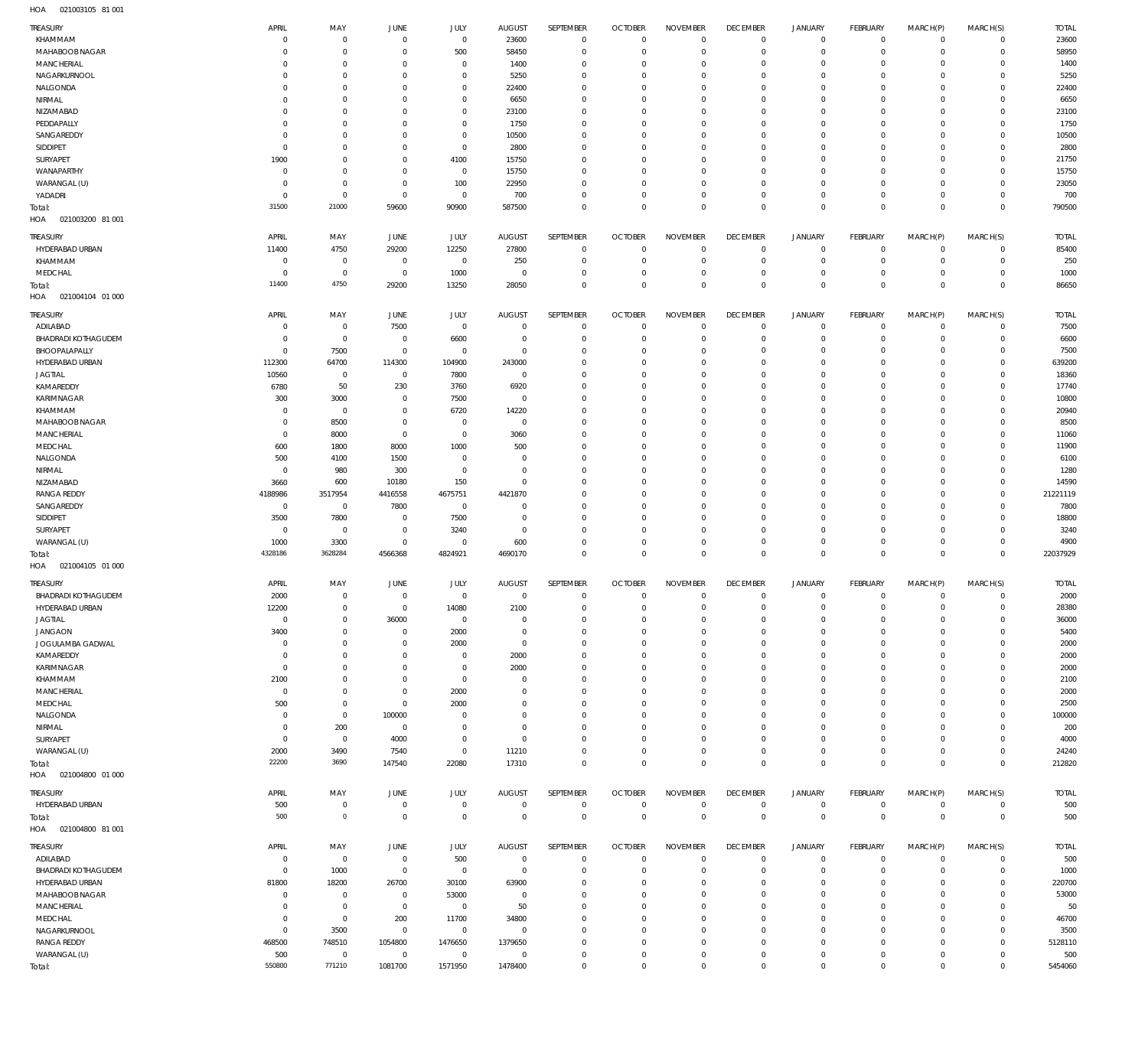021003105 81 001 HOA

| TREASURY                           | APRIL             | MAY                   | <b>JUNE</b>            | JULY                   | AUGUST                 | SEPTEMBER                  | <b>OCTOBER</b>   | <b>NOVEMBER</b>         | <b>DECEMBER</b>  | <b>JANUARY</b>   | FEBRUARY              | MARCH(P)               | MARCH(S)                | <b>TOTAL</b>   |
|------------------------------------|-------------------|-----------------------|------------------------|------------------------|------------------------|----------------------------|------------------|-------------------------|------------------|------------------|-----------------------|------------------------|-------------------------|----------------|
| KHAMMAM                            | 0                 | $\mathbf 0$           | $\circ$                | $\mathbb O$            | 23600                  | $\mathbf 0$                | $\overline{0}$   | $\mathbf 0$             | $\overline{0}$   | $\mathbf 0$      | $\overline{0}$        | $^{\circ}$             | $\mathbf 0$             | 23600          |
| MAHABOOB NAGAR                     | $\Omega$          | $\mathbf 0$           | $^{\circ}$             | 500                    | 58450                  | $\mathbf 0$                | $\mathbf 0$      | $\mathbf 0$             | $\mathbf 0$      | 0                | $\circ$               | $\mathbf 0$            | $\mathbf 0$             | 58950          |
| <b>MANCHERIAL</b>                  | $\Omega$          | $\mathbf 0$           | $^{\circ}$             | $\mathbf 0$            | 1400                   | $\mathbf 0$                | $\mathbf 0$      | $\Omega$                | $\mathbf 0$      | 0                | $\mathbf{0}$          | $\Omega$               | $\mathbf 0$             | 1400           |
| NAGARKURNOOL                       | $\Omega$          | $\mathbf 0$           | $^{\circ}$             | $\mathbf 0$            | 5250                   | $\mathbf 0$                | $\mathbf 0$      | $\mathbf 0$             | $\mathbf 0$      | 0                | $\mathbf{0}$          | $\Omega$               | $\mathbf 0$             | 5250           |
| NALGONDA                           | $\Omega$          | $\mathbf 0$           | $\Omega$               | $\mathbf 0$            | 22400                  | $\mathbf 0$                | $\mathbf 0$      | $\Omega$                | $\mathbf 0$      | 0                | $\mathbf{0}$          | $\Omega$               | $\mathbf 0$             | 22400          |
| NIRMAL                             | $\Omega$          | $\mathbf 0$           | $^{\circ}$             | $\mathbf 0$            | 6650                   | $\mathbf 0$                | $\mathbf 0$      | $\Omega$                | $\mathbf 0$      | 0                | $\mathbf{0}$          | $\Omega$               | $\mathbf 0$             | 6650           |
| NIZAMABAD                          | $\Omega$          | $\mathbf 0$           | $^{\circ}$             | $\mathbf 0$            | 23100                  | $\mathbf 0$                | $\mathbf 0$      | $\Omega$                | $\mathbf 0$      | 0                | $\mathbf{0}$          | $\Omega$               | $\mathbf 0$             | 23100          |
| PEDDAPALLY                         | $\Omega$          | $\mathbf 0$           | $^{\circ}$             | $\mathbf 0$            | 1750                   | $\mathbf 0$                | $\mathbf 0$      | $\Omega$                | $\mathbf 0$      | 0                | $\mathbf{0}$          | $\Omega$               | $\Omega$                | 1750           |
| SANGAREDDY                         | $\Omega$          | $\mathbf 0$           | $^{\circ}$             | $\mathbb O$            | 10500                  | $\mathbf 0$                | $\mathbf 0$      | $\Omega$                | $\mathbf 0$      | 0                | $\mathbf{0}$          | $\Omega$               | $\mathbf 0$             | 10500          |
| SIDDIPET                           | $\overline{0}$    | $\mathbf 0$           | $^{\circ}$             | $\mathbf 0$            | 2800                   | $\mathbf 0$                | $\mathbf 0$      | $\Omega$                | $\mathbf 0$      | 0                | $\mathbf{0}$          | $\Omega$               | $\Omega$                | 2800           |
| SURYAPET                           | 1900              | $\mathbf 0$           | $^{\circ}$             | 4100                   | 15750                  | $\mathbf 0$                | $\mathbf 0$      | $\Omega$                | $\mathbf 0$      | 0                | $\mathbf{0}$          | $\Omega$               | $\mathbf 0$             | 21750          |
| WANAPARTHY                         | 0                 | $\mathbf 0$           | $^{\circ}$             | $\mathbb O$            | 15750                  | $\mathbf 0$                | $\mathbf 0$      | $\Omega$                | $\mathbf 0$      | $\Omega$         | $\mathbf 0$           | $\Omega$               | $\Omega$                | 15750          |
| WARANGAL (U)                       | $\Omega$          | $\mathbf 0$           | $^{\circ}$             | 100                    | 22950                  | $\mathbf 0$                | $\mathbf 0$      | $\Omega$                | $\mathbf 0$      | 0                | $\mathbf{0}$          | $\Omega$               | $\mathbf 0$             | 23050          |
| YADADRI                            | - 0               | $\mathbf 0$           | $\circ$                | $\mathbb O$            | 700                    | $\mathbf 0$                | $\mathbf 0$      | $\mathbf 0$             | $\mathbf 0$      | 0                | $\mathbf{0}$          | 0                      | $\mathbf 0$             | 700            |
| Total:                             | 31500             | 21000                 | 59600                  | 90900                  | 587500                 | $\mathbf 0$                | $\mathbf 0$      | $\mathbf 0$             | $\overline{0}$   | $\mathbf 0$      | $\overline{0}$        | $\Omega$               | $\mathbf{0}$            | 790500         |
| HOA<br>021003200 81 001            |                   |                       |                        |                        |                        |                            |                  |                         |                  |                  |                       |                        |                         |                |
| TREASURY                           | APRIL             | MAY                   | JUNE                   | JULY                   | <b>AUGUST</b>          | SEPTEMBER                  | <b>OCTOBER</b>   | <b>NOVEMBER</b>         | <b>DECEMBER</b>  | <b>JANUARY</b>   | <b>FEBRUARY</b>       | MARCH(P)               |                         | <b>TOTAL</b>   |
|                                    |                   |                       |                        |                        |                        | $\mathbf 0$                | $\mathbf 0$      | $\mathbf 0$             | $\mathbf 0$      |                  | $\overline{0}$        | $^{\circ}$             | MARCH(S)<br>$\mathbf 0$ |                |
| HYDERABAD URBAN                    | 11400             | 4750                  | 29200                  | 12250                  | 27800                  |                            |                  | $\Omega$                | $\mathbf 0$      | 0<br>$\mathbf 0$ | $\mathbf{0}$          | $\mathbf 0$            | $\mathbf 0$             | 85400          |
| KHAMMAM                            | $\Omega$          | $\mathbf{0}$          | $\mathbf 0$            | $\mathbf 0$            | 250                    | $\mathbf 0$                | $\mathbf 0$      |                         |                  |                  |                       |                        |                         | 250            |
| MEDCHAL                            | $\Omega$<br>11400 | $\mathbf 0$<br>4750   | $\mathbf 0$            | 1000                   | $^{\circ}$             | $\mathbf 0$                | $\mathbf 0$      | $\mathbf 0$<br>$\Omega$ | $\mathbf 0$      | 0                | $^{\circ}$            | $^{\circ}$<br>$\Omega$ | $\mathbf 0$             | 1000           |
| Total:                             |                   |                       | 29200                  | 13250                  | 28050                  | $\mathbf 0$                | $\mathbf 0$      |                         | $\mathbf 0$      | $\mathbf 0$      | $\overline{0}$        |                        | $\mathbf 0$             | 86650          |
| HOA  021004104  01  000            |                   |                       |                        |                        |                        |                            |                  |                         |                  |                  |                       |                        |                         |                |
| TREASURY                           | APRIL             | MAY                   | <b>JUNE</b>            | JULY                   | <b>AUGUST</b>          | SEPTEMBER                  | <b>OCTOBER</b>   | <b>NOVEMBER</b>         | <b>DECEMBER</b>  | <b>JANUARY</b>   | FEBRUARY              | MARCH(P)               | MARCH(S)                | <b>TOTAL</b>   |
| ADILABAD                           | 0                 | $\mathbf 0$           | 7500                   | $\mathbb O$            | $\overline{0}$         | $\mathbf 0$                | $\overline{0}$   | $\mathbf 0$             | $\mathbf 0$      | $\mathbf 0$      | $\overline{0}$        | $^{\circ}$             | $\mathbf 0$             | 7500           |
| BHADRADI KOTHAGUDEM                | -0                | $\mathbf 0$           | $\circ$                | 6600                   | $^{\circ}$             | $\mathbf 0$                | $\mathbf 0$      | $\mathbf 0$             | $\mathbf 0$      | $\mathbf 0$      | $\mathbf{0}$          | $^{\circ}$             | $\mathbf 0$             | 6600           |
| BHOOPALAPALLY                      | $\Omega$          | 7500                  | $\circ$                | $\mathbb O$            | $^{\circ}$             | $\mathbf 0$                | $\mathbf 0$      | $\Omega$                | $\mathbf 0$      | 0                | $\overline{0}$        | $\Omega$               | $\mathbf 0$             | 7500           |
| HYDERABAD URBAN                    | 112300            | 64700                 | 114300                 | 104900                 | 243000                 | $\mathbf 0$                | $\mathbf 0$      | $\mathbf 0$             | $\mathbf 0$      | 0                | $\mathbf{0}$          | $\Omega$               | $\mathbf 0$             | 639200         |
| <b>JAGTIAL</b>                     | 10560             | $\mathbf 0$           | $\mathbf 0$            | 7800                   | $\overline{0}$         | $\mathbf 0$                | $\mathbf 0$      | $\Omega$                | $\mathbf 0$      | 0                | $\mathbf{0}$          | $\Omega$               | $\mathbf 0$             | 18360          |
| KAMAREDDY                          | 6780              | 50                    | 230                    | 3760                   | 6920                   | $\mathbf 0$                | $\mathbf 0$      | $\mathbf 0$             | $\mathbf 0$      | 0                | $\mathbf{0}$          | $\Omega$               | $\mathbf 0$             | 17740          |
| KARIMNAGAR                         | 300               | 3000                  | $^{\circ}$             | 7500                   | $^{\circ}$             | $\mathbf 0$                | $\mathbf 0$      | $\Omega$                | $\mathbf 0$      | 0                | $\mathbf{0}$          | $\Omega$               | $\mathbf 0$             | 10800          |
| KHAMMAM                            | 0                 | $\mathbf 0$           | $^{\circ}$             | 6720                   | 14220                  | $\mathbf 0$                | $\mathbf 0$      | $\Omega$                | $\mathbf 0$      | 0                | $\mathbf{0}$          | $\Omega$               | $\mathbf 0$             | 20940          |
| MAHABOOB NAGAR                     | $\Omega$          | 8500                  | $^{\circ}$             | $\mathbf 0$            | $^{\circ}$             | $\mathbf 0$                | $\mathbf 0$      | $\Omega$                | $\mathbf 0$      | 0                | $\mathbf{0}$          | $\Omega$               | $\mathbf 0$             | 8500           |
| MANCHERIAL                         | $\overline{0}$    | 8000                  | $\mathbf 0$            | $\mathbf 0$            | 3060                   | $\mathbf 0$                | $\mathbf 0$      | $\Omega$                | $\mathbf 0$      | 0                | $\mathbf{0}$          | $\Omega$               | $\Omega$                | 11060          |
| MEDCHAL                            | 600               | 1800                  | 8000                   | 1000                   | 500                    | $\mathbf 0$                | $\mathbf 0$      | $\Omega$                | $\mathbf 0$      | 0                | $\mathbf{0}$          | $\Omega$               | $\mathbf 0$             | 11900          |
| NALGONDA                           | 500               | 4100                  | 1500                   | $\mathbf 0$            | $\Omega$               | $\mathbf 0$                | $\mathbf 0$      | $\Omega$                | $\mathbf 0$      | $\Omega$         | $\mathbf{0}$          | $\Omega$               | $\Omega$                | 6100           |
| NIRMAL                             | $\overline{0}$    | 980                   | 300                    | $\mathbf 0$            | $^{\circ}$             | $\mathbf 0$                | $\mathbf 0$      | $\Omega$                | $\mathbf 0$      | 0                | $\mathbf{0}$          | $\Omega$               | $\mathbf 0$             | 1280           |
| NIZAMABAD                          | 3660              | 600                   | 10180                  | 150                    | $^{\circ}$             | $\mathbf 0$                | $\mathbf 0$      | $\Omega$                | $\mathbf 0$      | 0                | $\mathbf 0$           | $\Omega$               | $\Omega$                | 14590          |
| <b>RANGA REDDY</b>                 | 4188986           | 3517954               | 4416558                | 4675751                | 4421870                | $\mathbf 0$                | $\mathbf 0$      | $\Omega$                | $\mathbf 0$      | 0                | $\mathbf{0}$          | $\Omega$               | $\mathbf 0$             | 21221119       |
| SANGAREDDY                         | $\overline{0}$    | $\mathbf 0$           | 7800                   | $\mathbb O$            | $^{\circ}$             | $\mathbf 0$                | $\mathbf 0$      | $\Omega$                | $\mathbf 0$      | 0                | $\mathbf 0$           | $\Omega$               | $\Omega$                | 7800           |
| SIDDIPET                           | 3500              | 7800                  | $^{\circ}$             | 7500                   | $^{\circ}$             | $\mathbf 0$                | $\mathbf 0$      | $\Omega$                | $\mathbf 0$      | 0                | $\mathbf{0}$          | $\Omega$               | $\mathbf 0$             | 18800          |
| SURYAPET                           | $\overline{0}$    | $\mathbf 0$           | $\mathbf 0$            |                        | $^{\circ}$             | $\mathbf 0$                | $\mathbf 0$      | $\mathbf 0$             | $\mathbf 0$      | 0                | $\mathbf{0}$          | 0                      | $\mathbf 0$             | 3240           |
|                                    |                   |                       | $^{\circ}$             | 3240<br>$\mathbb O$    |                        | $\mathbf 0$                | $\mathbf 0$      | $\mathbf 0$             | $\mathbf 0$      | $\mathbf 0$      | $\mathbf{0}$          | $\Omega$               | $\mathbf 0$             | 4900           |
| WARANGAL (U)                       | 1000<br>4328186   | 3300<br>3628284       |                        |                        | 600                    | $\mathbf 0$                | $\overline{0}$   | $\mathbf 0$             | $\overline{0}$   | $\mathbf 0$      | $\overline{0}$        | $\mathbf 0$            | $\overline{0}$          |                |
| Total:                             |                   |                       | 4566368                | 4824921                | 4690170                |                            |                  |                         |                  |                  |                       |                        |                         | 22037929       |
| HOA<br>021004105 01 000            |                   |                       |                        |                        |                        |                            |                  |                         |                  |                  |                       |                        |                         |                |
| TREASURY                           | APRIL             | MAY                   | JUNE                   | <b>JULY</b>            | <b>AUGUST</b>          | SEPTEMBER                  | <b>OCTOBER</b>   | <b>NOVEMBER</b>         | <b>DECEMBER</b>  | <b>JANUARY</b>   | FEBRUARY              | MARCH(P)               | MARCH(S)                | <b>TOTAL</b>   |
| <b>BHADRADI KOTHAGUDEM</b>         | 2000              | $\mathbf 0$           | $\mathbf 0$            | $\mathbf 0$            | $\mathbf 0$            | $\mathbf 0$                | $\mathbf{0}$     | $\mathbf 0$             | $\mathbf 0$      | $\mathbf{0}$     | $\overline{0}$        | $\mathbf{0}$           | $\mathbf 0$             | 2000           |
| HYDERABAD URBAN                    | 12200             | $\mathbf{0}$          | $\Omega$               | 14080                  | 2100                   | $\Omega$                   | $\Omega$         | $\mathbf 0$             | $\boldsymbol{0}$ | $\mathbf 0$      | $\mathbf{0}$          | $\mathbf 0$            | $\mathbf 0$             | 28380          |
| <b>JAGTIAL</b>                     | $\overline{0}$    | $\mathbf{0}$          | 36000                  | $\mathbf 0$            | $\mathbf 0$            | $\mathbf 0$                | $\mathbf 0$      | $\Omega$                | $\mathbf 0$      | 0                | $^{\circ}$            | $\Omega$               | 0                       | 36000          |
| <b>JANGAON</b>                     | 3400              | $\mathbf 0$           | $\mathbf 0$            | 2000                   | $\Omega$               | $\mathbf 0$                | $\mathbf 0$      | $\Omega$                | $\mathbf 0$      | 0                | $\mathbf{0}$          | $\Omega$               | 0                       | 5400           |
| JOGULAMBA GADWAL                   | - 0               | $\mathbf{0}$          | $\mathbf 0$            | 2000                   | $\mathbf 0$            | $\mathbf 0$                | $\mathbf 0$      | $\Omega$                | $\mathbf 0$      | 0                | $^{\circ}$            | $\Omega$               | 0                       | 2000           |
| KAMAREDDY                          | -0                | $\mathbf 0$           | $\mathbf 0$            | $\mathbf 0$            | 2000                   | $\mathbf 0$                | $\mathbf 0$      | $\Omega$                | $\Omega$         | 0                | $^{\circ}$            | $\Omega$               | $\Omega$                | 2000           |
| KARIMNAGAR                         | $^{\circ}$        | $\mathbf{0}$          | $\mathbf 0$            | $\mathbf 0$            | 2000                   | $\mathbf 0$                | $\mathbf 0$      | $\Omega$                | $\mathbf 0$      | 0                | $^{\circ}$            | $\Omega$               | 0                       | 2000           |
| KHAMMAM                            | 2100              | $\mathbf 0$           | $\mathbf 0$            | $\mathbf 0$            | $\Omega$               | $\mathbf 0$                | $\mathbf 0$      | $\Omega$                | $\mathbf 0$      | 0                | $^{\circ}$            | $\Omega$               | $\Omega$                | 2100           |
| <b>MANCHERIAL</b>                  | $\overline{0}$    | $\mathbf{0}$          | $^{\circ}$             | 2000                   | $\Omega$               | $\Omega$                   | $\Omega$         | $\Omega$                | $\Omega$         | 0                | $^{\circ}$            | $\Omega$               | $\Omega$                | 2000           |
| MEDCHAL                            | 500               | $\mathbf 0$           | $^{\circ}$             | 2000                   | $\Omega$               | $\mathbf 0$                | $\mathbf 0$      | $\Omega$                | $\mathbf 0$      | 0                | $^{\circ}$            | $\Omega$               | 0                       | 2500           |
| NALGONDA                           | $\Omega$          | $\mathbf 0$           | 100000                 | $\Omega$               | $\Omega$               | $\Omega$                   | $\Omega$         | $\Omega$                | $\Omega$         | 0                | $\mathbf 0$           | $\Omega$               | 0                       | 100000         |
| NIRMAL                             | $\Omega$          | 200                   | $^{\circ}$             | $^{\circ}$             | $^{\circ}$             | $\mathbf 0$                | $\mathbf 0$      | $\Omega$                | $\mathbf 0$      | 0                | $^{\circ}$            | $\Omega$               | 0                       | 200            |
| SURYAPET                           | $\Omega$          | $\mathbf 0$           | 4000                   | $\mathbf 0$            | $^{\circ}$             | $\Omega$                   | $\Omega$         | $\Omega$                | $\Omega$         | $\mathbf 0$      | $\mathbf 0$           | $\Omega$               | 0                       | 4000           |
| WARANGAL (U)                       | 2000              | 3490                  | 7540                   | $\mathbf 0$            | 11210                  | $\mathbf 0$                | $\mathbf 0$      | $\mathbf 0$             | $\mathbf 0$      | $\mathbf 0$      | $\mathbf{0}$          | $\mathbf 0$            | $\mathbf 0$             | 24240          |
| Total:                             | 22200             | 3690                  | 147540                 | 22080                  | 17310                  | $\mathbf 0$                | $\mathbf 0$      | $\mathbf 0$             | $\mathbf 0$      | $\mathbf 0$      | $\overline{0}$        | $\mathbf 0$            | $\mathbf{0}$            | 212820         |
| HOA  021004800  01 000             |                   |                       |                        |                        |                        |                            |                  |                         |                  |                  |                       |                        |                         |                |
|                                    |                   |                       |                        |                        |                        |                            |                  |                         |                  |                  |                       |                        |                         |                |
| TREASURY                           | APRIL             | MAY                   | JUNE                   | JULY                   | AUGUST                 | SEPTEMBER                  | <b>OCTOBER</b>   | <b>NOVEMBER</b>         | <b>DECEMBER</b>  | JANUARY          | FEBRUARY              | MARCH(P)               | MARCH(S)                | <b>TOTAL</b>   |
| HYDERABAD URBAN                    | 500               | $\mathbf 0$           | $\overline{0}$         | $\mathbb O$            | $\overline{0}$         | $\mathbb O$                | $\overline{0}$   | $\mathbf 0$             | $\overline{0}$   | $\circ$          | $\overline{0}$        | $\mathbf 0$            | $\mathbf 0$             | 500            |
| Total:                             | 500               | $\mathsf{O}\xspace$   | $\overline{0}$         | $\mathbf 0$            | $\mathbf 0$            | $\mathsf 0$                | $\mathbf 0$      | $\mathbf 0$             | $\overline{0}$   | $\mathbf 0$      | $\overline{0}$        | $\overline{0}$         | $\mathbf 0$             | 500            |
| HOA  021004800  81 001             |                   |                       |                        |                        |                        |                            |                  |                         |                  |                  |                       |                        |                         |                |
| TREASURY                           | APRIL             | MAY                   | JUNE                   | JULY                   | AUGUST                 | SEPTEMBER                  | <b>OCTOBER</b>   | <b>NOVEMBER</b>         | <b>DECEMBER</b>  | JANUARY          | FEBRUARY              | MARCH(P)               | MARCH(S)                | <b>TOTAL</b>   |
| ADILABAD                           | $\overline{0}$    | $\mathbf 0$           | $\mathbf 0$            | 500                    | $\overline{0}$         | $\mathbf 0$                | $\overline{0}$   | $\Omega$                | $\mathbf 0$      | $\mathbf{0}$     | $\overline{0}$        | $\mathbf 0$            | $\mathbf 0$             | 500            |
| BHADRADI KOTHAGUDEM                | $\Omega$          | 1000                  | $\overline{0}$         | $\mathbf 0$            | $\mathbf 0$            | $\mathbf 0$                | $\mathbf 0$      | $\Omega$                | $\mathbf 0$      | 0                | $^{\circ}$            | $\mathbf 0$            | $\mathbf 0$             | 1000           |
| HYDERABAD URBAN                    | 81800             | 18200                 | 26700                  | 30100                  | 63900                  | $\mathbf 0$                | $\mathbf 0$      | $\Omega$                | $\Omega$         | 0                | $\mathbf{0}$          | $\Omega$               | $\mathbf 0$             | 220700         |
| MAHABOOB NAGAR                     | 0                 | $\mathbf{0}$          | $\mathbf 0$            | 53000                  | $\mathbf 0$            | $\mathbf 0$                | $\mathbf 0$      | $\Omega$                | $\mathbf 0$      | $^{\circ}$       | $^{\circ}$            | $\Omega$               | $\mathbf 0$             | 53000          |
| <b>MANCHERIAL</b>                  | $\Omega$          | $\mathbf 0$           | $\mathbf 0$            | $\mathbb O$            | 50                     | $\mathbf 0$                | $\mathbf 0$      | $\Omega$                | $\mathbf 0$      | 0                | $^{\circ}$            | $\Omega$               | 0                       | 50             |
|                                    | $\Omega$          | $\mathbf 0$           |                        |                        |                        | $\Omega$                   | $\mathbf 0$      | $\Omega$                | $\mathbf 0$      | 0                | $^{\circ}$            | $\Omega$               | 0                       |                |
| MEDCHAL                            |                   |                       | 200<br>$\mathbf 0$     | 11700                  | 34800<br>$\mathbf 0$   |                            |                  | $\Omega$                | $\mathbf 0$      |                  |                       | $\Omega$               |                         | 46700          |
| NAGARKURNOOL                       | $^{\circ}$        | 3500                  |                        | $\mathbb O$            |                        | $\mathbf 0$<br>$\mathbf 0$ | $\mathbf 0$      | $\Omega$                | $\mathbf 0$      | 0<br>$\mathbf 0$ | $^{\circ}$            | $\Omega$               | 0<br>$\Omega$           | 3500           |
| <b>RANGA REDDY</b><br>WARANGAL (U) | 468500            | 748510                | 1054800<br>$\mathbf 0$ | 1476650<br>$\mathbf 0$ | 1379650<br>$\mathbf 0$ | $\mathbf 0$                | $\mathbf 0$      | $\mathbf 0$             | $\mathbf 0$      | $\mathbf 0$      | $^{\circ}$<br>$\circ$ | 0                      | 0                       | 5128110<br>500 |
|                                    |                   |                       |                        |                        |                        |                            |                  |                         |                  |                  |                       |                        |                         |                |
| Total:                             | 500<br>550800     | $\mathbf 0$<br>771210 | 1081700                | 1571950                | 1478400                | $\mathbf 0$                | 0<br>$\mathbf 0$ | $\mathbf 0$             | $\mathbf 0$      | $\mathbf 0$      | $\mathbf 0$           | $\mathbf 0$            | $\mathbf 0$             | 5454060        |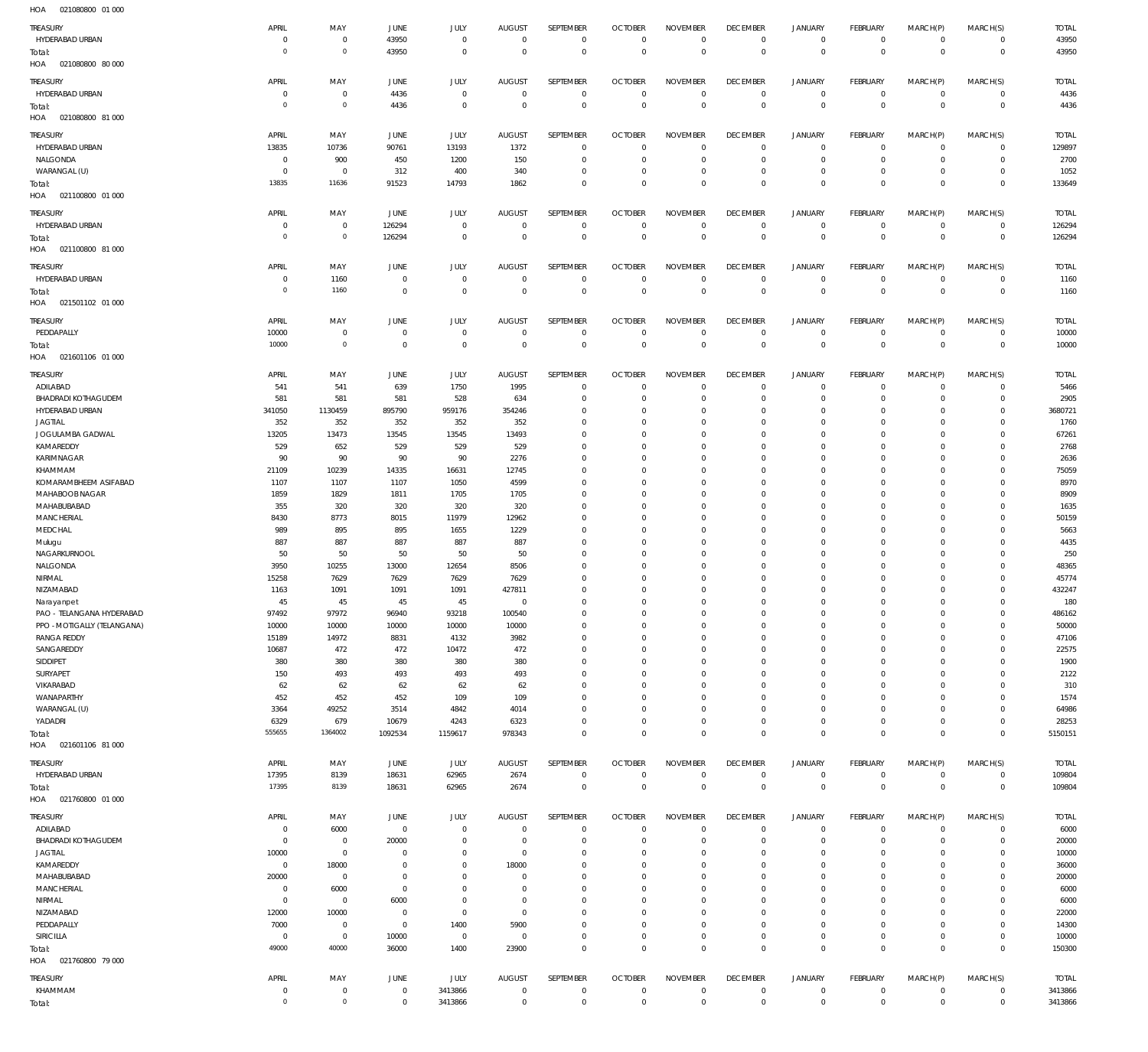| 110 <sub>m</sub><br><b>DETODOOOO</b> UT OOO |                |                     |                |              |                |              |                |                 |                 |                     |              |             |             |              |
|---------------------------------------------|----------------|---------------------|----------------|--------------|----------------|--------------|----------------|-----------------|-----------------|---------------------|--------------|-------------|-------------|--------------|
| TREASURY                                    | APRIL          | MAY                 | JUNE           | JULY         | <b>AUGUST</b>  | SEPTEMBER    | <b>OCTOBER</b> | <b>NOVEMBER</b> | <b>DECEMBER</b> | JANUARY             | FEBRUARY     | MARCH(P)    | MARCH(S)    | <b>TOTAL</b> |
| HYDERABAD URBAN                             | $\overline{0}$ | $\mathbf 0$         | 43950          | $\mathbf 0$  | $^{\circ}$     | $\mathbf 0$  | $\mathbf{0}$   | $\mathbf 0$     | $\mathbf 0$     | $\circ$             | $\circ$      | $\mathbf 0$ | $\mathbf 0$ | 43950        |
| Total:                                      | $\Omega$       | $\mathsf{O}\xspace$ | 43950          | $\mathbf 0$  | $^{\circ}$     | $\mathbf 0$  | $\mathbf{0}$   | $\mathbb O$     | $\mathbf 0$     | $\mathsf 0$         | $\mathbf 0$  | $\mathbf 0$ | $\mathbf 0$ | 43950        |
| HOA<br>021080800 80 000                     |                |                     |                |              |                |              |                |                 |                 |                     |              |             |             |              |
|                                             |                |                     |                |              |                |              |                |                 |                 |                     |              |             |             |              |
| TREASURY                                    | APRIL          | MAY                 | JUNE           | JULY         | AUGUST         | SEPTEMBER    | <b>OCTOBER</b> | <b>NOVEMBER</b> | <b>DECEMBER</b> | <b>JANUARY</b>      | FEBRUARY     | MARCH(P)    | MARCH(S)    | <b>TOTAL</b> |
| HYDERABAD URBAN                             | - 0            | $\mathbf 0$         | 4436           | $\mathbf{0}$ | $\overline{0}$ | $\mathbf 0$  | 0              | $\overline{0}$  | $\mathbf 0$     | 0                   | 0            | 0           | $\mathbf 0$ | 4436         |
| Total:                                      | $\overline{0}$ | $\mathbf 0$         | 4436           | $\mathbf 0$  | $\mathbf{0}$   | $\mathbb O$  | $\mathbf{0}$   | $\mathbb O$     | $\mathbf 0$     | $\mathsf 0$         | $\mathbf 0$  | $\mathsf 0$ | $\mathbf 0$ | 4436         |
| HOA<br>021080800 81 000                     |                |                     |                |              |                |              |                |                 |                 |                     |              |             |             |              |
|                                             |                |                     |                |              |                |              |                |                 |                 |                     |              |             |             |              |
| TREASURY                                    | APRIL          | MAY                 | JUNE           | JULY         | <b>AUGUST</b>  | SEPTEMBER    | <b>OCTOBER</b> | <b>NOVEMBER</b> | <b>DECEMBER</b> | <b>JANUARY</b>      | FEBRUARY     | MARCH(P)    | MARCH(S)    | <b>TOTAL</b> |
| HYDERABAD URBAN                             | 13835          | 10736               | 90761          | 13193        | 1372           | $\mathbf{0}$ | $\overline{0}$ | $^{\circ}$      | $\mathbf{0}$    | 0                   | $\mathbf 0$  | $\mathbf 0$ | $\mathbf 0$ | 129897       |
| NALGONDA                                    | $\overline{0}$ | 900                 | 450            | 1200         | 150            | $\mathbf 0$  | $\overline{0}$ | $\mathbf{0}$    | $\mathbf{0}$    | $\mathbf 0$         | $\mathbf 0$  | $\mathbf 0$ | $\mathbf 0$ | 2700         |
| WARANGAL (U)                                | 0              | $\mathbf 0$         | 312            | 400          | 340            | $\mathbf{0}$ | $\overline{0}$ | $^{\circ}$      | $\mathbf{0}$    | $\mathbf 0$         | $\mathbf 0$  | $\mathbf 0$ | $\mathbf 0$ | 1052         |
| Total:                                      | 13835          | 11636               | 91523          | 14793        | 1862           | $\mathbb O$  | $^{\circ}$     | $\mathbf 0$     | $\mathbf 0$     | $\mathsf 0$         | $\mathbf{0}$ | $\mathbf 0$ | $\mathbf 0$ | 133649       |
| 021100800 01 000<br>HOA                     |                |                     |                |              |                |              |                |                 |                 |                     |              |             |             |              |
|                                             |                |                     |                |              |                |              |                |                 |                 |                     |              |             |             |              |
| TREASURY                                    | APRIL          | MAY                 | JUNE           | JULY         | AUGUST         | SEPTEMBER    | <b>OCTOBER</b> | <b>NOVEMBER</b> | <b>DECEMBER</b> | <b>JANUARY</b>      | FEBRUARY     | MARCH(P)    | MARCH(S)    | <b>TOTAL</b> |
| HYDERABAD URBAN                             | 0              | $\mathbf 0$         | 126294         | $\mathbf 0$  | $\overline{0}$ | $\mathbf 0$  | $\mathbf{0}$   | $\mathbf{0}$    | $\mathbf 0$     | $\mathbf 0$         | $\mathbf 0$  | 0           | $\mathbb O$ | 126294       |
| Total:                                      | $^{\circ}$     | $\mathbf 0$         | 126294         | $\mathbf 0$  | $\overline{0}$ | $\mathbb O$  | $\overline{0}$ | $\mathbf{0}$    | $\mathbf 0$     | $\mathsf 0$         | $\mathbf 0$  | $\mathbf 0$ | $\mathbf 0$ | 126294       |
| 021100800 81 000<br>HOA                     |                |                     |                |              |                |              |                |                 |                 |                     |              |             |             |              |
|                                             |                |                     |                |              |                |              |                |                 |                 |                     |              |             |             |              |
| TREASURY                                    | APRIL          | MAY                 | JUNE           | JULY         | <b>AUGUST</b>  | SEPTEMBER    | <b>OCTOBER</b> | <b>NOVEMBER</b> | <b>DECEMBER</b> | <b>JANUARY</b>      | FEBRUARY     | MARCH(P)    | MARCH(S)    | <b>TOTAL</b> |
| HYDERABAD URBAN                             | 0              | 1160                | $^{\circ}$     | $\mathbf{0}$ | $^{\circ}$     | $\mathbf{0}$ | $^{\circ}$     | $^{\circ}$      | $\mathbf 0$     | $\mathbf 0$         | $\mathbf 0$  | $\mathbf 0$ | $\mathbf 0$ | 1160         |
| Total:                                      | $\Omega$       | 1160                | $^{\circ}$     | $\mathbf 0$  | $^{\circ}$     | $\mathbb O$  | $\mathbf{0}$   | $\mathbb O$     | $\mathbf 0$     | $\mathsf 0$         | $\mathbf 0$  | $\mathsf 0$ | $\mathbf 0$ | 1160         |
| HOA<br>021501102 01 000                     |                |                     |                |              |                |              |                |                 |                 |                     |              |             |             |              |
|                                             |                |                     |                |              |                |              |                |                 |                 |                     |              |             |             |              |
| TREASURY                                    | APRIL          | MAY                 | JUNE           | JULY         | AUGUST         | SEPTEMBER    | <b>OCTOBER</b> | <b>NOVEMBER</b> | <b>DECEMBER</b> | <b>JANUARY</b>      | FEBRUARY     | MARCH(P)    | MARCH(S)    | <b>TOTAL</b> |
| PEDDAPALLY                                  | 10000          | $\mathbf 0$         | $\overline{0}$ | $\mathbf 0$  | 0              | $\mathbf 0$  | 0              | $\overline{0}$  | $\mathbf 0$     | 0                   | 0            | 0           | $\mathbf 0$ | 10000        |
| Total:                                      | 10000          | $\mathsf{O}\xspace$ | $\mathbf{0}$   | $\mathbb O$  | $\mathbf{0}$   | $\mathbb O$  | $\mathbf{0}$   | $\mathbb O$     | $\mathbf 0$     | $\mathsf 0$         | $\mathbf 0$  | $\mathbf 0$ | $\mathbf 0$ | 10000        |
| HOA<br>021601106 01 000                     |                |                     |                |              |                |              |                |                 |                 |                     |              |             |             |              |
|                                             |                |                     |                |              |                |              |                |                 |                 |                     |              |             |             |              |
| TREASURY                                    | APRIL          | MAY                 | JUNE           | JULY         | <b>AUGUST</b>  | SEPTEMBER    | <b>OCTOBER</b> | <b>NOVEMBER</b> | <b>DECEMBER</b> | <b>JANUARY</b>      | FEBRUARY     | MARCH(P)    | MARCH(S)    | <b>TOTAL</b> |
| ADILABAD                                    | 541            | 541                 | 639            | 1750         | 1995           | $\mathbf{0}$ | $\overline{0}$ | $^{\circ}$      | $\mathbf{0}$    | 0                   | $^{\circ}$   | $\mathbf 0$ | $\mathbf 0$ | 5466         |
| <b>BHADRADI KOTHAGUDEM</b>                  | 581            | 581                 | 581            | 528          | 634            | $\mathbf 0$  | $\overline{0}$ | $^{\circ}$      | $\mathbf 0$     | $\mathbf 0$         | $^{\circ}$   | $\mathbf 0$ | $\mathbf 0$ | 2905         |
| HYDERABAD URBAN                             | 341050         | 1130459             | 895790         | 959176       | 354246         | $\mathbf{0}$ | 0              | $^{\circ}$      | $^{\circ}$      | $\circ$             | $^{\circ}$   | $\mathbf 0$ | $\mathbf 0$ | 3680721      |
| <b>JAGTIAL</b>                              | 352            | 352                 | 352            | 352          | 352            | $\mathbf 0$  | 0              | $^{\circ}$      | $\mathbf{0}$    | $\mathbf 0$         | $^{\circ}$   | $\mathbf 0$ | $\mathbf 0$ | 1760         |
| JOGULAMBA GADWAL                            | 13205          | 13473               | 13545          | 13545        | 13493          | $\mathbf{0}$ | 0              | $\mathbf{0}$    | $\mathbf{0}$    | $\mathbf 0$         | $^{\circ}$   | $\mathbf 0$ | $\mathbf 0$ | 67261        |
| KAMAREDDY                                   | 529            | 652                 | 529            | 529          | 529            | $\mathbf 0$  | 0              | $\mathbf{0}$    | $\mathbf{0}$    | $\mathbf 0$         | $^{\circ}$   | $\mathbf 0$ | $\mathbf 0$ | 2768         |
|                                             |                |                     |                |              |                |              |                |                 |                 | $\mathbf 0$         |              |             |             |              |
| KARIMNAGAR                                  | 90             | 90                  | 90             | 90           | 2276           | $\mathbf 0$  | 0              | $^{\circ}$      | $\mathbf{0}$    |                     | $^{\circ}$   | $\mathbf 0$ | $\mathbf 0$ | 2636         |
| KHAMMAM                                     | 21109          | 10239               | 14335          | 16631        | 12745          | $\mathbf 0$  | 0              | $\mathbf{0}$    | $\mathbf{0}$    | $\mathbf 0$         | $\mathbf 0$  | $\mathbf 0$ | $\mathbf 0$ | 75059        |
| KOMARAMBHEEM ASIFABAD                       | 1107           | 1107                | 1107           | 1050         | 4599           | $\mathbf{0}$ | 0              | $^{\circ}$      | $^{\circ}$      | $\mathbf 0$         | $^{\circ}$   | $\mathbf 0$ | $\mathbf 0$ | 8970         |
| MAHABOOB NAGAR                              | 1859           | 1829                | 1811           | 1705         | 1705           | $\mathbf 0$  | 0              | $\mathbf{0}$    | $\mathbf{0}$    | $\mathbf 0$         | $\mathbf 0$  | $\mathbf 0$ | $\mathbf 0$ | 8909         |
| MAHABUBABAD                                 | 355            | 320                 | 320            | 320          | 320            | $\mathbf{0}$ | - 0            | $^{\circ}$      | $^{\circ}$      | $\mathbf 0$         | $^{\circ}$   | $\mathbf 0$ | $\mathbf 0$ | 1635         |
| MANCHERIAL                                  | 8430           | 8773                | 8015           | 11979        | 12962          | $\mathbf 0$  | 0              | $\mathbf{0}$    | $\mathbf{0}$    | $\mathbf 0$         | $^{\circ}$   | $\mathbf 0$ | $\mathbf 0$ | 50159        |
| MEDCHAL                                     | 989            | 895                 | 895            | 1655         | 1229           | $\mathbf{0}$ | 0              | $\mathbf{0}$    | $^{\circ}$      | $\mathbf 0$         | $^{\circ}$   | $\mathbf 0$ | $\mathbf 0$ | 5663         |
| Mulugu                                      | 887            | 887                 | 887            | 887          | 887            | $\mathbf 0$  | 0              | $\mathbf{0}$    | $\mathbf{0}$    | $\mathbf 0$         | $^{\circ}$   | $\mathbf 0$ | $\mathbf 0$ | 4435         |
| NAGARKURNOOL                                | 50             | 50                  | 50             | 50           | 50             | $\mathbf 0$  | 0              | $\mathbf{0}$    | $\mathbf{0}$    | $\mathbf 0$         | $^{\circ}$   | $\mathbf 0$ | $\mathbf 0$ | 250          |
| NALGONDA                                    | 3950           | 10255               | 13000          | 12654        | 8506           | $\mathbf 0$  | 0              | $\mathbf{0}$    | $\mathbf{0}$    | $\circ$             | 0            | $\mathbf 0$ | $\mathbf 0$ | 48365        |
| NIRMAL                                      | 15258          | 7629                | 7629           | 7629         | 7629           | $^{\circ}$   | 0              | $^{\circ}$      | $\mathbf{0}$    | $\mathbf 0$         | $^{\circ}$   | $\mathbf 0$ | 0           | 45774        |
|                                             |                |                     |                |              |                |              |                |                 |                 |                     |              |             |             |              |
| NIZAMABAD                                   | 1163           | 1091                | 1091           | 1091         | 427811         | $\mathbf 0$  | $^{\circ}$     | $\mathbf{0}$    | $\mathbf{0}$    | $\mathbf 0$         | $\mathbf 0$  | $\mathbf 0$ | $\mathbf 0$ | 432247       |
| Narayanpet                                  | 45             | 45                  | 45             | 45           | $\mathbf 0$    | $\mathbb O$  | $\Omega$       | $\mathbb O$     | $\mathbf 0$     | $\mathsf{O}\xspace$ | $\Omega$     | $\mathbf 0$ | $\mathbf 0$ | 180          |
| PAO - TELANGANA HYDERABAD                   | 97492          | 97972               | 96940          | 93218        | 100540         | $\mathbf 0$  | $\mathbf{0}$   | $\mathbf{0}$    | $\mathbf{0}$    | $\circ$             | $\mathbf 0$  | $\circ$     | $\circ$     | 486162       |
| PPO - MOTIGALLY (TELANGANA)                 | 10000          | 10000               | 10000          | 10000        | 10000          | $\mathbf 0$  | $\overline{0}$ | $\mathbf 0$     | $\mathbf{0}$    | $\mathbf 0$         | $\mathbf 0$  | $\mathbf 0$ | $\mathbf 0$ | 50000        |
| <b>RANGA REDDY</b>                          | 15189          | 14972               | 8831           | 4132         | 3982           | $\mathbf 0$  | $^{\circ}$     | $\mathbf 0$     | $\mathbf{0}$    | $\mathbf 0$         | $\mathbf 0$  | $\mathbf 0$ | $\mathbf 0$ | 47106        |
| SANGAREDDY                                  | 10687          | 472                 | 472            | 10472        | 472            | $\mathbf{0}$ | 0              | $\mathbf 0$     | $\mathbf{0}$    | $\mathbf 0$         | $\mathbf 0$  | $\mathbf 0$ | $\mathbf 0$ | 22575        |
| SIDDIPET                                    | 380            | 380                 | 380            | 380          | 380            | $\mathbf 0$  | 0              | $\mathbf 0$     | $\mathbf{0}$    | $\mathbf 0$         | $^{\circ}$   | $\mathbf 0$ | $\mathbf 0$ | 1900         |
| SURYAPET                                    | 150            | 493                 | 493            | 493          | 493            | $\mathbf 0$  | $\overline{0}$ | $\mathbf 0$     | $\mathbf{0}$    | $\mathbf 0$         | $\mathbf 0$  | $\mathbf 0$ | $\mathbf 0$ | 2122         |
| VIKARABAD                                   | 62             | 62                  | 62             | 62           | 62             | $\mathbf 0$  | 0              | $\mathbf{0}$    | $\mathbf{0}$    | $\mathbf 0$         | $\mathbf 0$  | $\mathbf 0$ | $\mathbf 0$ | 310          |
| WANAPARTHY                                  | 452            | 452                 | 452            | 109          | 109            | $\mathbf{0}$ | 0              | $^{\circ}$      | $\mathbf{0}$    | $\mathbf 0$         | $^{\circ}$   | $\mathbf 0$ | $\mathbf 0$ | 1574         |
| WARANGAL (U)                                | 3364           | 49252               | 3514           | 4842         | 4014           | $\mathbf 0$  | $^{\circ}$     | $\mathbf 0$     | $\mathbf{0}$    | $\mathbf 0$         | $\mathbf 0$  | $\mathbf 0$ | $\mathbf 0$ | 64986        |
|                                             |                | 679                 | 10679          |              |                | $\mathbf 0$  | $\overline{0}$ | $\mathbf 0$     | $\mathbf{0}$    |                     | $\mathbf 0$  | $\mathbf 0$ | $\mathbf 0$ | 28253        |
| YADADRI                                     | 6329           |                     |                | 4243         | 6323           |              |                |                 |                 | $\mathbf 0$         |              |             |             |              |
| Total:                                      | 555655         | 1364002             | 1092534        | 1159617      | 978343         | $\mathbb O$  | $\mathbf 0$    | $\mathbf 0$     | $\mathbf 0$     | $\mathsf 0$         | $\mathbf 0$  | $\mathbf 0$ | $\mathbf 0$ | 5150151      |
| HOA  021601106  81  000                     |                |                     |                |              |                |              |                |                 |                 |                     |              |             |             |              |
| TREASURY                                    | APRIL          | MAY                 | JUNE           | JULY         | AUGUST         | SEPTEMBER    | <b>OCTOBER</b> | <b>NOVEMBER</b> | <b>DECEMBER</b> | <b>JANUARY</b>      | FEBRUARY     | MARCH(P)    | MARCH(S)    | TOTAL        |
| HYDERABAD URBAN                             | 17395          | 8139                | 18631          | 62965        | 2674           | $\mathbf 0$  | $\mathbf 0$    | $\mathbf 0$     | $\mathbf 0$     | $\mathbf 0$         | $\mathbb O$  | $\mathbf 0$ | $\mathbb O$ | 109804       |
|                                             | 17395          | 8139                | 18631          | 62965        | 2674           | $\mathbf 0$  | $\mathbf 0$    | $\mathbb O$     | $\mathsf 0$     | $\mathsf 0$         | $\mathbf 0$  | $\mathbf 0$ | $\mathbf 0$ | 109804       |
| Total:                                      |                |                     |                |              |                |              |                |                 |                 |                     |              |             |             |              |
| 021760800 01 000<br>HOA                     |                |                     |                |              |                |              |                |                 |                 |                     |              |             |             |              |
| TREASURY                                    | APRIL          | MAY                 | JUNE           | JULY         | AUGUST         | SEPTEMBER    | <b>OCTOBER</b> | <b>NOVEMBER</b> | <b>DECEMBER</b> | <b>JANUARY</b>      | FEBRUARY     | MARCH(P)    | MARCH(S)    | <b>TOTAL</b> |
|                                             | $^{\circ}$     |                     | $\mathbf 0$    |              | $^{\circ}$     |              | $\mathbf 0$    | $^{\circ}$      | $\mathbf 0$     |                     |              | $\mathbf 0$ | $\circ$     | 6000         |
| ADILABAD                                    |                | 6000                |                | $\mathbf{0}$ |                | $\mathbf{0}$ |                |                 |                 | 0                   | $\circ$      |             |             |              |
| BHADRADI KOTHAGUDEM                         | $^{\circ}$     | $\mathbf 0$         | 20000          | $^{\circ}$   | $\overline{0}$ | $\mathbf 0$  | 0              | $\mathbf{0}$    | $\mathbf 0$     | $\mathbf 0$         | $^{\circ}$   | $\mathbf 0$ | $\mathbf 0$ | 20000        |
| <b>JAGTIAL</b>                              | 10000          | $\mathbf 0$         | $^{\circ}$     | $\mathbf 0$  | $^{\circ}$     | $\mathbf 0$  | $^{\circ}$     | $\mathbf 0$     | $\mathbf{0}$    | $\mathbf 0$         | $\mathbf 0$  | $\mathbf 0$ | $\mathbf 0$ | 10000        |
| KAMAREDDY                                   | $\mathbf{0}$   | 18000               | $\overline{0}$ | $\mathbf{0}$ | 18000          | $\mathbf{0}$ | 0              | $^{\circ}$      | $\mathbf{0}$    | $\mathbf 0$         | $^{\circ}$   | $\mathbf 0$ | $\mathbf 0$ | 36000        |
| MAHABUBABAD                                 | 20000          | $\mathbf 0$         | $^{\circ}$     | $\mathbf{0}$ | $^{\circ}$     | $\mathbf 0$  | $\overline{0}$ | $\mathbf 0$     | $\mathbf{0}$    | $\mathbf 0$         | $\mathbf 0$  | $\mathbf 0$ | $\mathbf 0$ | 20000        |
| MANCHERIAL                                  | $^{\circ}$     | 6000                | $^{\circ}$     | $^{\circ}$   | 0              | $\mathbf 0$  | 0              | $\mathbf{0}$    | $\mathbf{0}$    | $\mathbf 0$         | $\mathbf 0$  | $\mathbf 0$ | $\mathbf 0$ | 6000         |
| NIRMAL                                      | $\overline{0}$ | $\mathbf 0$         | 6000           | $\mathbf{0}$ | $\overline{0}$ | $\mathbf 0$  | $\overline{0}$ | $\mathbf 0$     | $\mathbf{0}$    | $\mathbf 0$         | $^{\circ}$   | $\mathbf 0$ | $\mathbf 0$ | 6000         |
| NIZAMABAD                                   | 12000          | 10000               | $^{\circ}$     | $\mathbf 0$  | $\mathbf{0}$   | $\mathbf 0$  | $\overline{0}$ | $\mathbf 0$     | $\mathbf{0}$    | $\mathbf 0$         | $\mathbf 0$  | $\mathbf 0$ | $\mathbf 0$ | 22000        |
| PEDDAPALLY                                  | 7000           | $\mathbf 0$         | $^{\circ}$     | 1400         | 5900           | $\mathbf 0$  | $^{\circ}$     | $\mathbf{0}$    | $\mathbf{0}$    | $\mathbf 0$         | $\mathbf 0$  | $\mathbf 0$ | $\mathbf 0$ | 14300        |
| SIRICILLA                                   | $\mathbf{0}$   | $\mathbf 0$         | 10000          | $\mathbf 0$  | $\mathbf{0}$   | $\mathbf 0$  | $^{\circ}$     | $\mathbf 0$     | $\mathbf{0}$    | $\mathbf 0$         | $\mathbf 0$  | $\mathbf 0$ | $\mathbf 0$ | 10000        |
|                                             |                |                     |                |              |                |              |                |                 |                 |                     |              |             |             |              |
| Total:                                      | 49000          | 40000               | 36000          | 1400         | 23900          | $\mathbb O$  | $\mathbf{0}$   | $\mathbf 0$     | $\mathbf 0$     | $\mathsf 0$         | $\mathbf 0$  | $\mathbf 0$ | $\mathbf 0$ | 150300       |
| 021760800 79 000<br>HOA                     |                |                     |                |              |                |              |                |                 |                 |                     |              |             |             |              |
| TREASURY                                    | APRIL          | MAY                 | JUNE           | JULY         | AUGUST         | SEPTEMBER    | <b>OCTOBER</b> | <b>NOVEMBER</b> | <b>DECEMBER</b> | JANUARY             | FEBRUARY     | MARCH(P)    | MARCH(S)    | <b>TOTAL</b> |
| KHAMMAM                                     | $\overline{0}$ | $\mathbf 0$         | $\mathbf 0$    | 3413866      | $\overline{0}$ | $\mathbf 0$  | $^{\circ}$     | $\mathbf 0$     | $\mathbf 0$     | $\mathbf 0$         | 0            | $\mathbf 0$ | 0           | 3413866      |
|                                             | $\mathbf 0$    | $\mathsf{O}\xspace$ |                |              |                |              |                |                 |                 |                     |              |             |             |              |
| Total:                                      |                |                     | $\mathbf 0$    | 3413866      | $\mathbf 0$    | $\mathbf 0$  | $\mathbf 0$    | $\mathbb O$     | $\mathbf 0$     | $\mathsf 0$         | $\mathbf 0$  | $\mathbf 0$ | $\mathbf 0$ | 3413866      |
|                                             |                |                     |                |              |                |              |                |                 |                 |                     |              |             |             |              |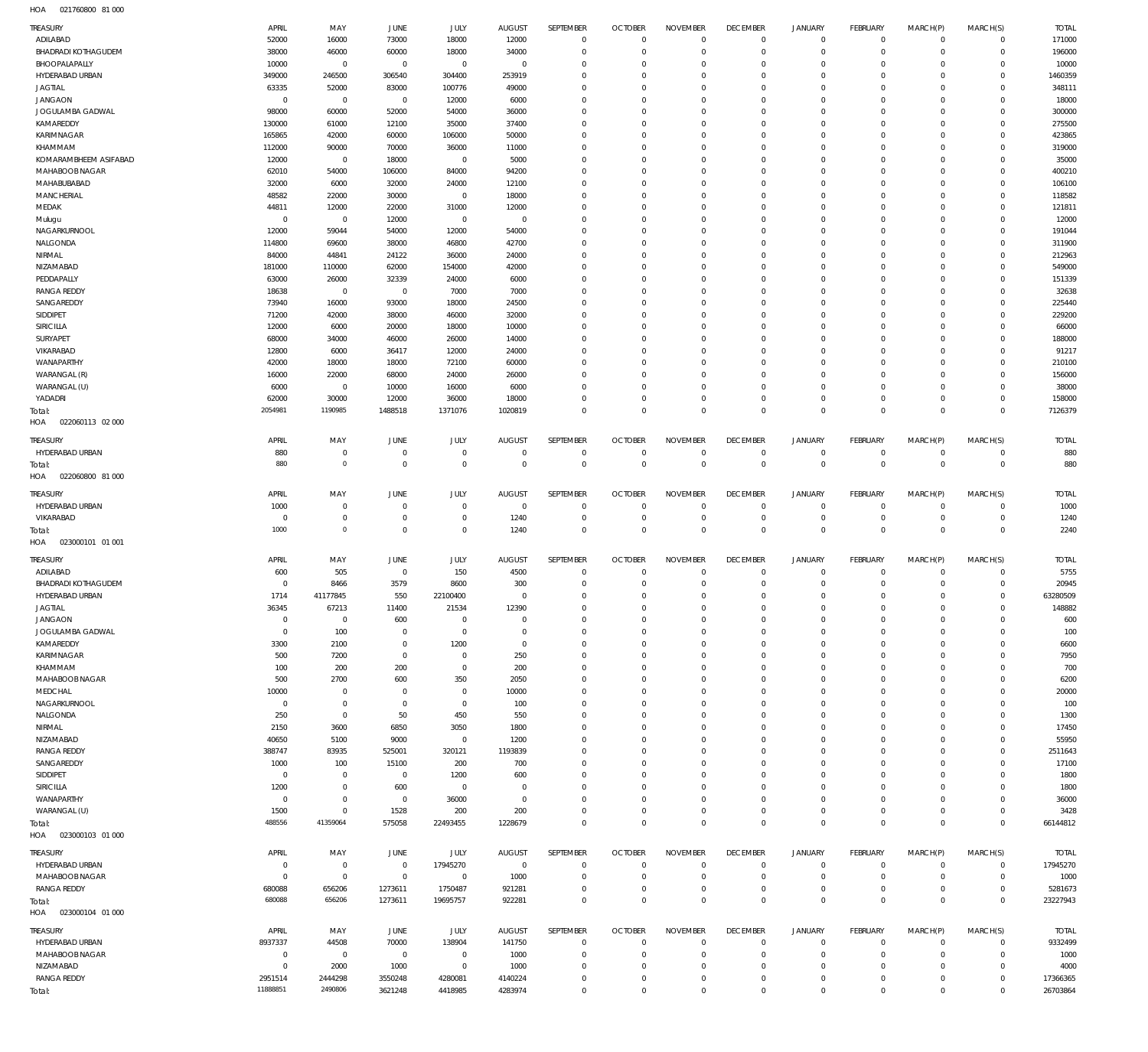021760800 81 000 HOA

| TREASURY<br>ADILABAD               | APRIL<br>52000             | MAY<br>16000                       | JUNE<br>73000                    | JULY<br>18000              | <b>AUGUST</b><br>12000           | <b>SEPTEMBER</b><br>$\overline{0}$ | <b>OCTOBER</b><br>$\mathbb O$    | <b>NOVEMBER</b><br>$\mathbf{0}$ | <b>DECEMBER</b><br>$\mathbf 0$ | <b>JANUARY</b><br>0        | FEBRUARY<br>$\circ$          | MARCH(P)<br>$\mathbf 0$ | MARCH(S)<br>$\Omega$       | <b>TOTAL</b><br>171000 |
|------------------------------------|----------------------------|------------------------------------|----------------------------------|----------------------------|----------------------------------|------------------------------------|----------------------------------|---------------------------------|--------------------------------|----------------------------|------------------------------|-------------------------|----------------------------|------------------------|
| BHADRADI KOTHAGUDEM                | 38000                      | 46000                              | 60000                            | 18000                      | 34000                            | $\mathbf 0$                        | $\overline{0}$                   | $\mathbf{0}$                    | $\mathbf 0$                    | $\mathbf 0$                | $\mathbf 0$                  | $\Omega$                | $\Omega$                   | 196000                 |
| BHOOPALAPALLY                      | 10000                      | $\mathbf 0$                        | $\overline{0}$                   | $\mathbf 0$                | $\overline{0}$                   | $\mathbf 0$                        | $\mathbf 0$                      | 0                               | $\mathbf 0$                    | $^{\circ}$                 | $\mathbf{0}$                 | $\Omega$                | $\Omega$                   | 10000                  |
| HYDERABAD URBAN                    | 349000                     | 246500                             | 306540                           | 304400                     | 253919                           | $\mathbf 0$                        | $\mathbf 0$                      | 0                               | $\mathbf 0$                    | $^{\circ}$                 | $\mathbf{0}$                 | $\Omega$                | $\Omega$                   | 1460359                |
| <b>JAGTIAL</b><br><b>JANGAON</b>   | 63335<br>$\overline{0}$    | 52000<br>$\overline{0}$            | 83000<br>$\overline{0}$          | 100776<br>12000            | 49000<br>6000                    | $\mathbf 0$<br>$\mathbf 0$         | $\mathbf 0$<br>$\mathbf 0$       | 0<br>0                          | $\mathbf 0$<br>$\mathbf 0$     | $^{\circ}$<br>$^{\circ}$   | $\mathbf{0}$<br>$\mathbf{0}$ | $\Omega$<br>$\Omega$    | $\Omega$<br>$\Omega$       | 348111<br>18000        |
| JOGULAMBA GADWAL                   | 98000                      | 60000                              | 52000                            | 54000                      | 36000                            | $\mathbf 0$                        | $\mathbf 0$                      | 0                               | $\mathbf 0$                    | $^{\circ}$                 | $\mathbf{0}$                 | $\Omega$                | $\Omega$                   | 300000                 |
| KAMAREDDY                          | 130000                     | 61000                              | 12100                            | 35000                      | 37400                            | $\Omega$                           | $\mathbf 0$                      | $\Omega$                        | $\Omega$                       | $\Omega$                   | $\mathbf{0}$                 | $\Omega$                | $\Omega$                   | 275500                 |
| KARIMNAGAR                         | 165865                     | 42000                              | 60000                            | 106000                     | 50000                            | $\mathbf 0$                        | $\mathbf{0}$                     | 0                               | $\mathbf 0$                    | $^{\circ}$                 | $\mathbf{0}$                 | $\Omega$                | $\Omega$                   | 423865                 |
| KHAMMAM                            | 112000                     | 90000                              | 70000                            | 36000                      | 11000                            | $\mathbf 0$                        | $\mathbf 0$                      | 0                               | $\overline{0}$                 | $^{\circ}$                 | $\mathbf{0}$                 | $\Omega$                | $\Omega$                   | 319000                 |
| KOMARAMBHEEM ASIFABAD              | 12000                      | $\mathbf 0$                        | 18000                            | $\overline{0}$             | 5000                             | $\mathbf 0$                        | $\mathbf{0}$                     | 0                               | $\mathbf 0$                    | $^{\circ}$                 | $\mathbf{0}$                 | $\Omega$                | $\Omega$                   | 35000                  |
| MAHABOOB NAGAR<br>MAHABUBABAD      | 62010<br>32000             | 54000<br>6000                      | 106000<br>32000                  | 84000<br>24000             | 94200<br>12100                   | $\mathbf 0$<br>$\mathbf 0$         | $\mathbf{0}$<br>$\mathbf{0}$     | 0<br>0                          | $\overline{0}$<br>$\mathbf 0$  | $^{\circ}$<br>$^{\circ}$   | $\mathbf{0}$<br>$\mathbf{0}$ | $\Omega$<br>$\Omega$    | $\Omega$<br>$\Omega$       | 400210<br>106100       |
| MANCHERIAL                         | 48582                      | 22000                              | 30000                            | $\overline{0}$             | 18000                            | $\mathbf 0$                        | $\mathbf{0}$                     | 0                               | $\overline{0}$                 | $^{\circ}$                 | $\mathbf{0}$                 | $\Omega$                | $\Omega$                   | 118582                 |
| MEDAK                              | 44811                      | 12000                              | 22000                            | 31000                      | 12000                            | $\mathbf 0$                        | $\mathbf{0}$                     | $\Omega$                        | $\mathbf 0$                    | $^{\circ}$                 | $\mathbf{0}$                 | $\Omega$                | $\Omega$                   | 121811                 |
| Mulugu                             | $\overline{0}$             | $\mathbf 0$                        | 12000                            | $\overline{0}$             | $\overline{0}$                   | $\mathbf 0$                        | $\mathbf 0$                      | 0                               | $\mathbf 0$                    | $^{\circ}$                 | $\mathbf{0}$                 | $\Omega$                | $\Omega$                   | 12000                  |
| NAGARKURNOOL                       | 12000                      | 59044                              | 54000                            | 12000                      | 54000                            | $\mathbf 0$                        | $\mathbf 0$                      | $\Omega$                        | $\mathbf 0$                    | $^{\circ}$                 | $\mathbf{0}$                 | $\Omega$                | $\Omega$                   | 191044                 |
| NALGONDA                           | 114800                     | 69600                              | 38000                            | 46800                      | 42700                            | $\mathbf 0$                        | $\mathbf 0$                      | $\mathbf 0$                     | $\mathbf 0$                    | $^{\circ}$                 | $\mathbf{0}$                 | $\Omega$                | $\Omega$                   | 311900                 |
| NIRMAL<br>NIZAMABAD                | 84000<br>181000            | 44841<br>110000                    | 24122<br>62000                   | 36000<br>154000            | 24000<br>42000                   | $\mathbf 0$<br>$\mathbf 0$         | $\mathbf 0$<br>$\mathbf 0$       | $\Omega$<br>0                   | $\mathbf 0$<br>$\mathbf 0$     | $^{\circ}$<br>$^{\circ}$   | $\mathbf{0}$<br>$\mathbf{0}$ | $\Omega$<br>$\Omega$    | $\Omega$<br>$\Omega$       | 212963<br>549000       |
| PEDDAPALLY                         | 63000                      | 26000                              | 32339                            | 24000                      | 6000                             | $\mathbf 0$                        | $\mathbf{0}$                     | 0                               | $\mathbf 0$                    | $^{\circ}$                 | $\mathbf{0}$                 | $\Omega$                | $\Omega$                   | 151339                 |
| <b>RANGA REDDY</b>                 | 18638                      | $\overline{0}$                     | $\overline{0}$                   | 7000                       | 7000                             | $\mathbf 0$                        | $\mathbf{0}$                     | 0                               | $\mathbf 0$                    | $^{\circ}$                 | $\mathbf{0}$                 | $\Omega$                | $\Omega$                   | 32638                  |
| SANGAREDDY                         | 73940                      | 16000                              | 93000                            | 18000                      | 24500                            | $\mathbf 0$                        | $\mathbf{0}$                     | 0                               | $\mathbf 0$                    | $^{\circ}$                 | $\mathbf{0}$                 | $\Omega$                | $\Omega$                   | 225440                 |
| SIDDIPET                           | 71200                      | 42000                              | 38000                            | 46000                      | 32000                            | $\Omega$                           | $\mathbf 0$                      | $\Omega$                        | $\Omega$                       | $\Omega$                   | $\mathbf{0}$                 | $\Omega$                | $\Omega$                   | 229200                 |
| SIRICILLA                          | 12000                      | 6000                               | 20000                            | 18000                      | 10000                            | $\mathbf 0$                        | $\mathbf{0}$                     | 0                               | $\mathbf 0$                    | $^{\circ}$                 | $\mathbf{0}$                 | $\Omega$                | $\Omega$                   | 66000                  |
| SURYAPET<br>VIKARABAD              | 68000<br>12800             | 34000<br>6000                      | 46000<br>36417                   | 26000<br>12000             | 14000<br>24000                   | $\mathbf 0$<br>$\mathbf 0$         | $\mathbf 0$<br>$\mathbf{0}$      | 0<br>0                          | $\overline{0}$<br>$\mathbf 0$  | $^{\circ}$<br>$^{\circ}$   | $\mathbf{0}$<br>$\mathbf{0}$ | $\Omega$<br>$\Omega$    | $\Omega$<br>$\Omega$       | 188000<br>91217        |
| WANAPARTHY                         | 42000                      | 18000                              | 18000                            | 72100                      | 60000                            | $\mathbf 0$                        | $\mathbf 0$                      | 0                               | $\overline{0}$                 | $\mathbf 0$                | $\mathbf{0}$                 | $\Omega$                | $\Omega$                   | 210100                 |
| WARANGAL (R)                       | 16000                      | 22000                              | 68000                            | 24000                      | 26000                            | $\mathbf 0$                        | $\mathbf{0}$                     | 0                               | $\mathbf 0$                    | $^{\circ}$                 | $\mathbf{0}$                 | $\Omega$                | $\Omega$                   | 156000                 |
| WARANGAL (U)                       | 6000                       | $\overline{0}$                     | 10000                            | 16000                      | 6000                             | $\mathbf 0$                        | $\mathbf{0}$                     | 0                               | $\mathbf 0$                    | $^{\circ}$                 | $\mathbf{0}$                 | $\Omega$                | $\Omega$                   | 38000                  |
| YADADRI                            | 62000                      | 30000                              | 12000                            | 36000                      | 18000                            | $\mathbf 0$                        | $\mathbf{0}$                     | 0                               | $\mathbf 0$                    | $\circ$                    | $\mathbf 0$                  | $\Omega$                | $\Omega$                   | 158000                 |
| Total:<br>HOA<br>022060113 02 000  | 2054981                    | 1190985                            | 1488518                          | 1371076                    | 1020819                          | $\mathbf 0$                        | $\overline{0}$                   | $\mathbf 0$                     | $\,0\,$                        | $\mathbf 0$                | $\overline{0}$               | $\Omega$                | $\overline{0}$             | 7126379                |
| TREASURY                           | APRIL                      | MAY                                | JUNE                             | JULY                       | <b>AUGUST</b>                    | SEPTEMBER                          | <b>OCTOBER</b>                   | <b>NOVEMBER</b>                 | <b>DECEMBER</b>                | <b>JANUARY</b>             | FEBRUARY                     | MARCH(P)                | MARCH(S)                   | <b>TOTAL</b>           |
| HYDERABAD URBAN                    | 880<br>880                 | $\mathbf 0$<br>$\mathbf 0$         | $\overline{0}$<br>$\overline{0}$ | $\mathbf 0$<br>$\mathbf 0$ | $\overline{0}$<br>$\overline{0}$ | $\mathbf 0$<br>$\overline{0}$      | $\overline{0}$<br>$\mathbb O$    | $\mathbf{0}$<br>$\mathbf{0}$    | $\,0\,$<br>$\,0\,$             | 0<br>$\,0\,$               | $\mathbf{0}$<br>$\mathbb O$  | $\mathbf 0$<br>$\Omega$ | $\mathbf 0$                | 880                    |
| Total:<br>HOA<br>022060800 81 000  |                            |                                    |                                  |                            |                                  |                                    |                                  |                                 |                                |                            |                              |                         | $\mathbf 0$                | 880                    |
| TREASURY                           | APRIL                      | MAY                                | JUNE                             | JULY                       | <b>AUGUST</b>                    | SEPTEMBER                          | <b>OCTOBER</b>                   | <b>NOVEMBER</b>                 | <b>DECEMBER</b>                | <b>JANUARY</b>             | FEBRUARY                     | MARCH(P)                | MARCH(S)                   | <b>TOTAL</b>           |
| HYDERABAD URBAN<br>VIKARABAD       | 1000<br>$\mathbf 0$        | $\mathbf 0$<br>$\bf 0$             | $\overline{0}$<br>$\overline{0}$ | $\mathbf 0$<br>$\mathbf 0$ | $\overline{0}$<br>1240           | $\overline{0}$<br>$\mathbf 0$      | $\overline{0}$<br>$\overline{0}$ | $\mathbf 0$<br>$\bf 0$          | $\mathbf 0$<br>$\,0\,$         | $\mathbf 0$<br>$\mathbb O$ | $\mathbf{0}$<br>$\mathbf 0$  | $\mathbf 0$<br>$\circ$  | $\mathbf 0$<br>$\mathbf 0$ | 1000<br>1240           |
| Total:<br>HOA<br>023000101 01 001  | 1000                       | $\mathbf 0$                        | $\overline{0}$                   | $\mathbf 0$                | 1240                             | $\mathbf 0$                        | $\overline{0}$                   | $\mathbf 0$                     | $\mathbb O$                    | $\mathbf 0$                | $\mathbb O$                  | $^{\circ}$              | $\mathbf{0}$               | 2240                   |
| TREASURY                           | APRIL                      | MAY                                | JUNE                             | JULY                       | <b>AUGUST</b>                    | SEPTEMBER                          | <b>OCTOBER</b>                   | <b>NOVEMBER</b>                 | <b>DECEMBER</b>                | <b>JANUARY</b>             | FEBRUARY                     | MARCH(P)                | MARCH(S)                   | <b>TOTAL</b>           |
| ADILABAD                           | 600                        | 505                                | $\overline{0}$                   | 150                        | 4500                             | $^{\circ}$                         | $\overline{0}$                   | $\mathbf{0}$                    | $\,0\,$                        | $^{\circ}$                 | $^{\circ}$                   | $\Omega$                | $\mathbf 0$                | 5755                   |
| <b>BHADRADI KOTHAGUDEM</b>         | $\Omega$                   | 8466                               | 3579                             | 8600                       | 300                              | $\mathbf 0$                        | $\mathbf{0}$                     | $\mathbf 0$                     | $\mathbf 0$                    | $\mathbf 0$                | $\mathbf{0}$                 | $\Omega$                | $\Omega$                   | 20945                  |
| HYDERABAD URBAN                    | 1714                       | 41177845                           | 550                              | 22100400                   | $\overline{0}$                   | $\mathbf 0$                        | $\mathbf 0$                      | $\mathbf 0$                     | $\mathbf 0$                    | $\mathbf 0$                | $\circ$                      | $\circ$                 | $\circ$                    | 63280509               |
| <b>JAGTIAL</b>                     | 36345                      | 67213                              | 11400                            | 21534                      | 12390                            | $\Omega$                           | $\Omega$                         | $\bf 0$                         | $\,0\,$                        | $\mathbb O$                | $\mathbf 0$                  | $\mathsf{O}\xspace$     | $\mathsf{O}\xspace$        | 148882                 |
| <b>JANGAON</b><br>JOGULAMBA GADWAL | $\mathbf 0$<br>$\mathbf 0$ | $\mathbf 0$<br>100                 | 600<br>$\overline{0}$            | $\mathbf 0$<br>$\mathbf 0$ | $\mathbf 0$<br>$\mathbf 0$       | $\mathbf 0$<br>$\mathbf 0$         | $\mathbf 0$<br>$\mathbf 0$       | $\mathbf 0$<br>$\mathbf 0$      | $\mathbf 0$<br>$\mathbf 0$     | $\circ$<br>$\circ$         | $\mathbf{0}$<br>$\mathbf{0}$ | $\Omega$<br>$\Omega$    | $\Omega$<br>$\Omega$       | 600<br>100             |
| KAMAREDDY                          | 3300                       | 2100                               | $\overline{0}$                   | 1200                       | $\overline{0}$                   | $\mathbf 0$                        | $\mathbf 0$                      | 0                               | $\mathbf 0$                    | $\circ$                    | $^{\circ}$                   | $\Omega$                | $\Omega$                   | 6600                   |
| KARIMNAGAR                         | 500                        | 7200                               | $\overline{0}$                   | $\mathbf 0$                | 250                              | $\mathbf 0$                        | $\mathbf 0$                      | $\mathbf 0$                     | $\mathbf 0$                    | $\circ$                    | $^{\circ}$                   | $\Omega$                | $\Omega$                   | 7950                   |
| KHAMMAM                            | 100                        | 200                                | 200                              | $\mathbf 0$                | 200                              | $\mathbf 0$                        | $\mathbf 0$                      | $\Omega$                        | $\overline{0}$                 | $^{\circ}$                 | $^{\circ}$                   | $\Omega$                | $\Omega$                   | 700                    |
| MAHABOOB NAGAR                     | 500                        | 2700                               | 600                              | 350                        | 2050                             | $\mathbf 0$                        | $\mathbf{0}$                     | $\mathbf 0$                     | $\mathbf 0$                    | $\circ$                    | $^{\circ}$                   | $\Omega$                | $\Omega$                   | 6200                   |
| MEDCHAL                            | 10000                      | $\mathbf 0$<br>$\mathbf 0$         | $\overline{0}$                   | $\mathbf 0$                | 10000                            | $\Omega$<br>$\mathbf 0$            | $\mathbf 0$<br>$\mathbf 0$       | $\Omega$<br>$\mathbf 0$         | $\mathbf{0}$                   | $^{\circ}$                 | $^{\circ}$<br>$\mathbf{0}$   | $\Omega$                | $\Omega$<br>$\Omega$       | 20000                  |
| NAGARKURNOOL<br>NALGONDA           | $^{\circ}$<br>250          | $\bf 0$                            | $\overline{0}$<br>50             | $\mathbf 0$<br>450         | 100<br>550                       | $\mathbf 0$                        | $\mathbf 0$                      | $\Omega$                        | $\mathbf 0$<br>$\overline{0}$  | $\circ$<br>$^{\circ}$      | $^{\circ}$                   | $\Omega$<br>$\Omega$    | $\Omega$                   | 100<br>1300            |
| NIRMAL                             | 2150                       | 3600                               | 6850                             | 3050                       | 1800                             | $\mathbf 0$                        | $\mathbf 0$                      | $\mathbf 0$                     | $\mathbf 0$                    | $\circ$                    | $^{\circ}$                   | $\Omega$                | $\Omega$                   | 17450                  |
| NIZAMABAD                          | 40650                      | 5100                               | 9000                             | $\mathbf 0$                | 1200                             | $\mathbf 0$                        | $\mathbf 0$                      | $\Omega$                        | $\mathbf 0$                    | $^{\circ}$                 | $^{\circ}$                   | $\Omega$                | $\Omega$                   | 55950                  |
| <b>RANGA REDDY</b>                 | 388747                     | 83935                              | 525001                           | 320121                     | 1193839                          | $\Omega$                           | $\mathbf 0$                      | $\Omega$                        | $\mathbf 0$                    | $\circ$                    | $\mathbf{0}$                 | $\Omega$                | $\Omega$                   | 2511643                |
| SANGAREDDY                         | 1000                       | 100                                | 15100                            | 200                        | 700                              | $\mathbf 0$                        | $\mathbf 0$                      | 0                               | $\mathbf 0$                    | $\circ$                    | $^{\circ}$                   | $\Omega$                | $\Omega$                   | 17100                  |
| SIDDIPET<br>SIRICILLA              | $\mathbf 0$<br>1200        | $\mathbf 0$<br>$\mathsf{O}\xspace$ | $\overline{0}$<br>600            | 1200<br>$\mathbf 0$        | 600<br>$^{\circ}$                | $\mathbf 0$<br>$\mathbf 0$         | $\mathbf 0$<br>$\mathbf{0}$      | 0<br>$\Omega$                   | $\mathbf 0$<br>$\mathbf 0$     | $^{\circ}$<br>$\circ$      | $^{\circ}$<br>$^{\circ}$     | $\Omega$<br>$\Omega$    | $\Omega$<br>$\Omega$       | 1800<br>1800           |
| WANAPARTHY                         | $\mathbf 0$                | $\bf 0$                            | $\overline{0}$                   | 36000                      | $\overline{0}$                   | $\Omega$                           | $\mathbf 0$                      | 0                               | $\mathbf 0$                    | $\circ$                    | $^{\circ}$                   | $\Omega$                | $\Omega$                   | 36000                  |
| WARANGAL (U)                       | 1500                       | $\bf 0$                            | 1528                             | 200                        | 200                              | $\mathbf 0$                        | $\mathbf 0$                      | $\mathbf 0$                     | $\mathbf 0$                    | $\mathbf 0$                | $\mathbf 0$                  | $\Omega$                | $\mathbf 0$                | 3428                   |
| Total:<br>HOA<br>023000103 01 000  | 488556                     | 41359064                           | 575058                           | 22493455                   | 1228679                          | $\mathbf 0$                        | $\mathbf{0}$                     | $\mathbf 0$                     | $\mathbf 0$                    | $\mathbf 0$                | $\mathbf 0$                  | $\Omega$                | $\Omega$                   | 66144812               |
| TREASURY                           | APRIL                      | MAY                                | JUNE                             | JULY                       | AUGUST                           | SEPTEMBER                          | <b>OCTOBER</b>                   | <b>NOVEMBER</b>                 | <b>DECEMBER</b>                | <b>JANUARY</b>             | FEBRUARY                     | MARCH(P)                | MARCH(S)                   | <b>TOTAL</b>           |
| HYDERABAD URBAN                    | $\overline{0}$             | $\mathbf 0$                        | $\overline{0}$                   | 17945270                   | $\overline{0}$                   | $\overline{0}$                     | $\overline{0}$                   | $\mathbf{0}$                    | $\mathbf 0$                    | 0                          | $\mathbf 0$                  | $\mathbf 0$             | $\mathbf 0$                | 17945270               |
| MAHABOOB NAGAR                     | $\mathbf 0$                | $\mathbf 0$                        | $\overline{0}$                   | $\overline{0}$             | 1000                             | 0                                  | $\overline{0}$                   | 0                               | $\,0\,$                        | 0                          | 0                            | $\circ$                 | $\mathbf 0$                | 1000                   |
| RANGA REDDY                        | 680088<br>680088           | 656206<br>656206                   | 1273611<br>1273611               | 1750487<br>19695757        | 921281<br>922281                 | $\mathbf 0$<br>$\mathbf 0$         | $\mathbf 0$<br>$\mathbb O$       | $\mathbf 0$<br>$\mathbf{0}$     | $\,0\,$<br>$\,0\,$             | 0<br>$\,0\,$               | $\mathbf 0$<br>$\mathbb O$   | $\circ$<br>$^{\circ}$   | $\Omega$<br>$\Omega$       | 5281673<br>23227943    |
| Total:<br>HOA<br>023000104 01 000  |                            |                                    |                                  |                            |                                  |                                    |                                  |                                 |                                |                            |                              |                         |                            |                        |
| <b>TREASURY</b>                    | APRIL                      | MAY                                | JUNE                             | JULY                       | <b>AUGUST</b>                    | SEPTEMBER                          | <b>OCTOBER</b>                   | <b>NOVEMBER</b>                 | <b>DECEMBER</b>                | <b>JANUARY</b>             | FEBRUARY                     | MARCH(P)                | MARCH(S)                   | <b>TOTAL</b>           |
| HYDERABAD URBAN<br>MAHABOOB NAGAR  | 8937337<br>$\mathbf 0$     | 44508<br>$\mathbf 0$               | 70000<br>$\overline{0}$          | 138904<br>$\mathbf 0$      | 141750<br>1000                   | $\overline{0}$<br>$\mathbf 0$      | $\overline{0}$<br>$\mathbf 0$    | $\mathbf{0}$<br>$\mathbf 0$     | $\mathbf 0$<br>$\mathbf 0$     | $\circ$<br>$\circ$         | $^{\circ}$<br>$\mathbf 0$    | $\Omega$<br>$\Omega$    | $\mathbf 0$<br>$\mathbf 0$ | 9332499<br>1000        |
| NIZAMABAD                          | $\mathbf 0$                | 2000                               | 1000                             | $\mathbf 0$                | 1000                             | $\mathbf 0$                        | $\mathbf{0}$                     | $\mathbf 0$                     | $\mathbf 0$                    | $\circ$                    | $^{\circ}$                   | $\Omega$                | $\Omega$                   | 4000                   |
| <b>RANGA REDDY</b>                 | 2951514                    | 2444298                            | 3550248                          | 4280081                    | 4140224                          | $\mathbf 0$                        | $\mathbf 0$                      | $\mathbf 0$                     | $\mathbf 0$                    | $\circ$                    | $^{\circ}$                   | $\Omega$                | $\mathbf 0$                | 17366365               |
| Total:                             | 11888851                   | 2490806                            | 3621248                          | 4418985                    | 4283974                          | $\mathbf 0$                        | $\mathbf{0}$                     | $\mathbf 0$                     | $\,0\,$                        | $\mathbf 0$                | $\mathbf 0$                  | $\mathbf 0$             | $\mathbb O$                | 26703864               |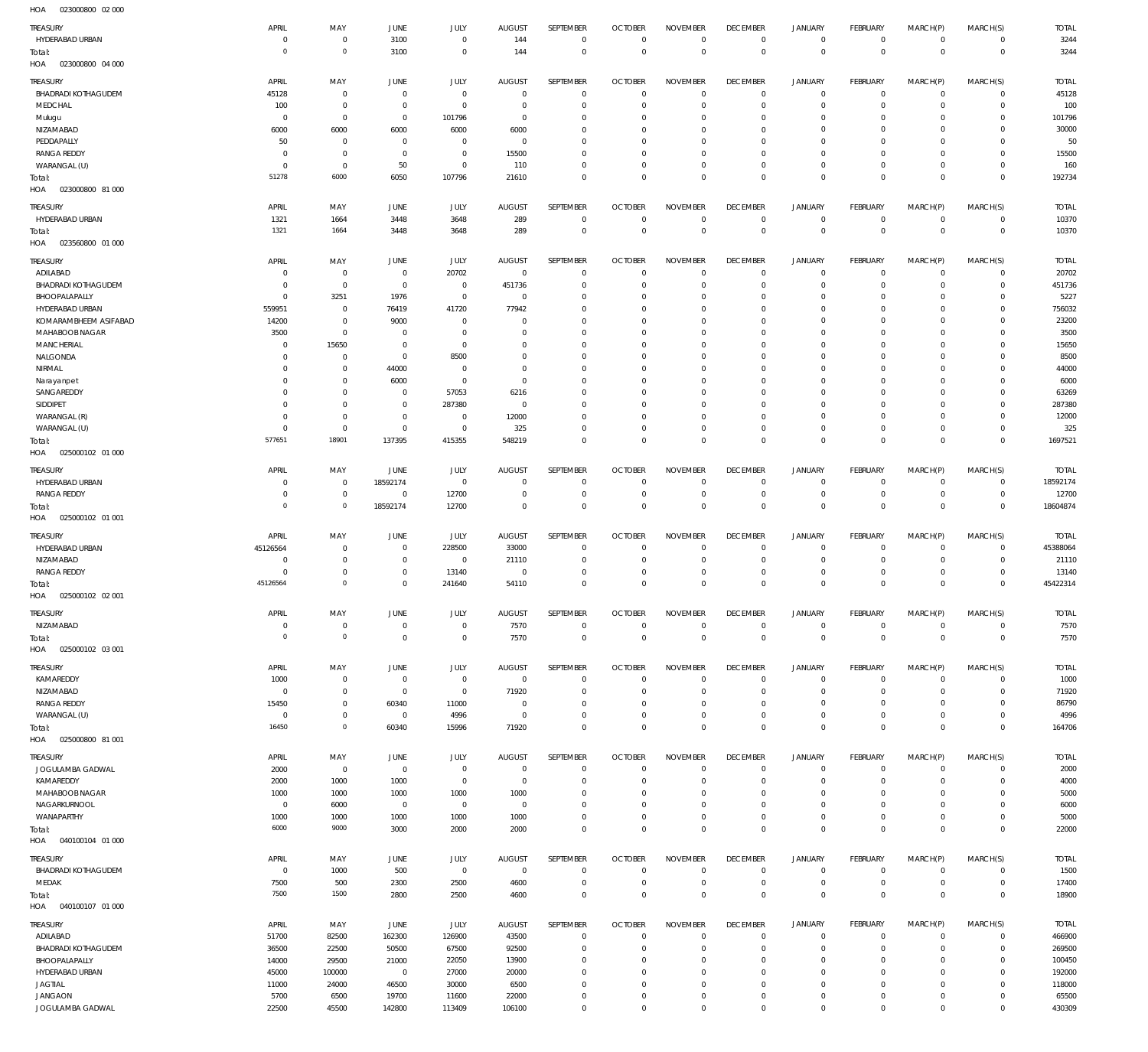023000800 02 000 HOA

| <b>TREASURY</b>                    | APRIL                      | MAY                        | JUNE                          | JULY                        | <b>AUGUST</b>                   | SEPTEMBER                    | <b>OCTOBER</b>                | <b>NOVEMBER</b>                | <b>DECEMBER</b>                   | <b>JANUARY</b>                             | FEBRUARY                         | MARCH(P)                      | MARCH(S)                   | <b>TOTAL</b>             |
|------------------------------------|----------------------------|----------------------------|-------------------------------|-----------------------------|---------------------------------|------------------------------|-------------------------------|--------------------------------|-----------------------------------|--------------------------------------------|----------------------------------|-------------------------------|----------------------------|--------------------------|
| HYDERABAD URBAN                    | 0                          | $\,0\,$                    | 3100                          | $\mathbf 0$                 | 144                             | $\mathbf 0$                  | $\mathbf 0$                   | $\mathbf 0$                    | $\mathbf 0$                       | $\mathsf{O}\xspace$                        | $\overline{0}$                   | $\overline{0}$                | $\overline{0}$             | 3244                     |
| Total:                             | $\Omega$                   | $\circ$                    | 3100                          | $\mathbf 0$                 | 144                             | $\mathbf 0$                  | $\mathbf 0$                   | $\mathbf 0$                    | $\overline{0}$                    | $\mathbf 0$                                | $\overline{0}$                   | $\mathbf 0$                   | $\overline{0}$             | 3244                     |
| HOA<br>023000800 04 000            |                            |                            |                               |                             |                                 |                              |                               |                                |                                   |                                            |                                  |                               |                            |                          |
| TREASURY                           | APRIL                      | MAY                        | JUNE                          | JULY                        | <b>AUGUST</b>                   | <b>SEPTEMBER</b>             | <b>OCTOBER</b>                | <b>NOVEMBER</b>                | <b>DECEMBER</b>                   | <b>JANUARY</b>                             | FEBRUARY                         | MARCH(P)                      | MARCH(S)                   | <b>TOTAL</b>             |
| <b>BHADRADI KOTHAGUDEM</b>         | 45128                      | $\,0\,$                    | $^{\circ}$                    | $\mathbf{0}$                | $^{\circ}$                      | $\mathbf{0}$                 | $^{\circ}$                    | $^{\circ}$                     | $\mathbf 0$                       | $\mathbf 0$                                | $^{\circ}$                       | $\mathbf 0$                   | $\mathbf 0$                | 45128                    |
| MEDCHAL                            | 100                        | $\,0\,$                    | $\overline{0}$                | $\mathbf 0$                 | 0                               | $\mathbf 0$                  | $^{\circ}$                    | $\mathbf 0$                    | $^{\circ}$                        | $\mathbf 0$                                | $\mathbf 0$                      | $\mathbf 0$                   | $\mathbf{0}$               | 100                      |
| Mulugu                             | $^{\circ}$                 | $\,0\,$                    | $\mathbb O$                   | 101796                      | $\circ$                         | $\mathbf{0}$                 | 0                             | $^{\circ}$                     | 0                                 | $\mathbf 0$                                | $\mathbf 0$                      | $\Omega$                      | $\mathbf 0$                | 101796                   |
| NIZAMABAD<br>PEDDAPALLY            | 6000                       | 6000                       | 6000<br>$^{\circ}$            | 6000                        | 6000<br>$^{\circ}$              | $\mathbf{0}$<br>$\mathbf{0}$ | 0<br>$\Omega$                 | $^{\circ}$<br>$^{\circ}$       | $^{\circ}$<br>$^{\circ}$          | $\mathbf 0$<br>$\mathbf 0$                 | $\Omega$<br>$\mathbf 0$          | $\Omega$<br>$\Omega$          | $\mathbf 0$<br>$\mathbf 0$ | 30000<br>50              |
| <b>RANGA REDDY</b>                 | 50<br>$\Omega$             | $\mathbf 0$<br>$\mathbb O$ | $\overline{0}$                | $\mathbf{0}$<br>$\mathbf 0$ | 15500                           | $\mathbf 0$                  | 0                             | $^{\circ}$                     | $^{\circ}$                        | $\mathbf 0$                                | $\mathbf 0$                      | $\Omega$                      | $\mathbf 0$                | 15500                    |
| WARANGAL (U)                       | $^{\circ}$                 | $\,0\,$                    | 50                            | $\mathbf 0$                 | 110                             | $\mathbf 0$                  | $\mathbf 0$                   | $\mathbf 0$                    | $\mathbf 0$                       | $\mathbf 0$                                | $\mathbf 0$                      | $\mathbf 0$                   | $\mathbf 0$                | 160                      |
| Total:                             | 51278                      | 6000                       | 6050                          | 107796                      | 21610                           | $\mathbf 0$                  | $\mathbf 0$                   | $\mathbf 0$                    | $\mathbf 0$                       | $\mathbf 0$                                | $\mathbf 0$                      | $\mathbf 0$                   | $\mathbf 0$                | 192734                   |
| HOA<br>023000800 81 000            |                            |                            |                               |                             |                                 |                              |                               |                                |                                   |                                            |                                  |                               |                            |                          |
| TREASURY                           | APRIL                      | MAY                        | JUNE                          | JULY                        | <b>AUGUST</b>                   | SEPTEMBER                    | <b>OCTOBER</b>                | <b>NOVEMBER</b>                | <b>DECEMBER</b>                   | <b>JANUARY</b>                             | FEBRUARY                         | MARCH(P)                      | MARCH(S)                   | <b>TOTAL</b>             |
| HYDERABAD URBAN                    | 1321                       | 1664                       | 3448                          | 3648                        | 289                             | $\mathbf 0$                  | $\mathbf 0$                   | $\mathbf 0$                    | $\mathbf 0$                       | $\mathsf{O}\xspace$                        | $\overline{0}$                   | $\overline{0}$                | $\overline{0}$             | 10370                    |
| Total:                             | 1321                       | 1664                       | 3448                          | 3648                        | 289                             | $\mathbf 0$                  | $\overline{0}$                | $\mathbf 0$                    | $\overline{0}$                    | $\mathbb O$                                | $\overline{0}$                   | $\mathbf 0$                   | $\overline{0}$             | 10370                    |
| HOA<br>023560800 01 000            |                            |                            |                               |                             |                                 |                              |                               |                                |                                   |                                            |                                  |                               |                            |                          |
|                                    |                            |                            |                               |                             |                                 |                              |                               |                                |                                   |                                            |                                  |                               |                            |                          |
| TREASURY<br>ADILABAD               | APRIL<br>$\Omega$          | MAY                        | JUNE                          | JULY<br>20702               | <b>AUGUST</b><br>$^{\circ}$     | SEPTEMBER<br>$\mathbf 0$     | <b>OCTOBER</b><br>$^{\circ}$  | <b>NOVEMBER</b><br>$^{\circ}$  | <b>DECEMBER</b><br>$\mathbf 0$    | <b>JANUARY</b><br>$\mathbf 0$              | FEBRUARY<br>$^{\circ}$           | MARCH(P)<br>$\mathbf 0$       | MARCH(S)<br>$\mathbf{0}$   | <b>TOTAL</b><br>20702    |
| <b>BHADRADI KOTHAGUDEM</b>         | $\Omega$                   | $\mathbf 0$<br>$\,0\,$     | $\mathbf 0$<br>$\mathbb O$    | $\mathbf 0$                 | 451736                          | $\mathbf 0$                  | $^{\circ}$                    | $\Omega$                       | $^{\circ}$                        | $\mathbf 0$                                | $\mathbf 0$                      | $\mathbf 0$                   | $\mathbf 0$                | 451736                   |
| BHOOPALAPALLY                      | $\Omega$                   | 3251                       | 1976                          | $\mathbf 0$                 | 0                               | $\mathbf{0}$                 | $\Omega$                      | $^{\circ}$                     | 0                                 | $\mathbf 0$                                | $\mathbf 0$                      | $\Omega$                      | $\mathbf 0$                | 5227                     |
| HYDERABAD URBAN                    | 559951                     | $\,0\,$                    | 76419                         | 41720                       | 77942                           | $\mathbf{0}$                 | 0                             | $\mathbf 0$                    | $\mathbf 0$                       | $\mathbf 0$                                | $\mathbf 0$                      | $\Omega$                      | $\mathbf 0$                | 756032                   |
| KOMARAMBHEEM ASIFABAD              | 14200                      | $\,0\,$                    | 9000                          | $^{\circ}$                  | $\Omega$                        | $\mathbf{0}$                 | 0                             | $\mathbf 0$                    | $^{\circ}$                        | $\mathbf 0$                                | $\Omega$                         | $\Omega$                      | $\mathbf 0$                | 23200                    |
| MAHABOOB NAGAR                     | 3500                       | $\,0\,$                    | $^{\circ}$                    | $\mathbf 0$                 | $\Omega$                        | $\mathbf{0}$                 | $\Omega$                      | $\Omega$                       | $\Omega$                          | $\mathbf 0$                                | $\mathbf 0$                      | $\Omega$                      | $\mathbf 0$                | 3500                     |
| <b>MANCHERIAL</b>                  | $\Omega$                   | 15650                      | $\overline{0}$                | $\mathbf 0$                 | $\Omega$                        | $\mathbf 0$                  | 0                             | $^{\circ}$                     | $^{\circ}$                        | $\mathbf 0$                                | $\mathbf 0$                      | $\Omega$                      | $\mathbf 0$                | 15650                    |
| NALGONDA                           | -0                         | $\overline{0}$             | $\overline{0}$                | 8500                        | $\Omega$                        | $^{\circ}$                   | $\Omega$                      | $\Omega$                       | 0                                 | $\mathbf 0$                                | $\mathbf 0$                      | $\Omega$                      | $\mathbf 0$                | 8500                     |
| NIRMAL                             | $\Omega$                   | $\,0\,$                    | 44000                         | $\mathbf{0}$                | $\circ$                         | $\mathbf 0$                  | 0                             | $^{\circ}$                     | $^{\circ}$                        | $\mathbf 0$                                | $\mathbf 0$                      | $\Omega$                      | $\mathbf 0$                | 44000                    |
| Narayanpet                         | $\Omega$                   | $\mathbb O$                | 6000                          | $\mathbf 0$                 | $^{\circ}$                      | $\mathbf{0}$                 | $\Omega$                      | $\Omega$                       | 0                                 | $\mathbf 0$                                | $\mathbf 0$                      | $\Omega$                      | $\mathbf 0$                | 6000                     |
| SANGAREDDY                         | $\Omega$                   | $\mathbb O$                | $\overline{0}$                | 57053                       | 6216                            | $\mathbf 0$                  | $\Omega$                      | $^{\circ}$                     | $^{\circ}$                        | $\mathbf 0$                                | $\Omega$                         | $\Omega$                      | $\mathbf 0$                | 63269                    |
| SIDDIPET<br>WARANGAL (R)           | $\Omega$<br>$\Omega$       | $\,0\,$<br>$\,0\,$         | $\overline{0}$<br>$^{\circ}$  | 287380<br>$\mathbf 0$       | $^{\circ}$<br>12000             | $\mathbf{0}$<br>$\mathbf 0$  | $\Omega$<br>0                 | $^{\circ}$<br>$^{\circ}$       | $^{\circ}$<br>$^{\circ}$          | $\mathbf 0$<br>$\mathbf 0$                 | $\mathbf 0$<br>$\mathbf 0$       | $\Omega$<br>$\Omega$          | $\mathbf 0$<br>$\mathbf 0$ | 287380<br>12000          |
| WARANGAL (U)                       | $\Omega$                   | $\mathbb O$                | $\mathbb O$                   | $\mathbf 0$                 | 325                             | $\mathbf 0$                  | $^{\circ}$                    | $^{\circ}$                     | $^{\circ}$                        | $\mathbf 0$                                | $\mathbf 0$                      | $\mathbf 0$                   | $\mathbf 0$                | 325                      |
| Total:                             | 577651                     | 18901                      | 137395                        | 415355                      | 548219                          | $\mathbf 0$                  | $\Omega$                      | $\mathbf 0$                    | $\mathbf 0$                       | $\mathbf 0$                                | $\mathbf 0$                      | $\mathbf 0$                   | $\mathbf 0$                | 1697521                  |
| HOA<br>025000102 01 000            |                            |                            |                               |                             |                                 |                              |                               |                                |                                   |                                            |                                  |                               |                            |                          |
|                                    |                            |                            |                               |                             |                                 |                              |                               |                                |                                   |                                            |                                  |                               |                            |                          |
| TREASURY<br>HYDERABAD URBAN        | APRIL<br>- 0               | MAY<br>$\,0\,$             | JUNE<br>18592174              | <b>JULY</b><br>$\mathbf 0$  | <b>AUGUST</b><br>$\overline{0}$ | SEPTEMBER<br>$\mathbf 0$     | <b>OCTOBER</b><br>$^{\circ}$  | <b>NOVEMBER</b><br>$\mathbf 0$ | <b>DECEMBER</b><br>$\overline{0}$ | <b>JANUARY</b><br>0                        | FEBRUARY<br>$\overline{0}$       | MARCH(P)<br>0                 | MARCH(S)<br>$\overline{0}$ | <b>TOTAL</b><br>18592174 |
| <b>RANGA REDDY</b>                 | -C                         | $\,0\,$                    | $\mathbf 0$                   | 12700                       | - 0                             | $\mathbf 0$                  | $^{\circ}$                    | 0                              | $\overline{0}$                    | $\mathbf 0$                                | $\overline{0}$                   | 0                             | $\circ$                    | 12700                    |
| Total:                             | $^{\circ}$                 | $\circ$                    | 18592174                      | 12700                       | $^{\circ}$                      | $\mathbf 0$                  | $\mathbf 0$                   | $\mathbf 0$                    | $\mathbf 0$                       | $\mathbb O$                                | $\overline{0}$                   | $\mathbf 0$                   | $\overline{0}$             | 18604874                 |
| HOA<br>025000102 01 001            |                            |                            |                               |                             |                                 |                              |                               |                                |                                   |                                            |                                  |                               |                            |                          |
|                                    |                            |                            |                               |                             |                                 |                              |                               |                                |                                   |                                            |                                  |                               |                            |                          |
| TREASURY<br>HYDERABAD URBAN        | APRIL                      | MAY                        | JUNE                          | JULY                        | <b>AUGUST</b>                   | SEPTEMBER                    | <b>OCTOBER</b>                | <b>NOVEMBER</b>                | <b>DECEMBER</b>                   | <b>JANUARY</b>                             | FEBRUARY                         | MARCH(P)                      | MARCH(S)                   | <b>TOTAL</b>             |
| NIZAMABAD                          | 45126564<br>$\Omega$       | $\mathbf 0$<br>$\mathbb O$ | $\mathbf 0$<br>$\overline{0}$ | 228500<br>$\mathbf 0$       | 33000<br>21110                  | $\mathbf 0$<br>$\mathbf 0$   | $^{\circ}$<br>$^{\circ}$      | $^{\circ}$<br>$\mathbf 0$      | $\mathbf 0$<br>$\mathbf 0$        | 0<br>$\mathbf 0$                           | $^{\circ}$<br>$^{\circ}$         | $\mathbf 0$<br>$\mathbf 0$    | $\circ$<br>$\circ$         | 45388064<br>21110        |
|                                    |                            |                            |                               |                             |                                 |                              |                               |                                |                                   |                                            |                                  |                               |                            |                          |
|                                    |                            |                            |                               |                             |                                 |                              |                               |                                |                                   |                                            |                                  |                               |                            |                          |
| <b>RANGA REDDY</b>                 | -C<br>45126564             | $\,0\,$<br>$\circ$         | $\overline{0}$<br>$\Omega$    | 13140                       | 0                               | $\mathbf 0$                  | 0<br>$\mathbf 0$              | $\mathbf 0$<br>$\mathbf 0$     | $\mathbf 0$<br>$\mathbf 0$        | $\mathsf{O}\xspace$<br>$\mathbf 0$         | $\mathbf 0$<br>$\mathbf 0$       | $\mathbf 0$<br>$\mathbf 0$    | $\mathbf 0$<br>$\Omega$    | 13140                    |
| Total:<br>HOA<br>025000102 02 001  |                            |                            |                               | 241640                      | 54110                           | $\mathbf 0$                  |                               |                                |                                   |                                            |                                  |                               |                            | 45422314                 |
|                                    |                            |                            |                               |                             |                                 |                              |                               |                                |                                   |                                            |                                  |                               |                            |                          |
| TREASURY                           | APRIL                      | MAY                        | JUNE                          | JULY                        | <b>AUGUST</b>                   | SEPTEMBER                    | <b>OCTOBER</b>                | <b>NOVEMBER</b>                | <b>DECEMBER</b>                   | <b>JANUARY</b>                             | <b>FEBRUARY</b>                  | MARCH(P)                      | MARCH(S)                   | <b>TOTAL</b>             |
| NIZAMABAD                          | $\overline{0}$<br>$\Omega$ | $\,0\,$                    | $\,0\,$                       | $\mathbf 0$                 | 7570                            | $\mathbf 0$                  | $^{\circ}$                    | $\mathbf 0$                    | $\overline{0}$                    | $\mathsf{O}\xspace$                        | $\overline{0}$                   | $\mathbf 0$                   | $\overline{0}$             | 7570                     |
| Total:                             |                            | $\mathbb O$                | $\mathbf 0$                   | $\mathbf 0$                 | 7570                            | $\mathsf 0$                  | $\overline{0}$                | $\mathbb O$                    | $\mathbf 0$                       | $\bf 0$                                    | $\overline{0}$                   | $\mathbf 0$                   | $\overline{0}$             | 7570                     |
| HOA<br>025000102 03 001            |                            |                            |                               |                             |                                 |                              |                               |                                |                                   |                                            |                                  |                               |                            |                          |
| TREASURY                           | APRIL                      | MAY                        | JUNE                          | JULY                        | <b>AUGUST</b>                   | SEPTEMBER                    | <b>OCTOBER</b>                | <b>NOVEMBER</b>                | <b>DECEMBER</b>                   | JANUARY                                    | FEBRUARY                         | MARCH(P)                      | MARCH(S)                   | <b>TOTAL</b>             |
| KAMAREDDY                          | 1000                       | $\,0\,$                    | $\,0\,$                       | $\mathbf 0$                 | $\mathbf 0$                     | 0                            | $\mathbf 0$                   | $\mathbf 0$                    | $\mathbb O$                       | $\mathsf{O}\xspace$                        | $\overline{0}$                   | $\mathbf 0$                   | $\mathbf{0}$               | 1000                     |
| NIZAMABAD                          | $\overline{0}$             | $\,0\,$                    | $\,0\,$                       | $\mathbf 0$                 | 71920                           | $\mathbf 0$                  | $^{\circ}$                    | $^{\circ}$                     | $\mathbf 0$                       | $\mathsf{O}\xspace$                        | $\mathbf 0$                      | $\mathbf 0$                   | $\mathbf 0$                | 71920                    |
| <b>RANGA REDDY</b>                 | 15450<br>$\overline{0}$    | $\,0\,$                    | 60340                         | 11000                       | $^{\circ}$<br>$\mathbf 0$       | $\mathbf 0$<br>$\mathbf 0$   | $\mathbf 0$<br>$\mathbf 0$    | $\mathbf 0$<br>$\mathbf 0$     | $\mathbf 0$<br>$\mathbf 0$        | $\mathbf 0$<br>$\mathsf{O}\xspace$         | $\mathbf 0$<br>$\overline{0}$    | $\mathbf 0$<br>$\mathbf 0$    | $\mathbf{0}$<br>$\circ$    | 86790                    |
| WARANGAL (U)<br>Total:             | 16450                      | $\,0\,$<br>$\circ$         | $\,0\,$<br>60340              | 4996<br>15996               | 71920                           | $\mathbf 0$                  | $\mathbf 0$                   | $\mathbf 0$                    | $\mathbf 0$                       | $\mathbf 0$                                | $\mathbf 0$                      | $\mathbf 0$                   | $\mathbf 0$                | 4996<br>164706           |
| HOA<br>025000800 81 001            |                            |                            |                               |                             |                                 |                              |                               |                                |                                   |                                            |                                  |                               |                            |                          |
|                                    |                            |                            |                               |                             |                                 |                              |                               |                                |                                   |                                            |                                  |                               |                            |                          |
| TREASURY                           | APRIL                      | MAY                        | JUNE                          | JULY                        | <b>AUGUST</b>                   | SEPTEMBER                    | <b>OCTOBER</b><br>$\mathbf 0$ | <b>NOVEMBER</b>                | <b>DECEMBER</b>                   | JANUARY                                    | FEBRUARY                         | MARCH(P)                      | MARCH(S)                   | <b>TOTAL</b>             |
| JOGULAMBA GADWAL                   | 2000                       | $\,0\,$                    | $\,0\,$                       | $\mathbf 0$                 | $\mathbf 0$<br>$\mathbf 0$      | $\mathbf 0$                  | $^{\circ}$                    | $\mathbf 0$<br>0               | $\mathbf 0$<br>$\overline{0}$     | $\mathsf{O}\xspace$<br>$\mathsf{O}\xspace$ | $\overline{0}$<br>$\overline{0}$ | $\overline{0}$<br>$\mathbf 0$ | $\circ$<br>$\circ$         | 2000                     |
| KAMAREDDY<br>MAHABOOB NAGAR        | 2000<br>1000               | 1000<br>1000               | 1000<br>1000                  | $\mathbf 0$<br>1000         | 1000                            | $\mathbf 0$<br>$\mathbf 0$   | $^{\circ}$                    | $\mathbf 0$                    | $^{\circ}$                        | $\mathsf{O}\xspace$                        | $\overline{0}$                   | $\mathbf 0$                   | $\circ$                    | 4000                     |
| NAGARKURNOOL                       | $\overline{0}$             | 6000                       | $\,0\,$                       | $\mathbf 0$                 | $\mathbf 0$                     | $\mathbf 0$                  | $^{\circ}$                    | $\mathbf 0$                    | $\mathbf 0$                       | $\mathsf{O}\xspace$                        | $\mathbf 0$                      | $\mathbf 0$                   | $\circ$                    | 5000<br>6000             |
| WANAPARTHY                         | 1000                       | 1000                       | 1000                          | 1000                        | 1000                            | $\mathbf 0$                  | $^{\circ}$                    | $\mathbb O$                    | $\mathbf 0$                       | $\mathsf{O}\xspace$                        | $\overline{0}$                   | $\mathbf 0$                   | $\circ$                    | 5000                     |
| Total:                             | 6000                       | 9000                       | 3000                          | 2000                        | 2000                            | $\mathsf 0$                  | $\mathbf 0$                   | $\mathbf 0$                    | $\mathbf 0$                       | $\mathsf 0$                                | $\mathbf 0$                      | $\mathbf 0$                   | $\overline{0}$             | 22000                    |
| HOA<br>040100104 01 000            |                            |                            |                               |                             |                                 |                              |                               |                                |                                   |                                            |                                  |                               |                            |                          |
| TREASURY                           | APRIL                      | MAY                        | JUNE                          | JULY                        | <b>AUGUST</b>                   | SEPTEMBER                    | <b>OCTOBER</b>                | <b>NOVEMBER</b>                | <b>DECEMBER</b>                   | <b>JANUARY</b>                             | FEBRUARY                         | MARCH(P)                      | MARCH(S)                   | <b>TOTAL</b>             |
| <b>BHADRADI KOTHAGUDEM</b>         | $^{\circ}$                 | 1000                       | 500                           | $\mathbf 0$                 | $\mathbf 0$                     | $\mathbf 0$                  | $^{\circ}$                    | $^{\circ}$                     | $\mathbf 0$                       | $\mathbf 0$                                | $\mathbf 0$                      | $\mathbf 0$                   | $\mathbf{0}$               | 1500                     |
| MEDAK                              | 7500                       | 500                        | 2300                          | 2500                        | 4600                            | $\mathbf 0$                  | $\mathbf 0$                   | $\mathbf 0$                    | $\mathbf 0$                       | $\mathsf{O}\xspace$                        | $\overline{0}$                   | $\mathbf 0$                   | $\circ$                    | 17400                    |
| Total:                             | 7500                       | 1500                       | 2800                          | 2500                        | 4600                            | $\mathbf 0$                  | $\mathbf 0$                   | $\mathbf 0$                    | $\mathbf 0$                       | $\mathbf 0$                                | $\mathbf 0$                      | $\mathbf 0$                   | $\overline{0}$             | 18900                    |
| HOA<br>040100107 01 000            |                            |                            |                               |                             |                                 |                              |                               |                                |                                   |                                            |                                  |                               |                            |                          |
| TREASURY                           | APRIL                      | MAY                        | JUNE                          | JULY                        | <b>AUGUST</b>                   | SEPTEMBER                    | <b>OCTOBER</b>                | <b>NOVEMBER</b>                | <b>DECEMBER</b>                   | JANUARY                                    | FEBRUARY                         | MARCH(P)                      | MARCH(S)                   | <b>TOTAL</b>             |
| ADILABAD                           | 51700                      | 82500                      | 162300                        | 126900                      | 43500                           | $\mathbf 0$                  | $\mathbf 0$                   | $\mathbf 0$                    | $\overline{0}$                    | $\mathsf{O}\xspace$                        | $\overline{0}$                   | $\mathbf 0$                   | $\overline{0}$             | 466900                   |
| <b>BHADRADI KOTHAGUDEM</b>         | 36500                      | 22500                      | 50500                         | 67500                       | 92500                           | $\mathbf 0$                  | $^{\circ}$                    | 0                              | $\overline{0}$                    | $\mathsf{O}\xspace$                        | $\overline{0}$                   | $\mathbf 0$                   | $\circ$                    | 269500                   |
| BHOOPALAPALLY                      | 14000                      | 29500                      | 21000                         | 22050                       | 13900                           | $\mathbf 0$                  | $^{\circ}$                    | $^{\circ}$                     | $^{\circ}$                        | $\mathsf{O}\xspace$                        | $\overline{0}$                   | $\mathbf 0$                   | $\circ$                    | 100450                   |
| HYDERABAD URBAN                    | 45000                      | 100000                     | $\,0\,$                       | 27000                       | 20000                           | $\mathbf 0$                  | $^{\circ}$                    | $\mathbf 0$                    | $\mathbf 0$                       | $\mathsf{O}\xspace$                        | $\mathbf 0$                      | $\mathbf 0$                   | $\circ$                    | 192000                   |
| JAGTIAL                            | 11000                      | 24000                      | 46500                         | 30000                       | 6500                            | $\mathbf 0$                  | $\mathbf 0$                   | $\mathbb O$                    | $\mathbf 0$                       | $\mathbf 0$                                | $\mathbf 0$                      | $\mathbf 0$                   | $\mathbf{0}$               | 118000                   |
| <b>JANGAON</b><br>JOGULAMBA GADWAL | 5700<br>22500              | 6500<br>45500              | 19700<br>142800               | 11600<br>113409             | 22000<br>106100                 | $\mathbf 0$<br>$\mathbf 0$   | $\mathbf 0$<br>$\mathbf 0$    | $\mathbb O$<br>$\mathbf 0$     | $\mathbf 0$<br>$\mathbb O$        | $\mathsf{O}\xspace$<br>$\mathsf{O}\xspace$ | $\overline{0}$<br>$\overline{0}$ | 0<br>$\mathbf 0$              | $\circ$<br>$\circ$         | 65500<br>430309          |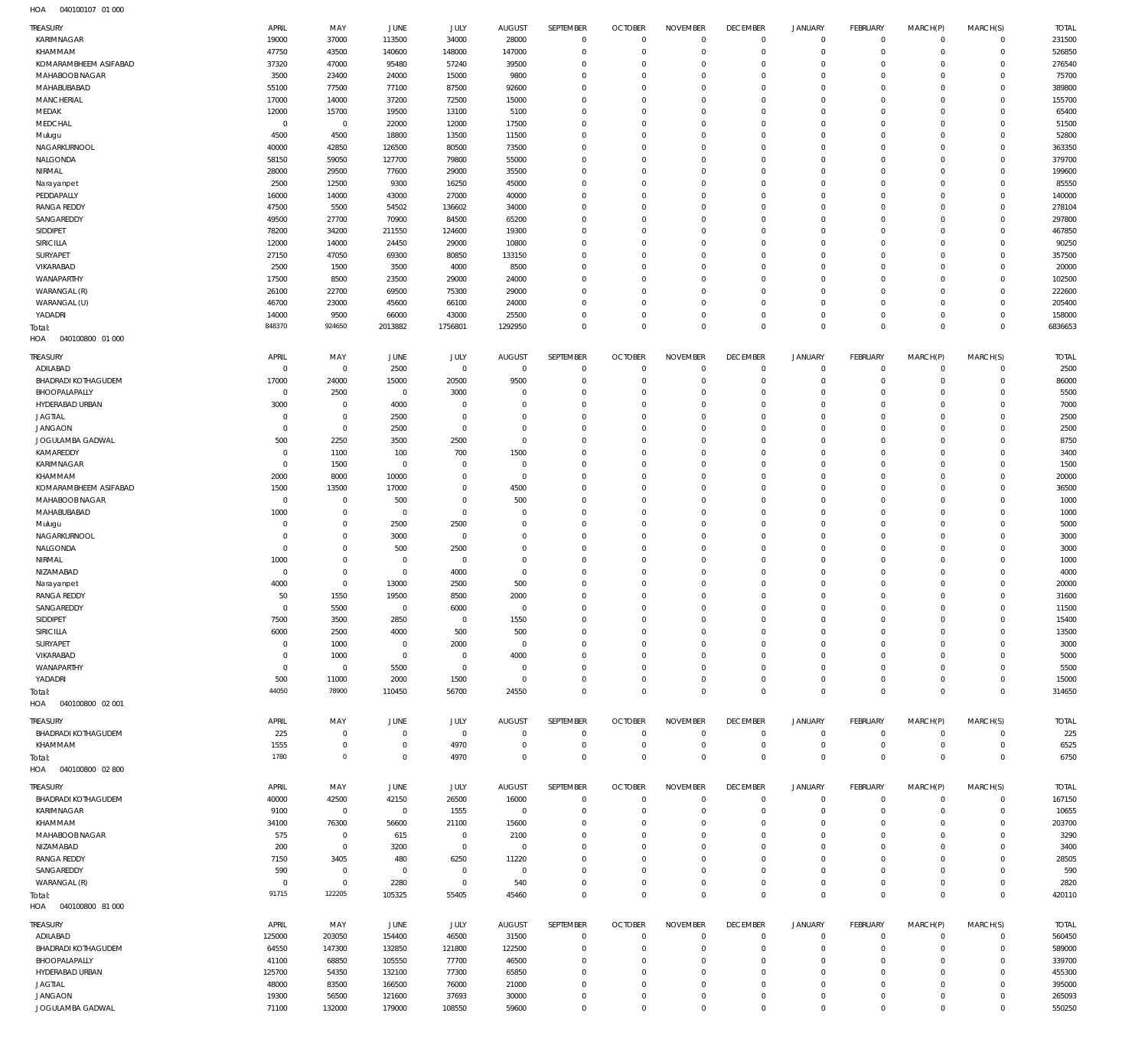| TREASURY                   | APRIL       | MAY                 | JUNE           | <b>JULY</b> | <b>AUGUST</b>  | SEPTEMBER      | <b>OCTOBER</b> | <b>NOVEMBER</b> | <b>DECEMBER</b> | <b>JANUARY</b> | <b>FEBRUARY</b> | MARCH(P)       | MARCH(S)     | <b>TOTAL</b> |
|----------------------------|-------------|---------------------|----------------|-------------|----------------|----------------|----------------|-----------------|-----------------|----------------|-----------------|----------------|--------------|--------------|
| KARIMNAGAR                 | 19000       | 37000               | 113500         | 34000       | 28000          | $\overline{0}$ | $\overline{0}$ | $\mathbf{0}$    | $\overline{0}$  | $\mathbb O$    | $\circ$         | $^{\circ}$     | $\Omega$     | 231500       |
| KHAMMAM                    | 47750       | 43500               | 140600         | 148000      | 147000         | $\mathbf 0$    | $\overline{0}$ | $\mathbf 0$     | $\overline{0}$  | $\mathbf 0$    | $\mathbf 0$     | $\Omega$       | $\circ$      | 526850       |
| KOMARAMBHEEM ASIFABAD      | 37320       | 47000               | 95480          | 57240       | 39500          | $\mathbf 0$    | $\overline{0}$ | $\mathbf 0$     | $\mathbf{0}$    | $\mathbf 0$    | $\mathbf 0$     | $\Omega$       | $\circ$      | 276540       |
| MAHABOOB NAGAR             | 3500        | 23400               | 24000          | 15000       | 9800           | $\mathbf 0$    | $\overline{0}$ | $\mathbf 0$     | $\mathbf 0$     | $\mathbf 0$    | $\mathbf 0$     | $\Omega$       | $\Omega$     | 75700        |
| MAHABUBABAD                | 55100       | 77500               | 77100          | 87500       | 92600          | $\mathbf 0$    | $\overline{0}$ | $\Omega$        | $\mathbf 0$     | $\mathbf 0$    | $\mathbf 0$     | $\Omega$       | $\circ$      | 389800       |
| MANCHERIAL                 | 17000       | 14000               | 37200          | 72500       | 15000          | $\mathbf 0$    | $\overline{0}$ | $\mathbf 0$     | $\mathbf 0$     | $\mathbf 0$    | $\mathbf{0}$    | $\Omega$       | $\Omega$     | 155700       |
| MEDAK                      | 12000       | 15700               | 19500          | 13100       | 5100           | $\mathbf 0$    | $\overline{0}$ | $\Omega$        | $\mathbf 0$     | $\circ$        | $\mathbf 0$     | $\Omega$       | $\Omega$     | 65400        |
| MEDCHAL                    | $\mathbf 0$ | $\overline{0}$      | 22000          | 12000       | 17500          | $\mathbf 0$    | $\overline{0}$ | $\mathbf 0$     | $\mathbf 0$     | $\Omega$       | $\mathbf 0$     | $\Omega$       | $\Omega$     | 51500        |
| Mulugu                     | 4500        | 4500                | 18800          | 13500       | 11500          | $\mathbf 0$    | $\overline{0}$ | $\Omega$        | $\mathbf{0}$    | $\mathbf 0$    | $\mathbf 0$     | $\Omega$       | $\Omega$     | 52800        |
| NAGARKURNOOL               | 40000       | 42850               | 126500         | 80500       | 73500          | $\mathbf 0$    | $\overline{0}$ | $\mathbf 0$     | $\mathbf{0}$    | $\circ$        | $\mathbf 0$     | $\Omega$       | $\Omega$     | 363350       |
| NALGONDA                   | 58150       | 59050               | 127700         | 79800       | 55000          | $\mathbf 0$    | $\overline{0}$ | $\Omega$        | $\mathbf{0}$    | $\mathbf 0$    | $\mathbf 0$     | $\Omega$       | $\Omega$     | 379700       |
| NIRMAL                     | 28000       | 29500               | 77600          | 29000       | 35500          | $\mathbf 0$    | $\overline{0}$ | $\Omega$        | $\Omega$        | $\circ$        | $\mathbf 0$     | $\Omega$       | $\Omega$     | 199600       |
| Narayanpet                 | 2500        | 12500               | 9300           | 16250       | 45000          | $\mathbf 0$    | $\overline{0}$ | $\mathbf 0$     | $\mathbf{0}$    | $\mathbf 0$    | $\mathbf 0$     | $\Omega$       | $\Omega$     | 85550        |
| PEDDAPALLY                 | 16000       | 14000               | 43000          | 27000       | 40000          | $\Omega$       | $\overline{0}$ | $\Omega$        | $\Omega$        | $\circ$        | $\mathbf 0$     | $\Omega$       | $\Omega$     | 140000       |
| <b>RANGA REDDY</b>         | 47500       | 5500                | 54502          |             | 34000          | $\mathbf 0$    | $\overline{0}$ | $\mathbf 0$     | $\mathbf{0}$    | $\mathbf 0$    | $\mathbf 0$     | $\Omega$       | $\Omega$     | 278104       |
|                            |             |                     |                | 136602      |                |                |                |                 |                 |                |                 |                |              |              |
| SANGAREDDY                 | 49500       | 27700               | 70900          | 84500       | 65200          | $\Omega$       | $\overline{0}$ | $\Omega$        | $\Omega$        | $\Omega$       | $\mathbf 0$     | $\Omega$       | $\Omega$     | 297800       |
| SIDDIPET                   | 78200       | 34200               | 211550         | 124600      | 19300          | $\mathbf 0$    | $\overline{0}$ | $\mathbf 0$     | $\mathbf 0$     | $\circ$        | $\mathbf 0$     | $\Omega$       | $\Omega$     | 467850       |
| SIRICILLA                  | 12000       | 14000               | 24450          | 29000       | 10800          | $\mathbf 0$    | $\mathbf 0$    | $\mathbf 0$     | $\mathbf 0$     | $\Omega$       | $\mathbf{0}$    | $\Omega$       | $\Omega$     | 90250        |
| SURYAPET                   | 27150       | 47050               | 69300          | 80850       | 133150         | $\mathbf 0$    | $\overline{0}$ | $\Omega$        | $\mathbf 0$     | $\circ$        | $\mathbf 0$     | $\Omega$       | $\circ$      | 357500       |
| VIKARABAD                  | 2500        | 1500                | 3500           | 4000        | 8500           | $\mathbf 0$    | $\mathbf 0$    | $\mathbf 0$     | $\mathbf 0$     | $\Omega$       | $\mathbf{0}$    | $\Omega$       | $\Omega$     | 20000        |
| WANAPARTHY                 | 17500       | 8500                | 23500          | 29000       | 24000          | $\mathbf 0$    | $\overline{0}$ | $\Omega$        | $\mathbf 0$     | $\circ$        | $\mathbf 0$     | $\Omega$       | $\circ$      | 102500       |
| WARANGAL (R)               | 26100       | 22700               | 69500          | 75300       | 29000          | $\mathbf 0$    | $\overline{0}$ | $\mathbf 0$     | $\mathbf 0$     | $\mathbf 0$    | $\mathbf 0$     | $\Omega$       | $\Omega$     | 222600       |
| WARANGAL (U)               | 46700       | 23000               | 45600          | 66100       | 24000          | $\Omega$       | $\overline{0}$ | $\Omega$        | $\mathbf 0$     | $\mathbf 0$    | $\mathbf 0$     | $\Omega$       | $\circ$      | 205400       |
| YADADRI                    | 14000       | 9500                | 66000          | 43000       | 25500          | $\mathbf 0$    | $\overline{0}$ | $\mathbf 0$     | $\mathbf{0}$    | $\mathbf 0$    | $\mathbf 0$     | $\Omega$       | $\circ$      | 158000       |
| Total:                     | 848370      | 924650              | 2013882        | 1756801     | 1292950        | $\mathbf 0$    | $\Omega$       | $\Omega$        | $\overline{0}$  | $\overline{0}$ | $\mathbf{0}$    | $\Omega$       | $\mathbf{0}$ | 6836653      |
| HOA<br>040100800 01 000    |             |                     |                |             |                |                |                |                 |                 |                |                 |                |              |              |
|                            |             |                     |                |             |                |                |                |                 |                 |                |                 |                |              |              |
| TREASURY                   | APRIL       | MAY                 | JUNE           | JULY        | <b>AUGUST</b>  | SEPTEMBER      | <b>OCTOBER</b> | <b>NOVEMBER</b> | <b>DECEMBER</b> | <b>JANUARY</b> | <b>FEBRUARY</b> | MARCH(P)       | MARCH(S)     | <b>TOTAL</b> |
| ADILABAD                   | $\mathbf 0$ | $\mathbf 0$         | 2500           | $\bf 0$     | $\overline{0}$ | $\mathbf 0$    | $\overline{0}$ | $^{\circ}$      | $\overline{0}$  | 0              | $\mathbf 0$     | $\Omega$       | $\circ$      | 2500         |
| <b>BHADRADI KOTHAGUDEM</b> | 17000       | 24000               | 15000          | 20500       | 9500           | $\mathbf 0$    | $\overline{0}$ | $\Omega$        | $\Omega$        | $\mathbf 0$    | $\mathbf 0$     | $\Omega$       | $\Omega$     | 86000        |
| BHOOPALAPALLY              | $\mathbf 0$ | 2500                | $\overline{0}$ | 3000        | $\mathbf 0$    | $\mathbf 0$    | $\overline{0}$ | $\Omega$        | $\mathbf{0}$    | $\circ$        | $\mathbf 0$     | $\Omega$       | $\Omega$     | 5500         |
| HYDERABAD URBAN            | 3000        | $\mathbf 0$         | 4000           | $\Omega$    | $\Omega$       | $\Omega$       | $\mathbf 0$    | $\Omega$        | $\mathbf 0$     | $\Omega$       | $\Omega$        | $\Omega$       | $\Omega$     | 7000         |
| <b>JAGTIAL</b>             | $\mathbf 0$ | $\mathbf 0$         | 2500           | $\mathbf 0$ | $\Omega$       | $\Omega$       | $\overline{0}$ | $\Omega$        | $\Omega$        | $\Omega$       | $\circ$         | $\Omega$       | $\Omega$     | 2500         |
| <b>JANGAON</b>             | $^{\circ}$  | $\mathbf 0$         | 2500           | $\mathbf 0$ | $\Omega$       | $\Omega$       | $\mathbf 0$    | $\Omega$        | $\Omega$        | $\Omega$       | $\Omega$        | $\Omega$       | $\Omega$     | 2500         |
|                            |             |                     |                |             | $\Omega$       | $\Omega$       | $\Omega$       | $\Omega$        | $\Omega$        | $\Omega$       | $\circ$         | $\Omega$       | $\Omega$     |              |
| JOGULAMBA GADWAL           | 500         | 2250                | 3500           | 2500        |                |                |                |                 |                 |                |                 |                |              | 8750         |
| KAMAREDDY                  | $^{\circ}$  | 1100                | 100            | 700         | 1500           | $\mathbf 0$    | $\mathbf 0$    | $\Omega$        | $\Omega$        | $\Omega$       | $\Omega$        | $\Omega$       | $\Omega$     | 3400         |
| KARIMNAGAR                 | $\Omega$    | 1500                | $\overline{0}$ | $\Omega$    | $\mathbf 0$    | $\Omega$       | $\mathbf 0$    | $\Omega$        | $\Omega$        | $\Omega$       | $\Omega$        | $\Omega$       | $\Omega$     | 1500         |
| KHAMMAM                    | 2000        | 8000                | 10000          | $\Omega$    | $\overline{0}$ | $\Omega$       | $\mathbf 0$    | $\Omega$        | $\Omega$        | $\Omega$       | $\Omega$        | $\Omega$       | $\Omega$     | 20000        |
| KOMARAMBHEEM ASIFABAD      | 1500        | 13500               | 17000          | $\Omega$    | 4500           | $\Omega$       | $\mathbf 0$    | $\Omega$        | $\Omega$        | $\Omega$       | $\Omega$        | $\Omega$       | $\Omega$     | 36500        |
| MAHABOOB NAGAR             | $^{\circ}$  | $\mathbf 0$         | 500            | $\Omega$    | 500            | $\Omega$       | $\overline{0}$ | $\Omega$        | $\Omega$        | $\Omega$       | $\Omega$        | $\Omega$       | $\Omega$     | 1000         |
| MAHABUBABAD                | 1000        | $\mathbf 0$         | $\overline{0}$ | $\Omega$    | $\Omega$       | $\Omega$       | $\mathbf 0$    | $\Omega$        | $\Omega$        | $\Omega$       | $\Omega$        | $\Omega$       | $\Omega$     | 1000         |
| Mulugu                     | $\Omega$    | $\mathbf 0$         | 2500           | 2500        | $\Omega$       | $\Omega$       | $\Omega$       | $\Omega$        | $\Omega$        | $\Omega$       | $\Omega$        | $\Omega$       | $\Omega$     | 5000         |
| NAGARKURNOOL               | $^{\circ}$  | $\mathbf 0$         | 3000           | $\mathbf 0$ | $\Omega$       | $\mathbf 0$    | $\mathbf 0$    | $\Omega$        | $\mathbf 0$     | $\Omega$       | $\mathbf{0}$    | $\Omega$       | $\Omega$     | 3000         |
| NALGONDA                   | $^{\circ}$  | $\mathbf 0$         | 500            | 2500        | $\Omega$       | $\Omega$       | $\Omega$       | $\Omega$        | $\Omega$        | $\Omega$       | $\Omega$        | $\Omega$       | $\Omega$     | 3000         |
| NIRMAL                     | 1000        | $\mathbf 0$         | $\mathbf 0$    | $\mathbf 0$ | $\mathbf 0$    | $\mathbf 0$    | $\overline{0}$ | $\Omega$        | $\mathbf{0}$    | $\Omega$       | $\circ$         | $\Omega$       | $\Omega$     | 1000         |
| NIZAMABAD                  | $^{\circ}$  | $\mathbf 0$         | $\mathbf 0$    | 4000        | $\mathbf 0$    | $\Omega$       | $\Omega$       | $\Omega$        | $\Omega$        | $\Omega$       | $\Omega$        | $\Omega$       | $\Omega$     | 4000         |
| Narayanpet                 | 4000        | $\mathbf 0$         | 13000          | 2500        | 500            | $\Omega$       | $\overline{0}$ | $\Omega$        | $\Omega$        | $\Omega$       | $\Omega$        | $\Omega$       | $\Omega$     | 20000        |
| <b>RANGA REDDY</b>         | 50          | 1550                | 19500          | 8500        | 2000           | $\Omega$       | $\Omega$       | $\Omega$        | $\Omega$        | $\Omega$       | $\circ$         | $\Omega$       | $\circ$      | 31600        |
|                            | $\Omega$    | 5500                | $\Omega$       | 6000        | $\Omega$       | $\Omega$       | $\Omega$       | $\Omega$        | $\Omega$        | $\Omega$       | $\Omega$        |                | $\circ$      |              |
| SANGAREDDY                 |             |                     |                |             |                |                |                |                 |                 |                |                 | $\mathbf{0}$   |              | 11500        |
| SIDDIPET                   | 7500        | 3500                | 2850           | $\mathbf 0$ | 1550           | $\mathbf 0$    | $\mathbf 0$    | 0               | 0               | $\mathbf 0$    | $^{\circ}$      | $\Omega$       | $\Omega$     | 15400        |
| SIRICILLA                  | 6000        | 2500                | 4000           | 500         | 500            | $\mathbf 0$    | $\overline{0}$ | $\mathbf 0$     | $^{\circ}$      | $\circ$        | $\mathbf 0$     | $\Omega$       | $\Omega$     | 13500        |
| SURYAPET                   | $^{\circ}$  | 1000                | $\overline{0}$ | 2000        | $\overline{0}$ | $\mathbf 0$    | $\mathbf 0$    | $\mathbf 0$     | $\mathbf 0$     | $\mathbf 0$    | $^{\circ}$      | $\Omega$       | $\Omega$     | 3000         |
| VIKARABAD                  | $\Omega$    | 1000                | $\overline{0}$ | $\mathbf 0$ | 4000           | $\Omega$       | $\mathbf 0$    | $\Omega$        | $\mathbf 0$     | $\mathbf 0$    | $\mathbf 0$     | $\Omega$       | $\Omega$     | 5000         |
| WANAPARTHY                 | $\mathbf 0$ | $\overline{0}$      | 5500           | $\mathbf 0$ | $^{\circ}$     | $\mathbf 0$    | $\mathbf 0$    | $\Omega$        | $\mathbf 0$     | $\mathbf 0$    | $^{\circ}$      | $\Omega$       | $\Omega$     | 5500         |
| YADADRI                    | 500         | 11000               | 2000           | 1500        | $\overline{0}$ | $\mathbf 0$    | $\mathbf 0$    | $\mathbf 0$     | $\mathbf 0$     | $\mathbf 0$    | $\mathbf 0$     | $\Omega$       | $\Omega$     | 15000        |
| Total:                     | 44050       | 78900               | 110450         | 56700       | 24550          | $\mathbf 0$    | $\overline{0}$ | $\mathbf 0$     | $\mathbf 0$     | $\mathbf 0$    | $\mathbf 0$     | $\Omega$       | $\mathbb O$  | 314650       |
| HOA  040100800  02  001    |             |                     |                |             |                |                |                |                 |                 |                |                 |                |              |              |
|                            |             |                     |                |             |                |                |                |                 |                 |                |                 |                |              |              |
| TREASURY                   | APRIL       | MAY                 | JUNE           | <b>JULY</b> | <b>AUGUST</b>  | SEPTEMBER      | <b>OCTOBER</b> | <b>NOVEMBER</b> | <b>DECEMBER</b> | <b>JANUARY</b> | FEBRUARY        | MARCH(P)       | MARCH(S)     | <b>TOTAL</b> |
| <b>BHADRADI KOTHAGUDEM</b> | 225         | $\mathbb O$         | $\overline{0}$ | $\mathbf 0$ | $\overline{0}$ | $\overline{0}$ | $\overline{0}$ | $\mathbf 0$     | $\mathbf 0$     | 0              | $\mathbf 0$     | $^{\circ}$     | $\Omega$     | 225          |
| KHAMMAM                    | 1555        | $\mathbf 0$         | $\overline{0}$ | 4970        | $\overline{0}$ | $\mathbf 0$    | $\overline{0}$ | $\mathbf 0$     | $\overline{0}$  | $\mathbb O$    | $\mathbf 0$     | $^{\circ}$     | $\mathbf 0$  | 6525         |
| Total:                     | 1780        | $\mathsf{O}\xspace$ | $\mathbf{0}$   | 4970        | $\overline{0}$ | $\mathbf 0$    | $\overline{0}$ | $\mathbf 0$     | $\mathbf 0$     | $\,0\,$        | $\mathbb O$     | $\overline{0}$ | $\mathbf{0}$ | 6750         |
| 040100800 02800<br>HOA     |             |                     |                |             |                |                |                |                 |                 |                |                 |                |              |              |
| TREASURY                   | APRIL       | MAY                 | <b>JUNE</b>    | JULY        | <b>AUGUST</b>  | SEPTEMBER      | <b>OCTOBER</b> | <b>NOVEMBER</b> | <b>DECEMBER</b> | <b>JANUARY</b> | <b>FEBRUARY</b> | MARCH(P)       | MARCH(S)     | <b>TOTAL</b> |
|                            |             |                     |                |             |                |                |                |                 |                 |                |                 |                |              |              |
| <b>BHADRADI KOTHAGUDEM</b> | 40000       | 42500               | 42150          | 26500       | 16000          | $\mathbf 0$    | $\overline{0}$ | $\mathbf{0}$    | $\mathbf 0$     | 0              | $\mathbf 0$     | $\Omega$       | $\mathbf 0$  | 167150       |
| KARIMNAGAR                 | 9100        | $\mathbf 0$         | $\mathbf 0$    | 1555        | $\overline{0}$ | $\mathbf 0$    | $\overline{0}$ | $\mathbf 0$     | $\mathbf 0$     | $\circ$        | $\mathbf{0}$    | $\Omega$       | $\mathbf 0$  | 10655        |
| KHAMMAM                    | 34100       | 76300               | 56600          | 21100       | 15600          | $\mathbf 0$    | $^{\circ}$     | $\Omega$        | $^{\circ}$      | $\circ$        | $^{\circ}$      | $\Omega$       | $\Omega$     | 203700       |
| MAHABOOB NAGAR             | 575         | $\mathbf 0$         | 615            | 0           | 2100           | $\mathbf 0$    | $\mathbf 0$    | $\Omega$        | $\mathbf 0$     | $\mathbf 0$    | $^{\circ}$      | $\Omega$       | $\Omega$     | 3290         |
| NIZAMABAD                  | 200         | $\mathbf 0$         | 3200           | $\mathbf 0$ | $\overline{0}$ | $\Omega$       | $\mathbf 0$    | $\Omega$        | $\mathbf 0$     | $\mathbf 0$    | $\mathbf 0$     | $\Omega$       | $\Omega$     | 3400         |
| <b>RANGA REDDY</b>         | 7150        | 3405                | 480            | 6250        | 11220          | $\mathbf 0$    | $\mathbf 0$    | $\Omega$        | $\mathbf 0$     | $\mathbf 0$    | $^{\circ}$      | $\Omega$       | $\Omega$     | 28505        |
| SANGAREDDY                 | 590         | $\mathbf 0$         | $\overline{0}$ | $\mathbf 0$ | $\overline{0}$ | $\mathbf 0$    | $\mathbf 0$    | $\Omega$        | $\mathbf 0$     | $\mathbf 0$    | $\mathbf 0$     | $\Omega$       | $\Omega$     | 590          |
| WARANGAL (R)               | $^{\circ}$  | $\mathbf 0$         | 2280           | $\mathbf 0$ | 540            | $\mathbf 0$    | $\overline{0}$ | $\mathbf 0$     | $\mathbf{0}$    | $\circ$        | $\mathbf 0$     | $\Omega$       | $\mathbf 0$  | 2820         |
| Total:                     | 91715       | 122205              | 105325         | 55405       | 45460          | $\mathbf 0$    | $\overline{0}$ | $\mathbf 0$     | $\mathbf{0}$    | $\overline{0}$ | $\mathbf 0$     | $\overline{0}$ | $\mathbf 0$  | 420110       |
| HOA  040100800  81 000     |             |                     |                |             |                |                |                |                 |                 |                |                 |                |              |              |
|                            |             |                     |                |             |                |                |                |                 |                 |                |                 |                |              |              |
| TREASURY                   | APRIL       | MAY                 | JUNE           | <b>JULY</b> | <b>AUGUST</b>  | SEPTEMBER      | <b>OCTOBER</b> | <b>NOVEMBER</b> | <b>DECEMBER</b> | <b>JANUARY</b> | <b>FEBRUARY</b> | MARCH(P)       | MARCH(S)     | <b>TOTAL</b> |
| ADILABAD                   | 125000      | 203050              | 154400         | 46500       | 31500          | $\overline{0}$ | $\overline{0}$ | $\mathbf 0$     | $\overline{0}$  | 0              | $\mathbf 0$     | $^{\circ}$     | $\mathbf 0$  | 560450       |
| <b>BHADRADI KOTHAGUDEM</b> | 64550       | 147300              | 132850         | 121800      | 122500         | $\mathbf 0$    | $\overline{0}$ | 0               | $\mathbf 0$     | $\circ$        | $\mathbf{0}$    | $\Omega$       | $\mathbf 0$  | 589000       |
| BHOOPALAPALLY              | 41100       | 68850               | 105550         | 77700       | 46500          | $\mathbf 0$    | $\overline{0}$ | $\mathbf 0$     | $^{\circ}$      | $\circ$        | $\mathbf 0$     | $\Omega$       | $\Omega$     | 339700       |
| HYDERABAD URBAN            | 125700      | 54350               | 132100         | 77300       | 65850          | $\mathbf 0$    | $\overline{0}$ | $\mathbf 0$     | $\mathbf{0}$    | $\circ$        | $\mathbf 0$     | $\Omega$       | $\Omega$     | 455300       |
| <b>JAGTIAL</b>             | 48000       | 83500               | 166500         | 76000       | 21000          | $\Omega$       | $\overline{0}$ | $\mathbf 0$     | $\mathbf{0}$    | $\circ$        | $\mathbf 0$     | $\Omega$       | $\Omega$     | 395000       |
| <b>JANGAON</b>             | 19300       | 56500               | 121600         | 37693       | 30000          | 0              | $\overline{0}$ | 0               | $\mathbf 0$     | 0              | $\mathbf 0$     | $\Omega$       | $\mathbf 0$  | 265093       |
| JOGULAMBA GADWAL           | 71100       | 132000              | 179000         | 108550      | 59600          | $\mathbf 0$    | $\mathbf 0$    | $\mathbf 0$     | $\overline{0}$  | $\mathbf 0$    | $\mathbf 0$     | $\Omega$       | $\mathbf 0$  | 550250       |
|                            |             |                     |                |             |                |                |                |                 |                 |                |                 |                |              |              |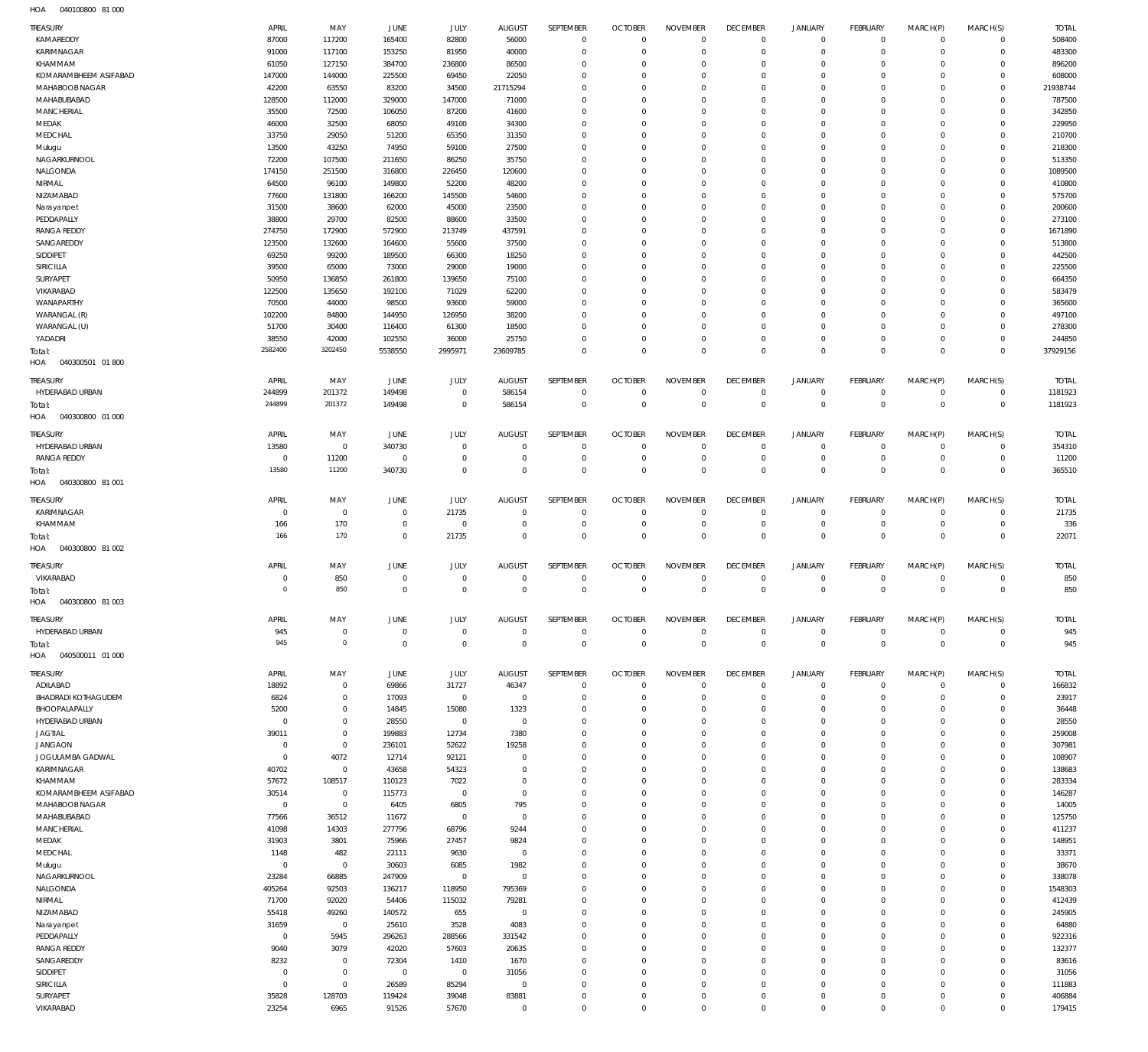| HOA | 040100800 81000 |  |
|-----|-----------------|--|

| TREASURY                                    | APRIL                   | MAY                           | JUNE                     | JULY                          | AUGUST                          | SEPTEMBER                  | <b>OCTOBER</b>                   | <b>NOVEMBER</b>                | <b>DECEMBER</b>                  | <b>JANUARY</b>                   | FEBRUARY                         | MARCH(P)                   | MARCH(S)                   | <b>TOTAL</b>          |
|---------------------------------------------|-------------------------|-------------------------------|--------------------------|-------------------------------|---------------------------------|----------------------------|----------------------------------|--------------------------------|----------------------------------|----------------------------------|----------------------------------|----------------------------|----------------------------|-----------------------|
| KAMAREDDY                                   | 87000                   | 117200                        | 165400                   | 82800                         | 56000                           | $\mathbf 0$                | $\overline{0}$                   | $\mathbf 0$                    | $\overline{0}$                   | $\mathbf 0$                      | $\overline{0}$                   | $\mathbf 0$                | $\mathbf 0$                | 508400                |
| KARIMNAGAR                                  | 91000                   | 117100                        | 153250                   | 81950                         | 40000                           | $\mathbf 0$                | $\overline{0}$                   | $\mathbf 0$                    | $\mathbf 0$                      | $\mathbf 0$                      | $\overline{0}$                   | $\mathbf 0$                | $\mathbf 0$                | 483300                |
| KHAMMAM                                     | 61050                   | 127150                        | 384700                   | 236800                        | 86500                           | $\mathbf 0$                | $\overline{0}$                   | $\mathbf 0$                    | $\mathbf 0$                      | $\mathbf 0$                      | $\mathbf 0$                      | $\mathbf 0$                | $\mathbf 0$                | 896200                |
| KOMARAMBHEEM ASIFABAD                       | 147000                  | 144000                        | 225500                   | 69450                         | 22050                           | $\mathbf 0$                | $\overline{0}$                   | $\mathbf 0$                    | $\mathbf 0$                      | $\mathbf 0$                      | $\mathbf 0$                      | $\mathbf 0$                | $\mathbf 0$                | 608000                |
| MAHABOOB NAGAR<br>MAHABUBABAD               | 42200<br>128500         | 63550<br>112000               | 83200<br>329000          | 34500<br>147000               | 21715294<br>71000               | $\mathbf 0$<br>$\mathbf 0$ | $\overline{0}$<br>$\mathbf 0$    | $\mathbf 0$<br>$\Omega$        | $\mathbf 0$<br>$\mathbf 0$       | $\mathbf 0$<br>$\mathbf 0$       | $\mathbf 0$<br>$\mathbf 0$       | $\mathbf 0$<br>$\mathbf 0$ | $\mathbf 0$<br>$\mathbf 0$ | 21938744<br>787500    |
| MANCHERIAL                                  | 35500                   | 72500                         | 106050                   | 87200                         | 41600                           | $\mathbf 0$                | $\overline{0}$                   | $\mathbf 0$                    | $\mathbf 0$                      | $\mathbf 0$                      | $\mathbf 0$                      | $\mathbf 0$                | $\mathbf 0$                | 342850                |
| MEDAK                                       | 46000                   | 32500                         | 68050                    | 49100                         | 34300                           | $\mathbf 0$                | $\overline{0}$                   | $\mathbf 0$                    | $\mathbf 0$                      | $\mathbf 0$                      | $\mathbf 0$                      | $\mathbf 0$                | $\mathbf 0$                | 229950                |
| MEDCHAL                                     | 33750                   | 29050                         | 51200                    | 65350                         | 31350                           | $\mathbf 0$                | $\overline{0}$                   | $\mathbf 0$                    | $\mathbf 0$                      | $\mathbf 0$                      | $\mathbf 0$                      | $\mathbf 0$                | $\mathbf 0$                | 210700                |
| Mulugu                                      | 13500                   | 43250                         | 74950                    | 59100                         | 27500                           | $\mathbf 0$                | $\overline{0}$                   | $\Omega$                       | $\mathbf 0$                      | $\mathbf 0$                      | $\mathbf 0$                      | $\mathbf 0$                | $\mathbf 0$                | 218300                |
| NAGARKURNOOL                                | 72200                   | 107500                        | 211650                   | 86250                         | 35750                           | $\mathbf 0$                | $\overline{0}$                   | $\mathbf 0$                    | $\mathbf 0$                      | $\mathbf 0$                      | $\mathbf 0$                      | $\mathbf 0$                | $\mathbf 0$                | 513350                |
| NALGONDA                                    | 174150                  | 251500                        | 316800                   | 226450                        | 120600                          | $\mathbf 0$                | $\mathbf 0$                      | $\Omega$                       | $\mathbf 0$                      | $\mathbf 0$                      | $\mathbf 0$                      | $\mathbf 0$                | $\mathbf 0$                | 1089500               |
| NIRMAL                                      | 64500                   | 96100                         | 149800                   | 52200                         | 48200                           | $\mathbf 0$                | $\overline{0}$                   | $\mathbf 0$                    | $\mathbf 0$                      | $\mathbf 0$                      | $\mathbf 0$                      | $\mathbf 0$                | $\mathbf 0$                | 410800                |
| NIZAMABAD                                   | 77600                   | 131800                        | 166200                   | 145500                        | 54600                           | $\mathbf 0$                | $\mathbf 0$                      | $\mathbf 0$                    | $\mathbf 0$                      | $\mathbf 0$                      | $\mathbf 0$                      | $\mathbf 0$                | $\mathbf 0$                | 575700                |
| Narayanpet<br>PEDDAPALLY                    | 31500<br>38800          | 38600<br>29700                | 62000<br>82500           | 45000<br>88600                | 23500<br>33500                  | $\mathbf 0$<br>$\mathbf 0$ | $\overline{0}$<br>$\overline{0}$ | $\mathbf 0$<br>$\mathbf 0$     | $\mathbf 0$<br>$\mathbf 0$       | $\mathbf 0$<br>$\mathbf 0$       | $\mathbf 0$<br>$\mathbf 0$       | $\mathbf 0$<br>$\mathbf 0$ | $\mathbf 0$<br>$\mathbf 0$ | 200600<br>273100      |
| <b>RANGA REDDY</b>                          | 274750                  | 172900                        | 572900                   | 213749                        | 437591                          | $\mathbf 0$                | $\overline{0}$                   | $\mathbf 0$                    | $\mathbf 0$                      | $\mathbf 0$                      | $\mathbf 0$                      | $\mathbf 0$                | $\mathbf 0$                | 1671890               |
| SANGAREDDY                                  | 123500                  | 132600                        | 164600                   | 55600                         | 37500                           | $\mathbf 0$                | $\overline{0}$                   | $\Omega$                       | $\mathbf 0$                      | $\mathbf 0$                      | $\mathbf 0$                      | $\mathbf 0$                | $\mathbf 0$                | 513800                |
| SIDDIPET                                    | 69250                   | 99200                         | 189500                   | 66300                         | 18250                           | $\mathbf 0$                | $\overline{0}$                   | $\mathbf 0$                    | $\mathbf 0$                      | $\mathbf 0$                      | $\mathbf 0$                      | $\mathbf 0$                | $\mathbf 0$                | 442500                |
| SIRICILLA                                   | 39500                   | 65000                         | 73000                    | 29000                         | 19000                           | $\mathbf 0$                | $\mathbf 0$                      | $\mathbf 0$                    | $\mathbf 0$                      | $\mathbf 0$                      | $\mathbf 0$                      | $\mathbf 0$                | $\mathbf 0$                | 225500                |
| SURYAPET                                    | 50950                   | 136850                        | 261800                   | 139650                        | 75100                           | $\mathbf 0$                | $\overline{0}$                   | $\mathbf 0$                    | $\mathbf 0$                      | $\mathbf 0$                      | $\mathbf 0$                      | $\mathbf 0$                | $\mathbf 0$                | 664350                |
| VIKARABAD                                   | 122500                  | 135650                        | 192100                   | 71029                         | 62200                           | $\mathbf 0$                | $\overline{0}$                   | $\mathbf 0$                    | $\mathbf 0$                      | $\mathbf 0$                      | $\mathbf 0$                      | $\mathbf 0$                | $\mathbf 0$                | 583479                |
| WANAPARTHY                                  | 70500                   | 44000                         | 98500                    | 93600                         | 59000                           | $\mathbf 0$                | $\mathbf 0$                      | $\mathbf 0$                    | $\mathbf 0$                      | $\mathbf 0$                      | $\mathbf 0$                      | $\mathbf 0$                | $\mathbf 0$                | 365600                |
| WARANGAL (R)                                | 102200                  | 84800                         | 144950                   | 126950                        | 38200                           | $\mathbf 0$                | $\mathbf 0$                      | $\mathbf 0$                    | $\mathbf 0$                      | $\mathbf 0$                      | $\mathbf 0$                      | $\mathbf 0$                | $\mathbf 0$                | 497100                |
| WARANGAL (U)                                | 51700                   | 30400                         | 116400                   | 61300                         | 18500                           | $\mathbf 0$                | $\mathbf 0$                      | $\mathbf 0$                    | $\mathbf 0$                      | $\mathbf 0$                      | $\mathbf 0$                      | $\mathbf 0$                | $\mathbf 0$                | 278300                |
| YADADRI                                     | 38550<br>2582400        | 42000<br>3202450              | 102550<br>5538550        | 36000<br>2995971              | 25750<br>23609785               | $\mathbf 0$<br>$\mathbf 0$ | $\mathbf 0$<br>$\Omega$          | $\mathbf 0$<br>$\mathbf 0$     | $\mathbf 0$<br>$\overline{0}$    | $\mathbf 0$<br>$\mathbf 0$       | $\mathbf 0$<br>$\mathbf 0$       | $\mathbf 0$<br>$\mathbf 0$ | $\mathbf 0$<br>$\mathbf 0$ | 244850<br>37929156    |
| Total:<br>HOA<br>040300501 01800            |                         |                               |                          |                               |                                 |                            |                                  |                                |                                  |                                  |                                  |                            |                            |                       |
|                                             |                         |                               |                          |                               |                                 |                            |                                  |                                |                                  |                                  |                                  |                            |                            |                       |
| <b>TREASURY</b>                             | APRIL                   | MAY                           | JUNE                     | JULY                          | AUGUST                          | SEPTEMBER                  | <b>OCTOBER</b>                   | <b>NOVEMBER</b>                | <b>DECEMBER</b>                  | <b>JANUARY</b>                   | FEBRUARY                         | MARCH(P)                   | MARCH(S)                   | TOTAL                 |
| HYDERABAD URBAN                             | 244899<br>244899        | 201372<br>201372              | 149498<br>149498         | $\mathbf 0$<br>$\mathbf 0$    | 586154<br>586154                | $\mathbf 0$<br>$\mathbf 0$ | $\overline{0}$<br>$\overline{0}$ | $\mathbf 0$<br>$\overline{0}$  | $\overline{0}$<br>$\overline{0}$ | $\overline{0}$<br>$\mathbf 0$    | $\overline{0}$<br>$\overline{0}$ | $\mathbf 0$<br>$\mathbf 0$ | $\mathbf 0$<br>$\mathbf 0$ | 1181923<br>1181923    |
| Total:<br>040300800 01 000<br>HOA           |                         |                               |                          |                               |                                 |                            |                                  |                                |                                  |                                  |                                  |                            |                            |                       |
|                                             |                         |                               |                          |                               |                                 |                            |                                  |                                |                                  |                                  |                                  |                            |                            |                       |
| <b>TREASURY</b>                             | APRIL                   | MAY                           | JUNE                     | JULY                          | <b>AUGUST</b>                   | SEPTEMBER                  | <b>OCTOBER</b>                   | <b>NOVEMBER</b>                | <b>DECEMBER</b>                  | <b>JANUARY</b>                   | FEBRUARY                         | MARCH(P)                   | MARCH(S)                   | <b>TOTAL</b>          |
| HYDERABAD URBAN<br><b>RANGA REDDY</b>       | 13580<br>$\overline{0}$ | $\overline{0}$<br>11200       | 340730<br>$\overline{0}$ | $^{\circ}$<br>$^{\circ}$      | $\mathbf 0$<br>$\overline{0}$   | $\mathbf 0$<br>$\bf 0$     | $\overline{0}$<br>$\overline{0}$ | $\mathbf 0$<br>$\mathbf 0$     | $\overline{0}$<br>$\overline{0}$ | $\mathbf 0$<br>$\overline{0}$    | $\mathbf 0$<br>$\overline{0}$    | $\mathbf 0$<br>$\mathbf 0$ | $\mathbf 0$<br>0           | 354310<br>11200       |
| Total:                                      | 13580                   | 11200                         | 340730                   | $\mathbf 0$                   | $\overline{0}$                  | $\mathbf 0$                | $\overline{0}$                   | $\mathbf 0$                    | $\overline{0}$                   | $\mathbf 0$                      | $\overline{0}$                   | $\mathbf 0$                | $\mathbf 0$                | 365510                |
| HOA<br>040300800 81 001                     |                         |                               |                          |                               |                                 |                            |                                  |                                |                                  |                                  |                                  |                            |                            |                       |
|                                             |                         |                               |                          |                               |                                 |                            |                                  |                                |                                  |                                  |                                  |                            |                            |                       |
| <b>TREASURY</b><br>KARIMNAGAR               | APRIL<br>$\overline{0}$ | MAY                           | JUNE<br>$\mathbf 0$      | JULY<br>21735                 | AUGUST<br>$\mathbf 0$           | SEPTEMBER<br>$^{\circ}$    | <b>OCTOBER</b><br>$\overline{0}$ | <b>NOVEMBER</b><br>$\mathbf 0$ | <b>DECEMBER</b><br>$\mathbf 0$   | <b>JANUARY</b><br>$\overline{0}$ | FEBRUARY<br>$\mathbf 0$          | MARCH(P)<br>$\mathbf 0$    | MARCH(S)<br>$\mathbf 0$    | <b>TOTAL</b><br>21735 |
| KHAMMAM                                     | 166                     | $\mathbf 0$<br>170            | $\,0\,$                  | $\overline{0}$                | $\overline{0}$                  | $\mathbf 0$                | $\overline{0}$                   | $\mathbf 0$                    | $\mathbf 0$                      | $\mathbf 0$                      | $\overline{0}$                   | $\mathbf 0$                | 0                          | 336                   |
| Total:                                      | 166                     | 170                           | $\mathbb O$              | 21735                         | $\overline{0}$                  | $\mathbf 0$                | $\overline{0}$                   | $\mathbf 0$                    | $\overline{0}$                   | $\mathbf 0$                      | $\mathbf 0$                      | $\mathbf 0$                | $\mathbf 0$                | 22071                 |
| 040300800 81 002<br>HOA                     |                         |                               |                          |                               |                                 |                            |                                  |                                |                                  |                                  |                                  |                            |                            |                       |
|                                             |                         |                               |                          |                               |                                 |                            |                                  |                                |                                  |                                  |                                  |                            |                            |                       |
| <b>TREASURY</b><br>VIKARABAD                | APRIL<br>0              | MAY<br>850                    | JUNE<br>$\mathbf 0$      | JULY<br>$^{\circ}$            | <b>AUGUST</b><br>$\mathbf{0}$   | SEPTEMBER<br>$\mathbf 0$   | <b>OCTOBER</b><br>$\overline{0}$ | <b>NOVEMBER</b><br>$\mathbf 0$ | <b>DECEMBER</b><br>$\mathbf 0$   | <b>JANUARY</b><br>$\mathbf 0$    | FEBRUARY<br>$^{\circ}$           | MARCH(P)<br>$^{\circ}$     | MARCH(S)<br>$^{\circ}$     | <b>TOTAL</b><br>850   |
| Total:                                      | $\Omega$                | 850                           | $\mathbb O$              | $\mathbf{0}$                  | $\overline{0}$                  | $\overline{0}$             | $\overline{0}$                   | $\overline{0}$                 | $\overline{0}$                   | $\mathbf 0$                      | $\overline{0}$                   | $\mathbf 0$                | $\mathbf 0$                | 850                   |
| HOA<br>040300800 81 003                     |                         |                               |                          |                               |                                 |                            |                                  |                                |                                  |                                  |                                  |                            |                            |                       |
|                                             |                         |                               |                          |                               |                                 |                            |                                  |                                |                                  |                                  |                                  |                            |                            |                       |
| treasury<br>HYDERABAD URBAN                 | APRIL<br>945            | MAY                           | JUNE<br>$\,0\,$          | JULY                          | <b>AUGUST</b><br>$\overline{0}$ | SEPTEMBER<br>$\mathbf 0$   | <b>OCTOBER</b><br>$\overline{0}$ | <b>NOVEMBER</b><br>$\mathbf 0$ | <b>DECEMBER</b><br>$\mathbf 0$   | <b>JANUARY</b><br>$\overline{0}$ | FEBRUARY<br>$\overline{0}$       | MARCH(P)<br>$\mathbf 0$    | MARCH(S)<br>0              | <b>TOTAL</b><br>945   |
| Total:                                      | 945                     | $\mathbf 0$<br>$\mathbf{0}$   | $\overline{0}$           | $\overline{0}$<br>$\mathbf 0$ | $\mathbb O$                     | $\mathbf{0}$               | $\overline{0}$                   | $\mathbf 0$                    | $\overline{0}$                   | $\mathbf 0$                      | $\overline{0}$                   | $\mathbf 0$                | $\mathbf 0$                | 945                   |
| 040500011 01 000<br>HOA                     |                         |                               |                          |                               |                                 |                            |                                  |                                |                                  |                                  |                                  |                            |                            |                       |
|                                             |                         |                               |                          |                               |                                 |                            |                                  |                                |                                  |                                  |                                  |                            |                            |                       |
| <b>TREASURY</b><br>ADILABAD                 | APRIL                   |                               |                          |                               |                                 |                            |                                  |                                |                                  |                                  |                                  |                            |                            |                       |
|                                             |                         | MAY                           | JUNE                     | JULY                          | AUGUST                          | SEPTEMBER                  | <b>OCTOBER</b>                   | <b>NOVEMBER</b>                | <b>DECEMBER</b>                  | <b>JANUARY</b>                   | FEBRUARY                         | MARCH(P)                   | MARCH(S)                   | <b>TOTAL</b>          |
|                                             | 18892                   | $\mathbf 0$                   | 69866                    | 31727                         | 46347                           | $\mathbf 0$                | $\overline{0}$                   | $\mathbf 0$                    | $\overline{0}$                   | $\mathbf 0$                      | $\mathbf 0$                      | $^{\circ}$                 | $\mathbf 0$                | 166832                |
| <b>BHADRADI KOTHAGUDEM</b><br>BHOOPALAPALLY | 6824<br>5200            | $\overline{0}$<br>$\mathbf 0$ | 17093<br>14845           | $\,0\,$<br>15080              | $\overline{0}$<br>1323          | $\mathbf 0$<br>$\mathbf 0$ | $\overline{0}$<br>$\overline{0}$ | $\mathbf 0$<br>$\mathbf 0$     | $\mathbf 0$<br>$\mathbf 0$       | $\mathbf 0$<br>$\mathbf 0$       | $\mathbf 0$<br>$\mathbf 0$       | $\mathbf 0$<br>$^{\circ}$  | $^{\circ}$<br>$\mathbf 0$  | 23917<br>36448        |
| HYDERABAD URBAN                             | $\overline{0}$          | $\mathbf 0$                   | 28550                    | $\mathbf 0$                   | $\overline{0}$                  | $\mathbf 0$                | $\overline{0}$                   | $\mathbf 0$                    | $\mathbf 0$                      | $\mathbf 0$                      | $\mathbf 0$                      | $^{\circ}$                 | $\mathbf 0$                | 28550                 |
| <b>JAGTIAL</b>                              | 39011                   | $\mathbf 0$                   | 199883                   | 12734                         | 7380                            | $\mathbf 0$                | $\overline{0}$                   | $\mathbf 0$                    | $\mathbf 0$                      | $\mathbf 0$                      | $\mathbf 0$                      | $\mathbf 0$                | $\mathbf 0$                | 259008                |
| <b>JANGAON</b>                              | $\overline{0}$          | $\mathbf 0$                   | 236101                   | 52622                         | 19258                           | $\mathbf 0$                | $\overline{0}$                   | $\Omega$                       | $\mathbf 0$                      | $\mathbf 0$                      | $\mathbf 0$                      | $\mathbf 0$                | $\mathbf 0$                | 307981                |
| JOGULAMBA GADWAL                            | $\overline{0}$          | 4072                          | 12714                    | 92121                         | $\mathbf{0}$                    | $\mathbf 0$                | $\overline{0}$                   | $\mathbf 0$                    | $\mathbf 0$                      | $\mathbf 0$                      | $\mathbf 0$                      | $\mathbf 0$                | $\mathbf 0$                | 108907                |
| KARIMNAGAR                                  | 40702                   | $\overline{0}$                | 43658                    | 54323                         | $\overline{0}$                  | $\mathbf 0$                | $\mathbf 0$                      | $\Omega$                       | $\mathbf 0$                      | $\mathbf 0$                      | $\mathbf 0$                      | $\mathbf 0$                | $\mathbf 0$                | 138683                |
| KHAMMAM                                     | 57672                   | 108517                        | 110123                   | 7022                          | $\mathbf{0}$                    | $\mathbf 0$                | $\overline{0}$                   | $\mathbf 0$                    | $\mathbf 0$                      | $\mathbf 0$                      | $\mathbf 0$                      | $\mathbf 0$                | $\mathbf 0$                | 283334                |
| KOMARAMBHEEM ASIFABAD                       | 30514                   | $\overline{0}$                | 115773                   | $\mathbf 0$                   | $\mathbb O$                     | $\mathbf 0$                | $\mathbf 0$                      | $\mathbf 0$                    | $\mathbf 0$                      | $\mathbf 0$                      | $\mathbf 0$                      | $\mathbf 0$                | $\mathbf 0$                | 146287                |
| MAHABOOB NAGAR                              | $\mathbb O$             | $\overline{0}$                | 6405                     | 6805                          | 795                             | $\mathbf 0$                | $\overline{0}$                   | $\Omega$                       | $\mathbf 0$                      | $\mathbf 0$                      | $\mathbf 0$                      | $\mathbf 0$                | $\mathbf 0$                | 14005                 |
| MAHABUBABAD                                 | 77566                   | 36512                         | 11672                    | $\mathbf 0$                   | $\overline{0}$                  | $\mathbf 0$<br>$\mathbf 0$ | $\overline{0}$<br>$\mathbf 0$    | $\mathbf 0$<br>$\mathbf 0$     | $\mathbf 0$<br>$\mathbf 0$       | $\mathbf 0$<br>$\mathbf 0$       | $\mathbf 0$<br>$\mathbf 0$       | $\mathbf 0$<br>$\mathbf 0$ | $\mathbf 0$<br>$\mathbf 0$ | 125750                |
| MANCHERIAL<br>MEDAK                         | 41098<br>31903          | 14303<br>3801                 | 277796<br>75966          | 68796<br>27457                | 9244<br>9824                    | $\mathbf 0$                | $\overline{0}$                   | $\Omega$                       | $\mathbf 0$                      | $\mathbf 0$                      | $\mathbf 0$                      | $\mathbf 0$                | $\mathbf 0$                | 411237<br>148951      |
| MEDCHAL                                     | 1148                    | 482                           | 22111                    | 9630                          | $\overline{0}$                  | $\mathbf 0$                | $\overline{0}$                   | $\mathbf 0$                    | $\mathbf 0$                      | $\mathbf 0$                      | $\mathbf 0$                      | $\mathbf 0$                | $\mathbf 0$                | 33371                 |
| Mulugu                                      | $\mathbb O$             | $\overline{0}$                | 30603                    | 6085                          | 1982                            | $\mathbf 0$                | $\mathbf 0$                      | $\mathbf 0$                    | $\mathbf 0$                      | $\mathbf 0$                      | $\mathbf 0$                      | $\mathbf 0$                | $\mathbf 0$                | 38670                 |
| NAGARKURNOOL                                | 23284                   | 66885                         | 247909                   | $\mathbf{0}$                  | $\overline{0}$                  | $\mathbf 0$                | $\overline{0}$                   | $\mathbf 0$                    | $\mathbf 0$                      | $\mathbf 0$                      | $\mathbf 0$                      | $\mathbf 0$                | $\mathbf 0$                | 338078                |
| NALGONDA                                    | 405264                  | 92503                         | 136217                   | 118950                        | 795369                          | $\mathbf 0$                | $\overline{0}$                   | $\mathbf 0$                    | $\mathbf 0$                      | $\mathbf 0$                      | $\mathbf 0$                      | $^{\circ}$                 | $^{\circ}$                 | 1548303               |
| NIRMAL                                      | 71700                   | 92020                         | 54406                    | 115032                        | 79281                           | $\mathbf 0$                | $\overline{0}$                   | $\mathbf 0$                    | $\mathbf 0$                      | $\mathbf 0$                      | $\mathbf 0$                      | $\mathbf 0$                | $\mathbf 0$                | 412439                |
| NIZAMABAD                                   | 55418                   | 49260                         | 140572                   | 655                           | $\overline{0}$                  | $\mathbf 0$                | $\overline{0}$                   | $\mathbf 0$                    | $\mathbf 0$                      | $\mathbf 0$                      | $\mathbf 0$                      | $\mathbf 0$                | $^{\circ}$                 | 245905                |
| Narayanpet                                  | 31659<br>$\overline{0}$ | $\mathbf 0$                   | 25610                    | 3528                          | 4083                            | $\mathbf 0$<br>$\mathbf 0$ | $\overline{0}$<br>$\mathbf 0$    | $\mathbf 0$<br>$\Omega$        | $\mathbf 0$<br>$\mathbf 0$       | $\mathbf 0$<br>$\mathbf 0$       | $\mathbf 0$<br>$\mathbf 0$       | $^{\circ}$<br>$\mathbf 0$  | $^{\circ}$<br>$^{\circ}$   | 64880                 |
| PEDDAPALLY<br><b>RANGA REDDY</b>            | 9040                    | 5945<br>3079                  | 296263<br>42020          | 288566<br>57603               | 331542<br>20635                 | $\mathbf 0$                | $\overline{0}$                   | $\mathbf 0$                    | $\mathbf 0$                      | $\mathbf 0$                      | $\mathbf 0$                      | $\mathbf 0$                | $\mathbf 0$                | 922316<br>132377      |
| SANGAREDDY                                  | 8232                    | $\overline{0}$                | 72304                    | 1410                          | 1670                            | $\mathbf 0$                | $\mathbf 0$                      | $\mathbf 0$                    | $\mathbf 0$                      | $\mathbf 0$                      | $\mathbf 0$                      | $\mathbf 0$                | $^{\circ}$                 | 83616                 |
| SIDDIPET                                    | $\overline{0}$          | $\mathbf 0$                   | $\mathbf 0$              | $\,0\,$                       | 31056                           | $\mathbf 0$                | $\overline{0}$                   | $\mathbf 0$                    | $\mathbf 0$                      | $\mathbf 0$                      | $\mathbf 0$                      | $\mathbf 0$                | $^{\circ}$                 | 31056                 |
| SIRICILLA                                   | $\mathbb O$             | $\mathbf 0$                   | 26589                    | 85294                         | $\overline{0}$                  | $\mathbf 0$                | $\overline{0}$                   | $\mathbf 0$                    | $\mathbf 0$                      | $\mathbf 0$                      | $\mathbf 0$                      | $\mathbf 0$                | $^{\circ}$                 | 111883                |
| SURYAPET<br>VIKARABAD                       | 35828<br>23254          | 128703<br>6965                | 119424<br>91526          | 39048<br>57670                | 83881<br>$\mathbb O$            | $\mathbf 0$<br>$\mathbf 0$ | $\mathbf 0$<br>$\overline{0}$    | $\mathbf 0$<br>$\mathbf 0$     | $\mathbf 0$<br>$\mathsf 0$       | $\mathbf 0$<br>$\mathbf 0$       | $\mathbf 0$<br>$\mathbf 0$       | $^{\circ}$<br>$\mathbf 0$  | $^{\circ}$<br>$\mathbf 0$  | 406884<br>179415      |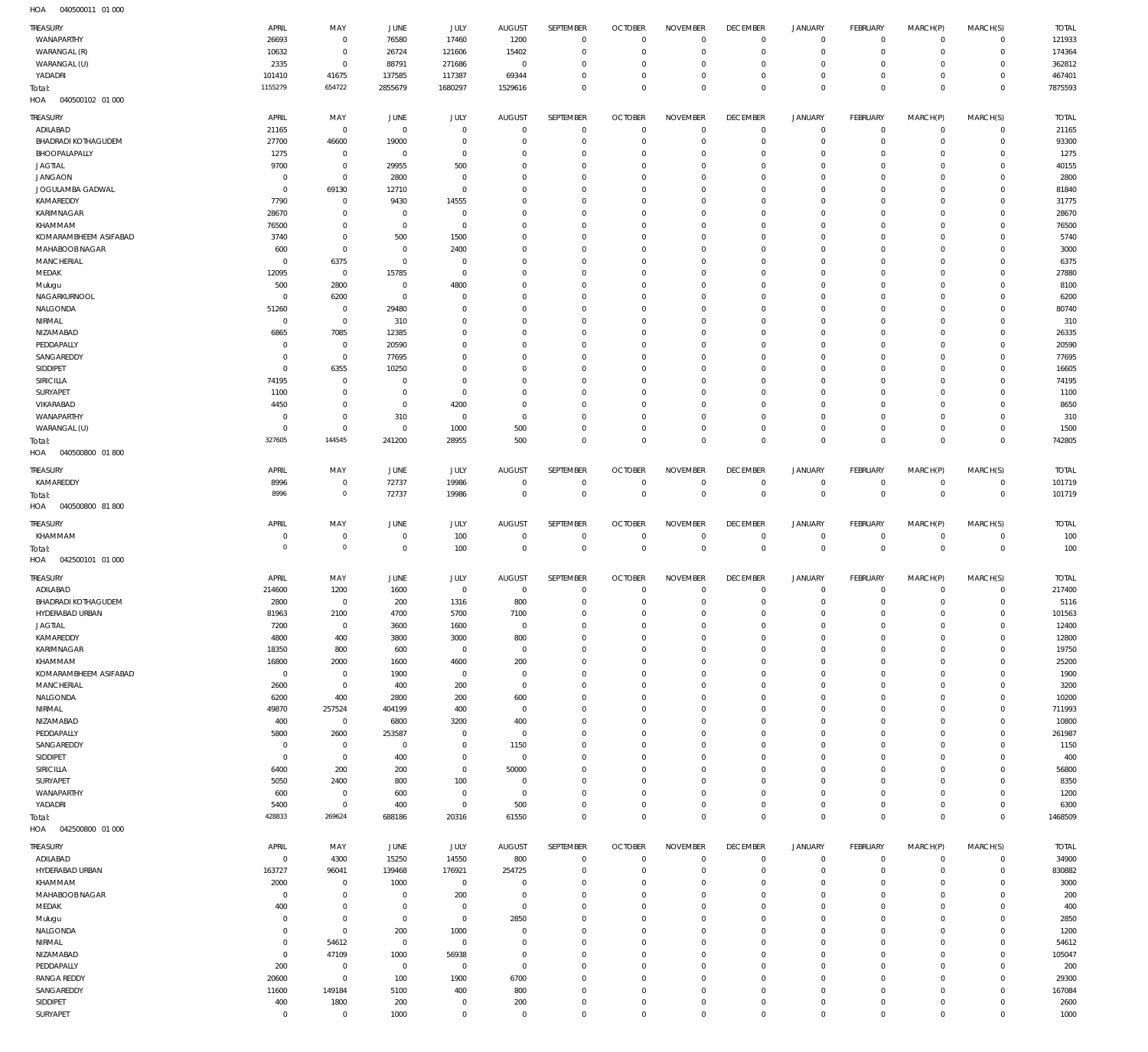|                                   | APRIL                 | MAY                              | JUNE                   | <b>JULY</b>                   | <b>AUGUST</b>      | SEPTEMBER                     | <b>OCTOBER</b>             | <b>NOVEMBER</b>            | <b>DECEMBER</b>               | <b>JANUARY</b>                             | <b>FEBRUARY</b>      | MARCH(P)               |                            | <b>TOTAL</b>      |
|-----------------------------------|-----------------------|----------------------------------|------------------------|-------------------------------|--------------------|-------------------------------|----------------------------|----------------------------|-------------------------------|--------------------------------------------|----------------------|------------------------|----------------------------|-------------------|
| TREASURY<br>WANAPARTHY            | 26693                 |                                  | 76580                  | 17460                         | 1200               | $\Omega$                      | $\Omega$                   | $\Omega$                   | $\Omega$                      | $\circ$                                    | $\mathbf 0$          | $\mathbf 0$            | MARCH(S)<br>$\mathbf 0$    | 121933            |
|                                   |                       | $\overline{0}$<br>$\overline{0}$ |                        |                               |                    | $\overline{0}$                | $\Omega$                   | $\Omega$                   | $\Omega$                      | $\mathbf 0$                                | $\Omega$             | $\Omega$               | $\Omega$                   |                   |
| WARANGAL (R)                      | 10632                 |                                  | 26724                  | 121606                        | 15402              | $\Omega$                      |                            | $\Omega$                   | $\Omega$                      |                                            |                      | $\Omega$               |                            | 174364            |
| WARANGAL (U)                      | 2335                  | $\overline{0}$                   | 88791                  | 271686                        | $\overline{0}$     | $\Omega$                      | $\Omega$                   | $\Omega$                   | $\Omega$                      | $\circ$                                    | $\Omega$             | $\Omega$               | $\Omega$<br>$\Omega$       | 362812            |
| YADADRI                           | 101410<br>1155279     | 41675<br>654722                  | 137585                 | 117387                        | 69344              | $\Omega$                      | $\Omega$<br>$\Omega$       | $\overline{0}$             | $\overline{0}$                | $\mathbf 0$<br>$\mathbf 0$                 | $\Omega$<br>$\Omega$ | $\Omega$               | $\Omega$                   | 467401<br>7875593 |
| Total:<br>HOA<br>040500102 01 000 |                       |                                  | 2855679                | 1680297                       | 1529616            |                               |                            |                            |                               |                                            |                      |                        |                            |                   |
|                                   |                       |                                  |                        |                               |                    |                               |                            |                            |                               |                                            |                      |                        |                            |                   |
| TREASURY                          | APRIL                 | MAY                              | JUNE                   | <b>JULY</b>                   | <b>AUGUST</b>      | SEPTEMBER                     | <b>OCTOBER</b>             | <b>NOVEMBER</b>            | <b>DECEMBER</b>               | <b>JANUARY</b>                             | FEBRUARY             | MARCH(P)               | MARCH(S)                   | <b>TOTAL</b>      |
| ADILABAD                          | 21165                 | $\overline{0}$                   | $\overline{0}$         | $\mathbf 0$                   | $\Omega$           | $\Omega$                      | $\Omega$                   | $\Omega$                   | $^{\circ}$                    | 0                                          | $\mathbf 0$          | $\mathbf 0$            | $\mathbf 0$                | 21165             |
| <b>BHADRADI KOTHAGUDEM</b>        | 27700                 | 46600                            | 19000                  | $\mathbf{0}$                  | $\Omega$           | $\overline{0}$                | $\Omega$                   | $\overline{0}$             | $\Omega$                      | $\mathbf 0$                                | $^{\circ}$           | $\mathbf 0$            | $\mathbf 0$                | 93300             |
| BHOOPALAPALLY                     | 1275                  | $\overline{0}$                   | $\overline{0}$         | $\mathbf 0$                   | $\Omega$           | $\Omega$                      | $\Omega$                   | $\overline{0}$             | $\Omega$                      | $\circ$                                    | O                    | $\mathbf 0$            | $^{\circ}$                 | 1275              |
| <b>JAGTIAL</b>                    | 9700                  | $\overline{0}$                   | 29955                  | 500                           | $\Omega$           | $\Omega$                      | $\Omega$                   | $\overline{0}$             | $\Omega$                      | $\circ$                                    | $\Omega$             | $\Omega$               | $\Omega$                   | 40155             |
| <b>JANGAON</b>                    | $^{\circ}$            | $\overline{0}$                   | 2800                   | $\Omega$                      | $\Omega$           | $\Omega$                      | $\Omega$                   | $\overline{0}$             | $\Omega$                      | $\circ$                                    | O                    | $\Omega$               | $\Omega$                   | 2800              |
| JOGULAMBA GADWAL                  | $^{\circ}$            | 69130                            | 12710                  | $\mathbb O$                   | $\Omega$           | $\Omega$                      | $\Omega$                   | $\Omega$                   | $\Omega$                      | $\mathbf 0$                                | O                    | $\Omega$               | $\Omega$                   | 81840             |
| KAMAREDDY                         | 7790                  | $\overline{0}$                   | 9430                   | 14555                         | $\Omega$           | $\Omega$                      | $\Omega$                   | $\overline{0}$             | $\Omega$                      | $\circ$                                    | O                    | $\Omega$               | $\Omega$                   | 31775             |
| KARIMNAGAR                        | 28670                 | $\mathbf 0$                      | $\overline{0}$         | $\overline{0}$                | $\Omega$           | $\Omega$                      | $\Omega$                   | $\overline{0}$             | $\Omega$                      | $\circ$                                    | O                    | $\mathbf 0$            | $\Omega$                   | 28670             |
| KHAMMAM                           | 76500                 | $\overline{0}$                   | $\overline{0}$         | $\overline{0}$                | $\Omega$           | $\Omega$                      | $\Omega$                   | $\overline{0}$             | $\Omega$                      | $\circ$                                    | O                    | $\Omega$               | $\Omega$                   | 76500             |
| KOMARAMBHEEM ASIFABAD             | 3740                  | $\mathbf 0$                      | 500                    | 1500                          | $\Omega$           | $\Omega$                      | $\Omega$                   | $\overline{0}$             | $\Omega$                      | $\circ$                                    | O                    | $\Omega$               | $\Omega$                   | 5740              |
| MAHABOOB NAGAR                    | 600                   | $\overline{0}$                   | $\Omega$               | 2400                          | $\Omega$           | $\Omega$                      | $\Omega$                   | $\overline{0}$             | $\Omega$                      | $\circ$                                    | O                    | $\Omega$               | $\Omega$                   | 300C              |
| MANCHERIAL                        | $^{\circ}$            |                                  | $\overline{0}$         | $\overline{0}$                | $\Omega$           | $\Omega$                      | $\Omega$                   | $\overline{0}$             | $\Omega$                      | $\circ$                                    | O                    | $\Omega$               | $\Omega$                   |                   |
|                                   |                       | 6375                             |                        |                               |                    | $\Omega$                      |                            |                            |                               |                                            |                      |                        |                            | 6375              |
| MEDAK                             | 12095                 | $\overline{0}$                   | 15785                  | $\mathbb O$                   | $\Omega$           |                               | $\Omega$                   | $\overline{0}$             | $\Omega$                      | $\circ$                                    | O                    | $\Omega$               | $\Omega$                   | 27880             |
| Mulugu                            | 500                   | 2800                             | $\Omega$               | 4800                          | $\Omega$           | $\Omega$                      | $\Omega$                   | $\overline{0}$             | $\Omega$                      | $\circ$                                    | O                    | $\Omega$               | $\Omega$                   | 8100              |
| NAGARKURNOOL                      | $^{\circ}$            | 6200                             | $\overline{0}$         | $\Omega$                      | $\Omega$           | $\Omega$                      | $\Omega$                   | $\overline{0}$             | $\Omega$                      | $\circ$                                    | O                    | $\Omega$               | $\Omega$                   | 6200              |
| NALGONDA                          | 51260                 | $\overline{0}$                   | 29480                  | $\Omega$                      | $\Omega$           | $\Omega$                      | $\Omega$                   | $\overline{0}$             | $\Omega$                      | $\circ$                                    | O                    | $\Omega$               | $\Omega$                   | 80740             |
| NIRMAL                            | $\overline{0}$        | $\overline{0}$                   | 310                    | $\Omega$                      | $\Omega$           | $\Omega$                      | $\Omega$                   | $\overline{0}$             | $\Omega$                      | $\circ$                                    | O                    | $\Omega$               | $\Omega$                   | 310               |
| NIZAMABAD                         | 6865                  | 7085                             | 12385                  | $\Omega$                      | $\Omega$           | $\Omega$                      | $\Omega$                   | $\overline{0}$             | $\Omega$                      | $\mathbf 0$                                | O                    | $\Omega$               | $\Omega$                   | 26335             |
| PEDDAPALLY                        | - 0                   | $\overline{0}$                   | 20590                  | $\Omega$                      | $\Omega$           | $\Omega$                      | $\Omega$                   | $\overline{0}$             | $\Omega$                      | $\circ$                                    | O                    | $\Omega$               | $\Omega$                   | 20590             |
| SANGAREDDY                        | $\mathbf 0$           | $\overline{0}$                   | 77695                  | $\Omega$                      | $\Omega$           | $\Omega$                      | $\Omega$                   | $\Omega$                   | $\Omega$                      | $\circ$                                    | O                    | $\Omega$               | $\Omega$                   | 77695             |
| SIDDIPET                          | $^{\circ}$            | 6355                             | 10250                  | $\Omega$                      | $\Omega$           | $\Omega$                      | $\Omega$                   | $\overline{0}$             | $\Omega$                      | $\circ$                                    | O                    | $\Omega$               | $\Omega$                   | 16605             |
| SIRICILLA                         | 74195                 | $\mathbf 0$                      | $\overline{0}$         | $\Omega$                      | $\Omega$           | $\Omega$                      | $\Omega$                   | $\overline{0}$             | $\Omega$                      | $\circ$                                    | O                    | $\Omega$               | $\Omega$                   | 74195             |
| SURYAPET                          | 1100                  | $\overline{0}$                   | $\overline{0}$         | $\overline{0}$                | $\Omega$           | $\Omega$                      | $\Omega$                   | $\overline{0}$             | $\Omega$                      | $\circ$                                    | O                    | $\Omega$               | $\Omega$                   | 1100              |
| VIKARABAD                         | 4450                  | $\overline{0}$                   | $\overline{0}$         | 4200                          | $\Omega$           | $\Omega$                      | $\Omega$                   | $\overline{0}$             | $\Omega$                      | $\circ$                                    | O                    | $\mathbf 0$            | $\Omega$                   | 8650              |
| WANAPARTHY                        | $^{\circ}$            | $\overline{0}$                   | 310                    | $\overline{0}$                | $\Omega$           | $\Omega$                      | $\Omega$                   | $\Omega$                   | $\Omega$                      | $\circ$                                    | O                    | $\mathbf 0$            | $\Omega$                   | 310               |
| WARANGAL (U)                      | $\Omega$              | $\overline{0}$                   | $\Omega$               | 1000                          | 500                | $\Omega$                      | $\Omega$                   | $\overline{0}$             | $\Omega$                      | $\mathbf 0$                                | $\Omega$             | $\mathbf 0$            | $\mathbf 0$                | 1500              |
| Total:                            | 327605                | 144545                           | 241200                 | 28955                         | 500                | $\Omega$                      | $\Omega$                   | $\overline{0}$             | $\Omega$                      | $\mathbf 0$                                | $\Omega$             | $\mathbf 0$            | $\mathbf{0}$               | 742805            |
| 040500800 01800<br>HOA            |                       |                                  |                        |                               |                    |                               |                            |                            |                               |                                            |                      |                        |                            |                   |
|                                   |                       |                                  |                        |                               |                    |                               |                            |                            |                               |                                            |                      |                        |                            |                   |
| TREASURY                          | APRIL                 | MAY                              | JUNE                   | <b>JULY</b>                   | <b>AUGUST</b>      | SEPTEMBER                     | <b>OCTOBER</b>             | <b>NOVEMBER</b>            | <b>DECEMBER</b>               | <b>JANUARY</b>                             | <b>FEBRUARY</b>      | MARCH(P)               | MARCH(S)                   | <b>TOTAL</b>      |
| KAMAREDDY                         | 8996                  | $\mathbf 0$                      | 72737                  | 19986                         | $\Omega$           | $\overline{0}$                | $\Omega$                   | $^{\circ}$                 | $\overline{0}$                | $\circ$                                    | $\mathbf 0$          | 0                      | $\mathbf 0$                | 101719            |
| Total:                            | 8996                  | $\overline{0}$                   | 72737                  | 19986                         | $\Omega$           | $\mathbf 0$                   | $\overline{0}$             | $\mathbf 0$                | $\mathbf 0$                   | $\mathbf 0$                                | $\mathbf{0}$         | $\mathbf{0}$           | $\mathbf{0}$               | 101719            |
| HOA<br>040500800 81800            |                       |                                  |                        |                               |                    |                               |                            |                            |                               |                                            |                      |                        |                            |                   |
|                                   |                       |                                  |                        |                               |                    |                               |                            |                            |                               |                                            |                      |                        |                            |                   |
| TREASURY                          | APRIL                 | MAY                              | JUNE                   | JULY                          | <b>AUGUST</b>      | SEPTEMBER                     | <b>OCTOBER</b>             | <b>NOVEMBER</b>            | <b>DECEMBER</b>               | <b>JANUARY</b>                             | <b>FEBRUARY</b>      | MARCH(P)               | MARCH(S)                   | <b>TOTAL</b>      |
| KHAMMAM                           | $\overline{0}$        | $\overline{0}$                   | $\overline{0}$         | 100                           | $\Omega$           | $\overline{0}$                | $\Omega$                   | $\mathbf 0$                | $^{\circ}$                    | $\mathsf{O}\xspace$                        | $\mathbf 0$          | $\mathbf 0$            | $\mathbf 0$                | 100               |
| Total:                            | $\mathbf{0}$          | $\circ$                          | $\overline{0}$         | 100                           | $\Omega$           | $\overline{0}$                | $\overline{0}$             | $\mathbf 0$                | $\mathbf 0$                   | $\,0\,$                                    | $\mathbf{0}$         | $\mathbf 0$            | $\mathbf 0$                | 100               |
| 042500101 01 000<br>HOA           |                       |                                  |                        |                               |                    |                               |                            |                            |                               |                                            |                      |                        |                            |                   |
|                                   |                       |                                  |                        |                               |                    |                               | <b>OCTOBER</b>             | <b>NOVEMBER</b>            | <b>DECEMBER</b>               | JANUARY                                    |                      |                        |                            |                   |
|                                   |                       |                                  |                        |                               |                    |                               |                            |                            |                               |                                            |                      |                        |                            |                   |
| TREASURY                          | APRIL                 | MAY                              | JUNE                   | JULY                          | <b>AUGUST</b>      | SEPTEMBER                     |                            |                            |                               |                                            | FEBRUARY             | MARCH(P)               | MARCH(S)                   | <b>TOTAL</b>      |
| ADILABAD                          | 214600                | 1200                             | 1600                   | $\overline{0}$                | $\Omega$           | $\Omega$                      | $\Omega$                   | $\Omega$                   | $\Omega$                      | $\mathbf 0$                                | $\Omega$             | $\Omega$               | $\mathbf 0$                | 217400            |
| <b>BHADRADI KOTHAGUDEM</b>        | 2800                  | $\overline{0}$                   | 200                    | 1316                          | 800                | $\overline{0}$                | $\Omega$                   | $\overline{0}$             | $^{\circ}$                    | $\mathbf 0$                                | $\circ$              | $\circ$                | $\circ$                    | 5116              |
| HYDERABAD URBAN                   | 81963                 | 2100                             | 4700                   | 5700                          | 7100               |                               |                            |                            |                               |                                            |                      |                        | $\Omega$                   | 101563            |
| JAGTIAL                           | 7200                  | $\overline{0}$                   | 3600                   | 1600                          | $\mathbf{0}$       | $^{\circ}$                    | $\Omega$                   | $\Omega$                   | $\Omega$                      | $\circ$                                    | $\Omega$             | $\Omega$               | $\mathbf 0$                | 12400             |
| KAMAREDDY                         | 4800                  | 400                              | 3800                   | 3000                          | 800                | $\mathbf{0}$                  | $\Omega$                   | $\overline{0}$             | $\Omega$                      | $\circ$                                    | $\mathbf 0$          | $\mathbf 0$            | $\Omega$                   | 12800             |
| KARIMNAGAR                        | 18350                 | 800                              | 600                    | $\overline{0}$                | $\mathbf{0}$       | $\Omega$                      | $\Omega$                   | $\overline{0}$             | $\Omega$                      | $\circ$                                    | $\Omega$             | $\Omega$               | $\Omega$                   | 19750             |
| KHAMMAM                           | 16800                 | 2000                             | 1600                   | 4600                          | 200                | $\Omega$                      | $\Omega$                   | $\overline{0}$             | $\Omega$                      | $\circ$                                    | $\Omega$             | $\Omega$               | $\Omega$                   | 25200             |
| KOMARAMBHEEM ASIFABAD             | $\overline{0}$        | $\overline{0}$                   | 1900                   | $\overline{0}$                | $\Omega$           | $\Omega$                      | $\Omega$                   | $\overline{0}$             | $\Omega$                      | $\circ$                                    | $\Omega$             | $\Omega$               | $\Omega$                   | 1900              |
| <b>MANCHERIAL</b>                 | 2600                  | $\overline{0}$                   | 400                    | 200                           | $\mathbf{0}$       | $\Omega$                      | $\Omega$                   | $\overline{0}$             | $\Omega$                      | $\circ$                                    | $\Omega$             | $\Omega$               | $\Omega$                   | 3200              |
| NALGONDA                          | 6200                  | 400                              | 2800                   | 200                           | 600                | $\Omega$                      | $\Omega$                   | $\overline{0}$             | $\Omega$                      | $\circ$                                    | $\Omega$             | $\Omega$               | $\Omega$                   | 10200             |
| NIRMAL                            | 49870                 | 257524                           | 404199                 | 400                           | $\mathbf{0}$       | $\Omega$                      | $\Omega$                   | $\overline{0}$             | $\Omega$                      | $\Omega$                                   | $\Omega$             | $\Omega$               | $\Omega$                   | 711993            |
| NIZAMABAD                         | 400                   | $\overline{0}$                   | 6800                   | 3200                          | 400                | $\overline{0}$                | $\Omega$                   | $\overline{0}$             | $\Omega$                      | $\circ$                                    | $\Omega$             | $\Omega$               | $\Omega$                   | 10800             |
| PEDDAPALLY                        | 5800                  | 2600                             | 253587                 | $\Omega$                      | $\mathbf{0}$       | $\Omega$                      | $\Omega$                   | $\Omega$                   | $\Omega$                      | $\Omega$                                   | O                    | $\Omega$               | $\Omega$                   | 261987            |
| SANGAREDDY                        | $\overline{0}$        | $\overline{0}$                   | $\overline{0}$         | $\overline{0}$                | 1150               | $\overline{0}$                | $\Omega$                   | $\overline{0}$             | $^{\circ}$                    | $\circ$                                    | $\Omega$             | $\Omega$               | $\Omega$                   | 1150              |
| SIDDIPET                          | $\mathbf 0$           | $\overline{0}$                   | 400                    | $\overline{0}$                | $\mathbf{0}$       | $\Omega$                      | $\Omega$                   | $\Omega$                   | $\Omega$                      | $\Omega$                                   | O                    | $\Omega$               | $\Omega$                   | 400               |
| SIRICILLA                         | 6400                  | 200                              | 200                    | $\overline{0}$                | 50000              | $\overline{0}$                | $\Omega$                   | $\overline{0}$             | $^{\circ}$                    | $\circ$                                    | $\Omega$             | $\Omega$               | $\Omega$                   | 56800             |
| SURYAPET                          | 5050                  | 2400                             | 800                    | 100                           | $\Omega$           | $\Omega$                      | $\Omega$                   | $\Omega$                   | $\Omega$                      | $\mathbf 0$                                | O                    | $\Omega$               | $\Omega$                   | 8350              |
| WANAPARTHY                        | 600                   | $\overline{0}$                   | 600                    | $\mathbf{0}$                  | $\Omega$           | $\overline{0}$                | $\Omega$                   | $\overline{0}$             | $^{\circ}$                    | $\circ$                                    | $\Omega$             | $\Omega$               | $\Omega$                   |                   |
|                                   | 5400                  |                                  |                        | $\overline{0}$                |                    | $\Omega$                      | $\Omega$                   | $\overline{0}$             | $^{\circ}$                    | $\mathbf 0$                                | 0                    | $\mathbf 0$            | $^{\circ}$                 | 1200              |
| YADADRI                           | 428833                | $\overline{0}$<br>269624         | 400                    |                               | 500                | $\Omega$                      | $\Omega$                   | $\overline{0}$             | $\overline{0}$                | $\mathbf 0$                                | $\Omega$             | $\circ$                | $\mathbf{0}$               | 6300              |
| Total:<br>042500800 01 000<br>HOA |                       |                                  | 688186                 | 20316                         | 61550              |                               |                            |                            |                               |                                            |                      |                        |                            | 1468509           |
|                                   |                       |                                  |                        |                               |                    |                               |                            |                            |                               |                                            |                      |                        |                            |                   |
| <b>TREASURY</b>                   | APRIL                 | MAY                              | JUNE                   | JULY                          | <b>AUGUST</b>      | SEPTEMBER                     | <b>OCTOBER</b>             | <b>NOVEMBER</b>            | <b>DECEMBER</b>               | <b>JANUARY</b>                             | <b>FEBRUARY</b>      | MARCH(P)               | MARCH(S)                   | <b>TOTAL</b>      |
| ADILABAD                          | $\mathbf 0$           | 4300                             | 15250                  | 14550                         | 800                | $\overline{0}$                | $\overline{0}$             | $\mathbf 0$                | $\mathbf 0$                   | $\mathsf{O}\xspace$                        | $\mathbf 0$          | $\mathbf 0$            | $\mathbf 0$                | 34900             |
| HYDERABAD URBAN                   | 163727                | 96041                            | 139468                 | 176921                        | 254725             | $\mathbf 0$                   | $\Omega$                   | $\Omega$                   | $\Omega$                      | $\mathsf{O}\xspace$                        | $\Omega$             | $\mathbf 0$            | $\mathbf 0$                | 830882            |
| KHAMMAM                           | 2000                  | $\overline{0}$                   | 1000                   | $\overline{0}$                | $\mathbf{0}$       | $\overline{0}$                | $\Omega$                   | $\overline{0}$             | $\Omega$                      | $\mathbf 0$                                | $\Omega$             | $\mathbf 0$            | $\mathbf 0$                | 3000              |
| MAHABOOB NAGAR                    | $\overline{0}$        | $\overline{0}$                   | $\overline{0}$         | 200                           | $\circ$            | $\overline{0}$                | $\Omega$                   | $\overline{0}$             | $\Omega$                      | $\mathsf{O}\xspace$                        | $\Omega$             | $\mathbf 0$            | $^{\circ}$                 | 200               |
| MEDAK                             | 400                   | $\overline{0}$                   | $\overline{0}$         | $\overline{0}$                | $\Omega$           | $\Omega$                      | $\Omega$                   | $\overline{0}$             | $^{\circ}$                    | $\mathbf 0$                                | $\Omega$             | $\Omega$               | $\Omega$                   | 400               |
| Mulugu                            | $\mathbf 0$           | $\overline{0}$                   | $\overline{0}$         | $\overline{0}$                | 2850               | $\overline{0}$                | $\Omega$                   | $\overline{0}$             | $\Omega$                      | $\mathbf 0$                                | $\Omega$             | $\mathbf 0$            | $^{\circ}$                 | 2850              |
| NALGONDA                          | $\overline{0}$        | $\overline{0}$                   | 200                    | 1000                          | $\Omega$           | $\mathbf{0}$                  | $\Omega$                   | $\overline{0}$             | $\Omega$                      | $\mathbf 0$                                | $\Omega$             | $\Omega$               | $\Omega$                   | 1200              |
| NIRMAL                            | $\overline{0}$        | 54612                            | $\overline{0}$         | $\overline{0}$                | $\Omega$           | $\overline{0}$                | $\Omega$                   | $\overline{0}$             | $^{\circ}$                    | $\mathbf 0$                                | $\Omega$             | $\Omega$               | $\Omega$                   | 54612             |
| NIZAMABAD                         | $\overline{0}$        | 47109                            |                        | 56938                         | $\Omega$           | $\Omega$                      | $\Omega$                   | $\overline{0}$             | $\Omega$                      | $\mathbf 0$                                | $\Omega$             | $\mathbf 0$            | $\Omega$                   |                   |
|                                   |                       |                                  | 1000<br>$\overline{0}$ | $\overline{0}$                | $\mathbf{0}$       | $\overline{0}$                | $\Omega$                   | $\overline{0}$             | $^{\circ}$                    | $\mathbf 0$                                | $\Omega$             | $\Omega$               | $\Omega$                   | 105047            |
| PEDDAPALLY                        | 200                   | $\overline{0}$                   |                        |                               |                    | $\mathbf{0}$                  | $\Omega$                   | $\overline{0}$             | $\Omega$                      |                                            | $\Omega$             | $\mathbf 0$            | $\Omega$                   | 200               |
| <b>RANGA REDDY</b>                | 20600                 | $\overline{0}$                   | 100                    | 1900                          | 6700               |                               | $\Omega$                   |                            |                               | $\mathbf 0$                                | $\Omega$             |                        |                            | 29300             |
| SANGAREDDY                        | 11600                 | 149184                           | 5100                   | 400                           | 800                | $\overline{0}$                |                            | $\overline{0}$             | $^{\circ}$                    | $\mathbf 0$                                |                      | $\mathbf 0$            | $\mathbf 0$                | 167084            |
| SIDDIPET<br>SURYAPET              | 400<br>$\overline{0}$ | 1800<br>$\overline{0}$           | 200<br>1000            | $\overline{0}$<br>$\mathbb O$ | 200<br>$\mathbf 0$ | $\overline{0}$<br>$\mathbb O$ | $\overline{0}$<br>$\Omega$ | $\mathbf 0$<br>$\mathbb O$ | $\overline{0}$<br>$\mathbf 0$ | $\mathsf{O}\xspace$<br>$\mathsf{O}\xspace$ | 0<br>$\mathbf 0$     | $\circ$<br>$\mathbf 0$ | $\mathbf 0$<br>$\mathbf 0$ | 2600<br>1000      |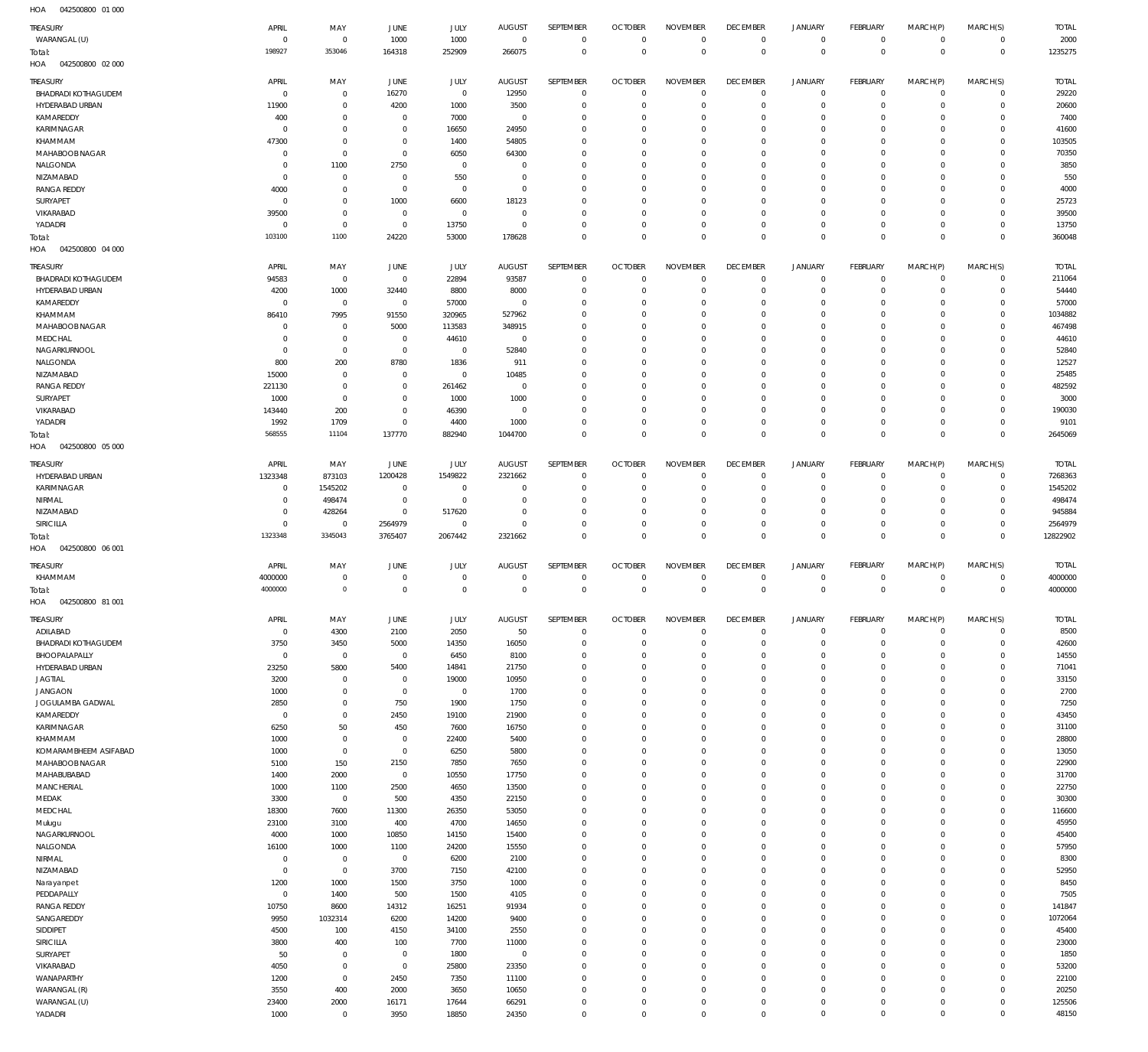| <b>TREASURY</b>                               | APRIL                            | MAY                              | <b>JUNE</b>                      | JULY                  | <b>AUGUST</b>                 | SEPTEMBER                  | <b>OCTOBER</b>                   | <b>NOVEMBER</b>                | <b>DECEMBER</b>                   | <b>JANUARY</b>             | FEBRUARY                       | MARCH(P)                | MARCH(S)                     | <b>TOTAL</b>          |
|-----------------------------------------------|----------------------------------|----------------------------------|----------------------------------|-----------------------|-------------------------------|----------------------------|----------------------------------|--------------------------------|-----------------------------------|----------------------------|--------------------------------|-------------------------|------------------------------|-----------------------|
| WARANGAL (U)                                  | $\overline{0}$                   | $\overline{0}$                   | 1000                             | 1000                  | $\overline{0}$                | $\mathbf 0$                | $\overline{0}$                   | $\mathbf 0$                    | $\overline{0}$                    | $\circ$                    | $\overline{0}$                 | $\circ$                 | $\overline{0}$               | 2000                  |
| Total:                                        | 198927                           | 353046                           | 164318                           | 252909                | 266075                        | $\mathbf 0$                | $\overline{0}$                   | $\mathbf 0$                    | $\overline{0}$                    | $\mathbf 0$                | $\overline{0}$                 | $\mathbf 0$             | $\overline{0}$               | 1235275               |
| HOA<br>042500800 02 000                       |                                  |                                  |                                  |                       |                               |                            |                                  |                                |                                   |                            |                                |                         |                              |                       |
| <b>TREASURY</b>                               | APRIL                            | MAY                              | JUNE                             | JULY<br>$\mathbf 0$   | <b>AUGUST</b>                 | SEPTEMBER                  | <b>OCTOBER</b><br>$\overline{0}$ | <b>NOVEMBER</b><br>$\mathbf 0$ | <b>DECEMBER</b><br>$\overline{0}$ | <b>JANUARY</b><br>$\circ$  | FEBRUARY                       | MARCH(P)<br>$\mathbf 0$ | MARCH(S)<br>$\circ$          | <b>TOTAL</b><br>29220 |
| <b>BHADRADI KOTHAGUDEM</b><br>HYDERABAD URBAN | $\overline{0}$<br>11900          | $\mathbf 0$<br>$\mathbf 0$       | 16270<br>4200                    | 1000                  | 12950<br>3500                 | $\mathbf 0$<br>$\mathbf 0$ | $\overline{0}$                   | $\mathbf 0$                    | $\mathbf 0$                       | $\mathbf 0$                | $\overline{0}$<br>$\mathbf{0}$ | $\mathbf 0$             | $\mathbf{0}$                 | 20600                 |
| KAMAREDDY                                     | 400                              | $\mathbf 0$                      | $\overline{0}$                   | 7000                  | $\overline{0}$                | $\mathbf 0$                | $\mathbf 0$                      | $\mathbf 0$                    | $\mathbf 0$                       | 0                          | $\mathbf{0}$                   | $\Omega$                | $\mathbf 0$                  | 7400                  |
| KARIMNAGAR                                    | $^{\circ}$                       | $\mathbf 0$                      | $\overline{0}$                   | 16650                 | 24950                         | $\mathbf 0$                | $\mathbf 0$                      | $\mathbf 0$                    | $\mathbf 0$                       | $\mathbf 0$                | $\mathbf 0$                    | $\Omega$                | $\mathbf 0$                  | 41600                 |
| KHAMMAM                                       | 47300                            | $\mathbf 0$                      | $\overline{0}$                   | 1400                  | 54805                         | $\mathbf 0$<br>$\mathbf 0$ | $\mathbf 0$                      | $\Omega$                       | $\mathbf 0$<br>$\mathbf 0$        | $\mathbf 0$<br>$\mathbf 0$ | $\mathbf 0$                    | $\Omega$<br>$\Omega$    | $\mathbf 0$<br>$\mathbf 0$   | 103505                |
| MAHABOOB NAGAR<br>NALGONDA                    | $\mathbf 0$<br>$\mathbf 0$       | $\mathbf 0$<br>1100              | $\overline{0}$<br>2750           | 6050<br>$\mathbf 0$   | 64300<br>$\mathbf 0$          | $\mathbf 0$                | $\mathbf 0$<br>$\mathbf 0$       | $\mathbf 0$<br>$\Omega$        | $\mathbf 0$                       | $\mathbf 0$                | $^{\circ}$<br>$\mathbf 0$      | $\Omega$                | $\mathbf 0$                  | 70350<br>3850         |
| NIZAMABAD                                     | $\mathbf 0$                      | $\mathbf 0$                      | $\overline{0}$                   | 550                   | $^{\circ}$                    | $\mathbf 0$                | $\mathbf 0$                      | $\mathbf 0$                    | $\mathbf 0$                       | $\mathbf 0$                | $^{\circ}$                     | $\Omega$                | $\mathbf 0$                  | 550                   |
| <b>RANGA REDDY</b>                            | 4000                             | $\mathbf 0$                      | $\overline{0}$                   | $\mathbf 0$           | $\mathbf 0$                   | $\mathbf 0$                | $\mathbf 0$                      | $\Omega$                       | $\mathbf 0$                       | $\mathbf 0$                | $\mathbf 0$                    | $\Omega$                | $\mathbf 0$                  | 4000                  |
| SURYAPET                                      | $\mathbf 0$                      | $\mathbf 0$                      | 1000                             | 6600                  | 18123                         | $\mathbf 0$                | $\mathbf 0$                      | $\mathbf 0$                    | $\mathbf 0$                       | $\mathbf 0$                | $\mathbf{0}$                   | $\Omega$                | $\mathbf{0}$                 | 25723                 |
| VIKARABAD<br>YADADRI                          | 39500<br>$\mathbf 0$             | $\mathbf 0$<br>$\mathbf 0$       | $\overline{0}$<br>$\overline{0}$ | $\mathbf 0$<br>13750  | $\overline{0}$<br>$\mathbf 0$ | $\mathbf 0$<br>$\mathbf 0$ | $\mathbf 0$<br>$\mathbf 0$       | $\mathbf 0$<br>$\mathbf 0$     | $\mathbf 0$<br>$\mathbf 0$        | $\mathbf 0$<br>$\mathbf 0$ | $\mathbf 0$<br>$\mathbf 0$     | $\Omega$<br>0           | $\mathbf 0$<br>$\mathbf 0$   | 39500<br>13750        |
| Total:                                        | 103100                           | 1100                             | 24220                            | 53000                 | 178628                        | $\mathbf 0$                | $\mathbf 0$                      | $\mathbf 0$                    | $\overline{0}$                    | $\mathbf 0$                | $\overline{0}$                 | $\mathbf 0$             | $\mathbf 0$                  | 360048                |
| HOA<br>042500800 04 000                       |                                  |                                  |                                  |                       |                               |                            |                                  |                                |                                   |                            |                                |                         |                              |                       |
| <b>TREASURY</b>                               | APRIL                            | MAY                              | <b>JUNE</b>                      | JULY                  | <b>AUGUST</b>                 | SEPTEMBER                  | <b>OCTOBER</b>                   | <b>NOVEMBER</b>                | <b>DECEMBER</b>                   | <b>JANUARY</b>             | FEBRUARY                       | MARCH(P)                | MARCH(S)                     | <b>TOTAL</b>          |
| <b>BHADRADI KOTHAGUDEM</b>                    | 94583                            | $\overline{0}$                   | $\overline{0}$                   | 22894                 | 93587                         | $\mathbf 0$                | $\overline{0}$                   | $\mathbf 0$                    | $\overline{0}$                    | $\circ$                    | $\overline{0}$                 | $\mathbf 0$             | $\circ$                      | 211064                |
| HYDERABAD URBAN                               | 4200<br>$\mathbf 0$              | 1000<br>$\overline{0}$           | 32440<br>$\overline{0}$          | 8800<br>57000         | 8000<br>$\overline{0}$        | $\mathbf 0$<br>$\mathbf 0$ | $\overline{0}$<br>$\overline{0}$ | $\mathbf 0$<br>$\mathbf 0$     | $\overline{0}$<br>$\mathbf 0$     | $\mathbf 0$<br>0           | $\overline{0}$<br>$\circ$      | $\mathbf 0$<br>0        | $\overline{0}$<br>$\circ$    | 54440<br>57000        |
| KAMAREDDY<br>KHAMMAM                          | 86410                            | 7995                             | 91550                            | 320965                | 527962                        | $\mathbf 0$                | $\mathbf 0$                      | $\Omega$                       | $\mathbf 0$                       | $\mathbf 0$                | $\mathbf{0}$                   | $\Omega$                | $\mathbf{0}$                 | 1034882               |
| MAHABOOB NAGAR                                | $\mathbf 0$                      | $\mathbf 0$                      | 5000                             | 113583                | 348915                        | $\mathbf 0$                | $\overline{0}$                   | $\mathbf 0$                    | $\mathbf 0$                       | 0                          | $\mathbf{0}$                   | 0                       | $\mathbf{0}$                 | 467498                |
| MEDCHAL                                       | $\mathbf 0$                      | $\mathbf 0$                      | $\overline{0}$                   | 44610                 | $\overline{0}$                | $\mathbf 0$                | $\mathbf 0$                      | $\mathbf 0$                    | $\mathbf 0$                       | 0                          | $\mathbf{0}$                   | $\Omega$                | $\mathbf 0$                  | 44610                 |
| NAGARKURNOOL                                  | $\mathbf 0$                      | $\mathbf 0$                      | $\overline{0}$                   | $\mathbf 0$           | 52840                         | $\mathbf 0$                | $\mathbf 0$                      | $\mathbf 0$                    | $\mathbf 0$                       | 0                          | $\mathbf{0}$                   | 0                       | $\mathbf{0}$                 | 52840                 |
| NALGONDA                                      | 800                              | 200<br>$\mathbf 0$               | 8780                             | 1836<br>$\mathbf 0$   | 911                           | $\mathbf 0$<br>$\mathbf 0$ | $\mathbf 0$<br>$\mathbf 0$       | $\mathbf 0$<br>$\mathbf 0$     | $\mathbf 0$<br>$\mathbf 0$        | 0<br>0                     | $\mathbf{0}$<br>$\mathbf{0}$   | 0<br>$\Omega$           | $\mathbf{0}$<br>$\mathbf{0}$ | 12527<br>25485        |
| NIZAMABAD<br><b>RANGA REDDY</b>               | 15000<br>221130                  | $\mathbf 0$                      | $\overline{0}$<br>$\overline{0}$ | 261462                | 10485<br>$\overline{0}$       | $\mathbf 0$                | $\mathbf 0$                      | $\mathbf 0$                    | $\mathbf 0$                       | 0                          | $\mathbf{0}$                   | 0                       | $\mathbf{0}$                 | 482592                |
| SURYAPET                                      | 1000                             | $\mathbf 0$                      | $\overline{0}$                   | 1000                  | 1000                          | $\mathbf 0$                | $\mathbf 0$                      | $\mathbf 0$                    | $\mathbf 0$                       | 0                          | $\mathbf{0}$                   | $\Omega$                | $\mathbf{0}$                 | 3000                  |
| VIKARABAD                                     | 143440                           | 200                              | $\overline{0}$                   | 46390                 | $\overline{0}$                | $\mathbf 0$                | $\mathbf 0$                      | $\mathbf 0$                    | $\mathbf 0$                       | $\mathbf 0$                | $\mathbf{0}$                   | 0                       | $\mathbf{0}$                 | 190030                |
| YADADRI                                       | 1992                             | 1709                             | $\overline{0}$                   | 4400                  | 1000                          | $\mathbf 0$                | $\mathbf 0$                      | $\mathbf 0$                    | $\mathbf 0$                       | 0                          | $\circ$                        | 0                       | $\circ$                      | 9101                  |
| Total:<br>HOA<br>042500800 05 000             | 568555                           | 11104                            | 137770                           | 882940                | 1044700                       | $\mathbf 0$                | $\mathbf 0$                      | $\mathbf 0$                    | $\overline{0}$                    | $\mathbf 0$                | $\overline{0}$                 | $\mathbf 0$             | $\overline{0}$               | 2645069               |
| <b>TREASURY</b>                               | APRIL                            | MAY                              | JUNE                             | JULY                  | <b>AUGUST</b>                 | SEPTEMBER                  | <b>OCTOBER</b>                   | <b>NOVEMBER</b>                | <b>DECEMBER</b>                   | <b>JANUARY</b>             | FEBRUARY                       | MARCH(P)                | MARCH(S)                     | <b>TOTAL</b>          |
| HYDERABAD URBAN                               | 1323348                          | 873103                           | 1200428                          | 1549822               | 2321662                       | $\mathbf 0$                | $\overline{0}$                   | $\mathbf 0$                    | $\mathbf 0$                       | $\mathbf 0$                | $\mathbf{0}$                   | $\mathbf 0$             | $\circ$                      | 7268363               |
| KARIMNAGAR                                    | $\overline{0}$                   | 1545202                          | $\overline{0}$                   | $\mathbf 0$           | $\mathbf 0$                   | $\mathbf 0$                | $\mathbf 0$                      | $\mathbf 0$                    | $\mathbf 0$                       | $\mathbf 0$                | $\mathbf{0}$                   | $\mathbf 0$             | $\mathbf{0}$                 | 1545202               |
| NIRMAL                                        | $\mathbf 0$                      | 498474                           | $\overline{0}$                   | $\mathbf 0$           | $\mathbf 0$                   | $\mathbf 0$                | $\mathbf 0$                      | $\mathbf 0$                    | $\mathbf 0$                       | $\mathbf 0$                | $^{\circ}$                     | $\Omega$                | $\mathbf 0$                  | 498474                |
| NIZAMABAD<br>SIRICILLA                        | $\mathbf 0$                      | 428264                           | $\overline{0}$                   | 517620<br>$\mathbf 0$ | $\mathbf 0$<br>$\mathbf 0$    | $\mathbf 0$<br>$\mathbf 0$ | $\mathbf 0$<br>$\mathbf 0$       | $\mathbf 0$<br>$\mathbf 0$     | $\mathbf 0$<br>$\mathbf 0$        | $\mathbf 0$<br>$\mathbf 0$ | $^{\circ}$<br>$\mathbf{0}$     | $\Omega$<br>$\mathbf 0$ | $\mathbf{0}$<br>$\mathbf 0$  | 945884<br>2564979     |
|                                               | $\mathbf 0$                      | $\mathbf 0$                      | 2564979                          |                       |                               |                            |                                  |                                |                                   |                            |                                |                         |                              |                       |
|                                               |                                  |                                  |                                  |                       |                               |                            |                                  |                                |                                   |                            |                                |                         |                              |                       |
| Total:<br>042500800 06 001<br>HOA             | 1323348                          | 3345043                          | 3765407                          | 2067442               | 2321662                       | $\mathbf 0$                | $\mathbf 0$                      | $\mathbf 0$                    | $\overline{0}$                    | $\mathbf 0$                | $\overline{0}$                 | $\mathbf 0$             | $\overline{0}$               | 12822902              |
|                                               | APRIL                            | MAY                              | <b>JUNE</b>                      | JULY                  | <b>AUGUST</b>                 | SEPTEMBER                  | <b>OCTOBER</b>                   | <b>NOVEMBER</b>                | <b>DECEMBER</b>                   | <b>JANUARY</b>             | FEBRUARY                       | MARCH(P)                |                              | <b>TOTAL</b>          |
| <b>TREASURY</b><br>KHAMMAM                    | 4000000                          | $\mathbf 0$                      | $\overline{0}$                   | $\mathbf 0$           | $\overline{0}$                | $\mathbf 0$                | $\overline{0}$                   | $\mathbf 0$                    | $\overline{0}$                    | $\circ$                    | $\overline{0}$                 | 0                       | MARCH(S)<br>$\overline{0}$   | 4000000               |
| Total:                                        | 4000000                          | $\mathbf 0$                      | $\overline{0}$                   | $\mathbf 0$           | $\mathbf 0$                   | $\mathbf 0$                | $\overline{0}$                   | $\mathbf 0$                    | $\overline{0}$                    | $\mathbf 0$                | $\overline{0}$                 | $\mathbf 0$             | $\overline{0}$               | 4000000               |
| HOA<br>042500800 81 001                       |                                  |                                  |                                  |                       |                               |                            |                                  |                                |                                   |                            |                                |                         |                              |                       |
| <b>TREASURY</b>                               | <b>APRIL</b>                     | MAY                              | JUNE                             | JULY                  | <b>AUGUST</b>                 | SEPTEMBER                  | <b>OCTOBER</b>                   | <b>NOVEMBER</b>                | <b>DECEMBER</b>                   | <b>JANUARY</b>             | FEBRUARY                       | MARCH(P)                | MARCH(S)                     | <b>TOTAL</b>          |
| ADILABAD                                      | $\overline{0}$                   | 4300                             | 2100                             | 2050                  | 50                            | $\mathbb O$                | $\overline{0}$                   | $\mathbf 0$                    | $\overline{0}$                    | $\overline{0}$             | $\overline{0}$                 | $\circ$                 | $\overline{0}$               | 8500                  |
| <b>BHADRADI KOTHAGUDEM</b>                    | 3750<br>$\overline{0}$           | 3450                             | 5000                             | 14350                 | 16050                         | $\mathbf 0$<br>$\mathbf 0$ | $\overline{0}$<br>$\mathbf 0$    | $\Omega$<br>$\mathbf 0$        | $\mathbf 0$<br>$\mathbf 0$        | $\mathbf 0$<br>$\mathbf 0$ | $\overline{0}$<br>$\mathbf{0}$ | $\mathbf 0$<br>$\Omega$ | $\mathbf{0}$<br>$\mathbf{0}$ | 42600                 |
| BHOOPALAPALLY<br>HYDERABAD URBAN              | 23250                            | $\mathbf 0$<br>5800              | $\overline{0}$<br>5400           | 6450<br>14841         | 8100<br>21750                 | $\mathbf 0$                | $\mathbf 0$                      | $\mathbf 0$                    | $\mathbf 0$                       | $\mathbf 0$                | $\mathbf{0}$                   | $\Omega$                | $\mathbf 0$                  | 14550<br>71041        |
| <b>JAGTIAL</b>                                | 3200                             | $\mathbf 0$                      | $\overline{0}$                   | 19000                 | 10950                         | $\mathbf 0$                | $\mathbf 0$                      | $\mathbf 0$                    | $\mathbf 0$                       | $\mathbf 0$                | $\mathbf{0}$                   | $\Omega$                | $\mathbf{0}$                 | 33150                 |
| <b>JANGAON</b>                                | 1000                             | $\bf 0$                          | $\overline{0}$                   | $\mathbb O$           | 1700                          | $\mathbf 0$                | $\mathbf 0$                      | $\mathbf 0$                    | $\mathbf 0$                       | $\mathbf 0$                | $\mathbf{0}$                   | $\Omega$                | $\mathbf 0$                  | 2700                  |
| JOGULAMBA GADWAL                              | 2850                             | $\mathbf 0$                      | 750                              | 1900                  | 1750                          | $\mathbf 0$                | $\mathbf 0$                      | $\Omega$                       | $\mathbf 0$                       | $\mathbf 0$                | $\mathbf{0}$                   | $\Omega$<br>$\Omega$    | $\mathbf{0}$                 | 7250                  |
| KAMAREDDY                                     | $\overline{0}$                   | $\bf 0$<br>50                    | 2450                             | 19100<br>7600         | 21900<br>16750                | $\mathbf 0$<br>$\mathbf 0$ | $\mathbf 0$<br>$\mathbf 0$       | $\mathbf 0$<br>$\mathbf 0$     | $\mathbf 0$<br>$\mathbf 0$        | $\mathbf 0$<br>$\mathbf 0$ | $\mathbf{0}$<br>$\mathbf{0}$   | $\Omega$                | $\mathbf{0}$<br>$\mathbf{0}$ | 43450<br>31100        |
| KARIMNAGAR<br>KHAMMAM                         | 6250<br>1000                     | $\mathbf 0$                      | 450<br>$\overline{0}$            | 22400                 | 5400                          | $\mathbf 0$                | $\mathbf 0$                      | $\Omega$                       | $\mathbf 0$                       | $\mathbf 0$                | $\mathbf{0}$                   | $\Omega$                | $\mathbf{0}$                 | 28800                 |
| KOMARAMBHEEM ASIFABAD                         | 1000                             | $\overline{0}$                   | $\overline{0}$                   | 6250                  | 5800                          | $\mathbf 0$                | $\mathbf 0$                      | $\mathbf 0$                    | $\mathbf 0$                       | $\mathbf 0$                | $\mathbf{0}$                   | $\Omega$                | $\mathbf{0}$                 | 13050                 |
| MAHABOOB NAGAR                                | 5100                             | 150                              | 2150                             | 7850                  | 7650                          | $\mathbf 0$                | $\mathbf 0$                      | $\mathbf 0$                    | $\mathbf 0$                       | $\mathbf 0$                | $\mathbf{0}$                   | $\Omega$                | $\mathbf 0$                  | 22900                 |
| MAHABUBABAD                                   | 1400                             | 2000                             | $\overline{0}$                   | 10550                 | 17750                         | $\mathbf 0$                | $\mathbf 0$                      | $\mathbf 0$                    | $\mathbf 0$                       | $\mathbf 0$                | $\mathbf{0}$                   | $\Omega$                | $\mathbf{0}$                 | 31700                 |
| MANCHERIAL                                    | 1000                             | 1100<br>$\overline{0}$           | 2500                             | 4650<br>4350          | 13500<br>22150                | $\mathbf 0$<br>$\mathbf 0$ | $\mathbf 0$<br>$\mathbf 0$       | $\Omega$<br>$\mathbf 0$        | $\mathbf 0$<br>$\mathbf 0$        | $\mathbf 0$<br>$\mathbf 0$ | $\mathbf{0}$<br>$\mathbf{0}$   | $\Omega$<br>$\Omega$    | $\mathbf 0$<br>$\mathbf{0}$  | 22750<br>30300        |
| MEDAK<br>MEDCHAL                              | 3300<br>18300                    | 7600                             | 500<br>11300                     | 26350                 | 53050                         | $\mathbf 0$                | $\mathbf 0$                      | $\mathbf 0$                    | $\mathbf 0$                       | $\mathbf 0$                | $\mathbf{0}$                   | $\Omega$                | $\mathbf 0$                  | 116600                |
| Mulugu                                        | 23100                            | 3100                             | 400                              | 4700                  | 14650                         | $\mathbf 0$                | $\mathbf 0$                      | $\mathbf 0$                    | $\mathbf 0$                       | $\mathbf 0$                | $\mathbf{0}$                   | $\Omega$                | $\Omega$                     | 45950                 |
| NAGARKURNOOL                                  | 4000                             | 1000                             | 10850                            | 14150                 | 15400                         | $\mathbf 0$                | $\mathbf 0$                      | $\Omega$                       | $\mathbf 0$                       | $\mathbf 0$                | $\mathbf{0}$                   | $\Omega$                | $\mathbf{0}$                 | 45400                 |
| NALGONDA                                      | 16100                            | 1000                             | 1100                             | 24200                 | 15550                         | $\mathbf 0$                | $\mathbf 0$                      | $\mathbf 0$                    | $\mathbf 0$                       | $\mathbf 0$                | $\mathbf{0}$                   | $\Omega$                | $\mathbf{0}$                 | 57950                 |
| NIRMAL<br>NIZAMABAD                           | $\overline{0}$<br>$\overline{0}$ | $\overline{0}$<br>$\overline{0}$ | $\overline{0}$<br>3700           | 6200<br>7150          | 2100<br>42100                 | $\mathbf 0$<br>$\mathbf 0$ | $\mathbf 0$<br>$\mathbf 0$       | $\mathbf 0$<br>$\mathbf 0$     | $\mathbf 0$<br>$\mathbf 0$        | $\mathbf 0$<br>$\mathbf 0$ | $\mathbf{0}$<br>$\mathbf{0}$   | $\Omega$<br>$\Omega$    | $\mathbf{0}$<br>$\mathbf{0}$ | 8300<br>52950         |
| Narayanpet                                    | 1200                             | 1000                             | 1500                             | 3750                  | 1000                          | $\mathbf 0$                | $\mathbf 0$                      | $\Omega$                       | $\mathbf 0$                       | $\mathbf 0$                | $\mathbf{0}$                   | $\Omega$                | $\mathbf 0$                  | 8450                  |
| PEDDAPALLY                                    | $\overline{0}$                   | 1400                             | 500                              | 1500                  | 4105                          | $\mathbf 0$                | $\mathbf 0$                      | $\mathbf 0$                    | $\mathbf 0$                       | $\mathbf 0$                | $\mathbf{0}$                   | $\Omega$                | $\mathbf{0}$                 | 7505                  |
| <b>RANGA REDDY</b>                            | 10750                            | 8600                             | 14312                            | 16251                 | 91934                         | $\mathbf 0$                | $\mathbf 0$                      | $\mathbf 0$                    | $\mathbf 0$                       | $\mathbf 0$                | $\mathbf 0$                    | $\Omega$                | $\mathbf 0$                  | 141847                |
| SANGAREDDY                                    | 9950                             | 1032314                          | 6200                             | 14200                 | 9400                          | $\mathbf 0$                | $\mathbf 0$                      | $\mathbf 0$                    | $\mathbf 0$                       | $\mathbf 0$                | $\mathbf{0}$                   | $\Omega$                | $\mathbf{0}$                 | 1072064               |
| SIDDIPET                                      | 4500                             | 100                              | 4150                             | 34100                 | 2550                          | $\mathbf 0$<br>$\mathbf 0$ | $\mathbf 0$<br>$\mathbf 0$       | $\mathbf 0$<br>$\mathbf 0$     | $\mathbf 0$<br>$\mathbf 0$        | $\mathbf 0$<br>$\mathbf 0$ | $\mathbf{0}$<br>$\mathbf{0}$   | $\Omega$<br>$\Omega$    | $\mathbf{0}$<br>$\mathbf{0}$ | 45400                 |
| SIRICILLA<br>SURYAPET                         | 3800<br>50                       | 400<br>$\mathbf 0$               | 100<br>$\overline{0}$            | 7700<br>1800          | 11000<br>$\overline{0}$       | $\mathbf 0$                | $\mathbf 0$                      | $\mathbf 0$                    | $\mathbf 0$                       | $\mathbf 0$                | $\mathbf{0}$                   | $\Omega$                | $\mathbf{0}$                 | 23000<br>1850         |
| VIKARABAD                                     | 4050                             | $\mathbf 0$                      | $\overline{0}$                   | 25800                 | 23350                         | $\mathbf 0$                | $\mathbf 0$                      | $\mathbf 0$                    | $\mathbf 0$                       | $\mathbf 0$                | $\mathbf{0}$                   | $\Omega$                | $\mathbf{0}$                 | 53200                 |
| WANAPARTHY                                    | 1200                             | $\mathbf 0$                      | 2450                             | 7350                  | 11100                         | $\mathbf 0$                | $\mathbf 0$                      | $\Omega$                       | $\mathbf 0$                       | $\mathbf 0$                | $\mathbf{0}$                   | $\Omega$                | $\mathbf{0}$                 | 22100                 |
| WARANGAL (R)                                  | 3550                             | 400                              | 2000                             | 3650                  | 10650                         | $\mathbf 0$                | $\mathbf 0$                      | $\mathbf 0$                    | $\mathbf 0$                       | $\mathbf 0$                | $\mathbf{0}$                   | $\Omega$                | $\mathbf{0}$                 | 20250                 |
| WARANGAL (U)<br>YADADRI                       | 23400<br>1000                    | 2000<br>$\mathbf 0$              | 16171<br>3950                    | 17644<br>18850        | 66291<br>24350                | $\mathbf 0$<br>$\mathbf 0$ | $\mathbf 0$<br>$\mathbf 0$       | $\mathbf 0$<br>$\mathbf 0$     | $\mathbf 0$<br>$\mathbf 0$        | 0<br>$\mathbf 0$           | $\mathbf{0}$<br>$\circ$        | $\Omega$<br>$\mathbf 0$ | $\mathbf{0}$<br>$\circ$      | 125506<br>48150       |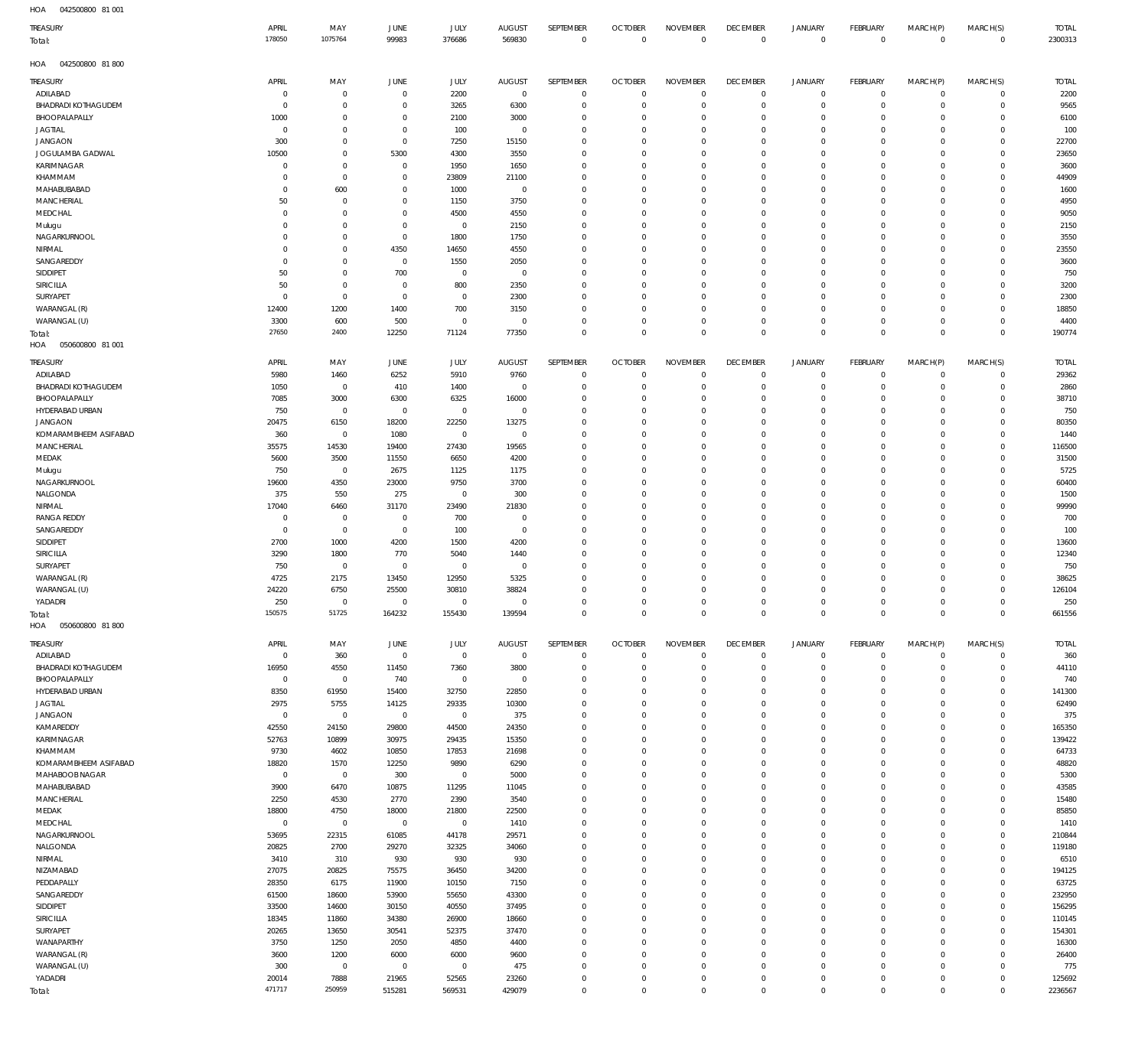| HOA<br>042500800 81 001           |                 |                     |                     |             |                |                            |                                  |                 |                            |                            |                  |              |               |              |
|-----------------------------------|-----------------|---------------------|---------------------|-------------|----------------|----------------------------|----------------------------------|-----------------|----------------------------|----------------------------|------------------|--------------|---------------|--------------|
| TREASURY                          | APRIL           | MAY                 | JUNE                | JULY        | <b>AUGUST</b>  | SEPTEMBER                  | <b>OCTOBER</b>                   | <b>NOVEMBER</b> | <b>DECEMBER</b>            | JANUARY                    | <b>FEBRUARY</b>  | MARCH(P)     | MARCH(S)      | <b>TOTAL</b> |
| Total:                            | 178050          | 1075764             | 99983               | 376686      | 569830         | $\mathbb O$                | $\mathbb O$                      | $\mathbf 0$     | $\mathbb O$                | $\mathbb O$                | $\mathbf 0$      | $\mathbb O$  | $\mathbf 0$   | 2300313      |
|                                   |                 |                     |                     |             |                |                            |                                  |                 |                            |                            |                  |              |               |              |
| 042500800 81 800<br>HOA           |                 |                     |                     |             |                |                            |                                  |                 |                            |                            |                  |              |               |              |
| <b>TREASURY</b>                   | APRIL           | MAY                 | <b>JUNE</b>         | JULY        | <b>AUGUST</b>  | SEPTEMBER                  | <b>OCTOBER</b>                   | <b>NOVEMBER</b> | <b>DECEMBER</b>            | JANUARY                    | <b>FEBRUARY</b>  | MARCH(P)     | MARCH(S)      | <b>TOTAL</b> |
| ADILABAD                          | $\mathbf 0$     | 0                   | $\mathbf 0$         | 2200        | $\mathbf 0$    | $\mathbf 0$                | $\overline{0}$                   | $\mathbf 0$     | $\mathbf 0$                | 0                          | $\circ$          | 0            | 0             | 2200         |
| <b>BHADRADI KOTHAGUDEM</b>        | $\overline{0}$  | $\bf 0$             | $\mathbf 0$         | 3265        | 6300           | $\mathbb O$                | $^{\circ}$                       | $\overline{0}$  | $^{\circ}$                 | $\mathbf 0$                | $^{\circ}$       | $\mathbf 0$  | 0             | 9565         |
| BHOOPALAPALLY                     | 1000            | $\bf 0$             | $\mathbf 0$         | 2100        | 3000           | $\mathbf 0$                | $^{\circ}$                       | $\mathbf 0$     | $^{\circ}$                 | $\mathsf{O}$               | $^{\circ}$       | $\mathbf 0$  | $\mathbf 0$   | 6100         |
| JAGTIAL                           | $\mathbf 0$     | $\bf 0$             | $\mathbf 0$         | 100         | $\overline{0}$ | $\mathbf 0$                | $^{\circ}$                       | $\mathbf 0$     | 0                          | $\mathsf{O}$               | $^{\circ}$       | $\mathbf 0$  | $\mathbf 0$   | 100          |
| <b>JANGAON</b>                    | 300             | $\mathsf{O}\xspace$ | $\overline{0}$      | 7250        | 15150          | $\mathbf 0$                | $^{\circ}$                       | $\mathbf 0$     | $\mathbf 0$                | $\mathbf 0$                | $^{\circ}$       | $\mathbf 0$  | $\mathbf 0$   | 22700        |
| JOGULAMBA GADWAL                  | 10500           | $\mathsf{O}\xspace$ | 5300                | 4300        | 3550           | $\mathbb O$                | $^{\circ}$                       | $\mathbf 0$     | $^{\circ}$                 | $\mathsf{O}$               | $^{\circ}$       | $\mathbf 0$  | $\mathbf 0$   | 23650        |
| KARIMNAGAR                        | $\mathbf 0$     | $\bf 0$             | $\mathbf 0$         | 1950        | 1650           | $\mathbf 0$                | $^{\circ}$                       | $\mathbf 0$     | $^{\circ}$                 | $\mathbf 0$                | $^{\circ}$       | $\mathbf 0$  | $\mathbf 0$   | 3600         |
| KHAMMAM                           | $\mathbf 0$     | $\bf 0$             | $\mathbf 0$         | 23809       | 21100          | $\mathbf 0$                | $^{\circ}$                       | $\mathbf 0$     | $^{\circ}$                 | $\mathbf 0$                | $^{\circ}$       | $\mathbf 0$  | $\mathbf 0$   | 44909        |
| MAHABUBABAD                       | 0               | 600                 | 0                   | 1000        | $\overline{0}$ | $\mathbf 0$                | $^{\circ}$                       | $\mathbf 0$     | $^{\circ}$                 | $\mathbf 0$                | $^{\circ}$       | $\mathbf 0$  | $^{\circ}$    | 1600         |
| <b>MANCHERIAL</b>                 | 50              | $\mathbf 0$         | 0                   | 1150        | 3750           | $\mathbf 0$                | $^{\circ}$                       | $\mathbf 0$     | $^{\circ}$                 | $\mathbf 0$                | $^{\circ}$       | $\mathbf 0$  | $\mathbf 0$   | 4950         |
|                                   | $\mathbf 0$     | $\mathsf{O}\xspace$ | $\mathbf 0$         |             |                | $\mathbf 0$                | $^{\circ}$                       | $\mathbf 0$     | $^{\circ}$                 | $\mathbf 0$                | $^{\circ}$       | $\mathbf 0$  | $\mathbf 0$   |              |
| MEDCHAL                           |                 |                     |                     | 4500        | 4550           |                            |                                  |                 |                            |                            |                  |              |               | 9050         |
| Mulugu                            | $\mathbf 0$     | $\bf 0$             | $\mathbf 0$         | 0           | 2150           | $\mathbb O$<br>$\mathbf 0$ | $^{\circ}$                       | $\mathbf 0$     | $^{\circ}$                 | $\mathbf 0$<br>$\mathbf 0$ | $^{\circ}$       | $\mathbf 0$  | $\mathbf 0$   | 2150         |
| NAGARKURNOOL                      | $\mathbf 0$     | $\mathsf{O}\xspace$ | $\overline{0}$      | 1800        | 1750           |                            | $^{\circ}$                       | $\mathbf 0$     | $\mathbf 0$                |                            | $^{\circ}$       | $\mathbf 0$  | $\mathbf 0$   | 3550         |
| NIRMAL                            | $\mathbf 0$     | $\mathsf{O}\xspace$ | 4350                | 14650       | 4550           | $\mathbb O$                | $^{\circ}$                       | $\mathbf 0$     | $^{\circ}$                 | $\mathsf{O}$               | $^{\circ}$       | $\mathbf 0$  | $\mathbf 0$   | 23550        |
| SANGAREDDY                        | $\mathbf 0$     | $\bf 0$             | $\overline{0}$      | 1550        | 2050           | $\mathbf 0$                | $^{\circ}$                       | $\mathbf 0$     | $^{\circ}$                 | $\mathbf 0$                | $^{\circ}$       | $^{\circ}$   | $^{\circ}$    | 3600         |
| SIDDIPET                          | 50              | $\mathsf{O}\xspace$ | 700                 | 0           | $\mathbf 0$    | $\mathbf 0$                | $^{\circ}$                       | $\mathbf 0$     | $^{\circ}$                 | $\mathsf{O}$               | $^{\circ}$       | $^{\circ}$   | $^{\circ}$    | 750          |
| SIRICILLA                         | 50              | $\bf 0$             | $\overline{0}$      | 800         | 2350           | $\mathbf 0$                | $^{\circ}$                       | $\mathbf 0$     | $^{\circ}$                 | $\mathbf 0$                | $^{\circ}$       | $^{\circ}$   | $^{\circ}$    | 3200         |
| SURYAPET                          | $\overline{0}$  | $\bf 0$             | $\overline{0}$      | 0           | 2300           | $\mathbf 0$                | $^{\circ}$                       | $\mathbf 0$     | $^{\circ}$                 | $\mathbf 0$                | $^{\circ}$       | $^{\circ}$   | $^{\circ}$    | 2300         |
| WARANGAL (R)                      | 12400           | 1200                | 1400                | 700         | 3150           | $\mathbf 0$                | $^{\circ}$                       | $\mathbf 0$     | $\mathbf 0$                | $\mathsf{O}$               | $^{\circ}$       | $\mathbf 0$  | $^{\circ}$    | 18850        |
| WARANGAL (U)                      | 3300            | 600                 | 500                 | $\bf 0$     | $\mathbf 0$    | $\mathbf 0$                | $^{\circ}$                       | $\mathbf 0$     | 0                          | $\mathsf{O}$               | $^{\circ}$       | $\mathbf 0$  | $^{\circ}$    | 4400         |
| Total:                            | 27650           | 2400                | 12250               | 71124       | 77350          | $\mathbf 0$                | $\overline{0}$                   | $\mathbf 0$     | $\mathbf 0$                | $\mathbf 0$                | $\mathbf 0$      | $\mathbf 0$  | $\mathbf 0$   | 190774       |
| HOA<br>050600800 81 001           |                 |                     |                     |             |                |                            |                                  |                 |                            |                            |                  |              |               |              |
| <b>TREASURY</b>                   | APRIL           | MAY                 | <b>JUNE</b>         | JULY        | <b>AUGUST</b>  | SEPTEMBER                  | <b>OCTOBER</b>                   | <b>NOVEMBER</b> | <b>DECEMBER</b>            | JANUARY                    | <b>FEBRUARY</b>  | MARCH(P)     | MARCH(S)      | <b>TOTAL</b> |
| ADILABAD                          | 5980            | 1460                | 6252                | 5910        | 9760           | $\mathbf{0}$               | $^{\circ}$                       | $^{\circ}$      | $\mathbf 0$                | 0                          | $^{\circ}$       | $^{\circ}$   | $\mathbf 0$   | 29362        |
| <b>BHADRADI KOTHAGUDEM</b>        | 1050            | $\mathbf 0$         | 410                 | 1400        | $\mathbf 0$    | $\mathbf 0$                | $^{\circ}$                       | $\overline{0}$  | $\mathbf 0$                | $\mathbf 0$                | $^{\circ}$       | $\mathbf 0$  | $\mathbf 0$   | 2860         |
| BHOOPALAPALLY                     | 7085            | 3000                | 6300                | 6325        | 16000          | $\mathbf{0}$               | $^{\circ}$                       | $\mathbf 0$     | 0                          | $\mathbf 0$                | $^{\circ}$       | $\mathbf 0$  | $\mathbf 0$   | 38710        |
| HYDERABAD URBAN                   | 750             | $\mathbf 0$         | $\mathbf 0$         | 0           | $\overline{0}$ | $\mathbf{0}$               | $^{\circ}$                       | $\mathbf 0$     | $\mathbf 0$                | $\mathbf 0$                | 0                | $\mathbf 0$  | $\mathbf 0$   | 750          |
| <b>JANGAON</b>                    | 20475           | 6150                | 18200               | 22250       | 13275          | $\mathbf{0}$               | $\Omega$                         | $\Omega$        | $\mathbf 0$                | $\mathbf 0$                | $^{\circ}$       | $\Omega$     | $\mathbf 0$   | 80350        |
| KOMARAMBHEEM ASIFABAD             | 360             | $\mathbf 0$         | 1080                | $\mathbf 0$ | $\mathbf{0}$   | $\mathbf 0$                | $^{\circ}$                       | $\mathbf 0$     | $\mathbf 0$                | $\mathbf 0$                | $^{\circ}$       | $\mathbf 0$  | $\mathbf 0$   | 1440         |
| MANCHERIAL                        | 35575           | 14530               | 19400               | 27430       | 19565          | $\mathbf{0}$               | $^{\circ}$                       | $\Omega$        | 0                          | $\mathbf 0$                | 0                | $\Omega$     | 0             | 116500       |
| MEDAK                             | 5600            | 3500                | 11550               | 6650        | 4200           | $\mathbf 0$                | $^{\circ}$                       | $\mathbf 0$     | $\mathbf 0$                | $\mathbf 0$                | $^{\circ}$       | $\Omega$     | $\mathbf 0$   | 31500        |
| Mulugu                            | 750             | $\mathbf 0$         | 2675                | 1125        | 1175           | $\mathbf{0}$               | $^{\circ}$                       | $^{\circ}$      | $^{\circ}$                 | $\mathbf 0$                | $^{\circ}$       | $\Omega$     | $\mathbf 0$   | 5725         |
| NAGARKURNOOL                      | 19600           | 4350                | 23000               | 9750        | 3700           | $\mathbf 0$                | $^{\circ}$                       | $\mathbf 0$     | $\mathbf 0$                | $\mathbf 0$                | $\Omega$         | $\Omega$     | $\mathbf 0$   | 60400        |
| NALGONDA                          | 375             | 550                 | 275                 | $\mathbf 0$ | 300            | $\mathbf{0}$               | $^{\circ}$                       | $\mathbf 0$     | $\mathbf 0$                | $\mathbf 0$                | $^{\circ}$       | $\Omega$     | $\mathbf 0$   | 1500         |
| NIRMAL                            | 17040           | 6460                | 31170               | 23490       | 21830          | $\mathbf 0$                | $^{\circ}$                       | $\mathbf 0$     | $\mathbf 0$                | $\mathbf 0$                | $^{\circ}$       | $\mathbf 0$  | $\mathbf 0$   | 99990        |
| <b>RANGA REDDY</b>                | $\mathbf 0$     | 0                   | $\overline{0}$      | 700         | $^{\circ}$     | $\mathbf{0}$               | $^{\circ}$                       | $\Omega$        | $^{\circ}$                 | $\mathbf 0$                | $^{\circ}$       | $\Omega$     | $\mathbf 0$   | 700          |
| SANGAREDDY                        | $\overline{0}$  | $\bf 0$             | $\overline{0}$      | 100         | $\mathbf{0}$   | $\mathbf 0$                | $^{\circ}$                       | $^{\circ}$      | $^{\circ}$                 | $\mathbf 0$                | $^{\circ}$       | $\mathbf 0$  | $\mathbf 0$   | 100          |
| SIDDIPET                          | 2700            | 1000                | 4200                | 1500        | 4200           | $\mathbf{0}$               | $^{\circ}$                       | $^{\circ}$      | $^{\circ}$                 | $\mathbf 0$                | 0                | $\Omega$     | $\mathbf 0$   | 13600        |
| SIRICILLA                         | 3290            | 1800                | 770                 | 5040        | 1440           | $\mathbf 0$                | $^{\circ}$                       | $\mathbf 0$     | $\mathbf 0$                | $\mathbf 0$                | $^{\circ}$       | $\mathbf 0$  | $\mathbf 0$   | 12340        |
| SURYAPET                          | 750             | $\mathbf 0$         | $\mathbf 0$         | 0           | $^{\circ}$     | $\mathbf{0}$               | $^{\circ}$                       | $\mathbf 0$     | $\mathbf 0$                | $\mathbf 0$                | $^{\circ}$       | $\mathbf 0$  | 0             | 750          |
| WARANGAL (R)                      | 4725            | 2175                | 13450               | 12950       | 5325           | $\mathbf 0$                | $^{\circ}$                       | $\mathbf 0$     | $\mathbf 0$                | $\mathbf 0$                | $\Omega$         | $\Omega$     | $\mathbf 0$   | 38625        |
| WARANGAL (U)                      | 24220           | 6750                | 25500               | 30810       | 38824          | $\Omega$                   | $\Omega$                         | $\Omega$        | $\Omega$                   | $\Omega$                   | $\Omega$         | $\Omega$     | $\mathbf 0$   | 126104       |
| YADADRI                           | 250             | $\bf 0$             | $\mathsf{O}\xspace$ | $\mathbb O$ | $\Omega$       | $\Omega$                   | $\Omega$                         | $\Omega$        | $\Omega$                   | $\Omega$                   | $\Omega$         | $\Omega$     | $\mathsf{O}$  | 250          |
|                                   | 150575          | 51725               | 164232              | 155430      | 139594         | $\mathbf 0$                | $\mathbf 0$                      | $\mathbf 0$     | $\mathbb O$                | $\mathsf 0$                | $\mathbf 0$      | $\mathbf 0$  | $\mathbf 0$   | 661556       |
| Total:<br>HOA<br>050600800 81 800 |                 |                     |                     |             |                |                            |                                  |                 |                            |                            |                  |              |               |              |
|                                   |                 |                     |                     |             |                |                            |                                  |                 |                            |                            |                  |              |               |              |
| <b>TREASURY</b>                   | APRIL           | MAY                 | JUNE                | JULY        | <b>AUGUST</b>  | SEPTEMBER                  | <b>OCTOBER</b>                   | <b>NOVEMBER</b> | <b>DECEMBER</b>            | <b>JANUARY</b>             | FEBRUARY         | MARCH(P)     | MARCH(S)      | <b>TOTAL</b> |
| ADILABAD                          | $\overline{0}$  | 360                 | $\overline{0}$      | $\mathbf 0$ | $\mathbb O$    | $\mathbb O$                | $\overline{0}$                   | $\mathbf 0$     | $\mathbf 0$                | $\mathsf{O}$               | $\circ$          | 0            | $\mathsf{O}$  | 360          |
| <b>BHADRADI KOTHAGUDEM</b>        | 16950           | 4550                | 11450               | 7360        | 3800           | $\mathbb O$                | $\mathbf 0$                      | $\mathbf 0$     | $\mathbf 0$                | $\mathsf{O}$               | $\mathbf 0$      | $\mathsf{O}$ | $\mathsf{O}$  | 44110        |
| BHOOPALAPALLY                     | $\overline{0}$  | $\mathbb O$         | 740                 | $\mathbb O$ | $\mathbf 0$    | $\mathbb O$                | $^{\circ}$                       | $\mathbf 0$     | $\mathbf 0$                | $\mathsf{O}$               | $^{\circ}$       | $\mathbf 0$  | $\mathbf 0$   | 740          |
| HYDERABAD URBAN                   | 8350            | 61950               | 15400               | 32750       | 22850          | $\mathbb O$                | $^{\circ}$                       | $\mathbf 0$     | $\mathbf 0$                | $\mathsf{O}$               | $^{\circ}$       | $\mathbf 0$  | $\mathbf 0$   | 141300       |
| <b>JAGTIAL</b>                    | 2975            | 5755                | 14125               | 29335       | 10300          | $\mathbb O$                | $^{\circ}$                       | $\mathbf 0$     | $\mathbf 0$                | $\mathsf{O}$               | $^{\circ}$       | $\mathbf 0$  | $\mathbf 0$   | 62490        |
| <b>JANGAON</b>                    | $\overline{0}$  | $\mathbb O$         | $\overline{0}$      | $\mathbf 0$ | 375            | $\mathbf 0$                | $\overline{0}$                   | $\mathbf 0$     | $\mathbf 0$                | $\mathbf 0$                | $^{\circ}$       | $\mathbf 0$  | $\mathbf 0$   | 375          |
| KAMAREDDY                         | 42550           | 24150               | 29800               | 44500       | 24350          | $\mathbb O$                | $^{\circ}$                       | $\mathbf 0$     | $\mathbf 0$                | $\mathsf{O}$               | $^{\circ}$       | $\mathbf 0$  | $\mathbf 0$   | 165350       |
| KARIMNAGAR                        | 52763           | 10899               | 30975               | 29435       | 15350          | $\mathbf 0$                | $\overline{0}$                   | $\mathbf 0$     | $\mathbf 0$                | $\mathbf 0$                | $\mathbf 0$      | $\mathbf 0$  | $^{\circ}$    | 139422       |
| KHAMMAM                           | 9730            | 4602                | 10850               | 17853       | 21698          | $\mathbb O$                | $^{\circ}$                       | $\mathbf 0$     | $\mathbf 0$                | $\mathsf{O}$               | $^{\circ}$       | $\mathbf 0$  | $\mathbf 0$   | 64733        |
| KOMARAMBHEEM ASIFABAD             | 18820           | 1570                | 12250               | 9890        | 6290           | $\mathbf 0$                | $\overline{0}$                   | $\mathbf 0$     | $\mathbf 0$                | $\mathbf 0$                | $\mathbf 0$      | $\mathbf 0$  | $\mathbf 0$   | 48820        |
| MAHABOOB NAGAR                    | $\overline{0}$  | $\mathbb O$         | 300                 | $\mathbf 0$ | 5000           | $\mathbb O$                | $\overline{0}$                   | $\mathbf 0$     | $\mathbf 0$                | $\mathsf{O}$               | $^{\circ}$       | $\mathbf 0$  | $\mathbf 0$   | 5300         |
| MAHABUBABAD                       | 3900            | 6470                | 10875               | 11295       | 11045          | $\mathbf 0$                | $\overline{0}$                   | $\mathbf 0$     | $\mathbf 0$                | $\mathsf{O}$               | $^{\circ}$       | $\mathbf 0$  | $^{\circ}$    | 43585        |
| MANCHERIAL                        | 2250            | 4530                | 2770                | 2390        | 3540           | $\mathbf 0$                | $\overline{0}$                   | $\mathbf 0$     | $\mathbf 0$                | $\mathsf{O}$               | $^{\circ}$       | $\mathbf 0$  | $^{\circ}$    | 15480        |
| MEDAK                             | 18800           | 4750                | 18000               | 21800       | 22500          | $\mathbf 0$                | $\overline{0}$                   | $\mathbf 0$     | $\mathbf 0$                | $\mathbf 0$                | $\mathbf 0$      | $\mathbf 0$  | $\mathbf 0$   | 85850        |
| MEDCHAL                           | $\overline{0}$  | $\mathbf 0$         | $\overline{0}$      | $\mathbf 0$ | 1410           | $\mathbb O$                | $^{\circ}$                       | $\mathbf 0$     | $\mathbf 0$                | $\mathsf{O}$               | $^{\circ}$       | $\mathbf 0$  | $\mathbf 0$   | 1410         |
| NAGARKURNOOL                      | 53695           | 22315               | 61085               | 44178       | 29571          | $\mathbf 0$                | $\overline{0}$                   | $\mathbf 0$     | $\mathbf 0$                | $\mathbf 0$                | $\mathbf 0$      | $\mathbf 0$  | $\mathbf 0$   | 210844       |
| NALGONDA                          | 20825           | 2700                | 29270               | 32325       | 34060          | $\mathbb O$                | $\overline{0}$                   | $\mathbf 0$     | $\mathbf 0$                | $\mathsf{O}$               | $^{\circ}$       | $\mathbf 0$  | $\mathbf 0$   | 119180       |
| NIRMAL                            | 3410            | 310                 | 930                 | 930         | 930            | $\mathbf 0$                | $\overline{0}$                   | $\mathbf 0$     | $\mathbf 0$                | $\mathbf 0$                | $\mathbf 0$      | $\mathbf 0$  | $\mathbf 0$   | 6510         |
| NIZAMABAD                         | 27075           | 20825               | 75575               | 36450       | 34200          | $\mathbb O$                | $^{\circ}$                       | $\mathbf 0$     | $\mathbf 0$                | $\mathsf{O}$               | $^{\circ}$       | $\mathbf 0$  | $\mathbf 0$   | 194125       |
| PEDDAPALLY                        | 28350           | 6175                | 11900               | 10150       | 7150           | $\mathbf 0$                | $\overline{0}$                   | $\mathbf 0$     | $\mathbf 0$                | $\mathsf{O}$               | $\mathbf 0$      | $\mathbf 0$  | $\mathbf 0$   | 63725        |
| SANGAREDDY                        | 61500           | 18600               | 53900               | 55650       | 43300          | $\mathbf 0$                | $\overline{0}$                   | $\mathbf 0$     | $\mathbf 0$                | $\mathsf{O}$               | $^{\circ}$       | $\mathbf 0$  | $\mathbf 0$   | 232950       |
| SIDDIPET                          | 33500           | 14600               | 30150               | 40550       | 37495          | $\mathbf 0$                | $\overline{0}$                   | $\mathbf 0$     | $^{\circ}$                 | $\mathbf 0$                | $\mathbf 0$      | $\mathbf 0$  | $\mathbf 0$   | 156295       |
| SIRICILLA                         | 18345           | 11860               | 34380               | 26900       | 18660          | $\mathbb O$                | $^{\circ}$                       | $\mathbf 0$     | $\mathbf 0$                | $\mathsf{O}$               | $^{\circ}$       | $\mathbf 0$  | $\mathbf 0$   | 110145       |
| SURYAPET                          | 20265           | 13650               | 30541               | 52375       | 37470          | $\mathbf 0$                | $\overline{0}$                   | $\mathbf 0$     | $\mathbf 0$                | $\mathbf 0$                | $\mathbf 0$      | $\mathbf 0$  | $\mathbf 0$   | 154301       |
| WANAPARTHY                        | 3750            | 1250                | 2050                | 4850        | 4400           | $\mathbb O$                | $\overline{0}$                   | $\mathbf 0$     | $\mathbf 0$                | $\mathsf{O}$               | $^{\circ}$       | $\mathbf 0$  | $\mathsf{O}$  | 16300        |
|                                   |                 |                     |                     |             |                | $\mathbf 0$                | $\overline{0}$                   | $\mathbf 0$     | $\mathbf 0$                | $\mathbf 0$                | $\mathbf 0$      | $\mathbf 0$  | $\mathbf 0$   |              |
| WARANGAL (R)                      | 3600            | 1200                | 6000                | 6000        | 9600           |                            |                                  |                 | $\mathbf 0$                |                            |                  | $\mathbf 0$  | $\mathbf 0$   | 26400        |
| WARANGAL (U)                      | 300             | $\,0\,$             | $\overline{0}$      | $\mathbb O$ | 475            | $\mathbb O$                | $^{\circ}$                       | $\mathbb O$     |                            | $\mathsf{O}$               | $^{\circ}$       |              |               | 775          |
| YADADRI                           | 20014<br>471717 | 7888<br>250959      | 21965               | 52565       | 23260          | $\mathbb O$<br>$\mathbf 0$ | $\overline{0}$<br>$\overline{0}$ | $\mathbb O$     | $\mathbf 0$<br>$\mathbf 0$ | $\mathsf{O}$               | 0<br>$\mathbf 0$ | $\mathsf{O}$ | 0<br>$\Omega$ | 125692       |
| Total:                            |                 |                     | 515281              | 569531      | 429079         |                            |                                  | $\mathbf 0$     |                            | $\mathsf 0$                |                  | $\mathbf 0$  |               | 2236567      |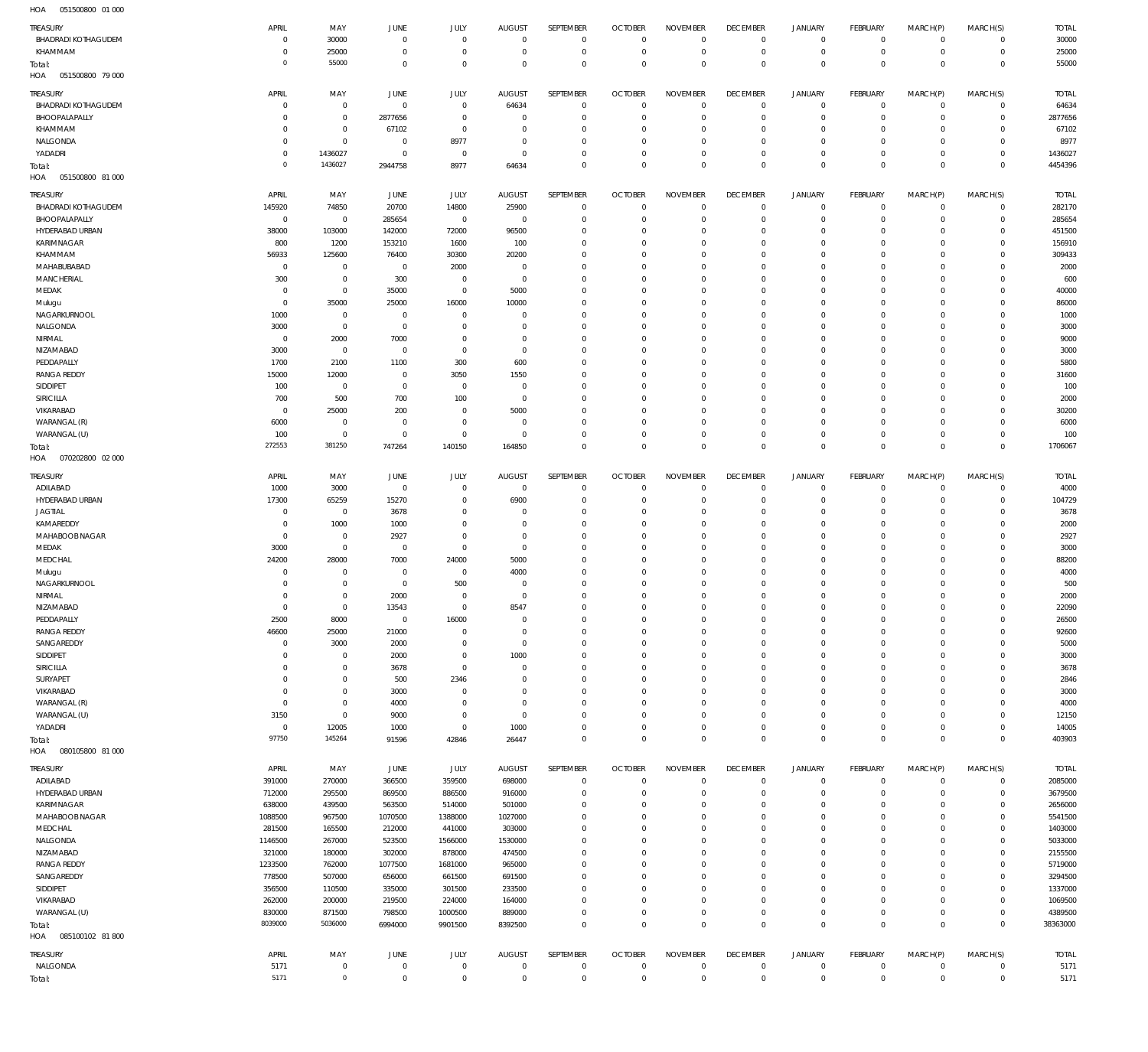| <b>TREASURY</b>                        | APRIL                  | MAY                       | <b>JUNE</b>                | JULY                          | <b>AUGUST</b>              | SEPTEMBER                   | <b>OCTOBER</b>                   | <b>NOVEMBER</b>            | <b>DECEMBER</b>                | JANUARY                      | FEBRUARY                         | MARCH(P)                | MARCH(S)                         | <b>TOTAL</b>     |
|----------------------------------------|------------------------|---------------------------|----------------------------|-------------------------------|----------------------------|-----------------------------|----------------------------------|----------------------------|--------------------------------|------------------------------|----------------------------------|-------------------------|----------------------------------|------------------|
| <b>BHADRADI KOTHAGUDEM</b>             | $\mathbf 0$            | 30000                     | $^{\circ}$                 | $\mathbf{0}$                  | $\overline{0}$             | $\overline{0}$              | $\Omega$                         | $^{\circ}$                 | $\mathbf 0$                    | $\mathbf 0$                  | $\overline{0}$                   | $\mathbf 0$             | $\mathbf 0$                      | 30000            |
| KHAMMAM                                | 0                      | 25000                     | $\Omega$                   | $\Omega$                      | $\Omega$                   | $\mathbf 0$                 | $\overline{0}$                   | $\overline{0}$             | $^{\circ}$                     | $\mathbf 0$                  | $\overline{0}$                   | $\mathbf 0$             | $\circ$                          | 25000            |
| Total:                                 | 0                      | 55000                     | $\overline{0}$             | $\Omega$                      | $\Omega$                   | $\overline{0}$              | $\Omega$                         | $\Omega$                   | $\Omega$                       | $\Omega$                     | $\Omega$                         | $\Omega$                | $\Omega$                         | 55000            |
| 051500800 79 000<br>HOA                |                        |                           |                            |                               |                            |                             |                                  |                            |                                |                              |                                  |                         |                                  |                  |
| TREASURY                               | APRIL                  | MAY                       | JUNE                       | JULY                          | <b>AUGUST</b>              | SEPTEMBER                   | <b>OCTOBER</b>                   | <b>NOVEMBER</b>            | <b>DECEMBER</b>                | <b>JANUARY</b>               | <b>FEBRUARY</b>                  | MARCH(P)                | MARCH(S)                         | <b>TOTAL</b>     |
| <b>BHADRADI KOTHAGUDEM</b>             | $\mathbf 0$            | $\,0\,$                   | $^{\circ}$                 | $\overline{0}$                | 64634                      | $\mathbf 0$                 | $\overline{0}$                   | $^{\circ}$                 | $\mathbf 0$                    | $\mathbf 0$                  | $\mathbf 0$                      | $\mathbf 0$             | $\mathbf{0}$                     | 64634            |
| BHOOPALAPALLY                          | $\mathbf 0$            | $\mathbf 0$               | 2877656                    | $\overline{0}$                | $\overline{0}$             | $\mathbf 0$                 | $\Omega$                         | $\mathbf 0$                | $^{\circ}$                     | $\mathbf 0$                  | $\overline{0}$                   | $\Omega$                | $\mathbf{0}$                     | 2877656          |
| KHAMMAM                                | $\mathbf 0$            | $\mathbf 0$               | 67102                      | $\overline{0}$                | $\Omega$                   | $^{\circ}$                  | $\overline{0}$                   | $^{\circ}$                 | $^{\circ}$                     | $\mathbf 0$                  | $\mathbf 0$                      | $\Omega$                | $\mathbf{0}$                     | 67102            |
| NALGONDA                               | $\mathbf 0$            | $\mathbf 0$               | $\Omega$                   | 8977                          | $\Omega$                   | $\overline{0}$              | $\Omega$                         | $^{\circ}$                 | $\Omega$                       | $\mathbf 0$                  | $\Omega$                         | $\Omega$                | $\mathbf{0}$                     | 8977             |
| YADADRI                                | $\bf 0$                | 1436027                   | $^{\circ}$                 | $\overline{0}$                | $\Omega$                   | $\overline{0}$              | $\overline{0}$                   | $\mathbf{0}$               | $\mathbf 0$                    | $\mathbf 0$                  | $\mathbf 0$                      | $\mathbf 0$             | $\mathbf{0}$                     | 1436027          |
| Total:                                 | $\mathbf 0$            | 1436027                   | 2944758                    | 8977                          | 64634                      | $\overline{0}$              | $\Omega$                         | $\mathbf 0$                | $\mathbf 0$                    | $\mathbf 0$                  | $\Omega$                         | $\Omega$                | $\Omega$                         | 4454396          |
| 051500800 81 000<br>HOA                |                        |                           |                            |                               |                            |                             |                                  |                            |                                |                              |                                  |                         |                                  |                  |
|                                        |                        |                           |                            |                               |                            |                             |                                  | <b>NOVEMBER</b>            |                                |                              |                                  |                         |                                  |                  |
| TREASURY<br><b>BHADRADI KOTHAGUDEM</b> | APRIL                  | MAY                       | JUNE<br>20700              | JULY                          | <b>AUGUST</b>              | SEPTEMBER<br>$\overline{0}$ | <b>OCTOBER</b><br>$\overline{0}$ | $\Omega$                   | <b>DECEMBER</b><br>$\mathbf 0$ | <b>JANUARY</b><br>$^{\circ}$ | FEBRUARY<br>$\mathbf 0$          | MARCH(P)<br>$\mathbf 0$ | MARCH(S)<br>$\mathbf{0}$         | <b>TOTAL</b>     |
| BHOOPALAPALLY                          | 145920<br>$\mathbf{0}$ | 74850<br>$\mathbf 0$      | 285654                     | 14800<br>$\overline{0}$       | 25900<br>$\overline{0}$    | $\overline{0}$              | $\Omega$                         | $\Omega$                   | $\Omega$                       | $\mathbf 0$                  | $\mathbf 0$                      | $\Omega$                | $\mathbf{0}$                     | 282170<br>285654 |
| HYDERABAD URBAN                        | 38000                  | 103000                    | 142000                     | 72000                         | 96500                      | $^{\circ}$                  | $\Omega$                         | $\Omega$                   | $\Omega$                       | $^{\circ}$                   | $\mathbf 0$                      | $\Omega$                | $\mathbf 0$                      | 451500           |
| KARIMNAGAR                             | 800                    | 1200                      | 153210                     | 1600                          | 100                        | $\Omega$                    | $\Omega$                         | $\Omega$                   | $\Omega$                       | $\Omega$                     | $\Omega$                         | $\Omega$                | $\Omega$                         | 156910           |
| KHAMMAM                                | 56933                  | 125600                    | 76400                      | 30300                         | 20200                      | $^{\circ}$                  | $\Omega$                         | $\Omega$                   | $\Omega$                       | $\Omega$                     | $\Omega$                         | $\Omega$                | $\mathbf 0$                      | 309433           |
| MAHABUBABAD                            | $^{\circ}$             | $\overline{0}$            | $^{\circ}$                 | 2000                          | $\Omega$                   | $\Omega$                    | $\Omega$                         | $\Omega$                   | $\Omega$                       | $\Omega$                     | $\Omega$                         | $\Omega$                | $\Omega$                         | 2000             |
| <b>MANCHERIAL</b>                      | 300                    | $\mathbf 0$               | 300                        | $\overline{0}$                | $\Omega$                   | $^{\circ}$                  | $\Omega$                         | $\Omega$                   | $\Omega$                       | $\Omega$                     | $\Omega$                         | $\Omega$                | $\Omega$                         | 600              |
| MEDAK                                  | $\mathbf 0$            | $\mathbf 0$               | 35000                      | $\mathbf{0}$                  | 5000                       | $\Omega$                    | $\Omega$                         | $\Omega$                   | $\Omega$                       | $\Omega$                     | $\Omega$                         | $\Omega$                | $\Omega$                         | 40000            |
| Mulugu                                 | $\mathbf 0$            | 35000                     | 25000                      | 16000                         | 10000                      | $^{\circ}$                  | $\Omega$                         | $\Omega$                   | $\Omega$                       | $\Omega$                     | $\Omega$                         | $\Omega$                | $\Omega$                         | 86000            |
| NAGARKURNOOL                           | 1000                   | $\overline{0}$            | $\Omega$                   | $\Omega$                      | $\Omega$                   | $\Omega$                    | $\mathsf{C}$                     | $\Omega$                   | $\Omega$                       | $\Omega$                     | $\Omega$                         | $\Omega$                | $\Omega$                         | 1000             |
| NALGONDA                               | 3000                   | $\overline{0}$            | $^{\circ}$                 | $\Omega$                      | $\Omega$                   | $^{\circ}$                  | $\Omega$                         | $\Omega$                   | $\Omega$                       | $\Omega$                     | $\Omega$                         | $\Omega$                | $\Omega$                         | 3000             |
| NIRMAL                                 | $^{\circ}$             | 2000                      | 7000                       | $\Omega$                      | $\Omega$                   | $\Omega$                    | $\Omega$                         | $\Omega$                   | $\Omega$                       | $\Omega$                     | $\Omega$                         | $\Omega$                | $\Omega$                         | 9000             |
| NIZAMABAD                              | 3000                   | $\overline{0}$            | $\Omega$                   | $\Omega$                      | $\Omega$                   | $^{\circ}$                  | $\Omega$                         | $\Omega$                   | $\Omega$                       | $\Omega$                     | $\Omega$                         | $\Omega$                | $\Omega$                         | 3000             |
| PEDDAPALLY                             | 1700                   | 2100                      | 1100                       | 300                           | 600                        | $\Omega$                    | $\mathsf{C}$                     | $\Omega$                   | $\Omega$                       | $\Omega$                     | $\Omega$                         | $\Omega$                | $\mathbf 0$                      | 5800             |
| <b>RANGA REDDY</b>                     | 15000                  | 12000                     | $\Omega$                   | 3050                          | 1550                       | $^{\circ}$                  | $\Omega$                         | $\Omega$                   | $\Omega$                       | $\Omega$                     | $\Omega$                         | $\Omega$                | $\Omega$                         | 31600            |
| SIDDIPET                               | 100                    | $\overline{0}$            | $\Omega$                   | $\mathbf{0}$                  | $\Omega$                   | $\Omega$                    | $\Omega$                         | $\Omega$                   | $\Omega$                       | $\Omega$                     | $\Omega$                         | $\Omega$                | $\Omega$                         | 100              |
| SIRICILLA                              | 700                    | 500                       | 700                        | 100                           | $\Omega$                   | $\Omega$                    | $\Omega$                         | $\Omega$                   | $\Omega$                       | $\Omega$                     | $\Omega$                         | $\Omega$                | $\Omega$                         | 2000             |
| VIKARABAD                              | $^{\circ}$             | 25000                     | 200                        | $\Omega$                      | 5000                       | $\Omega$                    | $\mathsf{C}$                     | $\Omega$                   | $\Omega$                       | $\Omega$                     | $\Omega$                         | $\Omega$                | $\mathbf 0$                      | 30200            |
| WARANGAL (R)                           | 6000                   | $\overline{0}$            | $\Omega$                   | $\Omega$                      | $\Omega$                   | $\Omega$                    | $\Omega$                         | $\Omega$                   | $\Omega$                       | $\Omega$                     | $\Omega$                         | $\Omega$                | $\Omega$                         | 6000             |
| WARANGAL (U)                           | 100                    | $\overline{0}$            | $^{\circ}$                 | $\overline{0}$                | $\Omega$                   | $\overline{0}$              | $\Omega$                         | $^{\circ}$                 | $\mathbf 0$                    | $\mathbf 0$                  | $\mathbf 0$                      | $\Omega$                | $\mathbf{0}$                     | 100              |
| Total:                                 | 272553                 | 381250                    | 747264                     | 140150                        | 164850                     | $\overline{0}$              | $\Omega$                         | $\mathbf{0}$               | $\Omega$                       | $\Omega$                     | $\Omega$                         | $\Omega$                | $\Omega$                         | 1706067          |
| 070202800 02 000<br>HOA                |                        |                           |                            |                               |                            |                             |                                  |                            |                                |                              |                                  |                         |                                  |                  |
| <b>TREASURY</b>                        | APRIL                  | MAY                       | <b>JUNE</b>                | JULY                          | <b>AUGUST</b>              | SEPTEMBER                   | <b>OCTOBER</b>                   | <b>NOVEMBER</b>            | <b>DECEMBER</b>                | <b>JANUARY</b>               | <b>FEBRUARY</b>                  | MARCH(P)                | MARCH(S)                         | <b>TOTAL</b>     |
| ADILABAD                               | 1000                   | 3000                      | $\overline{0}$             | $\overline{0}$                | $\overline{0}$             | $^{\circ}$                  | $\Omega$                         | $^{\circ}$                 | $^{\circ}$                     | $\mathbf 0$                  | $\overline{0}$                   | $\mathbf 0$             | $\mathbf 0$                      | 4000             |
|                                        |                        |                           |                            |                               |                            |                             |                                  |                            |                                |                              |                                  |                         |                                  |                  |
|                                        |                        |                           |                            | $\mathbf{0}$                  |                            |                             | $\Omega$                         | $\mathbf{0}$               | $^{\circ}$                     |                              | $\overline{0}$                   | $\Omega$                | $\mathbf{0}$                     |                  |
| HYDERABAD URBAN<br><b>JAGTIAL</b>      | 17300<br>$\mathbf 0$   | 65259                     | 15270                      | $\Omega$                      | 6900<br>$\Omega$           | $\mathbf 0$<br>$^{\circ}$   | $\Omega$                         | $^{\circ}$                 | $\Omega$                       | $\mathbf 0$<br>$\mathbf 0$   | $\mathbf 0$                      | $\Omega$                | $\mathbf{0}$                     | 104729           |
| KAMAREDDY                              | 0                      | $\overline{0}$<br>1000    | 3678<br>1000               | $\overline{0}$                | $\Omega$                   | $\Omega$                    | $\mathsf{C}$                     | $^{\circ}$                 | $^{\circ}$                     | $\mathbf 0$                  | $\mathbf 0$                      | $\Omega$                | $\mathbf 0$                      | 3678             |
| MAHABOOB NAGAR                         | $\mathbf 0$            | $\mathbf 0$               | 2927                       | $\mathbf{0}$                  | $\Omega$                   | $^{\circ}$                  | $\Omega$                         | $\Omega$                   | $\Omega$                       | $\mathbf 0$                  | $\Omega$                         | $\Omega$                | $\mathbf{0}$                     | 2000<br>2927     |
| MEDAK                                  | 3000                   | $\,0\,$                   | $^{\circ}$                 | $\overline{0}$                | $\Omega$                   | $\Omega$                    | $\mathsf{C}$                     | $^{\circ}$                 | $^{\circ}$                     | $\mathbf 0$                  | $\mathbf 0$                      | $\Omega$                | $\mathbf 0$                      | 3000             |
| MEDCHAL                                | 24200                  | 28000                     | 7000                       | 24000                         | 5000                       | $\overline{0}$              | $\Omega$                         | $^{\circ}$                 | $\Omega$                       | $\mathbf 0$                  | $\Omega$                         | $\Omega$                | $\mathbf{0}$                     | 88200            |
| Mulugu                                 | $\mathbf 0$            | $\overline{0}$            | $^{\circ}$                 | $\overline{0}$                | 4000                       | $^{\circ}$                  | $\Omega$                         | $^{\circ}$                 | $\Omega$                       | $\mathbf 0$                  | $\mathbf 0$                      | $\Omega$                | $\mathbf 0$                      | 4000             |
| NAGARKURNOOL                           | $\Omega$               | $\mathbf 0$               | $\overline{0}$             | 500                           | $\Omega$                   | $\overline{0}$              | $\Omega$                         | $^{\circ}$                 | $\Omega$                       | $\Omega$                     | $\Omega$                         | $\Omega$                | $\mathbf{0}$                     | 500              |
| NIRMAL                                 | $\mathbf 0$            | $\mathbf 0$               | 2000                       | $\mathbb O$                   | $\Omega$                   | $\overline{0}$              | $\Omega$                         | $\mathbf 0$                | $\Omega$                       | $\mathbf 0$                  | $\Omega$                         | $\Omega$                | $\mathbf{0}$                     | 2000             |
| NIZAMARAD                              | $\Omega$               | $\Omega$                  | 13543                      | $\Omega$                      | 8547                       | $\Omega$                    | $\Omega$                         | $\Omega$                   | $\Omega$                       | $\Omega$                     | $\Omega$                         | $\Omega$                | $\Omega$                         | 22090            |
| PEDDAPALLY                             | 2500                   | 8000                      | $\mathbf 0$                | 16000                         | $\Omega$                   | $\overline{0}$              | $^{\circ}$                       | $^{\circ}$                 | $^{\circ}$                     | $\mathsf{O}$                 | $\mathbf 0$                      | $\mathbf 0$             | $\circ$                          | 26500            |
| <b>RANGA REDDY</b>                     | 46600                  | 25000                     | 21000                      | $\mathbb O$                   | $\Omega$                   | $\mathbf 0$                 | $^{\circ}$                       | $\mathbf 0$                | $^{\circ}$                     | $\mathbf 0$                  | $\mathbf 0$                      | $\mathbf 0$             | $\mathbf{0}$                     | 92600            |
| SANGAREDDY                             | 0                      | 3000                      | 2000                       | $\mathbb O$                   | $\overline{0}$             | $\overline{0}$              | $\Omega$                         | $\mathbf 0$                | $\Omega$                       | $\mathbf 0$                  | $\mathbf 0$                      | $\Omega$                | $\mathbf{0}$                     | 5000             |
| SIDDIPET                               | 0                      | $\,0\,$                   | 2000                       | $\mathbb O$                   | 1000                       | $\Omega$                    | $\Omega$                         | $\mathbf 0$                | $\Omega$                       | $\mathbf 0$                  | $\mathbf 0$                      | $\Omega$                | $\mathbf{0}$                     | 3000             |
| SIRICILLA                              | 0                      | $\,0\,$                   | 3678                       | $\overline{0}$                | $\overline{0}$             | $\overline{0}$              | $\Omega$                         | $\mathbf 0$                | $^{\circ}$                     | $\mathbf 0$                  | $\mathbf 0$                      | $\Omega$                | $\mathbf{0}$                     | 3678             |
| SURYAPET                               | 0                      | $\,0\,$                   | 500                        | 2346                          | $\Omega$                   | $\Omega$                    | $^{\circ}$                       | $\mathbf 0$                | $^{\circ}$                     | $\mathbf 0$                  | $\mathbf 0$                      | $\Omega$                | $\mathbf 0$                      | 2846             |
| VIKARABAD                              | $\mathbf 0$            | $\,0\,$                   | 3000                       | $\mathbf{0}$                  | $\Omega$                   | $\overline{0}$              | $\Omega$                         | $\mathbf 0$                | $\Omega$                       | $\mathbf 0$                  | $\mathbf 0$                      | $\Omega$                | $\mathbf{0}$                     | 3000             |
| WARANGAL (R)                           | $\bf 0$                | $\,0\,$                   | 4000                       | $\overline{0}$                | $\Omega$                   | $\Omega$                    | $\Omega$                         | $\mathbf 0$                | $^{\circ}$                     | $\mathbf 0$                  | $\mathbf 0$                      | $\Omega$                | $\mathbf{0}$                     | 4000             |
| WARANGAL (U)                           | 3150                   | $\,0\,$                   | 9000                       | $\mathbb O$                   | $\overline{0}$             | $\overline{0}$              | $\Omega$                         | $\mathbf 0$                | $^{\circ}$                     | $\mathbf 0$                  | $\mathbf 0$                      | $\Omega$                | $\mathbf{0}$                     | 12150            |
| YADADRI                                | $\overline{0}$         | 12005                     | 1000                       | $\overline{0}$                | 1000                       | $\mathbf 0$                 | $^{\circ}$                       | $\mathbf 0$                | $^{\circ}$                     | $\mathsf{O}$                 | $\mathbf 0$                      | $\mathbf 0$             | $\circ$                          | 14005            |
| Total:                                 | 97750                  | 145264                    | 91596                      | 42846                         | 26447                      | $\mathbf 0$                 | $\Omega$                         | $\mathbf 0$                | $\mathbf 0$                    | $\mathbf 0$                  | $\overline{0}$                   | $\Omega$                | $\overline{0}$                   | 403903           |
| 080105800 81 000<br>HOA                |                        |                           |                            |                               |                            |                             |                                  |                            |                                |                              |                                  |                         |                                  |                  |
| <b>TREASURY</b>                        | APRIL                  | MAY                       | JUNE                       | <b>JULY</b>                   | <b>AUGUST</b>              | SEPTEMBER                   | <b>OCTOBER</b>                   | <b>NOVEMBER</b>            | <b>DECEMBER</b>                | <b>JANUARY</b>               | FEBRUARY                         | MARCH(P)                | MARCH(S)                         | <b>TOTAL</b>     |
| ADILABAD                               | 391000                 | 270000                    | 366500                     | 359500                        | 698000                     | $\mathbf 0$                 | $\mathbf{0}$                     | $\overline{0}$             | $\mathbf 0$                    | $\mathbf 0$                  | $\mathbf 0$                      | $\mathbf 0$             | $\circ$                          | 2085000          |
| HYDERABAD URBAN                        | 712000                 | 295500                    | 869500                     | 886500                        | 916000                     | $\mathbf 0$                 | $\Omega$                         | $\Omega$                   | $^{\circ}$                     | $\mathbf 0$                  | $\mathbf 0$                      | $\Omega$                | $\mathbf{0}$                     | 3679500          |
| KARIMNAGAR                             | 638000                 | 439500                    | 563500                     | 514000                        | 501000                     | $\mathbf 0$                 | $^{\circ}$                       | $^{\circ}$                 | $^{\circ}$                     | $\mathbf 0$                  | $\mathbf 0$                      | $\Omega$                | $\mathbf 0$                      | 2656000          |
| MAHABOOB NAGAR                         | 1088500                | 967500                    | 1070500                    | 1388000                       | 1027000                    | $\overline{0}$              | $\Omega$                         | $\Omega$                   | $\Omega$                       | $\Omega$                     | $\Omega$                         | $\Omega$                | $\mathbf 0$                      | 5541500          |
| MEDCHAL                                | 281500                 | 165500                    | 212000                     | 441000                        | 303000                     | $\mathbf 0$                 | $\Omega$                         | $\Omega$                   | $^{\circ}$                     | $\mathbf 0$                  | $\mathbf 0$                      | $\Omega$                | $\mathbf 0$                      | 1403000          |
| NALGONDA                               | 1146500                | 267000                    | 523500                     | 1566000                       | 1530000                    | $\Omega$                    | $\Omega$                         | $\Omega$                   | $\Omega$                       | $\Omega$                     | $\Omega$                         | $\Omega$                | $\Omega$                         | 5033000          |
| NIZAMABAD                              | 321000                 | 180000                    | 302000                     | 878000                        | 474500                     | $\overline{0}$              | $\Omega$                         | $\Omega$                   | $\Omega$                       | $\mathbf 0$                  | $\mathbf 0$                      | $\Omega$                | $\mathbf 0$                      | 2155500          |
| <b>RANGA REDDY</b>                     | 1233500                | 762000                    | 1077500                    | 1681000                       | 965000                     | $\Omega$                    | $\Omega$                         | $\Omega$                   | $\Omega$                       | $\Omega$                     | $\Omega$                         | $\Omega$                | $\Omega$                         | 5719000          |
| SANGAREDDY                             | 778500                 | 507000                    | 656000                     | 661500                        | 691500                     | $\mathbf 0$                 | $\Omega$                         | $\Omega$                   | $\Omega$                       | $\mathbf 0$                  | $\Omega$                         | $\Omega$                | $\mathbf 0$                      | 3294500          |
| SIDDIPET                               | 356500                 | 110500                    | 335000                     | 301500                        | 233500                     | $\Omega$                    | $\Omega$                         | $\Omega$                   | $\Omega$                       | $\mathbf 0$                  | $\Omega$                         | $\Omega$                | $\mathbf 0$                      | 1337000          |
| VIKARABAD                              | 262000                 | 200000                    | 219500                     | 224000                        | 164000                     | $^{\circ}$                  | $\Omega$                         | $\Omega$                   | $\mathbf 0$                    | $\mathbf 0$                  | $\Omega$                         | $\Omega$                | $^{\circ}$                       | 1069500          |
| WARANGAL (U)                           | 830000                 | 871500                    | 798500                     | 1000500                       | 889000                     | $\Omega$                    | $^{\circ}$                       | $\mathbf{0}$               | $^{\circ}$                     | $\mathbf 0$<br>$\Omega$      | $\mathbf 0$<br>$\Omega$          | $\Omega$<br>$\Omega$    | $\mathbf 0$<br>$\Omega$          | 4389500          |
| Total:                                 | 8039000                | 5036000                   | 6994000                    | 9901500                       | 8392500                    | $\overline{0}$              | $\overline{0}$                   | $\mathbf{0}$               | $\mathbf{0}$                   |                              |                                  |                         |                                  | 38363000         |
| HOA  085100102  81  800                |                        |                           |                            |                               |                            |                             |                                  |                            |                                |                              |                                  |                         |                                  |                  |
| <b>TREASURY</b>                        | APRIL                  | MAY                       | JUNE                       | <b>JULY</b>                   | <b>AUGUST</b>              | SEPTEMBER                   | <b>OCTOBER</b>                   | <b>NOVEMBER</b>            | <b>DECEMBER</b>                | <b>JANUARY</b>               | FEBRUARY                         | MARCH(P)                | MARCH(S)                         | <b>TOTAL</b>     |
| NALGONDA<br>Total:                     | 5171<br>5171           | $\overline{0}$<br>$\,0\,$ | $\mathbf 0$<br>$\mathbf 0$ | $\overline{0}$<br>$\mathbb O$ | $\overline{0}$<br>$\Omega$ | $\mathbf 0$<br>$\mathbf 0$  | $\mathbf 0$<br>$\mathbf{0}$      | $\mathbf 0$<br>$\mathbb O$ | $\mathbf 0$<br>$\mathbf 0$     | $\mathbf 0$<br>$\mathbf 0$   | $\overline{0}$<br>$\overline{0}$ | 0<br>$\mathbf 0$        | $\overline{0}$<br>$\overline{0}$ | 5171<br>5171     |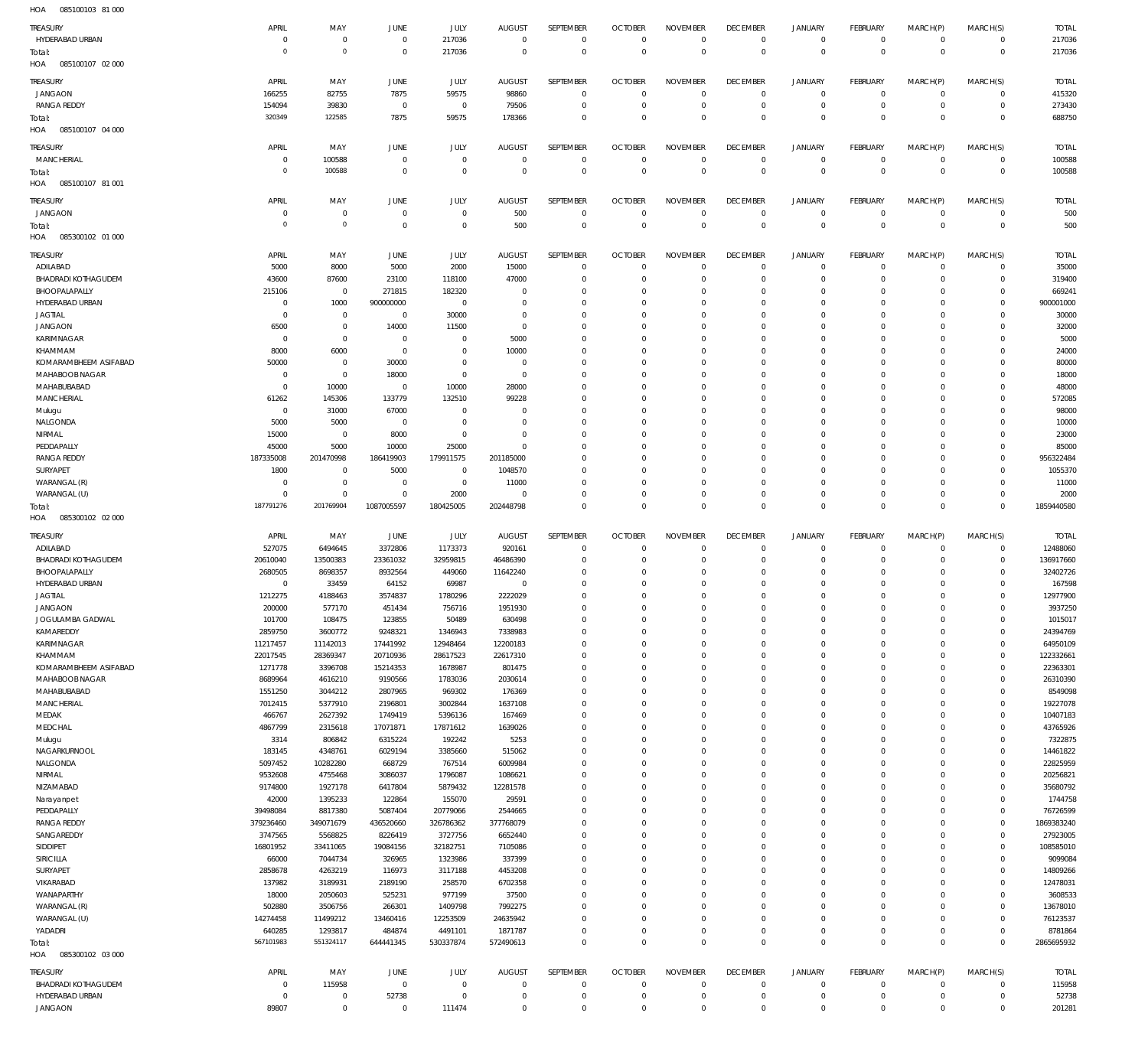085100103 81 000 HOA

| $\sim$<br>000100100        |                |                |                |                |                |              |                |                 |                 |                |                 |             |              |              |
|----------------------------|----------------|----------------|----------------|----------------|----------------|--------------|----------------|-----------------|-----------------|----------------|-----------------|-------------|--------------|--------------|
| TREASURY                   | APRIL          | MAY            | JUNE           | <b>JULY</b>    | <b>AUGUST</b>  | SEPTEMBER    | <b>OCTOBER</b> | <b>NOVEMBER</b> | <b>DECEMBER</b> | <b>JANUARY</b> | <b>FEBRUARY</b> | MARCH(P)    | MARCH(S)     | <b>TOTAL</b> |
| HYDERABAD URBAN            | $^{\circ}$     | $\overline{0}$ | $\overline{0}$ | 217036         | $\overline{0}$ | $\mathbf 0$  | $\mathbf{0}$   | $^{\circ}$      | $^{\circ}$      | $\mathbf 0$    | $\mathbf 0$     | $\Omega$    | $\mathbf 0$  | 217036       |
|                            | $\Omega$       | $\overline{0}$ |                |                | $\Omega$       | $\Omega$     | $\Omega$       | $\Omega$        | $\Omega$        | $\Omega$       | $\Omega$        | $\Omega$    | $\mathbf 0$  |              |
| Total:                     |                |                | $\mathbf 0$    | 217036         |                |              |                |                 |                 |                |                 |             |              | 217036       |
| HOA<br>085100107 02 000    |                |                |                |                |                |              |                |                 |                 |                |                 |             |              |              |
|                            |                |                |                |                |                |              |                |                 |                 |                |                 |             |              |              |
| TREASURY                   | APRIL          | MAY            | JUNE           | JULY           | <b>AUGUST</b>  | SEPTEMBER    | <b>OCTOBER</b> | <b>NOVEMBER</b> | <b>DECEMBER</b> | JANUARY        | <b>FEBRUARY</b> | MARCH(P)    | MARCH(S)     | <b>TOTAL</b> |
| <b>JANGAON</b>             | 166255         | 82755          | 7875           | 59575          | 98860          | $^{\circ}$   | $^{\circ}$     | $\Omega$        | $^{\circ}$      | $\circ$        | $\mathbf 0$     | $\Omega$    | $\Omega$     | 415320       |
| <b>RANGA REDDY</b>         | 154094         | 39830          | $\overline{0}$ | $\overline{0}$ | 79506          | $^{\circ}$   | $\mathbf 0$    | $\circ$         | $^{\circ}$      | $\Omega$       | $\mathbf 0$     | $\Omega$    | $\mathbf 0$  | 273430       |
| Total:                     | 320349         | 122585         | 7875           | 59575          | 178366         | $\Omega$     | $\Omega$       | $\Omega$        | $\Omega$        | $\Omega$       | $\Omega$        | $\Omega$    | $\Omega$     | 688750       |
|                            |                |                |                |                |                |              |                |                 |                 |                |                 |             |              |              |
| HOA<br>085100107 04 000    |                |                |                |                |                |              |                |                 |                 |                |                 |             |              |              |
| TREASURY                   | APRIL          | MAY            | <b>JUNE</b>    | <b>JULY</b>    | <b>AUGUST</b>  | SEPTEMBER    | <b>OCTOBER</b> | <b>NOVEMBER</b> | <b>DECEMBER</b> | <b>JANUARY</b> | <b>FEBRUARY</b> | MARCH(P)    | MARCH(S)     | <b>TOTAL</b> |
|                            |                |                |                |                |                |              |                |                 |                 |                |                 |             |              |              |
| <b>MANCHERIAL</b>          | $^{\circ}$     | 100588         | $\mathbf 0$    | $\overline{0}$ | $\overline{0}$ | $^{\circ}$   | $^{\circ}$     | $\circ$         | $^{\circ}$      | $\Omega$       | $\mathbf 0$     | $\Omega$    | $\mathbf 0$  | 100588       |
| Total:                     | $\Omega$       | 100588         | $\overline{0}$ | $\overline{0}$ | $\Omega$       | $\mathbf{0}$ | $\mathbf{0}$   | $\Omega$        | $\mathbf{0}$    | $\Omega$       | $\Omega$        | $\Omega$    | $\mathbf{0}$ | 100588       |
| HOA<br>085100107 81 001    |                |                |                |                |                |              |                |                 |                 |                |                 |             |              |              |
|                            |                |                |                |                |                |              |                |                 |                 |                |                 |             |              |              |
| TREASURY                   | APRIL          | MAY            | JUNE           | <b>JULY</b>    | <b>AUGUST</b>  | SEPTEMBER    | <b>OCTOBER</b> | <b>NOVEMBER</b> | <b>DECEMBER</b> | <b>JANUARY</b> | <b>FEBRUARY</b> | MARCH(P)    | MARCH(S)     | <b>TOTAL</b> |
| <b>JANGAON</b>             | - 0            | $\overline{0}$ | $\overline{0}$ | $\overline{0}$ | 500            | $^{\circ}$   | $\mathbf{0}$   | $\Omega$        | $^{\circ}$      | $\mathbf 0$    | $\mathbf 0$     | $\Omega$    | $\mathbf 0$  | 500          |
|                            | $\overline{0}$ | $\overline{0}$ | $\overline{0}$ | $\overline{0}$ | 500            | $^{\circ}$   | $\mathbf{0}$   | $^{\circ}$      | $\mathbf{0}$    | $\Omega$       | $\mathbf{0}$    | $\Omega$    | $\mathbf{0}$ | 500          |
| Total:                     |                |                |                |                |                |              |                |                 |                 |                |                 |             |              |              |
| HOA<br>085300102 01 000    |                |                |                |                |                |              |                |                 |                 |                |                 |             |              |              |
|                            | APRIL          | MAY            | JUNE           | <b>JULY</b>    | <b>AUGUST</b>  | SEPTEMBER    | <b>OCTOBER</b> | <b>NOVEMBER</b> | <b>DECEMBER</b> | <b>JANUARY</b> | <b>FEBRUARY</b> | MARCH(P)    | MARCH(S)     | <b>TOTAL</b> |
| TREASURY                   |                |                |                |                |                |              |                |                 |                 |                |                 |             |              |              |
| ADILABAD                   | 5000           | 8000           | 5000           | 2000           | 15000          | $^{\circ}$   | $\Omega$       | $\Omega$        | $\Omega$        | $\Omega$       | $\Omega$        | $\Omega$    | $\Omega$     | 35000        |
| <b>BHADRADI KOTHAGUDEM</b> | 43600          | 87600          | 23100          | 118100         | 47000          | $\Omega$     | $^{\circ}$     | $\Omega$        | $^{\circ}$      | $\Omega$       | $\mathbf 0$     | $\Omega$    | $\mathbf 0$  | 319400       |
| BHOOPALAPALLY              | 215106         | $\mathbf 0$    | 271815         | 182320         | $\Omega$       | $\Omega$     | $\Omega$       | $\Omega$        | $\Omega$        | $\Omega$       | $\Omega$        |             | $\Omega$     | 669241       |
| HYDERABAD URBAN            | $^{\circ}$     | 1000           | 900000000      | $\overline{0}$ | $\Omega$       | $\Omega$     | $\Omega$       | $\Omega$        | $\Omega$        | $\Omega$       | $\Omega$        | $\Omega$    | $\Omega$     | 900001000    |
|                            |                |                |                |                |                |              |                |                 |                 |                |                 |             |              |              |
| <b>JAGTIAL</b>             | $^{\circ}$     | $^{\circ}$     | $\overline{0}$ | 30000          | $\Omega$       | $\Omega$     | $\Omega$       | $\Omega$        | $\Omega$        | $\Omega$       | $\Omega$        |             | $\Omega$     | 30000        |
| <b>JANGAON</b>             | 6500           | $\overline{0}$ | 14000          | 11500          | $\Omega$       | $\Omega$     | $\Omega$       | $\Omega$        | $\Omega$        | $\Omega$       | $\Omega$        | $\Omega$    | $\Omega$     | 32000        |
| KARIMNAGAR                 | - 0            | $\mathbf 0$    | $^{\circ}$     | 0              | 5000           | $\Omega$     | $^{\circ}$     | $\Omega$        | $\Omega$        | $\Omega$       | $\Omega$        |             | $\Omega$     | 5000         |
| KHAMMAM                    | 8000           | 6000           | $\overline{0}$ | $\overline{0}$ | 10000          | $\Omega$     | $\Omega$       | $\Omega$        | $\Omega$        | $\Omega$       | $\Omega$        |             | $\Omega$     | 24000        |
|                            |                |                |                |                |                |              |                |                 |                 |                |                 |             |              |              |
| KOMARAMBHEEM ASIFABAD      | 50000          | $^{\circ}$     | 30000          | $\Omega$       | $\Omega$       | $\Omega$     | $\Omega$       | $\Omega$        | $\Omega$        | $\Omega$       | $\Omega$        | $\Omega$    | $\Omega$     | 80000        |
| MAHABOOB NAGAR             | $^{\circ}$     | $^{\circ}$     | 18000          | $\overline{0}$ | $\overline{0}$ | $\Omega$     | $\Omega$       | $\Omega$        | $\Omega$        | $\Omega$       | $\Omega$        |             | $\Omega$     | 18000        |
| MAHABUBABAD                | $\overline{0}$ | 10000          | $^{\circ}$     | 10000          | 28000          | $\Omega$     | $\Omega$       | $\Omega$        | $\Omega$        | $\Omega$       | $\Omega$        |             | $\Omega$     | 48000        |
| <b>MANCHERIAL</b>          | 61262          | 145306         | 133779         | 132510         | 99228          | $\Omega$     | $\Omega$       | $\Omega$        | $\Omega$        | $\Omega$       | $\Omega$        | $\Omega$    | $\Omega$     | 572085       |
|                            |                |                |                |                |                |              |                |                 |                 |                |                 |             |              |              |
| Mulugu                     | $^{\circ}$     | 31000          | 67000          | $\Omega$       | $\Omega$       | $\Omega$     | $\Omega$       | $\Omega$        | $\Omega$        | $\Omega$       | $\Omega$        |             | $\Omega$     | 98000        |
| NALGONDA                   | 5000           | 5000           | $\overline{0}$ | $\Omega$       | $\Omega$       | $\Omega$     | $\Omega$       | $\Omega$        | $\Omega$        | $\Omega$       | $\Omega$        | $\Omega$    | $\Omega$     | 10000        |
| NIRMAL                     | 15000          | $^{\circ}$     | 8000           | $\overline{0}$ | $\Omega$       | $\Omega$     | $\Omega$       | $\Omega$        | $\Omega$        | $\Omega$       | $\Omega$        |             | $\Omega$     | 23000        |
| PEDDAPALLY                 | 45000          | 5000           | 10000          | 25000          | $\Omega$       | $\Omega$     | $\Omega$       | $\Omega$        | $\Omega$        | $\Omega$       | $\Omega$        | $\Omega$    | $\Omega$     | 85000        |
|                            |                |                |                |                |                |              |                |                 |                 |                |                 |             |              |              |
| <b>RANGA REDDY</b>         | 187335008      | 201470998      | 186419903      | 179911575      | 201185000      | $\Omega$     | $\Omega$       | $\Omega$        | $\Omega$        | $\Omega$       | $\Omega$        |             | $\Omega$     | 956322484    |
| SURYAPET                   | 1800           | $^{\circ}$     | 5000           | $\overline{0}$ | 1048570        | $\Omega$     | $\Omega$       | $\Omega$        | $\Omega$        | $\Omega$       | $\Omega$        |             | $\Omega$     | 1055370      |
| WARANGAL (R)               | $\Omega$       | $\overline{0}$ | $^{\circ}$     | $\overline{0}$ | 11000          | $\Omega$     | $\Omega$       | $\Omega$        | $\Omega$        | $\Omega$       | $\Omega$        | $\Omega$    | $\Omega$     | 11000        |
| WARANGAL (U)               | $\Omega$       | $\Omega$       | $\Omega$       | 2000           | $\Omega$       | $\Omega$     | $^{\circ}$     | $\Omega$        | $\Omega$        | $\Omega$       | $\Omega$        | $\Omega$    | $\Omega$     | 2000         |
|                            |                |                |                |                |                |              |                |                 |                 |                |                 |             |              |              |
| Total:                     | 187791276      | 201769904      | 1087005597     | 180425005      | 202448798      | $\Omega$     | $\Omega$       | $\Omega$        | $\Omega$        | $\Omega$       | $\Omega$        | $\Omega$    | $\Omega$     | 1859440580   |
|                            |                |                |                |                |                |              |                |                 |                 |                |                 |             |              |              |
| HOA<br>085300102 02 000    |                |                |                |                |                |              |                |                 |                 |                |                 |             |              |              |
|                            |                |                |                |                |                |              |                |                 |                 |                |                 |             |              |              |
| TREASURY                   | APRIL          | MAY            | JUNE           | JULY           | <b>AUGUST</b>  | SEPTEMBER    | <b>OCTOBER</b> | <b>NOVEMBER</b> | <b>DECEMBER</b> | JANUARY        | <b>FEBRUARY</b> | MARCH(P)    | MARCH(S)     | <b>TOTAL</b> |
| ADILABAD                   | 527075         | 6494645        | 3372806        | 1173373        | 920161         | $\circ$      | $^{\circ}$     | $\Omega$        | $\circ$         | $\circ$        | $\mathbf 0$     | - 0         | $\mathbf 0$  | 12488060     |
|                            |                |                |                |                |                | $\Omega$     |                | $\Omega$        |                 | $\Omega$       | $\Omega$        | - 0         |              |              |
| <b>BHADRADI KOTHAGUDEM</b> | 20610040       | 13500383       | 23361032       | 32959815       | 46486390       |              | $^{\circ}$     |                 | $^{\circ}$      |                |                 |             | $\mathbf 0$  | 136917660    |
| BHOOPALAPALLY              | 2680505        | 8698357        | 8932564        | 449060         | 11642240       | $\Omega$     | $^{\circ}$     | $\Omega$        | $^{\circ}$      | $\Omega$       | $\Omega$        | $\Omega$    | $\mathbf 0$  | 32402726     |
| HYDERABAD URBAN            | $^{\circ}$     | 33459          | 64152          | 69987          | $\overline{0}$ | $\Omega$     | $\Omega$       | $\Omega$        | $\Omega$        |                | $\Omega$        |             | $\Omega$     | 167598       |
| <b>JAGTIAL</b>             | 1212275        | 4188463        | 3574837        | 1780296        | 2222029        | $\Omega$     | $\Omega$       | $\Omega$        | $\Omega$        | $\Omega$       | $\Omega$        | $\Omega$    | $\Omega$     | 12977900     |
|                            | 200000         | 577170         | 451434         |                |                |              | $\cap$         |                 | $\cap$          |                | $\cap$          |             | $\Omega$     |              |
| <b>JANGAON</b>             |                |                |                | 756716         | 1951930        |              |                |                 |                 |                |                 |             |              | 3937250      |
| JOGULAMBA GADWAL           | 101700         | 108475         | 123855         | 50489          | 630498         | $^{\circ}$   | $\mathbf{0}$   | $^{\circ}$      | $^{\circ}$      | $\Omega$       | $\mathbf 0$     | $\Omega$    | $\Omega$     | 1015017      |
| KAMAREDDY                  | 2859750        | 3600772        | 9248321        | 1346943        | 7338983        | $\mathbf{0}$ | $\mathbf{0}$   | $^{\circ}$      | $\mathbf{0}$    | $\Omega$       | $\mathbf 0$     | $\Omega$    | $\mathbf 0$  | 24394769     |
| KARIMNAGAR                 | 11217457       | 11142013       | 17441992       | 12948464       | 12200183       | $^{\circ}$   | $\mathbf{0}$   | $\Omega$        | $\mathbf{0}$    | $\Omega$       | $\mathbf 0$     |             | $\Omega$     | 64950109     |
| KHAMMAM                    |                | 28369347       | 20710936       | 28617523       | 22617310       | $\Omega$     | $\mathbf{0}$   | $\Omega$        | $\Omega$        | $\Omega$       | $\Omega$        | $\Omega$    | $\Omega$     | 122332661    |
|                            | 22017545       |                |                |                |                |              |                |                 |                 |                |                 |             |              |              |
| KOMARAMBHEEM ASIFABAD      | 1271778        | 3396708        | 15214353       | 1678987        | 801475         | $\mathbf{0}$ | $\mathbf{0}$   | $\Omega$        | $\mathbf{0}$    | $\Omega$       | $\mathbf 0$     |             | $\mathbf 0$  | 22363301     |
| MAHABOOB NAGAR             | 8689964        | 4616210        | 9190566        | 1783036        | 2030614        | $\Omega$     | $\mathbf 0$    | $\Omega$        | $\Omega$        | $\Omega$       | $\Omega$        |             | $\Omega$     | 26310390     |
| MAHABUBABAD                | 1551250        | 3044212        | 2807965        | 969302         | 176369         | $^{\circ}$   | $\mathbf 0$    | $\Omega$        | $\mathbf 0$     | $\Omega$       | $\Omega$        | $\Omega$    | $\Omega$     | 8549098      |
| <b>MANCHERIAL</b>          | 7012415        | 5377910        | 2196801        | 3002844        | 1637108        | $\Omega$     | $\mathbf 0$    | $\Omega$        | $\Omega$        | $\Omega$       | $\Omega$        |             | $\Omega$     | 19227078     |
| MEDAK                      |                | 2627392        | 1749419        | 5396136        | 167469         | $\mathbf{0}$ | $\mathbf 0$    | $\Omega$        | $\mathbf 0$     | $\Omega$       | $\Omega$        |             | $\Omega$     | 10407183     |
|                            | 466767         |                |                |                |                |              |                |                 |                 |                |                 |             |              |              |
| MEDCHAL                    | 4867799        | 2315618        | 17071871       | 17871612       | 1639026        | $\mathbf{0}$ | $\mathbf 0$    | $\Omega$        | $^{\circ}$      | $\Omega$       | $\Omega$        |             | $\Omega$     | 43765926     |
| Mulugu                     | 3314           | 806842         | 6315224        | 192242         | 5253           | $^{\circ}$   | $\mathbf{0}$   | $\Omega$        | $\mathbf{0}$    | $\Omega$       | $\Omega$        |             | $\Omega$     | 7322875      |
| NAGARKURNOOL               | 183145         | 4348761        | 6029194        | 3385660        | 515062         | $\Omega$     | $\mathbf{0}$   | $\Omega$        | $\Omega$        | $\Omega$       | $\Omega$        | $\Omega$    | $\Omega$     | 14461822     |
| NALGONDA                   | 5097452        | 10282280       | 668729         | 767514         | 6009984        | $^{\circ}$   | $\mathbf{0}$   | $\Omega$        | $\mathbf{0}$    | $\Omega$       | $\mathbf 0$     |             | $\mathbf 0$  | 22825959     |
|                            |                |                |                |                |                | $\Omega$     | $\mathbf{0}$   | $\Omega$        | $\Omega$        | $\Omega$       | $\Omega$        |             | $\Omega$     |              |
| NIRMAL                     | 9532608        | 4755468        | 3086037        | 1796087        | 1086621        |              |                |                 |                 |                |                 |             |              | 20256821     |
| NIZAMABAD                  | 9174800        | 1927178        | 6417804        | 5879432        | 12281578       | $^{\circ}$   | $\mathbf{0}$   | $\Omega$        | $\mathbf{0}$    | $\Omega$       | $\mathbf 0$     |             | $\Omega$     | 35680792     |
| Narayanpet                 | 42000          | 1395233        | 122864         | 155070         | 29591          | $\Omega$     | $\mathbf{0}$   | $\Omega$        | $\Omega$        | $\Omega$       | $\Omega$        |             | $\Omega$     | 1744758      |
| PEDDAPALLY                 | 39498084       | 8817380        | 5087404        | 20779066       | 2544665        | $\mathbf{0}$ | $\mathbf{0}$   | $\Omega$        | $\mathbf{0}$    | $\Omega$       | $\mathbf 0$     |             | $\mathbf 0$  | 76726599     |
| <b>RANGA REDDY</b>         | 379236460      | 349071679      | 436520660      | 326786362      | 377768079      | $\Omega$     | $\mathbf{0}$   | $\Omega$        | $\mathbf{0}$    | $\Omega$       | $\Omega$        |             | $\mathbf 0$  | 1869383240   |
|                            |                |                |                |                |                |              |                |                 |                 |                |                 |             |              |              |
| SANGAREDDY                 | 3747565        | 5568825        | 8226419        | 3727756        | 6652440        | $\mathbf{0}$ | $\mathbf{0}$   | $\Omega$        | $\mathbf{0}$    | $\Omega$       | $\Omega$        |             | $\Omega$     | 27923005     |
| SIDDIPET                   | 16801952       | 33411065       | 19084156       | 32182751       | 7105086        | $\Omega$     | $\mathbf{0}$   | $\Omega$        | $\Omega$        | $\Omega$       | $\Omega$        |             | $\Omega$     | 108585010    |
| SIRICILLA                  | 66000          | 7044734        | 326965         | 1323986        | 337399         | $^{\circ}$   | $\mathbf{0}$   | $\Omega$        | $\mathbf{0}$    | $\Omega$       | $\Omega$        |             | $\Omega$     | 9099084      |
| SURYAPET                   | 2858678        | 4263219        | 116973         | 3117188        | 4453208        | $\Omega$     | $\mathbf 0$    | $\Omega$        | $^{\circ}$      | $\Omega$       | $\Omega$        | $\Omega$    | $\Omega$     | 14809266     |
|                            |                |                |                |                |                | $^{\circ}$   | $\mathbf 0$    | $\Omega$        | $\mathbf 0$     | $\Omega$       | $\Omega$        |             | $\Omega$     |              |
| VIKARABAD                  | 137982         | 3189931        | 2189190        | 258570         | 6702358        |              |                |                 |                 |                |                 |             |              | 12478031     |
| WANAPARTHY                 | 18000          | 2050603        | 525231         | 977199         | 37500          | $\Omega$     | $\mathbf 0$    | $\Omega$        | $\Omega$        | $\Omega$       | $\Omega$        | $\Omega$    | $\Omega$     | 3608533      |
| WARANGAL (R)               | 502880         | 3506756        | 266301         | 1409798        | 7992275        | $^{\circ}$   | $^{\circ}$     | $\Omega$        | $^{\circ}$      | $\Omega$       | $\mathbf 0$     |             | $\mathbf 0$  | 13678010     |
| WARANGAL (U)               | 14274458       | 11499212       | 13460416       | 12253509       | 24635942       | $\Omega$     | $\mathbf 0$    | $\Omega$        | $\mathbf 0$     | $\Omega$       | $\Omega$        |             | $\Omega$     | 76123537     |
|                            |                |                |                |                |                | $\mathbf{0}$ | $\mathbf 0$    | $^{\circ}$      | $\mathbf 0$     | $\mathbf 0$    | $\mathbf 0$     | $\Omega$    | $\mathbf 0$  |              |
| YADADRI                    | 640285         | 1293817        | 484874         | 4491101        | 1871787        |              |                |                 |                 |                |                 |             |              | 8781864      |
| Total:                     | 567101983      | 551324117      | 644441345      | 530337874      | 572490613      | $\mathbf 0$  | $\mathbf 0$    | $^{\circ}$      | $\mathbf 0$     | $\mathbf 0$    | $\mathbf 0$     | $\Omega$    | $\Omega$     | 2865695932   |
| HOA<br>085300102 03 000    |                |                |                |                |                |              |                |                 |                 |                |                 |             |              |              |
|                            |                |                |                |                |                |              |                |                 |                 |                |                 |             |              |              |
| TREASURY                   | APRIL          | MAY            | JUNE           | <b>JULY</b>    | <b>AUGUST</b>  | SEPTEMBER    | <b>OCTOBER</b> | <b>NOVEMBER</b> | <b>DECEMBER</b> | <b>JANUARY</b> | <b>FEBRUARY</b> | MARCH(P)    | MARCH(S)     | <b>TOTAL</b> |
| <b>BHADRADI KOTHAGUDEM</b> | $^{\circ}$     | 115958         | $\overline{0}$ | $\overline{0}$ | $\overline{0}$ | $\mathbf 0$  | $\mathbf 0$    | $\mathbf 0$     | $^{\circ}$      | $\mathbf 0$    | $\mathbf 0$     | $\Omega$    | $\mathbf 0$  | 115958       |
| HYDERABAD URBAN            | $\overline{0}$ | $\overline{0}$ | 52738          | $\overline{0}$ | $\overline{0}$ | $\mathbf 0$  | $\mathbf 0$    | $^{\circ}$      | $\mathbf 0$     | $\mathbf 0$    | $\mathbf 0$     | $\mathbf 0$ | $\mathbf 0$  | 52738        |
| <b>JANGAON</b>             | 89807          | $\overline{0}$ | $\overline{0}$ | 111474         | $\mathbf 0$    | $\mathbf{0}$ | $\mathbf{0}$   | $\mathbf{0}$    | $\mathbf 0$     | $\mathbf 0$    | $\mathbf 0$     | $\Omega$    | $\mathbf 0$  | 201281       |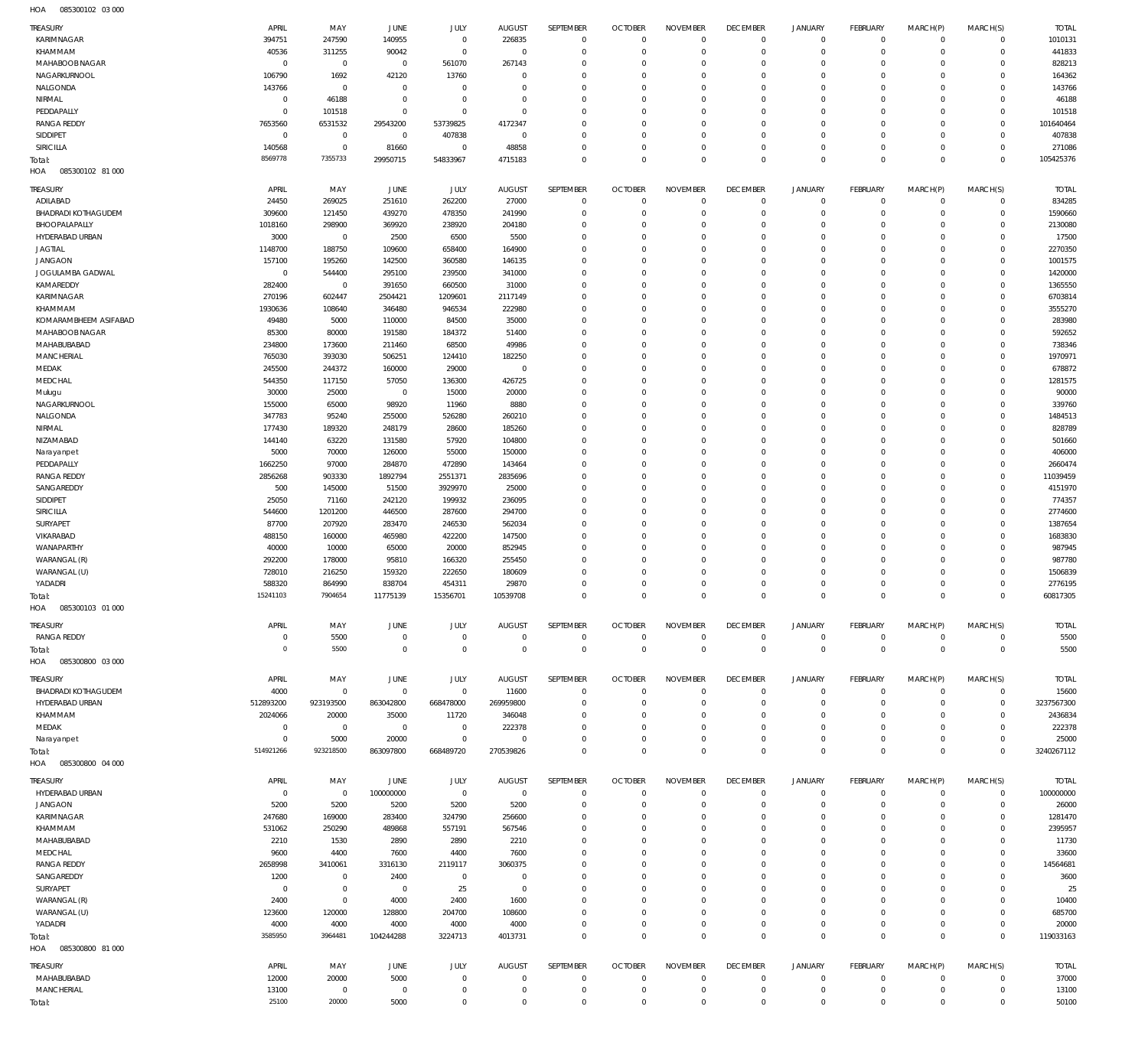085300102 03 000 HOA

| <b>TREASURY</b>                        | APRIL                         | MAY                       | <b>JUNE</b>             | JULY                       | <b>AUGUST</b>              | SEPTEMBER                  | <b>OCTOBER</b>                | <b>NOVEMBER</b>            | <b>DECEMBER</b>            | <b>JANUARY</b>             | <b>FEBRUARY</b>            | MARCH(P)                   | MARCH(S)                   | <b>TOTAL</b>        |
|----------------------------------------|-------------------------------|---------------------------|-------------------------|----------------------------|----------------------------|----------------------------|-------------------------------|----------------------------|----------------------------|----------------------------|----------------------------|----------------------------|----------------------------|---------------------|
| KARIMNAGAR                             | 394751                        | 247590                    | 140955                  | $\mathbf 0$                | 226835                     | $\mathbf 0$                | $\overline{0}$                | $\mathbf 0$                | $\overline{0}$             | $\mathbf 0$                | $\overline{0}$             | $\mathbf 0$                | $\mathbf 0$                | 1010131             |
| KHAMMAM                                | 40536                         | 311255                    | 90042                   | $\mathbf 0$                | $\overline{0}$             | $\mathbf 0$                | $\overline{0}$                | $\mathbf 0$                | $\mathbf 0$                | $\mathbf 0$                | $\overline{0}$             | $\mathbf 0$                | $\mathbf 0$                | 441833              |
| MAHABOOB NAGAR<br>NAGARKURNOOL         | $\overline{0}$                | $\mathbf 0$               | $\overline{0}$          | 561070                     | 267143<br>$\mathbf 0$      | $\mathbf 0$<br>$\mathbf 0$ | $\mathbf 0$<br>$\mathbf 0$    | $\mathbf 0$<br>$\mathbf 0$ | $\mathbf 0$<br>$\mathbf 0$ | $\mathbf 0$<br>$\mathbf 0$ | $\mathbf 0$<br>$\mathbf 0$ | $\Omega$<br>$\Omega$       | $\mathbf 0$<br>$\mathbf 0$ | 828213              |
| NALGONDA                               | 106790<br>143766              | 1692<br>$\mathbf 0$       | 42120<br>$\overline{0}$ | 13760<br>$\mathbf 0$       | $\mathbf 0$                | $\mathbf 0$                | $\mathbf 0$                   | $\mathbf 0$                | $\mathbf 0$                | $\mathbf 0$                | $\mathbf 0$                | $\Omega$                   | $\mathbf 0$                | 164362<br>143766    |
| NIRMAL                                 | $\overline{0}$                | 46188                     | $\overline{0}$          | $\mathbf 0$                | $\mathbf 0$                | $\mathbf 0$                | $\mathbf 0$                   | $\mathbf 0$                | $\mathbf 0$                | $\mathbf 0$                | $\mathbf 0$                | $\Omega$                   | $\mathbf 0$                | 46188               |
| PEDDAPALLY                             | $\overline{0}$                | 101518                    | $\overline{0}$          | $\mathbf 0$                | $\mathbf 0$                | $\mathbf 0$                | $\mathbf 0$                   | $\Omega$                   | $\mathbf 0$                | $\mathbf 0$                | $\mathbf 0$                | $\Omega$                   | $\mathbf 0$                | 101518              |
| <b>RANGA REDDY</b>                     | 7653560                       | 6531532                   | 29543200                | 53739825                   | 4172347                    | $\mathbf 0$                | $\mathbf 0$                   | $\mathbf 0$                | $\mathbf 0$                | $\mathbf 0$                | $\mathbf 0$                | $\mathbf 0$                | $\mathbf 0$                | 101640464           |
| SIDDIPET                               | $\mathbf 0$                   | $\mathbf 0$               | $\overline{0}$          | 407838                     | $\mathbf{0}$               | $\mathbf 0$                | $\mathbf 0$                   | $\Omega$                   | $\mathbf 0$                | $\mathbf 0$                | $\mathbf 0$                | $\Omega$                   | $\mathbf 0$                | 407838              |
| <b>SIRICILLA</b>                       | 140568                        | $\mathbf 0$               | 81660                   | $\mathbf 0$                | 48858                      | $\mathbf 0$                | $\mathbf 0$                   | $\mathbf 0$                | $\mathbf 0$                | $\mathbf 0$                | $\mathbf 0$                | $\mathbf 0$                | $\mathbf 0$                | 271086              |
| Total:<br>085300102 81 000             | 8569778                       | 7355733                   | 29950715                | 54833967                   | 4715183                    | $\mathbf 0$                | $\overline{0}$                | $\mathbf 0$                | $\mathbf 0$                | $\mathbf 0$                | $\overline{0}$             | $\mathbf 0$                | $\mathbf 0$                | 105425376           |
| HOA                                    |                               |                           |                         |                            |                            |                            |                               |                            |                            |                            |                            |                            |                            |                     |
| <b>TREASURY</b>                        | APRIL                         | MAY                       | JUNE                    | JULY                       | <b>AUGUST</b>              | SEPTEMBER                  | <b>OCTOBER</b>                | <b>NOVEMBER</b>            | <b>DECEMBER</b>            | <b>JANUARY</b>             | <b>FEBRUARY</b>            | MARCH(P)                   | MARCH(S)                   | <b>TOTAL</b>        |
| ADILABAD<br><b>BHADRADI KOTHAGUDEM</b> | 24450<br>309600               | 269025<br>121450          | 251610<br>439270        | 262200<br>478350           | 27000<br>241990            | $\mathbf 0$<br>$\mathbf 0$ | $\overline{0}$<br>$\mathbf 0$ | $\mathbf 0$<br>$\mathbf 0$ | $\mathbf 0$<br>$\mathbf 0$ | $\mathbf 0$<br>$\mathbf 0$ | $\mathbf 0$<br>$\mathbf 0$ | $\mathbf 0$<br>$\mathbf 0$ | 0<br>$\mathbf 0$           | 834285<br>1590660   |
| BHOOPALAPALLY                          | 1018160                       | 298900                    | 369920                  | 238920                     | 204180                     | $\mathbf 0$                | $\mathbf 0$                   | $\mathbf 0$                | $\mathbf 0$                | $\mathbf 0$                | $\mathbf 0$                | $\Omega$                   | $\mathbf 0$                | 2130080             |
| HYDERABAD URBAN                        | 3000                          | $\overline{0}$            | 2500                    | 6500                       | 5500                       | $\mathbf 0$                | $\mathbf 0$                   | $\Omega$                   | $\mathbf 0$                | $\mathbf 0$                | $\mathbf 0$                | $\Omega$                   | $\mathbf 0$                | 17500               |
| <b>JAGTIAL</b>                         | 1148700                       | 188750                    | 109600                  | 658400                     | 164900                     | $\mathbf 0$                | $\mathbf 0$                   | $\Omega$                   | $\mathbf 0$                | $\mathbf 0$                | $\Omega$                   | $\Omega$                   | $\mathbf 0$                | 2270350             |
| <b>JANGAON</b>                         | 157100                        | 195260                    | 142500                  | 360580                     | 146135                     | $\mathbf 0$                | $\mathbf 0$                   | $\Omega$                   | $\mathbf 0$                | $\mathbf 0$                | $\mathbf 0$                | $\Omega$                   | $\mathbf 0$                | 1001575             |
| JOGULAMBA GADWAL                       | $\mathbf{0}$                  | 544400                    | 295100                  | 239500                     | 341000                     | $\mathbf 0$                | $\mathbf 0$                   | $\Omega$                   | $\mathbf 0$                | $\mathbf 0$                | $\mathbf 0$                | $\Omega$                   | $\mathbf 0$                | 1420000             |
| KAMAREDDY<br>KARIMNAGAR                | 282400                        | $\mathbf{0}$              | 391650                  | 660500                     | 31000<br>2117149           | $\mathbf 0$<br>$\mathbf 0$ | $\mathbf 0$<br>$\mathbf 0$    | $\Omega$<br>0              | $\Omega$<br>$\mathbf 0$    | $\Omega$<br>$\mathbf 0$    | $\Omega$<br>$\mathbf 0$    | $\Omega$<br>$\Omega$       | $\Omega$<br>$\mathbf 0$    | 1365550<br>6703814  |
| KHAMMAM                                | 270196<br>1930636             | 602447<br>108640          | 2504421<br>346480       | 1209601<br>946534          | 222980                     | $\mathbf 0$                | $\mathbf 0$                   | $\Omega$                   | $\mathbf 0$                | $\mathbf 0$                | $\Omega$                   | $\Omega$                   | $\Omega$                   | 3555270             |
| KOMARAMBHEEM ASIFABAD                  | 49480                         | 5000                      | 110000                  | 84500                      | 35000                      | $\mathbf 0$                | $\mathbf 0$                   | $\Omega$                   | $\mathbf 0$                | $\mathbf 0$                | $\mathbf 0$                | $\Omega$                   | $\mathbf 0$                | 283980              |
| MAHABOOB NAGAR                         | 85300                         | 80000                     | 191580                  | 184372                     | 51400                      | $\mathbf 0$                | $\mathbf 0$                   | $\Omega$                   | $\mathbf 0$                | $\mathbf 0$                | $\Omega$                   | $\Omega$                   | $\mathbf 0$                | 592652              |
| MAHABUBABAD                            | 234800                        | 173600                    | 211460                  | 68500                      | 49986                      | $\mathbf 0$                | $\mathbf 0$                   | $\Omega$                   | $\mathbf 0$                | $\mathbf 0$                | $\Omega$                   | $\Omega$                   | $\mathbf 0$                | 738346              |
| <b>MANCHERIAL</b>                      | 765030                        | 393030                    | 506251                  | 124410                     | 182250                     | $\mathbf 0$                | $\mathbf 0$                   | $\Omega$                   | $\mathbf 0$                | $\mathbf 0$                | $\mathbf 0$                | $\Omega$                   | $\mathbf 0$                | 1970971             |
| MEDAK                                  | 245500                        | 244372                    | 160000                  | 29000                      | $\overline{0}$             | $\mathbf 0$                | $\mathbf 0$                   | $\Omega$                   | $\mathbf 0$                | $\mathbf 0$                | $\Omega$                   | $\Omega$                   | $\mathbf 0$                | 678872              |
| MEDCHAL<br>Mulugu                      | 544350<br>30000               | 117150<br>25000           | 57050<br>$\overline{0}$ | 136300<br>15000            | 426725<br>20000            | $\mathbf 0$<br>$\mathbf 0$ | $\mathbf 0$<br>$\mathbf 0$    | $\Omega$<br>$\Omega$       | $\mathbf 0$<br>$\mathbf 0$ | $\mathbf 0$<br>$\mathbf 0$ | $\Omega$<br>O              | $\Omega$<br>$\Omega$       | $\mathbf 0$<br>$\mathbf 0$ | 1281575<br>90000    |
| NAGARKURNOOL                           | 155000                        | 65000                     | 98920                   | 11960                      | 8880                       | $\mathbf 0$                | $\mathbf 0$                   | $\Omega$                   | $\mathbf 0$                | $\Omega$                   | $\Omega$                   | $\Omega$                   | $\Omega$                   | 339760              |
| NALGONDA                               | 347783                        | 95240                     | 255000                  | 526280                     | 260210                     | $\mathbf 0$                | $\mathbf 0$                   | 0                          | $\mathbf 0$                | $\mathbf 0$                | $\mathbf 0$                | $\Omega$                   | $\mathbf 0$                | 1484513             |
| NIRMAL                                 | 177430                        | 189320                    | 248179                  | 28600                      | 185260                     | $\mathbf 0$                | $\mathbf 0$                   | $\Omega$                   | $\mathbf 0$                | $\Omega$                   | $\Omega$                   | $\Omega$                   | $\mathbf 0$                | 828789              |
| NIZAMABAD                              | 144140                        | 63220                     | 131580                  | 57920                      | 104800                     | $\mathbf 0$                | $\mathbf 0$                   | $\mathbf 0$                | $\mathbf 0$                | $\mathbf 0$                | $\mathbf 0$                | $\Omega$                   | $\mathbf 0$                | 501660              |
| Narayanpet                             | 5000                          | 70000                     | 126000                  | 55000                      | 150000                     | $\mathbf 0$                | $\mathbf 0$                   | $\Omega$                   | $\mathbf 0$                | $\mathbf 0$                | $\mathbf C$                | $\Omega$                   | $\mathbf 0$                | 406000              |
| PEDDAPALLY<br><b>RANGA REDDY</b>       | 1662250<br>2856268            | 97000<br>903330           | 284870<br>1892794       | 472890<br>2551371          | 143464<br>2835696          | $\mathbf 0$<br>$\mathbf 0$ | $\mathbf 0$<br>$\mathbf 0$    | $\Omega$<br>$\Omega$       | $\mathbf 0$<br>$\mathbf 0$ | $\mathbf 0$<br>$\mathbf 0$ | $\Omega$<br>$\mathbf 0$    | $\Omega$<br>$\Omega$       | $\mathbf 0$<br>$\mathbf 0$ | 2660474<br>11039459 |
| SANGAREDDY                             | 500                           | 145000                    | 51500                   | 3929970                    | 25000                      | $\mathbf 0$                | $\mathbf 0$                   | $\Omega$                   | $\mathbf 0$                | $\mathbf 0$                | $\Omega$                   | $\Omega$                   | $\mathbf 0$                | 4151970             |
| SIDDIPET                               | 25050                         | 71160                     | 242120                  | 199932                     | 236095                     | $\mathbf 0$                | $\mathbf 0$                   | $\Omega$                   | $\mathbf 0$                | $\mathbf 0$                | $\mathbf 0$                | $\Omega$                   | $\mathbf 0$                | 774357              |
| SIRICILLA                              | 544600                        | 1201200                   | 446500                  | 287600                     | 294700                     | $\mathbf 0$                | $\mathbf 0$                   | $\Omega$                   | $\mathbf 0$                | $\mathbf 0$                | $\mathbf 0$                | $\Omega$                   | $\mathbf 0$                | 2774600             |
| SURYAPET                               | 87700                         | 207920                    | 283470                  | 246530                     | 562034                     | $\mathbf 0$                | $\mathbf 0$                   | $\Omega$                   | $\Omega$                   | $\Omega$                   | $\Omega$                   | $\Omega$                   | $\Omega$                   | 1387654             |
| VIKARABAD                              | 488150                        | 160000                    | 465980                  | 422200                     | 147500                     | $\mathbf 0$                | $\mathbf 0$                   | $\mathbf 0$                | $\mathbf 0$                | $\mathbf 0$                | $\mathbf 0$                | $\Omega$                   | $\mathbf 0$                | 1683830             |
| WANAPARTHY                             | 40000                         | 10000                     | 65000                   | 20000                      | 852945                     | $\mathbf 0$                | $\mathbf 0$                   | $\Omega$                   | $\mathbf 0$                | $\Omega$                   | $\Omega$                   | $\Omega$                   | $\mathbf 0$                | 987945              |
| WARANGAL (R)<br>WARANGAL (U)           | 292200<br>728010              | 178000<br>216250          | 95810<br>159320         | 166320<br>222650           | 255450<br>180609           | $\mathbf 0$<br>$\mathbf 0$ | $\mathbf 0$<br>$\mathbf 0$    | $\mathbf 0$<br>$\Omega$    | $\mathbf 0$<br>$\mathbf 0$ | $\mathbf 0$<br>$\mathbf 0$ | $\mathbf 0$<br>$\Omega$    | $\Omega$<br>$\Omega$       | $\mathbf 0$<br>$\mathbf 0$ | 987780<br>1506839   |
| YADADRI                                | 588320                        | 864990                    | 838704                  | 454311                     | 29870                      | $\mathbf 0$                | $\mathbf 0$                   | $\Omega$                   | $\mathbf 0$                | $\mathbf 0$                | $\mathbf 0$                | $\Omega$                   | $\mathbf 0$                | 2776195             |
| Total:                                 | 15241103                      | 7904654                   | 11775139                | 15356701                   | 10539708                   | $\mathbf 0$                | $\mathbf 0$                   | $\mathbf 0$                | $\mathbf 0$                | $\mathbf 0$                | $\mathbf 0$                | $\Omega$                   | $\mathbf 0$                | 60817305            |
| HOA<br>085300103 01 000                |                               |                           |                         |                            |                            |                            |                               |                            |                            |                            |                            |                            |                            |                     |
| <b>TREASURY</b>                        | APRIL                         | MAY                       | JUNE                    | JULY                       | <b>AUGUST</b>              | SEPTEMBER                  | <b>OCTOBER</b>                | <b>NOVEMBER</b>            | <b>DECEMBER</b>            | <b>JANUARY</b>             | <b>FEBRUARY</b>            | MARCH(P)                   | MARCH(S)                   | <b>TOTAL</b>        |
| <b>RANGA REDDY</b>                     | $\mathbf 0$                   | 5500                      | $\overline{0}$          | $\mathbf 0$                | $\overline{0}$             | $\mathbf 0$                | $\overline{0}$                | $\mathbf 0$                | $\overline{0}$             | $\mathbf 0$                | $\overline{0}$             | $\mathbf 0$                | $\mathbf 0$                | 5500                |
| Total:                                 | $\mathbf 0$                   | 5500                      | $\overline{0}$          | $\mathbf 0$                | $\overline{0}$             | $\mathbf 0$                | $\overline{0}$                | $\mathbf 0$                | $\overline{0}$             | $\mathbf 0$                | $\overline{0}$             | $\mathbf 0$                | $\mathbf 0$                | 5500                |
| HOA<br>085300800 03 000                |                               |                           |                         |                            |                            |                            |                               |                            |                            |                            |                            |                            |                            |                     |
| <b>TREASURY</b>                        | APRIL                         | MAY                       | JUNE                    | JULY                       | <b>AUGUST</b>              | SEPTEMBER                  | <b>OCTOBER</b>                | <b>NOVEMBER</b>            | <b>DECEMBER</b>            | <b>JANUARY</b>             | <b>FEBRUARY</b>            | MARCH(P)                   | MARCH(S)                   | <b>TOTAL</b>        |
| <b>BHADRADI KOTHAGUDEM</b>             | 4000                          | $\mathbf 0$               | $\overline{0}$          | $\mathbf 0$                | 11600                      | $\mathbf 0$                | $\mathbf 0$                   | $\mathbf 0$                | $\mathbf 0$                | $\mathbf 0$                | $\mathbf 0$                | $\mathbf 0$                | $\mathbf 0$                | 15600               |
| HYDERABAD URBAN                        | 512893200                     | 923193500                 | 863042800               | 668478000                  | 269959800                  | $\mathbf 0$                | $\mathbf 0$                   | $\mathbf 0$                | $\mathbf 0$                | $\mathbf 0$                | $\mathbf 0$                | $\mathbf 0$                | $\mathbf 0$                | 3237567300          |
| KHAMMAM                                | 2024066                       | 20000                     | 35000                   | 11720                      | 346048                     | $\mathbf 0$                | $\mathbf 0$                   | 0                          | $\mathbf 0$                | $\mathbf 0$                | $\mathbf 0$                | C                          | $\mathbf 0$                | 2436834             |
| MEDAK                                  | $\mathbf 0$<br>$\overline{0}$ | $\mathbf 0$<br>5000       | $\overline{0}$<br>20000 | $\mathbf 0$<br>$\mathbf 0$ | 222378<br>$\mathbf 0$      | $\mathbf 0$<br>$\mathbf 0$ | $\mathbf 0$<br>$\mathbf 0$    | 0<br>$\mathbf 0$           | $\mathbf 0$<br>$\mathbf 0$ | $\mathbf 0$<br>$\mathbf 0$ | $\mathbf 0$<br>$\mathbf 0$ | $\Omega$<br>0              | $\mathbf 0$<br>$\mathbf 0$ | 222378<br>25000     |
| Narayanpet<br>Total:                   | 514921266                     | 923218500                 | 863097800               | 668489720                  | 270539826                  | $\mathbf 0$                | $\mathbf 0$                   | $\mathbf 0$                | $\mathbf 0$                | $\mathbf 0$                | $\mathbf 0$                | $\mathbf 0$                | $\mathbf 0$                | 3240267112          |
| 085300800 04 000<br>HOA                |                               |                           |                         |                            |                            |                            |                               |                            |                            |                            |                            |                            |                            |                     |
| <b>TREASURY</b>                        | APRIL                         | MAY                       | JUNE                    | JULY                       | <b>AUGUST</b>              | SEPTEMBER                  | <b>OCTOBER</b>                | <b>NOVEMBER</b>            | <b>DECEMBER</b>            | <b>JANUARY</b>             | <b>FEBRUARY</b>            | MARCH(P)                   | MARCH(S)                   | <b>TOTAL</b>        |
| HYDERABAD URBAN                        | $\overline{0}$                | $\overline{0}$            | 100000000               | $\mathbf 0$                | $\overline{0}$             | $\mathbf 0$                | $\mathbf 0$                   | $\mathbf 0$                | $\mathbf 0$                | $\mathbf 0$                | $\mathbf 0$                | $\mathbf 0$                | $\overline{0}$             | 100000000           |
| <b>JANGAON</b>                         | 5200                          | 5200                      | 5200                    | 5200                       | 5200                       | $\mathbf 0$                | $\mathbf 0$                   | $\mathbf 0$                | $\mathbf 0$                | $\mathbf 0$                | $\mathbf 0$                | $\mathbf 0$                | $\mathbf 0$                | 26000               |
| KARIMNAGAR                             | 247680                        | 169000                    | 283400                  | 324790                     | 256600                     | $\mathbf 0$                | $\mathbf 0$                   | $\mathbf 0$                | $\mathbf 0$                | $\mathbf 0$                | $\mathbf 0$                | $\mathbf 0$                | $\mathbf 0$                | 1281470             |
| KHAMMAM                                | 531062                        | 250290                    | 489868                  | 557191                     | 567546                     | $\mathbf 0$                | $\mathbf 0$                   | $\mathbf 0$                | $\mathbf 0$                | $\mathbf 0$                | $\mathbf 0$                | $\Omega$                   | $\mathbf 0$                | 2395957             |
| MAHABUBABAD                            | 2210                          | 1530                      | 2890                    | 2890                       | 2210                       | $\mathbf 0$                | $\mathbf 0$                   | $\mathbf 0$                | $\mathbf 0$                | $\mathbf 0$                | O                          | 0                          | $\mathbf 0$                | 11730               |
| MEDCHAL                                | 9600                          | 4400                      | 7600                    | 4400                       | 7600                       | $\mathbf 0$                | $\mathbf 0$                   | $\Omega$                   | $\mathbf 0$                | $\mathbf 0$                | $\mathbf 0$                | $\Omega$                   | $\mathbf 0$                | 33600               |
| <b>RANGA REDDY</b><br>SANGAREDDY       | 2658998<br>1200               | 3410061<br>$\overline{0}$ | 3316130<br>2400         | 2119117<br>$\mathbf 0$     | 3060375<br>$\overline{0}$  | $\mathbf 0$<br>$\mathbf 0$ | $\mathbf 0$<br>$\mathbf 0$    | $\mathbf 0$<br>0           | $\mathbf 0$<br>$\mathbf 0$ | $\mathbf 0$<br>$\mathbf 0$ | $\mathbf 0$<br>O           | 0<br>$\Omega$              | $\mathbf 0$<br>$\mathbf 0$ | 14564681<br>3600    |
| SURYAPET                               | $\overline{0}$                | $\mathbf 0$               | $\overline{0}$          | 25                         | $\overline{0}$             | $\mathbf 0$                | $\mathbf 0$                   | $\mathbf 0$                | $\mathbf 0$                | $\mathbf 0$                | $\mathbf 0$                | 0                          | $\mathbf 0$                | 25                  |
| WARANGAL (R)                           | 2400                          | $\mathbf 0$               | 4000                    | 2400                       | 1600                       | $\mathbf 0$                | $\mathbf 0$                   | 0                          | $\mathbf 0$                | $\mathbf 0$                | $\mathbf 0$                | $\Omega$                   | $\mathbf 0$                | 10400               |
| WARANGAL (U)                           | 123600                        | 120000                    | 128800                  | 204700                     | 108600                     | $\mathbf 0$                | $\mathbf 0$                   | $\mathbf 0$                | $\mathbf 0$                | $\mathbf 0$                | $\mathbf 0$                | $\mathbf 0$                | $\mathbf 0$                | 685700              |
| YADADRI                                | 4000                          | 4000                      | 4000                    | 4000                       | 4000                       | $\mathbf 0$                | $\mathbf 0$                   | $\mathbf 0$                | $\mathbf 0$                | $\mathbf 0$                | $\mathbf 0$                | 0                          | $\mathbf 0$                | 20000               |
| Total:                                 | 3585950                       | 3964481                   | 104244288               | 3224713                    | 4013731                    | $\mathbf 0$                | $\mathbf 0$                   | $\mathbf 0$                | $\mathbf 0$                | $\mathbf 0$                | $\mathbf 0$                | $\mathbf 0$                | $\mathbf 0$                | 119033163           |
| HOA<br>085300800 81 000                |                               |                           |                         |                            |                            |                            |                               |                            |                            |                            |                            |                            |                            |                     |
|                                        |                               |                           |                         |                            |                            |                            |                               |                            |                            |                            |                            |                            |                            |                     |
| <b>TREASURY</b>                        | APRIL                         | MAY                       | JUNE                    | JULY                       | <b>AUGUST</b>              | SEPTEMBER                  | <b>OCTOBER</b>                | <b>NOVEMBER</b>            | <b>DECEMBER</b>            | <b>JANUARY</b>             | <b>FEBRUARY</b>            | MARCH(P)                   | MARCH(S)                   | <b>TOTAL</b>        |
| MAHABUBABAD                            | 12000                         | 20000                     | 5000                    | $\mathbf 0$                | $\mathbf 0$                | $\mathbf 0$                | $\mathbf 0$                   | $\mathbf 0$                | $\mathbf 0$                | $\mathbf 0$                | $^{\circ}$                 | $\mathbf 0$                | $\mathbf 0$                | 37000               |
| MANCHERIAL<br>Total:                   | 13100<br>25100                | $\mathbf 0$<br>20000      | $\overline{0}$<br>5000  | $\mathbf 0$<br>$\mathbf 0$ | $\mathbf 0$<br>$\mathbf 0$ | $\mathbf 0$<br>$\mathbf 0$ | $\mathbf 0$<br>$\mathbf 0$    | $\mathbf 0$<br>$\mathbf 0$ | $\mathbf 0$<br>$\mathbf 0$ | $\mathbf 0$<br>$\mathbf 0$ | $^{\circ}$<br>$\mathbf 0$  | $\mathbf 0$<br>$\mathbf 0$ | $\mathbf 0$<br>$\mathbf 0$ | 13100<br>50100      |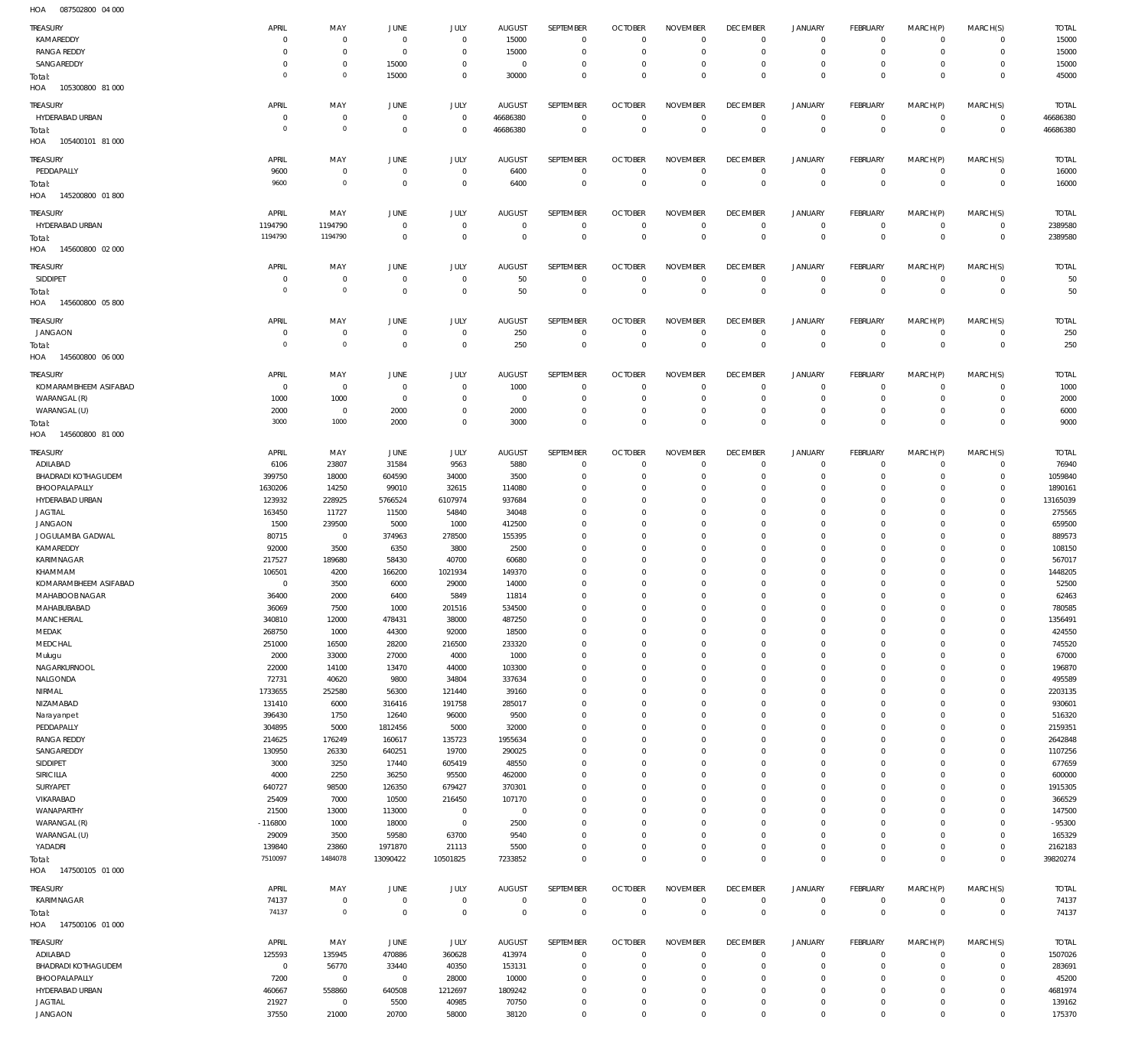087502800 04 000 HOA

| TREASURY<br>KAMAREDDY      |                |                         |                |                |                |                  |                            |                 |                            |                                    |                            |                  |                            |                  |
|----------------------------|----------------|-------------------------|----------------|----------------|----------------|------------------|----------------------------|-----------------|----------------------------|------------------------------------|----------------------------|------------------|----------------------------|------------------|
|                            | APRIL          | MAY                     | JUNE           | JULY           | <b>AUGUST</b>  | SEPTEMBER        | <b>OCTOBER</b>             | <b>NOVEMBER</b> | <b>DECEMBER</b>            | <b>JANUARY</b>                     | <b>FEBRUARY</b>            | MARCH(P)         | MARCH(S)                   | <b>TOTAL</b>     |
|                            | $\mathbf 0$    | $\mathbf 0$             | $\overline{0}$ | $\mathbf 0$    | 15000          | $\mathbf 0$      | $\overline{0}$             | $\Omega$        | $\mathbf 0$                | $\mathbf 0$                        | $\circ$                    | $\Omega$         | $\mathbf 0$                | 15000            |
| <b>RANGA REDDY</b>         | $\mathbf 0$    | 0                       |                | $\mathbf 0$    | 15000          | $\mathbf 0$      | $^{\circ}$                 | 0               | $^{\circ}$                 | 0                                  | $\overline{0}$             | $\Omega$         | $\mathbf 0$                | 15000            |
|                            |                |                         | $\overline{0}$ |                |                |                  |                            |                 |                            |                                    |                            |                  |                            |                  |
| SANGAREDDY                 | $\mathbf 0$    | $\mathbf 0$             | 15000          | $\mathbf 0$    | $^{\circ}$     | $\mathbf 0$      | $\mathbf 0$                | 0               | $\mathbf 0$                | 0                                  | $\mathbf 0$                | $\Omega$         | $^{\circ}$                 | 15000            |
| Total:                     | $\circ$        | $\mathbf 0$             | 15000          | $\mathbf 0$    | 30000          | $\Omega$         | $\mathbf 0$                | $\Omega$        | $\mathbf 0$                | $\mathbf 0$                        | $\mathbf 0$                | $\Omega$         | $\mathbf 0$                | 45000            |
| HOA<br>105300800 81 000    |                |                         |                |                |                |                  |                            |                 |                            |                                    |                            |                  |                            |                  |
|                            |                |                         |                |                |                |                  |                            |                 |                            |                                    |                            |                  |                            |                  |
| TREASURY                   | APRIL          | MAY                     | JUNE           | JULY           | <b>AUGUST</b>  | SEPTEMBER        | <b>OCTOBER</b>             | <b>NOVEMBER</b> | <b>DECEMBER</b>            | <b>JANUARY</b>                     | <b>FEBRUARY</b>            | MARCH(P)         | MARCH(S)                   | <b>TOTAL</b>     |
| HYDERABAD URBAN            | $\mathbf 0$    | 0                       | $\overline{0}$ | $\mathbf 0$    | 46686380       | $\mathbf 0$      | $\overline{0}$             | $\mathbf 0$     | $\mathbf 0$                | $\mathbf 0$                        | $\mathsf 0$                | $\mathbf 0$      | $\mathsf 0$                | 46686380         |
| Total:                     | $\overline{0}$ | $\mathbf 0$             | $\overline{0}$ | $\mathbf 0$    | 46686380       | $\mathbf 0$      | $\overline{0}$             | $\mathbf 0$     | $\overline{0}$             | $\mathbf 0$                        | $\mathbb O$                | $\mathbf 0$      | $\overline{0}$             | 46686380         |
| 105400101 81 000<br>HOA    |                |                         |                |                |                |                  |                            |                 |                            |                                    |                            |                  |                            |                  |
|                            |                |                         |                |                |                |                  |                            |                 |                            |                                    |                            |                  |                            |                  |
| TREASURY                   | APRIL          | MAY                     | <b>JUNE</b>    | JULY           | <b>AUGUST</b>  | SEPTEMBER        | <b>OCTOBER</b>             | <b>NOVEMBER</b> | <b>DECEMBER</b>            | <b>JANUARY</b>                     | <b>FEBRUARY</b>            | MARCH(P)         | MARCH(S)                   | <b>TOTAL</b>     |
| PEDDAPALLY                 | 9600           | $\mathbf 0$             | $\overline{0}$ | $\mathbf 0$    | 6400           | $\mathbf 0$      | $\overline{0}$             | $\mathbf 0$     | $\mathbf 0$                | $\mathbf 0$                        | $\overline{0}$             | $\mathbf 0$      | $\overline{0}$             | 16000            |
|                            |                |                         |                |                |                |                  |                            |                 |                            |                                    |                            |                  |                            |                  |
| Total:                     | 9600           | $\mathbf 0$             | $\mathsf 0$    | $\mathbf 0$    | 6400           | $\mathbf 0$      | $\mathbb O$                | $\mathbf 0$     | $\overline{0}$             | $\mathbf 0$                        | $\mathbb O$                | $\mathbf 0$      | $\mathbf 0$                | 16000            |
| 145200800 01800<br>HOA     |                |                         |                |                |                |                  |                            |                 |                            |                                    |                            |                  |                            |                  |
|                            |                |                         |                |                |                |                  |                            |                 |                            |                                    |                            |                  |                            |                  |
| TREASURY                   | APRIL          | MAY                     | <b>JUNE</b>    | JULY           | <b>AUGUST</b>  | SEPTEMBER        | <b>OCTOBER</b>             | <b>NOVEMBER</b> | <b>DECEMBER</b>            | <b>JANUARY</b>                     | <b>FEBRUARY</b>            | MARCH(P)         | MARCH(S)                   | <b>TOTAL</b>     |
| HYDERABAD URBAN            | 1194790        | 1194790                 | $\overline{0}$ | $\mathbf 0$    | $\mathbf 0$    | $\mathbf 0$      | $\overline{0}$             | $\mathbf 0$     | $\overline{0}$             | $\mathbf 0$                        | $\mathsf 0$                | $\mathbf 0$      | $\mathsf 0$                | 2389580          |
| Total:                     | 1194790        | 1194790                 | $\mathsf 0$    | $\mathbf 0$    | $\mathbf 0$    | $\mathbf 0$      | $\mathbb O$                | $\mathbf 0$     | $\mathbf 0$                | $\bf 0$                            | $\mathbb O$                | $\mathbf 0$      | $\mathbf 0$                | 2389580          |
| 145600800 02 000<br>HOA    |                |                         |                |                |                |                  |                            |                 |                            |                                    |                            |                  |                            |                  |
|                            |                |                         |                |                |                |                  |                            |                 |                            |                                    |                            |                  |                            |                  |
| TREASURY                   | APRIL          | MAY                     | <b>JUNE</b>    | JULY           | <b>AUGUST</b>  | SEPTEMBER        | <b>OCTOBER</b>             | <b>NOVEMBER</b> | <b>DECEMBER</b>            | <b>JANUARY</b>                     | <b>FEBRUARY</b>            | MARCH(P)         | MARCH(S)                   | <b>TOTAL</b>     |
| SIDDIPET                   | $\mathbf 0$    | $\mathbf 0$             | $\overline{0}$ | $\mathbf 0$    | 50             | $\mathbf 0$      | $\mathbf 0$                | $\mathbf 0$     | $\mathbf 0$                | $\mathbf 0$                        | $\circ$                    | 0                | $\mathbf 0$                | 50               |
|                            |                |                         |                |                |                |                  |                            |                 |                            |                                    |                            |                  |                            |                  |
| Total:                     | $\overline{0}$ | $\mathbf 0$             | $\mathsf 0$    | $\mathbf 0$    | 50             | $\mathbf 0$      | $\overline{0}$             | $\mathbf 0$     | $\mathbf 0$                | $\mathbf 0$                        | $\overline{0}$             | $\mathbf 0$      | $\overline{0}$             | 50               |
| 145600800 05800<br>HOA     |                |                         |                |                |                |                  |                            |                 |                            |                                    |                            |                  |                            |                  |
|                            |                |                         |                |                |                |                  |                            |                 |                            |                                    |                            |                  |                            |                  |
| TREASURY                   | APRIL          | MAY                     | <b>JUNE</b>    | JULY           | <b>AUGUST</b>  | SEPTEMBER        | <b>OCTOBER</b>             | <b>NOVEMBER</b> | <b>DECEMBER</b>            | <b>JANUARY</b>                     | <b>FEBRUARY</b>            | MARCH(P)         | MARCH(S)                   | <b>TOTAL</b>     |
| <b>JANGAON</b>             | $\mathbf 0$    | 0                       | $\overline{0}$ | 0              | 250            | 0                | $\mathbf 0$                | 0               | $\mathbf 0$                | $\mathbf 0$                        | $\overline{0}$             | $\mathbf 0$      | $^{\circ}$                 | 250              |
| Total:                     | $\overline{0}$ | $\mathbf 0$             | $\mathsf 0$    | $\mathbf 0$    | 250            | $\mathbf 0$      | $\mathbb O$                | $\mathbf 0$     | $\mathbf 0$                | $\mathbf 0$                        | $\mathbf 0$                | $\mathbf 0$      | $\overline{0}$             | 250              |
|                            |                |                         |                |                |                |                  |                            |                 |                            |                                    |                            |                  |                            |                  |
| 145600800 06 000<br>HOA    |                |                         |                |                |                |                  |                            |                 |                            |                                    |                            |                  |                            |                  |
| TREASURY                   | APRIL          | MAY                     | <b>JUNE</b>    | JULY           | <b>AUGUST</b>  | <b>SEPTEMBER</b> | <b>OCTOBER</b>             | <b>NOVEMBER</b> | <b>DECEMBER</b>            | <b>JANUARY</b>                     | <b>FEBRUARY</b>            | MARCH(P)         | MARCH(S)                   | <b>TOTAL</b>     |
|                            |                |                         |                |                |                |                  |                            |                 |                            |                                    |                            |                  |                            |                  |
| KOMARAMBHEEM ASIFABAD      | $^{\circ}$     | $\mathbf 0$             | $\overline{0}$ | $\mathbf 0$    | 1000           | $\mathbf 0$      | $^{\circ}$                 | $\mathbf 0$     | $\mathbf 0$                | $\mathbf 0$                        | $^{\circ}$                 | $\Omega$         | $^{\circ}$                 | 1000             |
| WARANGAL (R)               | 1000           | 1000                    | $\overline{0}$ | $\mathbf 0$    | $^{\circ}$     | $\mathbf 0$      | $^{\circ}$                 | $\Omega$        | $\mathbf 0$                | 0                                  | $\overline{0}$             | $\Omega$         | $\mathbf 0$                | 2000             |
| WARANGAL (U)               | 2000           | $\mathbf 0$             | 2000           | $\mathbf 0$    | 2000           | $\mathbf 0$      | $\mathbf 0$                | $\mathbf 0$     | $^{\circ}$                 | 0                                  | $\overline{0}$             | $\mathbf 0$      | $^{\circ}$                 | 6000             |
|                            | 3000           | 1000                    | 2000           | 0              | 3000           | $\mathbf 0$      | $\mathbf 0$                | $\mathbf 0$     | $\mathbf 0$                | $\mathbf 0$                        | $\mathbf 0$                | $\Omega$         | $\mathbf 0$                | 9000             |
| Total:                     |                |                         |                |                |                |                  |                            |                 |                            |                                    |                            |                  |                            |                  |
| 145600800 81 000<br>HOA    |                |                         |                |                |                |                  |                            |                 |                            |                                    |                            |                  |                            |                  |
|                            | APRIL          | MAY                     | JUNE           |                | <b>AUGUST</b>  | SEPTEMBER        | <b>OCTOBER</b>             | <b>NOVEMBER</b> | <b>DECEMBER</b>            | <b>JANUARY</b>                     | <b>FEBRUARY</b>            | MARCH(P)         | MARCH(S)                   | <b>TOTAL</b>     |
| TREASURY                   |                |                         |                | <b>JULY</b>    |                |                  |                            |                 |                            |                                    |                            |                  |                            |                  |
| ADILABAD                   | 6106           | 23807                   | 31584          | 9563           | 5880           | $^{\circ}$       | $\mathbf{0}$               | $\mathbf 0$     | $^{\circ}$                 | $\mathbf 0$                        | $\overline{0}$             | $\mathbf 0$      | $\overline{0}$             | 76940            |
| <b>BHADRADI KOTHAGUDEM</b> | 399750         | 18000                   | 604590         | 34000          | 3500           | $\mathbf 0$      | $\overline{0}$             | 0               | $\mathbf 0$                | 0                                  | $\overline{0}$             | $\Omega$         | $\mathbf 0$                | 1059840          |
| BHOOPALAPALLY              | 1630206        | 14250                   | 99010          | 32615          | 114080         | $\Omega$         | $^{\circ}$                 | $\Omega$        | $\mathbf 0$                | 0                                  | $^{\circ}$                 | $\Omega$         | $\mathbf 0$                | 1890161          |
| HYDERABAD URBAN            |                | 228925                  | 5766524        | 6107974        | 937684         | $\mathbf 0$      | $^{\circ}$                 | $\Omega$        | $^{\circ}$                 | 0                                  | $\overline{0}$             | 0                | $\mathbf 0$                | 13165039         |
|                            | 123932         |                         |                |                |                |                  |                            |                 |                            |                                    |                            |                  |                            |                  |
| <b>JAGTIAL</b>             | 163450         | 11727                   | 11500          | 54840          | 34048          | $\Omega$         | $\mathbf 0$                | $\Omega$        | $\mathbf 0$                | 0                                  | $^{\circ}$                 | 0                | $\Omega$                   | 275565           |
| <b>JANGAON</b>             | 1500           | 239500                  | 5000           | 1000           | 412500         | $\mathbf 0$      | $^{\circ}$                 | $\Omega$        | $\mathbf 0$                | 0                                  | $\overline{0}$             | 0                | $\mathbf 0$                | 659500           |
| JOGULAMBA GADWAL           | 80715          | $\overline{0}$          | 374963         | 278500         | 155395         | $\Omega$         | $\mathbf 0$                | 0               | $\mathbf 0$                | 0                                  | $^{\circ}$                 | 0                | $^{\circ}$                 | 889573           |
|                            |                |                         |                |                |                | $\mathbf 0$      |                            |                 |                            |                                    |                            |                  |                            |                  |
|                            |                |                         |                |                |                |                  | $^{\circ}$                 | $\Omega$        | $\mathbf 0$                | 0                                  | $^{\circ}$                 | 0                | $^{\circ}$                 | 108150           |
| KAMAREDDY                  | 92000          | 3500                    | 6350           | 3800           | 2500           |                  |                            |                 |                            |                                    |                            |                  |                            |                  |
| KARIMNAGAR                 | 217527         | 189680                  | 58430          | 40700          | 60680          | $\Omega$         | $\mathbf 0$                | 0               | $\mathbf 0$                | 0                                  | $^{\circ}$                 | 0                | $^{\circ}$                 | 567017           |
|                            |                |                         |                |                |                | $\Omega$         | $\mathbf 0$                | $\Omega$        | $\mathbf 0$                | 0                                  | $^{\circ}$                 | 0                | $^{\circ}$                 |                  |
| KHAMMAM                    | 106501         | 4200                    | 166200         | 1021934        | 149370         |                  |                            |                 |                            |                                    |                            |                  |                            | 1448205          |
| KOMARAMBHEEM ASIFABAD      | $\mathbf{0}$   | 3500                    | 6000           | 29000          | 14000          | $\Omega$         | $\mathbf 0$                | $\mathbf 0$     | $\mathbf 0$                | $\Omega$                           | $\mathbf 0$                | $\Omega$         | $\Omega$                   | 52500            |
| MAHABOOB NAGAR             | 36400          | 2000                    | 6400           | 5849           | 11814          | $\mathbf 0$      | $\Omega$                   | $\Omega$        | $\mathbf 0$                | $\mathbf 0$                        | $\Omega$                   | $\Omega$         | $\mathbf 0$                | 62463            |
| MAHABURARAD                | 36069          | 7500                    | 1000           | 201516         | 534500         | $\Omega$         | $\Omega$                   | $\Omega$        | $\Omega$                   | $\Omega$                           | $\Omega$                   | $\Omega$         | $\Omega$                   | 780585           |
|                            |                |                         |                |                |                | 0                | $\mathbf 0$                | $\mathbf 0$     | 0                          | 0                                  |                            | $\mathbf 0$      | $\mathbf 0$                |                  |
| MANCHERIAL                 | 340810         | 12000                   | 478431         | 38000          | 487250         |                  |                            |                 |                            |                                    | $\mathsf 0$                |                  |                            | 1356491          |
| MEDAK                      | 268750         | 1000                    | 44300          | 92000          | 18500          | $\mathbf 0$      | $\mathbf 0$                | $\mathbf 0$     | $\bf 0$                    | $\mathsf{O}\xspace$                | $\mathbf 0$                | 0                | $\mathbf 0$                | 424550           |
| MEDCHAL                    | 251000         | 16500                   | 28200          | 216500         | 233320         | $\mathbf 0$      | $\mathbf{0}$               | $\mathbf 0$     | $\mathbf 0$                | 0                                  | $\mathbf 0$                | $\Omega$         | $\mathbf 0$                | 745520           |
| Mulugu                     | 2000           | 33000                   | 27000          | 4000           | 1000           | $\mathbf 0$      | $\bf 0$                    | $\mathbf 0$     | $\mathbf 0$                | 0                                  | $\mathbf 0$                | $\Omega$         | $\mathbf 0$                | 67000            |
| NAGARKURNOOL               | 22000          | 14100                   | 13470          | 44000          | 103300         | $\mathbf 0$      | $\mathbf{0}$               | $\mathbf 0$     | $\mathbf 0$                | 0                                  | $\mathbf 0$                | $\Omega$         | $\mathbf 0$                | 196870           |
|                            |                |                         |                |                |                |                  |                            |                 |                            |                                    |                            |                  |                            |                  |
| NALGONDA                   | 72731          | 40620                   | 9800           | 34804          | 337634         | $\mathbf 0$      | $\mathbf 0$                | $\mathbf 0$     | $\bf 0$                    | 0                                  | $^{\circ}$                 | 0                | $\mathbf 0$                | 495589           |
| NIRMAL                     | 1733655        | 252580                  | 56300          | 121440         | 39160          | $\mathbf 0$      | $\mathbf{0}$               | $\mathbf 0$     | $\mathbf 0$                | 0                                  | $\mathbf 0$                | $\Omega$         | $\mathbf 0$                | 2203135          |
| NIZAMABAD                  | 131410         | 6000                    | 316416         | 191758         | 285017         | $\mathbf 0$      | $\mathbf{0}$               | $\mathbf 0$     | $\mathbf 0$                | 0                                  | $\mathbf 0$                | $\Omega$         | $\Omega$                   | 930601           |
| Narayanpet                 | 396430         | 1750                    | 12640          | 96000          | 9500           | 0                | $\mathbf 0$                | $\mathbf 0$     | $\bf 0$                    | 0                                  | $\mathbf 0$                | $\Omega$         | $\mathbf 0$                | 516320           |
| PEDDAPALLY                 | 304895         | 5000                    | 1812456        | 5000           | 32000          | $\mathbf 0$      | $\mathbf 0$                | $\mathbf 0$     | $\mathbf 0$                | 0                                  | $\mathbf 0$                | $\Omega$         | $\Omega$                   | 2159351          |
|                            |                |                         |                |                |                | $\mathbf 0$      |                            | $\mathbf 0$     | $\mathbf 0$                | 0                                  | $\mathbf 0$                | $\Omega$         | $\mathbf 0$                |                  |
| <b>RANGA REDDY</b>         | 214625         | 176249                  | 160617         | 135723         | 1955634        |                  | $\mathbf 0$                |                 |                            |                                    |                            |                  |                            | 2642848          |
| SANGAREDDY                 | 130950         | 26330                   | 640251         | 19700          | 290025         | $\mathbf 0$      | $\mathbf 0$                | $\mathbf 0$     | $\mathbf 0$                | 0                                  | $\mathbf 0$                | $\Omega$         | $\Omega$                   | 1107256          |
| SIDDIPET                   | 3000           | 3250                    | 17440          | 605419         | 48550          | $\mathbf 0$      | $\mathbf{0}$               | $\mathbf 0$     | $\mathbf 0$                | 0                                  | $\mathbf 0$                | $\Omega$         | $\mathbf 0$                | 677659           |
| SIRICILLA                  | 4000           | 2250                    | 36250          | 95500          | 462000         | $\mathbf 0$      | $\mathbf 0$                | $\mathbf 0$     | $\bf 0$                    | 0                                  | $\mathbf 0$                | 0                | $^{\circ}$                 | 600000           |
|                            |                |                         |                |                |                | $\mathbf 0$      | $\mathbf{0}$               | $\Omega$        | $\mathbf 0$                | 0                                  | $\mathbf 0$                | $\Omega$         | $\mathbf 0$                |                  |
| SURYAPET                   | 640727         | 98500                   | 126350         | 679427         | 370301         |                  |                            |                 |                            |                                    |                            |                  |                            | 1915305          |
| VIKARABAD                  | 25409          | 7000                    | 10500          | 216450         | 107170         | $\mathbf 0$      | $\mathbf{0}$               | $\mathbf 0$     | $\mathbf 0$                | 0                                  | $\mathbf 0$                | $\Omega$         | $\Omega$                   | 366529           |
| WANAPARTHY                 | 21500          | 13000                   | 113000         | $\mathbf 0$    | $\overline{0}$ | $\mathbf 0$      | $\mathbf 0$                | $\mathbf 0$     | $\bf 0$                    | 0                                  | $\mathbf 0$                | $\Omega$         | $\mathbf 0$                | 147500           |
| WARANGAL (R)               | $-116800$      | 1000                    | 18000          | $\overline{0}$ | 2500           | $\mathbf 0$      | $\mathbf 0$                | $\mathbf 0$     | $\mathbf 0$                | 0                                  | $\mathbf 0$                | $\Omega$         | $\Omega$                   | $-95300$         |
| WARANGAL (U)               | 29009          | 3500                    | 59580          | 63700          | 9540           | $\mathbf 0$      | $\mathbf 0$                | $\mathbf 0$     | $\mathbf 0$                | 0                                  | $\mathbf 0$                | $\Omega$         | $\mathbf 0$                | 165329           |
|                            |                |                         |                |                |                |                  |                            |                 |                            |                                    |                            |                  |                            |                  |
| YADADRI                    | 139840         | 23860                   | 1971870        | 21113          | 5500           | $\mathbf 0$      | $\mathbf 0$                | $\bf 0$         | $\mathbf 0$                | $\mathbf 0$                        | $\mathbf 0$                | 0                | $\overline{0}$             | 2162183          |
| Total:                     | 7510097        | 1484078                 | 13090422       | 10501825       | 7233852        | $\mathbf 0$      | $\overline{0}$             | $\mathbf 0$     | $\overline{0}$             | $\mathbf 0$                        | $\mathbb O$                | 0                | $\mathbf 0$                | 39820274         |
| 147500105 01 000<br>HOA    |                |                         |                |                |                |                  |                            |                 |                            |                                    |                            |                  |                            |                  |
|                            |                |                         |                |                |                |                  |                            |                 |                            |                                    |                            |                  |                            |                  |
| TREASURY                   | APRIL          | MAY                     | <b>JUNE</b>    | JULY           | <b>AUGUST</b>  | SEPTEMBER        | <b>OCTOBER</b>             | <b>NOVEMBER</b> | <b>DECEMBER</b>            | <b>JANUARY</b>                     | <b>FEBRUARY</b>            | MARCH(P)         | MARCH(S)                   | <b>TOTAL</b>     |
| KARIMNAGAR                 | 74137          | 0                       | $\mathbf 0$    | 0              | $\bf 0$        | $\bf 0$          | $\mathbf 0$                | $\bf 0$         | $\mathbf 0$                | $\mathbf 0$                        | $\overline{0}$             | 0                | $\mathsf 0$                | 74137            |
|                            |                | $\mathbb O$             |                |                |                |                  |                            |                 |                            |                                    |                            |                  |                            |                  |
| Total:                     | 74137          |                         | $\mathsf 0$    | $\mathbf 0$    | $\overline{0}$ | $\overline{0}$   | $\mathbf 0$                | $\overline{0}$  | $\mathbf 0$                | $\overline{0}$                     | $\mathbf 0$                | $\mathbf{0}$     | $\overline{0}$             | 74137            |
| HOA  147500106  01 000     |                |                         |                |                |                |                  |                            |                 |                            |                                    |                            |                  |                            |                  |
|                            |                |                         |                |                |                |                  |                            |                 |                            |                                    |                            |                  |                            |                  |
| TREASURY                   | APRIL          | MAY                     | JUNE           | JULY           | <b>AUGUST</b>  | SEPTEMBER        | <b>OCTOBER</b>             | <b>NOVEMBER</b> | <b>DECEMBER</b>            | <b>JANUARY</b>                     | <b>FEBRUARY</b>            | MARCH(P)         | MARCH(S)                   | <b>TOTAL</b>     |
| ADILABAD                   | 125593         | 135945                  | 470886         | 360628         | 413974         | $\mathbf 0$      | $\overline{0}$             | 0               | $\mathbf 0$                | $\mathbf 0$                        | $\mathsf 0$                | $\mathbf 0$      | $\mathbf 0$                | 1507026          |
| <b>BHADRADI KOTHAGUDEM</b> | $\overline{0}$ | 56770                   | 33440          | 40350          | 153131         | $\mathbf 0$      | $\mathbf{0}$               | $\mathbf 0$     | $\mathbf{0}$               | $\mathbf 0$                        | $\overline{0}$             | 0                | $\overline{0}$             | 283691           |
| BHOOPALAPALLY              | 7200           | $\overline{0}$          | $\overline{0}$ | 28000          | 10000          | 0                | $\mathbf 0$                | $\mathbf 0$     | $\mathbf 0$                | 0                                  | $\circ$                    | $\Omega$         | $\mathbf 0$                | 45200            |
|                            |                |                         |                |                |                |                  |                            |                 |                            |                                    |                            |                  |                            |                  |
| HYDERABAD URBAN            | 460667         | 558860                  | 640508         | 1212697        | 1809242        | $\mathbf 0$      | $\mathbf 0$                | $\mathbf 0$     | $\mathbf 0$                | $\mathbf 0$                        | $\mathbf 0$                | $\Omega$         | $\mathbf 0$                | 4681974          |
| JAGTIAL<br><b>JANGAON</b>  | 21927<br>37550 | $\overline{0}$<br>21000 | 5500<br>20700  | 40985<br>58000 | 70750<br>38120 | 0<br>$\mathbf 0$ | $\mathbf 0$<br>$\mathbf 0$ | 0<br>$\bf 0$    | $\mathbf 0$<br>$\mathbf 0$ | $\mathsf{O}\xspace$<br>$\mathbf 0$ | $\mathsf 0$<br>$\mathbf 0$ | 0<br>$\mathbf 0$ | $\mathbf 0$<br>$\mathbf 0$ | 139162<br>175370 |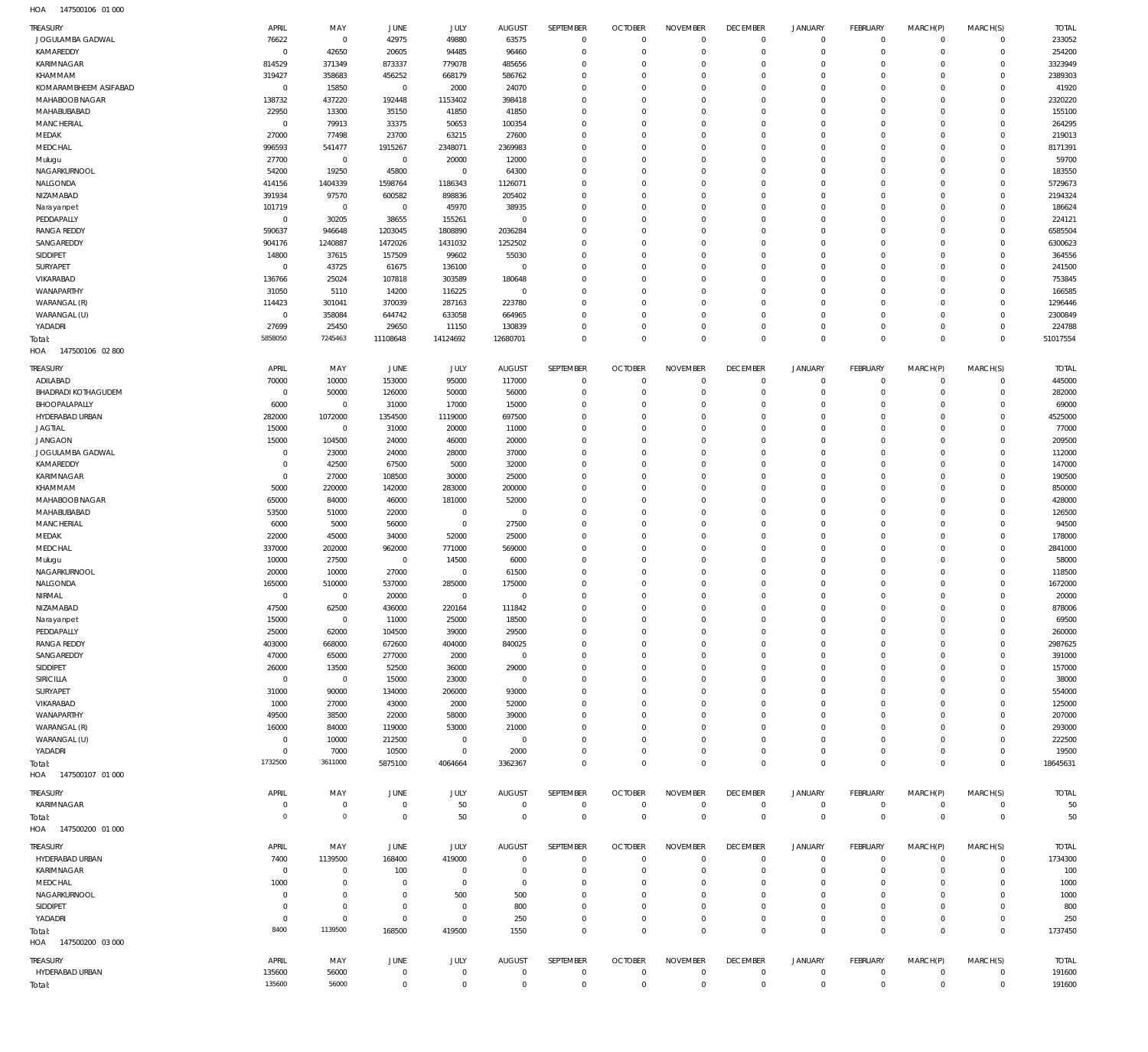| TREASURY                        | APRIL                  | MAY                     | <b>JUNE</b>              | JULY                   | <b>AUGUST</b>    | SEPTEMBER                  | <b>OCTOBER</b>                   | <b>NOVEMBER</b>           | <b>DECEMBER</b>              | <b>JANUARY</b>              | <b>FEBRUARY</b>            | MARCH(P)                  | MARCH(S)                   | <b>TOTAL</b>      |
|---------------------------------|------------------------|-------------------------|--------------------------|------------------------|------------------|----------------------------|----------------------------------|---------------------------|------------------------------|-----------------------------|----------------------------|---------------------------|----------------------------|-------------------|
| JOGULAMBA GADWAL                | 76622                  | $\overline{0}$          | 42975                    | 49880                  | 63575            | $\mathbf 0$                | $\mathbf 0$                      | $^{\circ}$                | $\mathbf{0}$                 | $\mathbf 0$                 | $\mathbf 0$                | $\mathbf 0$               | $\mathbf 0$                | 233052            |
| KAMAREDDY                       | $\overline{0}$         | 42650                   | 20605                    | 94485                  | 96460            | $\mathbf 0$                | $\overline{0}$                   | $^{\circ}$                | $\mathbf{0}$                 | $\mathbf 0$                 | $\mathbf 0$                | $\mathbf 0$               | $\mathbf 0$                | 254200            |
| KARIMNAGAR                      | 814529                 | 371349                  | 873337                   | 779078                 | 485656           | $\mathbf 0$                | $\overline{0}$                   | $^{\circ}$                | $\mathbf{0}$                 | $\mathbf 0$                 | $\mathbf 0$                | $\Omega$                  | $\mathbf 0$                | 3323949           |
| KHAMMAM                         | 319427                 | 358683                  | 456252                   | 668179                 | 586762           | $\mathbf 0$                | $\overline{0}$                   | $\Omega$                  | $\Omega$                     | $\Omega$                    | $\mathbf 0$                | 0                         | $\mathbf 0$                | 2389303           |
| KOMARAMBHEEM ASIFABAD           | $\mathbf 0$            | 15850                   | $\overline{0}$           | 2000                   | 24070            | $\mathbf 0$                | $\overline{0}$                   | $\Omega$                  | $\Omega$                     | $\Omega$                    | $\mathbf 0$                | $\Omega$                  | $\mathbf 0$                | 41920             |
| MAHABOOB NAGAR<br>MAHABUBABAD   | 138732<br>22950        | 437220<br>13300         | 192448<br>35150          | 1153402<br>41850       | 398418<br>41850  | $\mathbf 0$<br>$\mathbf 0$ | $\overline{0}$<br>$\overline{0}$ | $\circ$<br>$\Omega$       | $\Omega$<br>$\Omega$         | $\Omega$<br>$\Omega$        | $\mathbf 0$<br>$\mathbf 0$ | 0<br>$\Omega$             | $\mathbf 0$<br>$\mathbf 0$ | 2320220<br>155100 |
| MANCHERIAL                      | $\overline{0}$         | 79913                   | 33375                    | 50653                  | 100354           | $\mathbf 0$                | $\overline{0}$                   | $\Omega$                  | $\Omega$                     | $\Omega$                    | $\mathbf 0$                | $\Omega$                  | $\mathbf 0$                | 264295            |
| MEDAK                           | 27000                  | 77498                   | 23700                    | 63215                  | 27600            | $\mathbf 0$                | $\overline{0}$                   | $\Omega$                  | $\Omega$                     | $\Omega$                    | $\mathbf 0$                | $\Omega$                  | $\mathbf 0$                | 219013            |
| MEDCHAL                         | 996593                 | 541477                  | 1915267                  | 2348071                | 2369983          | $\mathbf 0$                | $\overline{0}$                   | $\Omega$                  | $\Omega$                     | $\Omega$                    | $\mathbf 0$                | $\Omega$                  | $\mathbf 0$                | 8171391           |
| Mulugu                          | 27700                  | $\overline{0}$          | $\overline{0}$           | 20000                  | 12000            | $\mathbf 0$                | $\overline{0}$                   | $\Omega$                  | $\Omega$                     | $\Omega$                    | $\mathbf 0$                | $\Omega$                  | $\mathbf 0$                | 59700             |
| NAGARKURNOOL                    | 54200                  | 19250                   | 45800                    | $\mathbf{0}$           | 64300            | $\mathbf 0$                | $\overline{0}$                   | $\Omega$                  | $\Omega$                     | $\Omega$                    | $\mathbf 0$                | $\Omega$                  | $\mathbf 0$                | 183550            |
| NALGONDA                        | 414156                 | 1404339                 | 1598764                  | 1186343                | 1126071          | $\mathbf 0$                | $\overline{0}$                   | $^{\circ}$                | $\mathbf{0}$                 | $\Omega$                    | $\mathbf 0$                | 0                         | $\mathbf 0$                | 5729673           |
| NIZAMABAD                       | 391934                 | 97570                   | 600582                   | 898836                 | 205402           | $\mathbf 0$                | $\overline{0}$                   | $\Omega$                  | $\Omega$                     | $\Omega$                    | $\mathbf 0$                | $\Omega$                  | $\mathbf 0$                | 2194324           |
| Narayanpet                      | 101719                 | $\overline{0}$          | $\overline{0}$           | 45970                  | 38935            | $\mathbf 0$                | $\overline{0}$                   | $\Omega$                  | $\mathbf{0}$                 | $\Omega$                    | $\mathbf 0$                | 0                         | $\mathbf 0$                | 186624            |
| PEDDAPALLY                      | $\overline{0}$         | 30205                   | 38655                    | 155261                 | $\overline{0}$   | $\mathbf 0$                | $\overline{0}$                   | $\Omega$                  | $\Omega$                     | $\Omega$                    | $\mathbf 0$                | $\Omega$                  | $\mathbf 0$                | 224121            |
| <b>RANGA REDDY</b>              | 590637                 | 946648                  | 1203045                  | 1808890                | 2036284          | $\mathbf 0$                | $\overline{0}$                   | $\Omega$                  | $\mathbf{0}$<br>$\Omega$     | $\Omega$                    | $\mathbf 0$                | $\Omega$                  | $\mathbf 0$                | 6585504           |
| SANGAREDDY<br>SIDDIPET          | 904176<br>14800        | 1240887<br>37615        | 1472026<br>157509        | 1431032<br>99602       | 1252502<br>55030 | $\mathbf 0$<br>$\mathbf 0$ | $\overline{0}$<br>$\overline{0}$ | $\Omega$<br>$\Omega$      | $\Omega$                     | $\Omega$<br>$\Omega$        | $\mathbf 0$<br>$\mathbf 0$ | $\Omega$<br>$\Omega$      | $\mathbf 0$<br>$\mathbf 0$ | 6300623<br>364556 |
| SURYAPET                        | $\overline{0}$         | 43725                   | 61675                    | 136100                 | $\overline{0}$   | $\mathbf 0$                | $\overline{0}$                   | $\Omega$                  | $\Omega$                     | $\Omega$                    | $\mathbf 0$                | $\Omega$                  | $\mathbf 0$                | 241500            |
| VIKARABAD                       | 136766                 | 25024                   | 107818                   | 303589                 | 180648           | $\mathbf 0$                | $\overline{0}$                   | $\Omega$                  | $\Omega$                     | $\Omega$                    | $\mathbf 0$                | $\Omega$                  | $\mathbf 0$                | 753845            |
| WANAPARTHY                      | 31050                  | 5110                    | 14200                    | 116225                 | $\overline{0}$   | $\mathbf 0$                | $\overline{0}$                   | $^{\circ}$                | $\Omega$                     | $\Omega$                    | $\mathbf 0$                | 0                         | $\mathbf 0$                | 166585            |
| WARANGAL (R)                    | 114423                 | 301041                  | 370039                   | 287163                 | 223780           | $\mathbf 0$                | $\overline{0}$                   | $\Omega$                  | $\Omega$                     | $\Omega$                    | $\mathbf 0$                | $\Omega$                  | $\mathbf 0$                | 1296446           |
| WARANGAL (U)                    | $\overline{0}$         | 358084                  | 644742                   | 633058                 | 664965           | $\mathbf 0$                | $\overline{0}$                   | $\Omega$                  | $\Omega$                     | $\Omega$                    | $\mathbf 0$                | 0                         | $\mathbf 0$                | 2300849           |
| YADADRI                         | 27699                  | 25450                   | 29650                    | 11150                  | 130839           | $\mathbf 0$                | $\overline{0}$                   | $\mathbf{0}$              | $\mathbf{0}$                 | $\Omega$                    | $\mathbb O$                | $\Omega$                  | $\mathbf 0$                | 224788            |
| Total:                          | 5858050                | 7245463                 | 11108648                 | 14124692               | 12680701         | $\mathbf 0$                | $\overline{0}$                   | $\Omega$                  | $\Omega$                     | $\Omega$                    | $\mathbb O$                | $\mathbf 0$               | $\mathbb O$                | 51017554          |
| HOA<br>147500106 02 800         |                        |                         |                          |                        |                  |                            |                                  |                           |                              |                             |                            |                           |                            |                   |
| TREASURY                        | APRIL                  | MAY                     | JUNE                     | JULY                   | AUGUST           | SEPTEMBER                  | <b>OCTOBER</b>                   | <b>NOVEMBER</b>           | <b>DECEMBER</b>              | <b>JANUARY</b>              | <b>FEBRUARY</b>            | MARCH(P)                  | MARCH(S)                   | <b>TOTAL</b>      |
| ADILABAD<br>BHADRADI KOTHAGUDEM | 70000                  | 10000                   | 153000                   | 95000                  | 117000           | $\mathbf 0$                | $\overline{0}$                   | $\Omega$                  | $\mathbf{0}$                 | $\mathbf 0$                 | $\mathbf 0$                | $\mathbf 0$               | $\mathbf 0$                | 445000            |
| BHOOPALAPALLY                   | $\overline{0}$<br>6000 | 50000<br>$\overline{0}$ | 126000<br>31000          | 50000<br>17000         | 56000<br>15000   | $\mathbf 0$<br>$\mathbf 0$ | $\overline{0}$<br>$\overline{0}$ | $\mathbf{0}$<br>$\Omega$  | $\mathbf{0}$<br>$\mathbf{0}$ | $\circ$<br>$\mathbf 0$      | $\mathbf 0$<br>$\mathbf 0$ | $\mathbf 0$<br>$^{\circ}$ | $\mathbf 0$<br>$\mathbf 0$ | 282000<br>69000   |
| HYDERABAD URBAN                 | 282000                 | 1072000                 | 1354500                  | 1119000                | 697500           | $\mathbf 0$                | $\overline{0}$                   | $\Omega$                  | $\Omega$                     | $\Omega$                    | $\mathbf 0$                | $\Omega$                  | $\mathbf 0$                | 4525000           |
| <b>JAGTIAL</b>                  | 15000                  | $\overline{0}$          | 31000                    | 20000                  | 11000            | $\mathbf 0$                | $\overline{0}$                   | $\Omega$                  | $\mathbf 0$                  | $\Omega$                    | $\mathbf 0$                | $^{\circ}$                | $\mathbf 0$                | 77000             |
| <b>JANGAON</b>                  | 15000                  | 104500                  | 24000                    | 46000                  | 20000            | $\mathbf 0$                | $\overline{0}$                   | $\Omega$                  | $\Omega$                     | $\Omega$                    | $\mathbf 0$                | $\Omega$                  | $\mathbf 0$                | 209500            |
| JOGULAMBA GADWAL                | $\overline{0}$         | 23000                   | 24000                    | 28000                  | 37000            | $\mathbf 0$                | $\overline{0}$                   | $\Omega$                  | $\mathbf 0$                  | $\circ$                     | $\mathbf 0$                | $^{\circ}$                | $\mathbf 0$                | 112000            |
| KAMAREDDY                       | $\overline{0}$         | 42500                   | 67500                    | 5000                   | 32000            | $\mathbf 0$                | $\overline{0}$                   | $\Omega$                  | $\Omega$                     | $\Omega$                    | $\mathbf 0$                | $\Omega$                  | $\mathbf 0$                | 147000            |
| KARIMNAGAR                      | $\overline{0}$         | 27000                   | 108500                   | 30000                  | 25000            | $\mathbf 0$                | $\overline{0}$                   | $\Omega$                  | $\Omega$                     | $\Omega$                    | $\mathbf 0$                | $^{\circ}$                | $\mathbf 0$                | 190500            |
| KHAMMAM                         | 5000                   | 220000                  | 142000                   | 283000                 | 200000           | $\mathbf 0$                | $\overline{0}$                   | $\Omega$                  | $\Omega$                     | $\Omega$                    | $\mathbf 0$                | $\Omega$                  | $\mathbf 0$                | 850000            |
| MAHABOOB NAGAR                  | 65000                  | 84000                   | 46000                    | 181000                 | 52000            | $\mathbf 0$                | $\overline{0}$                   | $\Omega$                  | $\mathbf{0}$                 | $\Omega$                    | $\mathbf 0$                | $\Omega$                  | $\mathbf 0$                | 428000            |
| MAHABUBABAD                     | 53500                  | 51000                   | 22000                    | $\overline{0}$         | $\overline{0}$   | $\mathbf 0$                | $\overline{0}$                   | $^{\circ}$                | $\mathbf{0}$                 | $\Omega$                    | $\mathbf 0$                | $^{\circ}$                | $\mathbf 0$                | 126500            |
| MANCHERIAL                      | 6000                   | 5000                    | 56000                    | $\mathbf{0}$           | 27500            | $\mathbf 0$                | $\overline{0}$                   | $\Omega$                  | $\Omega$                     | $\Omega$                    | $\mathbf 0$                | $\Omega$                  | $\mathbf 0$                | 94500             |
| MEDAK                           | 22000                  | 45000                   | 34000                    | 52000                  | 25000            | $\mathbf 0$<br>$\mathbf 0$ | $\overline{0}$<br>$\overline{0}$ | $^{\circ}$<br>$\Omega$    | $\mathbf{0}$<br>$\mathbf{0}$ | $\Omega$<br>$\Omega$        | $\mathbf 0$<br>$\mathbf 0$ | $\mathbf 0$<br>$\Omega$   | $\mathbf 0$<br>$\mathbf 0$ | 178000            |
| MEDCHAL<br>Mulugu               | 337000<br>10000        | 202000<br>27500         | 962000<br>$\overline{0}$ | 771000<br>14500        | 569000<br>6000   | $\mathbf 0$                | $\overline{0}$                   | $^{\circ}$                | $\mathbf{0}$                 | $\Omega$                    | $\mathbf 0$                | $\mathbf 0$               | $\mathbf 0$                | 2841000<br>58000  |
| NAGARKURNOOL                    | 20000                  | 10000                   | 27000                    | $\mathbf 0$            | 61500            | $\mathbf 0$                | $\overline{0}$                   | $\Omega$                  | $\Omega$                     | $\Omega$                    | $\mathbf 0$                | $\Omega$                  | $\mathbf 0$                | 118500            |
| NALGONDA                        | 165000                 | 510000                  | 537000                   | 285000                 | 175000           | $\mathbf 0$                | $\overline{0}$                   | $^{\circ}$                | $\mathbf{0}$                 | $\Omega$                    | $\mathbf 0$                | $\mathbf 0$               | $\mathbf 0$                | 1672000           |
| NIRMAL                          | $\overline{0}$         | $\mathbf 0$             | 20000                    | $\mathbf{0}$           | $\mathbb O$      | $\mathbf 0$                | $\mathbb O$                      | $\mathbf 0$               | $\mathbb O$                  | $\Omega$                    | $\mathbf 0$                | $\Omega$                  | $\mathbf 0$                | 20000             |
| NIZAMABAD                       | 47500                  | 62500                   | 436000                   | 220164                 | 111842           | $\mathbf 0$                | $\mathbf 0$                      | $\mathbf 0$               | $\mathbf 0$                  | $\mathbf 0$                 | $\mathbf 0$                | $\mathbf 0$               | $\mathbf 0$                | 878006            |
| Narayanpet                      | 15000                  | $\mathbf 0$             | 11000                    | 25000                  | 18500            | $\mathbf 0$                | $\overline{0}$                   | $^{\circ}$                | $^{\circ}$                   | $\circ$                     | $\mathbf 0$                | $\mathbf 0$               | 0                          | 69500             |
| PEDDAPALLY                      | 25000                  | 62000                   | 104500                   | 39000                  | 29500            | $\mathbf 0$                | $\overline{0}$                   | $^{\circ}$                | $\mathbf{0}$                 | $\mathbf 0$                 | $\mathbf 0$                | $\mathbf 0$               | $\mathbf 0$                | 260000            |
| <b>RANGA REDDY</b>              | 403000                 | 668000                  | 672600                   | 404000                 | 840025           | $\mathbf 0$                | $^{\circ}$                       | $\circ$                   | $^{\circ}$                   | $\circ$                     | $\mathbf 0$                | 0                         | 0                          | 2987625           |
| SANGAREDDY                      | 47000                  | 65000                   | 277000                   | 2000                   | $\overline{0}$   | $\mathbf 0$                | $\overline{0}$                   | $^{\circ}$                | $\mathbf{0}$                 | $\Omega$                    | $\mathbf 0$                | $\Omega$                  | 0                          | 391000            |
| SIDDIPET                        | 26000                  | 13500                   | 52500                    | 36000                  | 29000            | $^{\circ}$                 | $^{\circ}$                       | $^{\circ}$                | $^{\circ}$                   | $\circ$                     | $\mathbf 0$                | 0                         | 0                          | 157000            |
| SIRICILLA                       | $\overline{0}$         | $\mathbf 0$             | 15000                    | 23000                  | $\overline{0}$   | $\mathbf 0$                | $^{\circ}$                       | $^{\circ}$                | $\mathbf{0}$                 | $\Omega$                    | $\mathbf 0$                | $\Omega$                  | 0                          | 38000             |
| SURYAPET<br>VIKARABAD           | 31000<br>1000          | 90000<br>27000          | 134000<br>43000          | 206000<br>2000         | 93000<br>52000   | $\mathbf 0$<br>$\mathbf 0$ | $^{\circ}$<br>$\overline{0}$     | $\circ$<br>$^{\circ}$     | $^{\circ}$<br>$\mathbf{0}$   | $\Omega$<br>$\Omega$        | $\mathbf 0$<br>$\mathbf 0$ | 0<br>0                    | 0<br>0                     | 554000<br>125000  |
| WANAPARTHY                      | 49500                  | 38500                   | 22000                    | 58000                  | 39000            | $\mathbf 0$                | $^{\circ}$                       | $^{\circ}$                | $^{\circ}$                   | $\Omega$                    | $\mathbf 0$                | 0                         | 0                          | 207000            |
| WARANGAL (R)                    | 16000                  | 84000                   | 119000                   | 53000                  | 21000            | $\mathbf 0$                | $^{\circ}$                       | $^{\circ}$                | $^{\circ}$                   | $\circ$                     | $\mathbf 0$                | 0                         | 0                          | 293000            |
| WARANGAL (U)                    | $\overline{0}$         | 10000                   | 212500                   | $\mathbf{0}$           | $\overline{0}$   | $\mathbf 0$                | $^{\circ}$                       | $^{\circ}$                | $\mathbf{0}$                 | $\Omega$                    | $\mathbf 0$                | 0                         | 0                          | 222500            |
| YADADRI                         | $\overline{0}$         | 7000                    | 10500                    | $\overline{0}$         | 2000             | $\mathbf 0$                | $\overline{0}$                   | $^{\circ}$                | $\mathbf{0}$                 | $\mathbf 0$                 | $\mathbf 0$                | 0                         | $\circ$                    | 19500             |
| Total:                          | 1732500                | 3611000                 | 5875100                  | 4064664                | 3362367          | $\mathbf 0$                | $\overline{0}$                   | $\mathbf{0}$              | $\mathbf{0}$                 | $\Omega$                    | $\mathbf 0$                | $\Omega$                  | $\mathbf 0$                | 18645631          |
| HOA<br>147500107 01 000         |                        |                         |                          |                        |                  |                            |                                  |                           |                              |                             |                            |                           |                            |                   |
| TREASURY                        | APRIL                  | MAY                     | JUNE                     | JULY                   | <b>AUGUST</b>    | SEPTEMBER                  | <b>OCTOBER</b>                   | <b>NOVEMBER</b>           | <b>DECEMBER</b>              | <b>JANUARY</b>              | <b>FEBRUARY</b>            | MARCH(P)                  | MARCH(S)                   | <b>TOTAL</b>      |
| KARIMNAGAR                      | $\mathbf 0$            | $\mathbf 0$             | $\overline{0}$           | 50                     | $\overline{0}$   | $\overline{0}$             | $^{\circ}$                       | $\circ$                   | $^{\circ}$                   | $\mathbf 0$                 | 0                          | $\mathbf 0$               | 0                          | 50                |
| Total:<br>HOA 147500200 01 000  | $\overline{0}$         | $\mathbf 0$             | $\mathbf 0$              | 50                     | $\mathbb O$      | $\,0\,$                    | $\mathbb O$                      | $\mathbf{0}$              | $\overline{0}$               | $\mathbf{0}$                | $\mathbb O$                | $\overline{0}$            | $\,0\,$                    | 50                |
| TREASURY                        | APRIL                  | MAY                     | JUNE                     | JULY                   | AUGUST           | SEPTEMBER                  | <b>OCTOBER</b>                   | <b>NOVEMBER</b>           | <b>DECEMBER</b>              | <b>JANUARY</b>              | <b>FEBRUARY</b>            | MARCH(P)                  | MARCH(S)                   | <b>TOTAL</b>      |
| HYDERABAD URBAN                 | 7400                   | 1139500                 | 168400                   | 419000                 | $\overline{0}$   | $\overline{0}$             | $\overline{0}$                   | $^{\circ}$                | $^{\circ}$                   | $\mathbf 0$                 | $\mathbf 0$                | $\mathbf 0$               | $\circ$                    | 1734300           |
| KARIMNAGAR                      | $\overline{0}$         | $\mathbf 0$             | 100                      | $\mathbf 0$            | $\overline{0}$   | $\mathbf 0$                | $\overline{0}$                   | $^{\circ}$                | $\mathbf{0}$                 | 0                           | $\mathbf 0$                | $^{\circ}$                | $\mathbf 0$                | 100               |
| MEDCHAL                         | 1000                   | $\mathbf 0$             | $\overline{0}$           | $^{\circ}$             | $\overline{0}$   | $\mathbf 0$                | $^{\circ}$                       | $\circ$                   | $^{\circ}$                   | $\circ$                     | $\mathbf 0$                | 0                         | 0                          | 1000              |
| NAGARKURNOOL                    | $\overline{0}$         | $\mathbf 0$             | $\overline{0}$           | 500                    | 500              | $\mathbf 0$                | $^{\circ}$                       | $^{\circ}$                | $^{\circ}$                   | $\circ$                     | $\mathbf 0$                | 0                         | 0                          | 1000              |
| SIDDIPET                        | $\overline{0}$         | $\mathbf 0$             | $\overline{0}$           | $^{\circ}$             | 800              | $\mathbf 0$                | $^{\circ}$                       | $\circ$                   | $^{\circ}$                   | $\circ$                     | $\mathbf 0$                | 0                         | 0                          | 800               |
| YADADRI                         | $\overline{0}$<br>8400 | $\mathbf 0$<br>1139500  | $\overline{0}$<br>168500 | $\mathbf{0}$<br>419500 | 250<br>1550      | $\mathbf 0$<br>$\mathbf 0$ | $\overline{0}$<br>$\mathbb O$    | $^{\circ}$<br>$\mathbf 0$ | $\mathbf{0}$<br>$\mathbb O$  | $\mathbf 0$<br>$\mathbf{0}$ | $\mathbf 0$<br>$\mathbb O$ | 0<br>$\overline{0}$       | $\mathbf 0$<br>$\mathbf 0$ | 250<br>1737450    |
| Total:<br>HOA 147500200 03 000  |                        |                         |                          |                        |                  |                            |                                  |                           |                              |                             |                            |                           |                            |                   |
| TREASURY                        | APRIL                  | MAY                     | JUNE                     | JULY                   | <b>AUGUST</b>    | SEPTEMBER                  | <b>OCTOBER</b>                   | <b>NOVEMBER</b>           | <b>DECEMBER</b>              | <b>JANUARY</b>              | <b>FEBRUARY</b>            | MARCH(P)                  | MARCH(S)                   | <b>TOTAL</b>      |
| HYDERABAD URBAN                 | 135600                 | 56000                   | $\overline{0}$           | $\mathbf 0$            | $\overline{0}$   | $\overline{0}$             | $\overline{0}$                   | $^{\circ}$                | $^{\circ}$                   | $\mathbf 0$                 | $\mathbf 0$                | $\mathbf 0$               | 0                          | 191600            |
| Total:                          | 135600                 | 56000                   | $\overline{0}$           | $\mathbf 0$            | $\mathbf{0}$     | $\,0\,$                    | $\mathbb O$                      | $\mathbf 0$               | $\mathbf 0$                  | $\mathbf{0}$                | $\mathbf 0$                | $\overline{0}$            | $\mathbf 0$                | 191600            |
|                                 |                        |                         |                          |                        |                  |                            |                                  |                           |                              |                             |                            |                           |                            |                   |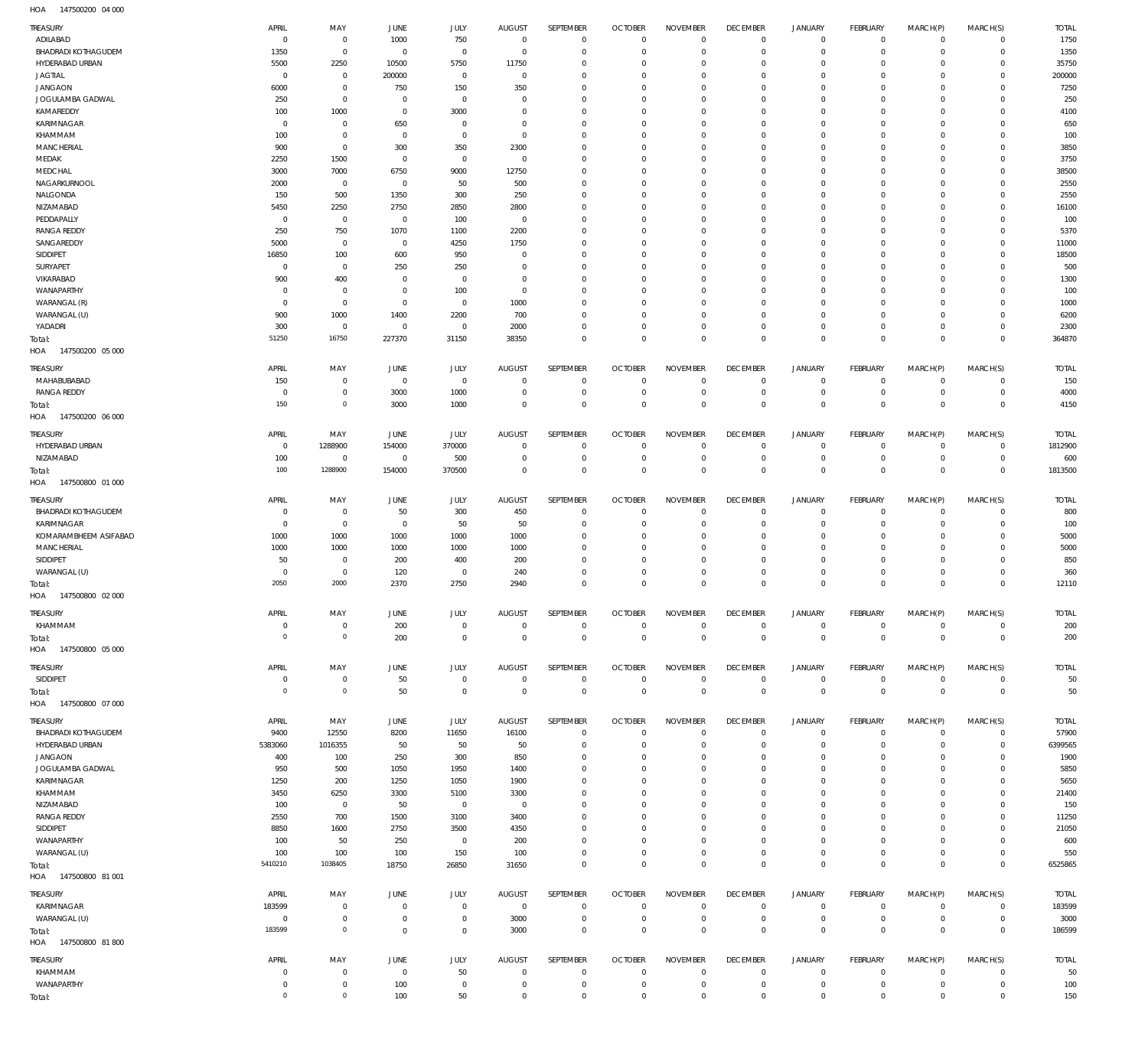147500200 04 000 HOA

| TREASURY                   | APRIL          | MAY            | JUNE           | JULY           | <b>AUGUST</b>  | <b>SEPTEMBER</b> | <b>OCTOBER</b> | <b>NOVEMBER</b> | <b>DECEMBER</b> | <b>JANUARY</b>      | <b>FEBRUARY</b> | MARCH(P)    | MARCH(S)       | <b>TOTAL</b> |
|----------------------------|----------------|----------------|----------------|----------------|----------------|------------------|----------------|-----------------|-----------------|---------------------|-----------------|-------------|----------------|--------------|
| ADILABAD                   | $^{\circ}$     | $^{\circ}$     | 1000           | 750            | $\overline{0}$ | $\mathbf 0$      | $\overline{0}$ | $\mathbf 0$     | $\mathbf 0$     | $\mathbf 0$         | $\mathbf 0$     | $^{\circ}$  | $^{\circ}$     | 1750         |
| <b>BHADRADI KOTHAGUDEM</b> | 1350           | $\mathbf 0$    | $\overline{0}$ | $\mathbf{0}$   | $\overline{0}$ | $\mathbf 0$      | $\overline{0}$ | $\mathbf 0$     | $\mathbf 0$     | $\mathbf 0$         | $\mathbf 0$     | $^{\circ}$  | $^{\circ}$     | 1350         |
| HYDERABAD URBAN            | 5500           | 2250           | 10500          | 5750           | 11750          | $\mathbf 0$      | $\mathbf 0$    | $\mathbf 0$     | $\mathbf 0$     | 0                   | $\mathbf 0$     | $^{\circ}$  | $^{\circ}$     | 35750        |
| <b>JAGTIAL</b>             | $^{\circ}$     | $^{\circ}$     | 200000         | $\mathbf 0$    | $\overline{0}$ | $\mathbf 0$      | $^{\circ}$     | $\Omega$        | $\mathbf 0$     | $\mathbf 0$         | $\mathbf 0$     | $\mathbf 0$ | $\mathbf 0$    | 200000       |
| <b>JANGAON</b>             | 6000           | $\mathbf 0$    | 750            | 150            | 350            | $\mathbf 0$      | $\mathbf 0$    | $\Omega$        | $\mathbf 0$     | 0                   | $\mathbf 0$     | $\mathbf 0$ | $^{\circ}$     | 7250         |
| JOGULAMBA GADWAL           | 250            | $\mathbf 0$    | $\overline{0}$ | $\mathbf 0$    | $\overline{0}$ | $\mathbf 0$      | $^{\circ}$     | $\Omega$        | $\mathbf 0$     | $\mathbf 0$         | $\mathbf 0$     | $^{\circ}$  | $^{\circ}$     | 250          |
| KAMAREDDY                  | 100            | 1000           | $\overline{0}$ | 3000           | $\mathbf 0$    | $\mathbf 0$      | $^{\circ}$     | $\Omega$        | $\mathbf 0$     | $\mathbf 0$         | $\mathbf 0$     | $\mathbf 0$ | $^{\circ}$     | 4100         |
| KARIMNAGAR                 | $^{\circ}$     | $^{\circ}$     | 650            | $\mathbf 0$    | $\overline{0}$ | $\mathbf 0$      | $\mathbf 0$    | $\mathbf 0$     | $\mathbf 0$     | $\mathbf 0$         | $\mathbf 0$     | $\mathbf 0$ | $^{\circ}$     | 650          |
| KHAMMAM                    | 100            | $^{\circ}$     | $\overline{0}$ | $\mathbf 0$    | $\overline{0}$ | $\mathbf 0$      | $^{\circ}$     | $\Omega$        | $\mathbf 0$     | $\mathbf 0$         | $\mathbf 0$     | 0           | $^{\circ}$     | 100          |
| <b>MANCHERIAL</b>          | 900            | $\mathbf 0$    | 300            | 350            | 2300           | $\mathbf 0$      | $\mathbf 0$    | $\mathbf 0$     | $\mathbf 0$     | $\mathbf 0$         | $\mathbf 0$     | $\mathbf 0$ | $^{\circ}$     | 3850         |
|                            |                |                |                |                |                |                  |                | $\Omega$        |                 | $\mathbf 0$         |                 |             |                |              |
| MEDAK                      | 2250           | 1500           | $\overline{0}$ | $\mathbf 0$    | $\overline{0}$ | $\mathbf 0$      | $^{\circ}$     |                 | $\mathbf 0$     |                     | $\mathbf 0$     | $\mathbf 0$ | $^{\circ}$     | 3750         |
| MEDCHAL                    | 3000           | 7000           | 6750           | 9000           | 12750          | $\mathbf 0$      | $\mathbf 0$    | $\Omega$        | $\mathbf 0$     | $\mathbf 0$         | $\mathbf 0$     | $\mathbf 0$ | $^{\circ}$     | 38500        |
| NAGARKURNOOL               | 2000           | $\overline{0}$ | $\overline{0}$ | 50             | 500            | $\mathbf 0$      | $\mathbf 0$    | $\Omega$        | $\mathbf 0$     | $\mathbf 0$         | $\mathbf 0$     | $\mathbf 0$ | $^{\circ}$     | 2550         |
| NALGONDA                   | 150            | 500            | 1350           | 300            | 250            | $\mathbf 0$      | $^{\circ}$     | $\Omega$        | $\mathbf 0$     | $\mathbf 0$         | $\mathbf 0$     | $^{\circ}$  | $^{\circ}$     | 255C         |
| NIZAMABAD                  | 5450           | 2250           | 2750           | 2850           | 2800           | $\mathbf 0$      | $\mathbf 0$    | $\Omega$        | $\mathbf 0$     | $\mathbf 0$         | $\mathbf 0$     | $\mathbf 0$ | $^{\circ}$     | 16100        |
| PEDDAPALLY                 | $^{\circ}$     | $\overline{0}$ | $\overline{0}$ | 100            | $\overline{0}$ | $\mathbf 0$      | $^{\circ}$     | $\mathbf 0$     | $\mathbf 0$     | $\mathbf 0$         | $\mathbf 0$     | $\mathbf 0$ | $^{\circ}$     | 100          |
| <b>RANGA REDDY</b>         | 250            | 750            | 1070           | 1100           | 2200           | $\mathbf 0$      | $^{\circ}$     | $\Omega$        | $\mathbf 0$     | $\mathbf 0$         | $\mathbf 0$     | 0           | $^{\circ}$     | 5370         |
| SANGAREDDY                 | 5000           | $\overline{0}$ | $\overline{0}$ | 4250           | 1750           | $\mathbf 0$      | $\mathbf 0$    | $\mathbf 0$     | $\mathbf 0$     | $\mathbf 0$         | $\mathbf 0$     | $\mathbf 0$ | $^{\circ}$     | 11000        |
| SIDDIPET                   | 16850          | 100            | 600            | 950            | $\overline{0}$ | $\mathbf 0$      | $^{\circ}$     | $\Omega$        | $\mathbf 0$     | $\mathbf 0$         | $\mathbf 0$     | $\mathbf 0$ | $^{\circ}$     | 18500        |
| SURYAPET                   | $^{\circ}$     | $\overline{0}$ | 250            | 250            | $\overline{0}$ | $\mathbf 0$      | $\mathbf 0$    | $\Omega$        | $\mathbf 0$     | $\mathbf 0$         | $\mathbf 0$     | $\mathbf 0$ | $^{\circ}$     | 500          |
| VIKARABAD                  | 900            | 400            | $\overline{0}$ | $^{\circ}$     | $\overline{0}$ | $\mathbf 0$      | $\mathbf 0$    | $\Omega$        | $\mathbf 0$     | $\mathbf 0$         | $\mathbf 0$     | $\mathbf 0$ | $^{\circ}$     | 1300         |
| WANAPARTHY                 | $^{\circ}$     | $^{\circ}$     | $\overline{0}$ | 100            | $\overline{0}$ | $\mathbf 0$      | 0              | $\Omega$        | $\mathbf 0$     | $\mathbf 0$         | $\mathbf 0$     | $^{\circ}$  | $^{\circ}$     | 100          |
| WARANGAL (R)               | $\overline{0}$ | $\mathbf 0$    | $\overline{0}$ | $\mathbf{0}$   | 1000           | $\mathbf 0$      | $^{\circ}$     | $\Omega$        | $\mathbf 0$     | $\mathbf 0$         | $\mathbf 0$     | $\mathbf 0$ | $^{\circ}$     | 1000         |
| WARANGAL (U)               | 900            | 1000           | 1400           | 2200           | 700            | $\mathbf 0$      | $^{\circ}$     | $\mathbf 0$     | $\mathbf 0$     | $\mathbf 0$         | $\mathbf 0$     | $\mathbf 0$ | $^{\circ}$     | 6200         |
|                            | 300            | $\overline{0}$ | $\overline{0}$ | $\mathbf 0$    | 2000           | $\mathbf 0$      | $\mathbf 0$    | $\mathbf 0$     | $\mathbf 0$     | $\mathbf 0$         | $\mathbf 0$     | $\mathbf 0$ | $^{\circ}$     | 2300         |
| YADADRI                    | 51250          | 16750          |                |                | 38350          | $\mathbf 0$      | $\overline{0}$ | $\mathbf 0$     | $\mathbf 0$     | $\mathbf 0$         | $\mathbf 0$     | $\mathbf 0$ | $\mathbf 0$    | 364870       |
| Total:                     |                |                | 227370         | 31150          |                |                  |                |                 |                 |                     |                 |             |                |              |
| HOA<br>147500200 05 000    |                |                |                |                |                |                  |                |                 |                 |                     |                 |             |                |              |
| TREASURY                   | APRIL          | MAY            | <b>JUNE</b>    | JULY           | <b>AUGUST</b>  | SEPTEMBER        | <b>OCTOBER</b> | <b>NOVEMBER</b> | <b>DECEMBER</b> | JANUARY             | FEBRUARY        | MARCH(P)    | MARCH(S)       | <b>TOTAL</b> |
| MAHABUBABAD                | 150            | $\mathbf 0$    | $\overline{0}$ | $\mathbf 0$    | $\overline{0}$ | $\mathbf 0$      | $\mathbf 0$    | $\mathbf 0$     | $\mathbf 0$     | $\mathbf 0$         | $\mathbf 0$     | $^{\circ}$  | $\mathbf 0$    | 150          |
| <b>RANGA REDDY</b>         | $^{\circ}$     | $\mathbf 0$    | 3000           | 1000           | $\mathbf 0$    | $\mathbf 0$      | $\mathbf 0$    | $\mathbf 0$     | $\mathbf 0$     | $\mathbf 0$         | $\mathbf 0$     | $^{\circ}$  | $^{\circ}$     | 4000         |
| Total:                     | 150            | $\mathbf 0$    | 3000           | 1000           | $\overline{0}$ | $\mathbf 0$      | $\overline{0}$ | $\mathbf 0$     | $\mathbf 0$     | $\mathbf 0$         | $\mathbf 0$     | $\mathbf 0$ | $\mathbf 0$    | 4150         |
| HOA<br>147500200 06 000    |                |                |                |                |                |                  |                |                 |                 |                     |                 |             |                |              |
|                            |                |                |                |                |                |                  |                |                 |                 |                     |                 |             |                |              |
| TREASURY                   | APRIL          | MAY            | JUNE           | JULY           | <b>AUGUST</b>  | SEPTEMBER        | <b>OCTOBER</b> | <b>NOVEMBER</b> | <b>DECEMBER</b> | <b>JANUARY</b>      | <b>FEBRUARY</b> | MARCH(P)    | MARCH(S)       | TOTAL        |
| HYDERABAD URBAN            | $\overline{0}$ | 1288900        | 154000         | 370000         | $\mathbf 0$    | $\mathbf 0$      | $^{\circ}$     | 0               | $\mathbf 0$     | $\mathbf 0$         | $\mathbf 0$     | $^{\circ}$  | $\mathbf 0$    | 1812900      |
| NIZAMABAD                  | 100            | $^{\circ}$     | $\overline{0}$ | 500            | $\overline{0}$ | $\mathbf 0$      | $\overline{0}$ | $\mathbf 0$     | $\overline{0}$  | $\mathbf 0$         | $\mathbf 0$     | $\mathbf 0$ | $\mathbf 0$    | 600          |
| Total:                     | 100            | 1288900        | 154000         | 370500         | $\overline{0}$ | $\mathbf 0$      | $\overline{0}$ | $\mathbf 0$     | $\overline{0}$  | $\mathbf 0$         | $\overline{0}$  | $\mathbf 0$ | $\mathbf 0$    | 1813500      |
| HOA<br>147500800 01 000    |                |                |                |                |                |                  |                |                 |                 |                     |                 |             |                |              |
|                            |                |                |                |                |                |                  |                |                 |                 |                     |                 |             |                |              |
| TREASURY                   | APRIL          | MAY            | <b>JUNE</b>    | JULY           | <b>AUGUST</b>  | SEPTEMBER        | <b>OCTOBER</b> | <b>NOVEMBER</b> | <b>DECEMBER</b> | <b>JANUARY</b>      | <b>FEBRUARY</b> | MARCH(P)    | MARCH(S)       | <b>TOTAL</b> |
| <b>BHADRADI KOTHAGUDEM</b> | $^{\circ}$     | $\mathbf 0$    | 50             | 300            | 450            | $\mathbf 0$      | $\mathbf 0$    | 0               | $\mathbf 0$     | $\mathbf 0$         | $\mathbf 0$     | $^{\circ}$  | $\mathbf 0$    | 800          |
| KARIMNAGAR                 | $^{\circ}$     | $^{\circ}$     | $\overline{0}$ | 50             | 50             | $\mathbf 0$      | $\mathbf 0$    | $\Omega$        | $\mathbf 0$     | $\mathbf 0$         | $\mathbf 0$     | $^{\circ}$  | $^{\circ}$     | 100          |
| KOMARAMBHEEM ASIFABAD      | 1000           | 1000           | 1000           | 1000           | 1000           | $\mathbf 0$      | $\mathbf 0$    | $\mathbf 0$     | $\mathbf 0$     | $\mathbf 0$         | $\mathbf 0$     | $^{\circ}$  | $^{\circ}$     | 5000         |
| <b>MANCHERIAL</b>          | 1000           | 1000           | 1000           | 1000           | 1000           | $\mathbf 0$      | 0              | $\Omega$        | $\mathbf 0$     | $\mathbf 0$         | $\mathbf 0$     | $^{\circ}$  | $^{\circ}$     | 5000         |
| SIDDIPET                   | 50             | $^{\circ}$     | 200            | 400            | 200            | $\mathbf 0$      | $\mathbf 0$    | $\mathbf 0$     | $\mathbf 0$     | $\mathbf 0$         | $\mathbf 0$     | $^{\circ}$  | $^{\circ}$     | 850          |
| WARANGAL (U)               | $^{\circ}$     | $\mathbf 0$    | 120            | $\mathbf 0$    | 240            | $\mathbf 0$      | $\mathbf 0$    | 0               | $\mathbf 0$     | $\mathbf 0$         | $\mathbf 0$     | $^{\circ}$  | $^{\circ}$     | 360          |
|                            | 2050           | 2000           |                |                |                | $\mathbf 0$      | $\mathbf 0$    | $\mathbf 0$     | $\mathbf 0$     | $\mathbf 0$         |                 | $\mathbf 0$ |                |              |
| Total:                     |                |                | 2370           | 2750           | 2940           |                  |                |                 |                 |                     | $\mathbf 0$     |             | $\mathbf 0$    | 12110        |
| HOA 147500800 02 000       |                |                |                |                |                |                  |                |                 |                 |                     |                 |             |                |              |
| TREASURY                   | APRIL          | MAY            | JUNE           | JULY           | AUGUST         | SEPTEMBER        | OCTOBER        | <b>NOVEMBER</b> | <b>DECEMBER</b> | JANUAR'             | FEBRUARY        | MARCH(P)    | MARCH(S)       | total        |
| KHAMMAM                    | $\overline{0}$ | $\,0\,$        | 200            | $^{\circ}$     | $\overline{0}$ | $\mathbf 0$      | $\overline{0}$ | $\mathbf 0$     | $\overline{0}$  | 0                   | $\mathbf 0$     | $\mathbf 0$ | $^{\circ}$     | 200          |
| Total:                     | $\mathbb O$    | $\,0\,$        | 200            | $\mathbf{0}$   | $\overline{0}$ | $\overline{0}$   | $\overline{0}$ | $\overline{0}$  | $\overline{0}$  | $\mathsf{O}\xspace$ | $\overline{0}$  | $\mathbf 0$ | $\mathbf 0$    | 200          |
| HOA<br>147500800 05 000    |                |                |                |                |                |                  |                |                 |                 |                     |                 |             |                |              |
|                            |                |                |                |                |                |                  |                |                 |                 |                     |                 |             |                |              |
| <b>TREASURY</b>            | APRIL          | MAY            | JUNE           | JULY           | <b>AUGUST</b>  | SEPTEMBER        | <b>OCTOBER</b> | <b>NOVEMBER</b> | <b>DECEMBER</b> | <b>JANUARY</b>      | <b>FEBRUARY</b> | MARCH(P)    | MARCH(S)       | <b>TOTAL</b> |
| SIDDIPET                   | $\overline{0}$ | $\mathbf 0$    | 50             | $\mathbf{0}$   | $\overline{0}$ | $\mathbf 0$      | $\overline{0}$ | $\mathbf 0$     | $\overline{0}$  | $\mathbf 0$         | $\mathbf 0$     | $^{\circ}$  | $\mathbf 0$    | 50           |
| Total:                     | $\mathbb O$    | $\mathbb O$    | 50             | $\overline{0}$ | $\overline{0}$ | $\mathbb O$      | $\overline{0}$ | $\overline{0}$  | $\,0\,$         | $\mathbf 0$         | $\overline{0}$  | $\mathbf 0$ | $\overline{0}$ | 50           |
| HOA<br>147500800 07 000    |                |                |                |                |                |                  |                |                 |                 |                     |                 |             |                |              |
|                            |                |                |                |                |                |                  |                |                 |                 |                     |                 |             |                |              |
| TREASURY                   | APRIL          | MAY            | JUNE           | JULY           | <b>AUGUST</b>  | SEPTEMBER        | <b>OCTOBER</b> | <b>NOVEMBER</b> | <b>DECEMBER</b> | <b>JANUARY</b>      | <b>FEBRUARY</b> | MARCH(P)    | MARCH(S)       | <b>TOTAL</b> |
| <b>BHADRADI KOTHAGUDEM</b> | 9400           | 12550          | 8200           | 11650          | 16100          | $\overline{0}$   | $\overline{0}$ | $\mathbf 0$     | $\mathbf 0$     | $\mathbf 0$         | $\mathbf 0$     | $\mathbf 0$ | $\mathbf 0$    | 57900        |
| HYDERABAD URBAN            | 5383060        | 1016355        | 50             | 50             | 50             | $\mathbf 0$      | $\overline{0}$ | $\mathbf 0$     | $\mathbf 0$     | $\mathbf 0$         | $\mathbf 0$     | $\mathbf 0$ | $\mathbf 0$    | 6399565      |
| JANGAON                    | 400            | 100            | 250            | 300            | 850            | $\mathbf 0$      | $\overline{0}$ | $\mathbf 0$     | $\mathbf 0$     | $\mathbf 0$         | $\mathbf 0$     | $\mathbf 0$ | $^{\circ}$     | 1900         |
| JOGULAMBA GADWAL           | 950            | 500            | 1050           | 1950           | 1400           | $\mathbf 0$      | $\mathbf 0$    | $\mathbf 0$     | $\mathbf 0$     | $\mathbf 0$         | $\mathbf 0$     | $\mathbf 0$ | $^{\circ}$     | 5850         |
| KARIMNAGAR                 | 1250           | 200            | 1250           | 1050           | 1900           | $\mathbf 0$      | $\overline{0}$ | $\mathbf 0$     | $\mathbf 0$     | 0                   | $\mathbf 0$     | $\mathbf 0$ | $^{\circ}$     | 5650         |
| KHAMMAM                    | 3450           | 6250           | 3300           | 5100           | 3300           | $\mathbf 0$      | $\mathbf 0$    | $\mathbf 0$     | $\mathbf 0$     | $\mathbf 0$         | $\mathbf 0$     | $\mathbf 0$ | $^{\circ}$     | 21400        |
| NIZAMABAD                  | 100            | $\,0\,$        | 50             | $\overline{0}$ | $\overline{0}$ | $\mathbf 0$      | $\mathbf 0$    | $\mathbf 0$     | $\mathbf 0$     | $\mathbf 0$         | $\mathbf 0$     | $\mathbf 0$ | $^{\circ}$     | 150          |
| <b>RANGA REDDY</b>         | 2550           | 700            | 1500           | 3100           | 3400           | $\mathbf 0$      | $\mathbf 0$    | $\mathbf 0$     | $\mathbf 0$     | $\mathbf 0$         | $\mathbf 0$     | $\mathbf 0$ | $\mathbf 0$    | 11250        |
| SIDDIPET                   | 8850           | 1600           | 2750           | 3500           | 4350           | $\mathbf 0$      | $\mathbf 0$    | $\mathbf 0$     | $\mathbf 0$     | $\mathbf 0$         | $\mathbf 0$     | $\mathbf 0$ | $^{\circ}$     | 21050        |
| WANAPARTHY                 | 100            | 50             | 250            | $\overline{0}$ | 200            | $\mathbf 0$      | $\mathbf 0$    | $\mathbf 0$     | $\mathbf 0$     | $\mathbf 0$         | $\mathbf 0$     | $\mathbf 0$ | $^{\circ}$     | 600          |
| WARANGAL (U)               | 100            | 100            | 100            | 150            | 100            | $\mathbf 0$      | $\overline{0}$ | $\mathbf 0$     | $\mathbf 0$     | $\mathbf 0$         | $\mathbf 0$     | $\mathbf 0$ | $\mathbf 0$    | 550          |
| Total:                     | 5410210        | 1038405        | 18750          | 26850          | 31650          | $\overline{0}$   | $\overline{0}$ | $\mathbf 0$     | $\overline{0}$  | $\mathbf 0$         | $\mathbf{0}$    | $\mathbf 0$ | $\mathbf 0$    | 6525865      |
| HOA<br>147500800 81 001    |                |                |                |                |                |                  |                |                 |                 |                     |                 |             |                |              |
|                            |                |                |                |                |                |                  |                |                 |                 |                     |                 |             |                |              |
| TREASURY                   | APRIL          | MAY            | JUNE           | JULY           | <b>AUGUST</b>  | SEPTEMBER        | <b>OCTOBER</b> | <b>NOVEMBER</b> | <b>DECEMBER</b> | <b>JANUARY</b>      | <b>FEBRUARY</b> | MARCH(P)    | MARCH(S)       | <b>TOTAL</b> |
| KARIMNAGAR                 | 183599         | $^{\circ}$     | $\overline{0}$ | $\mathbf{0}$   | $\overline{0}$ | $^{\circ}$       | $\overline{0}$ | $\mathbf 0$     | $\overline{0}$  | $\mathbf 0$         | $\mathbf 0$     | $\mathbf 0$ | $\mathbf 0$    | 183599       |
| WARANGAL (U)               | $^{\circ}$     | $\bf 0$        | $\overline{0}$ | $\bf 0$        | 3000           | $\mathbf 0$      | $\overline{0}$ | $\mathbf 0$     | $\mathbf 0$     | $\mathbf 0$         | $\mathbf 0$     | $\mathbf 0$ | $\mathbf 0$    | 3000         |
| Total:                     | 183599         | $\,0\,$        | $\mathbf 0$    | $\mathbf{0}$   | 3000           | $\mathbf 0$      | $\overline{0}$ | $\mathbf 0$     | $\mathbf{0}$    | $\mathbf 0$         | $\mathbf{0}$    | $\mathbf 0$ | $\mathbf 0$    | 186599       |
| HOA  147500800 81800       |                |                |                |                |                |                  |                |                 |                 |                     |                 |             |                |              |
|                            |                |                |                |                |                |                  |                |                 |                 |                     |                 |             |                |              |
| TREASURY                   | APRIL          | MAY            | JUNE           | JULY           | <b>AUGUST</b>  | SEPTEMBER        | <b>OCTOBER</b> | <b>NOVEMBER</b> | <b>DECEMBER</b> | <b>JANUARY</b>      | <b>FEBRUARY</b> | MARCH(P)    | MARCH(S)       | TOTAL        |
| KHAMMAM                    | $^{\circ}$     | $\overline{0}$ | $\overline{0}$ | 50             | $\overline{0}$ | $^{\circ}$       | $\overline{0}$ | $\mathbf 0$     | $\overline{0}$  | $^{\circ}$          | $\mathbf 0$     | $\mathbf 0$ | $^{\circ}$     | 50           |
| WANAPARTHY                 | $\overline{0}$ | $\mathbf 0$    | 100            | $\mathbf 0$    | $\overline{0}$ | $\mathbf 0$      | $\overline{0}$ | $\mathbf 0$     | $\overline{0}$  | $\mathsf{O}\xspace$ | $\overline{0}$  | $\mathbf 0$ | $\mathbf 0$    | 100          |
| Total:                     | $\mathbb O$    | $\,0\,$        | 100            | 50             | $\overline{0}$ | $\mathbf 0$      | $\overline{0}$ | $\mathbf 0$     | $\mathbb O$     | $\mathbf 0$         | $\mathbb O$     | $\mathbf 0$ | $\mathbf 0$    | 150          |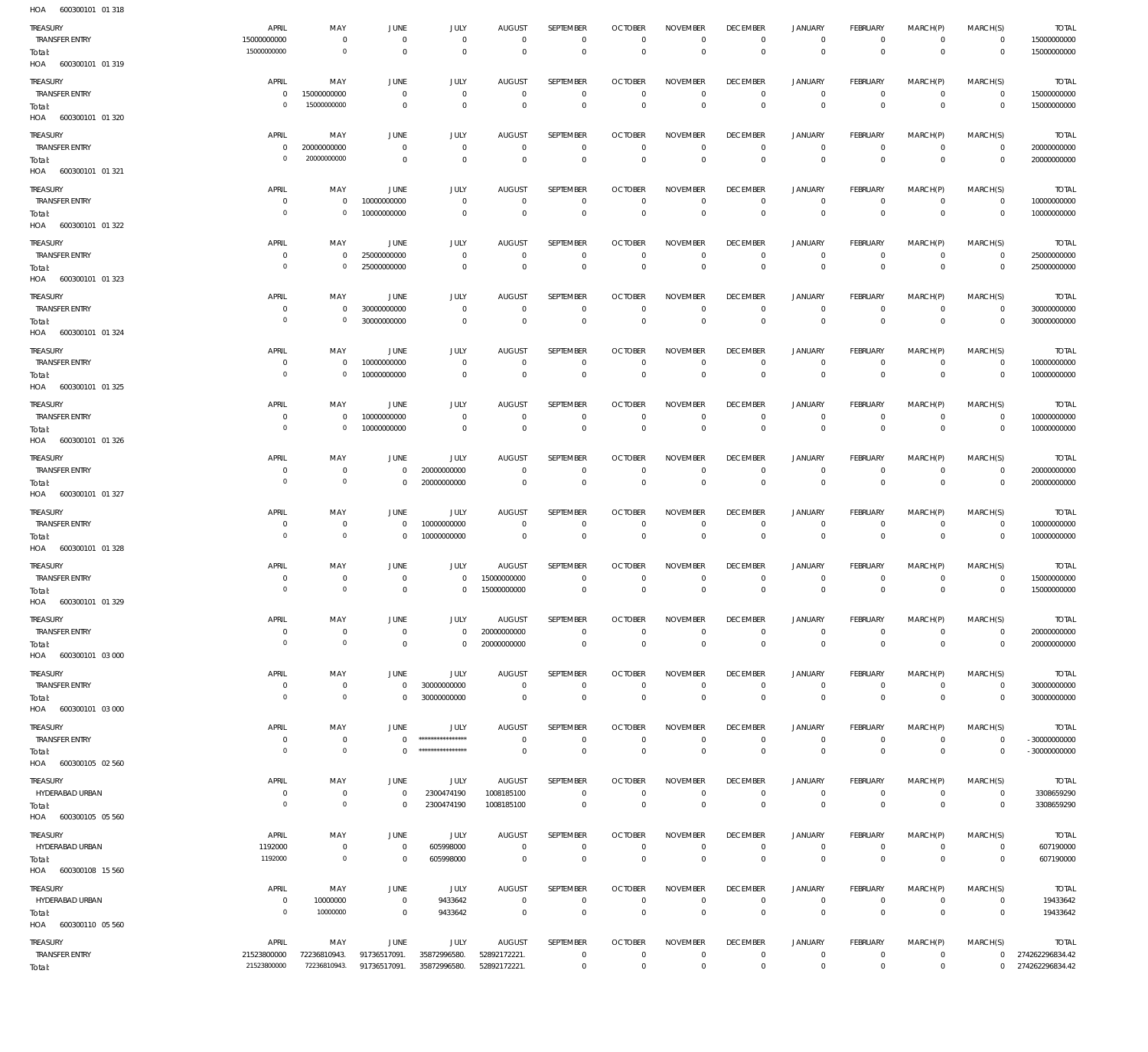| HOA<br>600300101 01 318           |                            |                                |                                  |                              |                               |                                     |                                  |                                |                                 |                                            |                                |                                            |                               |                                    |
|-----------------------------------|----------------------------|--------------------------------|----------------------------------|------------------------------|-------------------------------|-------------------------------------|----------------------------------|--------------------------------|---------------------------------|--------------------------------------------|--------------------------------|--------------------------------------------|-------------------------------|------------------------------------|
| TREASURY                          | APRIL                      | MAY                            | JUNE                             | JULY                         | <b>AUGUST</b>                 | SEPTEMBER                           | <b>OCTOBER</b>                   | <b>NOVEMBER</b>                | <b>DECEMBER</b>                 | JANUARY                                    | FEBRUARY                       | MARCH(P)                                   | MARCH(S)                      | <b>TOTAL</b>                       |
| <b>TRANSFER ENTRY</b>             | 15000000000                | $\mathsf{O}$                   | $\overline{0}$                   | $\mathbf 0$                  | $\mathbf 0$                   | $\mathbf 0$                         | $\mathbf{0}$                     | $\mathbf 0$                    | 0                               | $\mathsf{O}\xspace$                        | $\circ$                        | $\mathbf 0$                                | $\mathbf 0$                   | 15000000000                        |
| Total:                            | 15000000000                | $\mathsf{O}\xspace$            | $\overline{0}$                   | $\mathbf 0$                  | $\circ$                       | $\circ$                             | $\mathbf 0$                      | $\mathbf 0$                    | $\mathbf 0$                     | $\mathsf{O}\xspace$                        | $\mathbf 0$                    | $\mathsf{O}\xspace$                        | $\circ$                       | 15000000000                        |
| HOA 600300101 01 319              |                            |                                |                                  |                              |                               |                                     |                                  |                                |                                 |                                            |                                |                                            |                               |                                    |
| TREASURY                          | APRIL                      | MAY                            | JUNE                             | JULY                         | <b>AUGUST</b>                 | SEPTEMBER                           | <b>OCTOBER</b>                   | <b>NOVEMBER</b>                | <b>DECEMBER</b>                 | JANUARY                                    | FEBRUARY                       | MARCH(P)                                   | MARCH(S)                      | <b>TOTAL</b>                       |
| <b>TRANSFER ENTRY</b>             | 0                          | 15000000000                    | $\overline{0}$                   | $\mathsf{O}$                 | $\circ$                       | $\mathsf{O}$                        | $\mathbf{0}$                     | $\mathbf 0$                    | $\circ$                         | $\mathsf{O}\xspace$                        | $\circ$                        | $\mathbf 0$                                | $\overline{0}$                | 15000000000                        |
| Total:                            | $\circ$                    | 15000000000                    | $\overline{0}$                   | $\mathbf 0$                  | $\mathbf{0}$                  | $\mathbf 0$                         | $\mathbf 0$                      | $\mathbf 0$                    | $\mathbf{0}$                    | $\mathbf 0$                                | $\overline{0}$                 | $\mathbf 0$                                | $\mathbf 0$                   | 15000000000                        |
| HOA 600300101 01 320              |                            |                                |                                  |                              |                               |                                     |                                  |                                |                                 |                                            |                                |                                            |                               |                                    |
| TREASURY                          | APRIL                      | MAY                            | JUNE                             | JULY                         | <b>AUGUST</b>                 | SEPTEMBER                           | <b>OCTOBER</b>                   | <b>NOVEMBER</b>                | <b>DECEMBER</b>                 | <b>JANUARY</b>                             | FEBRUARY                       | MARCH(P)                                   | MARCH(S)                      | <b>TOTAL</b>                       |
| <b>TRANSFER ENTRY</b>             | $\mathbf 0$                | 20000000000                    | $\circ$                          | $\mathbf 0$                  | $\mathbf 0$                   | $\mathbf 0$                         | $\mathbf{0}$                     | $\mathbf 0$                    | $\mathbf 0$                     | $\mathbf 0$                                | $\mathbf 0$                    | $\Omega$                                   | $\mathbf 0$                   | 20000000000                        |
| Total:                            | $^{\circ}$                 | 20000000000                    | $\overline{0}$                   | $\mathbf 0$                  | $\mathbf 0$                   | $\mathbf 0$                         | $\circ$                          | $\mathbf 0$                    | $\mathbf 0$                     | $\mathbf 0$                                | $\mathbf 0$                    | $\mathbf 0$                                | $\circ$                       | 20000000000                        |
| HOA 600300101 01 321              |                            |                                |                                  |                              |                               |                                     |                                  |                                |                                 |                                            |                                |                                            |                               |                                    |
|                                   |                            |                                |                                  |                              |                               |                                     |                                  |                                |                                 |                                            |                                |                                            |                               |                                    |
| TREASURY<br><b>TRANSFER ENTRY</b> | APRIL<br>$\mathbf 0$       | MAY<br>$\mathbf 0$             | JUNE<br>10000000000              | JULY<br>$\mathbf 0$          | <b>AUGUST</b><br>$\circ$      | SEPTEMBER<br>0                      | <b>OCTOBER</b><br>$\overline{0}$ | <b>NOVEMBER</b><br>$\mathbf 0$ | <b>DECEMBER</b><br>$\mathbf 0$  | JANUARY<br>$\mathsf{O}\xspace$             | FEBRUARY<br>$\overline{0}$     | MARCH(P)<br>$\mathbf 0$                    | MARCH(S)<br>$\overline{0}$    | <b>TOTAL</b><br>10000000000        |
| Total:                            | $\mathbf 0$                | $\mathbf 0$                    | 10000000000                      | $\mathsf{O}$                 | $\mathbf{0}$                  | $\mathsf{O}\xspace$                 | $\mathbf 0$                      | $\mathbf 0$                    | $\mathbf 0$                     | $\mathsf{O}\xspace$                        | $\mathbf 0$                    | $\mathbf 0$                                | $\overline{0}$                | 10000000000                        |
| HOA 600300101 01 322              |                            |                                |                                  |                              |                               |                                     |                                  |                                |                                 |                                            |                                |                                            |                               |                                    |
|                                   |                            |                                |                                  |                              |                               |                                     |                                  |                                |                                 |                                            |                                |                                            |                               |                                    |
| TREASURY<br><b>TRANSFER ENTRY</b> | APRIL<br>$\circ$           | MAY<br>$\circ$                 | JUNE<br>25000000000              | JULY<br>$\mathbf 0$          | <b>AUGUST</b><br>$\mathbf 0$  | SEPTEMBER<br>$\mathbf 0$            | <b>OCTOBER</b><br>$\mathbf{0}$   | <b>NOVEMBER</b><br>$\Omega$    | <b>DECEMBER</b><br>$\mathbf{0}$ | <b>JANUARY</b><br>$\mathbf 0$              | FEBRUARY<br>$\mathbf 0$        | MARCH(P)<br>$\mathbf 0$                    | MARCH(S)<br>$\mathbf 0$       | <b>TOTAL</b><br>25000000000        |
| Total:                            | $^{\circ}$                 | $\circ$                        | 25000000000                      | $\mathbf 0$                  | $\mathbf 0$                   | $\mathbf 0$                         | $\mathbf{0}$                     | $\mathbf 0$                    | $\mathbf 0$                     | $\mathbf 0$                                | $\mathbf 0$                    | $\mathbf 0$                                | $\mathbf 0$                   | 25000000000                        |
| HOA 600300101 01 323              |                            |                                |                                  |                              |                               |                                     |                                  |                                |                                 |                                            |                                |                                            |                               |                                    |
|                                   |                            |                                |                                  |                              |                               |                                     |                                  |                                |                                 |                                            |                                |                                            |                               |                                    |
| TREASURY                          | APRIL                      | MAY                            | JUNE                             | JULY                         | <b>AUGUST</b><br>$\mathbf{0}$ | <b>SEPTEMBER</b><br>$\mathbf 0$     | <b>OCTOBER</b><br>$\mathbf{0}$   | <b>NOVEMBER</b>                | <b>DECEMBER</b>                 | JANUARY                                    | FEBRUARY                       | MARCH(P)<br>$\mathbf 0$                    | MARCH(S)                      | <b>TOTAL</b>                       |
| <b>TRANSFER ENTRY</b><br>Total:   | $\circ$<br>$\mathbf 0$     | 0<br>$\mathbf 0$               | 30000000000<br>30000000000       | $\mathsf{O}$<br>$\mathbf 0$  | $\mathbf{0}$                  | $\circ$                             | $\circ$                          | $\mathbf 0$<br>$\mathbb O$     | $\circ$<br>$\mathbf{0}$         | $\mathsf{O}\xspace$<br>$\mathsf{O}\xspace$ | $\mathbf 0$<br>$\mathbf 0$     | $\mathbf 0$                                | $\overline{0}$<br>$\mathbf 0$ | 30000000000<br>30000000000         |
| HOA 600300101 01 324              |                            |                                |                                  |                              |                               |                                     |                                  |                                |                                 |                                            |                                |                                            |                               |                                    |
|                                   |                            |                                |                                  |                              |                               |                                     |                                  |                                |                                 |                                            |                                |                                            |                               |                                    |
| TREASURY                          | APRIL<br>$\mathbf 0$       | MAY                            | JUNE                             | JULY<br>$\mathbf 0$          | <b>AUGUST</b><br>$\mathbf 0$  | SEPTEMBER<br>$\mathbf 0$            | <b>OCTOBER</b><br>$^{\circ}$     | <b>NOVEMBER</b><br>$\mathbf 0$ | <b>DECEMBER</b>                 | JANUARY<br>$\mathbf 0$                     | FEBRUARY<br>$\mathbf 0$        | MARCH(P)<br>$\mathbf 0$                    | MARCH(S)<br>$\mathbf 0$       | <b>TOTAL</b>                       |
| <b>TRANSFER ENTRY</b>             | $\mathbf 0$                | $\circ$<br>$\mathbb O$         | 10000000000<br>10000000000       | $\mathbf 0$                  | $\mathbf 0$                   | $\mathbf 0$                         | $\circ$                          | $\mathbf 0$                    | $\mathbf 0$<br>$\mathbf 0$      | $\mathbf 0$                                | $\mathbf 0$                    | $\mathbf 0$                                | $\mathbf 0$                   | 10000000000<br>10000000000         |
| Total:<br>HOA 600300101 01 325    |                            |                                |                                  |                              |                               |                                     |                                  |                                |                                 |                                            |                                |                                            |                               |                                    |
|                                   |                            |                                |                                  |                              |                               |                                     |                                  |                                |                                 |                                            |                                |                                            |                               |                                    |
| TREASURY                          | APRIL                      | MAY                            | JUNE                             | JULY<br>$\mathbf 0$          | <b>AUGUST</b><br>$\mathbf{0}$ | SEPTEMBER                           | <b>OCTOBER</b><br>$\overline{0}$ | <b>NOVEMBER</b><br>$\mathbf 0$ | <b>DECEMBER</b>                 | JANUARY                                    | <b>FEBRUARY</b><br>$\mathbf 0$ | MARCH(P)                                   | MARCH(S)                      | <b>TOTAL</b>                       |
| <b>TRANSFER ENTRY</b><br>Total:   | 0<br>$^{\circ}$            | $\mathbf 0$<br>$\mathbf 0$     | 10000000000<br>10000000000       | $\mathbf 0$                  | $\mathbf{0}$                  | $\mathsf{O}$<br>$\mathsf{O}\xspace$ | $\mathbf{0}$                     | $\mathbf 0$                    | $\mathbf 0$<br>$\mathbf{0}$     | $\mathsf{O}$<br>$\mathbf 0$                | $\mathbf 0$                    | $\mathbf 0$<br>$\mathbf 0$                 | $\overline{0}$<br>$\mathbf 0$ | 10000000000<br>10000000000         |
| HOA 600300101 01 326              |                            |                                |                                  |                              |                               |                                     |                                  |                                |                                 |                                            |                                |                                            |                               |                                    |
|                                   |                            |                                |                                  |                              |                               |                                     |                                  |                                |                                 |                                            |                                |                                            |                               |                                    |
| TREASURY<br><b>TRANSFER ENTRY</b> | APRIL<br>$^{\circ}$        | MAY<br>$\mathbf 0$             | JUNE<br>$\circ$                  | JULY<br>20000000000          | <b>AUGUST</b><br>$\mathbf{0}$ | SEPTEMBER<br>$\mathbf 0$            | <b>OCTOBER</b><br>$\mathbf{0}$   | <b>NOVEMBER</b><br>$\mathbf 0$ | <b>DECEMBER</b><br>$^{\circ}$   | JANUARY<br>$\mathbf 0$                     | FEBRUARY<br>$\mathbf 0$        | MARCH(P)<br>$\mathbf 0$                    | MARCH(S)<br>$\mathbf 0$       | <b>TOTAL</b><br>20000000000        |
|                                   |                            | $\circ$                        | $\mathbf{0}$                     |                              |                               | $\mathbf 0$                         | $\circ$                          | $\mathbf 0$                    | $\mathbf 0$                     | $\mathsf{O}\xspace$                        | $\mathbf 0$                    | $\mathbf 0$                                | $\mathbf 0$                   | 20000000000                        |
|                                   | $\mathbf 0$                |                                |                                  |                              |                               |                                     |                                  |                                |                                 |                                            |                                |                                            |                               |                                    |
| Total:<br>HOA 600300101 01 327    |                            |                                |                                  | 20000000000                  | $\mathbf 0$                   |                                     |                                  |                                |                                 |                                            |                                |                                            |                               |                                    |
|                                   |                            |                                |                                  |                              |                               |                                     |                                  |                                |                                 |                                            |                                |                                            |                               |                                    |
| TREASURY                          | APRIL                      | MAY                            | JUNE                             | JULY                         | <b>AUGUST</b>                 | SEPTEMBER                           | <b>OCTOBER</b>                   | <b>NOVEMBER</b>                | <b>DECEMBER</b>                 | <b>JANUARY</b>                             | FEBRUARY                       | MARCH(P)                                   | MARCH(S)                      | <b>TOTAL</b>                       |
| <b>TRANSFER ENTRY</b>             | $\mathbf 0$<br>$\mathbf 0$ | $\circ$                        | $\circ$                          | 10000000000                  | $\mathbf{0}$                  | $\mathbf 0$                         | $\mathbf 0$                      | $\mathsf{O}$                   | $\circ$                         | $\mathsf{O}\xspace$                        | $\overline{0}$                 | $\mathbf 0$                                | $\overline{0}$                | 10000000000                        |
| Total:<br>HOA 600300101 01 328    |                            | $\mathbf 0$                    | $\mathbf 0$                      | 10000000000                  | $\mathbf{0}$                  | $\mathbf 0$                         | $\mathbf 0$                      | $\mathbf 0$                    | $\mathbf{0}$                    | $\mathsf{O}\xspace$                        | $\mathbf 0$                    | $\mathbf 0$                                | $\mathbf 0$                   | 10000000000                        |
|                                   |                            |                                |                                  |                              |                               |                                     |                                  |                                |                                 |                                            |                                |                                            |                               |                                    |
| TREASURY                          | APRIL                      | MAY                            | JUNE                             | JULY                         | <b>AUGUST</b>                 | SEPTEMBER                           | <b>OCTOBER</b>                   | <b>NOVEMBER</b>                | <b>DECEMBER</b>                 | JANUARY                                    | FEBRUARY                       | MARCH(P)                                   | MARCH(S)                      | <b>TOTAL</b>                       |
| <b>TRANSFER ENTRY</b>             | $\mathbf 0$<br>$\mathbf 0$ | $\mathbf 0$<br>$\circ$         | $\mathbf 0$<br>$\overline{0}$    | $\mathbf 0$<br>$\circ$       | 15000000000                   | $\mathbf 0$<br>$\mathbf 0$          | $^{\circ}$<br>$\circ$            | $\mathbf 0$<br>$\Omega$        | $\mathbf 0$                     | $\mathbf 0$<br>$\mathbf 0$                 | $\mathbf 0$                    | $\Omega$<br>$\Omega$                       | $\mathbf 0$<br>$\mathbf 0$    | 15000000000<br>15000000000         |
| Total:<br>HOA 600300101 01 329    |                            |                                |                                  |                              | 15000000000                   |                                     |                                  |                                | $\mathbf 0$                     |                                            | $\circ$                        |                                            |                               |                                    |
|                                   |                            |                                |                                  |                              |                               |                                     |                                  |                                |                                 |                                            |                                |                                            |                               |                                    |
| TREASURY                          | APRIL                      | MAY                            | JUNE                             | JULY                         | <b>AUGUST</b>                 | SEPTEMBER                           | <b>OCTOBER</b>                   | <b>NOVEMBER</b>                | <b>DECEMBER</b>                 | JANUARY                                    | FEBRUARY                       | MARCH(P)                                   | MARCH(S)                      | <b>TOTAL</b>                       |
| <b>TRANSFER ENTRY</b>             | $\circ$<br>$\mathbf 0$     | $\circ$<br>$\mathsf{O}\xspace$ | $\overline{0}$                   | $\mathsf{O}\xspace$          | 20000000000                   | $\mathsf{O}$                        | $\overline{0}$                   | $\mathbf 0$                    | $\circ$                         | $\mathsf{O}\xspace$                        | $\mathbf 0$                    | $\mathbf 0$                                | $\overline{0}$                | 20000000000                        |
| Total:<br>HOA 600300101 03 000    |                            |                                | $\overline{0}$                   | $\overline{0}$               | 20000000000                   | $\circ$                             | $\mathbf 0$                      | $\mathbf 0$                    | $\circ$                         | $\mathbf 0$                                | $\mathbf 0$                    | $\mathbf 0$                                | $\overline{0}$                | 20000000000                        |
|                                   |                            |                                |                                  |                              |                               |                                     |                                  |                                |                                 |                                            |                                |                                            |                               |                                    |
| TREASURY                          | APRIL                      | MAY                            | JUNE                             | JULY                         | <b>AUGUST</b>                 | SEPTEMBER                           | <b>OCTOBER</b>                   | <b>NOVEMBER</b>                | <b>DECEMBER</b>                 | JANUARY                                    | FEBRUARY                       | MARCH(P)                                   | MARCH(S)                      | <b>TOTAL</b>                       |
| <b>TRANSFER ENTRY</b>             | 0<br>$\mathbf 0$           | $\circ$<br>$\circ$             | $\overline{0}$<br>$\overline{0}$ | 30000000000<br>30000000000   | $\mathbf{0}$<br>$\mathbf{0}$  | $\mathbf 0$<br>$\mathbf 0$          | $\mathbf{0}$<br>$\mathbf 0$      | $\mathbf 0$<br>$\mathbf 0$     | $\mathbf 0$<br>$\mathbb O$      | $\mathsf{O}\xspace$<br>$\mathsf{O}\xspace$ | $\circ$<br>$\mathbf 0$         | $\mathbf 0$<br>$\mathbf 0$                 | $\mathbf 0$<br>$\mathbf 0$    | 30000000000<br>30000000000         |
| Total:<br>HOA 600300101 03 000    |                            |                                |                                  |                              |                               |                                     |                                  |                                |                                 |                                            |                                |                                            |                               |                                    |
|                                   |                            |                                |                                  |                              |                               |                                     |                                  |                                |                                 |                                            |                                |                                            |                               |                                    |
| TREASURY                          | APRIL                      | MAY                            | JUNE                             | JULY<br>*****************    | <b>AUGUST</b>                 | SEPTEMBER                           | <b>OCTOBER</b>                   | <b>NOVEMBER</b>                | <b>DECEMBER</b>                 | <b>JANUARY</b>                             | FEBRUARY                       | MARCH(P)                                   | MARCH(S)                      | <b>TOTAL</b>                       |
| <b>TRANSFER ENTRY</b>             | $\circ$<br>$\overline{0}$  | $\circ$                        | $\circ$                          | *****************            | $\mathbf{0}$                  | $\mathbf 0$                         | $\mathbf 0$                      | $\mathsf{O}$                   | $\overline{0}$                  | $\mathsf{O}\xspace$                        | $\overline{0}$                 | $\mathbf 0$                                | $\mathbf 0$                   | $-300000000000$                    |
| Total:<br>HOA 600300105 02 560    |                            | $\mathbf 0$                    | $\mathbf{0}$                     |                              | $\mathbf{0}$                  | $\mathsf{O}\xspace$                 | $\mathbf 0$                      | $\mathsf{O}\xspace$            | $\circ$                         | $\mathsf{O}\xspace$                        | $\mathbf 0$                    | $\mathbf 0$                                | $\mathbf 0$                   | $-30000000000$                     |
|                                   |                            |                                |                                  |                              |                               |                                     |                                  |                                |                                 |                                            |                                |                                            |                               |                                    |
| TREASURY                          | APRIL                      | MAY                            | JUNE                             | JULY                         | <b>AUGUST</b>                 | SEPTEMBER                           | <b>OCTOBER</b>                   | <b>NOVEMBER</b>                | <b>DECEMBER</b>                 | <b>JANUARY</b>                             | FEBRUARY                       | MARCH(P)                                   | MARCH(S)                      | <b>TOTAL</b>                       |
| HYDERABAD URBAN                   | $\mathbb O$<br>$\mathbf 0$ | $\circ$                        | $\circ$                          | 2300474190                   | 1008185100                    | $\mathbf 0$                         | $\mathbf 0$                      | $\mathbf 0$                    | $\mathbf 0$                     | $\mathbf 0$                                | $\circ$                        | $\mathbf 0$                                | $\circ$                       | 3308659290                         |
| Total:                            |                            | $\circ$                        | $\overline{0}$                   | 2300474190                   | 1008185100                    | $\mathbf 0$                         | $\mathbf 0$                      | $\mathbb O$                    | $\mathbf 0$                     | $\mathbf 0$                                | $\mathbf 0$                    | $\mathbf 0$                                | $\circ$                       | 3308659290                         |
| HOA 600300105 05 560              |                            |                                |                                  |                              |                               |                                     |                                  |                                |                                 |                                            |                                |                                            |                               |                                    |
| TREASURY                          | APRIL                      | MAY                            | JUNE                             | JULY                         | <b>AUGUST</b>                 | SEPTEMBER                           | <b>OCTOBER</b>                   | <b>NOVEMBER</b>                | <b>DECEMBER</b>                 | JANUARY                                    | FEBRUARY                       | MARCH(P)                                   | MARCH(S)                      | <b>TOTAL</b>                       |
| HYDERABAD URBAN                   | 1192000                    | $\circ$                        | $\overline{0}$                   | 605998000                    | $\circ$                       | $\mathsf{O}$                        | $\circ$                          | $\mathbf 0$                    | $\circ$                         | $\mathsf{O}\xspace$                        | $\mathbf 0$                    | $\mathbf 0$                                | $\overline{0}$                | 607190000                          |
| Total:                            | 1192000                    | $\mathbf 0$                    | $\overline{0}$                   | 605998000                    | $\circ$                       | $\circ$                             | $\circ$                          | $\circ$                        | $\circ$                         | $\mathbf 0$                                | $\circ$                        | $\mathsf{O}\xspace$                        | $\circ$                       | 607190000                          |
| HOA 600300108 15 560              |                            |                                |                                  |                              |                               |                                     |                                  |                                |                                 |                                            |                                |                                            |                               |                                    |
| TREASURY                          | APRIL                      | MAY                            | JUNE                             | JULY                         | AUGUST                        | SEPTEMBER                           | <b>OCTOBER</b>                   | <b>NOVEMBER</b>                | <b>DECEMBER</b>                 | <b>JANUARY</b>                             | FEBRUARY                       | MARCH(P)                                   | MARCH(S)                      | <b>TOTAL</b>                       |
| HYDERABAD URBAN                   | 0<br>$\overline{0}$        | 10000000<br>10000000           | $\overline{0}$<br>$\mathbf 0$    | 9433642                      | $\mathbf 0$<br>$\mathbf 0$    | $\mathbf 0$<br>$\mathbf 0$          | $\mathbf{0}$<br>$\circ$          | $\mathbf 0$<br>$\mathbf 0$     | $\circ$<br>$\mathbf 0$          | $\mathsf{O}\xspace$<br>$\mathbf 0$         | $\mathbf 0$<br>$\mathbf 0$     | $\mathbf 0$<br>$\mathbf 0$                 | $\mathbf 0$<br>$\circ$        | 19433642                           |
| Total:<br>HOA 600300110 05 560    |                            |                                |                                  | 9433642                      |                               |                                     |                                  |                                |                                 |                                            |                                |                                            |                               | 19433642                           |
|                                   |                            |                                |                                  |                              |                               |                                     |                                  |                                |                                 |                                            |                                |                                            |                               |                                    |
| TREASURY                          | APRIL                      | MAY                            | JUNE                             | JULY                         | <b>AUGUST</b>                 | SEPTEMBER                           | <b>OCTOBER</b>                   | <b>NOVEMBER</b>                | <b>DECEMBER</b>                 | JANUARY                                    | FEBRUARY                       | MARCH(P)                                   | MARCH(S)                      | <b>TOTAL</b>                       |
| <b>TRANSFER ENTRY</b><br>Total:   | 21523800000<br>21523800000 | 72236810943.<br>72236810943.   | 91736517091.<br>91736517091.     | 35872996580.<br>35872996580. | 52892172221<br>52892172221.   | $\mathsf{O}$<br>$\mathsf{O}\xspace$ | $\circ$<br>$\mathbf 0$           | $\mathsf{O}$<br>$\mathbf 0$    | $\circ$<br>$\mathsf 0$          | $\mathsf{O}\xspace$<br>$\mathsf{O}\xspace$ | $\mathbf 0$<br>$\mathsf 0$     | $\mathsf{O}\xspace$<br>$\mathsf{O}\xspace$ | 0<br>0                        | 274262296834.42<br>274262296834.42 |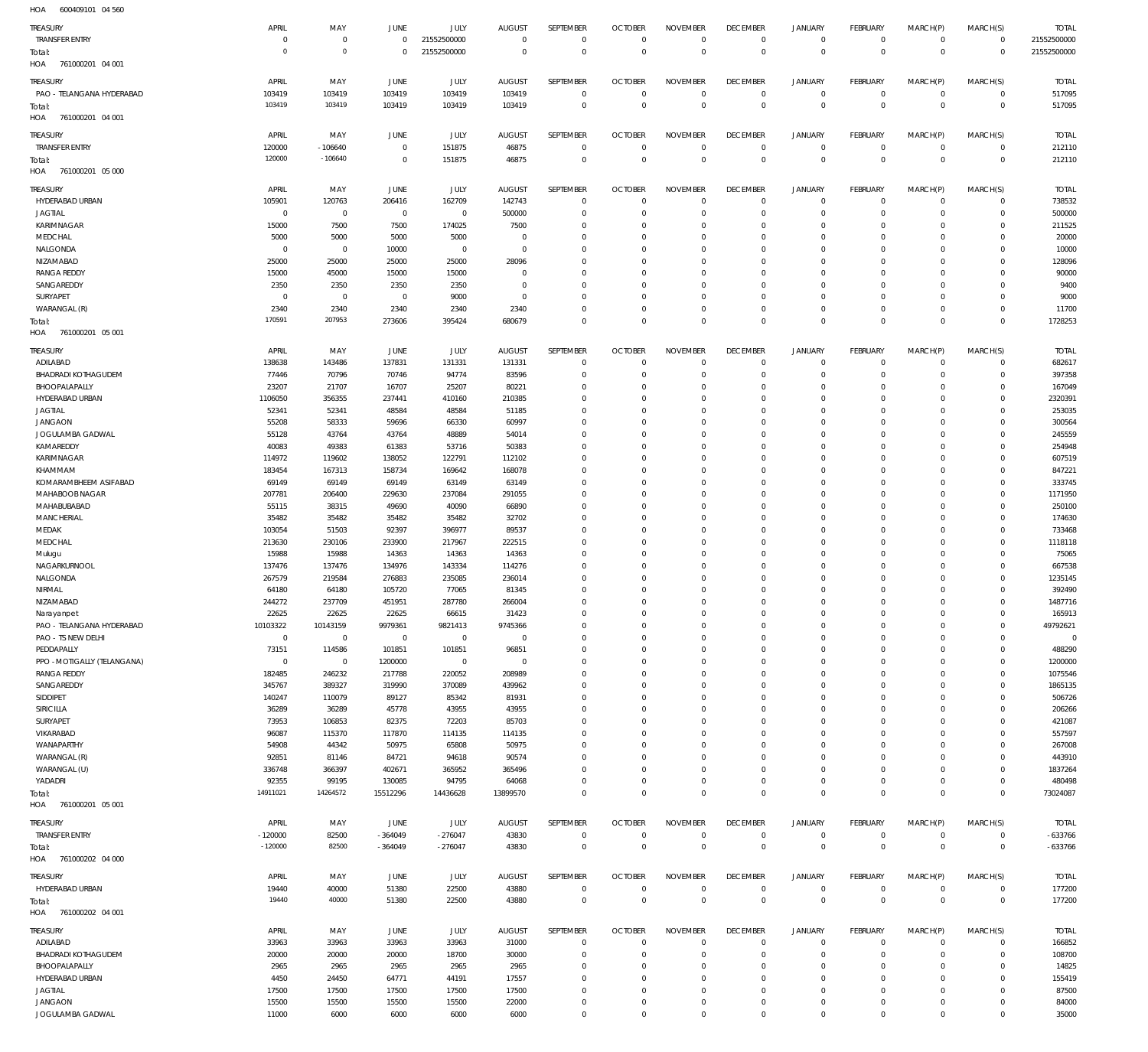| HOA<br>600409101 04 560           |                        |                        |                        |              |                      |                            |                            |                            |                               |                            |                              |                      |                              |                  |
|-----------------------------------|------------------------|------------------------|------------------------|--------------|----------------------|----------------------------|----------------------------|----------------------------|-------------------------------|----------------------------|------------------------------|----------------------|------------------------------|------------------|
| TREASURY                          | APRIL                  | MAY                    | <b>JUNE</b>            | JULY         | <b>AUGUST</b>        | SEPTEMBER                  | <b>OCTOBER</b>             | <b>NOVEMBER</b>            | <b>DECEMBER</b>               | <b>JANUARY</b>             | FEBRUARY                     | MARCH(P)             | MARCH(S)                     | <b>TOTAL</b>     |
| <b>TRANSFER ENTRY</b>             | $\overline{0}$         | $\mathbf 0$            | $\mathbf 0$            | 21552500000  | $\overline{0}$       | $\mathbf 0$                | $\overline{0}$             | $\mathbf 0$                | $\overline{0}$                | $\circ$                    | $\overline{0}$               | $\mathbf{0}$         | $\overline{0}$               | 21552500000      |
| Total:                            | $\mathbf 0$            | $\mathbf 0$            | $\Omega$               | 21552500000  | $\overline{0}$       | $\mathbf 0$                | $\overline{0}$             | $\overline{0}$             | $\overline{0}$                | $\overline{0}$             | $\overline{0}$               | $\overline{0}$       | $\overline{0}$               | 21552500000      |
| 761000201 04 001<br>HOA           |                        |                        |                        |              |                      |                            |                            |                            |                               |                            |                              |                      |                              |                  |
|                                   |                        |                        |                        |              |                      |                            |                            |                            |                               |                            |                              |                      |                              |                  |
| TREASURY                          | APRIL                  | MAY                    | JUNE                   | JULY         | <b>AUGUST</b>        | SEPTEMBER                  | <b>OCTOBER</b>             | <b>NOVEMBER</b>            | <b>DECEMBER</b>               | <b>JANUARY</b>             | FEBRUARY                     | MARCH(P)             | MARCH(S)                     | <b>TOTAL</b>     |
| PAO - TELANGANA HYDERABAD         | 103419                 | 103419                 | 103419                 | 103419       | 103419               | $\mathbf 0$                | $\overline{0}$             | $\mathbf 0$                | $\overline{0}$                | $\circ$                    | $\overline{0}$               | $\circ$              | $\overline{0}$               | 517095           |
| Total:                            | 103419                 | 103419                 | 103419                 | 103419       | 103419               | $\mathbf 0$                | $\overline{0}$             | $\mathbf 0$                | $\overline{0}$                | $\overline{0}$             | $\overline{0}$               | $\mathbf 0$          | $\overline{0}$               | 517095           |
| 761000201 04 001<br>HOA           |                        |                        |                        |              |                      |                            |                            |                            |                               |                            |                              |                      |                              |                  |
| TREASURY                          | APRIL                  | MAY                    | <b>JUNE</b>            | JULY         | <b>AUGUST</b>        | SEPTEMBER                  | <b>OCTOBER</b>             | <b>NOVEMBER</b>            | <b>DECEMBER</b>               | <b>JANUARY</b>             | FEBRUARY                     | MARCH(P)             | MARCH(S)                     | <b>TOTAL</b>     |
| <b>TRANSFER ENTRY</b>             | 120000                 | $-106640$              | $\overline{0}$         | 151875       | 46875                | $\mathbf 0$                | $\overline{0}$             | $\mathbf 0$                | $\overline{0}$                | $\circ$                    | $\overline{0}$               | $\mathbf{0}$         | $\overline{0}$               | 212110           |
| Total:                            | 120000                 | $-106640$              | $\overline{0}$         | 151875       | 46875                | $\mathbf 0$                | $\overline{0}$             | $\overline{0}$             | $\overline{0}$                | $\mathbf 0$                | $\overline{0}$               | $\mathbf 0$          | $\overline{0}$               | 212110           |
| 761000201 05 000<br>HOA           |                        |                        |                        |              |                      |                            |                            |                            |                               |                            |                              |                      |                              |                  |
|                                   |                        |                        |                        |              |                      |                            |                            |                            |                               |                            |                              |                      |                              |                  |
| TREASURY                          | APRIL                  | MAY                    | <b>JUNE</b>            | JULY         | <b>AUGUST</b>        | SEPTEMBER                  | <b>OCTOBER</b>             | <b>NOVEMBER</b>            | <b>DECEMBER</b>               | <b>JANUARY</b>             | FEBRUARY                     | MARCH(P)             | MARCH(S)                     | <b>TOTAL</b>     |
| HYDERABAD URBAN                   | 105901                 | 120763                 | 206416                 | 162709       | 142743               | $\mathbf 0$                | $\overline{0}$             | $\mathbf 0$                | $\overline{0}$                | $\mathbf 0$                | $\overline{0}$               | $\mathbf 0$          | $\overline{0}$               | 738532           |
| <b>JAGTIAL</b>                    | $\overline{0}$         | $\overline{0}$         | $\overline{0}$         | $\mathbf 0$  | 500000               | $\mathbf 0$                | $\overline{0}$             | $\mathbf 0$                | $\overline{0}$                | $\mathbf 0$                | $\overline{0}$               | $\mathbf 0$          | $\mathbf{0}$                 | 500000           |
| KARIMNAGAR                        | 15000                  | 7500                   | 7500                   | 174025       | 7500                 | $\mathbf 0$                | $\overline{0}$             | $\mathbf 0$                | $\overline{0}$                | 0                          | $\mathbf{0}$                 | 0                    | $\mathbf{0}$                 | 211525           |
| MEDCHAL                           | 5000                   | 5000                   | 5000                   | 5000         | $\overline{0}$       | $\mathbf 0$                | $\overline{0}$             | $\mathbf 0$                | $\mathbf 0$                   | $\mathbf 0$                | $\mathbf{0}$                 | 0                    | $\mathbf{0}$                 | 20000            |
| NALGONDA                          | $\overline{0}$         | $\mathbf 0$            | 10000                  | $\mathbf 0$  | $\overline{0}$       | $\mathbf 0$                | $\mathbf 0$                | $\Omega$                   | $\mathbf 0$                   | $\mathbf 0$                | $\mathbf{0}$                 | $\Omega$             | $\mathbf{0}$                 | 10000            |
| NIZAMABAD                         | 25000                  | 25000                  | 25000                  | 25000        | 28096<br>$\mathbf 0$ | $\mathbf 0$<br>$\mathbf 0$ | $\mathbf 0$<br>$\mathbf 0$ | $\mathbf 0$                | $\mathbf 0$<br>$\mathbf 0$    | $\mathbf 0$<br>$\mathbf 0$ | $\mathbf{0}$<br>$\mathbf{0}$ | 0<br>$\Omega$        | $\mathbf{0}$<br>$\mathbf{0}$ | 128096           |
| <b>RANGA REDDY</b>                | 15000                  | 45000                  | 15000                  | 15000        | $\overline{0}$       | $\mathbf 0$                | $\mathbf 0$                | $\mathbf 0$<br>$\mathbf 0$ | $\mathbf 0$                   | $\mathbf 0$                | $\mathbf{0}$                 | 0                    | $\mathbf{0}$                 | 90000            |
| SANGAREDDY<br>SURYAPET            | 2350<br>$\overline{0}$ | 2350<br>$\overline{0}$ | 2350<br>$\overline{0}$ | 2350<br>9000 | $\overline{0}$       | $\mathbf 0$                | $\mathbf 0$                | $\mathbf 0$                | $\mathbf 0$                   | $\mathbf 0$                | $\mathbf{0}$                 | 0                    | $\mathbf{0}$                 | 9400<br>9000     |
| WARANGAL (R)                      | 2340                   | 2340                   | 2340                   | 2340         | 2340                 | $\mathbf 0$                | $\mathbf 0$                | $\mathbf 0$                | $\mathbf 0$                   | $\mathbf 0$                | $\mathbf{0}$                 | $\mathbf 0$          | $\circ$                      | 11700            |
|                                   | 170591                 | 207953                 | 273606                 | 395424       | 680679               | $\mathbf 0$                | $\overline{0}$             | $\mathbf 0$                | $\overline{0}$                | $\mathbf 0$                | $\overline{0}$               | $\mathbf 0$          | $\overline{0}$               | 1728253          |
| Total:<br>761000201 05 001<br>HOA |                        |                        |                        |              |                      |                            |                            |                            |                               |                            |                              |                      |                              |                  |
|                                   |                        |                        |                        |              |                      |                            |                            |                            |                               |                            |                              |                      |                              |                  |
| TREASURY                          | APRIL                  | MAY                    | JUNE                   | JULY         | <b>AUGUST</b>        | SEPTEMBER                  | <b>OCTOBER</b>             | <b>NOVEMBER</b>            | <b>DECEMBER</b>               | <b>JANUARY</b>             | <b>FEBRUARY</b>              | MARCH(P)             | MARCH(S)                     | <b>TOTAL</b>     |
| ADILABAD                          | 138638                 | 143486                 | 137831                 | 131331       | 131331               | $\mathbf 0$                | $\mathbf 0$                | $\mathbf 0$                | $\mathbf 0$                   | $\mathbf 0$                | $\mathbf{0}$                 | $\mathbf 0$          | $\mathbf{0}$                 | 682617           |
| <b>BHADRADI KOTHAGUDEM</b>        | 77446                  | 70796                  | 70746                  | 94774        | 83596                | $\mathbf 0$                | $\overline{0}$             | $\Omega$                   | $\mathbf 0$                   | $\mathbf 0$                | $\mathbf{0}$                 | $\Omega$             | $\mathbf{0}$                 | 397358           |
| BHOOPALAPALLY                     | 23207                  | 21707                  | 16707                  | 25207        | 80221                | $\mathbf 0$                | $\mathbf 0$                | $\mathbf 0$                | $\mathbf 0$                   | $\mathbf 0$                | $\mathbf{0}$                 | $\Omega$             | $\mathbf{0}$                 | 167049           |
| HYDERABAD URBAN                   | 1106050                | 356355                 | 237441                 | 410160       | 210385               | $\mathbf 0$                | $\mathbf 0$                | $\Omega$                   | $\mathbf 0$                   | $\mathbf 0$                | $\mathbf 0$                  | $\Omega$             | $\mathbf 0$                  | 2320391          |
| <b>JAGTIAL</b>                    | 52341                  | 52341                  | 48584                  | 48584        | 51185                | $\mathbf 0$                | $\mathbf 0$                | $\mathbf 0$                | $\mathbf 0$                   | $\mathbf 0$                | $\mathbf{0}$                 | $\Omega$             | $\mathbf 0$                  | 253035           |
| <b>JANGAON</b>                    | 55208                  | 58333                  | 59696                  | 66330        | 60997                | $\mathbf 0$                | $\mathbf 0$                | $\Omega$                   | $\mathbf 0$                   | $\mathbf 0$                | $\mathbf 0$                  | $\Omega$             | $\mathbf 0$                  | 300564           |
| JOGULAMBA GADWAL                  | 55128                  | 43764                  | 43764                  | 48889        | 54014                | $\mathbf 0$                | $\mathbf 0$                | $\Omega$                   | $\mathbf 0$                   | $\mathbf 0$                | $\mathbf{0}$                 | $\Omega$             | $\mathbf{0}$                 | 245559           |
| KAMAREDDY                         | 40083                  | 49383                  | 61383                  | 53716        | 50383                | $\mathbf 0$                | $\mathbf 0$                | $\Omega$                   | $\mathbf 0$                   | $\mathbf 0$                | $\mathbf 0$                  | $\Omega$             | $\mathbf 0$                  | 254948           |
| KARIMNAGAR                        | 114972                 | 119602                 | 138052                 | 122791       | 112102               | $\mathbf 0$                | $\mathbf 0$                | $\Omega$                   | $\mathbf 0$                   | $\Omega$                   | $\Omega$                     | $\Omega$             | $\Omega$                     | 607519           |
| KHAMMAM                           | 183454                 | 167313                 | 158734                 | 169642       | 168078               | $\mathbf 0$                | $\mathbf 0$                | $\Omega$                   | $\mathbf 0$                   | $\mathbf 0$                | $\mathbf{0}$                 | $\Omega$             | $\mathbf 0$                  | 847221           |
| KOMARAMBHEEM ASIFABAD             | 69149                  | 69149                  | 69149                  | 63149        | 63149                | $\mathbf 0$                | $\mathbf 0$                | $\Omega$                   | $\mathbf 0$                   | $\mathbf 0$                | $\mathbf 0$                  | $\Omega$             | $\mathbf 0$                  | 333745           |
| MAHABOOB NAGAR                    | 207781                 | 206400                 | 229630                 | 237084       | 291055               | $\mathbf 0$                | $\mathbf 0$                | $\Omega$                   | $\mathbf 0$                   | $\mathbf 0$                | $\mathbf{0}$                 | $\Omega$             | $\mathbf 0$                  | 1171950          |
| MAHABUBABAD                       | 55115                  | 38315                  | 49690                  | 40090        | 66890                | $\mathbf 0$                | $\mathbf 0$                | $\mathbf 0$                | $\mathbf 0$                   | $\mathbf 0$                | $\mathbf{0}$                 | $\Omega$             | $\mathbf 0$                  | 250100           |
| <b>MANCHERIAL</b>                 | 35482                  | 35482                  | 35482                  | 35482        | 32702                | $\mathbf 0$                | $\mathbf 0$                | $\Omega$                   | $\mathbf 0$                   | $\mathbf 0$                | $\mathbf 0$                  | $\Omega$             | $\mathbf 0$                  | 174630           |
| MEDAK                             | 103054                 | 51503                  | 92397                  | 396977       | 89537                | $\mathbf 0$                | $\mathbf 0$                | $\mathbf 0$                | $\mathbf 0$                   | $\mathbf 0$                | $\mathbf{0}$                 | $\Omega$             | $\mathbf{0}$                 | 733468           |
| MEDCHAL                           | 213630                 | 230106                 | 233900                 | 217967       | 222515               | $\mathbf 0$                | $\mathbf 0$                | $\Omega$                   | $\mathbf 0$                   | $\mathbf 0$                | $\mathbf 0$                  | $\Omega$             | $\mathbf 0$                  | 1118118          |
| Mulugu                            | 15988                  | 15988                  | 14363                  | 14363        | 14363                | $\mathbf 0$                | $\mathbf 0$                | $\mathbf 0$                | $\mathbf 0$                   | $\mathbf 0$                | $\mathbf{0}$                 | $\Omega$             | $\mathbf{0}$                 | 75065            |
| NAGARKURNOOL                      | 137476                 | 137476                 | 134976                 | 143334       | 114276               | $\mathbf 0$                | $\mathbf 0$                | $\Omega$                   | $\mathbf 0$                   | $\mathbf 0$                | $\mathbf 0$                  | $\Omega$             | $\mathbf 0$                  | 667538           |
| NALGONDA                          | 267579                 | 219584                 | 276883                 | 235085       | 236014               | $\Omega$                   | $\mathbf 0$                | $\Omega$                   | $\Omega$                      | $\Omega$                   | $\Omega$                     | $\Omega$             | $\Omega$                     | 1235145          |
| NIRMAL                            | 64180                  | 64180                  | 105720                 | 77065        | 81345                | $\mathbf 0$                | $\Omega$                   | $\Omega$                   | $\Omega$                      | $\Omega$                   | $\Omega$                     | $\Omega$             | $\mathbf{0}$                 | 392490           |
| NIZAMABAD                         | 244272                 | 237709                 | 451951                 | 287780       | 266004               | $\mathbf 0$                | $\Omega$                   | $\Omega$                   | $\mathbb O$                   | $\Omega$                   | $\Omega$                     | $\mathbf 0$          | $\circ$                      | 1487716          |
| Narayanpet                        | 22625                  | 22625                  | 22625                  | 66615        | 31423                | $\mathbf 0$                | $\overline{0}$             | $\Omega$                   | $\mathbf 0$                   | $\mathbf 0$                | $\mathbf{0}$                 | $\Omega$             | $\mathbf 0$                  | 165913           |
| PAO - TELANGANA HYDERABAD         | 10103322               | 10143159               | 9979361                | 9821413      | 9745366              | $\mathbf 0$                | $\mathbf 0$                | $\mathbf 0$                | $\mathbf 0$                   | $\mathbf 0$                | $\mathbf{0}$                 | $\Omega$             | $\mathbf{0}$                 | 49792621         |
| PAO - TS NEW DELHI                | $\,0\,$                | $\overline{0}$         | $\overline{0}$         | $\mathbb O$  | $\overline{0}$       | $\mathbf 0$                | $\mathbf 0$                | $\Omega$                   | $\mathbf 0$                   | $\mathbf 0$                | $\mathbf 0$                  | $\Omega$             | $\mathbf 0$                  | $\Omega$         |
| PEDDAPALLY                        | 73151                  | 114586                 | 101851                 | 101851       | 96851                | $\mathbf 0$                | $\mathbf 0$                | $\mathbf 0$                | $\mathbf 0$                   | $\mathbf 0$                | $\mathbf{0}$                 | $\Omega$             | $\mathbf{0}$                 | 488290           |
| PPO - MOTIGALLY (TELANGANA)       | $\mathbf 0$            | $\overline{0}$         | 1200000                | $\mathbb O$  | $\overline{0}$       | $\mathbf 0$                | $\mathbf 0$                | $\Omega$                   | $\mathbf 0$                   | $\mathbf 0$                | $\mathbf 0$                  | $\Omega$             | $\mathbf 0$                  | 1200000          |
| <b>RANGA REDDY</b>                | 182485                 | 246232                 | 217788                 | 220052       | 208989               | $\mathbf 0$                | $\mathbf 0$                | $\Omega$                   | $\mathbf 0$                   | $\mathbf 0$                | $\Omega$                     | $\Omega$             | $\mathbf 0$                  | 1075546          |
| SANGAREDDY                        | 345767                 | 389327                 | 319990                 | 370089       | 439962               | $\mathbf 0$                | $\mathbf 0$                | $\Omega$                   | $\mathbf 0$                   | $\mathbf 0$                | $\mathbf 0$                  | $\Omega$             | $\mathbf 0$                  | 1865135          |
| SIDDIPET                          | 140247                 | 110079                 | 89127                  | 85342        | 81931                | $\mathbf 0$                | $\mathbf 0$                | $\Omega$                   | $\mathbf 0$                   | $\Omega$                   | $\Omega$                     | $\Omega$             | $\mathbf 0$                  | 506726           |
| SIRICILLA                         | 36289                  | 36289                  | 45778                  | 43955        | 43955                | $\mathbf 0$                | $\mathbf 0$                | $\Omega$                   | $\mathbf 0$                   | $\mathbf 0$                | $\mathbf 0$                  | $\Omega$             | $\mathbf 0$                  | 206266           |
| SURYAPET                          | 73953                  | 106853                 | 82375                  | 72203        | 85703                | $\mathbf 0$                | $\mathbf 0$                | $\Omega$                   | $\mathbf 0$                   | $\mathbf 0$                | $\Omega$                     | $\Omega$             | $\mathbf 0$                  | 421087           |
| VIKARABAD                         | 96087                  | 115370                 | 117870                 | 114135       | 114135               | $\mathbf 0$                | $\mathbf 0$                | $\Omega$                   | $\mathbf 0$                   | $\mathbf 0$                | $\mathbf 0$                  | $\Omega$             | $\mathbf 0$                  | 557597           |
| WANAPARTHY<br>WARANGAL (R)        | 54908                  | 44342                  | 50975                  | 65808        | 50975                | $\mathbf 0$<br>$\mathbf 0$ | $\mathbf 0$<br>$\mathbf 0$ | $\Omega$<br>$\Omega$       | $\mathbf 0$<br>$\mathbf 0$    | $\mathbf 0$<br>$\mathbf 0$ | $\mathbf 0$<br>$\Omega$      | $\Omega$<br>$\Omega$ | $\mathbf{0}$<br>$\mathbf 0$  | 267008<br>443910 |
|                                   | 92851                  | 81146                  | 84721                  | 94618        | 90574                |                            |                            |                            |                               |                            |                              |                      |                              |                  |
| WARANGAL (U)                      | 336748                 | 366397                 | 402671                 | 365952       | 365496               | $\mathbf 0$                | $\mathbf 0$                | $\mathbf 0$                | $\mathbf 0$                   | $\mathbf 0$                | $\mathbf{0}$                 | $\Omega$<br>$\Omega$ | $\mathbf{0}$                 | 1837264          |
| YADADRI                           | 92355<br>14911021      | 99195<br>14264572      | 130085                 | 94795        | 64068                | $\mathbf 0$<br>$\Omega$    | $\mathbf 0$<br>$\Omega$    | $\mathbf 0$<br>$\Omega$    | $\mathbf 0$<br>$\overline{0}$ | $\mathbf 0$<br>$\mathbf 0$ | $\mathbf{0}$<br>$\Omega$     | $\Omega$             | $\mathbf 0$                  | 480498           |
| Total:                            |                        |                        | 15512296               | 14436628     | 13899570             |                            |                            |                            |                               |                            |                              |                      | $\overline{0}$               | 73024087         |
| HOA 761000201 05 001              |                        |                        |                        |              |                      |                            |                            |                            |                               |                            |                              |                      |                              |                  |
| TREASURY                          | APRIL                  | MAY                    | JUNE                   | JULY         | <b>AUGUST</b>        | SEPTEMBER                  | <b>OCTOBER</b>             | <b>NOVEMBER</b>            | <b>DECEMBER</b>               | <b>JANUARY</b>             | FEBRUARY                     | MARCH(P)             | MARCH(S)                     | <b>TOTAL</b>     |
| <b>TRANSFER ENTRY</b>             | $-120000$              | 82500                  | $-364049$              | $-276047$    | 43830                | $\mathbf 0$                | $\overline{0}$             | $\overline{0}$             | $\overline{0}$                | $\circ$                    | $\overline{0}$               | $\circ$              | $\overline{0}$               | $-633766$        |
| Total:                            | $-120000$              | 82500                  | $-364049$              | $-276047$    | 43830                | $\mathbf 0$                | $\overline{0}$             | $\overline{0}$             | $\overline{0}$                | $\mathbf 0$                | $\overline{0}$               | $\mathbf 0$          | $\overline{0}$               | $-633766$        |
| 761000202 04 000<br>HOA           |                        |                        |                        |              |                      |                            |                            |                            |                               |                            |                              |                      |                              |                  |
| TREASURY                          | APRIL                  | MAY                    | <b>JUNE</b>            | JULY         | <b>AUGUST</b>        | SEPTEMBER                  | <b>OCTOBER</b>             | <b>NOVEMBER</b>            | <b>DECEMBER</b>               | <b>JANUARY</b>             | FEBRUARY                     | MARCH(P)             | MARCH(S)                     | <b>TOTAL</b>     |
| HYDERABAD URBAN                   | 19440                  | 40000                  | 51380                  | 22500        | 43880                | $\mathbf 0$                | $\overline{0}$             | $\mathbf 0$                | $\overline{0}$                | $\circ$                    | $\overline{0}$               | $\mathbf{0}$         | $\overline{0}$               | 177200           |
|                                   | 19440                  | 40000                  | 51380                  | 22500        | 43880                | $\mathbf 0$                | $\overline{0}$             | $\overline{0}$             | $\overline{0}$                | $\overline{0}$             | $\overline{0}$               | $\mathbf 0$          | $\,0\,$                      | 177200           |
| Total:                            |                        |                        |                        |              |                      |                            |                            |                            |                               |                            |                              |                      |                              |                  |
| HOA 761000202 04 001              |                        |                        |                        |              |                      |                            |                            |                            |                               |                            |                              |                      |                              |                  |
| TREASURY                          | APRIL                  | MAY                    | <b>JUNE</b>            | JULY         | <b>AUGUST</b>        | SEPTEMBER                  | <b>OCTOBER</b>             | <b>NOVEMBER</b>            | <b>DECEMBER</b>               | <b>JANUARY</b>             | FEBRUARY                     | MARCH(P)             | MARCH(S)                     | <b>TOTAL</b>     |
| ADILABAD                          | 33963                  | 33963                  | 33963                  | 33963        | 31000                | $\mathbf 0$                | $\overline{0}$             | $\mathbf 0$                | $\overline{0}$                | $\circ$                    | $\overline{0}$               | $\mathbf 0$          | $\overline{0}$               | 166852           |
| <b>BHADRADI KOTHAGUDEM</b>        | 20000                  | 20000                  | 20000                  | 18700        | 30000                | $\mathbf 0$                | $\overline{0}$             | $\mathbf 0$                | $\overline{0}$                | $\mathbf 0$                | $\overline{0}$               | $\mathbf 0$          | $\overline{0}$               | 108700           |
| BHOOPALAPALLY                     | 2965                   | 2965                   | 2965                   | 2965         | 2965                 | $\mathbf 0$                | $\overline{0}$             | $\mathbf 0$                | $\mathbf 0$                   | $\mathbf 0$                | $\mathbf{0}$                 | $\Omega$             | $\mathbf{0}$                 | 14825            |
| HYDERABAD URBAN                   | 4450                   | 24450                  | 64771                  | 44191        | 17557                | $\mathbf 0$                | $\overline{0}$             | $\mathbf 0$                | $\overline{0}$                | $\mathbf 0$                | $\mathbf{0}$                 | 0                    | $\mathbf{0}$                 | 155419           |
| <b>JAGTIAL</b>                    | 17500                  | 17500                  | 17500                  | 17500        | 17500                | $\mathbf 0$                | $\overline{0}$             | $\mathbf 0$                | $\overline{0}$                | $\mathbf 0$                | $\mathbf{0}$                 | $\Omega$             | $\mathbf{0}$                 | 87500            |
| <b>JANGAON</b>                    | 15500                  | 15500                  | 15500                  | 15500        | 22000                | $\mathbf 0$                | $\mathbf 0$                | $\mathbf 0$                | $\overline{0}$                | 0                          | $\circ$                      | $\mathbf 0$          | $\mathbf{0}$                 | 84000            |
| JOGULAMBA GADWAL                  | 11000                  | 6000                   | 6000                   | 6000         | 6000                 | $\mathbf 0$                | $\overline{0}$             | $\mathbb O$                | $\,0\,$                       | $\mathbf 0$                | $\circ$                      | $\mathbf 0$          | $\circ$                      | 35000            |
|                                   |                        |                        |                        |              |                      |                            |                            |                            |                               |                            |                              |                      |                              |                  |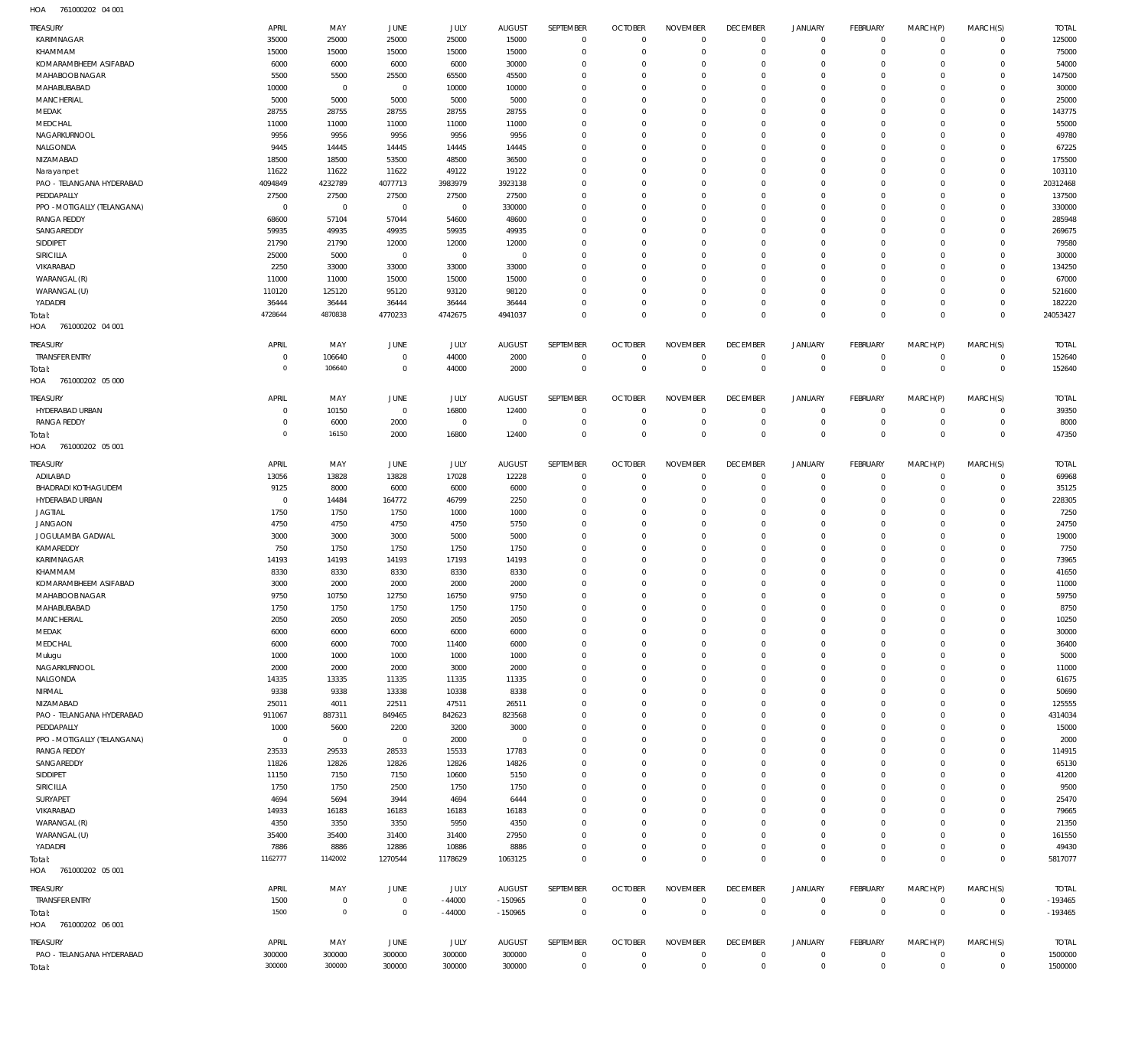761000202 04 001 HOA

| TREASURY<br>KARIMNAGAR                  | APRIL<br>35000   | MAY<br>25000     | JUNE<br>25000    | JULY<br>25000    | <b>AUGUST</b><br>15000 | SEPTEMBER<br>$\mathbf 0$     | <b>OCTOBER</b><br>$\mathbf 0$ | <b>NOVEMBER</b><br>$\Omega$ | <b>DECEMBER</b><br>$\mathbf 0$ | <b>JANUARY</b><br>$\mathbf 0$ | <b>FEBRUARY</b><br>$\mathbf 0$ | MARCH(P)<br>$\Omega$ | MARCH(S)<br>$\mathbf 0$    | <b>TOTAL</b><br>125000 |
|-----------------------------------------|------------------|------------------|------------------|------------------|------------------------|------------------------------|-------------------------------|-----------------------------|--------------------------------|-------------------------------|--------------------------------|----------------------|----------------------------|------------------------|
| KHAMMAM                                 | 15000            | 15000            | 15000            | 15000            | 15000                  | $\mathbf 0$                  | $\mathbf 0$                   | $\Omega$                    | $\mathbf 0$                    | $\mathbf 0$                   | $\mathbf 0$                    | $\Omega$             | $\mathbf 0$                | 75000                  |
| KOMARAMBHEEM ASIFABAD                   | 6000             | 6000             | 6000             | 6000             | 30000                  | $^{\circ}$                   | $^{\circ}$                    | $\Omega$                    | $^{\circ}$                     | $\mathbf 0$                   | $\mathbf 0$                    | $\Omega$             | $\mathbf 0$                | 54000                  |
| MAHABOOB NAGAR                          | 5500             | 5500             | 25500            | 65500            | 45500                  | $\Omega$                     | $^{\circ}$                    | $\Omega$                    | $^{\circ}$                     | $\Omega$                      | $\Omega$                       | $\Omega$             | $\Omega$                   | 147500                 |
| MAHABUBABAD                             | 10000            | $\overline{0}$   | $\overline{0}$   | 10000            | 10000                  | $\mathbf{0}$                 | $^{\circ}$                    | $\Omega$                    | $^{\circ}$                     | $\circ$                       | $\mathbf 0$                    | $\Omega$             | $\Omega$                   | 30000                  |
| MANCHERIAL                              | 5000             | 5000             | 5000             | 5000             | 5000                   | $\mathbf{0}$                 | $^{\circ}$                    | $\Omega$                    | $^{\circ}$                     | $\Omega$                      | $\Omega$                       | $\Omega$             | $\Omega$                   | 25000                  |
| MEDAK                                   | 28755            | 28755            | 28755            | 28755            | 28755                  | $\mathbf{0}$                 | $^{\circ}$                    | $\Omega$                    | $^{\circ}$                     | $\Omega$                      | $\mathbf 0$                    |                      | $\Omega$                   | 143775                 |
| MEDCHAL                                 | 11000            | 11000            | 11000            | 11000            | 11000                  | $\Omega$                     | $\mathbf 0$                   | $\Omega$                    | $\Omega$                       | $\Omega$                      | $\Omega$                       | $\Omega$             | $\Omega$                   | 55000                  |
| NAGARKURNOOL                            | 9956             | 9956             | 9956             | 9956             | 9956                   | $^{\circ}$                   | $^{\circ}$                    | $\Omega$                    | $^{\circ}$                     | $\circ$                       | $\mathbf 0$                    |                      | $\Omega$                   | 49780                  |
| NALGONDA                                | 9445             | 14445            | 14445            | 14445            | 14445                  | $\Omega$                     | $^{\circ}$                    | $\Omega$                    | $\Omega$                       | $\Omega$                      | $\Omega$                       | $\Omega$             | $\Omega$                   | 67225                  |
| NIZAMABAD                               | 18500            | 18500            | 53500            | 48500            | 36500                  | $^{\circ}$                   | $^{\circ}$                    | $\Omega$                    | $^{\circ}$                     | $\circ$                       | $\mathbf 0$                    | $\Omega$             | $\mathbf 0$                | 175500                 |
| Narayanpet                              | 11622            | 11622            | 11622            | 49122            | 19122                  | $\Omega$                     | $\mathbf 0$                   | $\Omega$                    | $\Omega$                       | $\Omega$                      | $\Omega$                       | $\Omega$             | $\Omega$                   | 103110                 |
| PAO - TELANGANA HYDERABAD<br>PEDDAPALLY | 4094849<br>27500 | 4232789<br>27500 | 4077713<br>27500 | 3983979<br>27500 | 3923138<br>27500       | $\mathbf{0}$<br>$\mathbf{0}$ | $^{\circ}$<br>$^{\circ}$      | $\Omega$<br>$\Omega$        | $^{\circ}$<br>$^{\circ}$       | $\circ$<br>$\Omega$           | $\mathbf 0$<br>$\Omega$        | $\Omega$             | $\mathbf 0$<br>$\mathbf 0$ | 20312468<br>137500     |
| PPO - MOTIGALLY (TELANGANA)             | $\overline{0}$   | $\mathbf 0$      | $\overline{0}$   | $\mathbf 0$      | 330000                 | $\mathbf{0}$                 | $^{\circ}$                    | $\Omega$                    | $\Omega$                       | $\Omega$                      | $\mathbf 0$                    | $\Omega$             | $\Omega$                   | 330000                 |
| <b>RANGA REDDY</b>                      | 68600            | 57104            | 57044            | 54600            | 48600                  | $\Omega$                     | $^{\circ}$                    | $\Omega$                    | $^{\circ}$                     | $\Omega$                      | $\Omega$                       | $\Omega$             | $\mathbf 0$                | 285948                 |
| SANGAREDDY                              | 59935            | 49935            | 49935            | 59935            | 49935                  | $\mathbf{0}$                 | $^{\circ}$                    | $\Omega$                    | $^{\circ}$                     | $\Omega$                      | $\mathbf 0$                    |                      | $\Omega$                   | 269675                 |
| SIDDIPET                                | 21790            | 21790            | 12000            | 12000            | 12000                  | $\Omega$                     | $^{\circ}$                    | $\Omega$                    | $^{\circ}$                     | $\Omega$                      | $\Omega$                       | $\Omega$             | $\Omega$                   | 79580                  |
| SIRICILLA                               | 25000            | 5000             | $^{\circ}$       | $\overline{0}$   | $\overline{0}$         | $^{\circ}$                   | $^{\circ}$                    | $\Omega$                    | $^{\circ}$                     | $\Omega$                      | $\mathbf 0$                    |                      | $\mathbf 0$                | 30000                  |
| VIKARABAD                               | 2250             | 33000            | 33000            | 33000            | 33000                  | $\Omega$                     | $\Omega$                      | $\Omega$                    | $\Omega$                       | $\Omega$                      | $\Omega$                       | $\Omega$             | $\Omega$                   | 134250                 |
| WARANGAL (R)                            | 11000            | 11000            | 15000            | 15000            | 15000                  | $^{\circ}$                   | $^{\circ}$                    | $\Omega$                    | $^{\circ}$                     | $\circ$                       | $\mathbf 0$                    |                      | $\mathbf 0$                | 67000                  |
| WARANGAL (U)                            | 110120           | 125120           | 95120            | 93120            | 98120                  | $\Omega$                     | $\Omega$                      | $\Omega$                    | $^{\circ}$                     | $\Omega$                      | $\Omega$                       | $\Omega$             | $\Omega$                   | 521600                 |
| YADADRI                                 | 36444            | 36444            | 36444            | 36444            | 36444                  | $\mathbf{0}$                 | $\mathbf{0}$                  | $\circ$                     | $\mathbf{0}$                   | $\mathbf 0$                   | $\mathbf 0$                    | $\Omega$             | $\mathbf 0$                | 182220                 |
| Total:                                  | 4728644          | 4870838          | 4770233          | 4742675          | 4941037                | $\Omega$                     | $\Omega$                      | $\Omega$                    | $\mathbf{0}$                   | $\mathbf{0}$                  | $\Omega$                       | $\Omega$             | $\mathbf{0}$               | 24053427               |
| 761000202 04 001<br>HOA                 |                  |                  |                  |                  |                        |                              |                               |                             |                                |                               |                                |                      |                            |                        |
| TREASURY                                | APRIL            | MAY              | JUNE             | JULY             | <b>AUGUST</b>          | SEPTEMBER                    | <b>OCTOBER</b>                | <b>NOVEMBER</b>             | <b>DECEMBER</b>                | <b>JANUARY</b>                | <b>FEBRUARY</b>                | MARCH(P)             | MARCH(S)                   | <b>TOTAL</b>           |
| <b>TRANSFER ENTRY</b>                   | $^{\circ}$       | 106640           | $\overline{0}$   | 44000            | 2000                   | $^{\circ}$                   | $\mathbf{0}$                  | $^{\circ}$                  | $^{\circ}$                     | $\mathbf 0$                   | $\mathbf 0$                    | $\mathbf 0$          | $\mathbf 0$                | 152640                 |
| Total:                                  | $\overline{0}$   | 106640           | $\overline{0}$   | 44000            | 2000                   | $\mathbf{0}$                 | $\mathbf{0}$                  | $\mathbf{0}$                | $\mathbf{0}$                   | $\mathbf{0}$                  | $\mathbf{0}$                   | $^{\circ}$           | $\mathbf{0}$               | 152640                 |
| HOA<br>761000202 05 000                 |                  |                  |                  |                  |                        |                              |                               |                             |                                |                               |                                |                      |                            |                        |
| Treasury                                | APRIL            | MAY              | JUNE             | JULY             | <b>AUGUST</b>          | SEPTEMBER                    | <b>OCTOBER</b>                | <b>NOVEMBER</b>             | <b>DECEMBER</b>                | <b>JANUARY</b>                | <b>FEBRUARY</b>                | MARCH(P)             | MARCH(S)                   | <b>TOTAL</b>           |
| HYDERABAD URBAN                         | $\overline{0}$   | 10150            | $\overline{0}$   | 16800            | 12400                  | $\mathbf 0$                  | $\mathbf{0}$                  | $^{\circ}$                  | $^{\circ}$                     | $\mathbf 0$                   | $\mathbf 0$                    | $\Omega$             | $\mathbf 0$                | 39350                  |
| <b>RANGA REDDY</b>                      | $^{\circ}$       | 6000             | 2000             | $\overline{0}$   | $\overline{0}$         | $^{\circ}$                   | $\mathbf{0}$                  | $^{\circ}$                  | $\mathbf{0}$                   | $\mathbf 0$                   | $\overline{0}$                 | $\mathbf 0$          | $\mathbf 0$                | 8000                   |
| Total:                                  | $\Omega$         | 16150            | 2000             | 16800            | 12400                  | $\mathbf 0$                  | $\mathbf 0$                   | $\mathbf 0$                 | $\mathbf 0$                    | $\mathbf 0$                   | $\mathbf 0$                    | $\Omega$             | $\mathbf 0$                | 47350                  |
| 761000202 05 001<br>HOA                 |                  |                  |                  |                  |                        |                              |                               |                             |                                |                               |                                |                      |                            |                        |
| TREASURY                                | APRIL            | MAY              | JUNE             | JULY             | <b>AUGUST</b>          | SEPTEMBER                    | <b>OCTOBER</b>                | <b>NOVEMBER</b>             | <b>DECEMBER</b>                | <b>JANUARY</b>                | <b>FEBRUARY</b>                | MARCH(P)             | MARCH(S)                   | <b>TOTAL</b>           |
| ADILABAD                                | 13056            | 13828            | 13828            | 17028            | 12228                  | $^{\circ}$                   | $\mathbf 0$                   | $^{\circ}$                  | $^{\circ}$                     | $\circ$                       | $\mathbf 0$                    | $\Omega$             | $\mathbf 0$                | 69968                  |
| <b>BHADRADI KOTHAGUDEM</b>              | 9125             | 8000             | 6000             | 6000             | 6000                   | $^{\circ}$                   | $^{\circ}$                    | $\circ$                     | $^{\circ}$                     | $\circ$                       | $\mathbf 0$                    | $\Omega$             | $\mathbf 0$                | 35125                  |
| HYDERABAD URBAN                         | $\overline{0}$   | 14484            | 164772           | 46799            | 2250                   | $\Omega$                     | $^{\circ}$                    | $\Omega$                    | $\Omega$                       |                               | $\Omega$                       |                      | $\Omega$                   | 228305                 |
| <b>JAGTIAL</b>                          | 1750             | 1750             | 1750             | 1000             | 1000                   | $^{\circ}$                   | $^{\circ}$                    | $\Omega$                    | $^{\circ}$                     | $\Omega$                      | $\Omega$                       |                      | $\Omega$                   | 7250                   |
| <b>JANGAON</b>                          | 4750             | 4750             | 4750             | 4750             | 5750                   | $\Omega$                     | $^{\circ}$                    | $\Omega$                    | $\Omega$                       |                               | $\Omega$                       |                      | $\Omega$                   | 24750                  |
| JOGULAMBA GADWAL                        | 3000             | 3000             | 3000             | 5000             | 5000                   | $^{\circ}$                   | $^{\circ}$                    | $\Omega$                    | $^{\circ}$                     | $\Omega$                      | $\Omega$                       |                      | $\Omega$                   | 19000                  |
| KAMAREDDY                               | 750              | 1750             | 1750             | 1750             | 1750                   | $\Omega$                     | $^{\circ}$                    | $\Omega$                    | $\Omega$                       | $\Omega$                      | $\Omega$                       |                      | $\Omega$                   | 7750                   |
| KARIMNAGAR                              | 14193            | 14193            | 14193            | 17193            | 14193                  | $^{\circ}$                   | $^{\circ}$                    | $\Omega$                    | $\Omega$                       | $\Omega$                      | $\Omega$                       |                      | $\Omega$                   | 73965                  |
| KHAMMAM                                 | 8330             | 8330             | 8330             | 8330             | 8330                   | $\Omega$                     | $\Omega$                      | $\Omega$                    | $\Omega$                       | $\Omega$                      | $\Omega$                       |                      | $\Omega$                   | 41650                  |
| KOMARAMBHEEM ASIFABAD                   | 3000             | 2000             | 2000             | 2000             | 2000                   | 0                            | $^{\circ}$                    | $\Omega$                    | $^{\circ}$                     | $\Omega$                      | $\Omega$                       |                      | $\Omega$                   | 11000                  |
| MAHABOOB NAGAR                          | 9750             | 10750            | 12750            | 16750            | 9750                   | $\Omega$                     | $\Omega$                      | $\Omega$                    | $\Omega$                       | $\Omega$                      | $\Omega$                       |                      | $\Omega$                   | 59750                  |
| MAHABUBABAD                             | 1750             | 1750             | 1750             | 1750             | 1750                   | $\Omega$                     | $\Omega$                      | $\Omega$                    | $\Omega$                       | $\Omega$                      | $\Omega$                       | $\cap$               | $\Omega$                   | 8750                   |
| MANCHERIAL                              | 2050             | 2050             | 2050             | 2050             | 2050                   | $^{\circ}$                   | $\mathbf 0$                   | $\Omega$                    | $^{\circ}$                     | $\Omega$                      | $\Omega$                       | $\Omega$             | $\Omega$<br>$\Omega$       | 10250                  |
| MEDAK<br>MEDCHAL                        | 6000             | 6000             | 6000             | 6000             | 6000<br>6000           | $\mathbf{0}$                 | $\mathbf 0$<br>$^{\circ}$     | $\circ$<br>$\Omega$         | $^{\circ}$<br>$^{\circ}$       | $\circ$<br>$\Omega$           | $\mathbf 0$<br>$\Omega$        | $\Omega$             | $\Omega$                   | 30000<br>36400         |
|                                         | 6000<br>1000     | 6000<br>1000     | 7000<br>1000     | 11400<br>1000    | 1000                   | $^{\circ}$<br>$^{\circ}$     | $^{\circ}$                    | $\Omega$                    | $^{\circ}$                     | $\Omega$                      | $\Omega$                       |                      | $\Omega$                   | 5000                   |
| Mulugu<br>NAGARKURNOOL                  | 2000             | 2000             | 2000             | 3000             | 2000                   | $^{\circ}$                   | $^{\circ}$                    | 0                           | $^{\circ}$                     | $\circ$                       | $\Omega$                       |                      | $\Omega$                   | 11000                  |
| NALGONDA                                | 14335            | 13335            | 11335            | 11335            | 11335                  | $^{\circ}$                   | $\mathbf{0}$                  | $\Omega$                    | $\mathbf{0}$                   | $\Omega$                      | $\Omega$                       |                      | $\Omega$                   | 61675                  |
| NIRMAL                                  | 9338             | 9338             | 13338            | 10338            | 8338                   | $^{\circ}$                   | $^{\circ}$                    | $\Omega$                    | $^{\circ}$                     | $\Omega$                      | $\Omega$                       |                      | $\Omega$                   | 50690                  |
| NIZAMABAD                               | 25011            | 4011             | 22511            | 47511            | 26511                  | $^{\circ}$                   | $^{\circ}$                    | $\Omega$                    | $^{\circ}$                     | $\circ$                       | $\mathbf 0$                    |                      | $\Omega$                   | 125555                 |
| PAO - TELANGANA HYDERABAD               | 911067           | 887311           | 849465           | 842623           | 823568                 | $\Omega$                     | $^{\circ}$                    | $\Omega$                    | $^{\circ}$                     | $\Omega$                      | $\Omega$                       |                      | $\Omega$                   | 4314034                |
| PEDDAPALLY                              | 1000             | 5600             | 2200             | 3200             | 3000                   | $^{\circ}$                   | $^{\circ}$                    | 0                           | $^{\circ}$                     | $\circ$                       | $\mathbf 0$                    |                      | $\Omega$                   | 15000                  |
| PPO - MOTIGALLY (TELANGANA)             | $\mathbf 0$      | $\mathbf 0$      | $\overline{0}$   | 2000             | $\overline{0}$         | $\Omega$                     | $\mathbf 0$                   | $\Omega$                    | $\mathbf 0$                    | $\Omega$                      | $\Omega$                       |                      | $\Omega$                   | 2000                   |
| <b>RANGA REDDY</b>                      | 23533            | 29533            | 28533            | 15533            | 17783                  | $^{\circ}$                   | $^{\circ}$                    | $\Omega$                    | $^{\circ}$                     | $\circ$                       | $\mathbf 0$                    |                      | $\Omega$                   | 114915                 |
| SANGAREDDY                              | 11826            | 12826            | 12826            | 12826            | 14826                  | 0                            | $^{\circ}$                    | 0                           | $^{\circ}$                     | $\Omega$                      | $\Omega$                       |                      | $\Omega$                   | 65130                  |
| SIDDIPET                                | 11150            | 7150             | 7150             | 10600            | 5150                   | $^{\circ}$                   | $^{\circ}$                    | $\Omega$                    | $^{\circ}$                     | $\Omega$                      | $\Omega$                       |                      | $\Omega$                   | 41200                  |
| SIRICILLA                               | 1750             | 1750             | 2500             | 1750             | 1750                   | $^{\circ}$                   | $^{\circ}$                    | $\Omega$                    | $^{\circ}$                     | $\Omega$                      | $\Omega$                       |                      | $\Omega$                   | 9500                   |
| SURYAPET                                | 4694             | 5694             | 3944             | 4694             | 6444                   | $^{\circ}$                   | $\mathbf 0$                   | $\Omega$                    | $^{\circ}$                     | $\Omega$                      | $\Omega$                       |                      | $\Omega$                   | 25470                  |
| VIKARABAD                               | 14933            | 16183            | 16183            | 16183            | 16183                  | $^{\circ}$                   | $^{\circ}$                    | $\Omega$                    | $^{\circ}$                     | $\Omega$                      | $\Omega$                       |                      | $\Omega$                   | 79665                  |
| WARANGAL (R)                            | 4350             | 3350             | 3350             | 5950             | 4350                   | $^{\circ}$                   | $^{\circ}$                    | $\Omega$                    | $^{\circ}$                     | $\circ$                       | $\mathbf 0$                    |                      | $\Omega$                   | 21350                  |
| WARANGAL (U)                            | 35400            | 35400            | 31400            | 31400            | 27950                  | $\Omega$                     | $^{\circ}$                    | $\Omega$                    | $^{\circ}$                     | $\Omega$                      | $\Omega$                       |                      | $\Omega$                   | 161550                 |
| YADADRI                                 | 7886             | 8886             | 12886            | 10886            | 8886                   | $\mathbf{0}$                 | $\mathbf 0$                   | $\circ$                     | $\mathbf 0$                    | $\mathbf 0$                   | $\mathbf 0$                    | $\Omega$             | $\mathbf 0$                | 49430                  |
| Total:                                  | 1162777          | 1142002          | 1270544          | 1178629          | 1063125                | $^{\circ}$                   | $\mathbf 0$                   | $^{\circ}$                  | $\mathbf 0$                    | $\mathbf 0$                   | $\mathbf 0$                    | $\Omega$             | $\mathbf 0$                | 5817077                |
| HOA 761000202 05 001                    |                  |                  |                  |                  |                        |                              |                               |                             |                                |                               |                                |                      |                            |                        |
| TREASURY                                | APRIL            | MAY              | JUNE             | JULY             | <b>AUGUST</b>          | SEPTEMBER                    | <b>OCTOBER</b>                | <b>NOVEMBER</b>             | <b>DECEMBER</b>                | JANUARY                       | <b>FEBRUARY</b>                | MARCH(P)             | MARCH(S)                   | <b>TOTAL</b>           |
| <b>TRANSFER ENTRY</b>                   | 1500             | $\mathbf 0$      | $\overline{0}$   | $-44000$         | $-150965$              | $\overline{0}$               | $\mathbf 0$                   | $^{\circ}$                  | $^{\circ}$                     | $\mathbf 0$                   | $\overline{0}$                 | $\Omega$             | $\mathbf 0$                | $-193465$              |
| Total:                                  | 1500             | $\mathbf 0$      | $\overline{0}$   | $-44000$         | $-150965$              | $\mathbf 0$                  | $\overline{0}$                | $\mathbf{0}$                | $\overline{0}$                 | $\mathbf 0$                   | $\mathbb O$                    | $\overline{0}$       | $\overline{0}$             | $-193465$              |
| 761000202 06 001<br>HOA                 |                  |                  |                  |                  |                        |                              |                               |                             |                                |                               |                                |                      |                            |                        |
| TREASURY                                | APRIL            | MAY              | JUNE             | JULY             | <b>AUGUST</b>          | SEPTEMBER                    | <b>OCTOBER</b>                | <b>NOVEMBER</b>             | <b>DECEMBER</b>                | <b>JANUARY</b>                | <b>FEBRUARY</b>                | MARCH(P)             | MARCH(S)                   | <b>TOTAL</b>           |
| PAO - TELANGANA HYDERABAD               | 300000           | 300000           | 300000           | 300000           | 300000                 | $^{\circ}$                   | $\mathbf{0}$                  | $\mathbf{0}$                | $^{\circ}$                     | $\mathbf 0$                   | $\mathbf 0$                    | $\mathbf 0$          | $\mathbf 0$                | 1500000                |
| Total:                                  | 300000           | 300000           | 300000           | 300000           | 300000                 | $^{\circ}$                   | $\mathbf{0}$                  | $^{\circ}$                  | $\mathbf{0}$                   | $^{\circ}$                    | $\mathbf{0}$                   | $^{\circ}$           | $\mathbf{0}$               | 1500000                |
|                                         |                  |                  |                  |                  |                        |                              |                               |                             |                                |                               |                                |                      |                            |                        |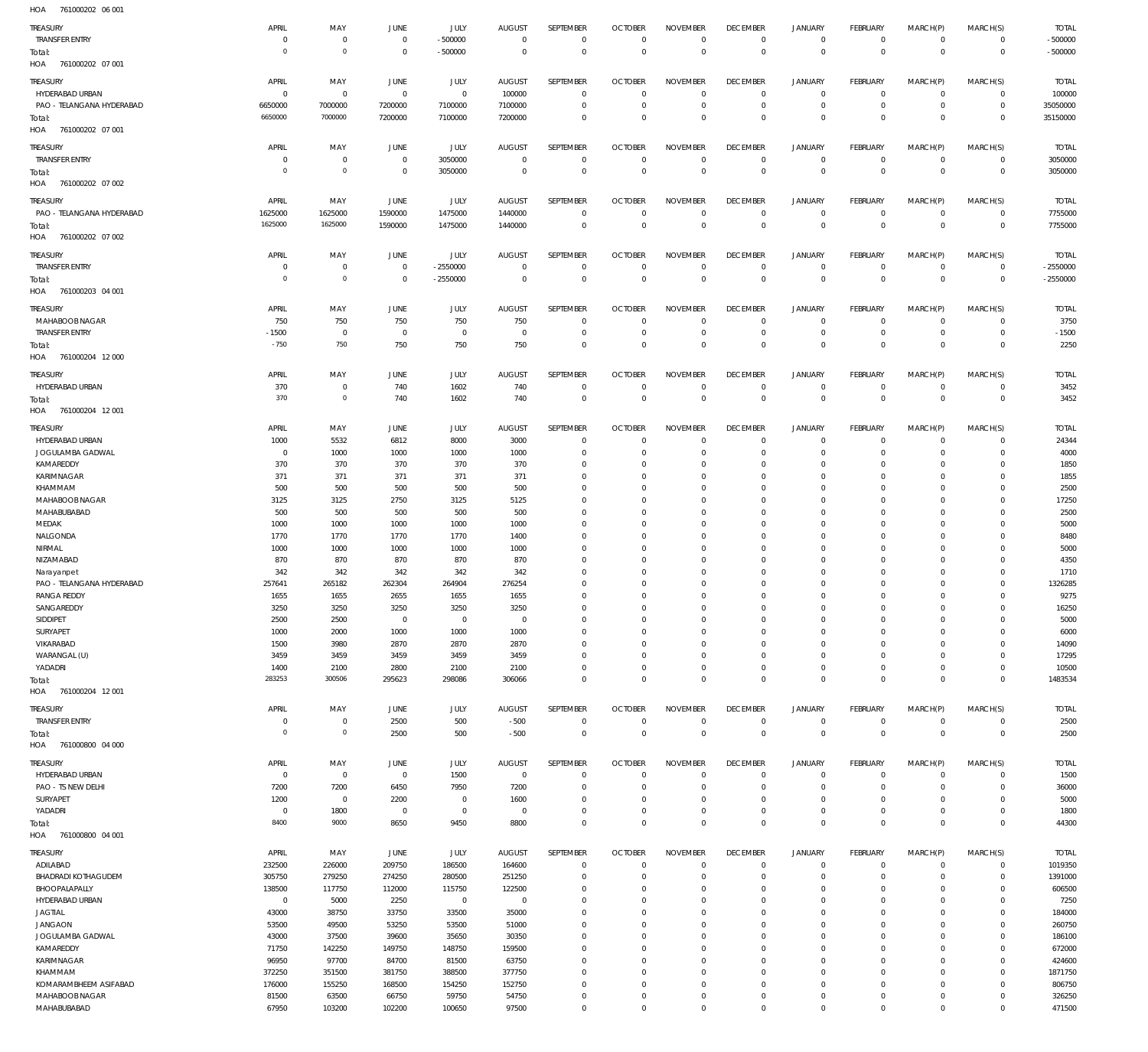761000202 06 001 HOA

| 110 <sub>m</sub><br><b>IDIOUDZUZ OU UU</b> |                |             |                |                |                |                  |                |                 |                 |                |                 |              |              |              |
|--------------------------------------------|----------------|-------------|----------------|----------------|----------------|------------------|----------------|-----------------|-----------------|----------------|-----------------|--------------|--------------|--------------|
| TREASURY                                   | APRIL          | MAY         | JUNE           | JULY           | <b>AUGUST</b>  | SEPTEMBER        | <b>OCTOBER</b> | <b>NOVEMBER</b> | <b>DECEMBER</b> | JANUARY        | FEBRUARY        | MARCH(P)     | MARCH(S)     | <b>TOTAL</b> |
| <b>TRANSFER ENTRY</b>                      | $\overline{0}$ | $\mathbf 0$ | $\overline{0}$ | $-500000$      | $\overline{0}$ | $\overline{0}$   | $\mathbb O$    | $\mathbf{0}$    | $\mathbf 0$     | $\mathbf 0$    | $\mathbf 0$     | $\mathbf 0$  | $\mathbf 0$  | $-500000$    |
| Total:                                     | $\overline{0}$ | $\circ$     | $\overline{0}$ | $-500000$      | $\overline{0}$ | $\overline{0}$   | $\mathbb O$    | $\overline{0}$  | $\,0\,$         | $\mathbf 0$    | $\mathbb O$     | $\mathbf{0}$ | $\mathbf 0$  | $-500000$    |
| HOA<br>761000202 07 001                    |                |             |                |                |                |                  |                |                 |                 |                |                 |              |              |              |
|                                            |                |             |                |                |                |                  |                |                 |                 |                |                 |              |              |              |
| TREASURY                                   | APRIL          | MAY         | JUNE           | JULY           | <b>AUGUST</b>  | SEPTEMBER        | <b>OCTOBER</b> | <b>NOVEMBER</b> | <b>DECEMBER</b> | <b>JANUARY</b> | FEBRUARY        | MARCH(P)     | MARCH(S)     | <b>TOTAL</b> |
| HYDERABAD URBAN                            | $\mathbf 0$    | $\mathbf 0$ | $\overline{0}$ | $\mathbf 0$    | 100000         | $\mathbf 0$      | $\overline{0}$ | $\mathbf 0$     | $\overline{0}$  | $\mathbf 0$    | $^{\circ}$      | $\Omega$     | $\Omega$     | 100000       |
| PAO - TELANGANA HYDERABAD                  | 6650000        | 7000000     | 7200000        | 7100000        | 7100000        | $\mathbf 0$      | $\overline{0}$ | $\mathbf 0$     | $\overline{0}$  | $^{\circ}$     | $\mathbf{0}$    | $\circ$      | $\mathbf 0$  | 35050000     |
| Total:                                     | 6650000        | 7000000     | 7200000        | 7100000        | 7200000        | $\mathbf 0$      | $\overline{0}$ | $\mathbf 0$     | $\overline{0}$  | $\mathbf 0$    | $\overline{0}$  | $\Omega$     | $\mathbf{0}$ | 35150000     |
| 761000202 07 001<br>HOA                    |                |             |                |                |                |                  |                |                 |                 |                |                 |              |              |              |
|                                            |                |             |                |                |                |                  |                |                 |                 |                |                 |              |              |              |
| <b>TREASURY</b>                            | APRIL          | MAY         | JUNE           | JULY           | <b>AUGUST</b>  | SEPTEMBER        | <b>OCTOBER</b> | <b>NOVEMBER</b> | <b>DECEMBER</b> | <b>JANUARY</b> | <b>FEBRUARY</b> | MARCH(P)     | MARCH(S)     | <b>TOTAL</b> |
| <b>TRANSFER ENTRY</b>                      | 0              | 0           | $\overline{0}$ | 3050000        | $\overline{0}$ | $\overline{0}$   | $\overline{0}$ | $^{\circ}$      | $\,0\,$         | $\circ$        | $^{\circ}$      | $\mathbf 0$  | $\mathbf 0$  | 3050000      |
| Total:                                     | $\overline{0}$ | $\circ$     | $\overline{0}$ | 3050000        | $\overline{0}$ | $\overline{0}$   | $\mathbb O$    | $\overline{0}$  | $\,0\,$         | $\mathbf 0$    | $\overline{0}$  | $\mathbf{0}$ | $\mathbf 0$  | 3050000      |
| HOA<br>761000202 07 002                    |                |             |                |                |                |                  |                |                 |                 |                |                 |              |              |              |
|                                            |                |             |                |                |                |                  |                |                 |                 |                |                 |              |              |              |
| TREASURY                                   | APRIL          | MAY         | JUNE           | JULY           | <b>AUGUST</b>  | SEPTEMBER        | <b>OCTOBER</b> | <b>NOVEMBER</b> | <b>DECEMBER</b> | <b>JANUARY</b> | FEBRUARY        | MARCH(P)     | MARCH(S)     | <b>TOTAL</b> |
| PAO - TELANGANA HYDERABAD                  | 1625000        | 1625000     | 1590000        | 1475000        | 1440000        | $\overline{0}$   | $\overline{0}$ | $\overline{0}$  | $\mathbf 0$     | $\mathbf 0$    | $^{\circ}$      | $\circ$      | $\mathbf 0$  | 7755000      |
| Total:                                     | 1625000        | 1625000     | 1590000        | 1475000        | 1440000        | $\mathbf 0$      | $\mathbb O$    | $\mathbf{0}$    | $\,0\,$         | $\mathbf 0$    | $\mathbb O$     | $^{\circ}$   | $\mathbf 0$  | 7755000      |
| HOA<br>761000202 07 002                    |                |             |                |                |                |                  |                |                 |                 |                |                 |              |              |              |
|                                            |                |             |                |                |                |                  |                |                 |                 |                |                 |              |              |              |
| TREASURY                                   | APRIL          | MAY         | JUNE           | JULY           | <b>AUGUST</b>  | SEPTEMBER        | <b>OCTOBER</b> | <b>NOVEMBER</b> | <b>DECEMBER</b> | <b>JANUARY</b> | FEBRUARY        | MARCH(P)     | MARCH(S)     | <b>TOTAL</b> |
| <b>TRANSFER ENTRY</b>                      | 0              | 0           | $\overline{0}$ | $-2550000$     | $\overline{0}$ | $\overline{0}$   | $\overline{0}$ | $\mathbf{0}$    | $\overline{0}$  | $^{\circ}$     | $^{\circ}$      | $\mathbf 0$  | $\mathbf 0$  | $-2550000$   |
| Total:                                     | $\overline{0}$ | $\circ$     | $\overline{0}$ | $-2550000$     | $\overline{0}$ | $\overline{0}$   | $\mathbb O$    | $\mathbb O$     | $\,0\,$         | $\,0\,$        | $\overline{0}$  | $\mathbf 0$  | $\mathbf 0$  | $-2550000$   |
| 761000203 04 001<br>HOA                    |                |             |                |                |                |                  |                |                 |                 |                |                 |              |              |              |
|                                            |                |             |                |                |                |                  |                |                 |                 |                |                 |              |              |              |
| TREASURY                                   | APRIL          | MAY         | JUNE           | JULY           | <b>AUGUST</b>  | SEPTEMBER        | <b>OCTOBER</b> | <b>NOVEMBER</b> | <b>DECEMBER</b> | <b>JANUARY</b> | FEBRUARY        | MARCH(P)     | MARCH(S)     | <b>TOTAL</b> |
| MAHABOOB NAGAR                             | 750            | 750         | 750            | 750            | 750            | $\overline{0}$   | $\overline{0}$ | $\overline{0}$  | $^{\circ}$      | $\circ$        | $^{\circ}$      | $\circ$      | $\mathbf 0$  | 3750         |
| <b>TRANSFER ENTRY</b>                      | $-1500$        | $\mathbf 0$ | $\overline{0}$ | $\overline{0}$ | $\overline{0}$ | $\mathbf 0$      | $\overline{0}$ | $\mathbf 0$     | $\overline{0}$  | $^{\circ}$     | $\mathbf{0}$    | $\circ$      | $\mathbf 0$  | $-1500$      |
| Total:                                     | $-750$         | 750         | 750            | 750            | 750            | $\mathbf 0$      | $\overline{0}$ | $\mathbf 0$     | $\overline{0}$  | $\mathbf 0$    | $\overline{0}$  | $^{\circ}$   | $\mathbf 0$  | 2250         |
| HOA<br>761000204 12 000                    |                |             |                |                |                |                  |                |                 |                 |                |                 |              |              |              |
|                                            |                |             |                |                |                |                  |                |                 |                 |                |                 |              |              |              |
| TREASURY                                   | APRIL          | MAY         | JUNE           | JULY           | <b>AUGUST</b>  | <b>SEPTEMBER</b> | <b>OCTOBER</b> | <b>NOVEMBER</b> | <b>DECEMBER</b> | <b>JANUARY</b> | <b>FEBRUARY</b> | MARCH(P)     | MARCH(S)     | <b>TOTAL</b> |
| HYDERABAD URBAN                            | 370            | 0           | 740            | 1602           | 740            | $\overline{0}$   | $\overline{0}$ | $\mathbf 0$     | $\overline{0}$  | $^{\circ}$     | $^{\circ}$      | $\mathbf 0$  | $\mathbf 0$  | 3452         |
| Total:                                     | 370            | $\circ$     | 740            | 1602           | 740            | $\overline{0}$   | $\mathbb O$    | $\mathbf{0}$    | $\,0\,$         | $\,0\,$        | $\mathbb O$     | $\mathbf{0}$ | $\mathbf{0}$ | 3452         |
| HOA<br>761000204 12 001                    |                |             |                |                |                |                  |                |                 |                 |                |                 |              |              |              |
|                                            |                |             |                |                |                |                  |                |                 |                 |                |                 |              |              |              |
| TREASURY                                   | APRIL          | MAY         | JUNE           | JULY           | <b>AUGUST</b>  | SEPTEMBER        | <b>OCTOBER</b> | <b>NOVEMBER</b> | <b>DECEMBER</b> | <b>JANUARY</b> | FEBRUARY        | MARCH(P)     | MARCH(S)     | <b>TOTAL</b> |
| HYDERABAD URBAN                            | 1000           | 5532        | 6812           | 8000           | 3000           | $\mathbf 0$      | $\mathbf{0}$   | $\mathbf 0$     | $\overline{0}$  | $^{\circ}$     | $^{\circ}$      | $\circ$      | $\mathbf 0$  | 24344        |
| JOGULAMBA GADWAL                           | 0              | 1000        | 1000           | 1000           | 1000           | $\mathbf 0$      | $\overline{0}$ | $\mathbf 0$     | $^{\circ}$      | $^{\circ}$     | $^{\circ}$      | $\Omega$     | $\Omega$     | 4000         |
| KAMAREDDY                                  | 370            | 370         | 370            | 370            | 370            | 0                | $\mathbf 0$    | 0               | $\overline{0}$  | 0              | $^{\circ}$      |              | $\Omega$     | 1850         |
| KARIMNAGAR                                 | 371            | 371         | 371            | 371            | 371            | $\mathbf 0$      | $\overline{0}$ | 0               | $\overline{0}$  | 0              | $^{\circ}$      |              | $\Omega$     | 1855         |
|                                            |                |             |                |                |                |                  |                |                 |                 |                |                 |              |              |              |
| KHAMMAM                                    | 500            | 500         | 500            | 500            | 500            | 0                | $\mathbf 0$    | 0               | $\overline{0}$  | 0              | $^{\circ}$      |              | $\Omega$     | 2500         |
| MAHABOOB NAGAR                             | 3125           | 3125        | 2750           | 3125           | 5125           | $\mathbf 0$      | $\mathbf 0$    | 0               | $\overline{0}$  | $^{\circ}$     | $^{\circ}$      |              | $\Omega$     | 17250        |
| MAHABUBABAD                                | 500            | 500         | 500            | 500            | 500            | 0                | $\mathbf 0$    | 0               | $\overline{0}$  | 0              | $^{\circ}$      |              | $\Omega$     | 2500         |
| MEDAK                                      | 1000           | 1000        | 1000           | 1000           | 1000           | $\mathbf 0$      | $\overline{0}$ | 0               | $\overline{0}$  | $^{\circ}$     | $^{\circ}$      |              | $\Omega$     | 5000         |
| NALGONDA                                   | 1770           | 1770        | 1770           | 1770           | 1400           | $\mathbf 0$      | $\mathbf 0$    | 0               | $\overline{0}$  | 0              | $^{\circ}$      |              | $\Omega$     | 8480         |
| NIRMAL                                     | 1000           | 1000        | 1000           | 1000           | 1000           | 0                | $\mathbf 0$    | 0               | $\overline{0}$  | 0              | $^{\circ}$      |              | $\Omega$     | 5000         |
|                                            |                |             |                | 870            |                | $\mathbf 0$      | $\mathbf 0$    |                 | $\overline{0}$  |                | $^{\circ}$      |              | $\Omega$     |              |
| NIZAMABAD                                  | 870            | 870         | 870            |                | 870            |                  |                | 0               |                 | 0              |                 |              |              | 4350         |
| Narayanpet                                 | 342            | 342         | 342            | 342            | 342            | 0                | $\mathbf 0$    | 0               | $\overline{0}$  | 0              | $\circ$         |              | $\Omega$     | 1710         |
| PAO - TELANGANA HYDERABAD                  | 257641         | 265182      | 262304         | 264904         | 276254         | $\Omega$         | $\mathbf 0$    | 0               | $\Omega$        | $^{\circ}$     | $^{\circ}$      |              | $\Omega$     | 1326285      |
| <b>RANGA REDDY</b>                         | 1655           | 1655        | 2655           | 1655           | 1655           | $\mathbf 0$      | $\mathbf{0}$   | $\mathbf 0$     | $\mathbf 0$     | $\mathbf 0$    | $\mathbf{0}$    | $\Omega$     | $\Omega$     | 9275         |
| SANGAREDDY                                 | 3250           | 3250        | 3250           | 3250           | 3250           |                  |                |                 | $\cap$          |                | $\cap$          |              | $\cap$       | 16250        |
| SIDDIPET                                   | 2500           | 2500        | $\overline{0}$ | $\mathbf 0$    | $^{\circ}$     | $\mathbf 0$      | $\overline{0}$ | 0               | $\overline{0}$  | $^{\circ}$     | $^{\circ}$      | $\Omega$     | $\Omega$     | 5000         |
| SURYAPET                                   | 1000           | 2000        | 1000           | 1000           | 1000           | $\mathbf 0$      | $\mathbf 0$    | 0               | $\overline{0}$  | $^{\circ}$     | $^{\circ}$      | $\Omega$     | $\Omega$     | 6000         |
| VIKARABAD                                  | 1500           | 3980        | 2870           | 2870           | 2870           | $\mathbf 0$      | $\overline{0}$ | 0               | $\overline{0}$  | $\mathbf 0$    | $^{\circ}$      | $\Omega$     | $\Omega$     | 14090        |
|                                            |                |             |                |                |                |                  |                |                 |                 |                |                 |              |              |              |
| WARANGAL (U)                               | 3459           | 3459        | 3459           | 3459           | 3459           | $\mathbf 0$      | $\overline{0}$ | 0               | $\overline{0}$  | $^{\circ}$     | $^{\circ}$      |              | $\Omega$     | 17295        |
| YADADRI                                    | 1400           | 2100        | 2800           | 2100           | 2100           | $\mathbf 0$      | $\mathbf{0}$   | 0               | $\mathbf 0$     | $\circ$        | $\mathbf{0}$    | $\Omega$     | $\mathbf 0$  | 10500        |
| Total:                                     | 283253         | 300506      | 295623         | 298086         | 306066         | $\mathbf 0$      | $\mathbf{0}$   | $\mathbf 0$     | $\,0\,$         | $\mathbf 0$    | $\mathbf 0$     | $^{\circ}$   | $\mathbf{0}$ | 1483534      |
| HOA 761000204 12001                        |                |             |                |                |                |                  |                |                 |                 |                |                 |              |              |              |
|                                            | APRIL          |             | JUNE           | JULY           |                | SEPTEMBER        | <b>OCTOBER</b> | <b>NOVEMBER</b> | <b>DECEMBER</b> | <b>JANUARY</b> | FEBRUARY        | MARCH(P)     | MARCH(S)     | <b>TOTAL</b> |
| <b>TREASURY</b>                            |                | MAY         |                |                | <b>AUGUST</b>  |                  |                |                 |                 |                |                 |              |              |              |
| <b>TRANSFER ENTRY</b>                      | $\mathbf 0$    | 0           | 2500           | 500            | $-500$         | $\overline{0}$   | $\mathbf 0$    | $\mathbf{0}$    | $\mathbf 0$     | 0              | $\mathbf 0$     | $\mathbf 0$  | $\mathbf 0$  | 2500         |
| Total:                                     | $\overline{0}$ | $\mathbf 0$ | 2500           | 500            | $-500$         | $\overline{0}$   | $\mathbb O$    | $\mathbb O$     | $\,0\,$         | $\,0\,$        | $\mathbb O$     | $\mathbf 0$  | $\mathbf{0}$ | 2500         |
| HOA 761000800 04 000                       |                |             |                |                |                |                  |                |                 |                 |                |                 |              |              |              |
| TREASURY                                   | APRIL          | MAY         | JUNE           | JULY           | <b>AUGUST</b>  | SEPTEMBER        | <b>OCTOBER</b> | <b>NOVEMBER</b> | <b>DECEMBER</b> | <b>JANUARY</b> | FEBRUARY        | MARCH(P)     | MARCH(S)     | <b>TOTAL</b> |
| HYDERABAD URBAN                            | $\mathbf 0$    | $\mathbf 0$ | $\overline{0}$ | 1500           | $\overline{0}$ | $\overline{0}$   | $\overline{0}$ | $\mathbf{0}$    | $\mathbf 0$     | 0              | $^{\circ}$      | $\mathbf 0$  | $\mathbf 0$  | 1500         |
|                                            |                |             |                |                |                |                  |                |                 |                 |                |                 |              |              |              |
| PAO - TS NEW DELHI                         | 7200           | 7200        | 6450           | 7950           | 7200           | $\mathbf 0$      | $\overline{0}$ | $\mathbf 0$     | $^{\circ}$      | $^{\circ}$     | $^{\circ}$      | 0            | $\mathbf 0$  | 36000        |
| SURYAPET                                   | 1200           | $\mathbf 0$ | 2200           | $\mathbf 0$    | 1600           | $\mathbf 0$      | $\overline{0}$ | 0               | $\overline{0}$  | $\circ$        | $^{\circ}$      | $\Omega$     | $\Omega$     | 5000         |
| YADADRI                                    | $\mathbf 0$    | 1800        | $\overline{0}$ | $\mathbf 0$    | $\overline{0}$ | $\mathbf 0$      | $\mathbf 0$    | $\mathbf 0$     | $\mathbf 0$     | 0              | $\mathbf{0}$    | $\circ$      | $\mathbf 0$  | 1800         |
| Total:                                     | 8400           | 9000        | 8650           | 9450           | 8800           | $\mathbf 0$      | $\overline{0}$ | $\mathbf 0$     | $\,0\,$         | $\mathbf 0$    | $\mathbb O$     | $^{\circ}$   | $\mathbf 0$  | 44300        |
| HOA 761000800 04 001                       |                |             |                |                |                |                  |                |                 |                 |                |                 |              |              |              |
|                                            |                |             |                |                |                |                  |                |                 |                 |                |                 |              |              |              |
| <b>TREASURY</b>                            | APRIL          | MAY         | JUNE           | JULY           | <b>AUGUST</b>  | SEPTEMBER        | <b>OCTOBER</b> | <b>NOVEMBER</b> | <b>DECEMBER</b> | <b>JANUARY</b> | FEBRUARY        | MARCH(P)     | MARCH(S)     | <b>TOTAL</b> |
| ADILABAD                                   | 232500         | 226000      | 209750         | 186500         | 164600         | $\overline{0}$   | $\overline{0}$ | $\mathbf 0$     | $\mathbf 0$     | $\circ$        | $^{\circ}$      | $\mathbf 0$  | $\mathbf 0$  | 1019350      |
| BHADRADI KOTHAGUDEM                        | 305750         | 279250      | 274250         | 280500         | 251250         | $\mathbf 0$      | $\overline{0}$ | $\mathbf 0$     | $\mathbf 0$     | $\mathbf 0$    | $\mathbf{0}$    | $\mathbf 0$  | $\mathbf 0$  | 1391000      |
| BHOOPALAPALLY                              | 138500         | 117750      | 112000         | 115750         | 122500         | $\mathbf 0$      | $\overline{0}$ | $\mathbf 0$     | $^{\circ}$      | $\circ$        | $^{\circ}$      | $\Omega$     | $\mathbf 0$  | 606500       |
| HYDERABAD URBAN                            | $\mathbf 0$    | 5000        | 2250           | $\,0\,$        | $\overline{0}$ | $\mathbf 0$      | $\overline{0}$ | 0               | $\mathbf 0$     | $^{\circ}$     | $^{\circ}$      | $\Omega$     | $\mathbf 0$  | 7250         |
| <b>JAGTIAL</b>                             | 43000          | 38750       | 33750          | 33500          | 35000          | $\mathbf 0$      | $\mathbf{0}$   | 0               | $\mathbf 0$     | $\circ$        | $^{\circ}$      | $\Omega$     | $\mathbf 0$  | 184000       |
|                                            |                |             |                |                |                |                  |                |                 |                 |                |                 |              |              |              |
| <b>JANGAON</b>                             | 53500          | 49500       | 53250          | 53500          | 51000          | $\mathbf 0$      | $\mathbf{0}$   | 0               | $\mathbf 0$     | $\mathbf 0$    | $^{\circ}$      | $\Omega$     | $\mathbf 0$  | 260750       |
| JOGULAMBA GADWAL                           | 43000          | 37500       | 39600          | 35650          | 30350          | $\mathbf 0$      | $\overline{0}$ | 0               | $\mathbf 0$     | $\mathbf 0$    | $^{\circ}$      | $\Omega$     | $\mathbf 0$  | 186100       |
| KAMAREDDY                                  | 71750          | 142250      | 149750         | 148750         | 159500         | $\mathbf 0$      | $^{\circ}$     | 0               | $\mathbf 0$     | $\mathbf 0$    | $^{\circ}$      | $\Omega$     | $\mathbf 0$  | 672000       |
| KARIMNAGAR                                 | 96950          | 97700       | 84700          | 81500          | 63750          | $\mathbf 0$      | $\overline{0}$ | 0               | $\mathbf 0$     | $\circ$        | $^{\circ}$      | $\Omega$     | $\mathbf 0$  | 424600       |
| KHAMMAM                                    | 372250         | 351500      | 381750         | 388500         | 377750         | $\mathbf 0$      | $^{\circ}$     | $\mathbf 0$     | $\mathbf 0$     | $\circ$        | $^{\circ}$      | $\Omega$     | $\mathbf 0$  | 1871750      |
| KOMARAMBHEEM ASIFABAD                      | 176000         | 155250      | 168500         | 154250         | 152750         | $\mathbf 0$      | $\overline{0}$ | 0               | $\mathbf 0$     | $\circ$        | $^{\circ}$      | $\Omega$     | $\mathbf 0$  | 806750       |
| MAHABOOB NAGAR                             | 81500          | 63500       | 66750          | 59750          | 54750          | $\mathbf 0$      | $\mathbf 0$    | $\mathbf 0$     | $\mathbf 0$     | $\circ$        | $^{\circ}$      | $\circ$      | $\mathbf 0$  | 326250       |
|                                            |                |             |                |                |                | $\mathbf 0$      | $\mathbf{0}$   | 0               | $\mathbb O$     |                |                 |              |              |              |
| MAHABUBABAD                                | 67950          | 103200      | 102200         | 100650         | 97500          |                  |                |                 |                 | $\mathbf 0$    | $\mathbf 0$     | $\mathbf 0$  | $\mathbf 0$  | 471500       |